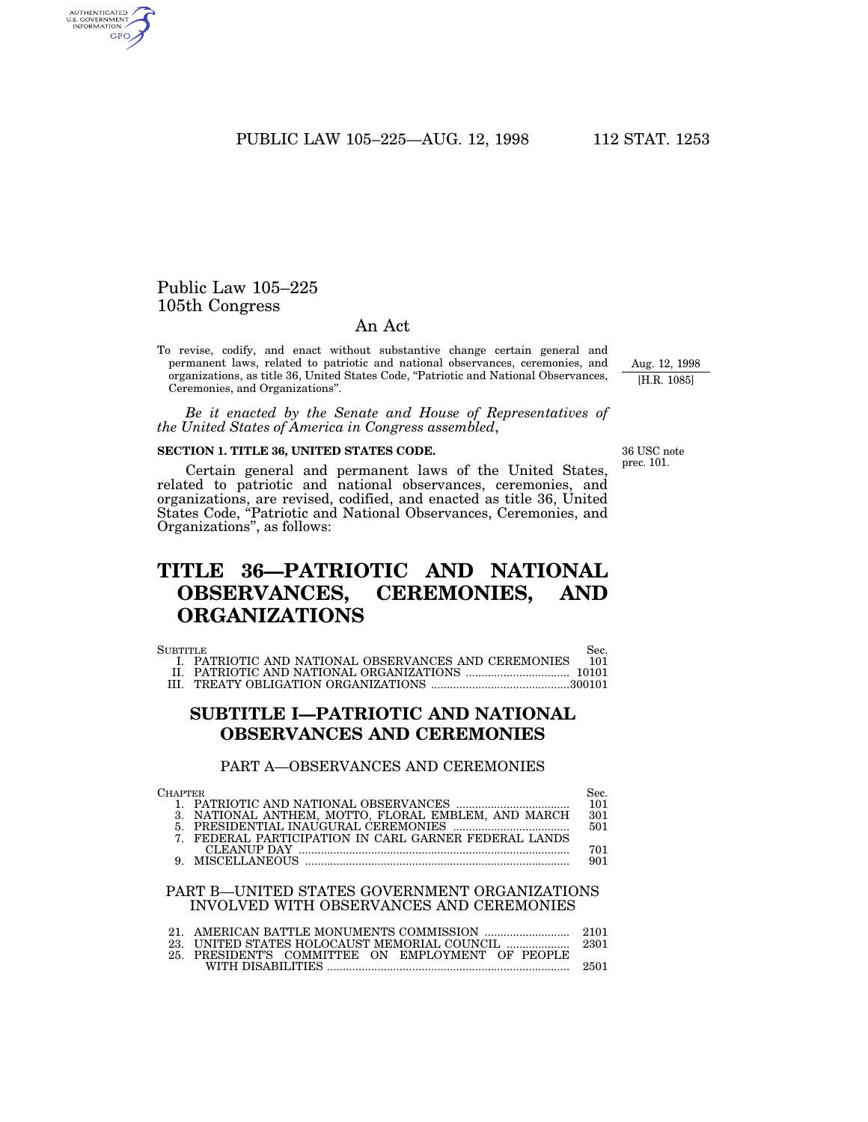PUBLIC LAW 105-225-AUG. 12, 1998 112 STAT. 1253

# Public Law 105–225 105th Congress

AUTHENTICATED<br>U.S. GOVERNMENT<br>INFORMATION **GPO** 

# An Act

To revise, codify, and enact without substantive change certain general and permanent laws, related to patriotic and national observances, ceremonies, and organizations, as title 36, United States Code, ''Patriotic and National Observances, Ceremonies, and Organizations''.

*Be it enacted by the Senate and House of Representatives of the United States of America in Congress assembled*,

### **SECTION 1. TITLE 36, UNITED STATES CODE.**

Certain general and permanent laws of the United States, related to patriotic and national observances, ceremonies, and organizations, are revised, codified, and enacted as title 36, United States Code, ''Patriotic and National Observances, Ceremonies, and Organizations'', as follows:

# **TITLE 36—PATRIOTIC AND NATIONAL OBSERVANCES, CEREMONIES, AND ORGANIZATIONS**

SUBTITLE Sec. I. PATRIOTIC AND NATIONAL OBSERVANCES AND CEREMONIES 101 II. PATRIOTIC AND NATIONAL ORGANIZATIONS ................................. 10101 III. TREATY OBLIGATION ORGANIZATIONS ............................................300101

# **SUBTITLE I—PATRIOTIC AND NATIONAL OBSERVANCES AND CEREMONIES**

# PART A—OBSERVANCES AND CEREMONIES

| Chapter.                                              |     |
|-------------------------------------------------------|-----|
|                                                       | 101 |
| 3. NATIONAL ANTHEM, MOTTO, FLORAL EMBLEM, AND MARCH   | 301 |
|                                                       | 501 |
| 7. FEDERAL PARTICIPATION IN CARL GARNER FEDERAL LANDS |     |
|                                                       |     |
|                                                       | 901 |
|                                                       |     |

# PART B—UNITED STATES GOVERNMENT ORGANIZATIONS INVOLVED WITH OBSERVANCES AND CEREMONIES

|                                                   | -2101 |
|---------------------------------------------------|-------|
|                                                   |       |
| 25. PRESIDENT'S COMMITTEE ON EMPLOYMENT OF PEOPLE |       |
|                                                   | 2501  |

36 USC note prec. 101.

Aug. 12, 1998 [H.R. 1085]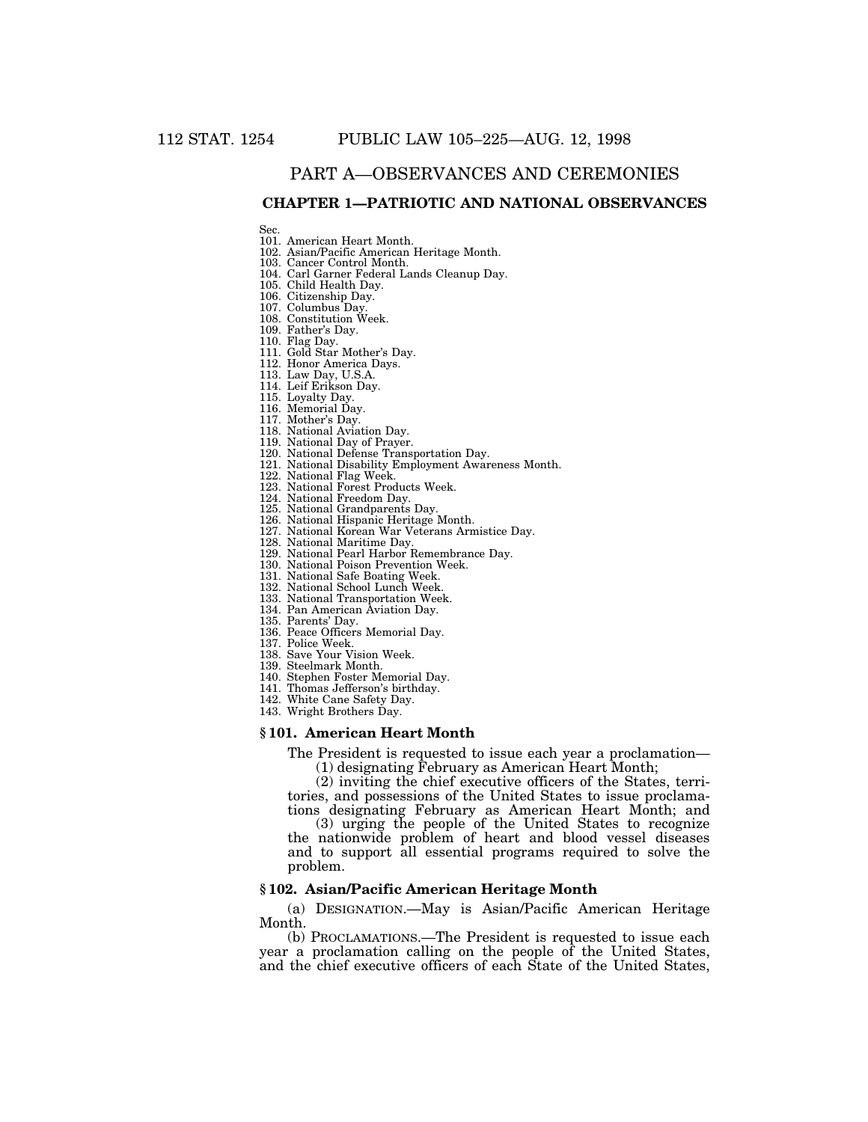# PART A—OBSERVANCES AND CEREMONIES

# **CHAPTER 1—PATRIOTIC AND NATIONAL OBSERVANCES**

Sec.

- 101. American Heart Month.
- 102. Asian/Pacific American Heritage Month. 103. Cancer Control Month.
- 104. Carl Garner Federal Lands Cleanup Day. 105. Child Health Day.
- 
- 
- 
- 106. Citizenship Day. 107. Columbus Day. 108. Constitution Week. 109. Father's Day.
- 
- 110. Flag Day.
- 
- 111. Gold Star Mother's Day. 112. Honor America Days.
- 
- 113. Law Day, U.S.A. 114. Leif Erikson Day.
- 
- 115. Loyalty Day. 116. Memorial Day.
- 
- 117. Mother's Day. 118. National Aviation Day.
- 
- 119. National Day of Prayer. 120. National Defense Transportation Day.
- 121. National Disability Employment Awareness Month. 122. National Flag Week.
	-
	- 123. National Forest Products Week.
	- 124. National Freedom Day.
	- 125. National Grandparents Day. 126. National Hispanic Heritage Month.
	- 127. National Korean War Veterans Armistice Day.
	- 128. National Maritime Day.
- 129. National Pearl Harbor Remembrance Day.
- 130. National Poison Prevention Week.
- 
- 131. National Safe Boating Week. 132. National School Lunch Week.
- 
- 133. National Transportation Week. 134. Pan American Aviation Day. 135. Parents' Day. 136. Peace Officers Memorial Day. 137. Police Week. 138. Save Your Vision Week.
- 
- 
- 
- 
- 139. Steelmark Month.
- 140. Stephen Foster Memorial Day.
- 141. Thomas Jefferson's birthday.
- 142. White Cane Safety Day.
- 143. Wright Brothers Day.

# **§ 101. American Heart Month**

The President is requested to issue each year a proclamation— (1) designating February as American Heart Month;

(2) inviting the chief executive officers of the States, territories, and possessions of the United States to issue proclamations designating February as American Heart Month; and

(3) urging the people of the United States to recognize the nationwide problem of heart and blood vessel diseases and to support all essential programs required to solve the problem.

# **§ 102. Asian/Pacific American Heritage Month**

(a) DESIGNATION.—May is Asian/Pacific American Heritage Month.

(b) PROCLAMATIONS.—The President is requested to issue each year a proclamation calling on the people of the United States, and the chief executive officers of each State of the United States,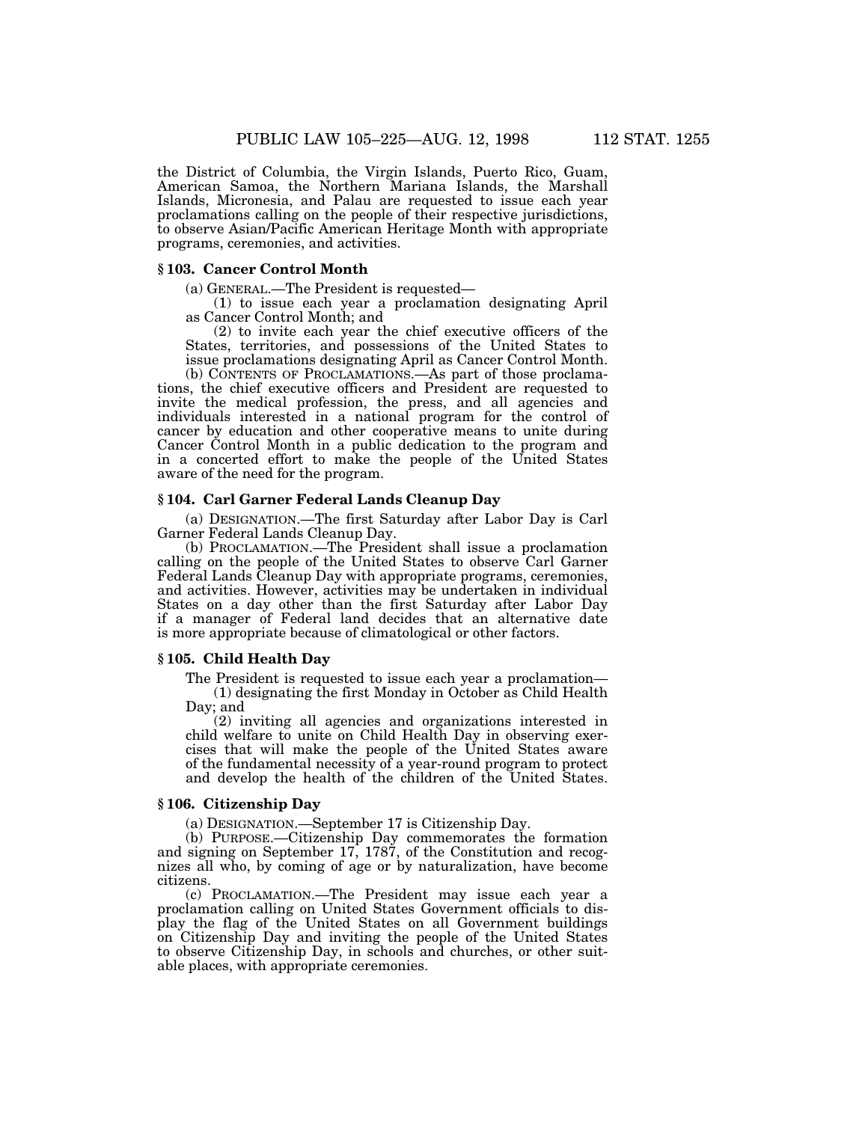the District of Columbia, the Virgin Islands, Puerto Rico, Guam, American Samoa, the Northern Mariana Islands, the Marshall Islands, Micronesia, and Palau are requested to issue each year proclamations calling on the people of their respective jurisdictions, to observe Asian/Pacific American Heritage Month with appropriate programs, ceremonies, and activities.

### **§ 103. Cancer Control Month**

(a) GENERAL.—The President is requested—

(1) to issue each year a proclamation designating April as Cancer Control Month; and

(2) to invite each year the chief executive officers of the States, territories, and possessions of the United States to issue proclamations designating April as Cancer Control Month.

(b) CONTENTS OF PROCLAMATIONS.—As part of those proclamations, the chief executive officers and President are requested to invite the medical profession, the press, and all agencies and individuals interested in a national program for the control of cancer by education and other cooperative means to unite during Cancer Control Month in a public dedication to the program and in a concerted effort to make the people of the United States aware of the need for the program.

# **§ 104. Carl Garner Federal Lands Cleanup Day**

(a) DESIGNATION.—The first Saturday after Labor Day is Carl Garner Federal Lands Cleanup Day.

(b) PROCLAMATION.—The President shall issue a proclamation calling on the people of the United States to observe Carl Garner Federal Lands Cleanup Day with appropriate programs, ceremonies, and activities. However, activities may be undertaken in individual States on a day other than the first Saturday after Labor Day if a manager of Federal land decides that an alternative date is more appropriate because of climatological or other factors.

### **§ 105. Child Health Day**

The President is requested to issue each year a proclamation— (1) designating the first Monday in October as Child Health Day; and

(2) inviting all agencies and organizations interested in child welfare to unite on Child Health Day in observing exercises that will make the people of the United States aware of the fundamental necessity of a year-round program to protect and develop the health of the children of the United States.

### **§ 106. Citizenship Day**

(a) DESIGNATION.—September 17 is Citizenship Day.

(b) PURPOSE.—Citizenship Day commemorates the formation and signing on September 17, 1787, of the Constitution and recognizes all who, by coming of age or by naturalization, have become citizens.

(c) PROCLAMATION.—The President may issue each year a proclamation calling on United States Government officials to display the flag of the United States on all Government buildings on Citizenship Day and inviting the people of the United States to observe Citizenship Day, in schools and churches, or other suitable places, with appropriate ceremonies.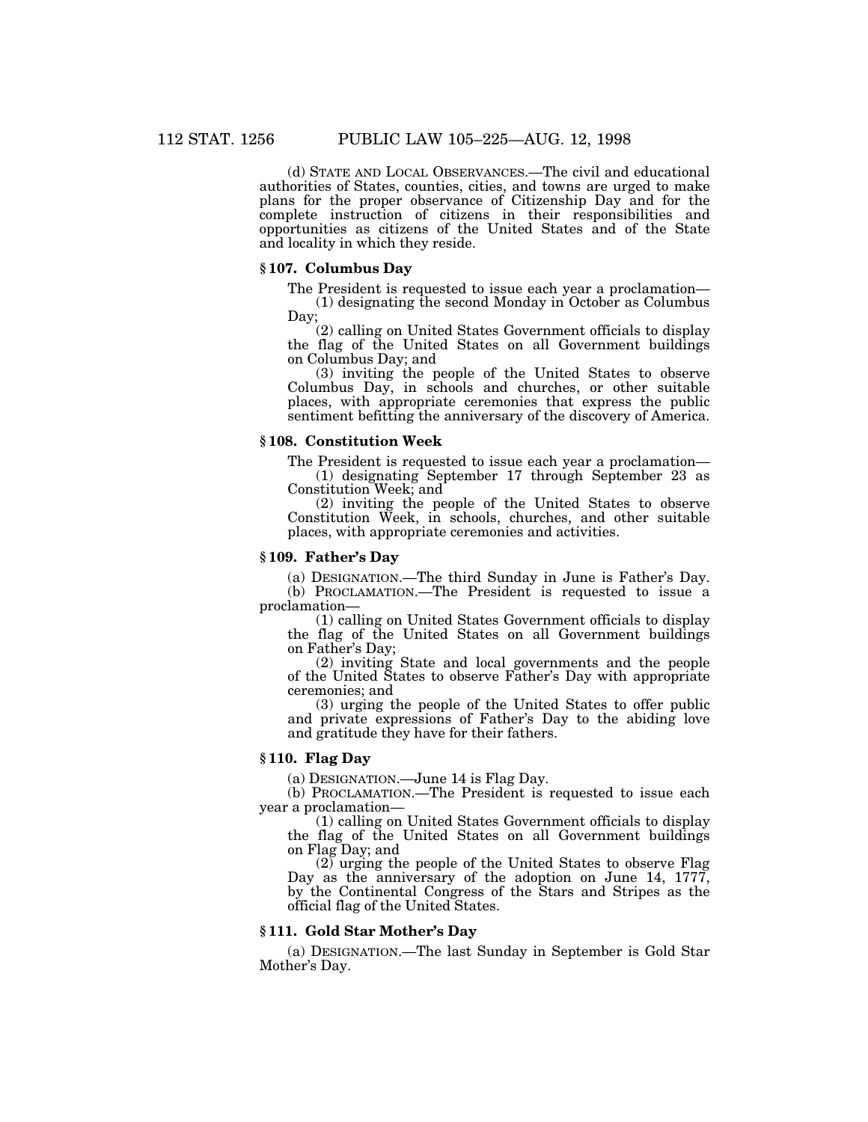(d) STATE AND LOCAL OBSERVANCES.—The civil and educational authorities of States, counties, cities, and towns are urged to make plans for the proper observance of Citizenship Day and for the complete instruction of citizens in their responsibilities and opportunities as citizens of the United States and of the State and locality in which they reside.

### **§ 107. Columbus Day**

The President is requested to issue each year a proclamation— (1) designating the second Monday in October as Columbus

Day;

(2) calling on United States Government officials to display the flag of the United States on all Government buildings on Columbus Day; and

(3) inviting the people of the United States to observe Columbus Day, in schools and churches, or other suitable places, with appropriate ceremonies that express the public sentiment befitting the anniversary of the discovery of America.

# **§ 108. Constitution Week**

The President is requested to issue each year a proclamation— (1) designating September 17 through September 23 as Constitution Week; and

(2) inviting the people of the United States to observe Constitution Week, in schools, churches, and other suitable places, with appropriate ceremonies and activities.

### **§ 109. Father's Day**

(a) DESIGNATION.—The third Sunday in June is Father's Day. (b) PROCLAMATION.—The President is requested to issue a proclamation—

(1) calling on United States Government officials to display the flag of the United States on all Government buildings on Father's Day;

(2) inviting State and local governments and the people of the United States to observe Father's Day with appropriate ceremonies; and

(3) urging the people of the United States to offer public and private expressions of Father's Day to the abiding love and gratitude they have for their fathers.

# **§ 110. Flag Day**

(a) DESIGNATION.—June 14 is Flag Day.

(b) PROCLAMATION.—The President is requested to issue each year a proclamation—

(1) calling on United States Government officials to display the flag of the United States on all Government buildings on Flag Day; and

 $(2)$  urging the people of the United States to observe Flag Day as the anniversary of the adoption on June 14, 1777, by the Continental Congress of the Stars and Stripes as the official flag of the United States.

# **§ 111. Gold Star Mother's Day**

(a) DESIGNATION.—The last Sunday in September is Gold Star Mother's Day.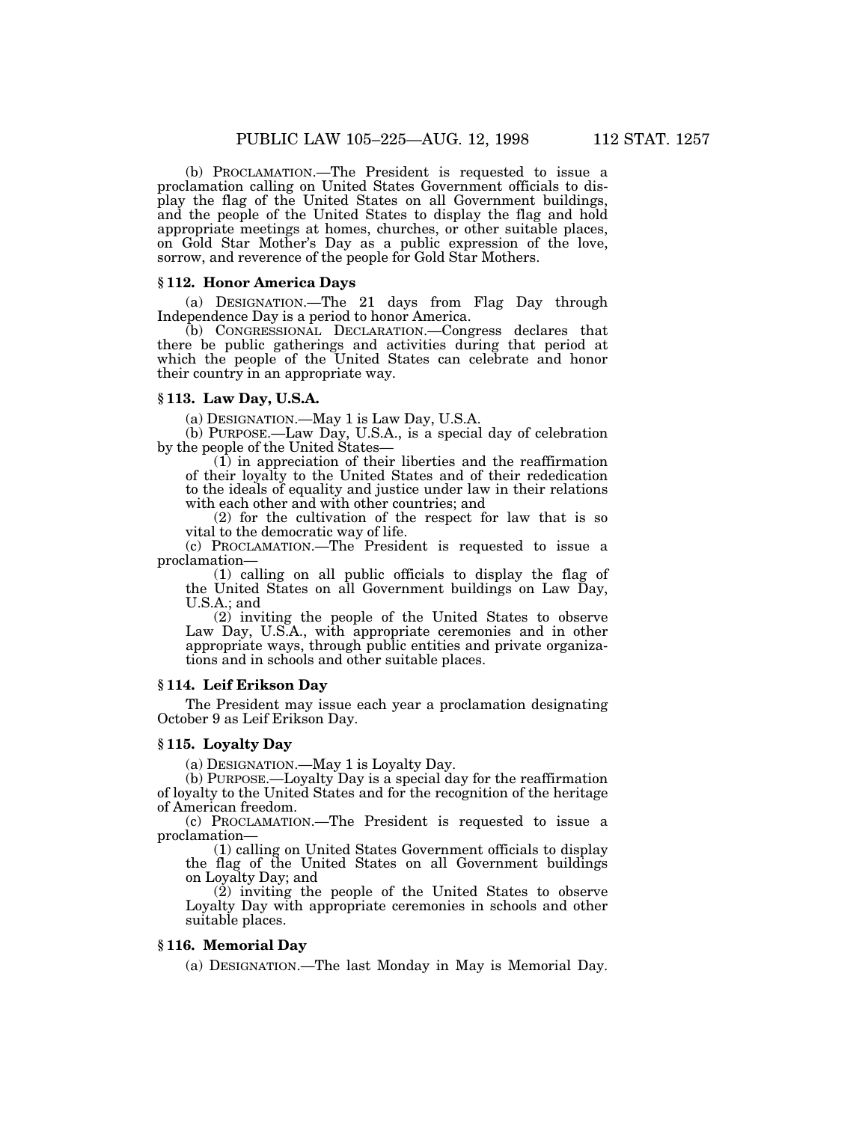(b) PROCLAMATION.—The President is requested to issue a proclamation calling on United States Government officials to display the flag of the United States on all Government buildings, and the people of the United States to display the flag and hold appropriate meetings at homes, churches, or other suitable places, on Gold Star Mother's Day as a public expression of the love, sorrow, and reverence of the people for Gold Star Mothers.

### **§ 112. Honor America Days**

(a) DESIGNATION.—The 21 days from Flag Day through Independence Day is a period to honor America.

(b) CONGRESSIONAL DECLARATION.—Congress declares that there be public gatherings and activities during that period at which the people of the United States can celebrate and honor their country in an appropriate way.

# **§ 113. Law Day, U.S.A.**

(a) DESIGNATION.—May 1 is Law Day, U.S.A.

(b) PURPOSE.—Law Day, U.S.A., is a special day of celebration by the people of the United States—

(1) in appreciation of their liberties and the reaffirmation of their loyalty to the United States and of their rededication to the ideals of equality and justice under law in their relations with each other and with other countries; and

(2) for the cultivation of the respect for law that is so vital to the democratic way of life.

(c) PROCLAMATION.—The President is requested to issue a proclamation—

(1) calling on all public officials to display the flag of the United States on all Government buildings on Law Day, U.S.A.; and

(2) inviting the people of the United States to observe Law Day, U.S.A., with appropriate ceremonies and in other appropriate ways, through public entities and private organizations and in schools and other suitable places.

# **§ 114. Leif Erikson Day**

The President may issue each year a proclamation designating October 9 as Leif Erikson Day.

### **§ 115. Loyalty Day**

(a) DESIGNATION.—May 1 is Loyalty Day.

(b) PURPOSE.—Loyalty Day is a special day for the reaffirmation of loyalty to the United States and for the recognition of the heritage of American freedom.

(c) PROCLAMATION.—The President is requested to issue a proclamation—

(1) calling on United States Government officials to display the flag of the United States on all Government buildings on Loyalty Day; and

(2) inviting the people of the United States to observe Loyalty Day with appropriate ceremonies in schools and other suitable places.

# **§ 116. Memorial Day**

(a) DESIGNATION.—The last Monday in May is Memorial Day.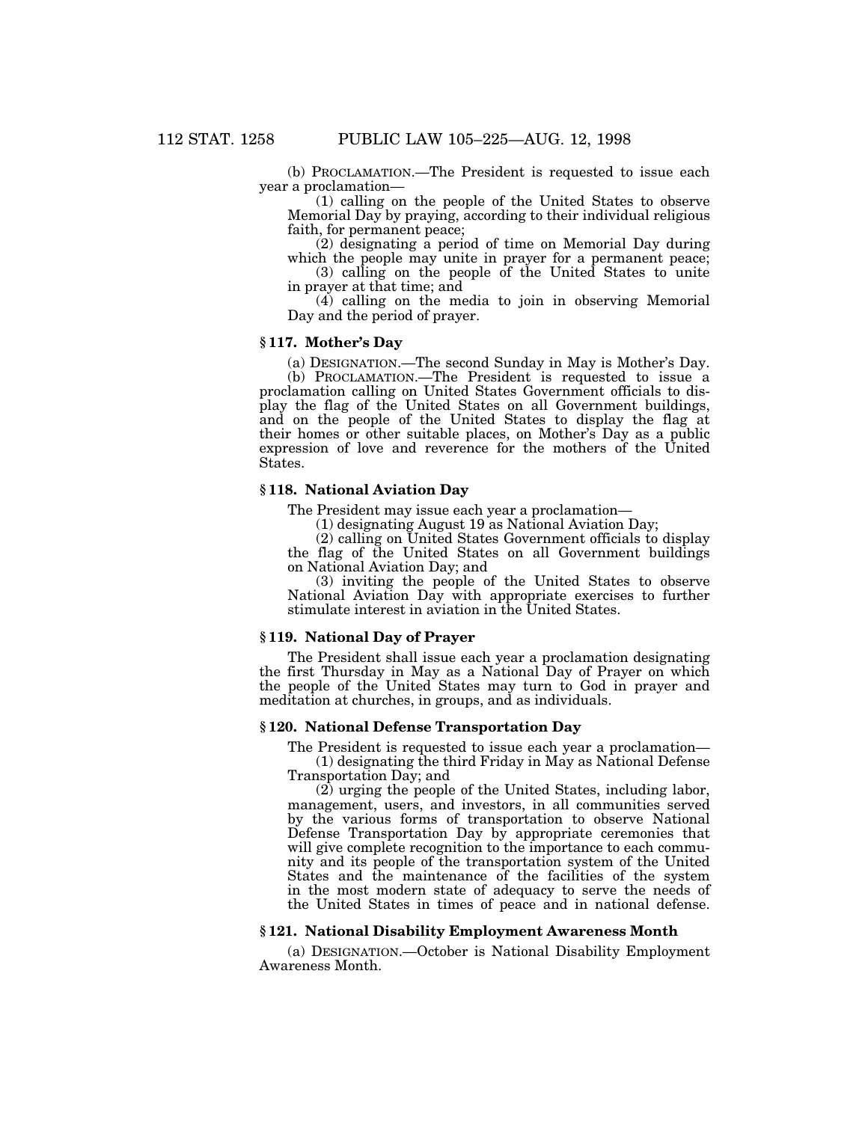(b) PROCLAMATION.—The President is requested to issue each year a proclamation—

(1) calling on the people of the United States to observe Memorial Day by praying, according to their individual religious faith, for permanent peace;

(2) designating a period of time on Memorial Day during which the people may unite in prayer for a permanent peace;

(3) calling on the people of the United States to unite in prayer at that time; and

(4) calling on the media to join in observing Memorial Day and the period of prayer.

# **§ 117. Mother's Day**

(a) DESIGNATION.—The second Sunday in May is Mother's Day. (b) PROCLAMATION.—The President is requested to issue a proclamation calling on United States Government officials to display the flag of the United States on all Government buildings, and on the people of the United States to display the flag at their homes or other suitable places, on Mother's Day as a public expression of love and reverence for the mothers of the United States.

# **§ 118. National Aviation Day**

The President may issue each year a proclamation—

(1) designating August 19 as National Aviation Day;

(2) calling on United States Government officials to display the flag of the United States on all Government buildings on National Aviation Day; and

(3) inviting the people of the United States to observe National Aviation Day with appropriate exercises to further stimulate interest in aviation in the United States.

### **§ 119. National Day of Prayer**

The President shall issue each year a proclamation designating the first Thursday in May as a National Day of Prayer on which the people of the United States may turn to God in prayer and meditation at churches, in groups, and as individuals.

### **§ 120. National Defense Transportation Day**

The President is requested to issue each year a proclamation—

(1) designating the third Friday in May as National Defense Transportation Day; and

 $(2)$  urging the people of the United States, including labor, management, users, and investors, in all communities served by the various forms of transportation to observe National Defense Transportation Day by appropriate ceremonies that will give complete recognition to the importance to each community and its people of the transportation system of the United States and the maintenance of the facilities of the system in the most modern state of adequacy to serve the needs of the United States in times of peace and in national defense.

### **§ 121. National Disability Employment Awareness Month**

(a) DESIGNATION.—October is National Disability Employment Awareness Month.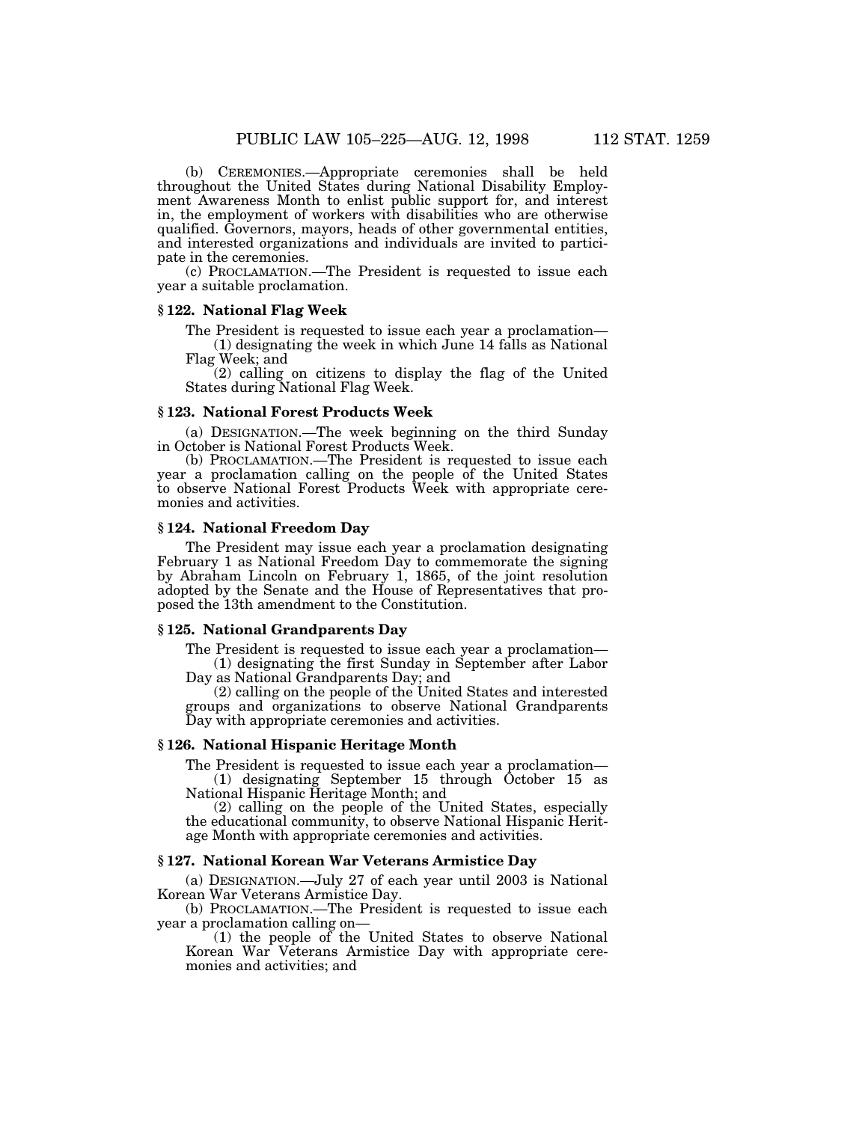(b) CEREMONIES.—Appropriate ceremonies shall be held throughout the United States during National Disability Employment Awareness Month to enlist public support for, and interest in, the employment of workers with disabilities who are otherwise qualified. Governors, mayors, heads of other governmental entities, and interested organizations and individuals are invited to participate in the ceremonies.

(c) PROCLAMATION.—The President is requested to issue each year a suitable proclamation.

### **§ 122. National Flag Week**

The President is requested to issue each year a proclamation— (1) designating the week in which June 14 falls as National Flag Week; and

(2) calling on citizens to display the flag of the United States during National Flag Week.

### **§ 123. National Forest Products Week**

(a) DESIGNATION.—The week beginning on the third Sunday in October is National Forest Products Week.

(b) PROCLAMATION.—The President is requested to issue each year a proclamation calling on the people of the United States to observe National Forest Products Week with appropriate ceremonies and activities.

### **§ 124. National Freedom Day**

The President may issue each year a proclamation designating February 1 as National Freedom Day to commemorate the signing by Abraham Lincoln on February 1, 1865, of the joint resolution adopted by the Senate and the House of Representatives that proposed the 13th amendment to the Constitution.

# **§ 125. National Grandparents Day**

The President is requested to issue each year a proclamation— (1) designating the first Sunday in September after Labor Day as National Grandparents Day; and

(2) calling on the people of the United States and interested groups and organizations to observe National Grandparents Day with appropriate ceremonies and activities.

# **§ 126. National Hispanic Heritage Month**

The President is requested to issue each year a proclamation— (1) designating September 15 through October 15 as National Hispanic Heritage Month; and

(2) calling on the people of the United States, especially the educational community, to observe National Hispanic Heritage Month with appropriate ceremonies and activities.

# **§ 127. National Korean War Veterans Armistice Day**

(a) DESIGNATION.—July 27 of each year until 2003 is National Korean War Veterans Armistice Day.

(b) PROCLAMATION.—The President is requested to issue each year a proclamation calling on—

(1) the people of the United States to observe National Korean War Veterans Armistice Day with appropriate ceremonies and activities; and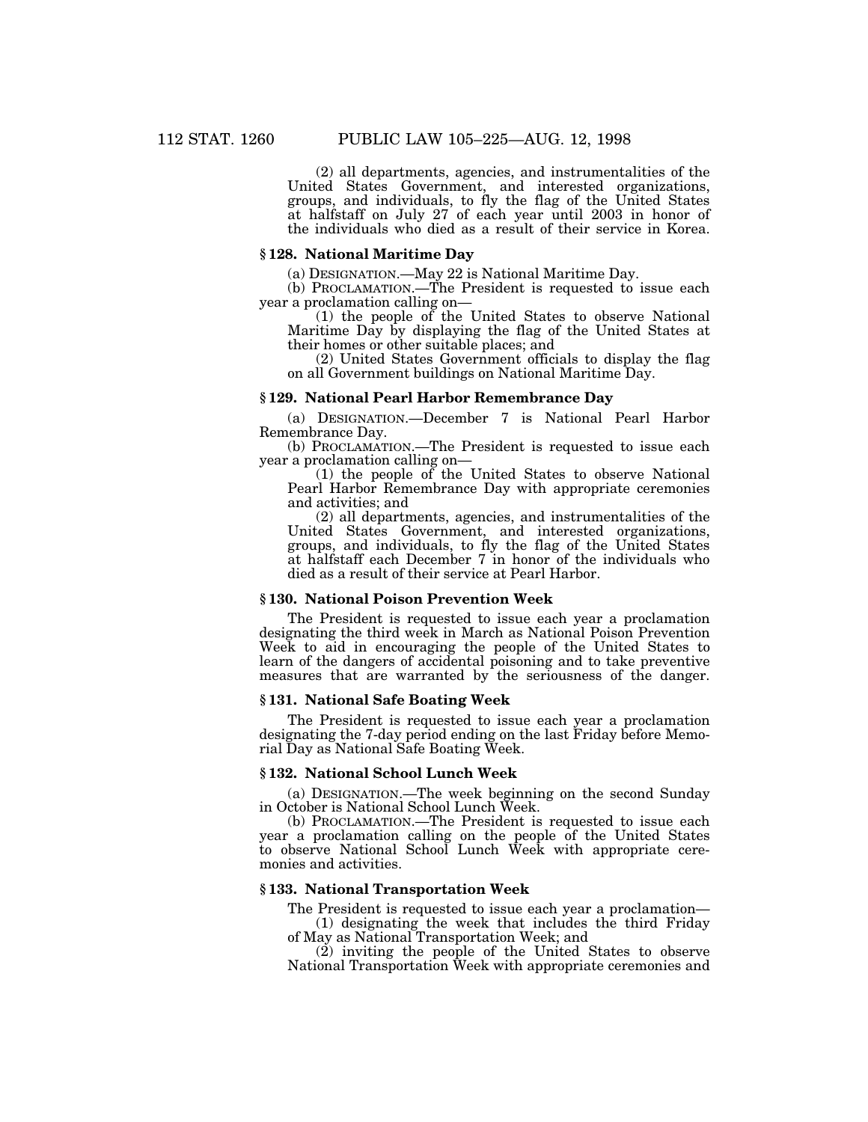(2) all departments, agencies, and instrumentalities of the United States Government, and interested organizations, groups, and individuals, to fly the flag of the United States at halfstaff on July 27 of each year until 2003 in honor of the individuals who died as a result of their service in Korea.

## **§ 128. National Maritime Day**

(a) DESIGNATION.—May 22 is National Maritime Day.

(b) PROCLAMATION.—The President is requested to issue each year a proclamation calling on—

(1) the people of the United States to observe National Maritime Day by displaying the flag of the United States at their homes or other suitable places; and

(2) United States Government officials to display the flag on all Government buildings on National Maritime Day.

# **§ 129. National Pearl Harbor Remembrance Day**

(a) DESIGNATION.—December 7 is National Pearl Harbor Remembrance Day.

(b) PROCLAMATION.—The President is requested to issue each year a proclamation calling on—

(1) the people of the United States to observe National Pearl Harbor Remembrance Day with appropriate ceremonies and activities; and

(2) all departments, agencies, and instrumentalities of the United States Government, and interested organizations, groups, and individuals, to fly the flag of the United States at halfstaff each December 7 in honor of the individuals who died as a result of their service at Pearl Harbor.

### **§ 130. National Poison Prevention Week**

The President is requested to issue each year a proclamation designating the third week in March as National Poison Prevention Week to aid in encouraging the people of the United States to learn of the dangers of accidental poisoning and to take preventive measures that are warranted by the seriousness of the danger.

# **§ 131. National Safe Boating Week**

The President is requested to issue each year a proclamation designating the 7-day period ending on the last Friday before Memorial Day as National Safe Boating Week.

### **§ 132. National School Lunch Week**

(a) DESIGNATION.—The week beginning on the second Sunday in October is National School Lunch Week.

(b) PROCLAMATION.—The President is requested to issue each year a proclamation calling on the people of the United States to observe National School Lunch Week with appropriate ceremonies and activities.

### **§ 133. National Transportation Week**

The President is requested to issue each year a proclamation— (1) designating the week that includes the third Friday

of May as National Transportation Week; and

(2) inviting the people of the United States to observe National Transportation Week with appropriate ceremonies and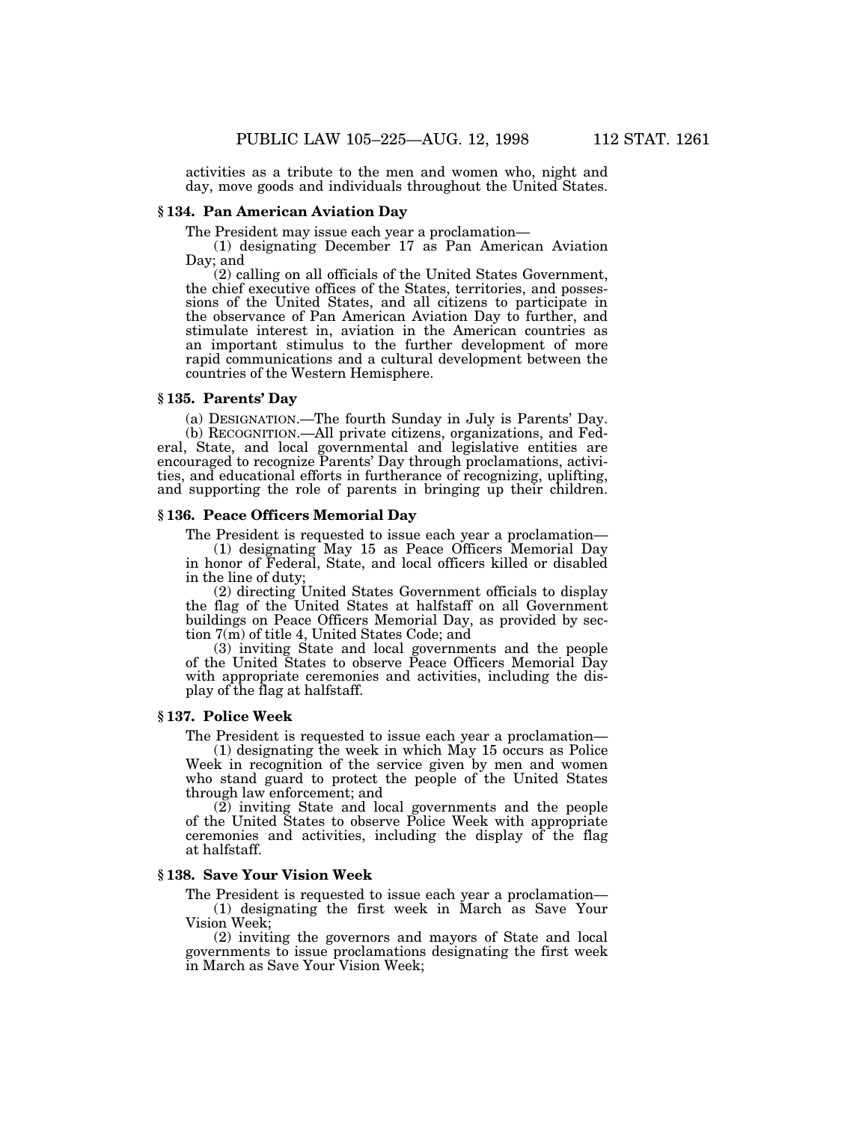activities as a tribute to the men and women who, night and day, move goods and individuals throughout the United States.

### **§ 134. Pan American Aviation Day**

The President may issue each year a proclamation—

(1) designating December 17 as Pan American Aviation Day; and

(2) calling on all officials of the United States Government, the chief executive offices of the States, territories, and possessions of the United States, and all citizens to participate in the observance of Pan American Aviation Day to further, and stimulate interest in, aviation in the American countries as an important stimulus to the further development of more rapid communications and a cultural development between the countries of the Western Hemisphere.

### **§ 135. Parents' Day**

(a) DESIGNATION.—The fourth Sunday in July is Parents' Day.

(b) RECOGNITION.—All private citizens, organizations, and Federal, State, and local governmental and legislative entities are encouraged to recognize Parents' Day through proclamations, activities, and educational efforts in furtherance of recognizing, uplifting, and supporting the role of parents in bringing up their children.

### **§ 136. Peace Officers Memorial Day**

The President is requested to issue each year a proclamation—

(1) designating May 15 as Peace Officers Memorial Day in honor of Federal, State, and local officers killed or disabled in the line of duty;

(2) directing United States Government officials to display the flag of the United States at halfstaff on all Government buildings on Peace Officers Memorial Day, as provided by section 7(m) of title 4, United States Code; and

(3) inviting State and local governments and the people of the United States to observe Peace Officers Memorial Day with appropriate ceremonies and activities, including the display of the flag at halfstaff.

### **§ 137. Police Week**

The President is requested to issue each year a proclamation—

(1) designating the week in which May 15 occurs as Police Week in recognition of the service given by men and women who stand guard to protect the people of the United States through law enforcement; and

(2) inviting State and local governments and the people of the United States to observe Police Week with appropriate ceremonies and activities, including the display of the flag at halfstaff.

# **§ 138. Save Your Vision Week**

The President is requested to issue each year a proclamation— (1) designating the first week in March as Save Your Vision Week;

(2) inviting the governors and mayors of State and local governments to issue proclamations designating the first week in March as Save Your Vision Week;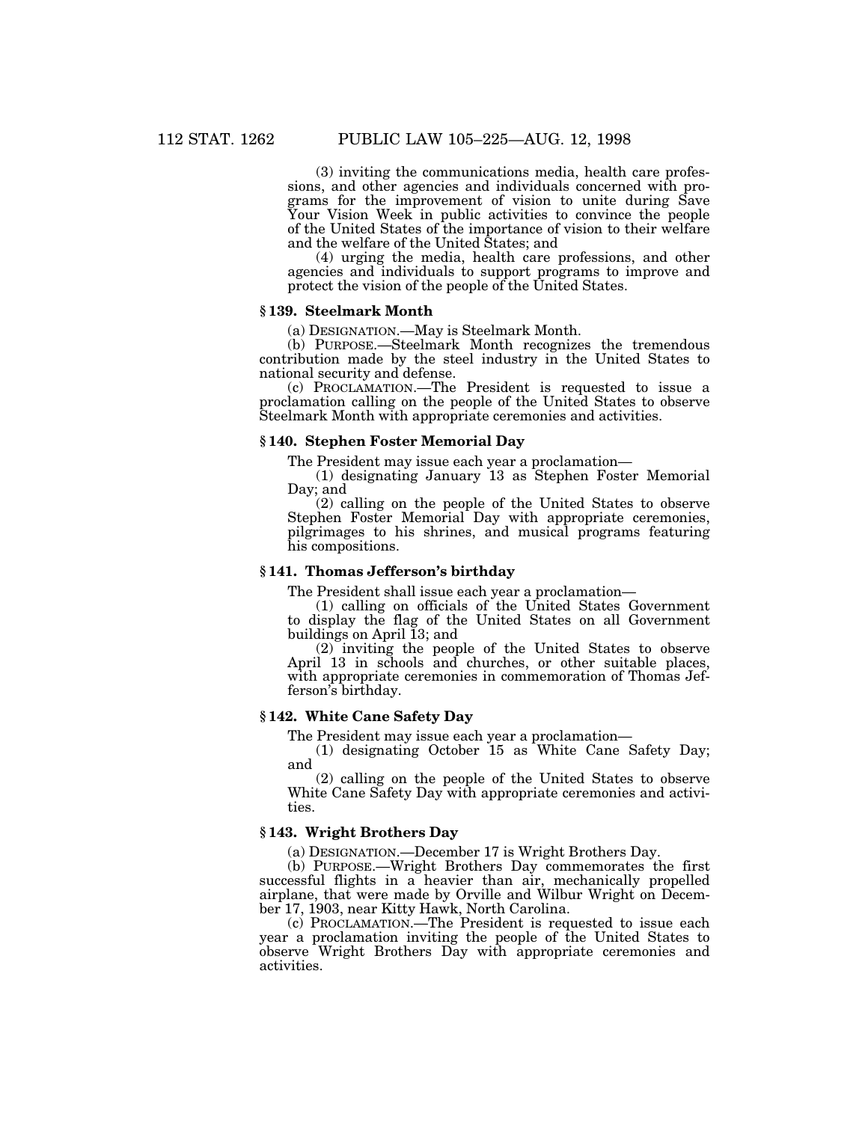(3) inviting the communications media, health care professions, and other agencies and individuals concerned with programs for the improvement of vision to unite during Save Your Vision Week in public activities to convince the people of the United States of the importance of vision to their welfare and the welfare of the United States; and

(4) urging the media, health care professions, and other agencies and individuals to support programs to improve and protect the vision of the people of the United States.

### **§ 139. Steelmark Month**

(a) DESIGNATION.—May is Steelmark Month.

(b) PURPOSE.—Steelmark Month recognizes the tremendous contribution made by the steel industry in the United States to national security and defense.

(c) PROCLAMATION.—The President is requested to issue a proclamation calling on the people of the United States to observe Steelmark Month with appropriate ceremonies and activities.

### **§ 140. Stephen Foster Memorial Day**

The President may issue each year a proclamation—

(1) designating January 13 as Stephen Foster Memorial Day; and

(2) calling on the people of the United States to observe Stephen Foster Memorial Day with appropriate ceremonies, pilgrimages to his shrines, and musical programs featuring his compositions.

# **§ 141. Thomas Jefferson's birthday**

The President shall issue each year a proclamation—

(1) calling on officials of the United States Government to display the flag of the United States on all Government buildings on April 13; and

(2) inviting the people of the United States to observe April 13 in schools and churches, or other suitable places, with appropriate ceremonies in commemoration of Thomas Jefferson's birthday.

### **§ 142. White Cane Safety Day**

The President may issue each year a proclamation—

(1) designating October 15 as White Cane Safety Day; and

(2) calling on the people of the United States to observe White Cane Safety Day with appropriate ceremonies and activities.

# **§ 143. Wright Brothers Day**

(a) DESIGNATION.—December 17 is Wright Brothers Day.

(b) PURPOSE.—Wright Brothers Day commemorates the first successful flights in a heavier than air, mechanically propelled airplane, that were made by Orville and Wilbur Wright on December 17, 1903, near Kitty Hawk, North Carolina.

(c) PROCLAMATION.—The President is requested to issue each year a proclamation inviting the people of the United States to observe Wright Brothers Day with appropriate ceremonies and activities.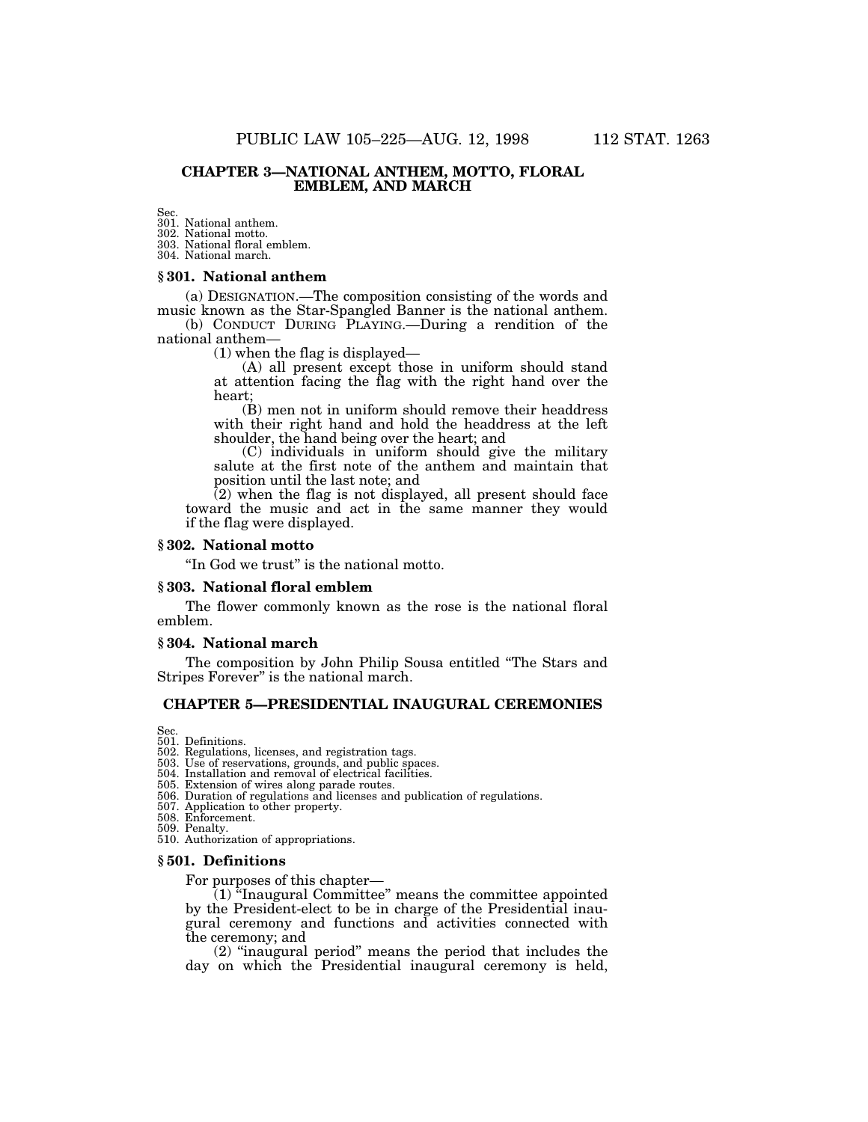# **CHAPTER 3—NATIONAL ANTHEM, MOTTO, FLORAL EMBLEM, AND MARCH**

Sec.

301. National anthem.

302. National motto. 303. National floral emblem.

304. National march.

#### **§ 301. National anthem**

(a) DESIGNATION.—The composition consisting of the words and music known as the Star-Spangled Banner is the national anthem.

(b) CONDUCT DURING PLAYING.—During a rendition of the national anthem—

(1) when the flag is displayed—

(A) all present except those in uniform should stand at attention facing the flag with the right hand over the heart;

(B) men not in uniform should remove their headdress with their right hand and hold the headdress at the left shoulder, the hand being over the heart; and

(C) individuals in uniform should give the military salute at the first note of the anthem and maintain that position until the last note; and

(2) when the flag is not displayed, all present should face toward the music and act in the same manner they would if the flag were displayed.

### **§ 302. National motto**

''In God we trust'' is the national motto.

### **§ 303. National floral emblem**

The flower commonly known as the rose is the national floral emblem.

### **§ 304. National march**

The composition by John Philip Sousa entitled ''The Stars and Stripes Forever'' is the national march.

# **CHAPTER 5—PRESIDENTIAL INAUGURAL CEREMONIES**

Sec.

501. Definitions. 502. Regulations, licenses, and registration tags. 503. Use of reservations, grounds, and public spaces. 504. Installation and removal of electrical facilities.

505. Extension of wires along parade routes.

- 506. Duration of regulations and licenses and publication of regulations.
- 507. Application to other property.
- 508. Enforcement. 509. Penalty.
- 
- 510. Authorization of appropriations.

### **§ 501. Definitions**

For purposes of this chapter—

(1) ''Inaugural Committee'' means the committee appointed by the President-elect to be in charge of the Presidential inaugural ceremony and functions and activities connected with the ceremony; and

(2) ''inaugural period'' means the period that includes the day on which the Presidential inaugural ceremony is held,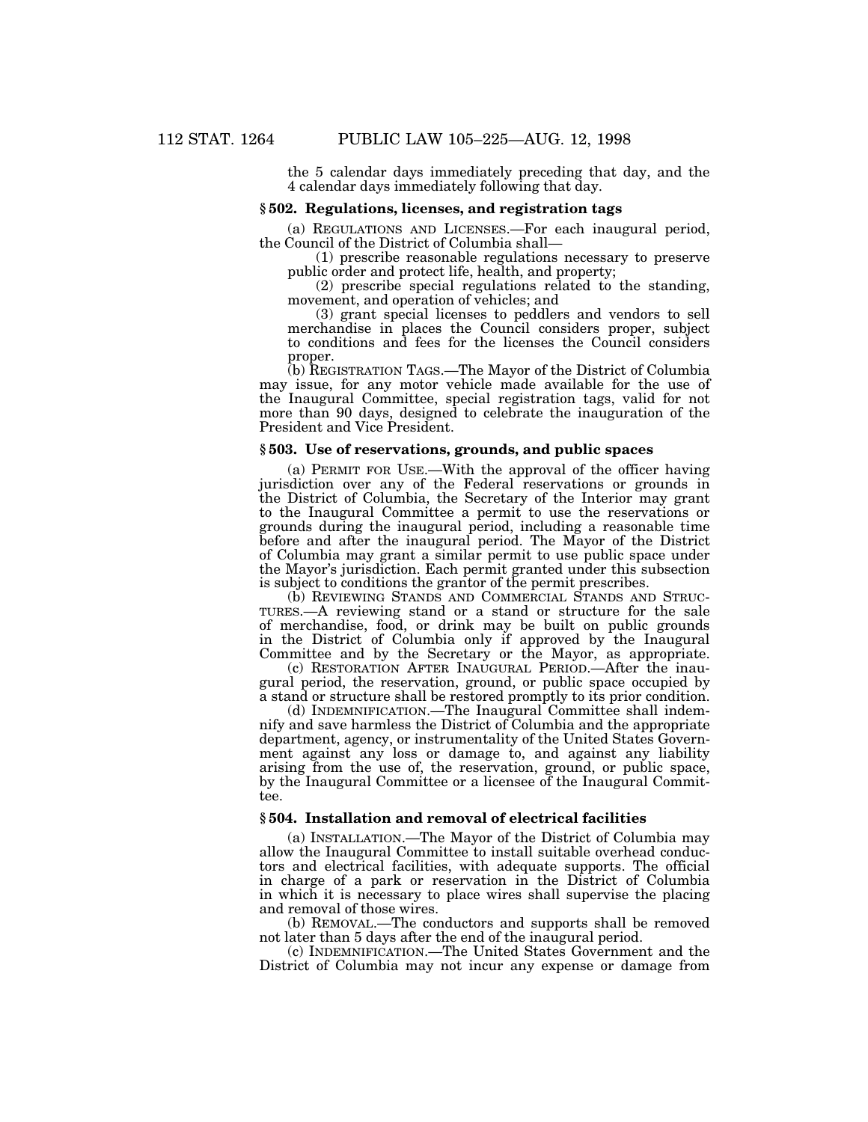the 5 calendar days immediately preceding that day, and the 4 calendar days immediately following that day.

### **§ 502. Regulations, licenses, and registration tags**

(a) REGULATIONS AND LICENSES.—For each inaugural period, the Council of the District of Columbia shall—

(1) prescribe reasonable regulations necessary to preserve public order and protect life, health, and property;

(2) prescribe special regulations related to the standing, movement, and operation of vehicles; and

(3) grant special licenses to peddlers and vendors to sell merchandise in places the Council considers proper, subject to conditions and fees for the licenses the Council considers proper.

(b) REGISTRATION TAGS.—The Mayor of the District of Columbia may issue, for any motor vehicle made available for the use of the Inaugural Committee, special registration tags, valid for not more than 90 days, designed to celebrate the inauguration of the President and Vice President.

### **§ 503. Use of reservations, grounds, and public spaces**

(a) PERMIT FOR USE.—With the approval of the officer having jurisdiction over any of the Federal reservations or grounds in the District of Columbia, the Secretary of the Interior may grant to the Inaugural Committee a permit to use the reservations or grounds during the inaugural period, including a reasonable time before and after the inaugural period. The Mayor of the District of Columbia may grant a similar permit to use public space under the Mayor's jurisdiction. Each permit granted under this subsection is subject to conditions the grantor of the permit prescribes.

(b) REVIEWING STANDS AND COMMERCIAL STANDS AND STRUC-TURES.—A reviewing stand or a stand or structure for the sale of merchandise, food, or drink may be built on public grounds in the District of Columbia only if approved by the Inaugural Committee and by the Secretary or the Mayor, as appropriate.

(c) RESTORATION AFTER INAUGURAL PERIOD.—After the inaugural period, the reservation, ground, or public space occupied by a stand or structure shall be restored promptly to its prior condition.

(d) INDEMNIFICATION.—The Inaugural Committee shall indemnify and save harmless the District of Columbia and the appropriate department, agency, or instrumentality of the United States Government against any loss or damage to, and against any liability arising from the use of, the reservation, ground, or public space, by the Inaugural Committee or a licensee of the Inaugural Committee.

# **§ 504. Installation and removal of electrical facilities**

(a) INSTALLATION.—The Mayor of the District of Columbia may allow the Inaugural Committee to install suitable overhead conductors and electrical facilities, with adequate supports. The official in charge of a park or reservation in the District of Columbia in which it is necessary to place wires shall supervise the placing and removal of those wires.

(b) REMOVAL.—The conductors and supports shall be removed not later than 5 days after the end of the inaugural period.

(c) INDEMNIFICATION.—The United States Government and the District of Columbia may not incur any expense or damage from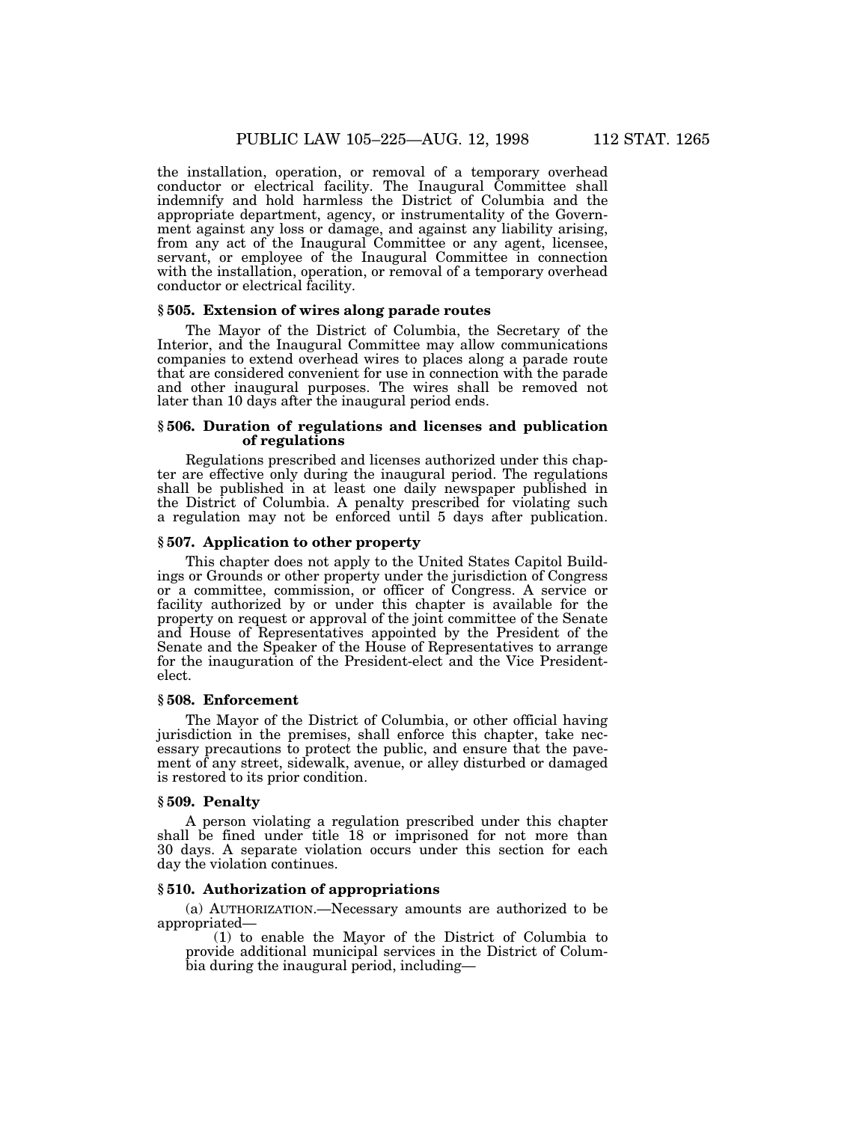the installation, operation, or removal of a temporary overhead conductor or electrical facility. The Inaugural Committee shall indemnify and hold harmless the District of Columbia and the appropriate department, agency, or instrumentality of the Government against any loss or damage, and against any liability arising, from any act of the Inaugural Committee or any agent, licensee, servant, or employee of the Inaugural Committee in connection with the installation, operation, or removal of a temporary overhead conductor or electrical facility.

### **§ 505. Extension of wires along parade routes**

The Mayor of the District of Columbia, the Secretary of the Interior, and the Inaugural Committee may allow communications companies to extend overhead wires to places along a parade route that are considered convenient for use in connection with the parade and other inaugural purposes. The wires shall be removed not later than 10 days after the inaugural period ends.

### **§ 506. Duration of regulations and licenses and publication of regulations**

Regulations prescribed and licenses authorized under this chapter are effective only during the inaugural period. The regulations shall be published in at least one daily newspaper published in the District of Columbia. A penalty prescribed for violating such a regulation may not be enforced until 5 days after publication.

### **§ 507. Application to other property**

This chapter does not apply to the United States Capitol Buildings or Grounds or other property under the jurisdiction of Congress or a committee, commission, or officer of Congress. A service or facility authorized by or under this chapter is available for the property on request or approval of the joint committee of the Senate and House of Representatives appointed by the President of the Senate and the Speaker of the House of Representatives to arrange for the inauguration of the President-elect and the Vice Presidentelect.

### **§ 508. Enforcement**

The Mayor of the District of Columbia, or other official having jurisdiction in the premises, shall enforce this chapter, take necessary precautions to protect the public, and ensure that the pavement of any street, sidewalk, avenue, or alley disturbed or damaged is restored to its prior condition.

### **§ 509. Penalty**

A person violating a regulation prescribed under this chapter shall be fined under title 18 or imprisoned for not more than 30 days. A separate violation occurs under this section for each day the violation continues.

#### **§ 510. Authorization of appropriations**

(a) AUTHORIZATION.—Necessary amounts are authorized to be appropriated—

(1) to enable the Mayor of the District of Columbia to provide additional municipal services in the District of Columbia during the inaugural period, including—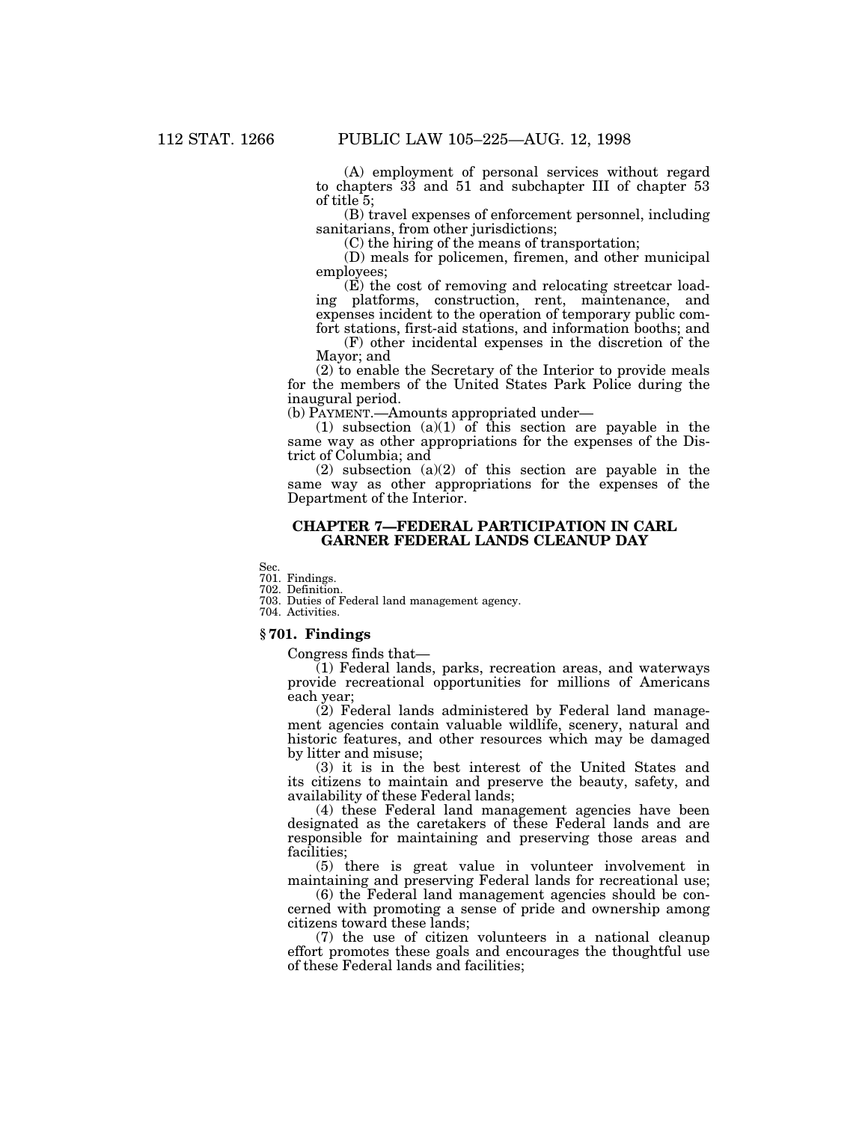(A) employment of personal services without regard to chapters 33 and 51 and subchapter III of chapter 53 of title 5;

(B) travel expenses of enforcement personnel, including sanitarians, from other jurisdictions;

(C) the hiring of the means of transportation;

(D) meals for policemen, firemen, and other municipal employees;

(E) the cost of removing and relocating streetcar loading platforms, construction, rent, maintenance, and expenses incident to the operation of temporary public comfort stations, first-aid stations, and information booths; and

(F) other incidental expenses in the discretion of the Mayor; and

(2) to enable the Secretary of the Interior to provide meals for the members of the United States Park Police during the inaugural period.

(b) PAYMENT.—Amounts appropriated under—

(1) subsection  $(a)(1)$  of this section are payable in the same way as other appropriations for the expenses of the District of Columbia; and

(2) subsection (a)(2) of this section are payable in the same way as other appropriations for the expenses of the Department of the Interior.

### **CHAPTER 7—FEDERAL PARTICIPATION IN CARL GARNER FEDERAL LANDS CLEANUP DAY**

Sec.

701. Findings.

702. Definition.

703. Duties of Federal land management agency. 704. Activities.

# **§ 701. Findings**

Congress finds that—

(1) Federal lands, parks, recreation areas, and waterways provide recreational opportunities for millions of Americans each year;

(2) Federal lands administered by Federal land management agencies contain valuable wildlife, scenery, natural and historic features, and other resources which may be damaged by litter and misuse;

(3) it is in the best interest of the United States and its citizens to maintain and preserve the beauty, safety, and availability of these Federal lands;

(4) these Federal land management agencies have been designated as the caretakers of these Federal lands and are responsible for maintaining and preserving those areas and facilities;

(5) there is great value in volunteer involvement in maintaining and preserving Federal lands for recreational use;

(6) the Federal land management agencies should be concerned with promoting a sense of pride and ownership among citizens toward these lands;

(7) the use of citizen volunteers in a national cleanup effort promotes these goals and encourages the thoughtful use of these Federal lands and facilities;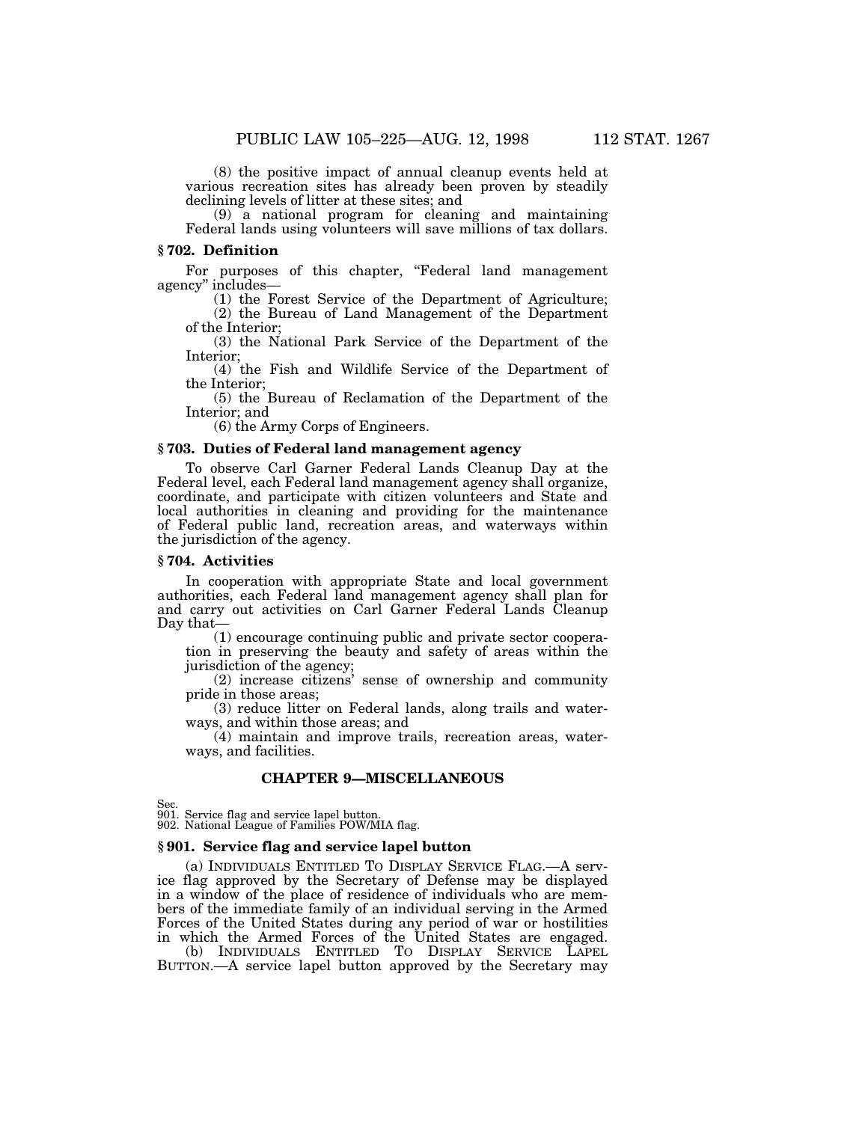(8) the positive impact of annual cleanup events held at various recreation sites has already been proven by steadily declining levels of litter at these sites; and

(9) a national program for cleaning and maintaining Federal lands using volunteers will save millions of tax dollars.

# **§ 702. Definition**

For purposes of this chapter, "Federal land management agency'' includes—

(1) the Forest Service of the Department of Agriculture; (2) the Bureau of Land Management of the Department of the Interior;

(3) the National Park Service of the Department of the Interior;

(4) the Fish and Wildlife Service of the Department of the Interior;

(5) the Bureau of Reclamation of the Department of the Interior; and

(6) the Army Corps of Engineers.

# **§ 703. Duties of Federal land management agency**

To observe Carl Garner Federal Lands Cleanup Day at the Federal level, each Federal land management agency shall organize, coordinate, and participate with citizen volunteers and State and local authorities in cleaning and providing for the maintenance of Federal public land, recreation areas, and waterways within the jurisdiction of the agency.

### **§ 704. Activities**

In cooperation with appropriate State and local government authorities, each Federal land management agency shall plan for and carry out activities on Carl Garner Federal Lands Cleanup Day that—

(1) encourage continuing public and private sector cooperation in preserving the beauty and safety of areas within the jurisdiction of the agency;

(2) increase citizens' sense of ownership and community pride in those areas;

(3) reduce litter on Federal lands, along trails and waterways, and within those areas; and

(4) maintain and improve trails, recreation areas, waterways, and facilities.

# **CHAPTER 9—MISCELLANEOUS**

Sec.

901. Service flag and service lapel button.

902. National League of Families POW/MIA flag.

# **§ 901. Service flag and service lapel button**

(a) INDIVIDUALS ENTITLED TO DISPLAY SERVICE FLAG.—A service flag approved by the Secretary of Defense may be displayed in a window of the place of residence of individuals who are members of the immediate family of an individual serving in the Armed Forces of the United States during any period of war or hostilities in which the Armed Forces of the United States are engaged.

(b) INDIVIDUALS ENTITLED TO DISPLAY SERVICE LAPEL BUTTON.—A service lapel button approved by the Secretary may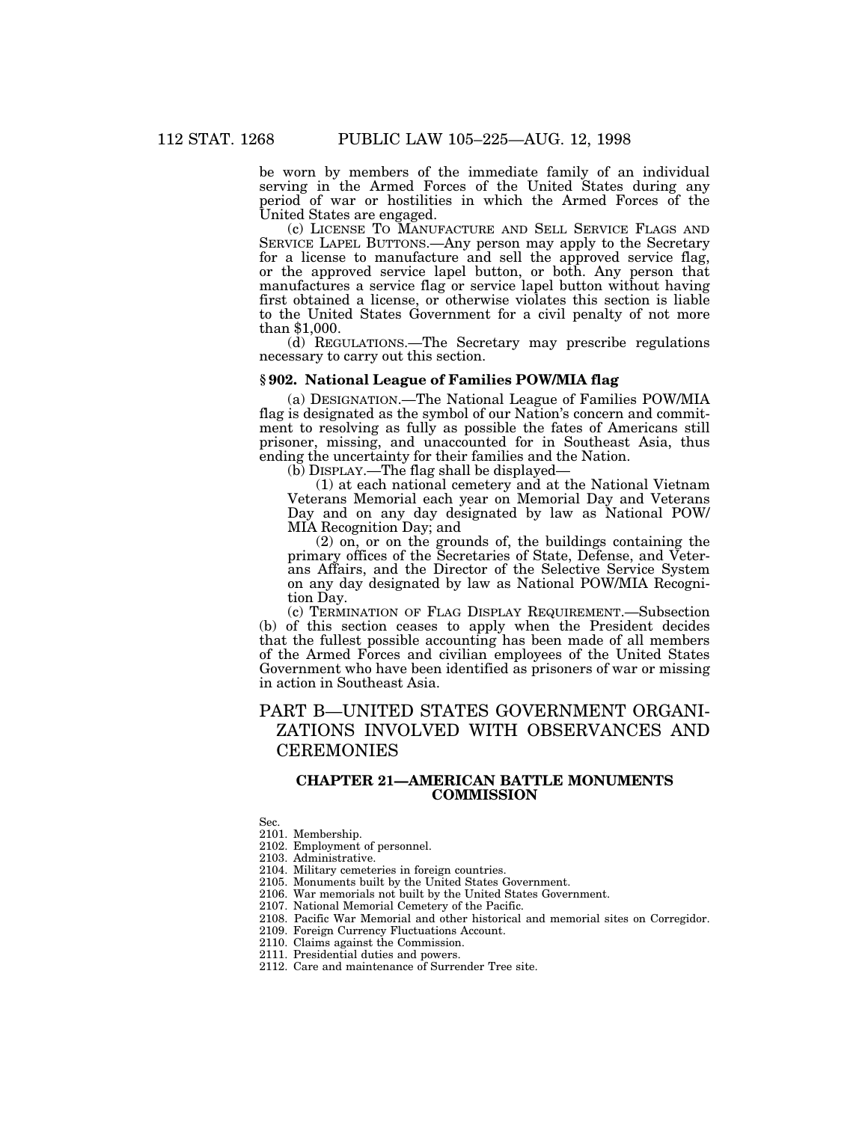be worn by members of the immediate family of an individual serving in the Armed Forces of the United States during any period of war or hostilities in which the Armed Forces of the United States are engaged.

(c) LICENSE TO MANUFACTURE AND SELL SERVICE FLAGS AND SERVICE LAPEL BUTTONS.—Any person may apply to the Secretary for a license to manufacture and sell the approved service flag, or the approved service lapel button, or both. Any person that manufactures a service flag or service lapel button without having first obtained a license, or otherwise violates this section is liable to the United States Government for a civil penalty of not more than \$1,000.

(d) REGULATIONS.—The Secretary may prescribe regulations necessary to carry out this section.

### **§ 902. National League of Families POW/MIA flag**

(a) DESIGNATION.—The National League of Families POW/MIA flag is designated as the symbol of our Nation's concern and commitment to resolving as fully as possible the fates of Americans still prisoner, missing, and unaccounted for in Southeast Asia, thus ending the uncertainty for their families and the Nation.

(b) DISPLAY.—The flag shall be displayed—

(1) at each national cemetery and at the National Vietnam Veterans Memorial each year on Memorial Day and Veterans Day and on any day designated by law as National POW/ MIA Recognition Day; and

(2) on, or on the grounds of, the buildings containing the primary offices of the Secretaries of State, Defense, and Veterans Affairs, and the Director of the Selective Service System on any day designated by law as National POW/MIA Recognition Day.

(c) TERMINATION OF FLAG DISPLAY REQUIREMENT.—Subsection (b) of this section ceases to apply when the President decides that the fullest possible accounting has been made of all members of the Armed Forces and civilian employees of the United States Government who have been identified as prisoners of war or missing in action in Southeast Asia.

# PART B—UNITED STATES GOVERNMENT ORGANI-ZATIONS INVOLVED WITH OBSERVANCES AND **CEREMONIES**

# **CHAPTER 21—AMERICAN BATTLE MONUMENTS COMMISSION**

Sec.

2101. Membership.

2102. Employment of personnel.

2103. Administrative.

2104. Military cemeteries in foreign countries.

2105. Monuments built by the United States Government.

2106. War memorials not built by the United States Government.

- 2107. National Memorial Cemetery of the Pacific.
- 2108. Pacific War Memorial and other historical and memorial sites on Corregidor.
- 2109. Foreign Currency Fluctuations Account.
- 2110. Claims against the Commission.
- 2111. Presidential duties and powers.
- 2112. Care and maintenance of Surrender Tree site.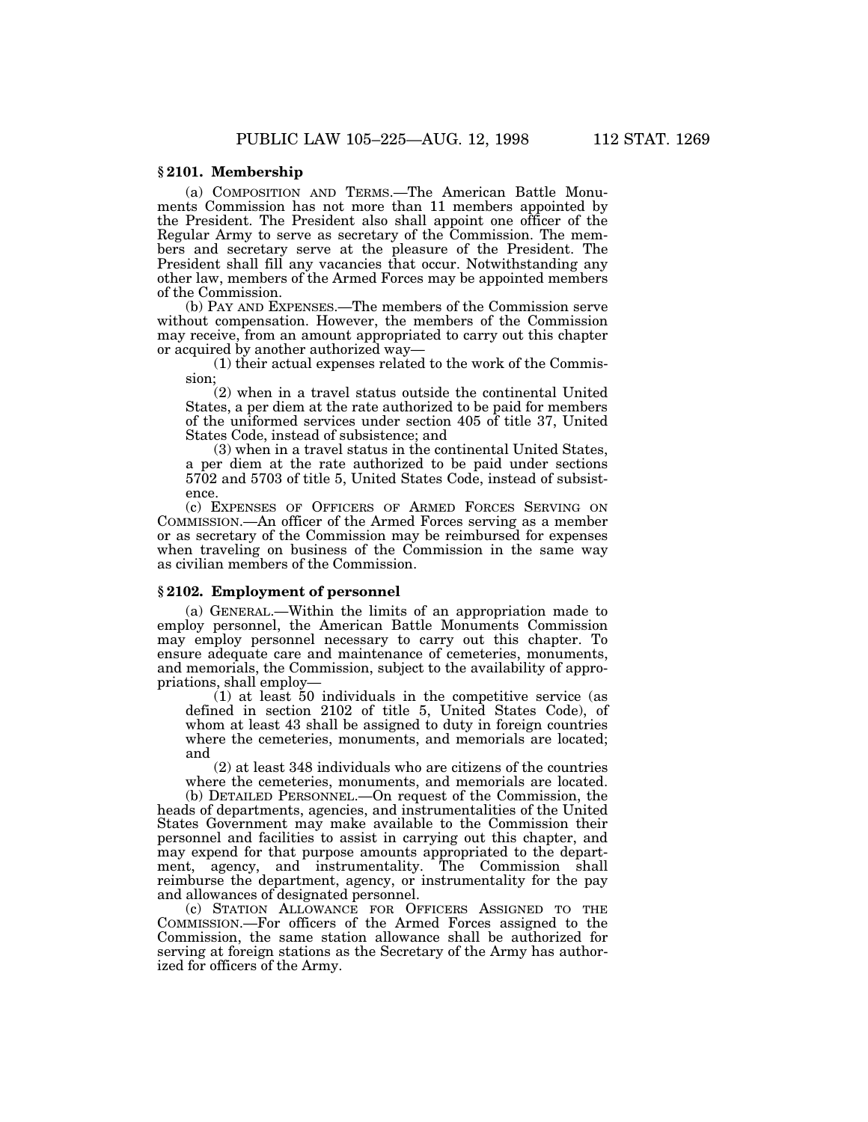# **§ 2101. Membership**

(a) COMPOSITION AND TERMS.—The American Battle Monuments Commission has not more than 11 members appointed by the President. The President also shall appoint one officer of the Regular Army to serve as secretary of the Commission. The members and secretary serve at the pleasure of the President. The President shall fill any vacancies that occur. Notwithstanding any other law, members of the Armed Forces may be appointed members of the Commission.

(b) PAY AND EXPENSES.—The members of the Commission serve without compensation. However, the members of the Commission may receive, from an amount appropriated to carry out this chapter or acquired by another authorized way—

(1) their actual expenses related to the work of the Commission;

(2) when in a travel status outside the continental United States, a per diem at the rate authorized to be paid for members of the uniformed services under section 405 of title 37, United States Code, instead of subsistence; and

(3) when in a travel status in the continental United States, a per diem at the rate authorized to be paid under sections 5702 and 5703 of title 5, United States Code, instead of subsistence.

(c) EXPENSES OF OFFICERS OF ARMED FORCES SERVING ON COMMISSION.—An officer of the Armed Forces serving as a member or as secretary of the Commission may be reimbursed for expenses when traveling on business of the Commission in the same way as civilian members of the Commission.

# **§ 2102. Employment of personnel**

(a) GENERAL.—Within the limits of an appropriation made to employ personnel, the American Battle Monuments Commission may employ personnel necessary to carry out this chapter. To ensure adequate care and maintenance of cemeteries, monuments, and memorials, the Commission, subject to the availability of appropriations, shall employ—

 $(1)$  at least  $50$  individuals in the competitive service (as defined in section 2102 of title 5, United States Code), of whom at least 43 shall be assigned to duty in foreign countries where the cemeteries, monuments, and memorials are located; and

(2) at least 348 individuals who are citizens of the countries where the cemeteries, monuments, and memorials are located.

(b) DETAILED PERSONNEL.—On request of the Commission, the heads of departments, agencies, and instrumentalities of the United States Government may make available to the Commission their personnel and facilities to assist in carrying out this chapter, and may expend for that purpose amounts appropriated to the department, agency, and instrumentality. The Commission shall reimburse the department, agency, or instrumentality for the pay and allowances of designated personnel.

(c) STATION ALLOWANCE FOR OFFICERS ASSIGNED TO THE COMMISSION.—For officers of the Armed Forces assigned to the Commission, the same station allowance shall be authorized for serving at foreign stations as the Secretary of the Army has authorized for officers of the Army.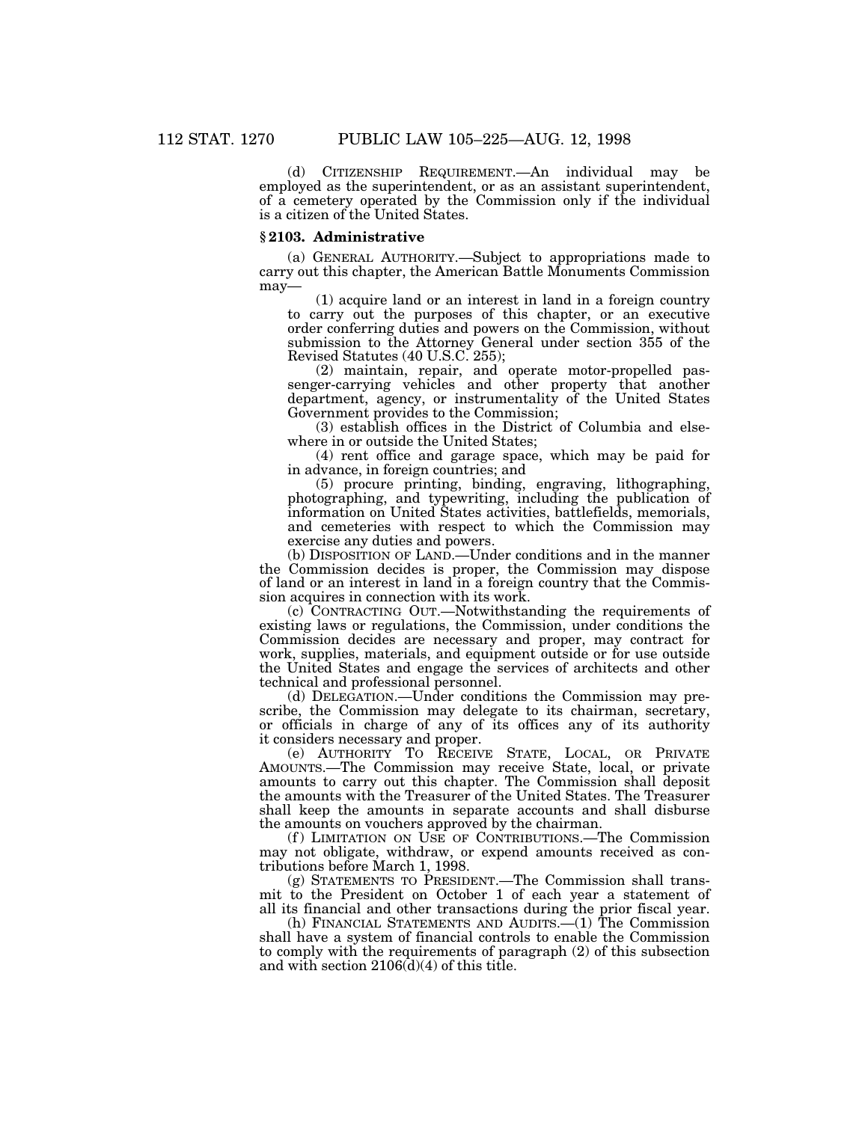(d) CITIZENSHIP REQUIREMENT.—An individual may be employed as the superintendent, or as an assistant superintendent, of a cemetery operated by the Commission only if the individual is a citizen of the United States.

### **§ 2103. Administrative**

(a) GENERAL AUTHORITY.—Subject to appropriations made to carry out this chapter, the American Battle Monuments Commission may—

(1) acquire land or an interest in land in a foreign country to carry out the purposes of this chapter, or an executive order conferring duties and powers on the Commission, without submission to the Attorney General under section 355 of the Revised Statutes (40 U.S.C. 255);

(2) maintain, repair, and operate motor-propelled passenger-carrying vehicles and other property that another department, agency, or instrumentality of the United States Government provides to the Commission;

(3) establish offices in the District of Columbia and elsewhere in or outside the United States;

(4) rent office and garage space, which may be paid for in advance, in foreign countries; and

(5) procure printing, binding, engraving, lithographing, photographing, and typewriting, including the publication of information on United States activities, battlefields, memorials, and cemeteries with respect to which the Commission may exercise any duties and powers.

(b) DISPOSITION OF LAND.—Under conditions and in the manner the Commission decides is proper, the Commission may dispose of land or an interest in land in a foreign country that the Commission acquires in connection with its work.

(c) CONTRACTING OUT.—Notwithstanding the requirements of existing laws or regulations, the Commission, under conditions the Commission decides are necessary and proper, may contract for work, supplies, materials, and equipment outside or for use outside the United States and engage the services of architects and other technical and professional personnel.

(d) DELEGATION.—Under conditions the Commission may prescribe, the Commission may delegate to its chairman, secretary, or officials in charge of any of its offices any of its authority it considers necessary and proper.

(e) AUTHORITY TO RECEIVE STATE, LOCAL, OR PRIVATE AMOUNTS.—The Commission may receive State, local, or private amounts to carry out this chapter. The Commission shall deposit the amounts with the Treasurer of the United States. The Treasurer shall keep the amounts in separate accounts and shall disburse the amounts on vouchers approved by the chairman.

(f) LIMITATION ON USE OF CONTRIBUTIONS.—The Commission may not obligate, withdraw, or expend amounts received as contributions before March 1, 1998.

(g) STATEMENTS TO PRESIDENT.—The Commission shall transmit to the President on October 1 of each year a statement of all its financial and other transactions during the prior fiscal year.

(h) FINANCIAL STATEMENTS AND AUDITS.—(1) The Commission shall have a system of financial controls to enable the Commission to comply with the requirements of paragraph (2) of this subsection and with section  $2106\text{d}(4)$  of this title.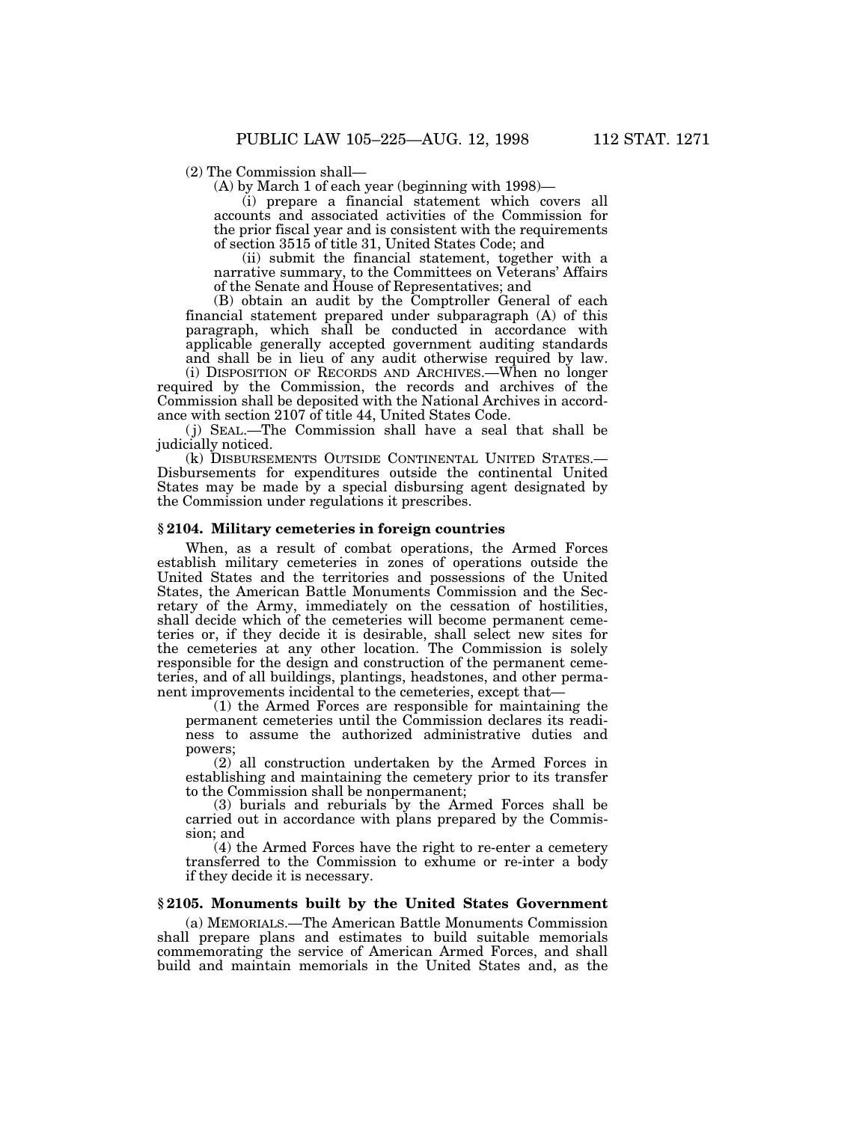(A) by March 1 of each year (beginning with 1998)—

(i) prepare a financial statement which covers all accounts and associated activities of the Commission for the prior fiscal year and is consistent with the requirements of section 3515 of title 31, United States Code; and

(ii) submit the financial statement, together with a narrative summary, to the Committees on Veterans' Affairs of the Senate and House of Representatives; and

(B) obtain an audit by the Comptroller General of each financial statement prepared under subparagraph (A) of this paragraph, which shall be conducted in accordance with applicable generally accepted government auditing standards and shall be in lieu of any audit otherwise required by law.

(i) DISPOSITION OF RECORDS AND ARCHIVES.—When no longer required by the Commission, the records and archives of the Commission shall be deposited with the National Archives in accordance with section 2107 of title 44, United States Code.

( j) SEAL.—The Commission shall have a seal that shall be judicially noticed.

(k) DISBURSEMENTS OUTSIDE CONTINENTAL UNITED STATES.— Disbursements for expenditures outside the continental United States may be made by a special disbursing agent designated by the Commission under regulations it prescribes.

# **§ 2104. Military cemeteries in foreign countries**

When, as a result of combat operations, the Armed Forces establish military cemeteries in zones of operations outside the United States and the territories and possessions of the United States, the American Battle Monuments Commission and the Secretary of the Army, immediately on the cessation of hostilities, shall decide which of the cemeteries will become permanent cemeteries or, if they decide it is desirable, shall select new sites for the cemeteries at any other location. The Commission is solely responsible for the design and construction of the permanent cemeteries, and of all buildings, plantings, headstones, and other permanent improvements incidental to the cemeteries, except that—

(1) the Armed Forces are responsible for maintaining the permanent cemeteries until the Commission declares its readiness to assume the authorized administrative duties and powers;

(2) all construction undertaken by the Armed Forces in establishing and maintaining the cemetery prior to its transfer to the Commission shall be nonpermanent;

(3) burials and reburials by the Armed Forces shall be carried out in accordance with plans prepared by the Commission; and

(4) the Armed Forces have the right to re-enter a cemetery transferred to the Commission to exhume or re-inter a body if they decide it is necessary.

# **§ 2105. Monuments built by the United States Government**

(a) MEMORIALS.—The American Battle Monuments Commission shall prepare plans and estimates to build suitable memorials commemorating the service of American Armed Forces, and shall build and maintain memorials in the United States and, as the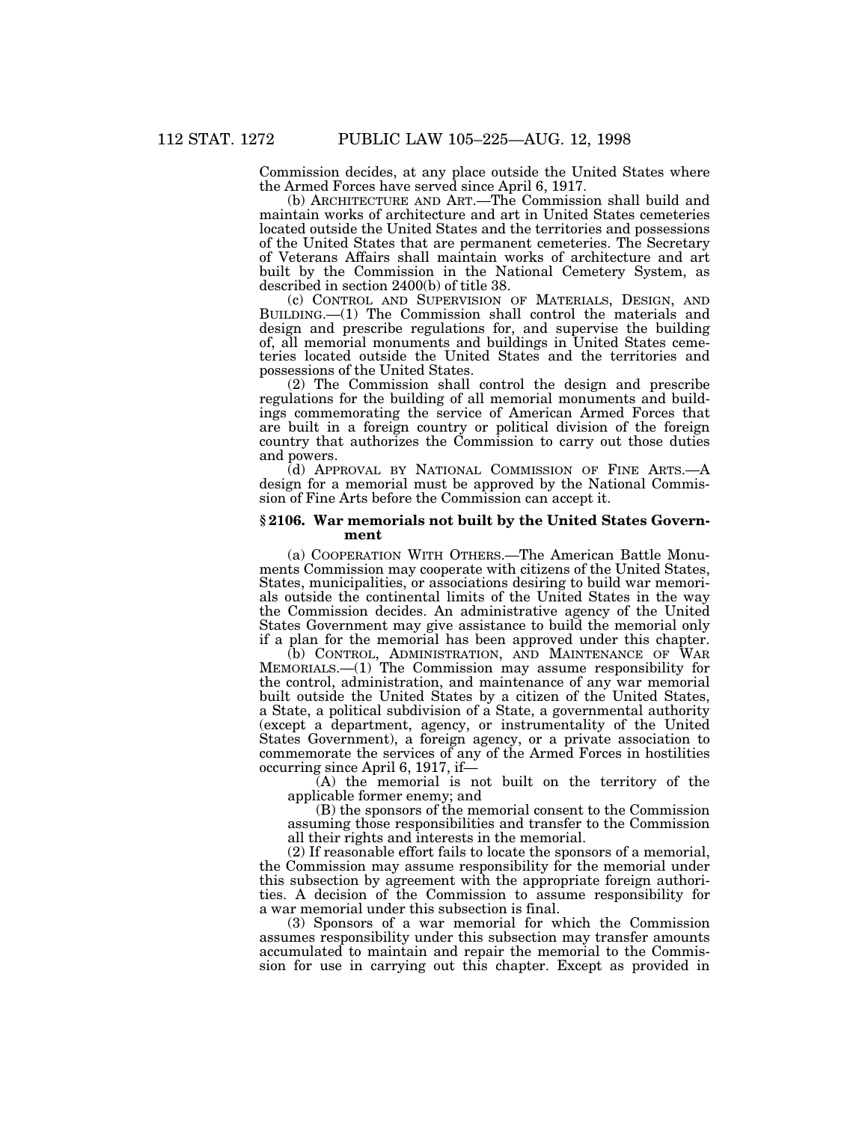Commission decides, at any place outside the United States where the Armed Forces have served since April 6, 1917.

(b) ARCHITECTURE AND ART.—The Commission shall build and maintain works of architecture and art in United States cemeteries located outside the United States and the territories and possessions of the United States that are permanent cemeteries. The Secretary of Veterans Affairs shall maintain works of architecture and art built by the Commission in the National Cemetery System, as described in section 2400(b) of title 38.

(c) CONTROL AND SUPERVISION OF MATERIALS, DESIGN, AND BUILDING.—(1) The Commission shall control the materials and design and prescribe regulations for, and supervise the building of, all memorial monuments and buildings in United States cemeteries located outside the United States and the territories and possessions of the United States.

(2) The Commission shall control the design and prescribe regulations for the building of all memorial monuments and buildings commemorating the service of American Armed Forces that are built in a foreign country or political division of the foreign country that authorizes the Commission to carry out those duties and powers.

(d) APPROVAL BY NATIONAL COMMISSION OF FINE ARTS.—A design for a memorial must be approved by the National Commission of Fine Arts before the Commission can accept it.

### **§ 2106. War memorials not built by the United States Government**

(a) COOPERATION WITH OTHERS.—The American Battle Monuments Commission may cooperate with citizens of the United States, States, municipalities, or associations desiring to build war memorials outside the continental limits of the United States in the way the Commission decides. An administrative agency of the United States Government may give assistance to build the memorial only if a plan for the memorial has been approved under this chapter.

(b) CONTROL, ADMINISTRATION, AND MAINTENANCE OF WAR MEMORIALS.—(1) The Commission may assume responsibility for the control, administration, and maintenance of any war memorial built outside the United States by a citizen of the United States, a State, a political subdivision of a State, a governmental authority (except a department, agency, or instrumentality of the United States Government), a foreign agency, or a private association to commemorate the services of any of the Armed Forces in hostilities occurring since April 6, 1917, if—

(A) the memorial is not built on the territory of the applicable former enemy; and

(B) the sponsors of the memorial consent to the Commission assuming those responsibilities and transfer to the Commission all their rights and interests in the memorial.

(2) If reasonable effort fails to locate the sponsors of a memorial, the Commission may assume responsibility for the memorial under this subsection by agreement with the appropriate foreign authorities. A decision of the Commission to assume responsibility for a war memorial under this subsection is final.

(3) Sponsors of a war memorial for which the Commission assumes responsibility under this subsection may transfer amounts accumulated to maintain and repair the memorial to the Commission for use in carrying out this chapter. Except as provided in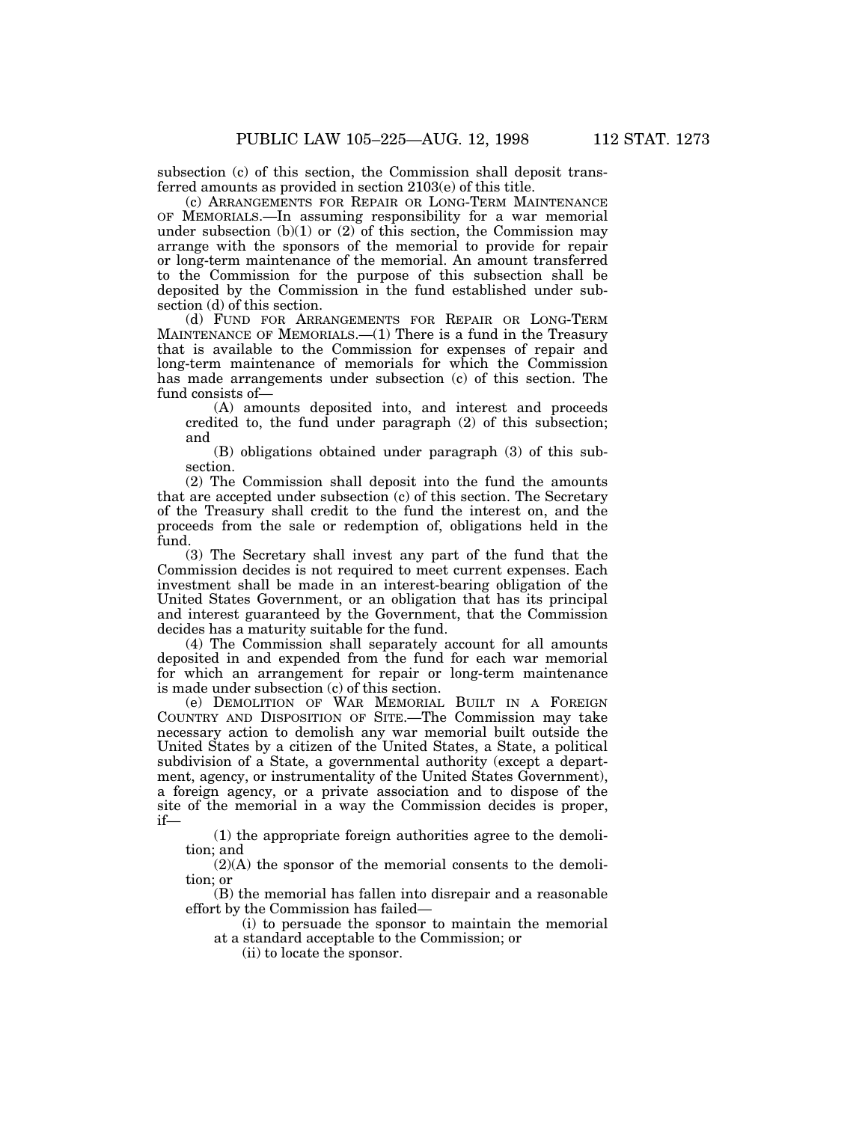subsection (c) of this section, the Commission shall deposit transferred amounts as provided in section 2103(e) of this title.

(c) ARRANGEMENTS FOR REPAIR OR LONG-TERM MAINTENANCE OF MEMORIALS.—In assuming responsibility for a war memorial under subsection  $(b)(1)$  or  $(2)$  of this section, the Commission may arrange with the sponsors of the memorial to provide for repair or long-term maintenance of the memorial. An amount transferred to the Commission for the purpose of this subsection shall be deposited by the Commission in the fund established under subsection (d) of this section.

(d) FUND FOR ARRANGEMENTS FOR REPAIR OR LONG-TERM MAINTENANCE OF MEMORIALS.—(1) There is a fund in the Treasury that is available to the Commission for expenses of repair and long-term maintenance of memorials for which the Commission has made arrangements under subsection (c) of this section. The fund consists of—

(A) amounts deposited into, and interest and proceeds credited to, the fund under paragraph (2) of this subsection; and

(B) obligations obtained under paragraph (3) of this subsection.

(2) The Commission shall deposit into the fund the amounts that are accepted under subsection (c) of this section. The Secretary of the Treasury shall credit to the fund the interest on, and the proceeds from the sale or redemption of, obligations held in the fund.

(3) The Secretary shall invest any part of the fund that the Commission decides is not required to meet current expenses. Each investment shall be made in an interest-bearing obligation of the United States Government, or an obligation that has its principal and interest guaranteed by the Government, that the Commission decides has a maturity suitable for the fund.

(4) The Commission shall separately account for all amounts deposited in and expended from the fund for each war memorial for which an arrangement for repair or long-term maintenance is made under subsection (c) of this section.

(e) DEMOLITION OF WAR MEMORIAL BUILT IN A FOREIGN COUNTRY AND DISPOSITION OF SITE.—The Commission may take necessary action to demolish any war memorial built outside the United States by a citizen of the United States, a State, a political subdivision of a State, a governmental authority (except a department, agency, or instrumentality of the United States Government), a foreign agency, or a private association and to dispose of the site of the memorial in a way the Commission decides is proper, if—

(1) the appropriate foreign authorities agree to the demolition; and

(2)(A) the sponsor of the memorial consents to the demolition; or

(B) the memorial has fallen into disrepair and a reasonable effort by the Commission has failed—

(i) to persuade the sponsor to maintain the memorial at a standard acceptable to the Commission; or

(ii) to locate the sponsor.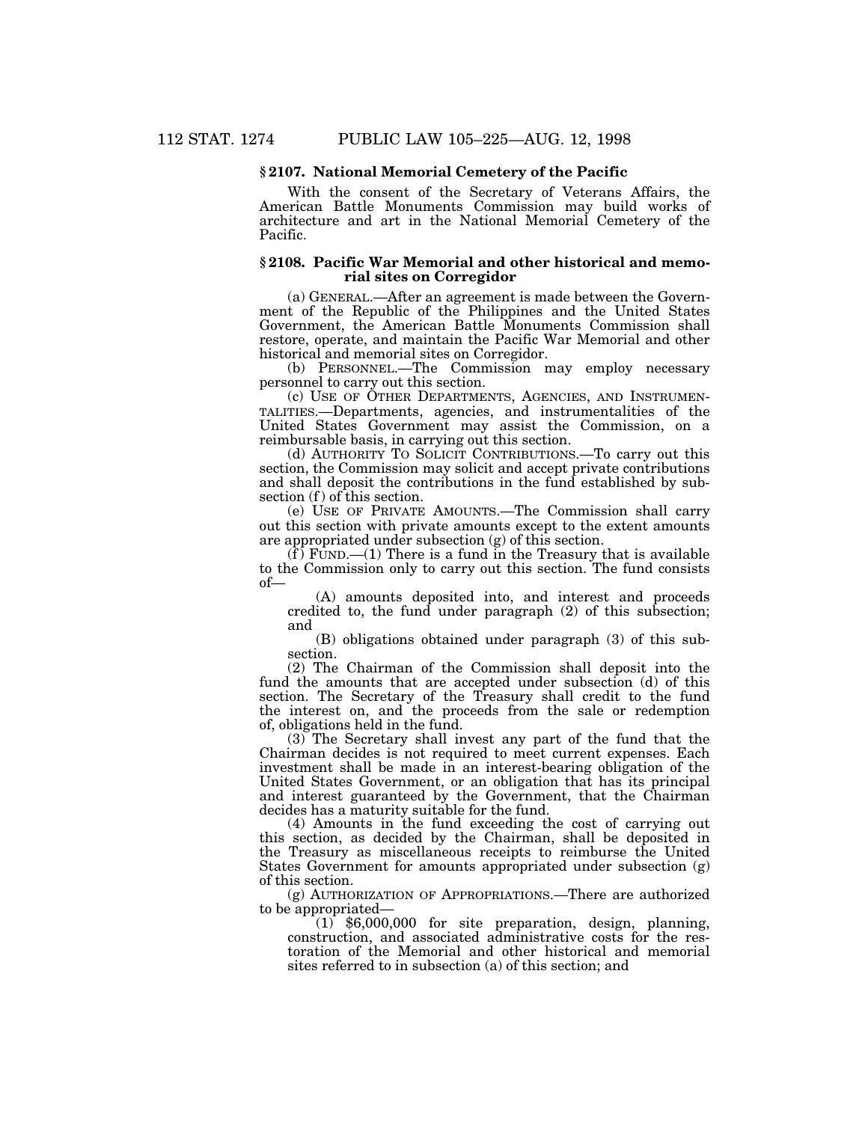# **§ 2107. National Memorial Cemetery of the Pacific**

With the consent of the Secretary of Veterans Affairs, the American Battle Monuments Commission may build works of architecture and art in the National Memorial Cemetery of the Pacific.

### **§ 2108. Pacific War Memorial and other historical and memorial sites on Corregidor**

(a) GENERAL.—After an agreement is made between the Government of the Republic of the Philippines and the United States Government, the American Battle Monuments Commission shall restore, operate, and maintain the Pacific War Memorial and other historical and memorial sites on Corregidor.

(b) PERSONNEL.—The Commission may employ necessary personnel to carry out this section.

(c) USE OF OTHER DEPARTMENTS, AGENCIES, AND INSTRUMEN-TALITIES.—Departments, agencies, and instrumentalities of the United States Government may assist the Commission, on a reimbursable basis, in carrying out this section.

(d) AUTHORITY TO SOLICIT CONTRIBUTIONS.—To carry out this section, the Commission may solicit and accept private contributions and shall deposit the contributions in the fund established by subsection  $(f)$  of this section.

(e) USE OF PRIVATE AMOUNTS.—The Commission shall carry out this section with private amounts except to the extent amounts are appropriated under subsection (g) of this section.

 $(f)$  FUND.—(1) There is a fund in the Treasury that is available to the Commission only to carry out this section. The fund consists of—

(A) amounts deposited into, and interest and proceeds credited to, the fund under paragraph (2) of this subsection; and

(B) obligations obtained under paragraph (3) of this subsection.

(2) The Chairman of the Commission shall deposit into the fund the amounts that are accepted under subsection (d) of this section. The Secretary of the Treasury shall credit to the fund the interest on, and the proceeds from the sale or redemption of, obligations held in the fund.

(3) The Secretary shall invest any part of the fund that the Chairman decides is not required to meet current expenses. Each investment shall be made in an interest-bearing obligation of the United States Government, or an obligation that has its principal and interest guaranteed by the Government, that the Chairman decides has a maturity suitable for the fund.

(4) Amounts in the fund exceeding the cost of carrying out this section, as decided by the Chairman, shall be deposited in the Treasury as miscellaneous receipts to reimburse the United States Government for amounts appropriated under subsection (g) of this section.

(g) AUTHORIZATION OF APPROPRIATIONS.—There are authorized to be appropriated—

 $(1)$  \$6,000,000 for site preparation, design, planning, construction, and associated administrative costs for the restoration of the Memorial and other historical and memorial sites referred to in subsection (a) of this section; and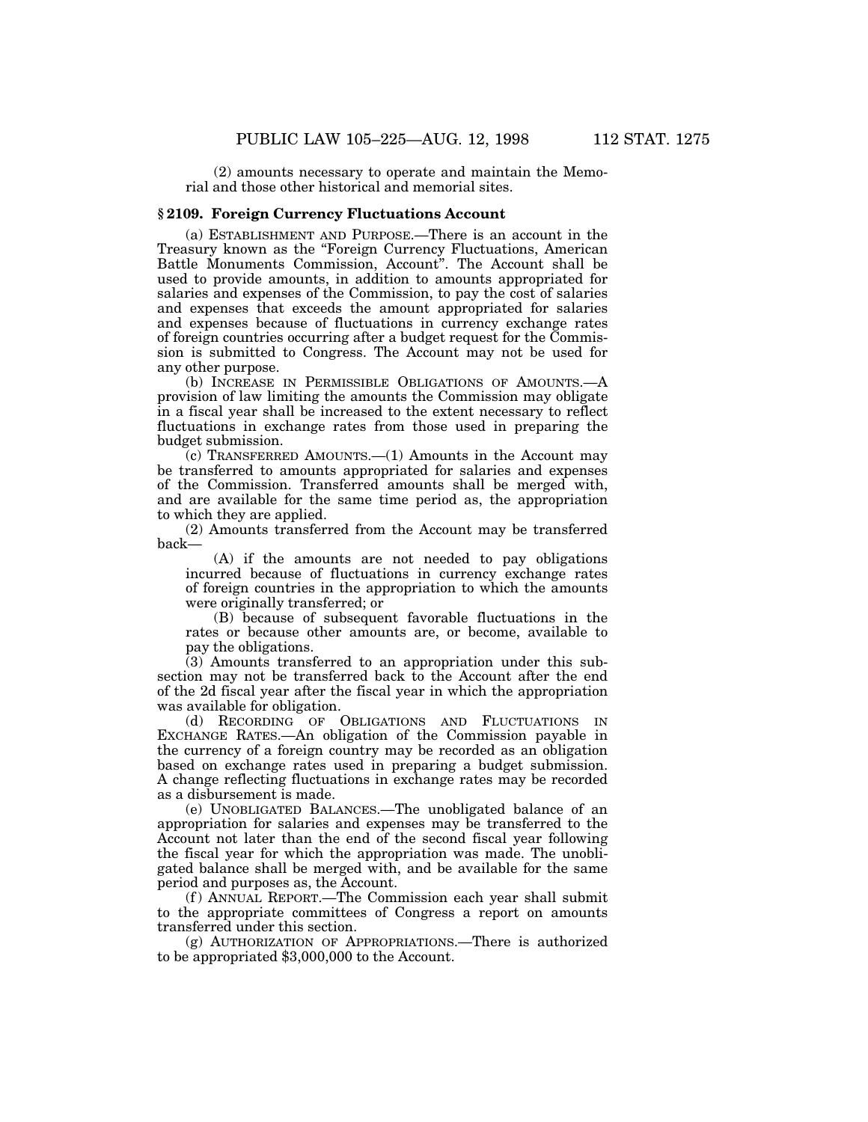(2) amounts necessary to operate and maintain the Memorial and those other historical and memorial sites.

### **§ 2109. Foreign Currency Fluctuations Account**

(a) ESTABLISHMENT AND PURPOSE.—There is an account in the Treasury known as the ''Foreign Currency Fluctuations, American Battle Monuments Commission, Account''. The Account shall be used to provide amounts, in addition to amounts appropriated for salaries and expenses of the Commission, to pay the cost of salaries and expenses that exceeds the amount appropriated for salaries and expenses because of fluctuations in currency exchange rates of foreign countries occurring after a budget request for the Commission is submitted to Congress. The Account may not be used for any other purpose.

(b) INCREASE IN PERMISSIBLE OBLIGATIONS OF AMOUNTS.—A provision of law limiting the amounts the Commission may obligate in a fiscal year shall be increased to the extent necessary to reflect fluctuations in exchange rates from those used in preparing the budget submission.

 $(c)$  TRANSFERRED AMOUNTS.— $(1)$  Amounts in the Account may be transferred to amounts appropriated for salaries and expenses of the Commission. Transferred amounts shall be merged with, and are available for the same time period as, the appropriation to which they are applied.

(2) Amounts transferred from the Account may be transferred back—

(A) if the amounts are not needed to pay obligations incurred because of fluctuations in currency exchange rates of foreign countries in the appropriation to which the amounts were originally transferred; or

(B) because of subsequent favorable fluctuations in the rates or because other amounts are, or become, available to pay the obligations.

(3) Amounts transferred to an appropriation under this subsection may not be transferred back to the Account after the end of the 2d fiscal year after the fiscal year in which the appropriation was available for obligation.

(d) RECORDING OF OBLIGATIONS AND FLUCTUATIONS IN EXCHANGE RATES.—An obligation of the Commission payable in the currency of a foreign country may be recorded as an obligation based on exchange rates used in preparing a budget submission. A change reflecting fluctuations in exchange rates may be recorded as a disbursement is made.

(e) UNOBLIGATED BALANCES.—The unobligated balance of an appropriation for salaries and expenses may be transferred to the Account not later than the end of the second fiscal year following the fiscal year for which the appropriation was made. The unobligated balance shall be merged with, and be available for the same period and purposes as, the Account.

(f) ANNUAL REPORT.—The Commission each year shall submit to the appropriate committees of Congress a report on amounts transferred under this section.

(g) AUTHORIZATION OF APPROPRIATIONS.—There is authorized to be appropriated \$3,000,000 to the Account.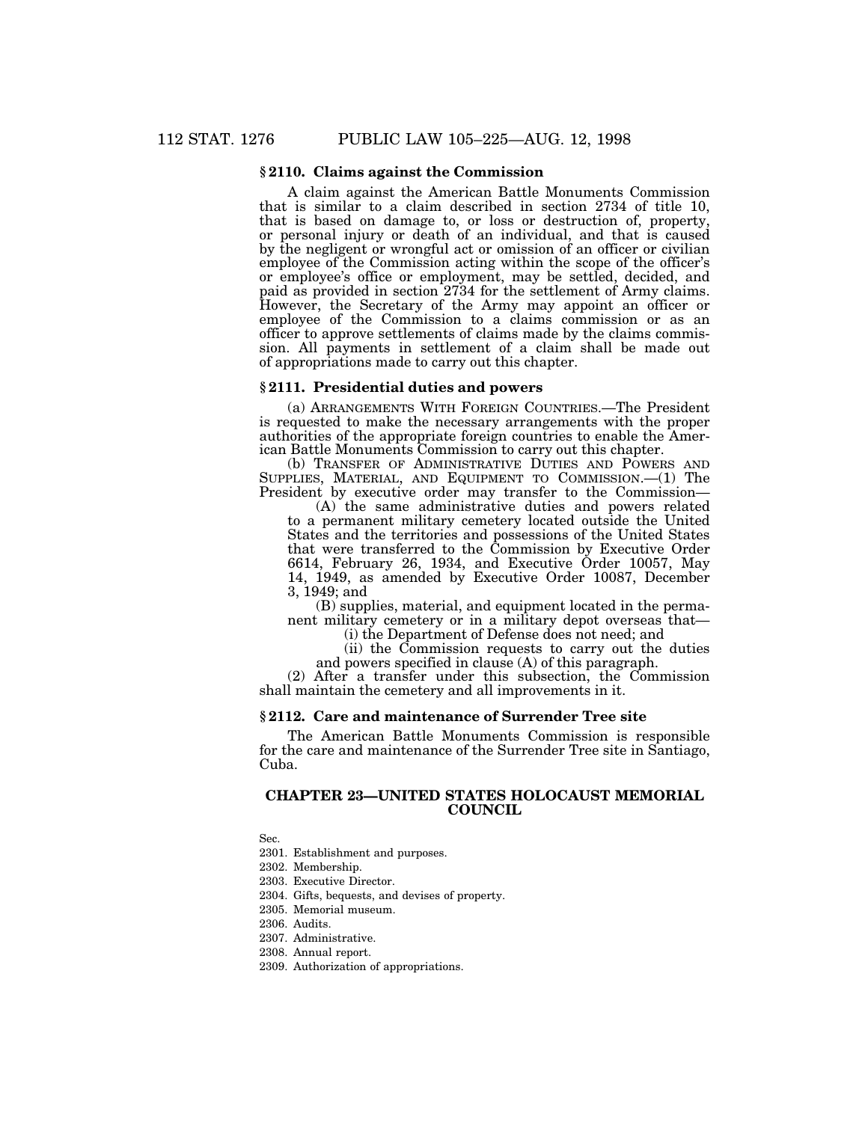# **§ 2110. Claims against the Commission**

A claim against the American Battle Monuments Commission that is similar to a claim described in section 2734 of title 10, that is based on damage to, or loss or destruction of, property, or personal injury or death of an individual, and that is caused by the negligent or wrongful act or omission of an officer or civilian employee of the Commission acting within the scope of the officer's or employee's office or employment, may be settled, decided, and paid as provided in section 2734 for the settlement of Army claims. However, the Secretary of the Army may appoint an officer or employee of the Commission to a claims commission or as an officer to approve settlements of claims made by the claims commission. All payments in settlement of a claim shall be made out of appropriations made to carry out this chapter.

### **§ 2111. Presidential duties and powers**

(a) ARRANGEMENTS WITH FOREIGN COUNTRIES.—The President is requested to make the necessary arrangements with the proper authorities of the appropriate foreign countries to enable the American Battle Monuments Commission to carry out this chapter.

(b) TRANSFER OF ADMINISTRATIVE DUTIES AND POWERS AND SUPPLIES, MATERIAL, AND EQUIPMENT TO COMMISSION.—(1) The President by executive order may transfer to the Commission—

(A) the same administrative duties and powers related to a permanent military cemetery located outside the United States and the territories and possessions of the United States that were transferred to the Commission by Executive Order 6614, February 26, 1934, and Executive Order 10057, May 14, 1949, as amended by Executive Order 10087, December 3, 1949; and

(B) supplies, material, and equipment located in the permanent military cemetery or in a military depot overseas that—

(i) the Department of Defense does not need; and

(ii) the Commission requests to carry out the duties

and powers specified in clause (A) of this paragraph.

(2) After a transfer under this subsection, the Commission shall maintain the cemetery and all improvements in it.

### **§ 2112. Care and maintenance of Surrender Tree site**

The American Battle Monuments Commission is responsible for the care and maintenance of the Surrender Tree site in Santiago, Cuba.

# **CHAPTER 23—UNITED STATES HOLOCAUST MEMORIAL COUNCIL**

2301. Establishment and purposes.

2302. Membership.

- 2303. Executive Director.
- 2304. Gifts, bequests, and devises of property.
- 2305. Memorial museum.
- 2306. Audits.
- 2307. Administrative.
- 2308. Annual report.
- 2309. Authorization of appropriations.

Sec.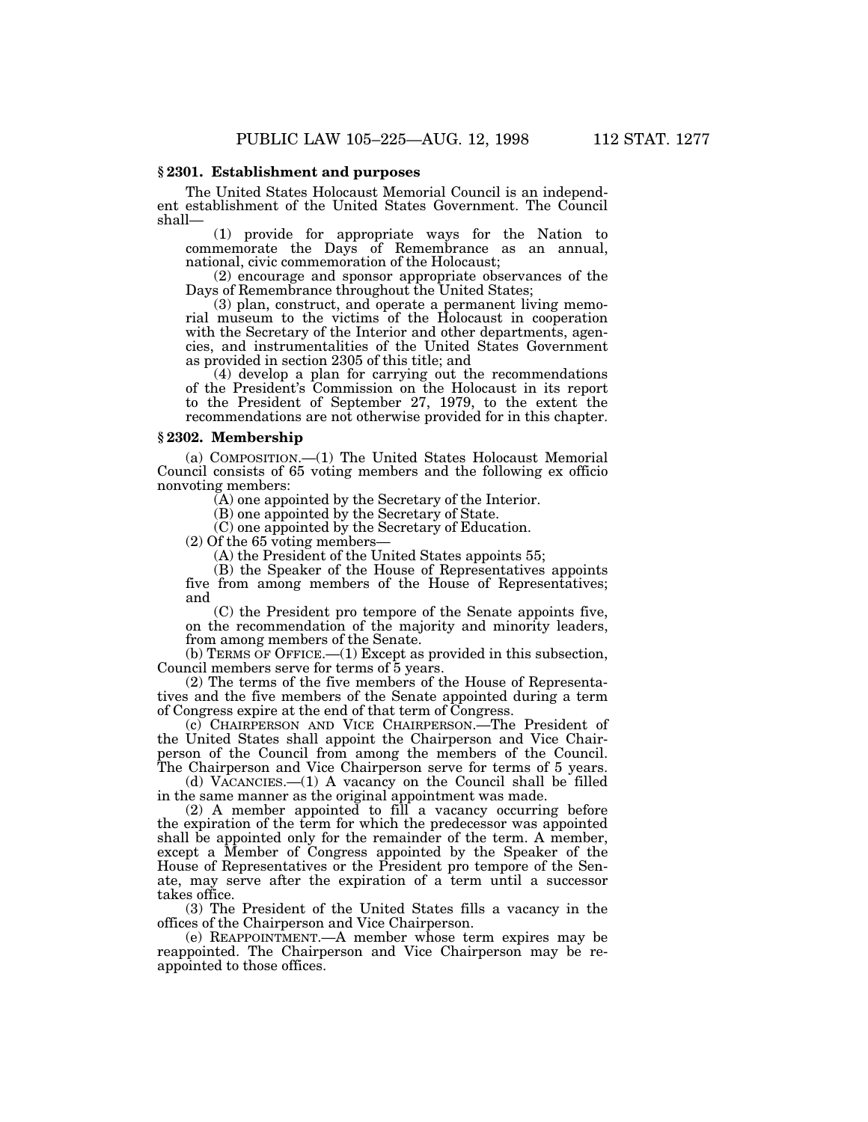# **§ 2301. Establishment and purposes**

The United States Holocaust Memorial Council is an independent establishment of the United States Government. The Council shall—

(1) provide for appropriate ways for the Nation to commemorate the Days of Remembrance as an annual, national, civic commemoration of the Holocaust;

(2) encourage and sponsor appropriate observances of the Days of Remembrance throughout the United States;

(3) plan, construct, and operate a permanent living memorial museum to the victims of the Holocaust in cooperation with the Secretary of the Interior and other departments, agencies, and instrumentalities of the United States Government as provided in section 2305 of this title; and

(4) develop a plan for carrying out the recommendations of the President's Commission on the Holocaust in its report to the President of September 27, 1979, to the extent the recommendations are not otherwise provided for in this chapter.

#### **§ 2302. Membership**

(a) COMPOSITION.—(1) The United States Holocaust Memorial Council consists of 65 voting members and the following ex officio nonvoting members:

(A) one appointed by the Secretary of the Interior.

(B) one appointed by the Secretary of State.

(C) one appointed by the Secretary of Education.

(2) Of the 65 voting members—

(A) the President of the United States appoints 55;

(B) the Speaker of the House of Representatives appoints five from among members of the House of Representatives; and

(C) the President pro tempore of the Senate appoints five, on the recommendation of the majority and minority leaders, from among members of the Senate.

(b) TERMS OF OFFICE.—(1) Except as provided in this subsection, Council members serve for terms of 5 years.

(2) The terms of the five members of the House of Representatives and the five members of the Senate appointed during a term of Congress expire at the end of that term of Congress.

(c) CHAIRPERSON AND VICE CHAIRPERSON.—The President of the United States shall appoint the Chairperson and Vice Chairperson of the Council from among the members of the Council. The Chairperson and Vice Chairperson serve for terms of 5 years.

(d) VACANCIES.—(1) A vacancy on the Council shall be filled in the same manner as the original appointment was made.

(2) A member appointed to fill a vacancy occurring before the expiration of the term for which the predecessor was appointed shall be appointed only for the remainder of the term. A member, except a Member of Congress appointed by the Speaker of the House of Representatives or the President pro tempore of the Senate, may serve after the expiration of a term until a successor takes office.

(3) The President of the United States fills a vacancy in the offices of the Chairperson and Vice Chairperson.

(e) REAPPOINTMENT.—A member whose term expires may be reappointed. The Chairperson and Vice Chairperson may be reappointed to those offices.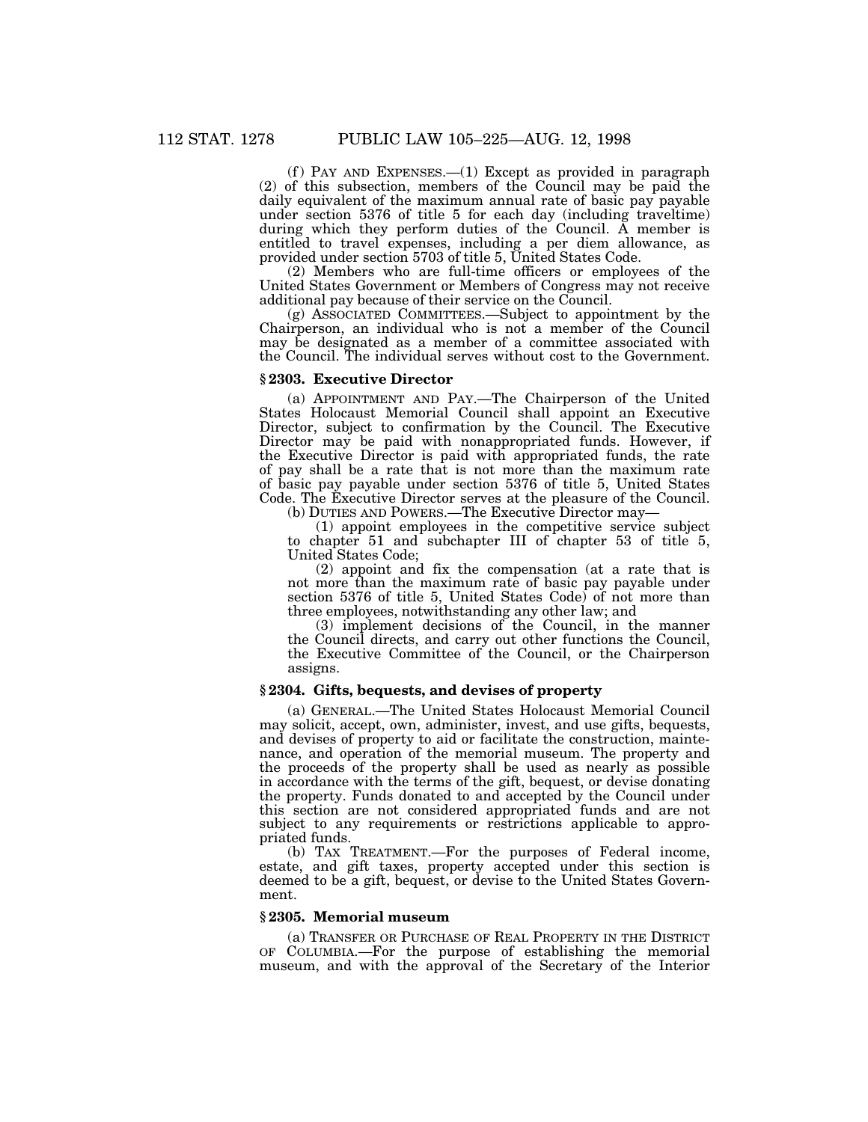$(f)$  PAY AND EXPENSES.— $(1)$  Except as provided in paragraph (2) of this subsection, members of the Council may be paid the daily equivalent of the maximum annual rate of basic pay payable under section 5376 of title 5 for each day (including traveltime) during which they perform duties of the Council. A member is entitled to travel expenses, including a per diem allowance, as provided under section 5703 of title 5, United States Code.

(2) Members who are full-time officers or employees of the United States Government or Members of Congress may not receive additional pay because of their service on the Council.

(g) ASSOCIATED COMMITTEES.—Subject to appointment by the Chairperson, an individual who is not a member of the Council may be designated as a member of a committee associated with the Council. The individual serves without cost to the Government.

#### **§ 2303. Executive Director**

(a) APPOINTMENT AND PAY.—The Chairperson of the United States Holocaust Memorial Council shall appoint an Executive Director, subject to confirmation by the Council. The Executive Director may be paid with nonappropriated funds. However, if the Executive Director is paid with appropriated funds, the rate of pay shall be a rate that is not more than the maximum rate of basic pay payable under section 5376 of title 5, United States Code. The Executive Director serves at the pleasure of the Council.

(b) DUTIES AND POWERS.—The Executive Director may—

(1) appoint employees in the competitive service subject to chapter 51 and subchapter III of chapter 53 of title 5, United States Code;

(2) appoint and fix the compensation (at a rate that is not more than the maximum rate of basic pay payable under section 5376 of title 5, United States Code) of not more than three employees, notwithstanding any other law; and

(3) implement decisions of the Council, in the manner the Council directs, and carry out other functions the Council, the Executive Committee of the Council, or the Chairperson assigns.

# **§ 2304. Gifts, bequests, and devises of property**

(a) GENERAL.—The United States Holocaust Memorial Council may solicit, accept, own, administer, invest, and use gifts, bequests, and devises of property to aid or facilitate the construction, maintenance, and operation of the memorial museum. The property and the proceeds of the property shall be used as nearly as possible in accordance with the terms of the gift, bequest, or devise donating the property. Funds donated to and accepted by the Council under this section are not considered appropriated funds and are not subject to any requirements or restrictions applicable to appropriated funds.

(b) TAX TREATMENT.—For the purposes of Federal income, estate, and gift taxes, property accepted under this section is deemed to be a gift, bequest, or devise to the United States Government.

# **§ 2305. Memorial museum**

(a) TRANSFER OR PURCHASE OF REAL PROPERTY IN THE DISTRICT OF COLUMBIA.—For the purpose of establishing the memorial museum, and with the approval of the Secretary of the Interior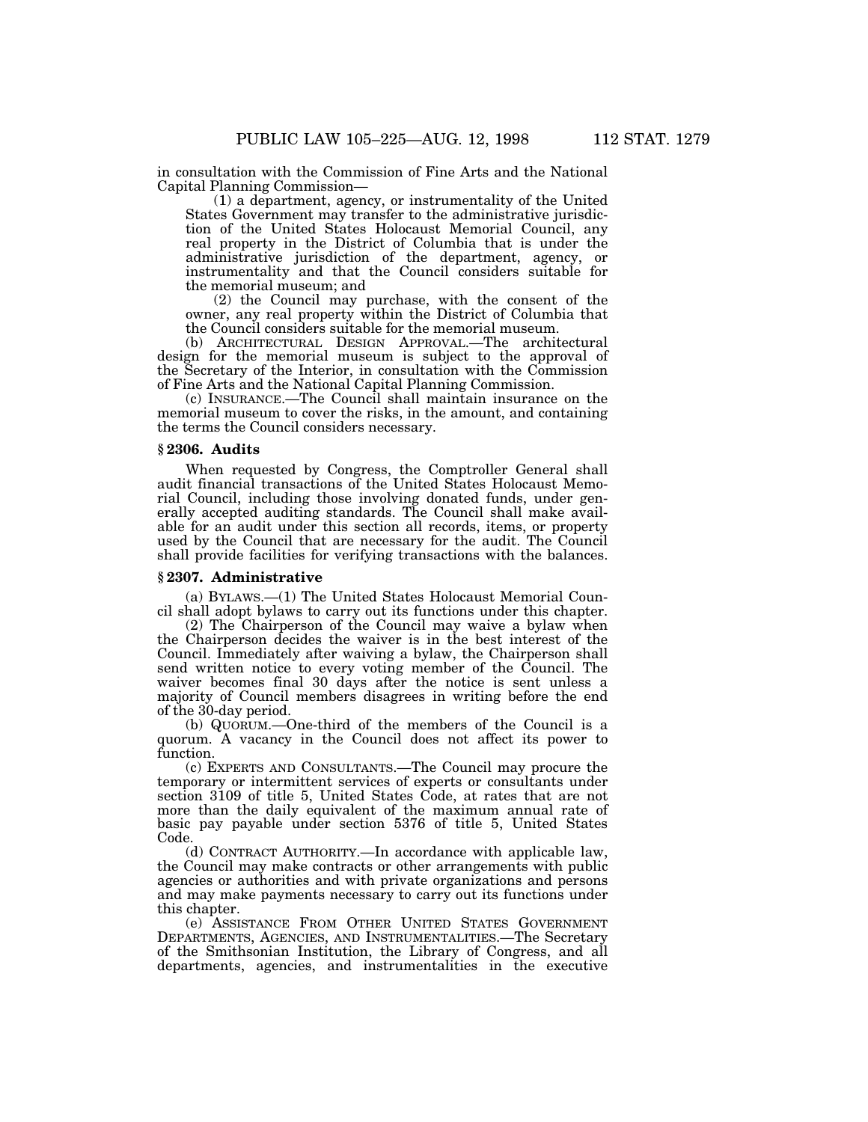in consultation with the Commission of Fine Arts and the National Capital Planning Commission—

(1) a department, agency, or instrumentality of the United States Government may transfer to the administrative jurisdiction of the United States Holocaust Memorial Council, any real property in the District of Columbia that is under the administrative jurisdiction of the department, agency, or instrumentality and that the Council considers suitable for the memorial museum; and

(2) the Council may purchase, with the consent of the owner, any real property within the District of Columbia that the Council considers suitable for the memorial museum.

(b) ARCHITECTURAL DESIGN APPROVAL.—The architectural design for the memorial museum is subject to the approval of the Secretary of the Interior, in consultation with the Commission of Fine Arts and the National Capital Planning Commission.

(c) INSURANCE.—The Council shall maintain insurance on the memorial museum to cover the risks, in the amount, and containing the terms the Council considers necessary.

### **§ 2306. Audits**

When requested by Congress, the Comptroller General shall audit financial transactions of the United States Holocaust Memorial Council, including those involving donated funds, under generally accepted auditing standards. The Council shall make available for an audit under this section all records, items, or property used by the Council that are necessary for the audit. The Council shall provide facilities for verifying transactions with the balances.

# **§ 2307. Administrative**

(a) BYLAWS.—(1) The United States Holocaust Memorial Council shall adopt bylaws to carry out its functions under this chapter.

(2) The Chairperson of the Council may waive a bylaw when the Chairperson decides the waiver is in the best interest of the Council. Immediately after waiving a bylaw, the Chairperson shall send written notice to every voting member of the Council. The waiver becomes final 30 days after the notice is sent unless a majority of Council members disagrees in writing before the end of the 30-day period.

(b) QUORUM.—One-third of the members of the Council is a quorum. A vacancy in the Council does not affect its power to function.

(c) EXPERTS AND CONSULTANTS.—The Council may procure the temporary or intermittent services of experts or consultants under section 3109 of title 5, United States Code, at rates that are not more than the daily equivalent of the maximum annual rate of basic pay payable under section 5376 of title 5, United States Code.

(d) CONTRACT AUTHORITY.—In accordance with applicable law, the Council may make contracts or other arrangements with public agencies or authorities and with private organizations and persons and may make payments necessary to carry out its functions under this chapter.

(e) ASSISTANCE FROM OTHER UNITED STATES GOVERNMENT DEPARTMENTS, AGENCIES, AND INSTRUMENTALITIES.—The Secretary of the Smithsonian Institution, the Library of Congress, and all departments, agencies, and instrumentalities in the executive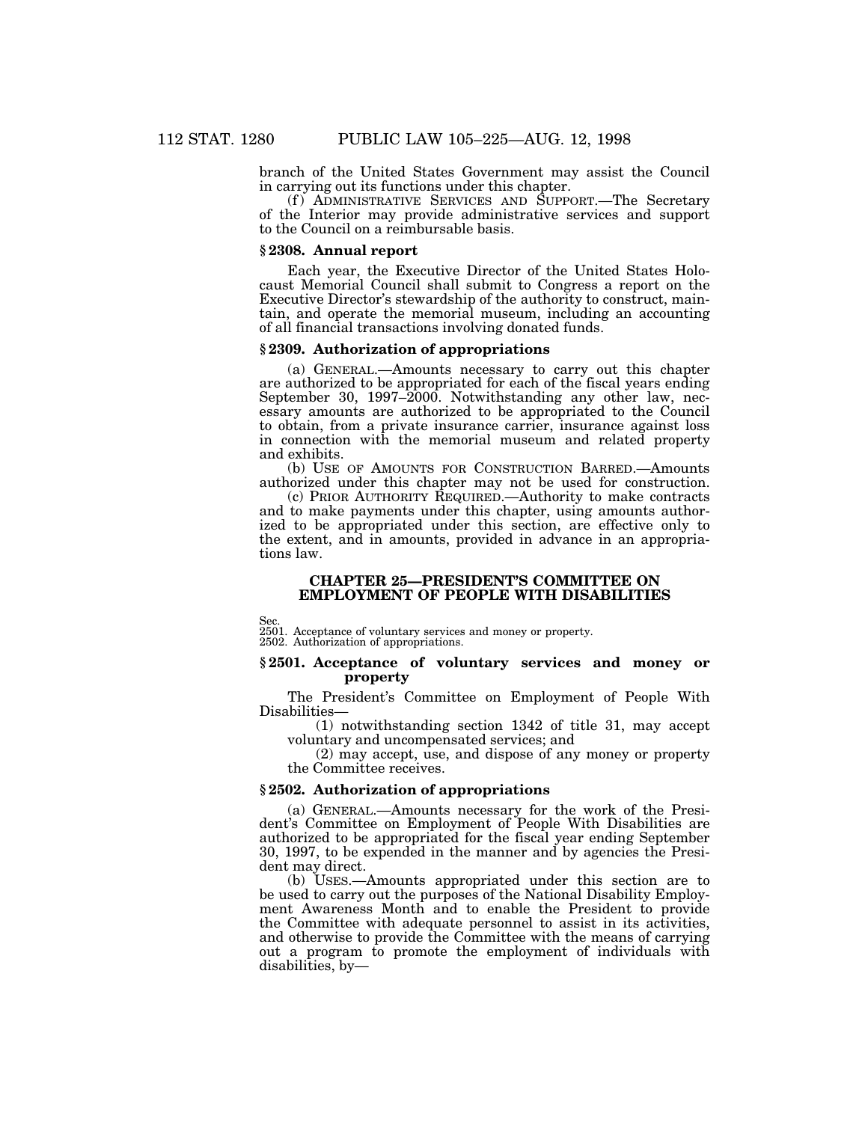branch of the United States Government may assist the Council in carrying out its functions under this chapter.

(f) ADMINISTRATIVE SERVICES AND SUPPORT.—The Secretary of the Interior may provide administrative services and support to the Council on a reimbursable basis.

#### **§ 2308. Annual report**

Each year, the Executive Director of the United States Holocaust Memorial Council shall submit to Congress a report on the Executive Director's stewardship of the authority to construct, maintain, and operate the memorial museum, including an accounting of all financial transactions involving donated funds.

### **§ 2309. Authorization of appropriations**

(a) GENERAL.—Amounts necessary to carry out this chapter are authorized to be appropriated for each of the fiscal years ending September 30, 1997–2000. Notwithstanding any other law, necessary amounts are authorized to be appropriated to the Council to obtain, from a private insurance carrier, insurance against loss in connection with the memorial museum and related property and exhibits.

(b) USE OF AMOUNTS FOR CONSTRUCTION BARRED.—Amounts authorized under this chapter may not be used for construction.

(c) PRIOR AUTHORITY REQUIRED.—Authority to make contracts and to make payments under this chapter, using amounts authorized to be appropriated under this section, are effective only to the extent, and in amounts, provided in advance in an appropriations law.

### **CHAPTER 25—PRESIDENT'S COMMITTEE ON EMPLOYMENT OF PEOPLE WITH DISABILITIES**

Sec. 2501. Acceptance of voluntary services and money or property.

2502. Authorization of appropriations.

# **§ 2501. Acceptance of voluntary services and money or property**

The President's Committee on Employment of People With Disabilities—

(1) notwithstanding section 1342 of title 31, may accept voluntary and uncompensated services; and

(2) may accept, use, and dispose of any money or property the Committee receives.

### **§ 2502. Authorization of appropriations**

(a) GENERAL.—Amounts necessary for the work of the President's Committee on Employment of People With Disabilities are authorized to be appropriated for the fiscal year ending September 30, 1997, to be expended in the manner and by agencies the President may direct.

(b) USES.—Amounts appropriated under this section are to be used to carry out the purposes of the National Disability Employment Awareness Month and to enable the President to provide the Committee with adequate personnel to assist in its activities, and otherwise to provide the Committee with the means of carrying out a program to promote the employment of individuals with disabilities, by—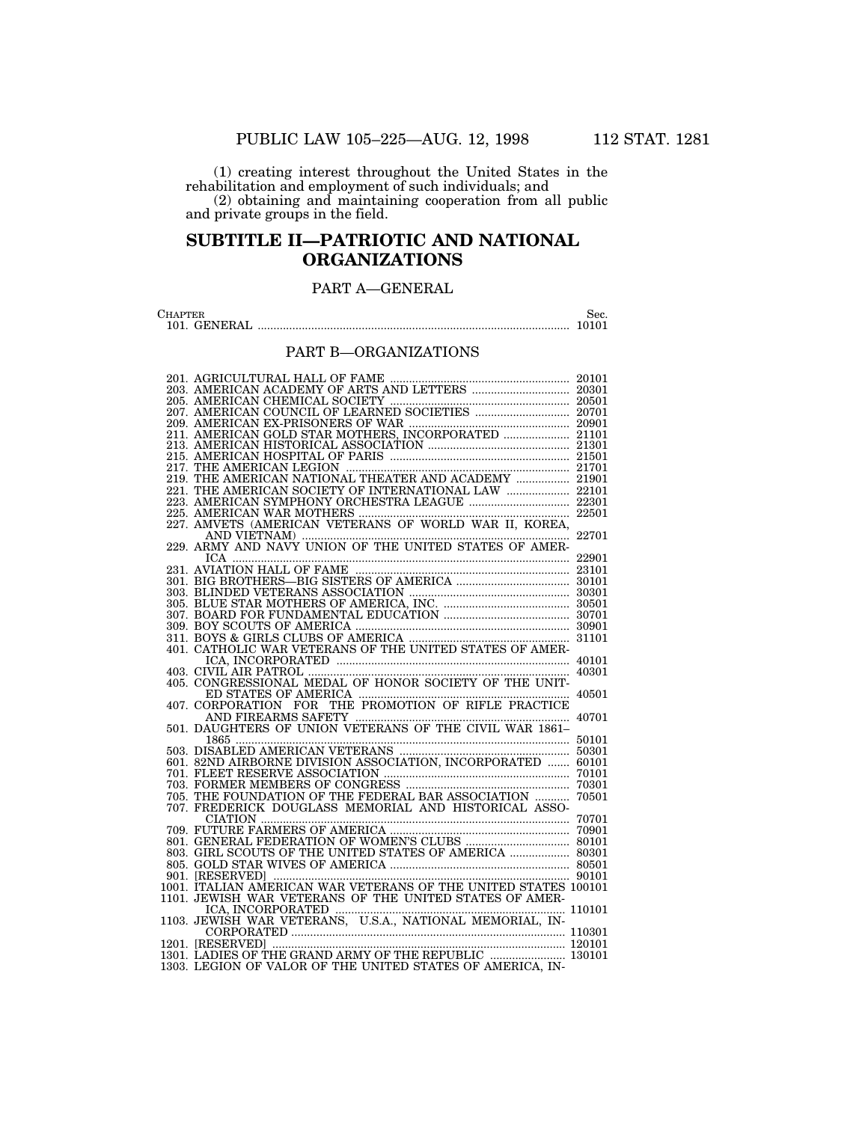(1) creating interest throughout the United States in the rehabilitation and employment of such individuals; and (2) obtaining and maintaining cooperation from all public

and private groups in the field.

# **SUBTITLE II—PATRIOTIC AND NATIONAL ORGANIZATIONS**

# PART A—GENERAL

CHAPTER Sec. 101. GENERAL ................................................................................................... 10101

# PART B—ORGANIZATIONS

| 221. THE AMERICAN SOCIETY OF INTERNATIONAL LAW  22101                                                                                                                                                                                                                                                                                                                                                                                                                                                                                                 |       |
|-------------------------------------------------------------------------------------------------------------------------------------------------------------------------------------------------------------------------------------------------------------------------------------------------------------------------------------------------------------------------------------------------------------------------------------------------------------------------------------------------------------------------------------------------------|-------|
|                                                                                                                                                                                                                                                                                                                                                                                                                                                                                                                                                       |       |
|                                                                                                                                                                                                                                                                                                                                                                                                                                                                                                                                                       |       |
| 227. AMVETS (AMERICAN VETERANS OF WORLD WAR II, KOREA,                                                                                                                                                                                                                                                                                                                                                                                                                                                                                                |       |
| <b>EXAMPLE THAND VIETNAM</b> AND NAVY UNION OF THE UNITED STATES OF AMER-                                                                                                                                                                                                                                                                                                                                                                                                                                                                             |       |
|                                                                                                                                                                                                                                                                                                                                                                                                                                                                                                                                                       |       |
|                                                                                                                                                                                                                                                                                                                                                                                                                                                                                                                                                       | 22901 |
| <b>231.</b> AVIATION HALL OF FAME <b>ACCORDING THE CONSTRUCT OF SISTERS</b> OF AMERICA <b>CONSTRUCT 23101</b>                                                                                                                                                                                                                                                                                                                                                                                                                                         |       |
|                                                                                                                                                                                                                                                                                                                                                                                                                                                                                                                                                       |       |
|                                                                                                                                                                                                                                                                                                                                                                                                                                                                                                                                                       |       |
|                                                                                                                                                                                                                                                                                                                                                                                                                                                                                                                                                       |       |
|                                                                                                                                                                                                                                                                                                                                                                                                                                                                                                                                                       |       |
|                                                                                                                                                                                                                                                                                                                                                                                                                                                                                                                                                       |       |
|                                                                                                                                                                                                                                                                                                                                                                                                                                                                                                                                                       |       |
| 401. CATHOLIC WAR VETERANS OF THE UNITED STATES OF AMER-                                                                                                                                                                                                                                                                                                                                                                                                                                                                                              |       |
|                                                                                                                                                                                                                                                                                                                                                                                                                                                                                                                                                       |       |
|                                                                                                                                                                                                                                                                                                                                                                                                                                                                                                                                                       |       |
| 405. CONGRESSIONAL MEDAL OF HONOR SOCIETY OF THE UNIT-                                                                                                                                                                                                                                                                                                                                                                                                                                                                                                | 40301 |
|                                                                                                                                                                                                                                                                                                                                                                                                                                                                                                                                                       |       |
| $\begin{tabular}{ll} \bf CD \end{tabular} \begin{tabular}{ll} \bf CD \end{tabular} \begin{tabular}{ll} \bf CD \end{tabular} \begin{tabular}{ll} \bf CD \end{tabular} \begin{tabular}{ll} \bf CD \end{tabular} \begin{tabular}{ll} \bf CD \end{tabular} \begin{tabular}{ll} \bf CD \end{tabular} \begin{tabular}{ll} \bf CD \end{tabular} \begin{tabular}{ll} \bf CD \end{tabular} \begin{tabular}{ll} \bf CD \end{tabular} \begin{tabular}{ll} \bf CD \end{tabular} \begin{tabular}{ll} \bf CD \end{tabular} \begin{tabular}{ll} \bf CD \end{tabular$ | 40501 |
|                                                                                                                                                                                                                                                                                                                                                                                                                                                                                                                                                       |       |
|                                                                                                                                                                                                                                                                                                                                                                                                                                                                                                                                                       | 40701 |
| 501. DAUGHTERS OF UNION VETERANS OF THE CIVIL WAR 1861-                                                                                                                                                                                                                                                                                                                                                                                                                                                                                               |       |
|                                                                                                                                                                                                                                                                                                                                                                                                                                                                                                                                                       |       |
|                                                                                                                                                                                                                                                                                                                                                                                                                                                                                                                                                       |       |
| 601. 82ND AIRBORNE DIVISION ASSOCIATION, INCORPORATED  60101                                                                                                                                                                                                                                                                                                                                                                                                                                                                                          |       |
|                                                                                                                                                                                                                                                                                                                                                                                                                                                                                                                                                       |       |
|                                                                                                                                                                                                                                                                                                                                                                                                                                                                                                                                                       |       |
| 705. THE FOUNDATION OF THE FEDERAL BAR ASSOCIATION  70501                                                                                                                                                                                                                                                                                                                                                                                                                                                                                             |       |
| 707. FREDERICK DOUGLASS MEMORIAL AND HISTORICAL ASSO-                                                                                                                                                                                                                                                                                                                                                                                                                                                                                                 |       |
|                                                                                                                                                                                                                                                                                                                                                                                                                                                                                                                                                       |       |
|                                                                                                                                                                                                                                                                                                                                                                                                                                                                                                                                                       |       |
|                                                                                                                                                                                                                                                                                                                                                                                                                                                                                                                                                       |       |
|                                                                                                                                                                                                                                                                                                                                                                                                                                                                                                                                                       |       |
|                                                                                                                                                                                                                                                                                                                                                                                                                                                                                                                                                       |       |
|                                                                                                                                                                                                                                                                                                                                                                                                                                                                                                                                                       |       |
| 1001. İTALIAN AMERICAN WAR VETERANS OF THE UNITED STATES 100101                                                                                                                                                                                                                                                                                                                                                                                                                                                                                       |       |
| 1101. JEWISH WAR VETERANS OF THE UNITED STATES OF AMER-                                                                                                                                                                                                                                                                                                                                                                                                                                                                                               |       |
|                                                                                                                                                                                                                                                                                                                                                                                                                                                                                                                                                       |       |
|                                                                                                                                                                                                                                                                                                                                                                                                                                                                                                                                                       |       |
|                                                                                                                                                                                                                                                                                                                                                                                                                                                                                                                                                       |       |
|                                                                                                                                                                                                                                                                                                                                                                                                                                                                                                                                                       |       |
|                                                                                                                                                                                                                                                                                                                                                                                                                                                                                                                                                       |       |
|                                                                                                                                                                                                                                                                                                                                                                                                                                                                                                                                                       |       |
| 1303. LEGION OF VALOR OF THE UNITED STATES OF AMERICA, IN-                                                                                                                                                                                                                                                                                                                                                                                                                                                                                            |       |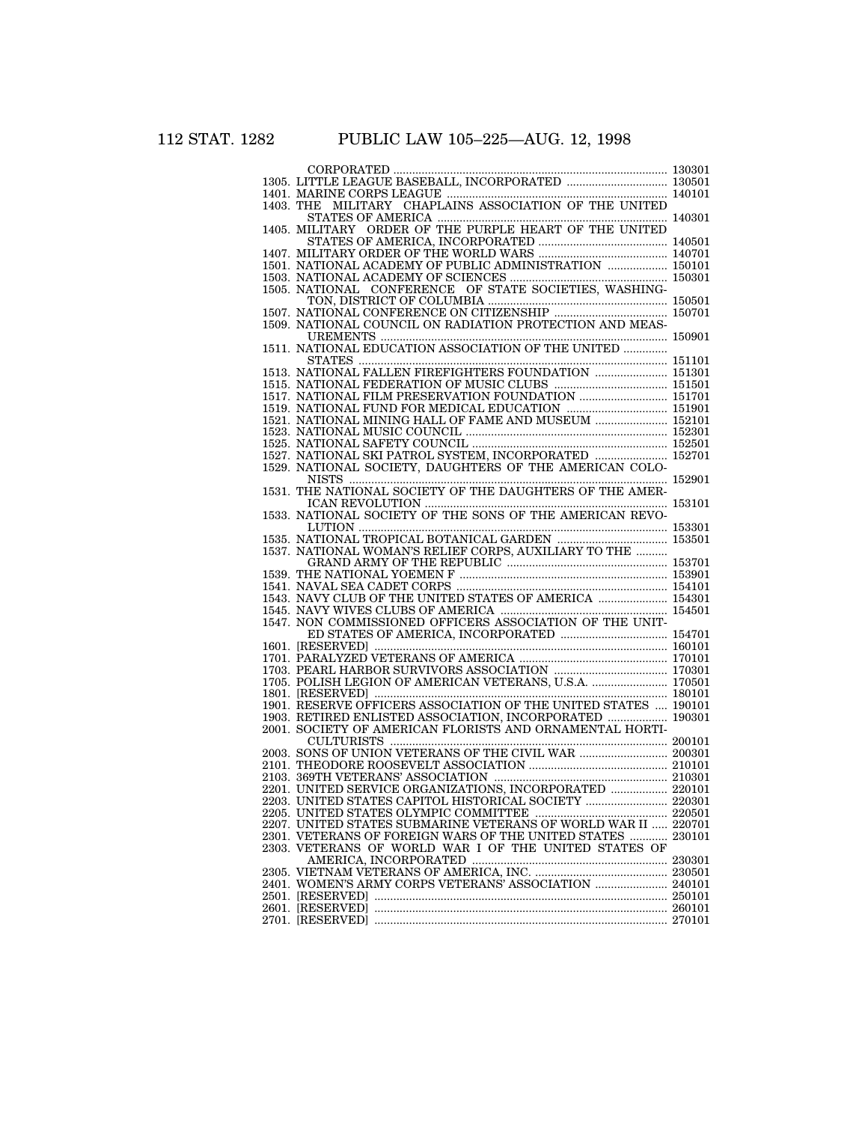|           | ${\bf CORPORTED\;}\hspace{1.8cm}\hspace{1.8cm}\hspace{1.8cm}\hspace{1.8cm}\hspace{1.8cm}\hspace{1.8cm}\hspace{1.8cm}\hspace{1.8cm}\hspace{1.8cm}\hspace{1.8cm}\hspace{1.8cm}\hspace{1.8cm}\hspace{1.8cm}\hspace{1.8cm}\hspace{1.8cm}\hspace{1.8cm}\hspace{1.8cm}\hspace{1.8cm}\hspace{1.8cm}\hspace{1.8cm}\hspace{1.8cm}\hspace{1.8cm}\hspace{1.8cm}\hspace{1.8cm}\hspace{1.8cm}\hspace{1.8cm}\hspace{1$ |  |
|-----------|----------------------------------------------------------------------------------------------------------------------------------------------------------------------------------------------------------------------------------------------------------------------------------------------------------------------------------------------------------------------------------------------------------|--|
|           |                                                                                                                                                                                                                                                                                                                                                                                                          |  |
| 1403. THE | MILITARY CHAPLAINS ASSOCIATION OF THE UNITED                                                                                                                                                                                                                                                                                                                                                             |  |
|           |                                                                                                                                                                                                                                                                                                                                                                                                          |  |
|           |                                                                                                                                                                                                                                                                                                                                                                                                          |  |
|           |                                                                                                                                                                                                                                                                                                                                                                                                          |  |
|           |                                                                                                                                                                                                                                                                                                                                                                                                          |  |
|           |                                                                                                                                                                                                                                                                                                                                                                                                          |  |
|           |                                                                                                                                                                                                                                                                                                                                                                                                          |  |
|           |                                                                                                                                                                                                                                                                                                                                                                                                          |  |
|           | 1505. NATIONAL CONFERENCE OF STATE SOCIETIES, WASHING-                                                                                                                                                                                                                                                                                                                                                   |  |
|           |                                                                                                                                                                                                                                                                                                                                                                                                          |  |
|           |                                                                                                                                                                                                                                                                                                                                                                                                          |  |
|           |                                                                                                                                                                                                                                                                                                                                                                                                          |  |
|           | 1509. NATIONAL COUNCIL ON RADIATION PROTECTION AND MEAS-                                                                                                                                                                                                                                                                                                                                                 |  |
|           |                                                                                                                                                                                                                                                                                                                                                                                                          |  |
|           |                                                                                                                                                                                                                                                                                                                                                                                                          |  |
|           |                                                                                                                                                                                                                                                                                                                                                                                                          |  |
|           | 1513. NATIONAL FALLEN FIREFIGHTERS FOUNDATION  151301                                                                                                                                                                                                                                                                                                                                                    |  |
|           |                                                                                                                                                                                                                                                                                                                                                                                                          |  |
|           |                                                                                                                                                                                                                                                                                                                                                                                                          |  |
|           | 1517. NATIONAL FILM PRESERVATION FOUNDATION  151701                                                                                                                                                                                                                                                                                                                                                      |  |
|           |                                                                                                                                                                                                                                                                                                                                                                                                          |  |
|           | 1521. NATIONAL MINING HALL OF FAME AND MUSEUM  152101                                                                                                                                                                                                                                                                                                                                                    |  |
|           |                                                                                                                                                                                                                                                                                                                                                                                                          |  |
|           |                                                                                                                                                                                                                                                                                                                                                                                                          |  |
|           | 1527. NATIONAL SKI PATROL SYSTEM, INCORPORATED  152701                                                                                                                                                                                                                                                                                                                                                   |  |
|           |                                                                                                                                                                                                                                                                                                                                                                                                          |  |
|           | 1529. NATIONAL SOCIETY, DAUGHTERS OF THE AMERICAN COLO-                                                                                                                                                                                                                                                                                                                                                  |  |
|           |                                                                                                                                                                                                                                                                                                                                                                                                          |  |
|           | 1531. THE NATIONAL SOCIETY OF THE DAUGHTERS OF THE AMER-                                                                                                                                                                                                                                                                                                                                                 |  |
|           |                                                                                                                                                                                                                                                                                                                                                                                                          |  |
|           |                                                                                                                                                                                                                                                                                                                                                                                                          |  |
|           |                                                                                                                                                                                                                                                                                                                                                                                                          |  |
|           |                                                                                                                                                                                                                                                                                                                                                                                                          |  |
|           |                                                                                                                                                                                                                                                                                                                                                                                                          |  |
|           |                                                                                                                                                                                                                                                                                                                                                                                                          |  |
|           | 1537. NATIONAL WOMAN'S RELIEF CORPS, AUXILIARY TO THE                                                                                                                                                                                                                                                                                                                                                    |  |
|           |                                                                                                                                                                                                                                                                                                                                                                                                          |  |
|           |                                                                                                                                                                                                                                                                                                                                                                                                          |  |
|           |                                                                                                                                                                                                                                                                                                                                                                                                          |  |
|           |                                                                                                                                                                                                                                                                                                                                                                                                          |  |
|           | 1543. NAVY CLUB OF THE UNITED STATES OF AMERICA  154301                                                                                                                                                                                                                                                                                                                                                  |  |
|           |                                                                                                                                                                                                                                                                                                                                                                                                          |  |
|           | 1547. NON COMMISSIONED OFFICERS ASSOCIATION OF THE UNIT-                                                                                                                                                                                                                                                                                                                                                 |  |
|           |                                                                                                                                                                                                                                                                                                                                                                                                          |  |
|           |                                                                                                                                                                                                                                                                                                                                                                                                          |  |
|           |                                                                                                                                                                                                                                                                                                                                                                                                          |  |
|           |                                                                                                                                                                                                                                                                                                                                                                                                          |  |
|           |                                                                                                                                                                                                                                                                                                                                                                                                          |  |
|           | 1705. POLISH LEGION OF AMERICAN VETERANS, U.S.A.  170501                                                                                                                                                                                                                                                                                                                                                 |  |
|           |                                                                                                                                                                                                                                                                                                                                                                                                          |  |
|           | 1901. RESERVE OFFICERS ASSOCIATION OF THE UNITED STATES  190101                                                                                                                                                                                                                                                                                                                                          |  |
|           | 1903. RETIRED ENLISTED ASSOCIATION, INCORPORATED  190301                                                                                                                                                                                                                                                                                                                                                 |  |
|           | 2001. SOCIETY OF AMERICAN FLORISTS AND ORNAMENTAL HORTI-                                                                                                                                                                                                                                                                                                                                                 |  |
|           |                                                                                                                                                                                                                                                                                                                                                                                                          |  |
|           |                                                                                                                                                                                                                                                                                                                                                                                                          |  |
|           |                                                                                                                                                                                                                                                                                                                                                                                                          |  |
|           |                                                                                                                                                                                                                                                                                                                                                                                                          |  |
|           |                                                                                                                                                                                                                                                                                                                                                                                                          |  |
|           | 2201. UNITED SERVICE ORGANIZATIONS, INCORPORATED  220101                                                                                                                                                                                                                                                                                                                                                 |  |
|           |                                                                                                                                                                                                                                                                                                                                                                                                          |  |
|           |                                                                                                                                                                                                                                                                                                                                                                                                          |  |
|           | 2207. UNITED STATES SUBMARINE VETERANS OF WORLD WAR II  220701                                                                                                                                                                                                                                                                                                                                           |  |
|           | 2301. VETERANS OF FOREIGN WARS OF THE UNITED STATES  230101                                                                                                                                                                                                                                                                                                                                              |  |
|           |                                                                                                                                                                                                                                                                                                                                                                                                          |  |
|           | 2303. VETERANS OF WORLD WAR I OF THE UNITED STATES OF                                                                                                                                                                                                                                                                                                                                                    |  |
|           |                                                                                                                                                                                                                                                                                                                                                                                                          |  |
|           |                                                                                                                                                                                                                                                                                                                                                                                                          |  |
|           | 2401. WOMEN'S ARMY CORPS VETERANS' ASSOCIATION  240101                                                                                                                                                                                                                                                                                                                                                   |  |
|           |                                                                                                                                                                                                                                                                                                                                                                                                          |  |
|           |                                                                                                                                                                                                                                                                                                                                                                                                          |  |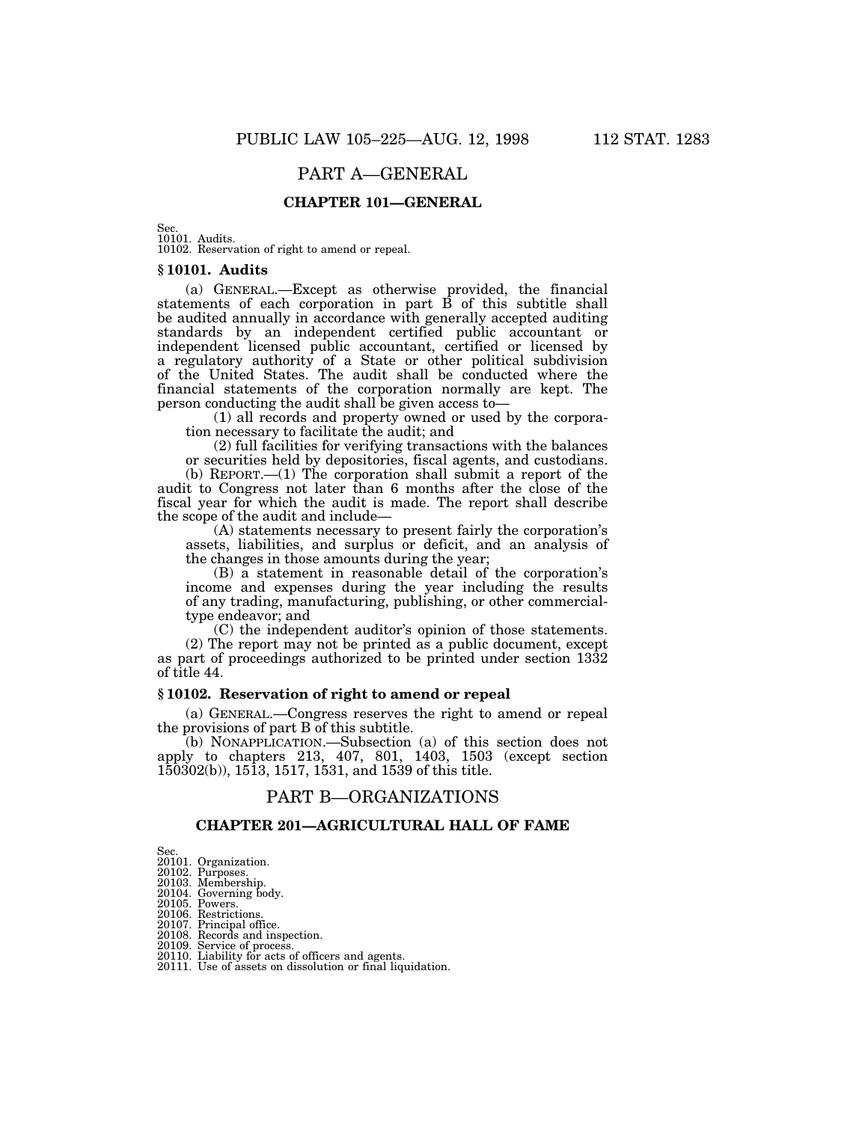# PART A—GENERAL

# **CHAPTER 101—GENERAL**

Sec. 10101. Audits.

10102. Reservation of right to amend or repeal.

# **§ 10101. Audits**

(a) GENERAL.—Except as otherwise provided, the financial statements of each corporation in part B of this subtitle shall be audited annually in accordance with generally accepted auditing standards by an independent certified public accountant or independent licensed public accountant, certified or licensed by a regulatory authority of a State or other political subdivision of the United States. The audit shall be conducted where the financial statements of the corporation normally are kept. The person conducting the audit shall be given access to—

(1) all records and property owned or used by the corporation necessary to facilitate the audit; and

(2) full facilities for verifying transactions with the balances or securities held by depositories, fiscal agents, and custodians.

(b) REPORT.—(1) The corporation shall submit a report of the audit to Congress not later than 6 months after the close of the fiscal year for which the audit is made. The report shall describe the scope of the audit and include—

(A) statements necessary to present fairly the corporation's assets, liabilities, and surplus or deficit, and an analysis of the changes in those amounts during the year;

(B) a statement in reasonable detail of the corporation's income and expenses during the year including the results of any trading, manufacturing, publishing, or other commercialtype endeavor; and

(C) the independent auditor's opinion of those statements. (2) The report may not be printed as a public document, except as part of proceedings authorized to be printed under section 1332 of title 44.

# **§ 10102. Reservation of right to amend or repeal**

(a) GENERAL.—Congress reserves the right to amend or repeal the provisions of part B of this subtitle.

(b) NONAPPLICATION.—Subsection (a) of this section does not apply to chapters 213, 407, 801, 1403, 1503 (except section 150302(b)), 1513, 1517, 1531, and 1539 of this title.

# PART B—ORGANIZATIONS

# **CHAPTER 201—AGRICULTURAL HALL OF FAME**

Sec.

- 
- 20101. Organization. 20102. Purposes. 20103. Membership.
- 20104. Governing body. 20105. Powers.
- 

- 
- 
- 20106. Restrictions. 20107. Principal office. 20108. Records and inspection. 20109. Service of process. 20110. Liability for acts of officers and agents.
- 20111. Use of assets on dissolution or final liquidation.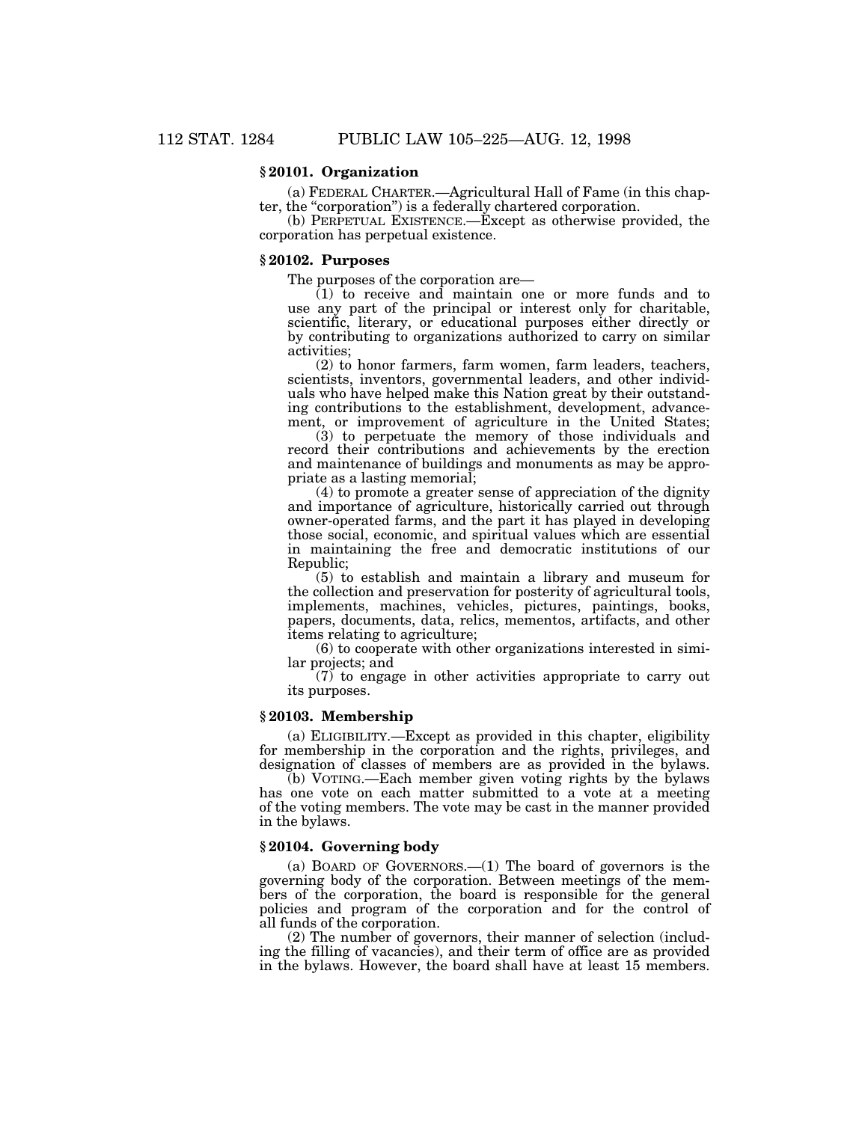# **§ 20101. Organization**

(a) FEDERAL CHARTER.—Agricultural Hall of Fame (in this chapter, the "corporation") is a federally chartered corporation.

(b) PERPETUAL EXISTENCE.—Except as otherwise provided, the corporation has perpetual existence.

### **§ 20102. Purposes**

The purposes of the corporation are—

(1) to receive and maintain one or more funds and to use any part of the principal or interest only for charitable, scientific, literary, or educational purposes either directly or by contributing to organizations authorized to carry on similar activities;

(2) to honor farmers, farm women, farm leaders, teachers, scientists, inventors, governmental leaders, and other individuals who have helped make this Nation great by their outstanding contributions to the establishment, development, advancement, or improvement of agriculture in the United States;

(3) to perpetuate the memory of those individuals and record their contributions and achievements by the erection and maintenance of buildings and monuments as may be appropriate as a lasting memorial;

(4) to promote a greater sense of appreciation of the dignity and importance of agriculture, historically carried out through owner-operated farms, and the part it has played in developing those social, economic, and spiritual values which are essential in maintaining the free and democratic institutions of our Republic;

(5) to establish and maintain a library and museum for the collection and preservation for posterity of agricultural tools, implements, machines, vehicles, pictures, paintings, books, papers, documents, data, relics, mementos, artifacts, and other items relating to agriculture;

(6) to cooperate with other organizations interested in similar projects; and

(7) to engage in other activities appropriate to carry out its purposes.

### **§ 20103. Membership**

(a) ELIGIBILITY.—Except as provided in this chapter, eligibility for membership in the corporation and the rights, privileges, and designation of classes of members are as provided in the bylaws.

(b) VOTING.—Each member given voting rights by the bylaws has one vote on each matter submitted to a vote at a meeting of the voting members. The vote may be cast in the manner provided in the bylaws.

# **§ 20104. Governing body**

(a) BOARD OF GOVERNORS.—(1) The board of governors is the governing body of the corporation. Between meetings of the members of the corporation, the board is responsible for the general policies and program of the corporation and for the control of all funds of the corporation.

(2) The number of governors, their manner of selection (including the filling of vacancies), and their term of office are as provided in the bylaws. However, the board shall have at least 15 members.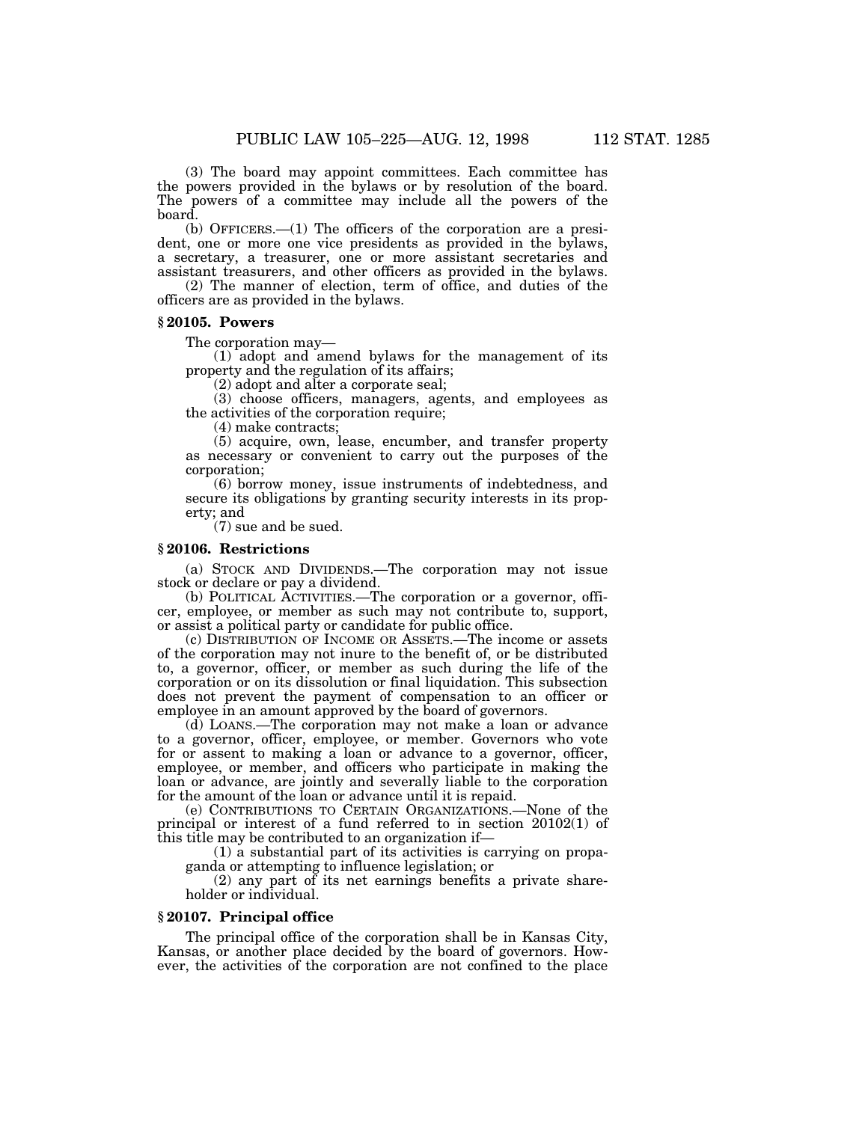(3) The board may appoint committees. Each committee has the powers provided in the bylaws or by resolution of the board. The powers of a committee may include all the powers of the board.

(b) OFFICERS.—(1) The officers of the corporation are a president, one or more one vice presidents as provided in the bylaws, a secretary, a treasurer, one or more assistant secretaries and assistant treasurers, and other officers as provided in the bylaws.

(2) The manner of election, term of office, and duties of the officers are as provided in the bylaws.

### **§ 20105. Powers**

The corporation may—

(1) adopt and amend bylaws for the management of its property and the regulation of its affairs;

(2) adopt and alter a corporate seal;

(3) choose officers, managers, agents, and employees as the activities of the corporation require;

(4) make contracts;

(5) acquire, own, lease, encumber, and transfer property as necessary or convenient to carry out the purposes of the corporation;

(6) borrow money, issue instruments of indebtedness, and secure its obligations by granting security interests in its property; and

(7) sue and be sued.

#### **§ 20106. Restrictions**

(a) STOCK AND DIVIDENDS.—The corporation may not issue stock or declare or pay a dividend.

(b) POLITICAL ACTIVITIES.—The corporation or a governor, officer, employee, or member as such may not contribute to, support, or assist a political party or candidate for public office.

(c) DISTRIBUTION OF INCOME OR ASSETS.—The income or assets of the corporation may not inure to the benefit of, or be distributed to, a governor, officer, or member as such during the life of the corporation or on its dissolution or final liquidation. This subsection does not prevent the payment of compensation to an officer or employee in an amount approved by the board of governors.

(d) LOANS.—The corporation may not make a loan or advance to a governor, officer, employee, or member. Governors who vote for or assent to making a loan or advance to a governor, officer, employee, or member, and officers who participate in making the loan or advance, are jointly and severally liable to the corporation for the amount of the loan or advance until it is repaid.

(e) CONTRIBUTIONS TO CERTAIN ORGANIZATIONS.—None of the principal or interest of a fund referred to in section 20102(1) of this title may be contributed to an organization if—

(1) a substantial part of its activities is carrying on propaganda or attempting to influence legislation; or

(2) any part of its net earnings benefits a private shareholder or individual.

### **§ 20107. Principal office**

The principal office of the corporation shall be in Kansas City, Kansas, or another place decided by the board of governors. However, the activities of the corporation are not confined to the place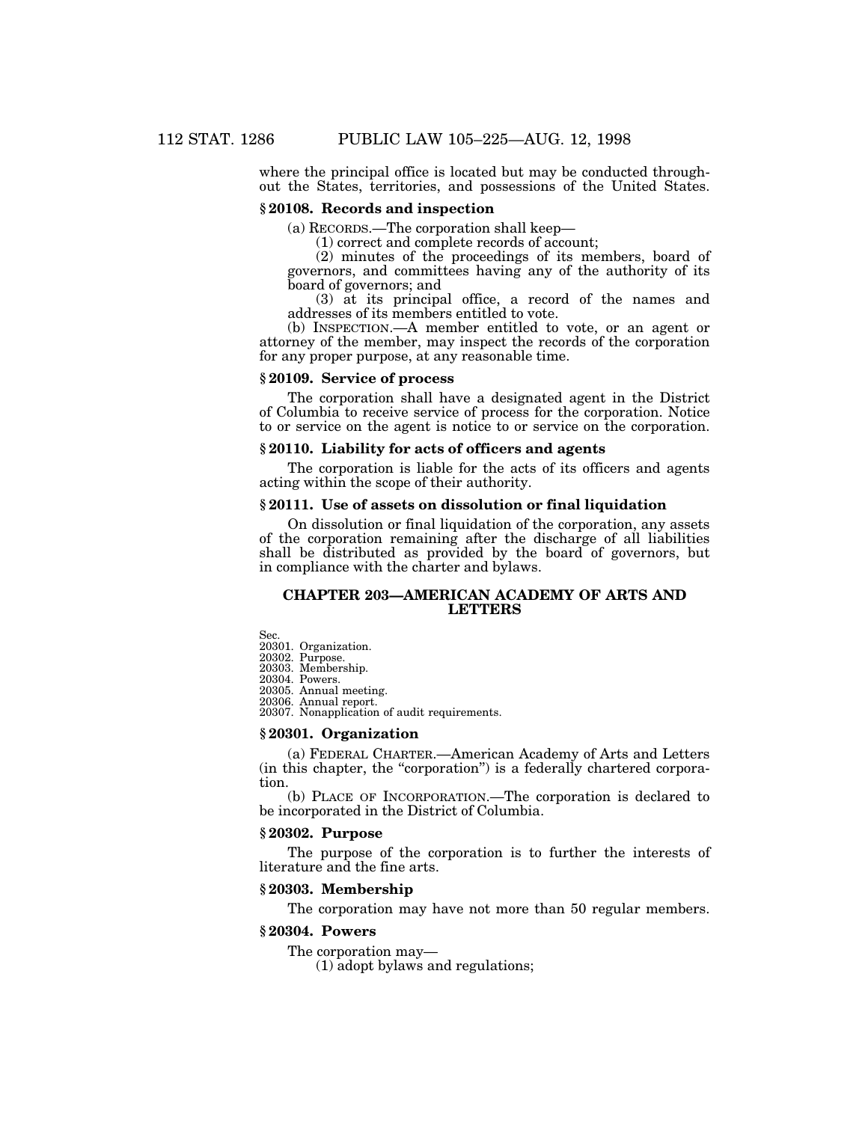where the principal office is located but may be conducted throughout the States, territories, and possessions of the United States.

# **§ 20108. Records and inspection**

(a) RECORDS.—The corporation shall keep—

(1) correct and complete records of account;

(2) minutes of the proceedings of its members, board of governors, and committees having any of the authority of its board of governors; and

(3) at its principal office, a record of the names and addresses of its members entitled to vote.

(b) INSPECTION.—A member entitled to vote, or an agent or attorney of the member, may inspect the records of the corporation for any proper purpose, at any reasonable time.

### **§ 20109. Service of process**

The corporation shall have a designated agent in the District of Columbia to receive service of process for the corporation. Notice to or service on the agent is notice to or service on the corporation.

# **§ 20110. Liability for acts of officers and agents**

The corporation is liable for the acts of its officers and agents acting within the scope of their authority.

# **§ 20111. Use of assets on dissolution or final liquidation**

On dissolution or final liquidation of the corporation, any assets of the corporation remaining after the discharge of all liabilities shall be distributed as provided by the board of governors, but in compliance with the charter and bylaws.

# **CHAPTER 203—AMERICAN ACADEMY OF ARTS AND LETTERS**

Sec. 20301. Organization. 20302. Purpose.

20303. Membership. 20304. Powers.

20305. Annual meeting. 20306. Annual report. 20307. Nonapplication of audit requirements.

### **§ 20301. Organization**

(a) FEDERAL CHARTER.—American Academy of Arts and Letters (in this chapter, the "corporation") is a federally chartered corporation.

(b) PLACE OF INCORPORATION.—The corporation is declared to be incorporated in the District of Columbia.

### **§ 20302. Purpose**

The purpose of the corporation is to further the interests of literature and the fine arts.

### **§ 20303. Membership**

The corporation may have not more than 50 regular members.

# **§ 20304. Powers**

The corporation may—

(1) adopt bylaws and regulations;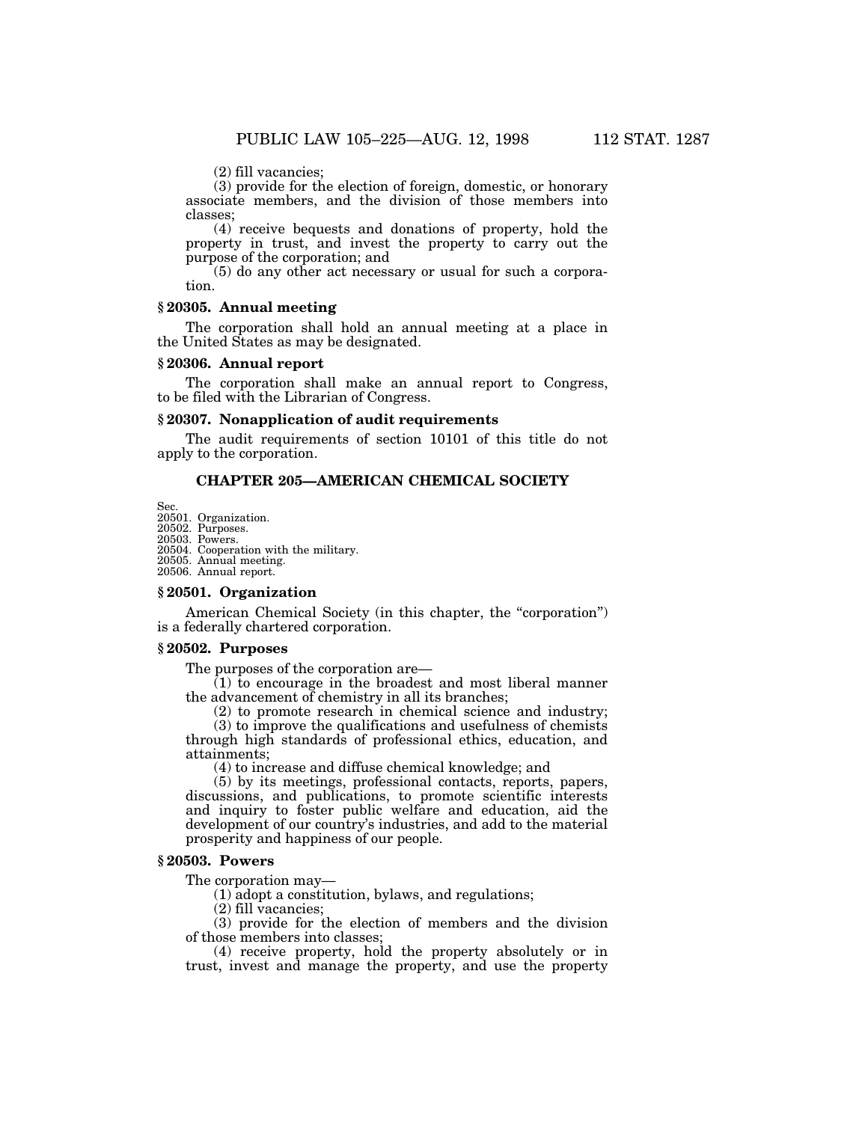(2) fill vacancies;

(3) provide for the election of foreign, domestic, or honorary associate members, and the division of those members into classes;

(4) receive bequests and donations of property, hold the property in trust, and invest the property to carry out the purpose of the corporation; and

(5) do any other act necessary or usual for such a corporation.

# **§ 20305. Annual meeting**

The corporation shall hold an annual meeting at a place in the United States as may be designated.

### **§ 20306. Annual report**

The corporation shall make an annual report to Congress, to be filed with the Librarian of Congress.

### **§ 20307. Nonapplication of audit requirements**

The audit requirements of section 10101 of this title do not apply to the corporation.

# **CHAPTER 205—AMERICAN CHEMICAL SOCIETY**

Sec. 20501. Organization. 20502. Purposes. 20503. Powers.

- 20504. Cooperation with the military. 20505. Annual meeting.
- 
- 20506. Annual report.

# **§ 20501. Organization**

American Chemical Society (in this chapter, the "corporation") is a federally chartered corporation.

### **§ 20502. Purposes**

The purposes of the corporation are—

(1) to encourage in the broadest and most liberal manner the advancement of chemistry in all its branches;

(2) to promote research in chemical science and industry; (3) to improve the qualifications and usefulness of chemists through high standards of professional ethics, education, and attainments;

(4) to increase and diffuse chemical knowledge; and

(5) by its meetings, professional contacts, reports, papers, discussions, and publications, to promote scientific interests and inquiry to foster public welfare and education, aid the development of our country's industries, and add to the material prosperity and happiness of our people.

### **§ 20503. Powers**

The corporation may—

(1) adopt a constitution, bylaws, and regulations;

(2) fill vacancies;

(3) provide for the election of members and the division of those members into classes;

(4) receive property, hold the property absolutely or in trust, invest and manage the property, and use the property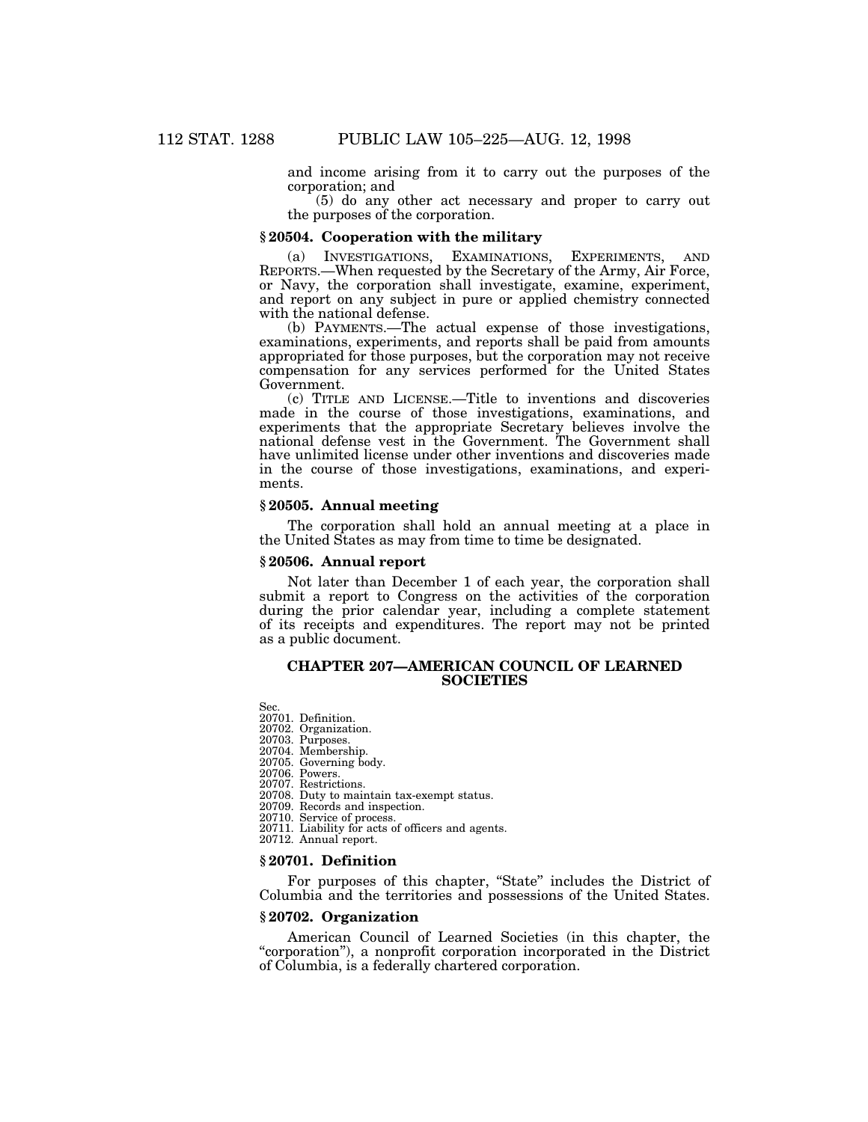and income arising from it to carry out the purposes of the corporation; and

(5) do any other act necessary and proper to carry out the purposes of the corporation.

#### **§ 20504. Cooperation with the military**

(a) INVESTIGATIONS, EXAMINATIONS, EXPERIMENTS, AND REPORTS.—When requested by the Secretary of the Army, Air Force, or Navy, the corporation shall investigate, examine, experiment, and report on any subject in pure or applied chemistry connected with the national defense.

(b) PAYMENTS.—The actual expense of those investigations, examinations, experiments, and reports shall be paid from amounts appropriated for those purposes, but the corporation may not receive compensation for any services performed for the United States Government.

(c) TITLE AND LICENSE.—Title to inventions and discoveries made in the course of those investigations, examinations, and experiments that the appropriate Secretary believes involve the national defense vest in the Government. The Government shall have unlimited license under other inventions and discoveries made in the course of those investigations, examinations, and experiments.

### **§ 20505. Annual meeting**

The corporation shall hold an annual meeting at a place in the United States as may from time to time be designated.

### **§ 20506. Annual report**

Not later than December 1 of each year, the corporation shall submit a report to Congress on the activities of the corporation during the prior calendar year, including a complete statement of its receipts and expenditures. The report may not be printed as a public document.

# **CHAPTER 207—AMERICAN COUNCIL OF LEARNED SOCIETIES**

Sec.

20701. Definition.

20702. Organization. 20703. Purposes.

20704. Membership. 20705. Governing body. 20706. Powers.

20707. Restrictions. 20708. Duty to maintain tax-exempt status.

20709. Records and inspection.

20710. Service of process. 20711. Liability for acts of officers and agents. 20712. Annual report.

### **§ 20701. Definition**

For purposes of this chapter, "State" includes the District of Columbia and the territories and possessions of the United States.

### **§ 20702. Organization**

American Council of Learned Societies (in this chapter, the ''corporation''), a nonprofit corporation incorporated in the District of Columbia, is a federally chartered corporation.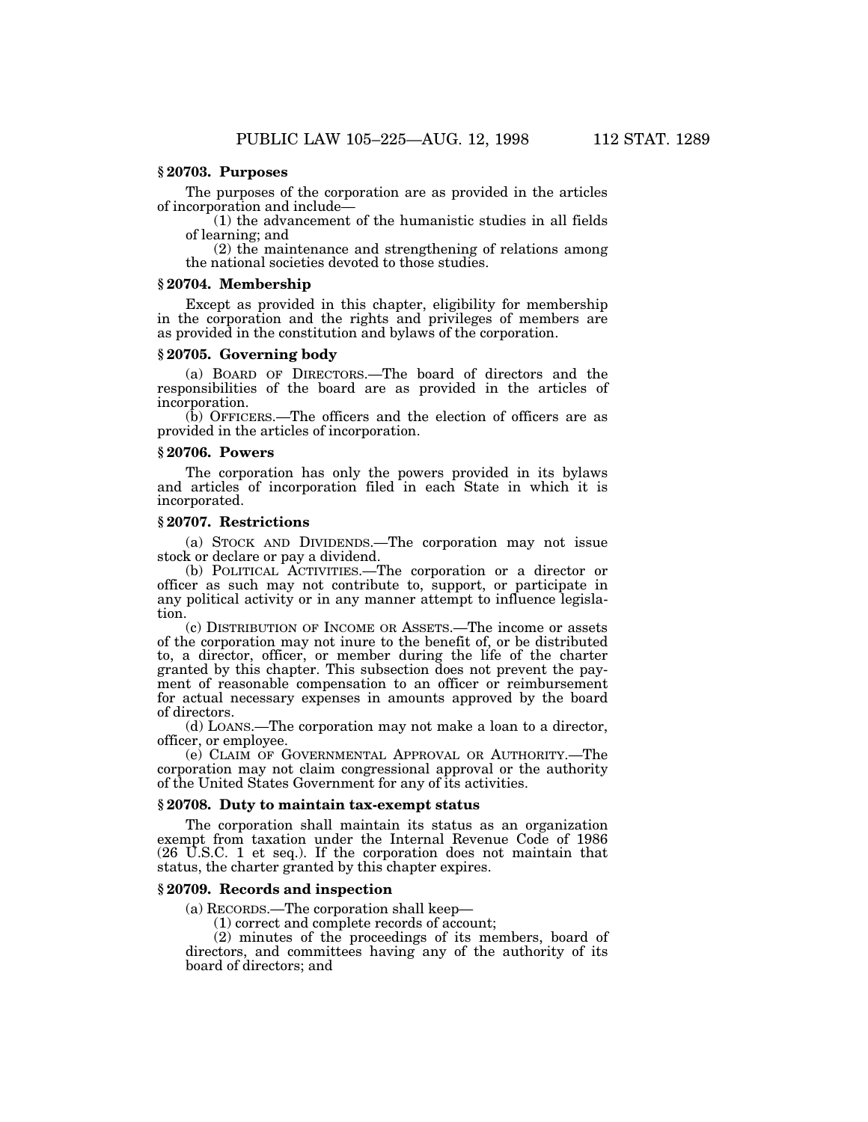## **§ 20703. Purposes**

The purposes of the corporation are as provided in the articles of incorporation and include—

(1) the advancement of the humanistic studies in all fields of learning; and

(2) the maintenance and strengthening of relations among the national societies devoted to those studies.

#### **§ 20704. Membership**

Except as provided in this chapter, eligibility for membership in the corporation and the rights and privileges of members are as provided in the constitution and bylaws of the corporation.

#### **§ 20705. Governing body**

(a) BOARD OF DIRECTORS.—The board of directors and the responsibilities of the board are as provided in the articles of incorporation.

(b) OFFICERS.—The officers and the election of officers are as provided in the articles of incorporation.

#### **§ 20706. Powers**

The corporation has only the powers provided in its bylaws and articles of incorporation filed in each State in which it is incorporated.

## **§ 20707. Restrictions**

(a) STOCK AND DIVIDENDS.—The corporation may not issue stock or declare or pay a dividend.

(b) POLITICAL ACTIVITIES.—The corporation or a director or officer as such may not contribute to, support, or participate in any political activity or in any manner attempt to influence legislation.

(c) DISTRIBUTION OF INCOME OR ASSETS.—The income or assets of the corporation may not inure to the benefit of, or be distributed to, a director, officer, or member during the life of the charter granted by this chapter. This subsection does not prevent the payment of reasonable compensation to an officer or reimbursement for actual necessary expenses in amounts approved by the board of directors.

(d) LOANS.—The corporation may not make a loan to a director, officer, or employee.

(e) CLAIM OF GOVERNMENTAL APPROVAL OR AUTHORITY.—The corporation may not claim congressional approval or the authority of the United States Government for any of its activities.

## **§ 20708. Duty to maintain tax-exempt status**

The corporation shall maintain its status as an organization exempt from taxation under the Internal Revenue Code of 1986 (26 U.S.C. 1 et seq.). If the corporation does not maintain that status, the charter granted by this chapter expires.

## **§ 20709. Records and inspection**

(a) RECORDS.—The corporation shall keep—

(1) correct and complete records of account;

(2) minutes of the proceedings of its members, board of directors, and committees having any of the authority of its board of directors; and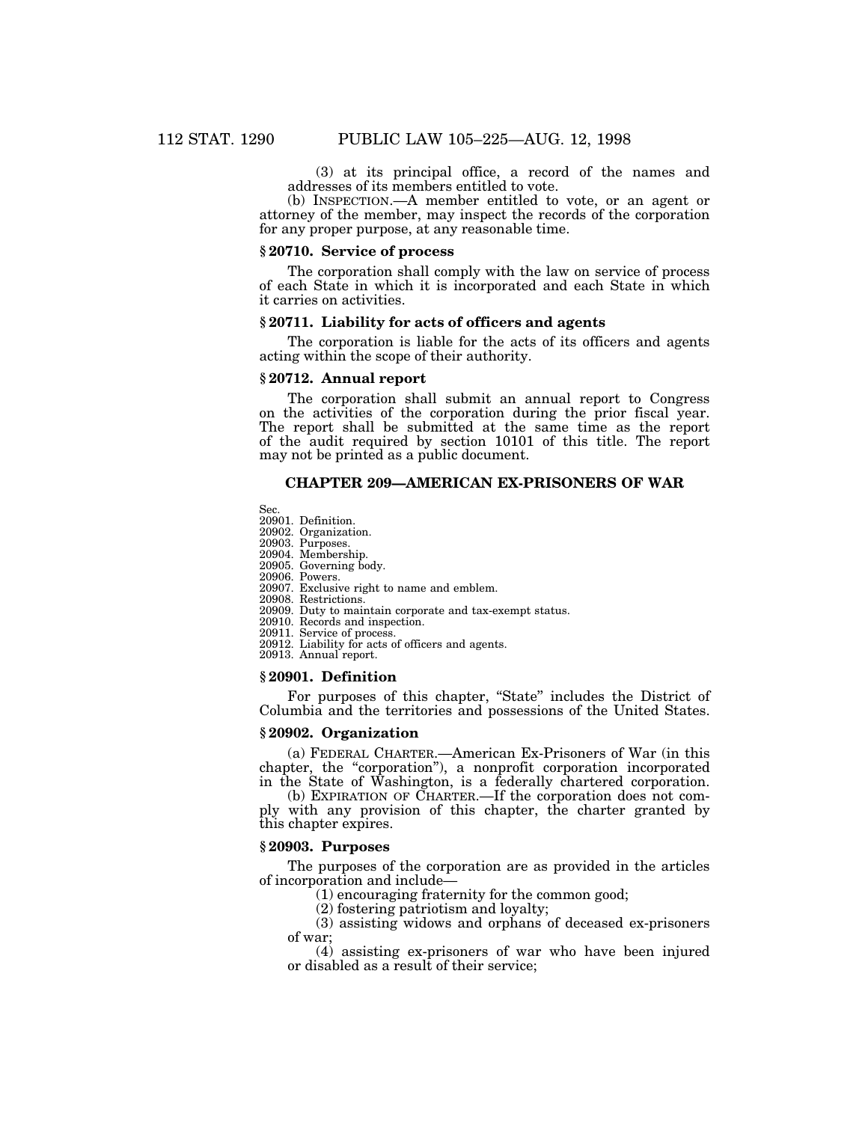(3) at its principal office, a record of the names and addresses of its members entitled to vote.

(b) INSPECTION.—A member entitled to vote, or an agent or attorney of the member, may inspect the records of the corporation for any proper purpose, at any reasonable time.

#### **§ 20710. Service of process**

The corporation shall comply with the law on service of process of each State in which it is incorporated and each State in which it carries on activities.

## **§ 20711. Liability for acts of officers and agents**

The corporation is liable for the acts of its officers and agents acting within the scope of their authority.

#### **§ 20712. Annual report**

The corporation shall submit an annual report to Congress on the activities of the corporation during the prior fiscal year. The report shall be submitted at the same time as the report of the audit required by section 10101 of this title. The report may not be printed as a public document.

## **CHAPTER 209—AMERICAN EX-PRISONERS OF WAR**

Sec.

20901. Definition. 20902. Organization. 20903. Purposes. 20904. Membership. 20905. Governing body.

20906. Powers. 20907. Exclusive right to name and emblem.

20908. Restrictions. 20909. Duty to maintain corporate and tax-exempt status.

20910. Records and inspection. 20911. Service of process.

20912. Liability for acts of officers and agents. 20913. Annual report.

#### **§ 20901. Definition**

For purposes of this chapter, "State" includes the District of Columbia and the territories and possessions of the United States.

### **§ 20902. Organization**

(a) FEDERAL CHARTER.—American Ex-Prisoners of War (in this chapter, the ''corporation''), a nonprofit corporation incorporated in the State of Washington, is a federally chartered corporation.

(b) EXPIRATION OF CHARTER.—If the corporation does not comply with any provision of this chapter, the charter granted by this chapter expires.

#### **§ 20903. Purposes**

The purposes of the corporation are as provided in the articles of incorporation and include—

(1) encouraging fraternity for the common good;

(2) fostering patriotism and loyalty;

(3) assisting widows and orphans of deceased ex-prisoners of war;

(4) assisting ex-prisoners of war who have been injured or disabled as a result of their service;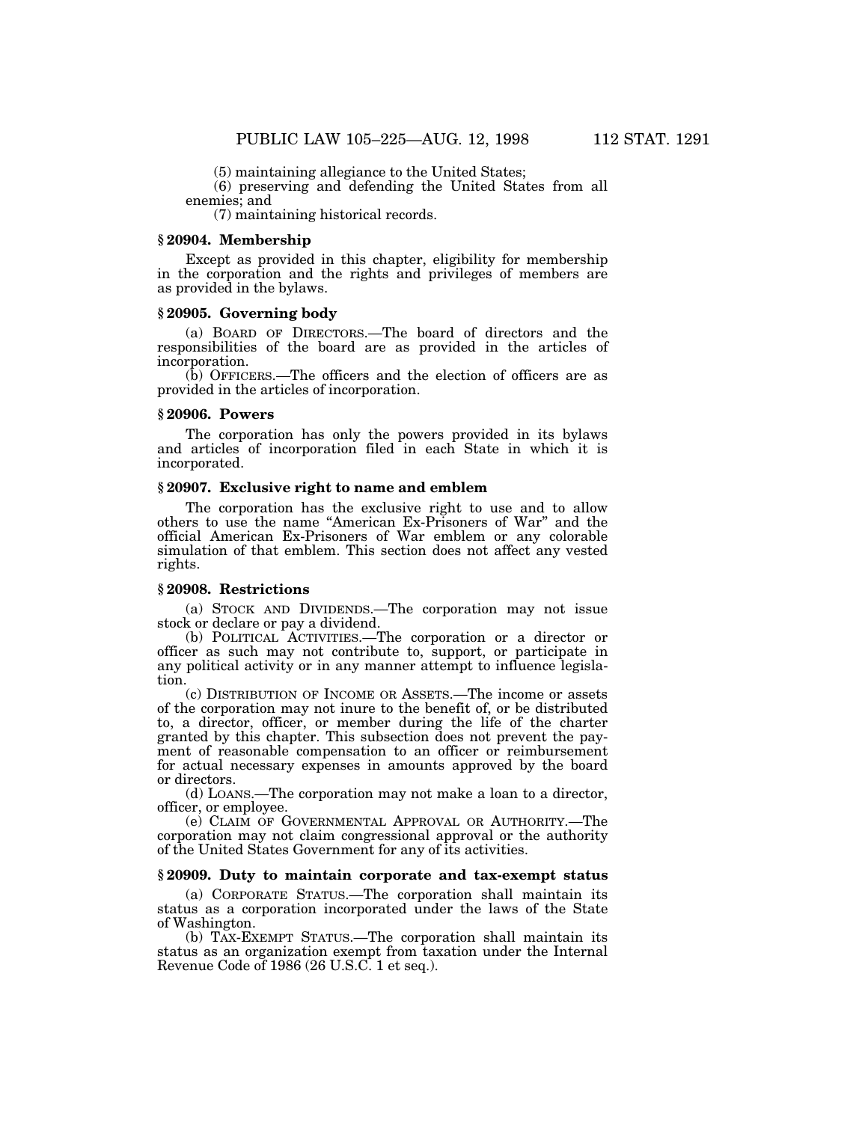(5) maintaining allegiance to the United States;

(6) preserving and defending the United States from all enemies; and

(7) maintaining historical records.

### **§ 20904. Membership**

Except as provided in this chapter, eligibility for membership in the corporation and the rights and privileges of members are as provided in the bylaws.

## **§ 20905. Governing body**

(a) BOARD OF DIRECTORS.—The board of directors and the responsibilities of the board are as provided in the articles of incorporation.

(b) OFFICERS.—The officers and the election of officers are as provided in the articles of incorporation.

#### **§ 20906. Powers**

The corporation has only the powers provided in its bylaws and articles of incorporation filed in each State in which it is incorporated.

## **§ 20907. Exclusive right to name and emblem**

The corporation has the exclusive right to use and to allow others to use the name ''American Ex-Prisoners of War'' and the official American Ex-Prisoners of War emblem or any colorable simulation of that emblem. This section does not affect any vested rights.

### **§ 20908. Restrictions**

(a) STOCK AND DIVIDENDS.—The corporation may not issue stock or declare or pay a dividend.

(b) POLITICAL ACTIVITIES.—The corporation or a director or officer as such may not contribute to, support, or participate in any political activity or in any manner attempt to influence legislation.

(c) DISTRIBUTION OF INCOME OR ASSETS.—The income or assets of the corporation may not inure to the benefit of, or be distributed to, a director, officer, or member during the life of the charter granted by this chapter. This subsection does not prevent the payment of reasonable compensation to an officer or reimbursement for actual necessary expenses in amounts approved by the board or directors.

(d) LOANS.—The corporation may not make a loan to a director, officer, or employee.

(e) CLAIM OF GOVERNMENTAL APPROVAL OR AUTHORITY.—The corporation may not claim congressional approval or the authority of the United States Government for any of its activities.

## **§ 20909. Duty to maintain corporate and tax-exempt status**

(a) CORPORATE STATUS.—The corporation shall maintain its status as a corporation incorporated under the laws of the State of Washington.

(b) TAX-EXEMPT STATUS.—The corporation shall maintain its status as an organization exempt from taxation under the Internal Revenue Code of 1986 (26 U.S.C. 1 et seq.).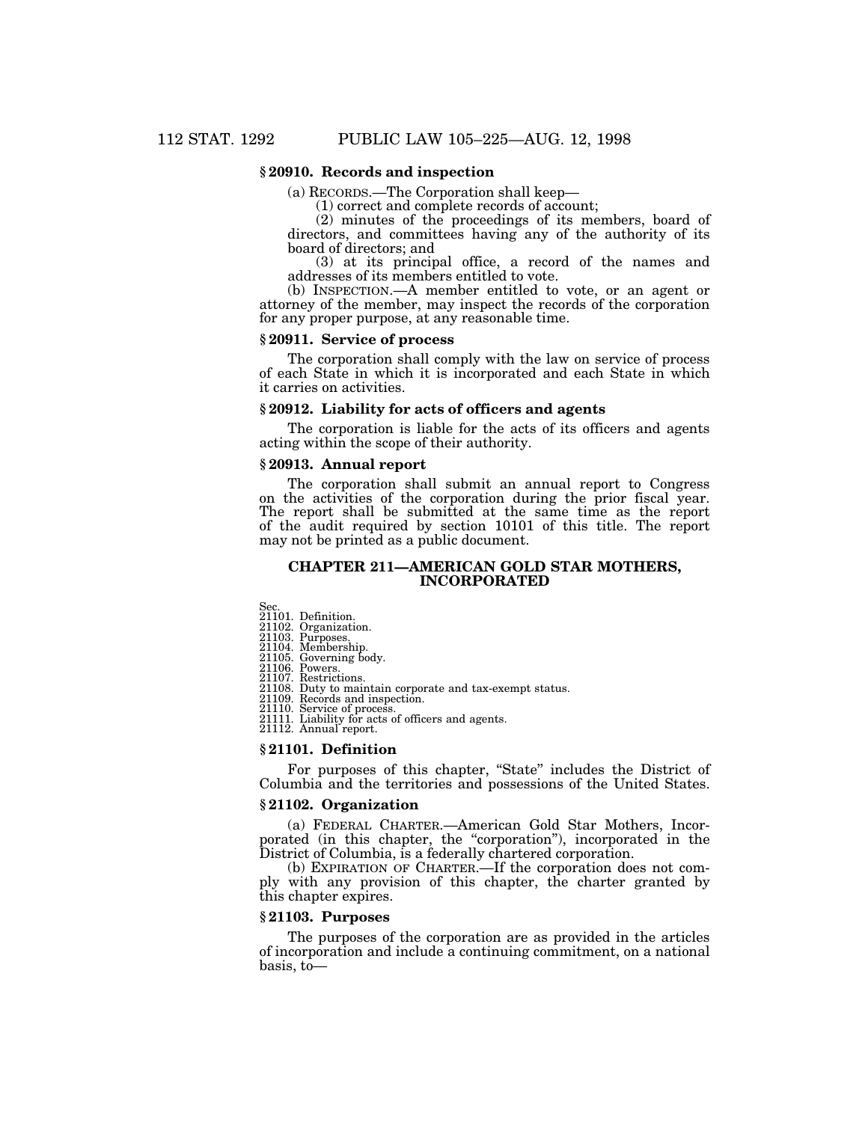## **§ 20910. Records and inspection**

(a) RECORDS.—The Corporation shall keep—

(1) correct and complete records of account;

(2) minutes of the proceedings of its members, board of directors, and committees having any of the authority of its board of directors; and

(3) at its principal office, a record of the names and addresses of its members entitled to vote.

(b) INSPECTION.—A member entitled to vote, or an agent or attorney of the member, may inspect the records of the corporation for any proper purpose, at any reasonable time.

### **§ 20911. Service of process**

The corporation shall comply with the law on service of process of each State in which it is incorporated and each State in which it carries on activities.

### **§ 20912. Liability for acts of officers and agents**

The corporation is liable for the acts of its officers and agents acting within the scope of their authority.

## **§ 20913. Annual report**

The corporation shall submit an annual report to Congress on the activities of the corporation during the prior fiscal year. The report shall be submitted at the same time as the report of the audit required by section 10101 of this title. The report may not be printed as a public document.

# **CHAPTER 211—AMERICAN GOLD STAR MOTHERS, INCORPORATED**

Sec.<br>21101. Definition.<br>21102. Organization.<br>21103. Purposes.<br>21104. Membership.<br>21105. Governing body.<br>21106. Powers.<br>21107. Restrictions.<br>21108. Records and inspection.<br>21109. Records and inspection.<br>21110. Service of pr

21110. Service of process.<br>21111. Liability for acts of officers and agents.

21112. Annual report.

#### **§ 21101. Definition**

For purposes of this chapter, "State" includes the District of Columbia and the territories and possessions of the United States.

### **§ 21102. Organization**

(a) FEDERAL CHARTER.—American Gold Star Mothers, Incorporated (in this chapter, the ''corporation''), incorporated in the District of Columbia, is a federally chartered corporation.

(b) EXPIRATION OF CHARTER.—If the corporation does not comply with any provision of this chapter, the charter granted by this chapter expires.

## **§ 21103. Purposes**

The purposes of the corporation are as provided in the articles of incorporation and include a continuing commitment, on a national basis, to—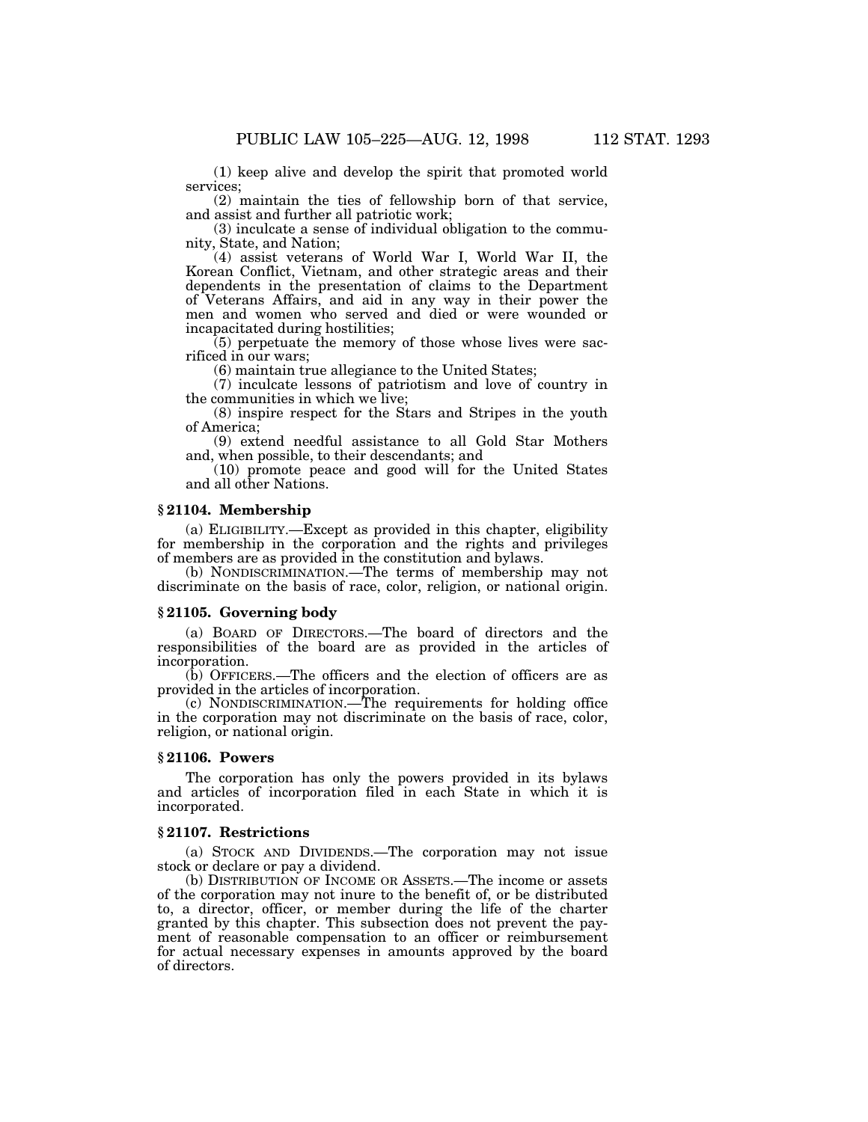(1) keep alive and develop the spirit that promoted world services;

(2) maintain the ties of fellowship born of that service, and assist and further all patriotic work;

(3) inculcate a sense of individual obligation to the community, State, and Nation;

(4) assist veterans of World War I, World War II, the Korean Conflict, Vietnam, and other strategic areas and their dependents in the presentation of claims to the Department of Veterans Affairs, and aid in any way in their power the men and women who served and died or were wounded or incapacitated during hostilities;

(5) perpetuate the memory of those whose lives were sacrificed in our wars;

(6) maintain true allegiance to the United States;

(7) inculcate lessons of patriotism and love of country in the communities in which we live;

(8) inspire respect for the Stars and Stripes in the youth of America;

(9) extend needful assistance to all Gold Star Mothers and, when possible, to their descendants; and

(10) promote peace and good will for the United States and all other Nations.

### **§ 21104. Membership**

(a) ELIGIBILITY.—Except as provided in this chapter, eligibility for membership in the corporation and the rights and privileges of members are as provided in the constitution and bylaws.

(b) NONDISCRIMINATION.—The terms of membership may not discriminate on the basis of race, color, religion, or national origin.

#### **§ 21105. Governing body**

(a) BOARD OF DIRECTORS.—The board of directors and the responsibilities of the board are as provided in the articles of incorporation.

(b) OFFICERS.—The officers and the election of officers are as provided in the articles of incorporation.

(c) NONDISCRIMINATION.—The requirements for holding office in the corporation may not discriminate on the basis of race, color, religion, or national origin.

#### **§ 21106. Powers**

The corporation has only the powers provided in its bylaws and articles of incorporation filed in each State in which it is incorporated.

#### **§ 21107. Restrictions**

(a) STOCK AND DIVIDENDS.—The corporation may not issue stock or declare or pay a dividend.

(b) DISTRIBUTION OF INCOME OR ASSETS.—The income or assets of the corporation may not inure to the benefit of, or be distributed to, a director, officer, or member during the life of the charter granted by this chapter. This subsection does not prevent the payment of reasonable compensation to an officer or reimbursement for actual necessary expenses in amounts approved by the board of directors.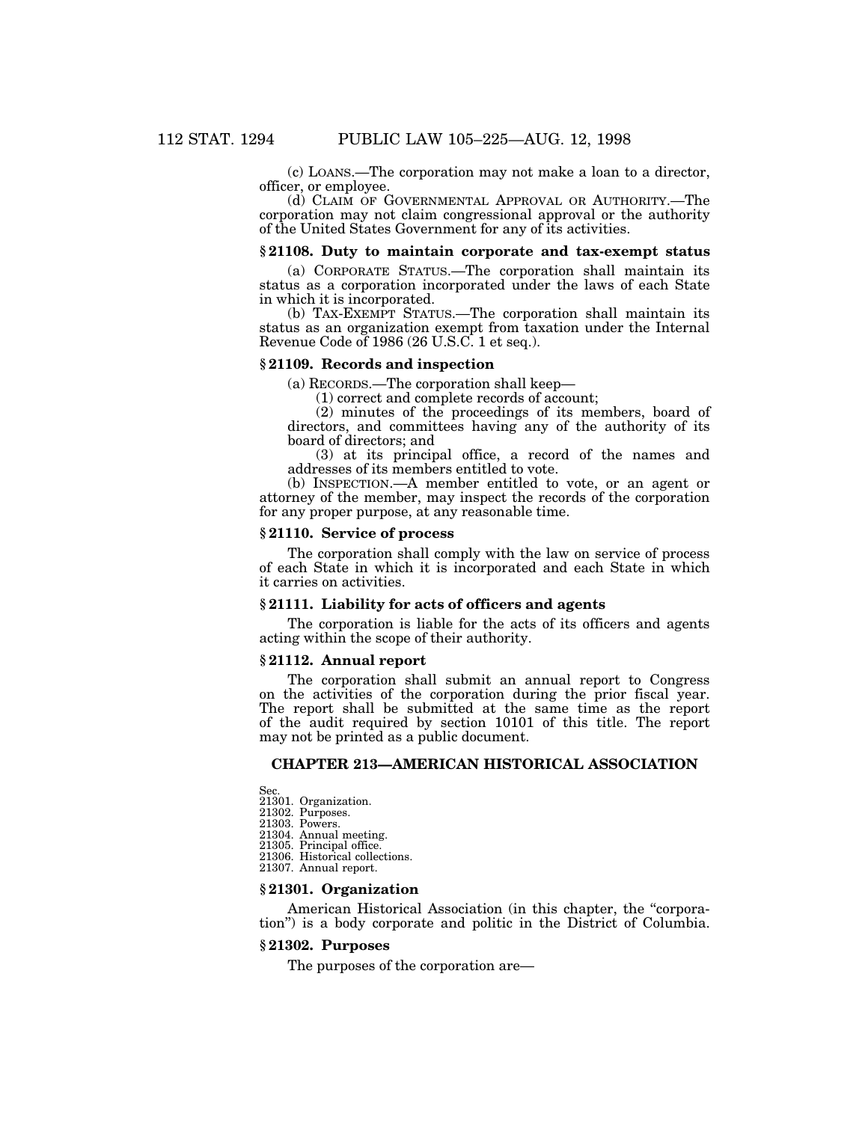(c) LOANS.—The corporation may not make a loan to a director, officer, or employee.

(d) CLAIM OF GOVERNMENTAL APPROVAL OR AUTHORITY.—The corporation may not claim congressional approval or the authority of the United States Government for any of its activities.

#### **§ 21108. Duty to maintain corporate and tax-exempt status**

(a) CORPORATE STATUS.—The corporation shall maintain its status as a corporation incorporated under the laws of each State in which it is incorporated.

(b) TAX-EXEMPT STATUS.—The corporation shall maintain its status as an organization exempt from taxation under the Internal Revenue Code of 1986 (26 U.S.C. 1 et seq.).

## **§ 21109. Records and inspection**

(a) RECORDS.—The corporation shall keep—

(1) correct and complete records of account;

(2) minutes of the proceedings of its members, board of directors, and committees having any of the authority of its board of directors; and

(3) at its principal office, a record of the names and addresses of its members entitled to vote.

(b) INSPECTION.—A member entitled to vote, or an agent or attorney of the member, may inspect the records of the corporation for any proper purpose, at any reasonable time.

#### **§ 21110. Service of process**

The corporation shall comply with the law on service of process of each State in which it is incorporated and each State in which it carries on activities.

# **§ 21111. Liability for acts of officers and agents**

The corporation is liable for the acts of its officers and agents acting within the scope of their authority.

## **§ 21112. Annual report**

The corporation shall submit an annual report to Congress on the activities of the corporation during the prior fiscal year. The report shall be submitted at the same time as the report of the audit required by section 10101 of this title. The report may not be printed as a public document.

# **CHAPTER 213—AMERICAN HISTORICAL ASSOCIATION**

Sec. 21301. Organization. 21302. Purposes. 21303. Powers. 21304. Annual meeting. 21305. Principal office. 21306. Historical collections.

21307. Annual report.

#### **§ 21301. Organization**

American Historical Association (in this chapter, the "corporation'') is a body corporate and politic in the District of Columbia.

#### **§ 21302. Purposes**

The purposes of the corporation are—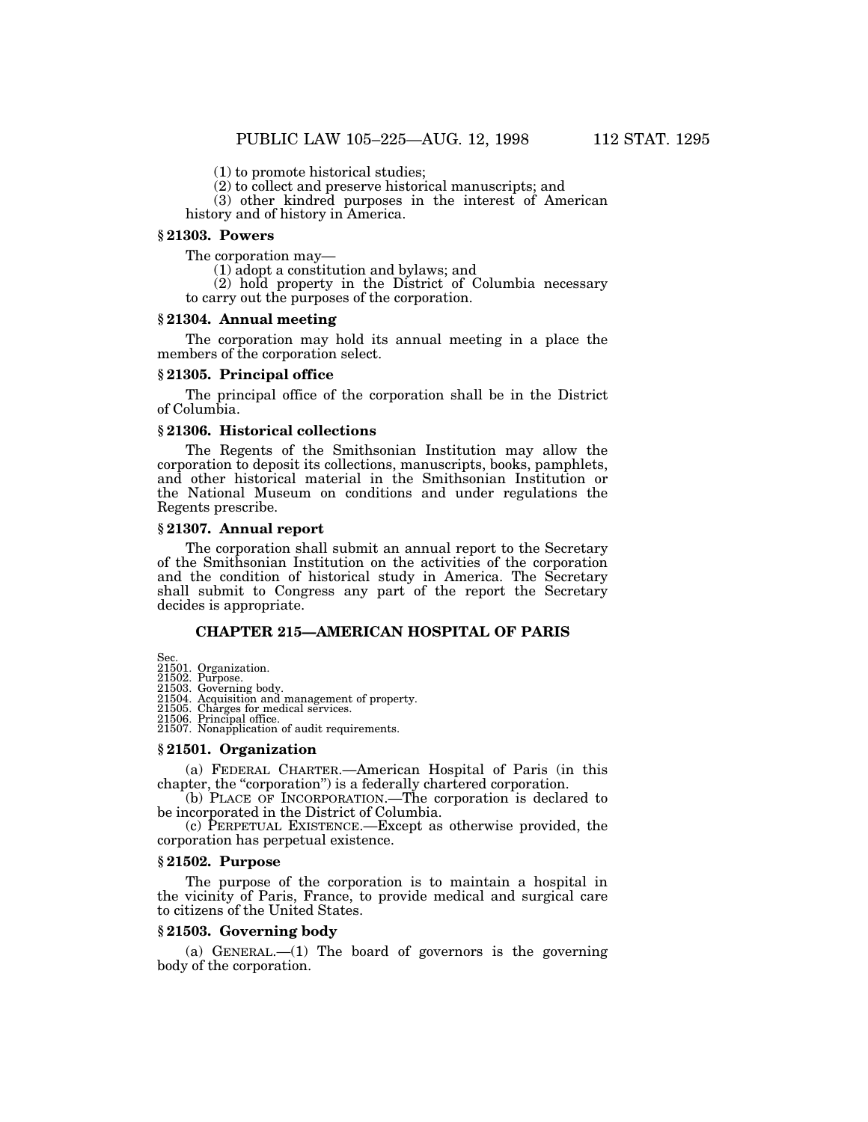(1) to promote historical studies;

(2) to collect and preserve historical manuscripts; and

(3) other kindred purposes in the interest of American history and of history in America.

#### **§ 21303. Powers**

The corporation may—

(1) adopt a constitution and bylaws; and

(2) hold property in the District of Columbia necessary to carry out the purposes of the corporation.

### **§ 21304. Annual meeting**

The corporation may hold its annual meeting in a place the members of the corporation select.

#### **§ 21305. Principal office**

The principal office of the corporation shall be in the District of Columbia.

## **§ 21306. Historical collections**

The Regents of the Smithsonian Institution may allow the corporation to deposit its collections, manuscripts, books, pamphlets, and other historical material in the Smithsonian Institution or the National Museum on conditions and under regulations the Regents prescribe.

# **§ 21307. Annual report**

The corporation shall submit an annual report to the Secretary of the Smithsonian Institution on the activities of the corporation and the condition of historical study in America. The Secretary shall submit to Congress any part of the report the Secretary decides is appropriate.

## **CHAPTER 215—AMERICAN HOSPITAL OF PARIS**

Sec. 21501. Organization. 21502. Purpose. 21503. Governing body. 21504. Acquisition and management of property. 21505. Charges for medical services. 21506. Principal office. 21507. Nonapplication of audit requirements.

#### **§ 21501. Organization**

(a) FEDERAL CHARTER.—American Hospital of Paris (in this chapter, the ''corporation'') is a federally chartered corporation.

(b) PLACE OF INCORPORATION.—The corporation is declared to be incorporated in the District of Columbia.

(c) PERPETUAL EXISTENCE.—Except as otherwise provided, the corporation has perpetual existence.

### **§ 21502. Purpose**

The purpose of the corporation is to maintain a hospital in the vicinity of Paris, France, to provide medical and surgical care to citizens of the United States.

#### **§ 21503. Governing body**

(a) GENERAL. $-(1)$  The board of governors is the governing body of the corporation.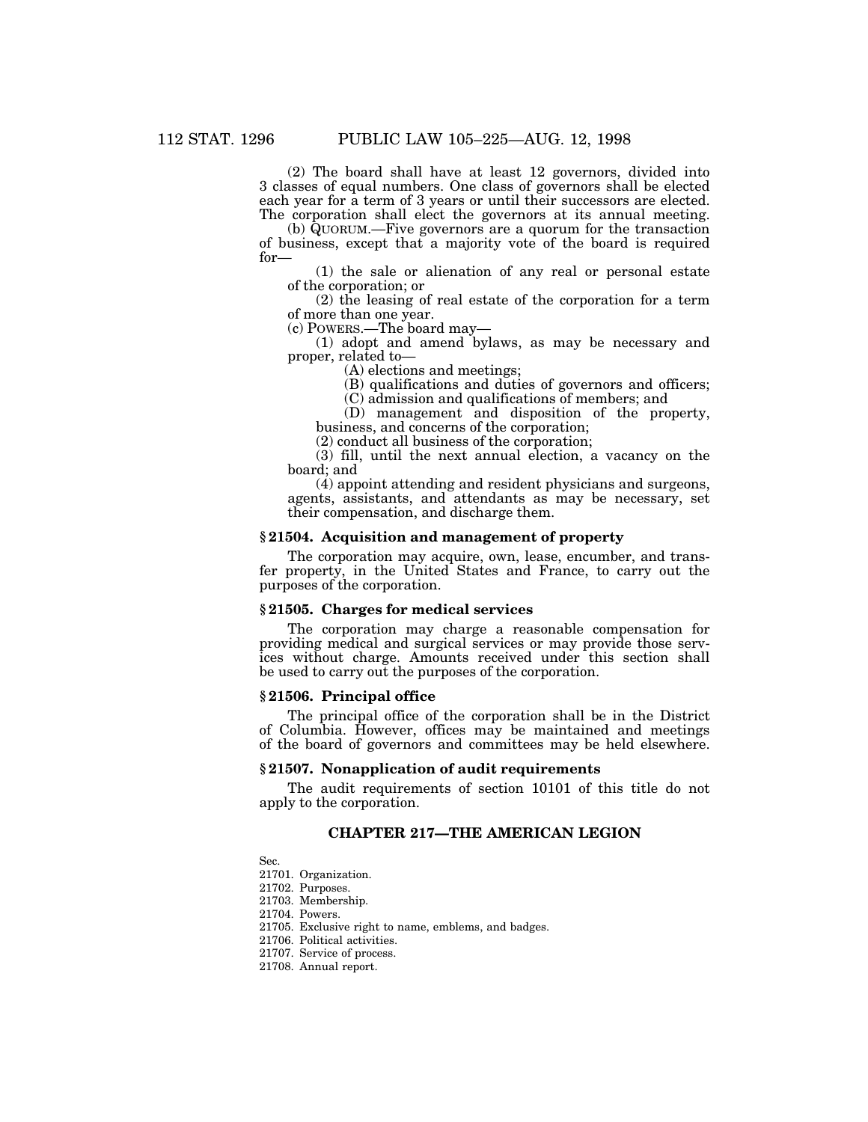(2) The board shall have at least 12 governors, divided into 3 classes of equal numbers. One class of governors shall be elected each year for a term of 3 years or until their successors are elected. The corporation shall elect the governors at its annual meeting.

(b) QUORUM.—Five governors are a quorum for the transaction of business, except that a majority vote of the board is required for—

(1) the sale or alienation of any real or personal estate of the corporation; or

(2) the leasing of real estate of the corporation for a term of more than one year.

(c) POWERS.—The board may—

(1) adopt and amend bylaws, as may be necessary and proper, related to—

(A) elections and meetings;

(B) qualifications and duties of governors and officers;

(C) admission and qualifications of members; and

(D) management and disposition of the property, business, and concerns of the corporation;

(2) conduct all business of the corporation;

(3) fill, until the next annual election, a vacancy on the board; and

(4) appoint attending and resident physicians and surgeons, agents, assistants, and attendants as may be necessary, set their compensation, and discharge them.

### **§ 21504. Acquisition and management of property**

The corporation may acquire, own, lease, encumber, and transfer property, in the United States and France, to carry out the purposes of the corporation.

#### **§ 21505. Charges for medical services**

The corporation may charge a reasonable compensation for providing medical and surgical services or may provide those services without charge. Amounts received under this section shall be used to carry out the purposes of the corporation.

#### **§ 21506. Principal office**

The principal office of the corporation shall be in the District of Columbia. However, offices may be maintained and meetings of the board of governors and committees may be held elsewhere.

## **§ 21507. Nonapplication of audit requirements**

The audit requirements of section 10101 of this title do not apply to the corporation.

## **CHAPTER 217—THE AMERICAN LEGION**

- Sec.
- 21701. Organization.
- 21702. Purposes.
- 21703. Membership.
- 21704. Powers.
- 21705. Exclusive right to name, emblems, and badges.
- 21706. Political activities.
- 21707. Service of process.
- 21708. Annual report.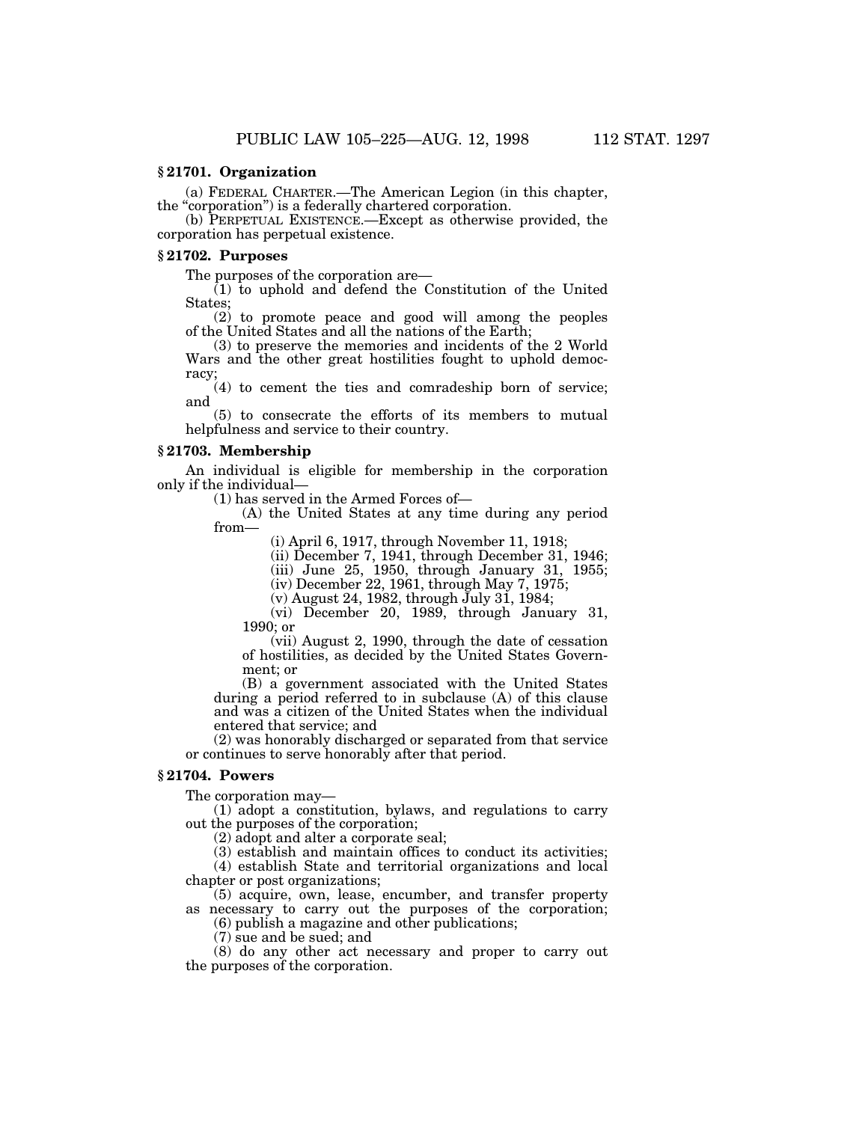## **§ 21701. Organization**

(a) FEDERAL CHARTER.—The American Legion (in this chapter, the ''corporation'') is a federally chartered corporation.

(b) PERPETUAL EXISTENCE.—Except as otherwise provided, the corporation has perpetual existence.

# **§ 21702. Purposes**

The purposes of the corporation are—

 $(1)$  to uphold and defend the Constitution of the United States;

(2) to promote peace and good will among the peoples of the United States and all the nations of the Earth;

(3) to preserve the memories and incidents of the 2 World Wars and the other great hostilities fought to uphold democracy;

(4) to cement the ties and comradeship born of service; and

(5) to consecrate the efforts of its members to mutual helpfulness and service to their country.

### **§ 21703. Membership**

An individual is eligible for membership in the corporation only if the individual—

(1) has served in the Armed Forces of—

(A) the United States at any time during any period from—

(i) April 6, 1917, through November 11, 1918;

(ii) December 7, 1941, through December 31, 1946;

(iii) June 25, 1950, through January 31, 1955;

(iv) December 22, 1961, through May 7, 1975;

(v) August 24, 1982, through July 31, 1984;

(vi) December 20, 1989, through January 31, 1990; or

(vii) August 2, 1990, through the date of cessation of hostilities, as decided by the United States Government; or

(B) a government associated with the United States during a period referred to in subclause (A) of this clause and was a citizen of the United States when the individual entered that service; and

(2) was honorably discharged or separated from that service or continues to serve honorably after that period.

#### **§ 21704. Powers**

The corporation may—

(1) adopt a constitution, bylaws, and regulations to carry out the purposes of the corporation;

(2) adopt and alter a corporate seal;

(3) establish and maintain offices to conduct its activities; (4) establish State and territorial organizations and local chapter or post organizations;

(5) acquire, own, lease, encumber, and transfer property

as necessary to carry out the purposes of the corporation; (6) publish a magazine and other publications;

(7) sue and be sued; and

(8) do any other act necessary and proper to carry out the purposes of the corporation.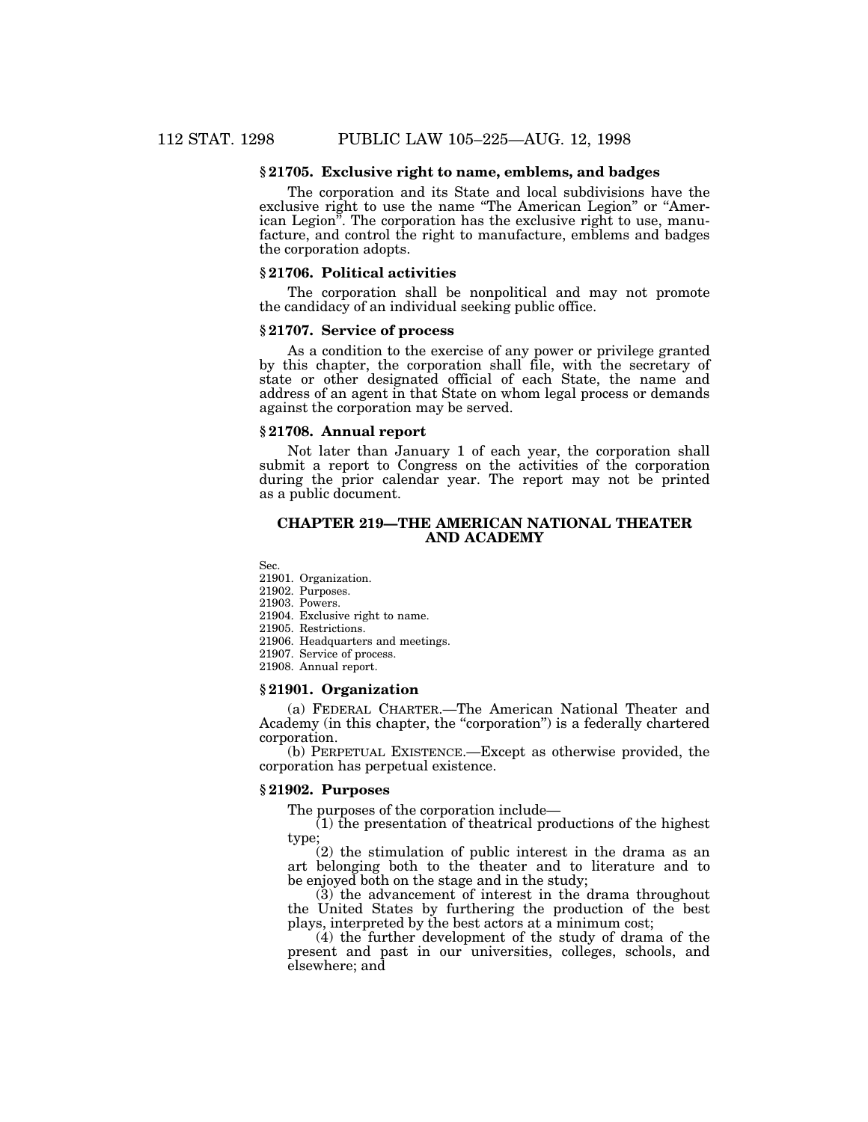## **§ 21705. Exclusive right to name, emblems, and badges**

The corporation and its State and local subdivisions have the exclusive right to use the name "The American Legion" or "American Legion''. The corporation has the exclusive right to use, manufacture, and control the right to manufacture, emblems and badges the corporation adopts.

#### **§ 21706. Political activities**

The corporation shall be nonpolitical and may not promote the candidacy of an individual seeking public office.

#### **§ 21707. Service of process**

As a condition to the exercise of any power or privilege granted by this chapter, the corporation shall file, with the secretary of state or other designated official of each State, the name and address of an agent in that State on whom legal process or demands against the corporation may be served.

#### **§ 21708. Annual report**

Not later than January 1 of each year, the corporation shall submit a report to Congress on the activities of the corporation during the prior calendar year. The report may not be printed as a public document.

## **CHAPTER 219—THE AMERICAN NATIONAL THEATER AND ACADEMY**

Sec.

21901. Organization.

21902. Purposes.

21903. Powers.

21904. Exclusive right to name.

21905. Restrictions.

21906. Headquarters and meetings.

21907. Service of process.

21908. Annual report.

#### **§ 21901. Organization**

(a) FEDERAL CHARTER.—The American National Theater and Academy (in this chapter, the ''corporation'') is a federally chartered corporation.

(b) PERPETUAL EXISTENCE.—Except as otherwise provided, the corporation has perpetual existence.

### **§ 21902. Purposes**

The purposes of the corporation include—

 $(1)$  the presentation of theatrical productions of the highest type;

(2) the stimulation of public interest in the drama as an art belonging both to the theater and to literature and to be enjoyed both on the stage and in the study;

(3) the advancement of interest in the drama throughout the United States by furthering the production of the best plays, interpreted by the best actors at a minimum cost;

(4) the further development of the study of drama of the present and past in our universities, colleges, schools, and elsewhere; and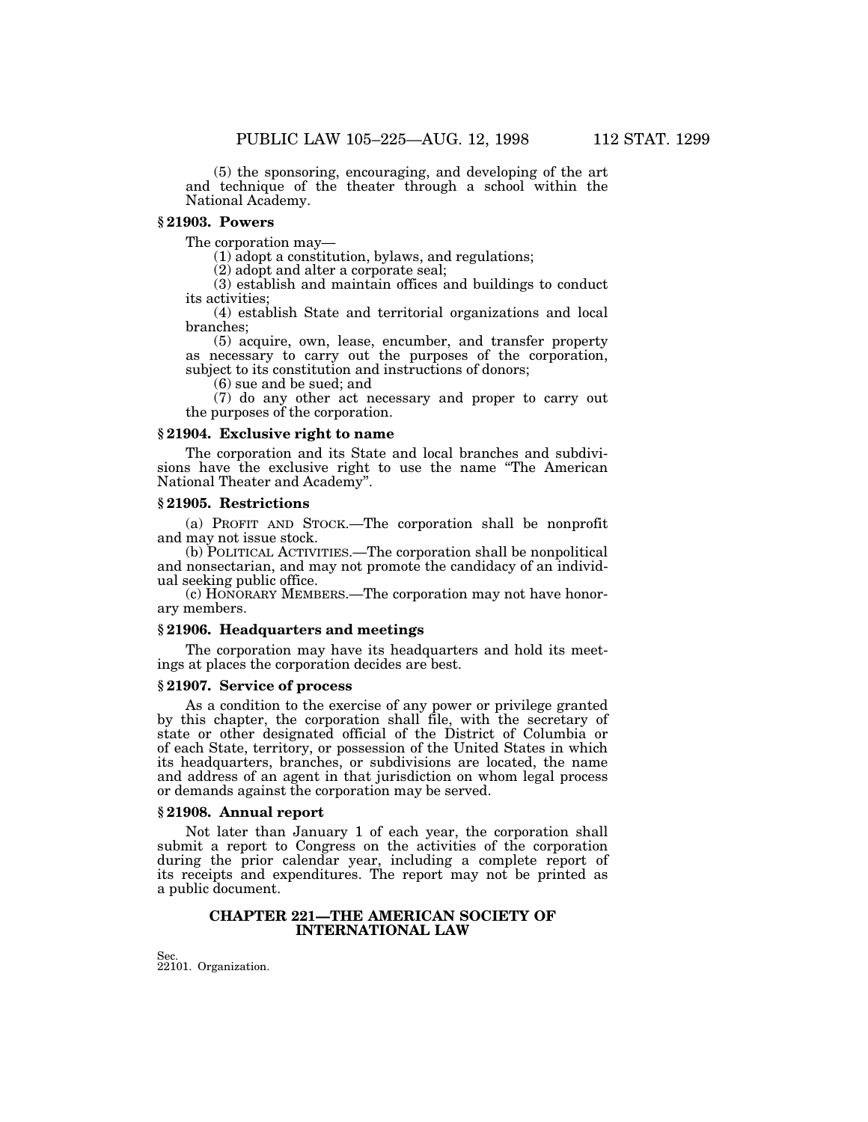(5) the sponsoring, encouraging, and developing of the art and technique of the theater through a school within the National Academy.

## **§ 21903. Powers**

The corporation may—

(1) adopt a constitution, bylaws, and regulations;

(2) adopt and alter a corporate seal;

(3) establish and maintain offices and buildings to conduct its activities;

(4) establish State and territorial organizations and local branches;

(5) acquire, own, lease, encumber, and transfer property as necessary to carry out the purposes of the corporation, subject to its constitution and instructions of donors;

(6) sue and be sued; and

(7) do any other act necessary and proper to carry out the purposes of the corporation.

### **§ 21904. Exclusive right to name**

The corporation and its State and local branches and subdivisions have the exclusive right to use the name "The American" National Theater and Academy''.

## **§ 21905. Restrictions**

(a) PROFIT AND STOCK.—The corporation shall be nonprofit and may not issue stock.

(b) POLITICAL ACTIVITIES.—The corporation shall be nonpolitical and nonsectarian, and may not promote the candidacy of an individual seeking public office.

(c) HONORARY MEMBERS.—The corporation may not have honorary members.

### **§ 21906. Headquarters and meetings**

The corporation may have its headquarters and hold its meetings at places the corporation decides are best.

### **§ 21907. Service of process**

As a condition to the exercise of any power or privilege granted by this chapter, the corporation shall file, with the secretary of state or other designated official of the District of Columbia or of each State, territory, or possession of the United States in which its headquarters, branches, or subdivisions are located, the name and address of an agent in that jurisdiction on whom legal process or demands against the corporation may be served.

## **§ 21908. Annual report**

Not later than January 1 of each year, the corporation shall submit a report to Congress on the activities of the corporation during the prior calendar year, including a complete report of its receipts and expenditures. The report may not be printed as a public document.

#### **CHAPTER 221—THE AMERICAN SOCIETY OF INTERNATIONAL LAW**

Sec. 22101. Organization.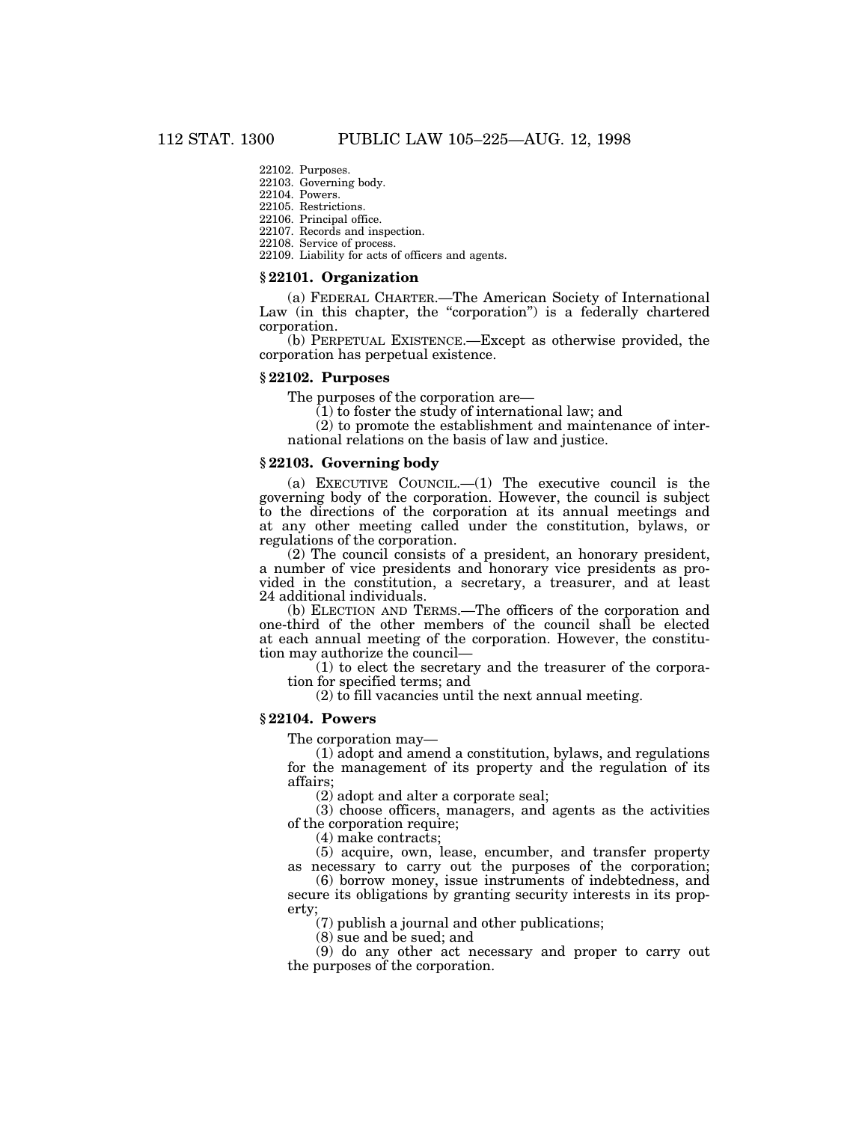22102. Purposes.

22103. Governing body.

22104. Powers. 22105. Restrictions.

22106. Principal office. 22107. Records and inspection.

22108. Service of process.

22109. Liability for acts of officers and agents.

#### **§ 22101. Organization**

(a) FEDERAL CHARTER.—The American Society of International Law (in this chapter, the "corporation") is a federally chartered corporation.

(b) PERPETUAL EXISTENCE.—Except as otherwise provided, the corporation has perpetual existence.

## **§ 22102. Purposes**

The purposes of the corporation are—

 $(1)$  to foster the study of international law; and

(2) to promote the establishment and maintenance of inter-

national relations on the basis of law and justice.

## **§ 22103. Governing body**

(a) EXECUTIVE COUNCIL.—(1) The executive council is the governing body of the corporation. However, the council is subject to the directions of the corporation at its annual meetings and at any other meeting called under the constitution, bylaws, or regulations of the corporation.

(2) The council consists of a president, an honorary president, a number of vice presidents and honorary vice presidents as provided in the constitution, a secretary, a treasurer, and at least 24 additional individuals.

(b) ELECTION AND TERMS.—The officers of the corporation and one-third of the other members of the council shall be elected at each annual meeting of the corporation. However, the constitution may authorize the council—

(1) to elect the secretary and the treasurer of the corporation for specified terms; and

(2) to fill vacancies until the next annual meeting.

#### **§ 22104. Powers**

The corporation may—

(1) adopt and amend a constitution, bylaws, and regulations for the management of its property and the regulation of its affairs;

(2) adopt and alter a corporate seal;

(3) choose officers, managers, and agents as the activities of the corporation require;

(4) make contracts;

(5) acquire, own, lease, encumber, and transfer property as necessary to carry out the purposes of the corporation;

(6) borrow money, issue instruments of indebtedness, and secure its obligations by granting security interests in its property;

(7) publish a journal and other publications;

(8) sue and be sued; and

(9) do any other act necessary and proper to carry out the purposes of the corporation.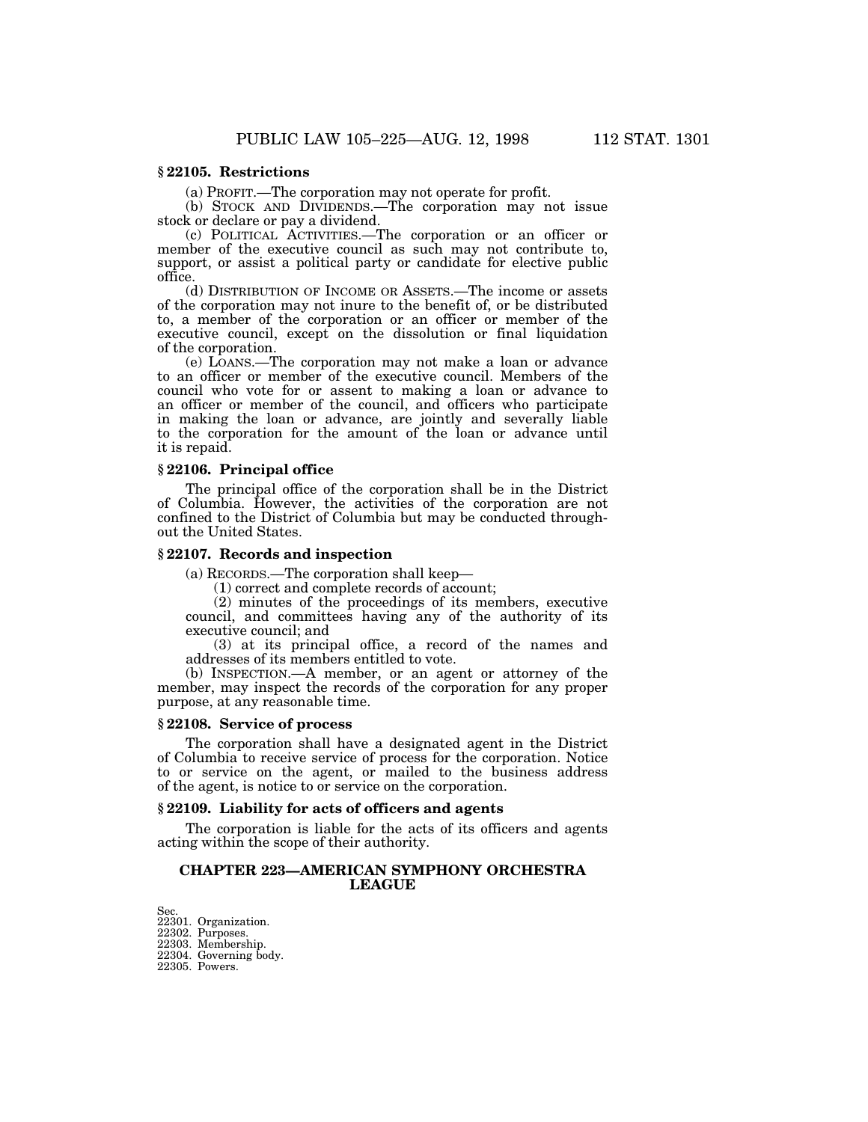## **§ 22105. Restrictions**

(a) PROFIT.—The corporation may not operate for profit.

(b) STOCK AND DIVIDENDS.—The corporation may not issue stock or declare or pay a dividend.

(c) POLITICAL ACTIVITIES.—The corporation or an officer or member of the executive council as such may not contribute to, support, or assist a political party or candidate for elective public office.

(d) DISTRIBUTION OF INCOME OR ASSETS.—The income or assets of the corporation may not inure to the benefit of, or be distributed to, a member of the corporation or an officer or member of the executive council, except on the dissolution or final liquidation of the corporation.

(e) LOANS.—The corporation may not make a loan or advance to an officer or member of the executive council. Members of the council who vote for or assent to making a loan or advance to an officer or member of the council, and officers who participate in making the loan or advance, are jointly and severally liable to the corporation for the amount of the loan or advance until it is repaid.

#### **§ 22106. Principal office**

The principal office of the corporation shall be in the District of Columbia. However, the activities of the corporation are not confined to the District of Columbia but may be conducted throughout the United States.

### **§ 22107. Records and inspection**

(a) RECORDS.—The corporation shall keep—

(1) correct and complete records of account;

(2) minutes of the proceedings of its members, executive council, and committees having any of the authority of its executive council; and

(3) at its principal office, a record of the names and addresses of its members entitled to vote.

(b) INSPECTION.—A member, or an agent or attorney of the member, may inspect the records of the corporation for any proper purpose, at any reasonable time.

## **§ 22108. Service of process**

The corporation shall have a designated agent in the District of Columbia to receive service of process for the corporation. Notice to or service on the agent, or mailed to the business address of the agent, is notice to or service on the corporation.

### **§ 22109. Liability for acts of officers and agents**

The corporation is liable for the acts of its officers and agents acting within the scope of their authority.

#### **CHAPTER 223—AMERICAN SYMPHONY ORCHESTRA LEAGUE**

Sec. 22301. Organization. 22302. Purposes. 22303. Membership. 22304. Governing body. 22305. Powers.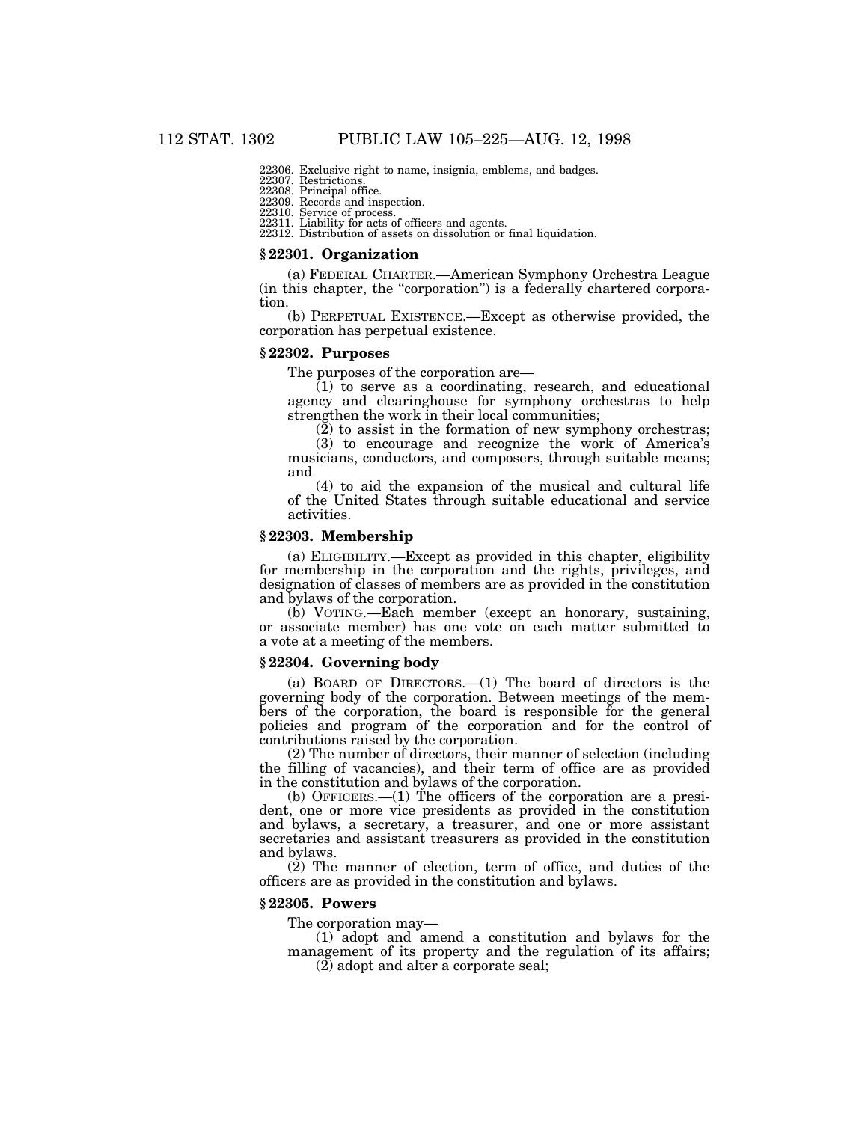22306. Exclusive right to name, insignia, emblems, and badges.

22307. Restrictions. 22308. Principal office.

22309. Records and inspection. 22310. Service of process. 22311. Liability for acts of officers and agents. 22312. Distribution of assets on dissolution or final liquidation.

## **§ 22301. Organization**

(a) FEDERAL CHARTER.—American Symphony Orchestra League (in this chapter, the ''corporation'') is a federally chartered corporation.

(b) PERPETUAL EXISTENCE.—Except as otherwise provided, the corporation has perpetual existence.

#### **§ 22302. Purposes**

The purposes of the corporation are—

(1) to serve as a coordinating, research, and educational agency and clearinghouse for symphony orchestras to help strengthen the work in their local communities;

(2) to assist in the formation of new symphony orchestras;

(3) to encourage and recognize the work of America's musicians, conductors, and composers, through suitable means; and

(4) to aid the expansion of the musical and cultural life of the United States through suitable educational and service activities.

## **§ 22303. Membership**

(a) ELIGIBILITY.—Except as provided in this chapter, eligibility for membership in the corporation and the rights, privileges, and designation of classes of members are as provided in the constitution and bylaws of the corporation.

(b) VOTING.—Each member (except an honorary, sustaining, or associate member) has one vote on each matter submitted to a vote at a meeting of the members.

### **§ 22304. Governing body**

(a) BOARD OF DIRECTORS.—(1) The board of directors is the governing body of the corporation. Between meetings of the members of the corporation, the board is responsible for the general policies and program of the corporation and for the control of contributions raised by the corporation.

(2) The number of directors, their manner of selection (including the filling of vacancies), and their term of office are as provided in the constitution and bylaws of the corporation.

(b) OFFICERS.—(1) The officers of the corporation are a president, one or more vice presidents as provided in the constitution and bylaws, a secretary, a treasurer, and one or more assistant secretaries and assistant treasurers as provided in the constitution and bylaws.

(2) The manner of election, term of office, and duties of the officers are as provided in the constitution and bylaws.

#### **§ 22305. Powers**

The corporation may—

(1) adopt and amend a constitution and bylaws for the management of its property and the regulation of its affairs;  $(2)$  adopt and alter a corporate seal;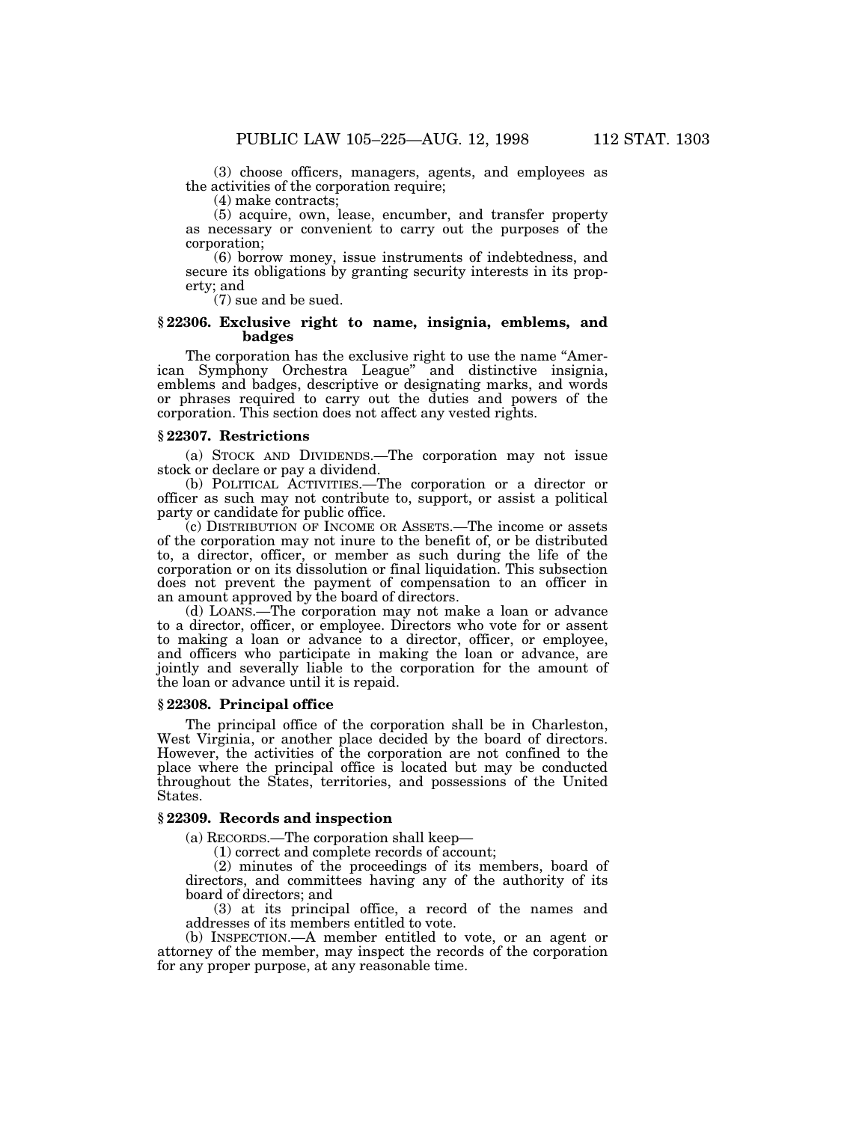(3) choose officers, managers, agents, and employees as the activities of the corporation require;

(4) make contracts;

(5) acquire, own, lease, encumber, and transfer property as necessary or convenient to carry out the purposes of the corporation;

(6) borrow money, issue instruments of indebtedness, and secure its obligations by granting security interests in its property; and

(7) sue and be sued.

### **§ 22306. Exclusive right to name, insignia, emblems, and badges**

The corporation has the exclusive right to use the name ''American Symphony Orchestra League'' and distinctive insignia, emblems and badges, descriptive or designating marks, and words or phrases required to carry out the duties and powers of the corporation. This section does not affect any vested rights.

#### **§ 22307. Restrictions**

(a) STOCK AND DIVIDENDS.—The corporation may not issue stock or declare or pay a dividend.

(b) POLITICAL ACTIVITIES.—The corporation or a director or officer as such may not contribute to, support, or assist a political party or candidate for public office.

(c) DISTRIBUTION OF INCOME OR ASSETS.—The income or assets of the corporation may not inure to the benefit of, or be distributed to, a director, officer, or member as such during the life of the corporation or on its dissolution or final liquidation. This subsection does not prevent the payment of compensation to an officer in an amount approved by the board of directors.

(d) LOANS.—The corporation may not make a loan or advance to a director, officer, or employee. Directors who vote for or assent to making a loan or advance to a director, officer, or employee, and officers who participate in making the loan or advance, are jointly and severally liable to the corporation for the amount of the loan or advance until it is repaid.

#### **§ 22308. Principal office**

The principal office of the corporation shall be in Charleston, West Virginia, or another place decided by the board of directors. However, the activities of the corporation are not confined to the place where the principal office is located but may be conducted throughout the States, territories, and possessions of the United States.

### **§ 22309. Records and inspection**

(a) RECORDS.—The corporation shall keep—

(1) correct and complete records of account;

(2) minutes of the proceedings of its members, board of directors, and committees having any of the authority of its board of directors; and

(3) at its principal office, a record of the names and addresses of its members entitled to vote.

(b) INSPECTION.—A member entitled to vote, or an agent or attorney of the member, may inspect the records of the corporation for any proper purpose, at any reasonable time.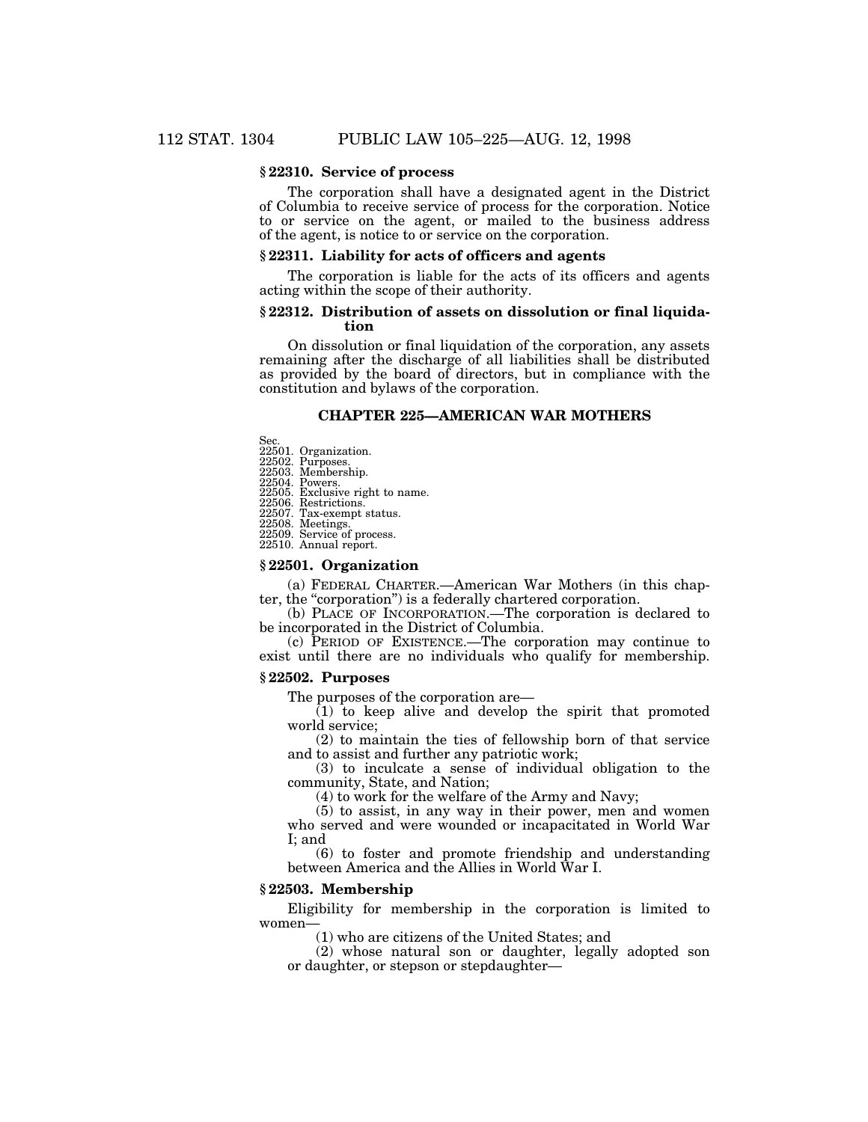## **§ 22310. Service of process**

The corporation shall have a designated agent in the District of Columbia to receive service of process for the corporation. Notice to or service on the agent, or mailed to the business address of the agent, is notice to or service on the corporation.

#### **§ 22311. Liability for acts of officers and agents**

The corporation is liable for the acts of its officers and agents acting within the scope of their authority.

## **§ 22312. Distribution of assets on dissolution or final liquidation**

On dissolution or final liquidation of the corporation, any assets remaining after the discharge of all liabilities shall be distributed as provided by the board of directors, but in compliance with the constitution and bylaws of the corporation.

# **CHAPTER 225—AMERICAN WAR MOTHERS**

Sec. 22501. Organization. 22502. Purposes. 22503. Membership. 22504. Powers. 22505. Exclusive right to name. 22506. Restrictions. 22507. Tax-exempt status. 22508. Meetings. 22509. Service of process.

22510. Annual report.

#### **§ 22501. Organization**

(a) FEDERAL CHARTER.—American War Mothers (in this chapter, the "corporation") is a federally chartered corporation.

(b) PLACE OF INCORPORATION.—The corporation is declared to be incorporated in the District of Columbia.

(c) PERIOD OF EXISTENCE.—The corporation may continue to exist until there are no individuals who qualify for membership.

### **§ 22502. Purposes**

The purposes of the corporation are—

 $(1)$  to keep alive and develop the spirit that promoted world service;

(2) to maintain the ties of fellowship born of that service and to assist and further any patriotic work;

(3) to inculcate a sense of individual obligation to the community, State, and Nation;

(4) to work for the welfare of the Army and Navy;

(5) to assist, in any way in their power, men and women who served and were wounded or incapacitated in World War I; and

(6) to foster and promote friendship and understanding between America and the Allies in World War I.

## **§ 22503. Membership**

Eligibility for membership in the corporation is limited to women—

(1) who are citizens of the United States; and

(2) whose natural son or daughter, legally adopted son or daughter, or stepson or stepdaughter—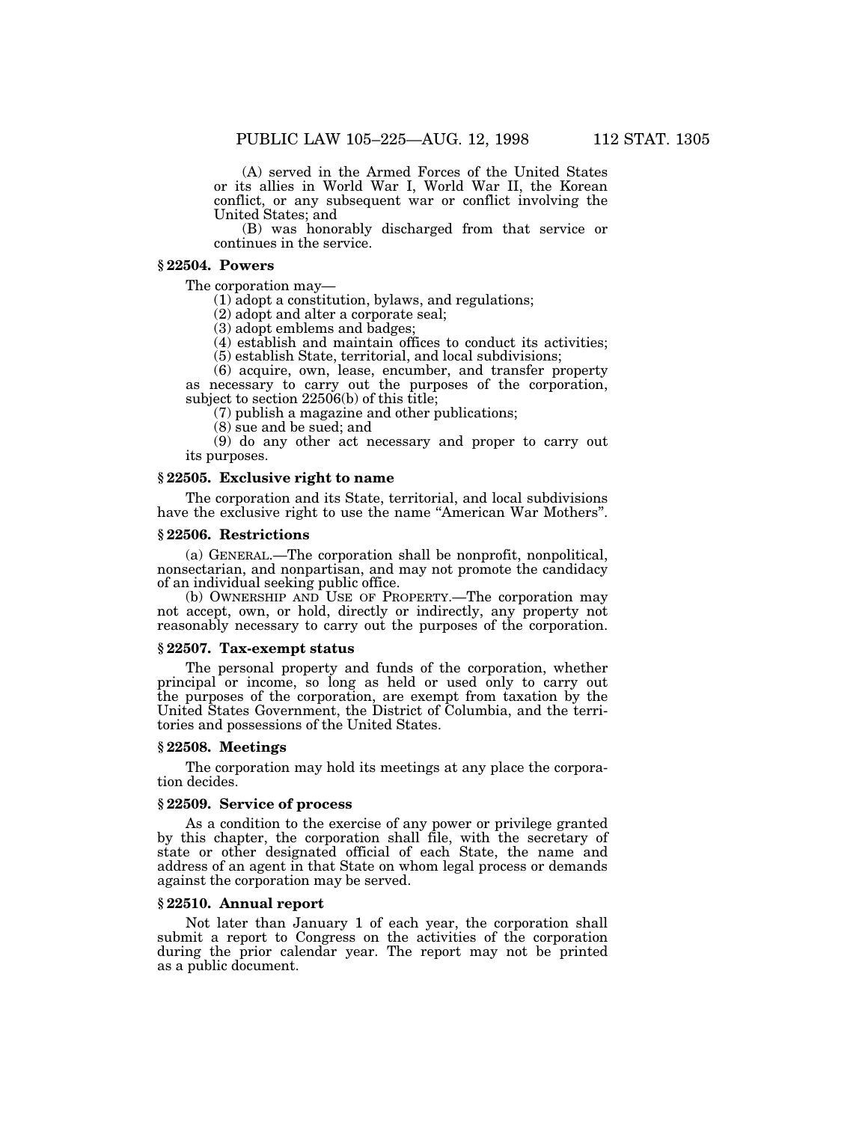(A) served in the Armed Forces of the United States or its allies in World War I, World War II, the Korean conflict, or any subsequent war or conflict involving the United States; and

(B) was honorably discharged from that service or continues in the service.

### **§ 22504. Powers**

The corporation may—

(1) adopt a constitution, bylaws, and regulations;

(2) adopt and alter a corporate seal;

(3) adopt emblems and badges;

(4) establish and maintain offices to conduct its activities;

(5) establish State, territorial, and local subdivisions;

(6) acquire, own, lease, encumber, and transfer property as necessary to carry out the purposes of the corporation, subject to section 22506(b) of this title;

(7) publish a magazine and other publications;

(8) sue and be sued; and

(9) do any other act necessary and proper to carry out its purposes.

#### **§ 22505. Exclusive right to name**

The corporation and its State, territorial, and local subdivisions have the exclusive right to use the name "American War Mothers".

## **§ 22506. Restrictions**

(a) GENERAL.—The corporation shall be nonprofit, nonpolitical, nonsectarian, and nonpartisan, and may not promote the candidacy of an individual seeking public office.

(b) OWNERSHIP AND USE OF PROPERTY.—The corporation may not accept, own, or hold, directly or indirectly, any property not reasonably necessary to carry out the purposes of the corporation.

### **§ 22507. Tax-exempt status**

The personal property and funds of the corporation, whether principal or income, so long as held or used only to carry out the purposes of the corporation, are exempt from taxation by the United States Government, the District of Columbia, and the territories and possessions of the United States.

## **§ 22508. Meetings**

The corporation may hold its meetings at any place the corporation decides.

#### **§ 22509. Service of process**

As a condition to the exercise of any power or privilege granted by this chapter, the corporation shall file, with the secretary of state or other designated official of each State, the name and address of an agent in that State on whom legal process or demands against the corporation may be served.

#### **§ 22510. Annual report**

Not later than January 1 of each year, the corporation shall submit a report to Congress on the activities of the corporation during the prior calendar year. The report may not be printed as a public document.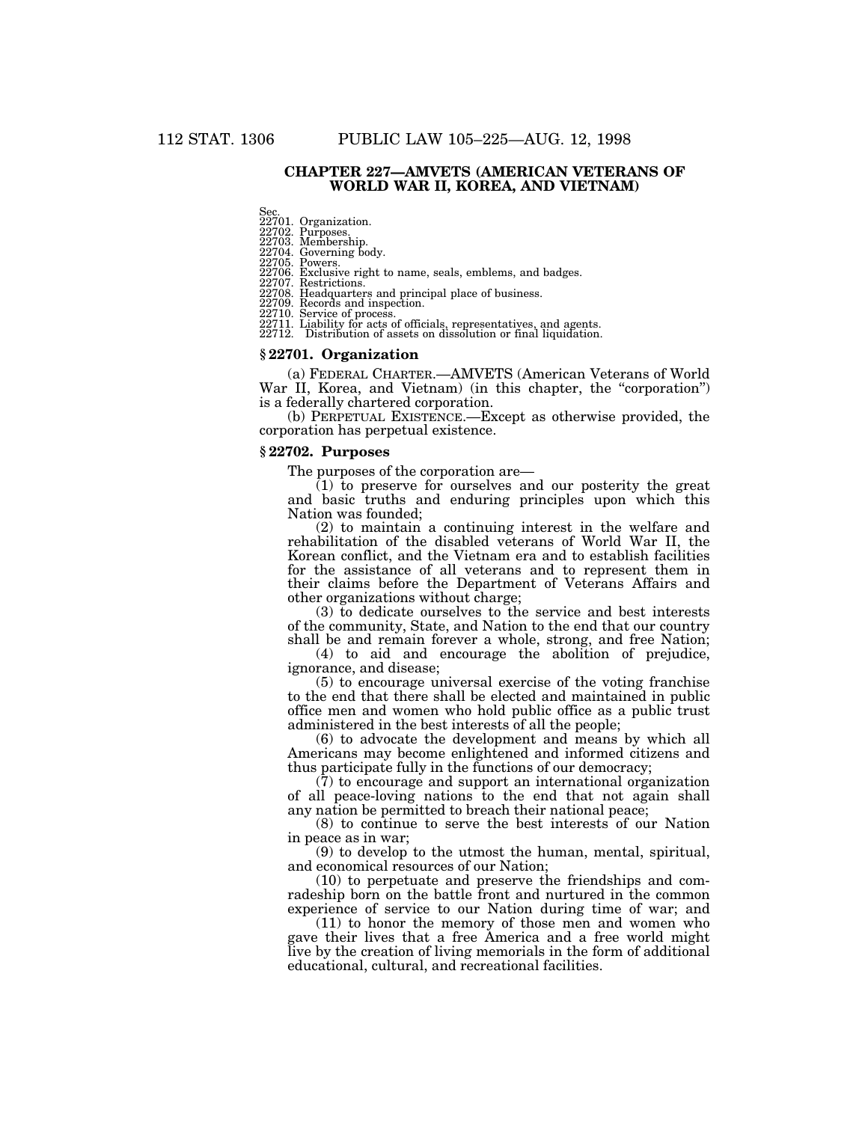# **CHAPTER 227—AMVETS (AMERICAN VETERANS OF WORLD WAR II, KOREA, AND VIETNAM)**

Sec.<br>22702. Purposes.<br>22702. Purposes.<br>22703. Membership.<br>22703. Membership.<br>22705. Powers.<br>22705. Exclusive right to name, seals, emblems, and badges.<br>22708. Headquarters and principal place of business.<br>22708. Headquarte

22711. Liability for acts of officials, representatives, and agents. 22712. Distribution of assets on dissolution or final liquidation.

#### **§ 22701. Organization**

(a) FEDERAL CHARTER.—AMVETS (American Veterans of World War II, Korea, and Vietnam) (in this chapter, the "corporation") is a federally chartered corporation.

(b) PERPETUAL EXISTENCE.—Except as otherwise provided, the corporation has perpetual existence.

#### **§ 22702. Purposes**

The purposes of the corporation are—

(1) to preserve for ourselves and our posterity the great and basic truths and enduring principles upon which this Nation was founded;

(2) to maintain a continuing interest in the welfare and rehabilitation of the disabled veterans of World War II, the Korean conflict, and the Vietnam era and to establish facilities for the assistance of all veterans and to represent them in their claims before the Department of Veterans Affairs and other organizations without charge;

(3) to dedicate ourselves to the service and best interests of the community, State, and Nation to the end that our country shall be and remain forever a whole, strong, and free Nation;

(4) to aid and encourage the abolition of prejudice, ignorance, and disease;

(5) to encourage universal exercise of the voting franchise to the end that there shall be elected and maintained in public office men and women who hold public office as a public trust administered in the best interests of all the people;

(6) to advocate the development and means by which all Americans may become enlightened and informed citizens and thus participate fully in the functions of our democracy;

(7) to encourage and support an international organization of all peace-loving nations to the end that not again shall any nation be permitted to breach their national peace;

(8) to continue to serve the best interests of our Nation in peace as in war;

(9) to develop to the utmost the human, mental, spiritual, and economical resources of our Nation;

(10) to perpetuate and preserve the friendships and comradeship born on the battle front and nurtured in the common experience of service to our Nation during time of war; and

(11) to honor the memory of those men and women who gave their lives that a free America and a free world might live by the creation of living memorials in the form of additional educational, cultural, and recreational facilities.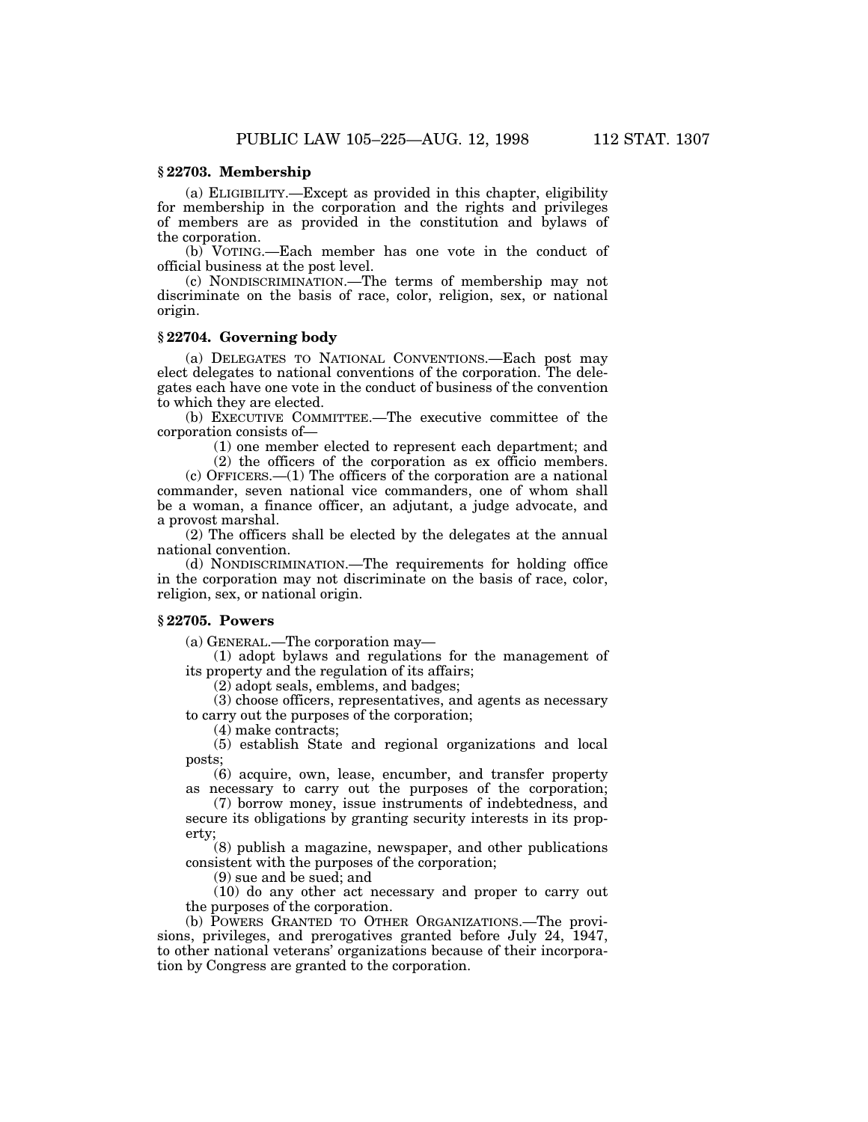## **§ 22703. Membership**

(a) ELIGIBILITY.—Except as provided in this chapter, eligibility for membership in the corporation and the rights and privileges of members are as provided in the constitution and bylaws of the corporation.

(b) VOTING.—Each member has one vote in the conduct of official business at the post level.

(c) NONDISCRIMINATION.—The terms of membership may not discriminate on the basis of race, color, religion, sex, or national origin.

## **§ 22704. Governing body**

(a) DELEGATES TO NATIONAL CONVENTIONS.—Each post may elect delegates to national conventions of the corporation. The delegates each have one vote in the conduct of business of the convention to which they are elected.

(b) EXECUTIVE COMMITTEE.—The executive committee of the corporation consists of—

(1) one member elected to represent each department; and

(2) the officers of the corporation as ex officio members. (c) OFFICERS.—(1) The officers of the corporation are a national commander, seven national vice commanders, one of whom shall be a woman, a finance officer, an adjutant, a judge advocate, and a provost marshal.

(2) The officers shall be elected by the delegates at the annual national convention.

(d) NONDISCRIMINATION.—The requirements for holding office in the corporation may not discriminate on the basis of race, color, religion, sex, or national origin.

## **§ 22705. Powers**

(a) GENERAL.—The corporation may—

(1) adopt bylaws and regulations for the management of its property and the regulation of its affairs;

(2) adopt seals, emblems, and badges;

(3) choose officers, representatives, and agents as necessary to carry out the purposes of the corporation;

(4) make contracts;

(5) establish State and regional organizations and local posts;

(6) acquire, own, lease, encumber, and transfer property as necessary to carry out the purposes of the corporation;

(7) borrow money, issue instruments of indebtedness, and secure its obligations by granting security interests in its property;

(8) publish a magazine, newspaper, and other publications consistent with the purposes of the corporation;

(9) sue and be sued; and

(10) do any other act necessary and proper to carry out the purposes of the corporation.

(b) POWERS GRANTED TO OTHER ORGANIZATIONS.—The provisions, privileges, and prerogatives granted before July 24, 1947, to other national veterans' organizations because of their incorporation by Congress are granted to the corporation.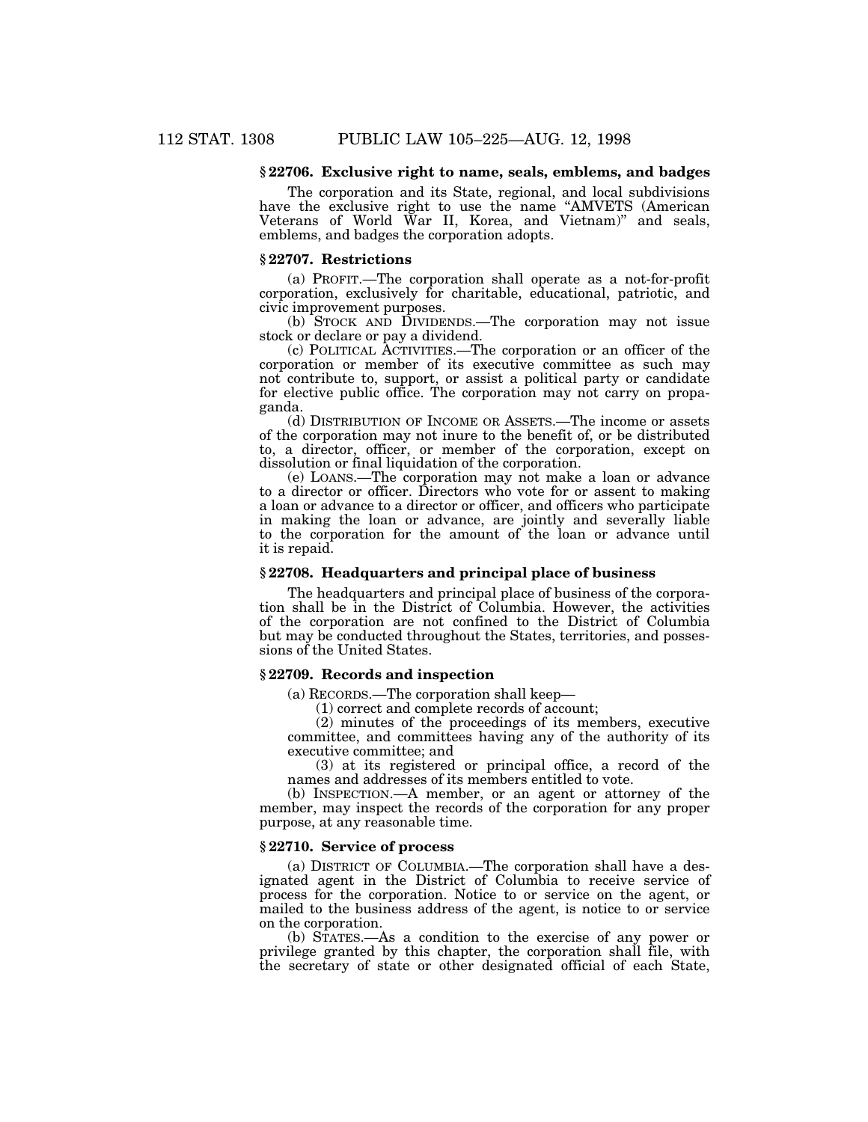## **§ 22706. Exclusive right to name, seals, emblems, and badges**

The corporation and its State, regional, and local subdivisions have the exclusive right to use the name ''AMVETS (American Veterans of World War II, Korea, and Vietnam)'' and seals, emblems, and badges the corporation adopts.

## **§ 22707. Restrictions**

(a) PROFIT.—The corporation shall operate as a not-for-profit corporation, exclusively for charitable, educational, patriotic, and civic improvement purposes.

(b) STOCK AND DIVIDENDS.—The corporation may not issue stock or declare or pay a dividend.

(c) POLITICAL ACTIVITIES.—The corporation or an officer of the corporation or member of its executive committee as such may not contribute to, support, or assist a political party or candidate for elective public office. The corporation may not carry on propaganda.

(d) DISTRIBUTION OF INCOME OR ASSETS.—The income or assets of the corporation may not inure to the benefit of, or be distributed to, a director, officer, or member of the corporation, except on dissolution or final liquidation of the corporation.

(e) LOANS.—The corporation may not make a loan or advance to a director or officer. Directors who vote for or assent to making a loan or advance to a director or officer, and officers who participate in making the loan or advance, are jointly and severally liable to the corporation for the amount of the loan or advance until it is repaid.

### **§ 22708. Headquarters and principal place of business**

The headquarters and principal place of business of the corporation shall be in the District of Columbia. However, the activities of the corporation are not confined to the District of Columbia but may be conducted throughout the States, territories, and possessions of the United States.

#### **§ 22709. Records and inspection**

(a) RECORDS.—The corporation shall keep—

(1) correct and complete records of account;

(2) minutes of the proceedings of its members, executive committee, and committees having any of the authority of its executive committee; and

(3) at its registered or principal office, a record of the names and addresses of its members entitled to vote.

(b) INSPECTION.—A member, or an agent or attorney of the member, may inspect the records of the corporation for any proper purpose, at any reasonable time.

#### **§ 22710. Service of process**

(a) DISTRICT OF COLUMBIA.—The corporation shall have a designated agent in the District of Columbia to receive service of process for the corporation. Notice to or service on the agent, or mailed to the business address of the agent, is notice to or service on the corporation.

(b) STATES.—As a condition to the exercise of any power or privilege granted by this chapter, the corporation shall file, with the secretary of state or other designated official of each State,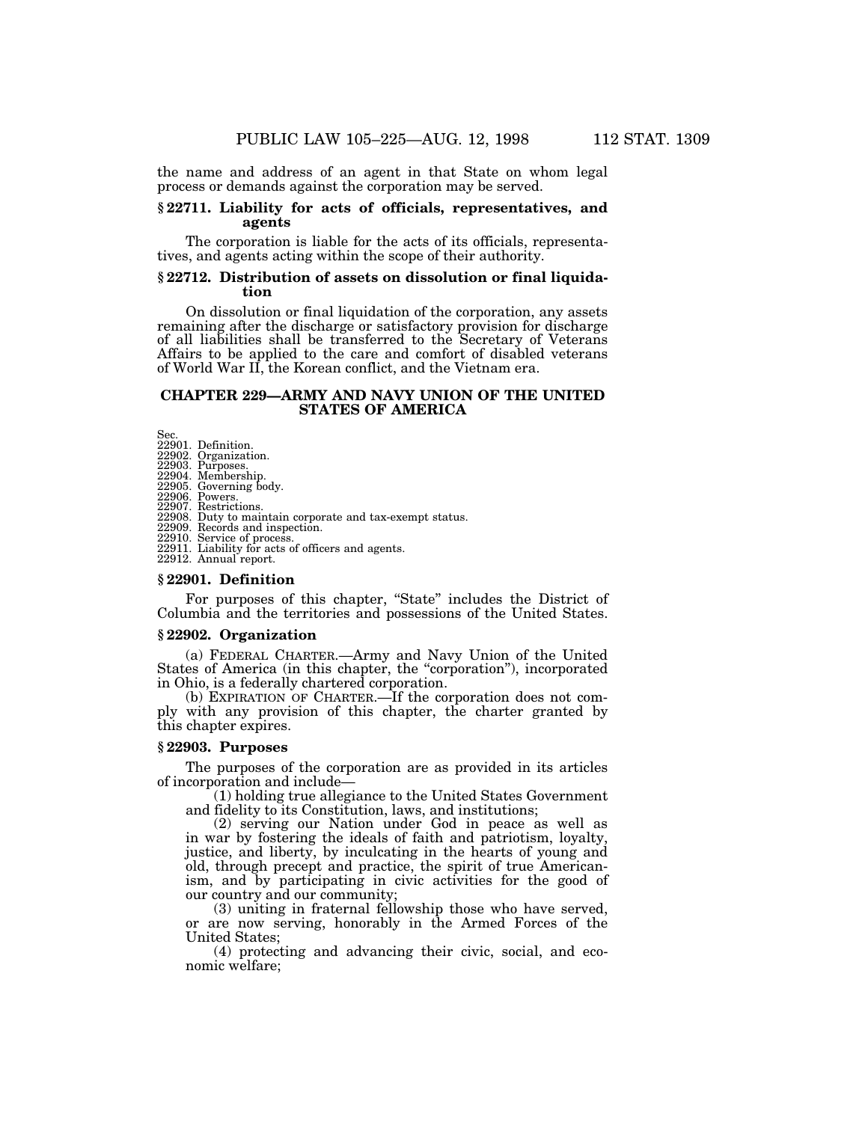the name and address of an agent in that State on whom legal process or demands against the corporation may be served.

## **§ 22711. Liability for acts of officials, representatives, and agents**

The corporation is liable for the acts of its officials, representatives, and agents acting within the scope of their authority.

#### **§ 22712. Distribution of assets on dissolution or final liquidation**

On dissolution or final liquidation of the corporation, any assets remaining after the discharge or satisfactory provision for discharge of all liabilities shall be transferred to the Secretary of Veterans Affairs to be applied to the care and comfort of disabled veterans of World War II, the Korean conflict, and the Vietnam era.

## **CHAPTER 229—ARMY AND NAVY UNION OF THE UNITED STATES OF AMERICA**

- 
- 
- 
- Sec. 22901. Definition. 22902. Organization. 22903. Purposes. 22904. Membership. 22905. Governing body.
- 
- 22906. Powers. 22907. Restrictions.
- 22908. Duty to maintain corporate and tax-exempt status. 22909. Records and inspection.
- 
- 22910. Service of process.
- 22911. Liability for acts of officers and agents. 22912. Annual report.

#### **§ 22901. Definition**

For purposes of this chapter, "State" includes the District of Columbia and the territories and possessions of the United States.

#### **§ 22902. Organization**

(a) FEDERAL CHARTER.—Army and Navy Union of the United States of America (in this chapter, the ''corporation''), incorporated in Ohio, is a federally chartered corporation.

(b) EXPIRATION OF CHARTER.—If the corporation does not comply with any provision of this chapter, the charter granted by this chapter expires.

### **§ 22903. Purposes**

The purposes of the corporation are as provided in its articles of incorporation and include—

(1) holding true allegiance to the United States Government and fidelity to its Constitution, laws, and institutions;

(2) serving our Nation under God in peace as well as in war by fostering the ideals of faith and patriotism, loyalty, justice, and liberty, by inculcating in the hearts of young and old, through precept and practice, the spirit of true Americanism, and by participating in civic activities for the good of our country and our community;

(3) uniting in fraternal fellowship those who have served, or are now serving, honorably in the Armed Forces of the United States;

(4) protecting and advancing their civic, social, and economic welfare;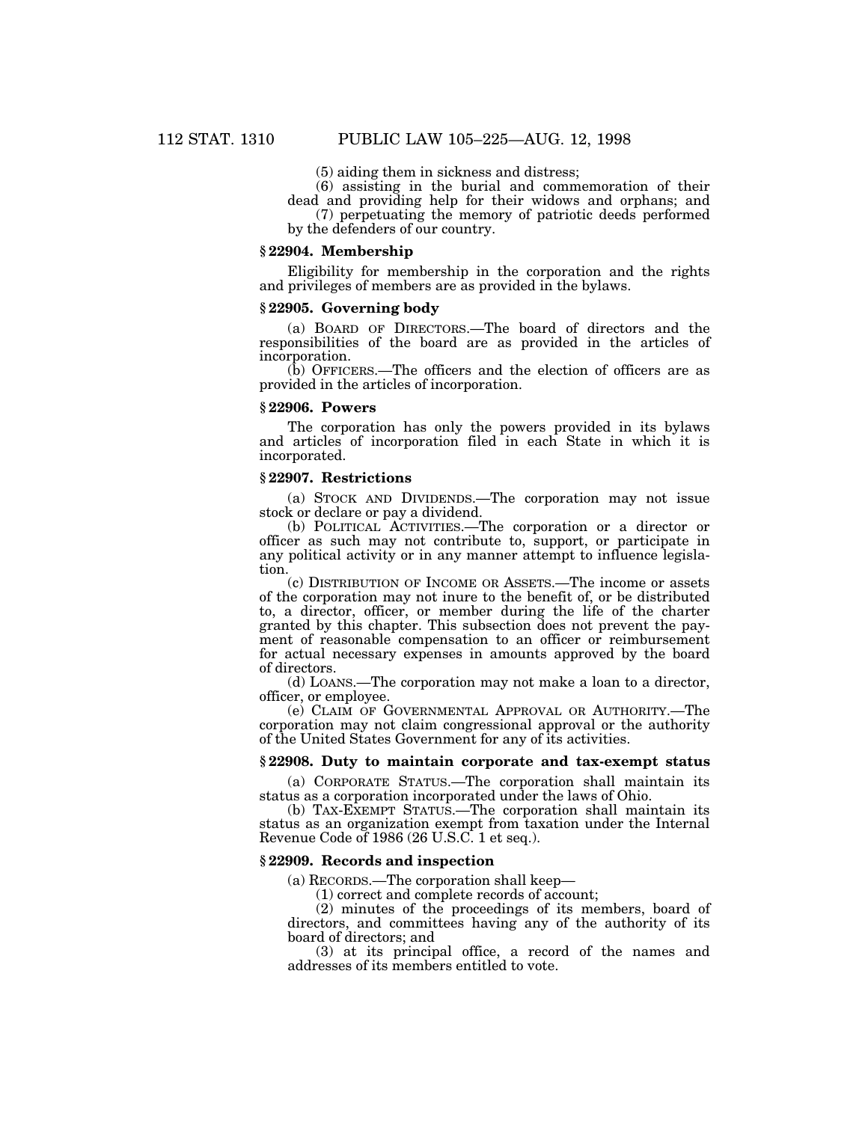(5) aiding them in sickness and distress;

(6) assisting in the burial and commemoration of their

dead and providing help for their widows and orphans; and (7) perpetuating the memory of patriotic deeds performed by the defenders of our country.

## **§ 22904. Membership**

Eligibility for membership in the corporation and the rights and privileges of members are as provided in the bylaws.

#### **§ 22905. Governing body**

(a) BOARD OF DIRECTORS.—The board of directors and the responsibilities of the board are as provided in the articles of incorporation.

(b) OFFICERS.—The officers and the election of officers are as provided in the articles of incorporation.

#### **§ 22906. Powers**

The corporation has only the powers provided in its bylaws and articles of incorporation filed in each State in which it is incorporated.

## **§ 22907. Restrictions**

(a) STOCK AND DIVIDENDS.—The corporation may not issue stock or declare or pay a dividend.

(b) POLITICAL ACTIVITIES.—The corporation or a director or officer as such may not contribute to, support, or participate in any political activity or in any manner attempt to influence legislation.

(c) DISTRIBUTION OF INCOME OR ASSETS.—The income or assets of the corporation may not inure to the benefit of, or be distributed to, a director, officer, or member during the life of the charter granted by this chapter. This subsection does not prevent the payment of reasonable compensation to an officer or reimbursement for actual necessary expenses in amounts approved by the board of directors.

(d) LOANS.—The corporation may not make a loan to a director, officer, or employee.

(e) CLAIM OF GOVERNMENTAL APPROVAL OR AUTHORITY.—The corporation may not claim congressional approval or the authority of the United States Government for any of its activities.

### **§ 22908. Duty to maintain corporate and tax-exempt status**

(a) CORPORATE STATUS.—The corporation shall maintain its status as a corporation incorporated under the laws of Ohio.

(b) TAX-EXEMPT STATUS.—The corporation shall maintain its status as an organization exempt from taxation under the Internal Revenue Code of 1986 (26 U.S.C. 1 et seq.).

#### **§ 22909. Records and inspection**

(a) RECORDS.—The corporation shall keep—

(1) correct and complete records of account;

(2) minutes of the proceedings of its members, board of directors, and committees having any of the authority of its board of directors; and

(3) at its principal office, a record of the names and addresses of its members entitled to vote.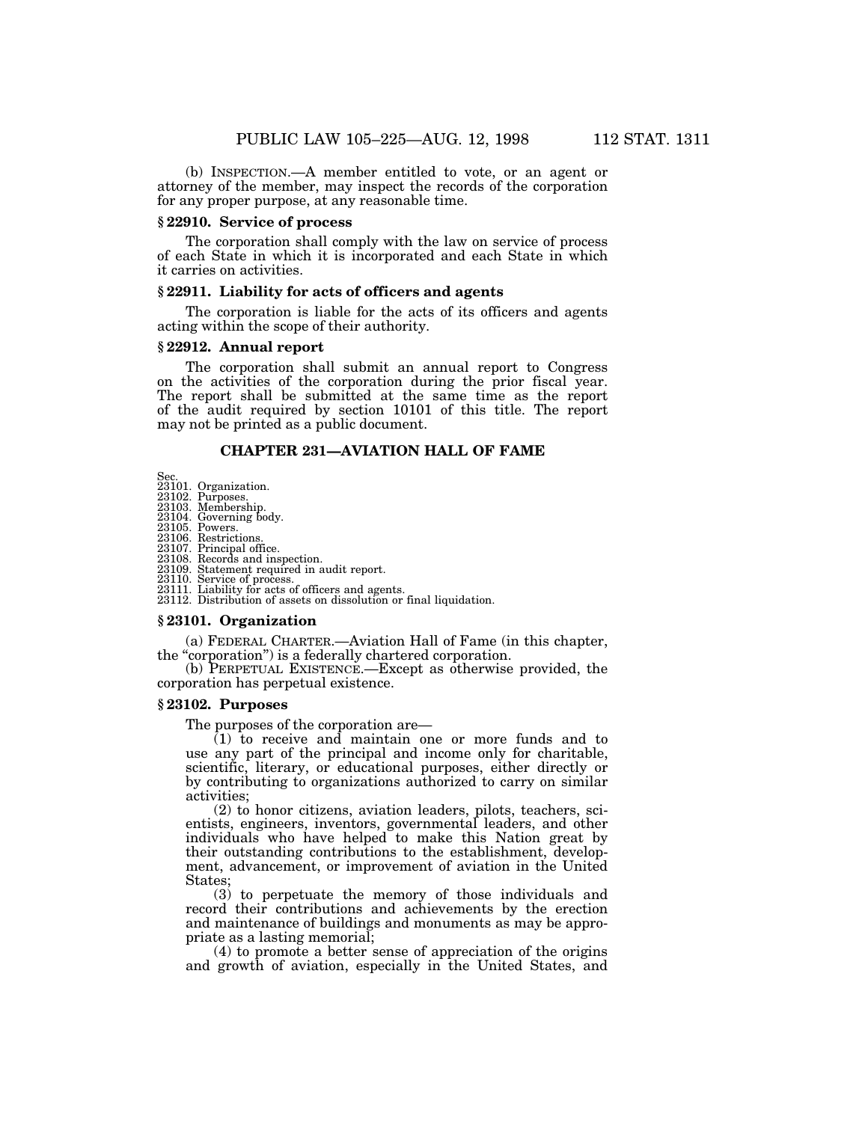(b) INSPECTION.—A member entitled to vote, or an agent or attorney of the member, may inspect the records of the corporation for any proper purpose, at any reasonable time.

#### **§ 22910. Service of process**

The corporation shall comply with the law on service of process of each State in which it is incorporated and each State in which it carries on activities.

## **§ 22911. Liability for acts of officers and agents**

The corporation is liable for the acts of its officers and agents acting within the scope of their authority.

#### **§ 22912. Annual report**

The corporation shall submit an annual report to Congress on the activities of the corporation during the prior fiscal year. The report shall be submitted at the same time as the report of the audit required by section 10101 of this title. The report may not be printed as a public document.

## **CHAPTER 231—AVIATION HALL OF FAME**

Sec.

- 23101. Organization. 23102. Purposes. 23103. Membership.
- 
- 
- 
- 23104. Governing body. 23105. Powers. 23106. Restrictions. 23107. Principal office.
- 
- 23108. Records and inspection. 23109. Statement required in audit report.
- 23110. Service of process.
- 
- 23111. Liability for acts of officers and agents. 23112. Distribution of assets on dissolution or final liquidation.

## **§ 23101. Organization**

(a) FEDERAL CHARTER.—Aviation Hall of Fame (in this chapter, the "corporation") is a federally chartered corporation.

(b) PERPETUAL EXISTENCE.—Except as otherwise provided, the corporation has perpetual existence.

## **§ 23102. Purposes**

The purposes of the corporation are—

(1) to receive and maintain one or more funds and to use any part of the principal and income only for charitable, scientific, literary, or educational purposes, either directly or by contributing to organizations authorized to carry on similar activities;

(2) to honor citizens, aviation leaders, pilots, teachers, scientists, engineers, inventors, governmental leaders, and other individuals who have helped to make this Nation great by their outstanding contributions to the establishment, development, advancement, or improvement of aviation in the United States;

(3) to perpetuate the memory of those individuals and record their contributions and achievements by the erection and maintenance of buildings and monuments as may be appropriate as a lasting memorial;

(4) to promote a better sense of appreciation of the origins and growth of aviation, especially in the United States, and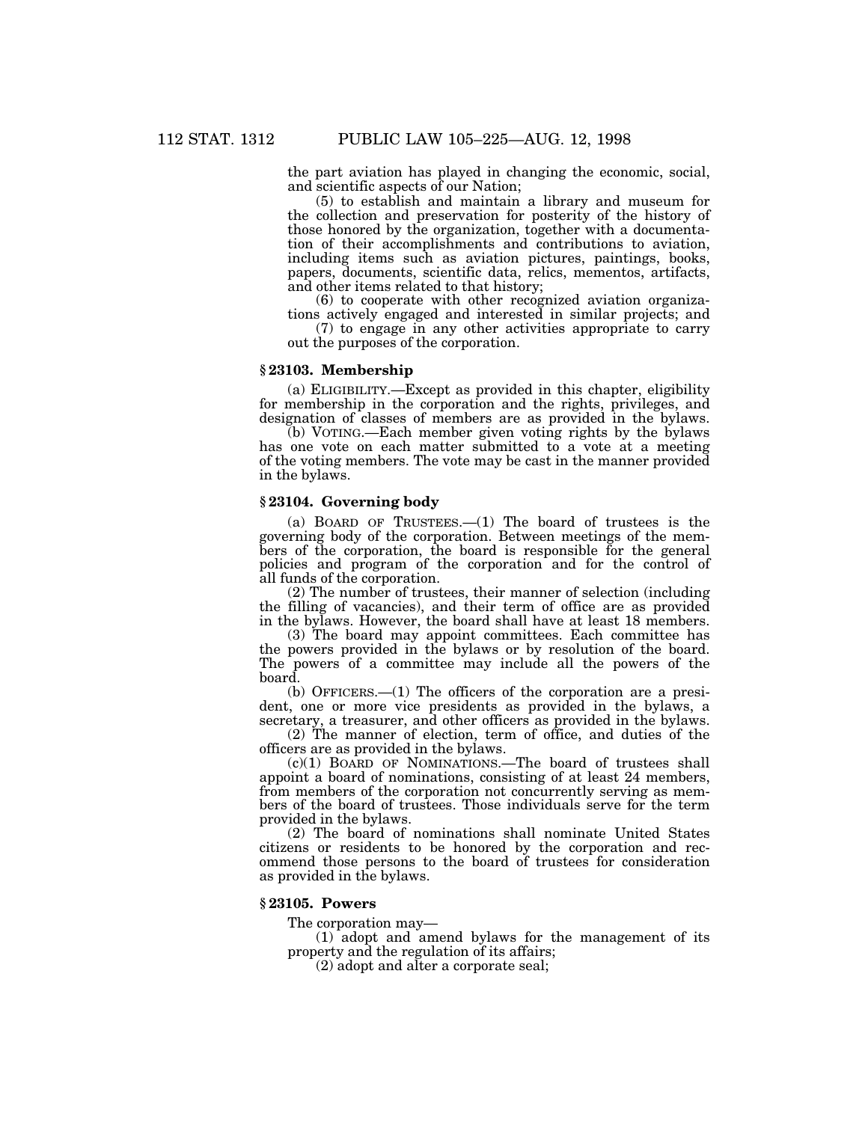the part aviation has played in changing the economic, social, and scientific aspects of our Nation;

(5) to establish and maintain a library and museum for the collection and preservation for posterity of the history of those honored by the organization, together with a documentation of their accomplishments and contributions to aviation, including items such as aviation pictures, paintings, books, papers, documents, scientific data, relics, mementos, artifacts, and other items related to that history;

(6) to cooperate with other recognized aviation organizations actively engaged and interested in similar projects; and

(7) to engage in any other activities appropriate to carry out the purposes of the corporation.

## **§ 23103. Membership**

(a) ELIGIBILITY.—Except as provided in this chapter, eligibility for membership in the corporation and the rights, privileges, and designation of classes of members are as provided in the bylaws.

(b) VOTING.—Each member given voting rights by the bylaws has one vote on each matter submitted to a vote at a meeting of the voting members. The vote may be cast in the manner provided in the bylaws.

### **§ 23104. Governing body**

(a) BOARD OF TRUSTEES.—(1) The board of trustees is the governing body of the corporation. Between meetings of the members of the corporation, the board is responsible for the general policies and program of the corporation and for the control of all funds of the corporation.

(2) The number of trustees, their manner of selection (including the filling of vacancies), and their term of office are as provided in the bylaws. However, the board shall have at least 18 members.

(3) The board may appoint committees. Each committee has the powers provided in the bylaws or by resolution of the board. The powers of a committee may include all the powers of the board.

(b) OFFICERS.—(1) The officers of the corporation are a president, one or more vice presidents as provided in the bylaws, a secretary, a treasurer, and other officers as provided in the bylaws.

(2) The manner of election, term of office, and duties of the officers are as provided in the bylaws.

(c)(1) BOARD OF NOMINATIONS.—The board of trustees shall appoint a board of nominations, consisting of at least 24 members, from members of the corporation not concurrently serving as members of the board of trustees. Those individuals serve for the term provided in the bylaws.

(2) The board of nominations shall nominate United States citizens or residents to be honored by the corporation and recommend those persons to the board of trustees for consideration as provided in the bylaws.

## **§ 23105. Powers**

The corporation may—

(1) adopt and amend bylaws for the management of its property and the regulation of its affairs;

(2) adopt and alter a corporate seal;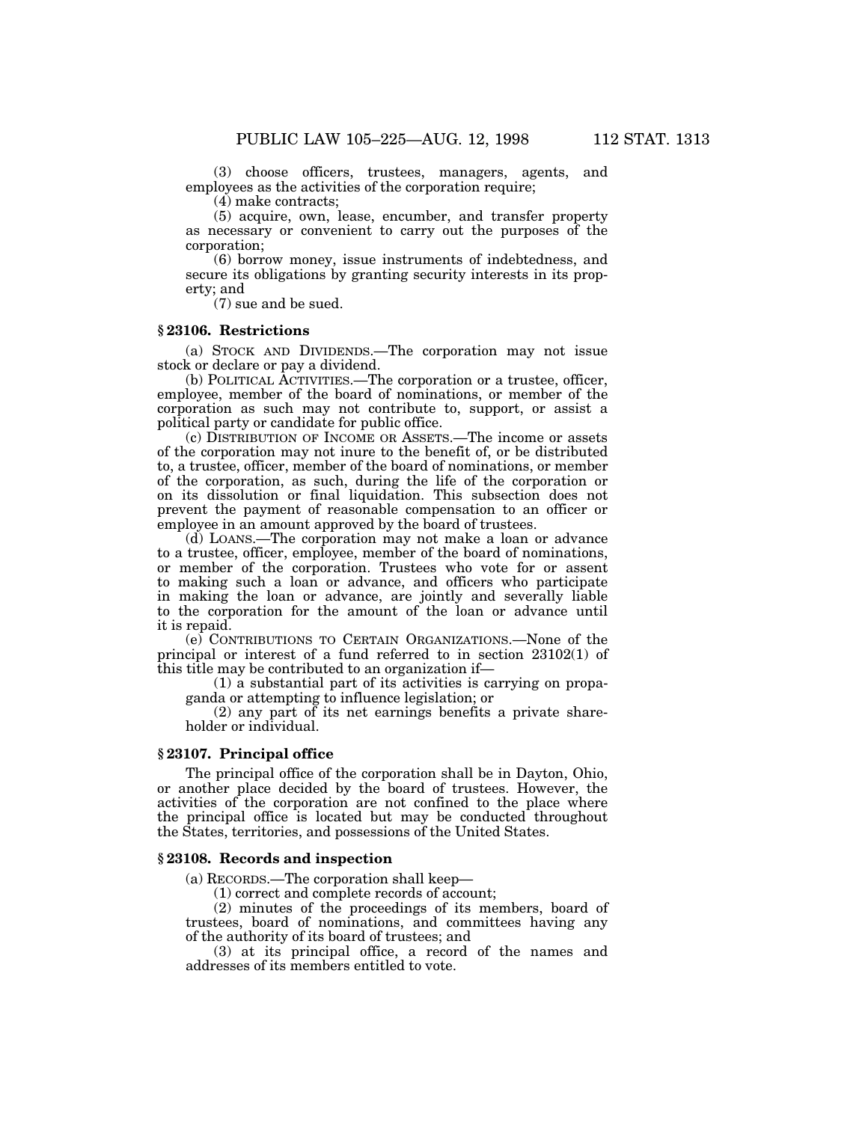(3) choose officers, trustees, managers, agents, and employees as the activities of the corporation require;

(4) make contracts;

(5) acquire, own, lease, encumber, and transfer property as necessary or convenient to carry out the purposes of the corporation;

(6) borrow money, issue instruments of indebtedness, and secure its obligations by granting security interests in its property; and

(7) sue and be sued.

## **§ 23106. Restrictions**

(a) STOCK AND DIVIDENDS.—The corporation may not issue stock or declare or pay a dividend.

(b) POLITICAL ACTIVITIES.—The corporation or a trustee, officer, employee, member of the board of nominations, or member of the corporation as such may not contribute to, support, or assist a political party or candidate for public office.

(c) DISTRIBUTION OF INCOME OR ASSETS.—The income or assets of the corporation may not inure to the benefit of, or be distributed to, a trustee, officer, member of the board of nominations, or member of the corporation, as such, during the life of the corporation or on its dissolution or final liquidation. This subsection does not prevent the payment of reasonable compensation to an officer or employee in an amount approved by the board of trustees.

(d) LOANS.—The corporation may not make a loan or advance to a trustee, officer, employee, member of the board of nominations, or member of the corporation. Trustees who vote for or assent to making such a loan or advance, and officers who participate in making the loan or advance, are jointly and severally liable to the corporation for the amount of the loan or advance until it is repaid.

(e) CONTRIBUTIONS TO CERTAIN ORGANIZATIONS.—None of the principal or interest of a fund referred to in section 23102(1) of this title may be contributed to an organization if—

(1) a substantial part of its activities is carrying on propaganda or attempting to influence legislation; or

 $(2)$  any part of its net earnings benefits a private shareholder or individual.

### **§ 23107. Principal office**

The principal office of the corporation shall be in Dayton, Ohio, or another place decided by the board of trustees. However, the activities of the corporation are not confined to the place where the principal office is located but may be conducted throughout the States, territories, and possessions of the United States.

#### **§ 23108. Records and inspection**

(a) RECORDS.—The corporation shall keep—

(1) correct and complete records of account;

(2) minutes of the proceedings of its members, board of trustees, board of nominations, and committees having any of the authority of its board of trustees; and

(3) at its principal office, a record of the names and addresses of its members entitled to vote.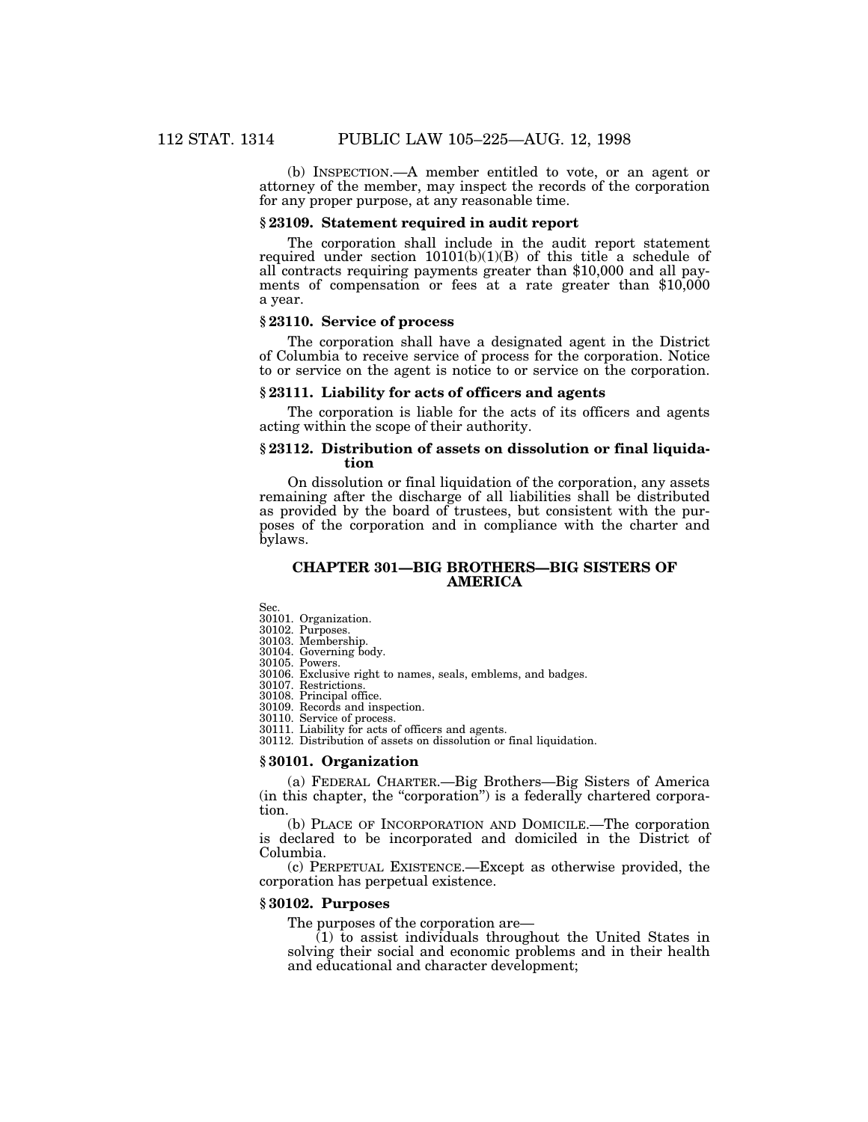(b) INSPECTION.—A member entitled to vote, or an agent or attorney of the member, may inspect the records of the corporation for any proper purpose, at any reasonable time.

#### **§ 23109. Statement required in audit report**

The corporation shall include in the audit report statement required under section  $10101(b)(1)(B)$  of this title a schedule of all contracts requiring payments greater than \$10,000 and all payments of compensation or fees at a rate greater than \$10,000 a year.

### **§ 23110. Service of process**

The corporation shall have a designated agent in the District of Columbia to receive service of process for the corporation. Notice to or service on the agent is notice to or service on the corporation.

## **§ 23111. Liability for acts of officers and agents**

The corporation is liable for the acts of its officers and agents acting within the scope of their authority.

## **§ 23112. Distribution of assets on dissolution or final liquidation**

On dissolution or final liquidation of the corporation, any assets remaining after the discharge of all liabilities shall be distributed as provided by the board of trustees, but consistent with the purposes of the corporation and in compliance with the charter and bylaws.

# **CHAPTER 301—BIG BROTHERS—BIG SISTERS OF AMERICA**

Sec. 30101. Organization.

30102. Purposes. 30103. Membership. 30104. Governing body. 30105. Powers. 30106. Exclusive right to names, seals, emblems, and badges. 30107. Restrictions. 30108. Principal office. 30109. Records and inspection.

30110. Service of process.

30111. Liability for acts of officers and agents.

30112. Distribution of assets on dissolution or final liquidation.

#### **§ 30101. Organization**

(a) FEDERAL CHARTER.—Big Brothers—Big Sisters of America (in this chapter, the "corporation") is a federally chartered corporation.

(b) PLACE OF INCORPORATION AND DOMICILE.—The corporation is declared to be incorporated and domiciled in the District of Columbia.

(c) PERPETUAL EXISTENCE.—Except as otherwise provided, the corporation has perpetual existence.

## **§ 30102. Purposes**

The purposes of the corporation are—

(1) to assist individuals throughout the United States in solving their social and economic problems and in their health and educational and character development;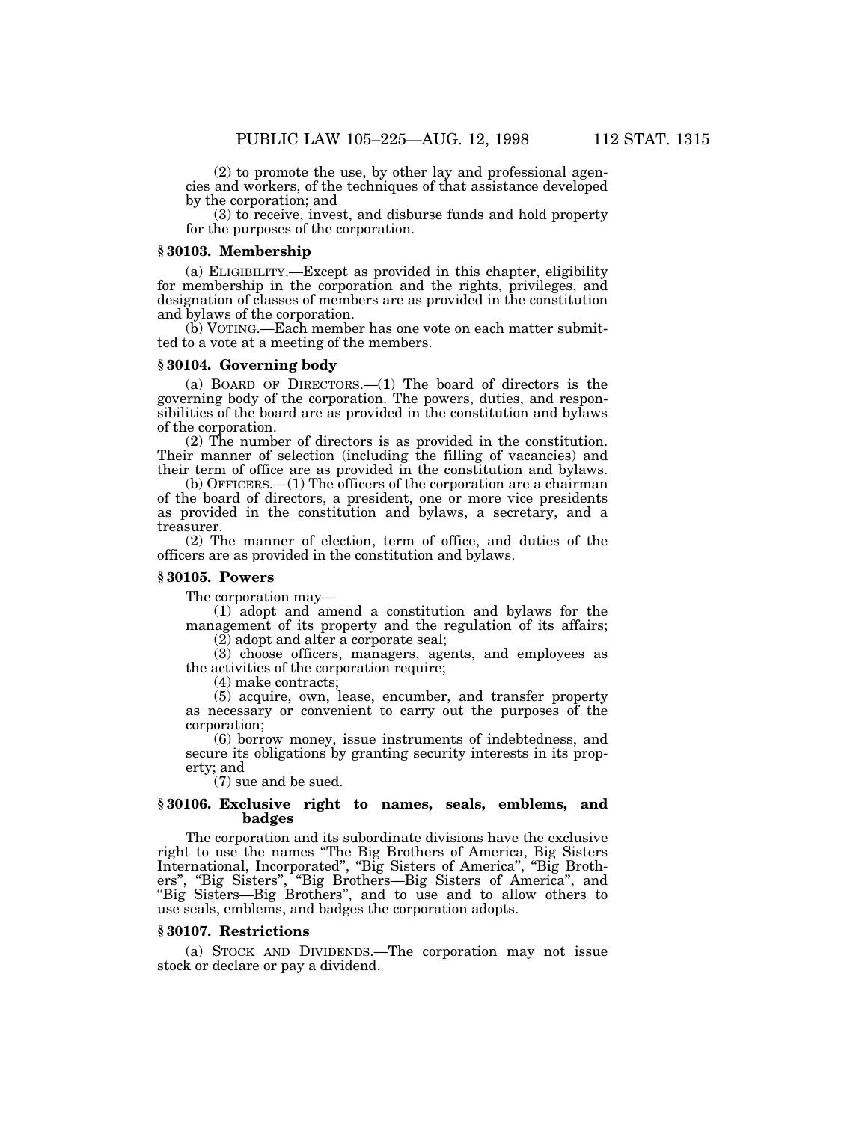(2) to promote the use, by other lay and professional agencies and workers, of the techniques of that assistance developed by the corporation; and

(3) to receive, invest, and disburse funds and hold property for the purposes of the corporation.

## **§ 30103. Membership**

(a) ELIGIBILITY.—Except as provided in this chapter, eligibility for membership in the corporation and the rights, privileges, and designation of classes of members are as provided in the constitution and bylaws of the corporation.

(b) VOTING.—Each member has one vote on each matter submitted to a vote at a meeting of the members.

### **§ 30104. Governing body**

(a) BOARD OF DIRECTORS.—(1) The board of directors is the governing body of the corporation. The powers, duties, and responsibilities of the board are as provided in the constitution and bylaws of the corporation.

(2) The number of directors is as provided in the constitution. Their manner of selection (including the filling of vacancies) and their term of office are as provided in the constitution and bylaws.

(b) OFFICERS.—(1) The officers of the corporation are a chairman of the board of directors, a president, one or more vice presidents as provided in the constitution and bylaws, a secretary, and a treasurer.

(2) The manner of election, term of office, and duties of the officers are as provided in the constitution and bylaws.

### **§ 30105. Powers**

The corporation may—

(1) adopt and amend a constitution and bylaws for the management of its property and the regulation of its affairs;  $(2)$  adopt and alter a corporate seal;

(3) choose officers, managers, agents, and employees as the activities of the corporation require;

(4) make contracts;

(5) acquire, own, lease, encumber, and transfer property as necessary or convenient to carry out the purposes of the corporation;

(6) borrow money, issue instruments of indebtedness, and secure its obligations by granting security interests in its property; and

(7) sue and be sued.

### **§ 30106. Exclusive right to names, seals, emblems, and badges**

The corporation and its subordinate divisions have the exclusive right to use the names ''The Big Brothers of America, Big Sisters International, Incorporated'', ''Big Sisters of America'', ''Big Brothers'', ''Big Sisters'', ''Big Brothers—Big Sisters of America'', and ''Big Sisters—Big Brothers'', and to use and to allow others to use seals, emblems, and badges the corporation adopts.

#### **§ 30107. Restrictions**

(a) STOCK AND DIVIDENDS.—The corporation may not issue stock or declare or pay a dividend.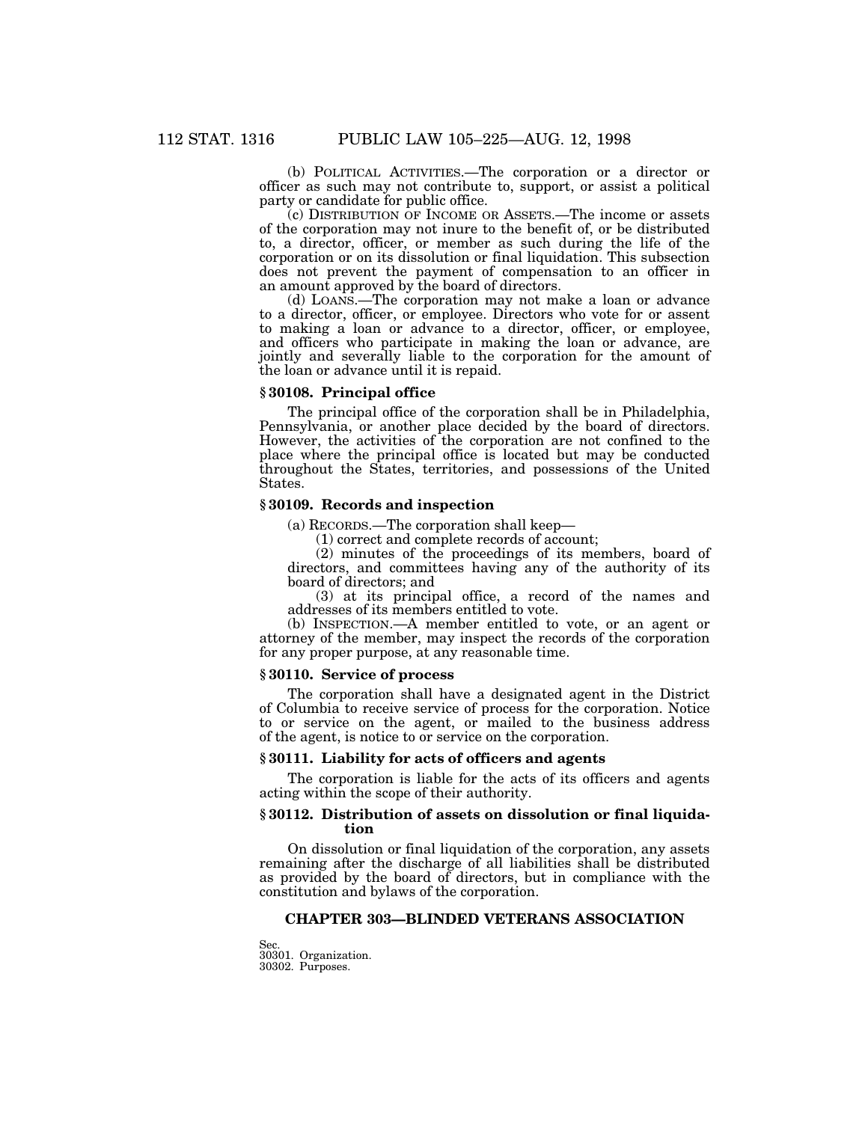(b) POLITICAL ACTIVITIES.—The corporation or a director or officer as such may not contribute to, support, or assist a political party or candidate for public office.

(c) DISTRIBUTION OF INCOME OR ASSETS.—The income or assets of the corporation may not inure to the benefit of, or be distributed to, a director, officer, or member as such during the life of the corporation or on its dissolution or final liquidation. This subsection does not prevent the payment of compensation to an officer in an amount approved by the board of directors.

(d) LOANS.—The corporation may not make a loan or advance to a director, officer, or employee. Directors who vote for or assent to making a loan or advance to a director, officer, or employee, and officers who participate in making the loan or advance, are jointly and severally liable to the corporation for the amount of the loan or advance until it is repaid.

## **§ 30108. Principal office**

The principal office of the corporation shall be in Philadelphia, Pennsylvania, or another place decided by the board of directors. However, the activities of the corporation are not confined to the place where the principal office is located but may be conducted throughout the States, territories, and possessions of the United States.

### **§ 30109. Records and inspection**

(a) RECORDS.—The corporation shall keep—

(1) correct and complete records of account;

(2) minutes of the proceedings of its members, board of directors, and committees having any of the authority of its board of directors; and

(3) at its principal office, a record of the names and addresses of its members entitled to vote.

(b) INSPECTION.—A member entitled to vote, or an agent or attorney of the member, may inspect the records of the corporation for any proper purpose, at any reasonable time.

## **§ 30110. Service of process**

The corporation shall have a designated agent in the District of Columbia to receive service of process for the corporation. Notice to or service on the agent, or mailed to the business address of the agent, is notice to or service on the corporation.

## **§ 30111. Liability for acts of officers and agents**

The corporation is liable for the acts of its officers and agents acting within the scope of their authority.

#### **§ 30112. Distribution of assets on dissolution or final liquidation**

On dissolution or final liquidation of the corporation, any assets remaining after the discharge of all liabilities shall be distributed as provided by the board of directors, but in compliance with the constitution and bylaws of the corporation.

# **CHAPTER 303—BLINDED VETERANS ASSOCIATION**

Sec. 30301. Organization. 30302. Purposes.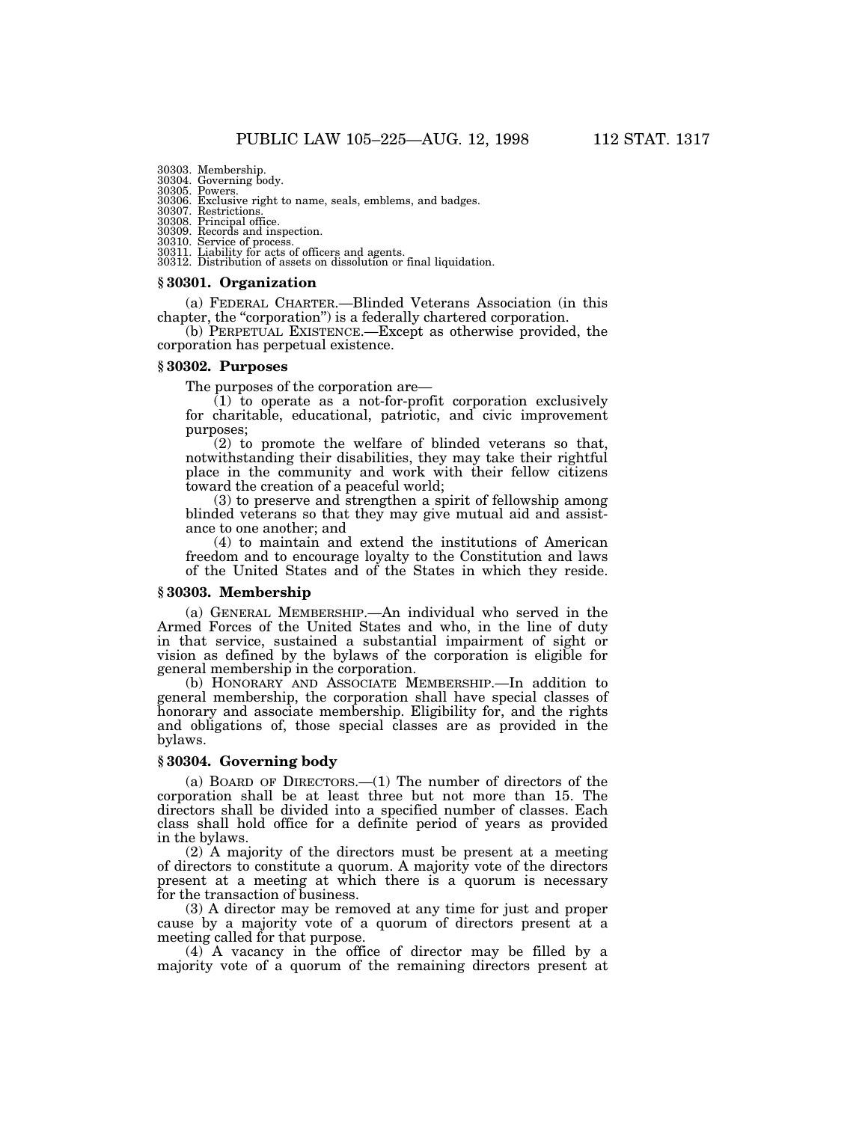30303. Membership. 30304. Governing body. 30305. Powers.

30306. Exclusive right to name, seals, emblems, and badges. 30307. Restrictions. 30308. Principal office. 30309. Records and inspection. 30310. Service of process.

30311. Liability for acts of officers and agents. 30312. Distribution of assets on dissolution or final liquidation.

#### **§ 30301. Organization**

(a) FEDERAL CHARTER.—Blinded Veterans Association (in this chapter, the "corporation") is a federally chartered corporation.

(b) PERPETUAL EXISTENCE.—Except as otherwise provided, the corporation has perpetual existence.

#### **§ 30302. Purposes**

The purposes of the corporation are—

 $(1)$  to operate as a not-for-profit corporation exclusively for charitable, educational, patriotic, and civic improvement purposes;

(2) to promote the welfare of blinded veterans so that, notwithstanding their disabilities, they may take their rightful place in the community and work with their fellow citizens toward the creation of a peaceful world;

(3) to preserve and strengthen a spirit of fellowship among blinded veterans so that they may give mutual aid and assistance to one another; and

(4) to maintain and extend the institutions of American freedom and to encourage loyalty to the Constitution and laws of the United States and of the States in which they reside.

### **§ 30303. Membership**

(a) GENERAL MEMBERSHIP.—An individual who served in the Armed Forces of the United States and who, in the line of duty in that service, sustained a substantial impairment of sight or vision as defined by the bylaws of the corporation is eligible for general membership in the corporation.

(b) HONORARY AND ASSOCIATE MEMBERSHIP.—In addition to general membership, the corporation shall have special classes of honorary and associate membership. Eligibility for, and the rights and obligations of, those special classes are as provided in the bylaws.

## **§ 30304. Governing body**

(a) BOARD OF DIRECTORS.—(1) The number of directors of the corporation shall be at least three but not more than 15. The directors shall be divided into a specified number of classes. Each class shall hold office for a definite period of years as provided in the bylaws.

(2) A majority of the directors must be present at a meeting of directors to constitute a quorum. A majority vote of the directors present at a meeting at which there is a quorum is necessary for the transaction of business.

(3) A director may be removed at any time for just and proper cause by a majority vote of a quorum of directors present at a meeting called for that purpose.

(4) A vacancy in the office of director may be filled by a majority vote of a quorum of the remaining directors present at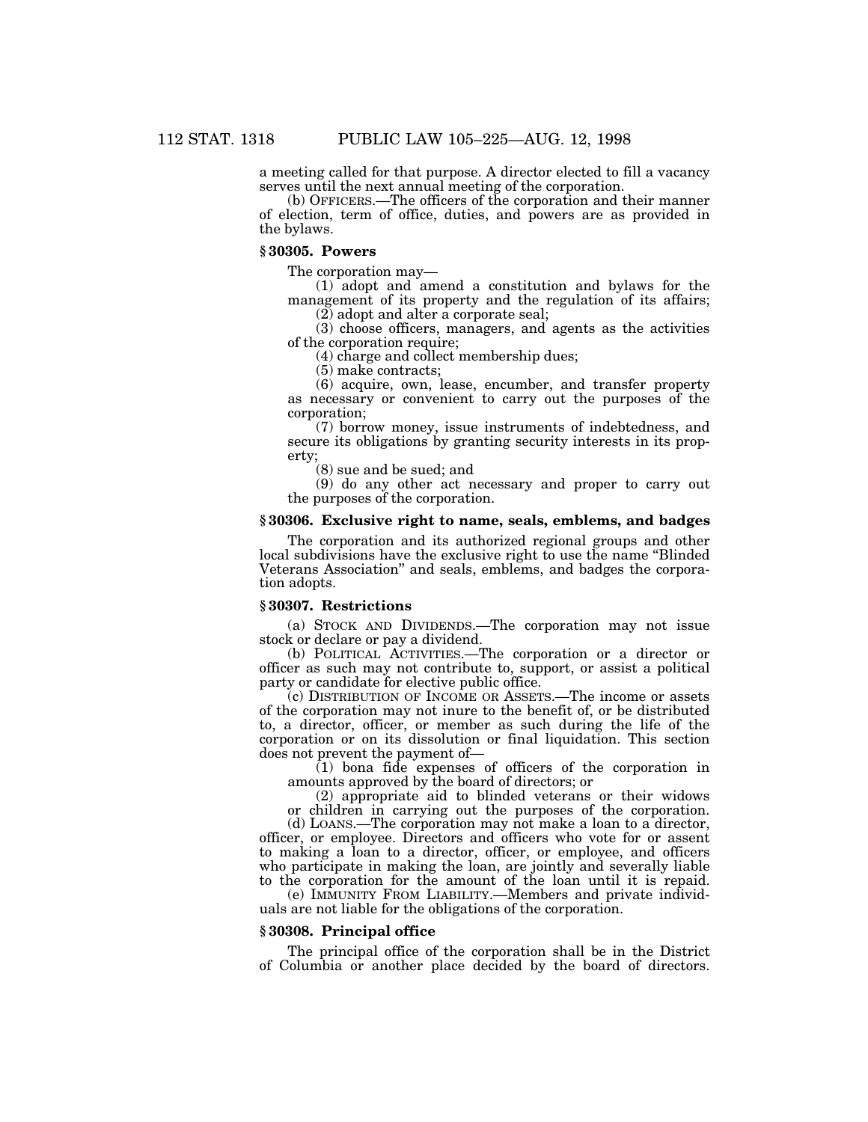a meeting called for that purpose. A director elected to fill a vacancy serves until the next annual meeting of the corporation.

(b) OFFICERS.—The officers of the corporation and their manner of election, term of office, duties, and powers are as provided in the bylaws.

#### **§ 30305. Powers**

The corporation may—

(1) adopt and amend a constitution and bylaws for the management of its property and the regulation of its affairs;  $(2)$  adopt and alter a corporate seal;

(3) choose officers, managers, and agents as the activities of the corporation require;

(4) charge and collect membership dues;

(5) make contracts;

(6) acquire, own, lease, encumber, and transfer property as necessary or convenient to carry out the purposes of the corporation;

(7) borrow money, issue instruments of indebtedness, and secure its obligations by granting security interests in its property;

(8) sue and be sued; and

(9) do any other act necessary and proper to carry out the purposes of the corporation.

## **§ 30306. Exclusive right to name, seals, emblems, and badges**

The corporation and its authorized regional groups and other local subdivisions have the exclusive right to use the name ''Blinded Veterans Association'' and seals, emblems, and badges the corporation adopts.

## **§ 30307. Restrictions**

(a) STOCK AND DIVIDENDS.—The corporation may not issue stock or declare or pay a dividend.

(b) POLITICAL ACTIVITIES.—The corporation or a director or officer as such may not contribute to, support, or assist a political party or candidate for elective public office.

(c) DISTRIBUTION OF INCOME OR ASSETS.—The income or assets of the corporation may not inure to the benefit of, or be distributed to, a director, officer, or member as such during the life of the corporation or on its dissolution or final liquidation. This section does not prevent the payment of—

(1) bona fide expenses of officers of the corporation in amounts approved by the board of directors; or

(2) appropriate aid to blinded veterans or their widows or children in carrying out the purposes of the corporation.

(d) LOANS.—The corporation may not make a loan to a director, officer, or employee. Directors and officers who vote for or assent to making a loan to a director, officer, or employee, and officers who participate in making the loan, are jointly and severally liable to the corporation for the amount of the loan until it is repaid.

(e) IMMUNITY FROM LIABILITY.—Members and private individuals are not liable for the obligations of the corporation.

#### **§ 30308. Principal office**

The principal office of the corporation shall be in the District of Columbia or another place decided by the board of directors.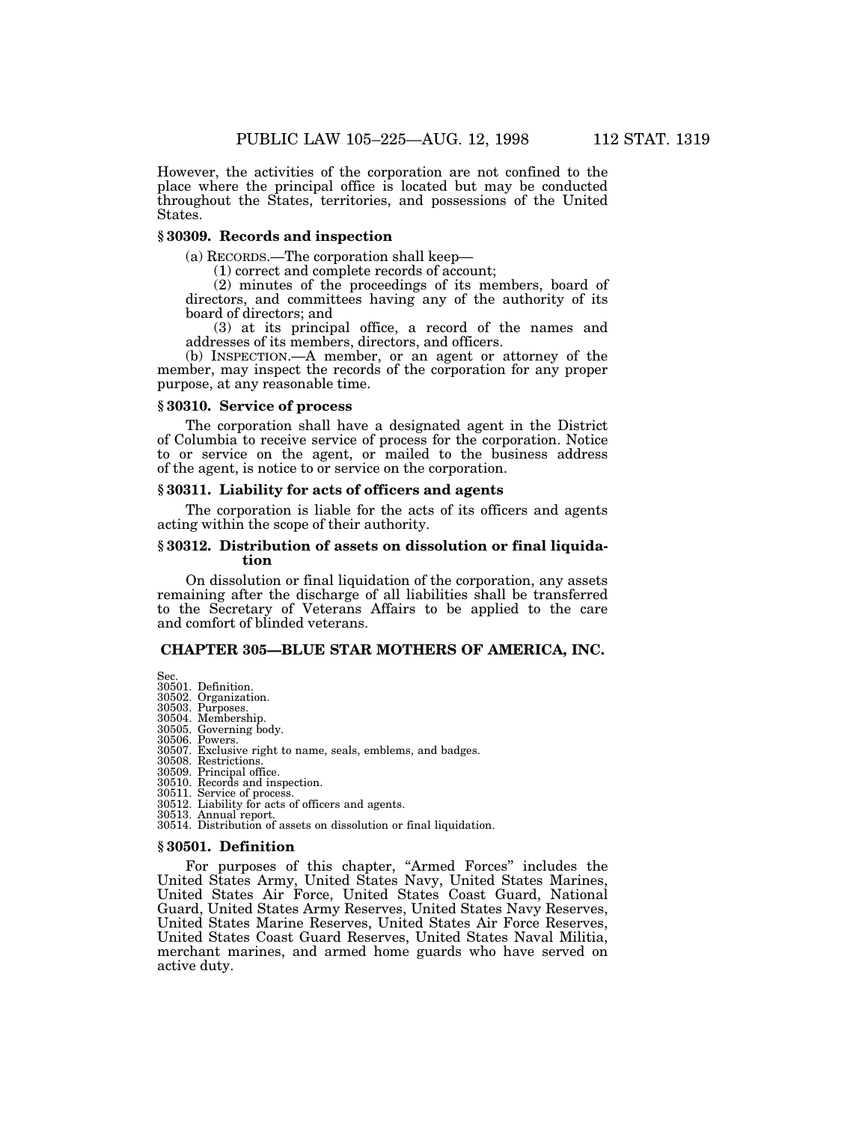However, the activities of the corporation are not confined to the place where the principal office is located but may be conducted throughout the States, territories, and possessions of the United States.

#### **§ 30309. Records and inspection**

(a) RECORDS.—The corporation shall keep—

(1) correct and complete records of account;

(2) minutes of the proceedings of its members, board of directors, and committees having any of the authority of its board of directors; and

(3) at its principal office, a record of the names and addresses of its members, directors, and officers.

(b) INSPECTION.—A member, or an agent or attorney of the member, may inspect the records of the corporation for any proper purpose, at any reasonable time.

### **§ 30310. Service of process**

The corporation shall have a designated agent in the District of Columbia to receive service of process for the corporation. Notice to or service on the agent, or mailed to the business address of the agent, is notice to or service on the corporation.

## **§ 30311. Liability for acts of officers and agents**

The corporation is liable for the acts of its officers and agents acting within the scope of their authority.

## **§ 30312. Distribution of assets on dissolution or final liquidation**

On dissolution or final liquidation of the corporation, any assets remaining after the discharge of all liabilities shall be transferred to the Secretary of Veterans Affairs to be applied to the care and comfort of blinded veterans.

### **CHAPTER 305—BLUE STAR MOTHERS OF AMERICA, INC.**

Sec. 30501. Definition.

30502. Organization.<br>30503. Purposes.<br>30504. Membership.<br>30504. Membership.<br>30505. Governing body.<br>30506. Powers.<br>30508. Restrictions.<br>30509. Principal office.<br>30509. Principal office.<br>30510. Records and inspection.

30511. Service of process.

30512. Liability for acts of officers and agents.

30513. Annual report.

30514. Distribution of assets on dissolution or final liquidation.

#### **§ 30501. Definition**

For purposes of this chapter, "Armed Forces" includes the United States Army, United States Navy, United States Marines, United States Air Force, United States Coast Guard, National Guard, United States Army Reserves, United States Navy Reserves, United States Marine Reserves, United States Air Force Reserves, United States Coast Guard Reserves, United States Naval Militia, merchant marines, and armed home guards who have served on active duty.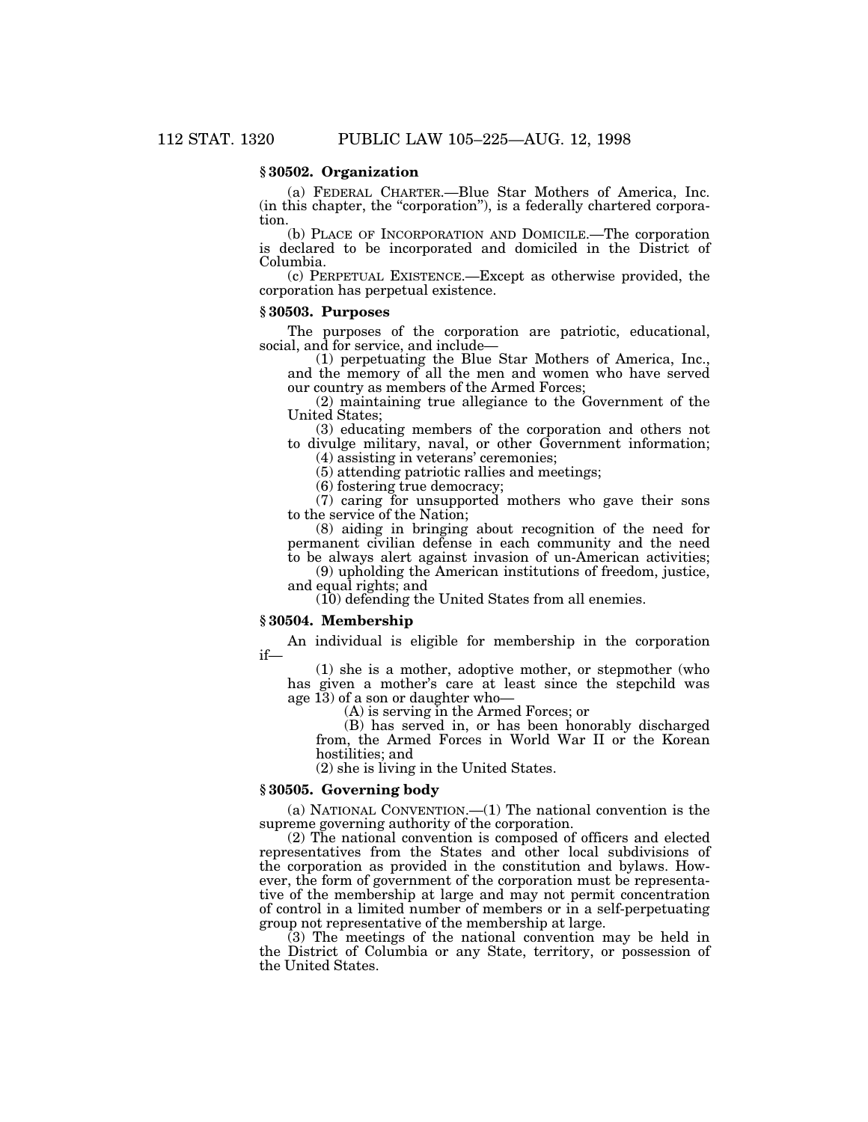## **§ 30502. Organization**

(a) FEDERAL CHARTER.—Blue Star Mothers of America, Inc. (in this chapter, the ''corporation''), is a federally chartered corporation.

(b) PLACE OF INCORPORATION AND DOMICILE.—The corporation is declared to be incorporated and domiciled in the District of Columbia.

(c) PERPETUAL EXISTENCE.—Except as otherwise provided, the corporation has perpetual existence.

## **§ 30503. Purposes**

The purposes of the corporation are patriotic, educational, social, and for service, and include—

(1) perpetuating the Blue Star Mothers of America, Inc., and the memory of all the men and women who have served our country as members of the Armed Forces;

(2) maintaining true allegiance to the Government of the United States;

(3) educating members of the corporation and others not to divulge military, naval, or other Government information;

(4) assisting in veterans' ceremonies;

(5) attending patriotic rallies and meetings;

(6) fostering true democracy;

(7) caring for unsupported mothers who gave their sons to the service of the Nation;

(8) aiding in bringing about recognition of the need for permanent civilian defense in each community and the need to be always alert against invasion of un-American activities;

(9) upholding the American institutions of freedom, justice, and equal rights; and

(10) defending the United States from all enemies.

#### **§ 30504. Membership**

An individual is eligible for membership in the corporation if—

(1) she is a mother, adoptive mother, or stepmother (who has given a mother's care at least since the stepchild was age  $13$ ) of a son or daughter who-

(A) is serving in the Armed Forces; or

(B) has served in, or has been honorably discharged from, the Armed Forces in World War II or the Korean hostilities; and

(2) she is living in the United States.

### **§ 30505. Governing body**

(a) NATIONAL CONVENTION.—(1) The national convention is the supreme governing authority of the corporation.

(2) The national convention is composed of officers and elected representatives from the States and other local subdivisions of the corporation as provided in the constitution and bylaws. However, the form of government of the corporation must be representative of the membership at large and may not permit concentration of control in a limited number of members or in a self-perpetuating group not representative of the membership at large.

(3) The meetings of the national convention may be held in the District of Columbia or any State, territory, or possession of the United States.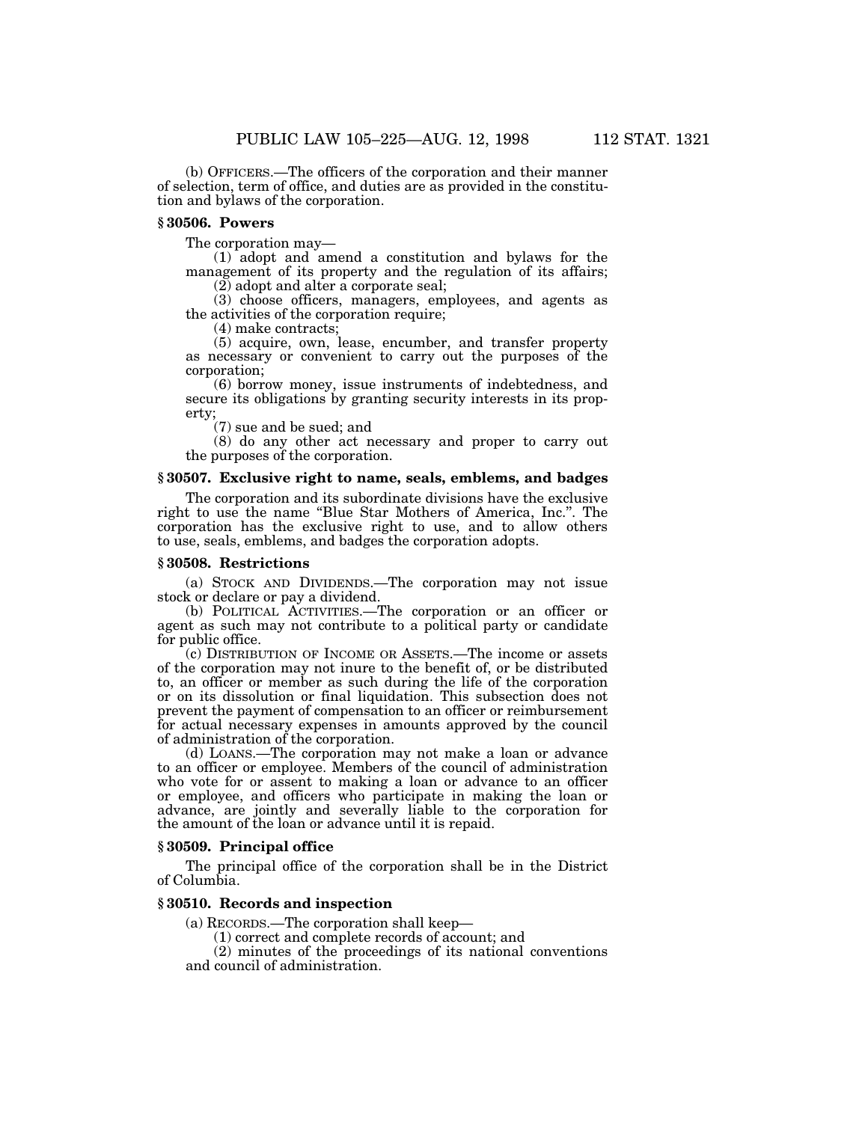(b) OFFICERS.—The officers of the corporation and their manner of selection, term of office, and duties are as provided in the constitution and bylaws of the corporation.

#### **§ 30506. Powers**

The corporation may—

(1) adopt and amend a constitution and bylaws for the management of its property and the regulation of its affairs;  $(2)$  adopt and alter a corporate seal;

(3) choose officers, managers, employees, and agents as the activities of the corporation require;

(4) make contracts;

(5) acquire, own, lease, encumber, and transfer property as necessary or convenient to carry out the purposes of the corporation;

(6) borrow money, issue instruments of indebtedness, and secure its obligations by granting security interests in its property;

(7) sue and be sued; and

(8) do any other act necessary and proper to carry out the purposes of the corporation.

## **§ 30507. Exclusive right to name, seals, emblems, and badges**

The corporation and its subordinate divisions have the exclusive right to use the name ''Blue Star Mothers of America, Inc.''. The corporation has the exclusive right to use, and to allow others to use, seals, emblems, and badges the corporation adopts.

#### **§ 30508. Restrictions**

(a) STOCK AND DIVIDENDS.—The corporation may not issue stock or declare or pay a dividend.

(b) POLITICAL ACTIVITIES.—The corporation or an officer or agent as such may not contribute to a political party or candidate for public office.

(c) DISTRIBUTION OF INCOME OR ASSETS.—The income or assets of the corporation may not inure to the benefit of, or be distributed to, an officer or member as such during the life of the corporation or on its dissolution or final liquidation. This subsection does not prevent the payment of compensation to an officer or reimbursement for actual necessary expenses in amounts approved by the council of administration of the corporation.

(d) LOANS.—The corporation may not make a loan or advance to an officer or employee. Members of the council of administration who vote for or assent to making a loan or advance to an officer or employee, and officers who participate in making the loan or advance, are jointly and severally liable to the corporation for the amount of the loan or advance until it is repaid.

#### **§ 30509. Principal office**

The principal office of the corporation shall be in the District of Columbia.

## **§ 30510. Records and inspection**

(a) RECORDS.—The corporation shall keep—

(1) correct and complete records of account; and

(2) minutes of the proceedings of its national conventions and council of administration.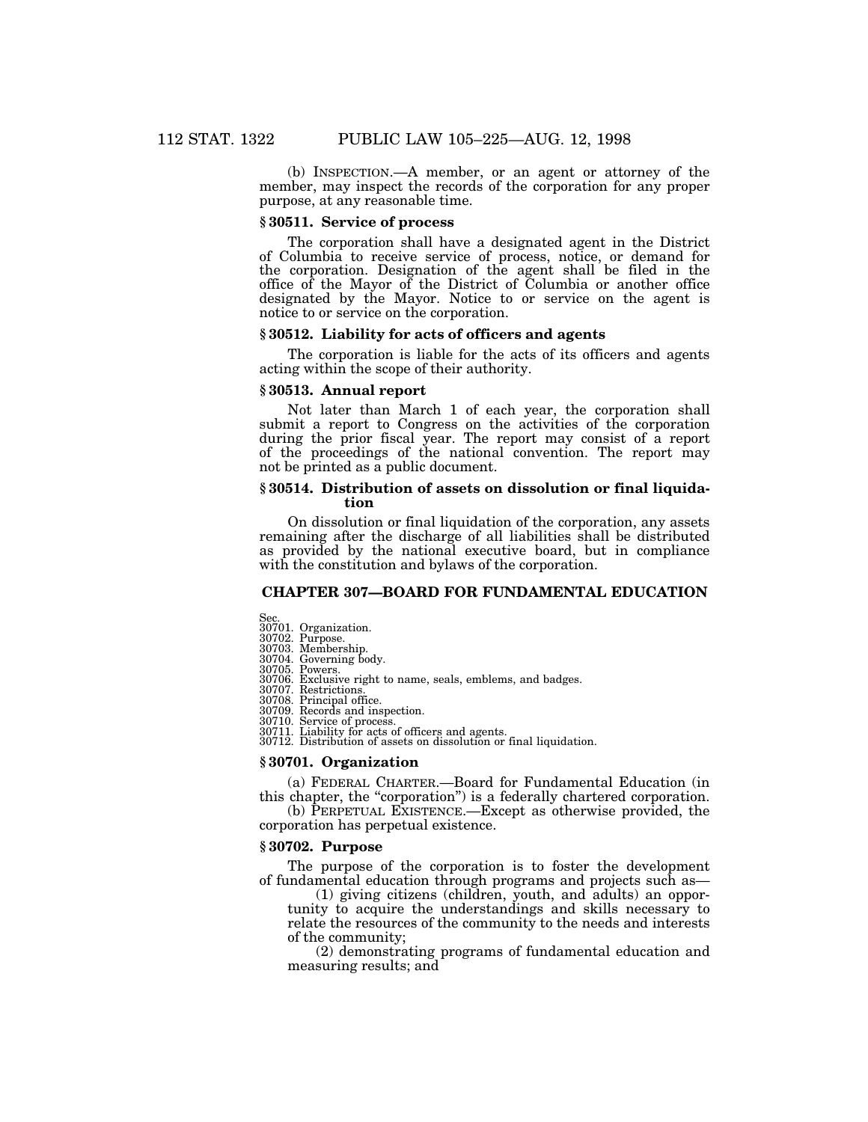(b) INSPECTION.—A member, or an agent or attorney of the member, may inspect the records of the corporation for any proper purpose, at any reasonable time.

#### **§ 30511. Service of process**

The corporation shall have a designated agent in the District of Columbia to receive service of process, notice, or demand for the corporation. Designation of the agent shall be filed in the office of the Mayor of the District of Columbia or another office designated by the Mayor. Notice to or service on the agent is notice to or service on the corporation.

### **§ 30512. Liability for acts of officers and agents**

The corporation is liable for the acts of its officers and agents acting within the scope of their authority.

## **§ 30513. Annual report**

Not later than March 1 of each year, the corporation shall submit a report to Congress on the activities of the corporation during the prior fiscal year. The report may consist of a report of the proceedings of the national convention. The report may not be printed as a public document.

## **§ 30514. Distribution of assets on dissolution or final liquidation**

On dissolution or final liquidation of the corporation, any assets remaining after the discharge of all liabilities shall be distributed as provided by the national executive board, but in compliance with the constitution and bylaws of the corporation.

# **CHAPTER 307—BOARD FOR FUNDAMENTAL EDUCATION**

Sec.<br>30701. Organization.<br>30702. Purpose.<br>30703. Membership.<br>30704. Governing body.<br>30706. Exclusive right to name, seals, emblems, and badges.<br>30706. Exclusive right to name, seals, emblems, and badges.<br>30707. Restriction

# **§ 30701. Organization**

(a) FEDERAL CHARTER.—Board for Fundamental Education (in this chapter, the ''corporation'') is a federally chartered corporation.

(b) PERPETUAL EXISTENCE.—Except as otherwise provided, the corporation has perpetual existence.

## **§ 30702. Purpose**

The purpose of the corporation is to foster the development of fundamental education through programs and projects such as—

(1) giving citizens (children, youth, and adults) an opportunity to acquire the understandings and skills necessary to relate the resources of the community to the needs and interests of the community;

(2) demonstrating programs of fundamental education and measuring results; and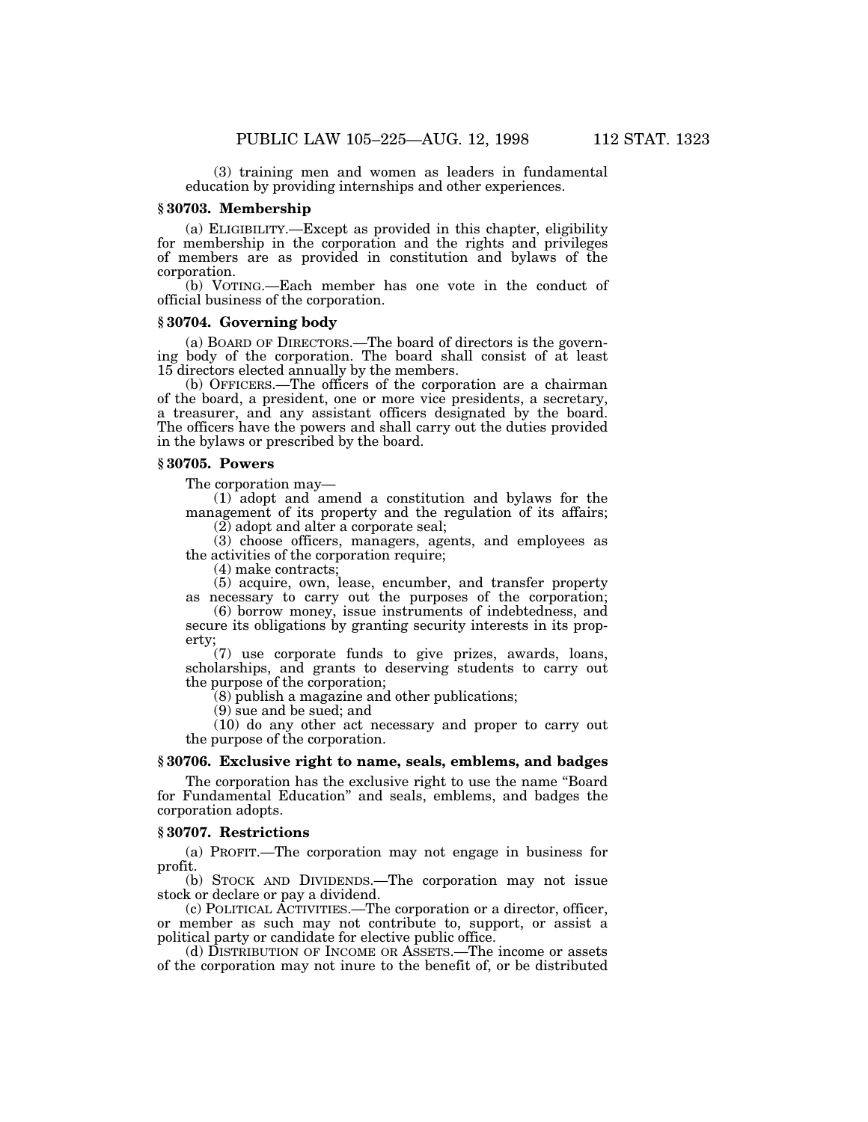(3) training men and women as leaders in fundamental education by providing internships and other experiences.

#### **§ 30703. Membership**

(a) ELIGIBILITY.—Except as provided in this chapter, eligibility for membership in the corporation and the rights and privileges of members are as provided in constitution and bylaws of the corporation.

(b) VOTING.—Each member has one vote in the conduct of official business of the corporation.

### **§ 30704. Governing body**

(a) BOARD OF DIRECTORS.—The board of directors is the governing body of the corporation. The board shall consist of at least 15 directors elected annually by the members.

(b) OFFICERS.—The officers of the corporation are a chairman of the board, a president, one or more vice presidents, a secretary, a treasurer, and any assistant officers designated by the board. The officers have the powers and shall carry out the duties provided in the bylaws or prescribed by the board.

#### **§ 30705. Powers**

The corporation may—

(1) adopt and amend a constitution and bylaws for the management of its property and the regulation of its affairs; (2) adopt and alter a corporate seal;

(3) choose officers, managers, agents, and employees as the activities of the corporation require;

(4) make contracts;

(5) acquire, own, lease, encumber, and transfer property as necessary to carry out the purposes of the corporation;

(6) borrow money, issue instruments of indebtedness, and secure its obligations by granting security interests in its property;

(7) use corporate funds to give prizes, awards, loans, scholarships, and grants to deserving students to carry out the purpose of the corporation;

(8) publish a magazine and other publications;

(9) sue and be sued; and

(10) do any other act necessary and proper to carry out the purpose of the corporation.

### **§ 30706. Exclusive right to name, seals, emblems, and badges**

The corporation has the exclusive right to use the name ''Board for Fundamental Education'' and seals, emblems, and badges the corporation adopts.

#### **§ 30707. Restrictions**

(a) PROFIT.—The corporation may not engage in business for profit.

(b) STOCK AND DIVIDENDS.—The corporation may not issue stock or declare or pay a dividend.

(c) POLITICAL ACTIVITIES.—The corporation or a director, officer, or member as such may not contribute to, support, or assist a political party or candidate for elective public office.

(d) DISTRIBUTION OF INCOME OR ASSETS.—The income or assets of the corporation may not inure to the benefit of, or be distributed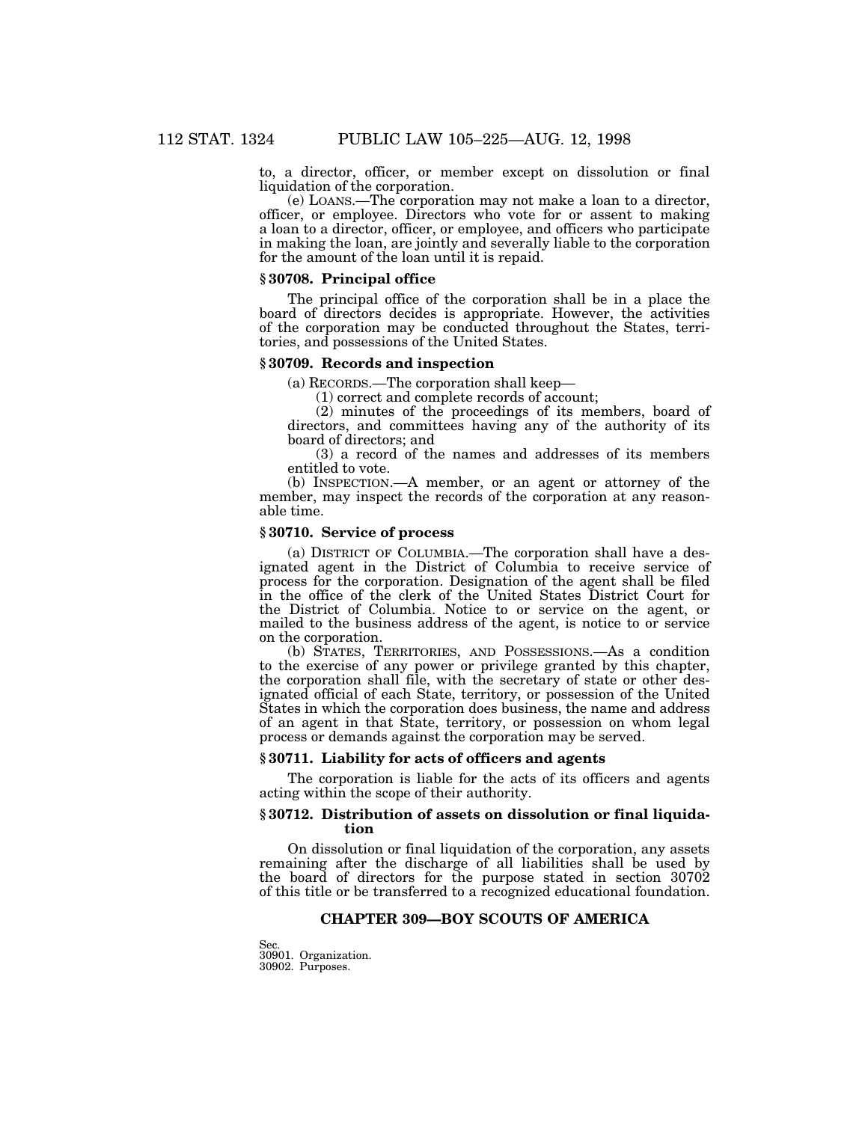to, a director, officer, or member except on dissolution or final liquidation of the corporation.

(e) LOANS.—The corporation may not make a loan to a director, officer, or employee. Directors who vote for or assent to making a loan to a director, officer, or employee, and officers who participate in making the loan, are jointly and severally liable to the corporation for the amount of the loan until it is repaid.

### **§ 30708. Principal office**

The principal office of the corporation shall be in a place the board of directors decides is appropriate. However, the activities of the corporation may be conducted throughout the States, territories, and possessions of the United States.

### **§ 30709. Records and inspection**

(a) RECORDS.—The corporation shall keep—

(1) correct and complete records of account;

(2) minutes of the proceedings of its members, board of directors, and committees having any of the authority of its board of directors; and

(3) a record of the names and addresses of its members entitled to vote.

(b) INSPECTION.—A member, or an agent or attorney of the member, may inspect the records of the corporation at any reasonable time.

#### **§ 30710. Service of process**

(a) DISTRICT OF COLUMBIA.—The corporation shall have a designated agent in the District of Columbia to receive service of process for the corporation. Designation of the agent shall be filed in the office of the clerk of the United States District Court for the District of Columbia. Notice to or service on the agent, or mailed to the business address of the agent, is notice to or service on the corporation.

(b) STATES, TERRITORIES, AND POSSESSIONS.—As a condition to the exercise of any power or privilege granted by this chapter, the corporation shall file, with the secretary of state or other designated official of each State, territory, or possession of the United States in which the corporation does business, the name and address of an agent in that State, territory, or possession on whom legal process or demands against the corporation may be served.

## **§ 30711. Liability for acts of officers and agents**

The corporation is liable for the acts of its officers and agents acting within the scope of their authority.

### **§ 30712. Distribution of assets on dissolution or final liquidation**

On dissolution or final liquidation of the corporation, any assets remaining after the discharge of all liabilities shall be used by the board of directors for the purpose stated in section 30702 of this title or be transferred to a recognized educational foundation.

# **CHAPTER 309—BOY SCOUTS OF AMERICA**

 $_{\mathrm{Sec}}$ 

30901. Organization. 30902. Purposes.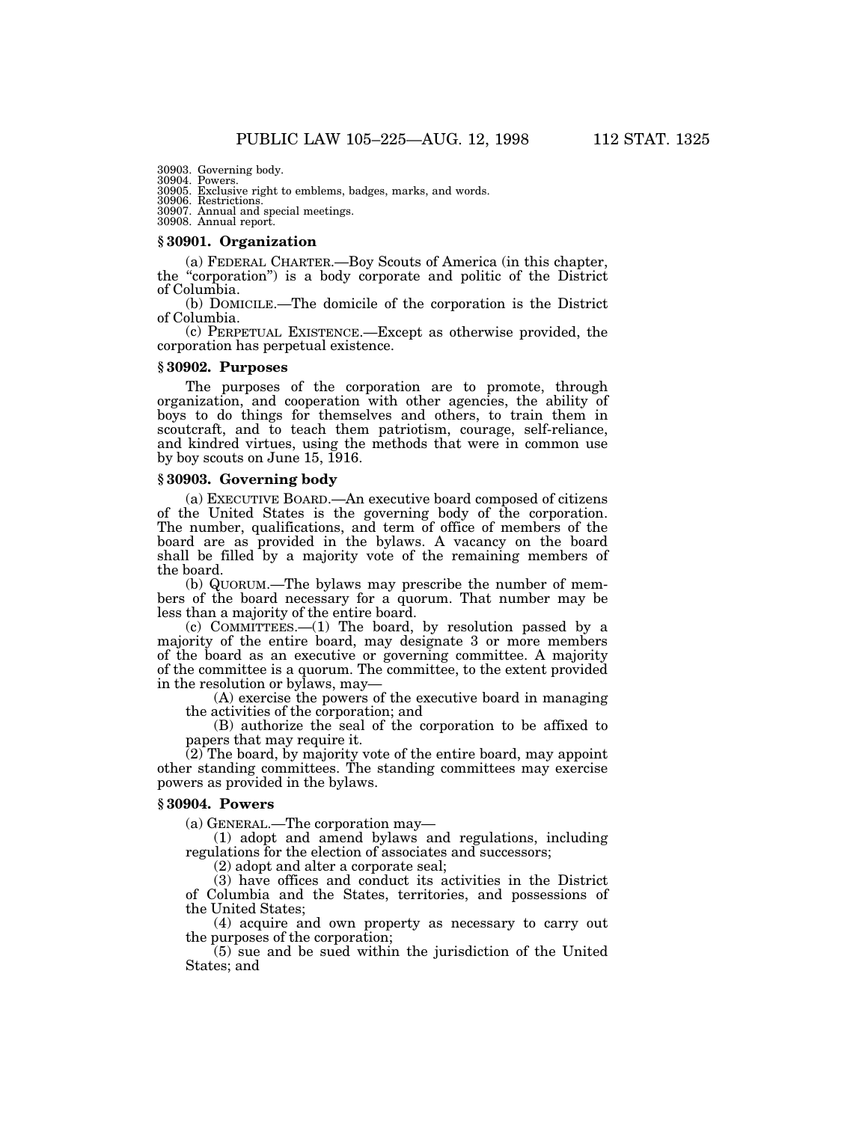30903. Governing body.

30904. Powers. 30905. Exclusive right to emblems, badges, marks, and words.

30906. Restrictions. 30907. Annual and special meetings. 30908. Annual report.

# **§ 30901. Organization**

(a) FEDERAL CHARTER.—Boy Scouts of America (in this chapter, the ''corporation'') is a body corporate and politic of the District of Columbia.

(b) DOMICILE.—The domicile of the corporation is the District of Columbia.

(c) PERPETUAL EXISTENCE.—Except as otherwise provided, the corporation has perpetual existence.

#### **§ 30902. Purposes**

The purposes of the corporation are to promote, through organization, and cooperation with other agencies, the ability of boys to do things for themselves and others, to train them in scoutcraft, and to teach them patriotism, courage, self-reliance, and kindred virtues, using the methods that were in common use by boy scouts on June 15, 1916.

#### **§ 30903. Governing body**

(a) EXECUTIVE BOARD.—An executive board composed of citizens of the United States is the governing body of the corporation. The number, qualifications, and term of office of members of the board are as provided in the bylaws. A vacancy on the board shall be filled by a majority vote of the remaining members of the board.

(b) QUORUM.—The bylaws may prescribe the number of members of the board necessary for a quorum. That number may be less than a majority of the entire board.

(c) COMMITTEES.—(1) The board, by resolution passed by a majority of the entire board, may designate 3 or more members of the board as an executive or governing committee. A majority of the committee is a quorum. The committee, to the extent provided in the resolution or bylaws, may—

(A) exercise the powers of the executive board in managing the activities of the corporation; and

(B) authorize the seal of the corporation to be affixed to papers that may require it.

(2) The board, by majority vote of the entire board, may appoint other standing committees. The standing committees may exercise powers as provided in the bylaws.

### **§ 30904. Powers**

(a) GENERAL.—The corporation may—

(1) adopt and amend bylaws and regulations, including regulations for the election of associates and successors;

(2) adopt and alter a corporate seal;

(3) have offices and conduct its activities in the District of Columbia and the States, territories, and possessions of the United States;

(4) acquire and own property as necessary to carry out the purposes of the corporation;

(5) sue and be sued within the jurisdiction of the United States; and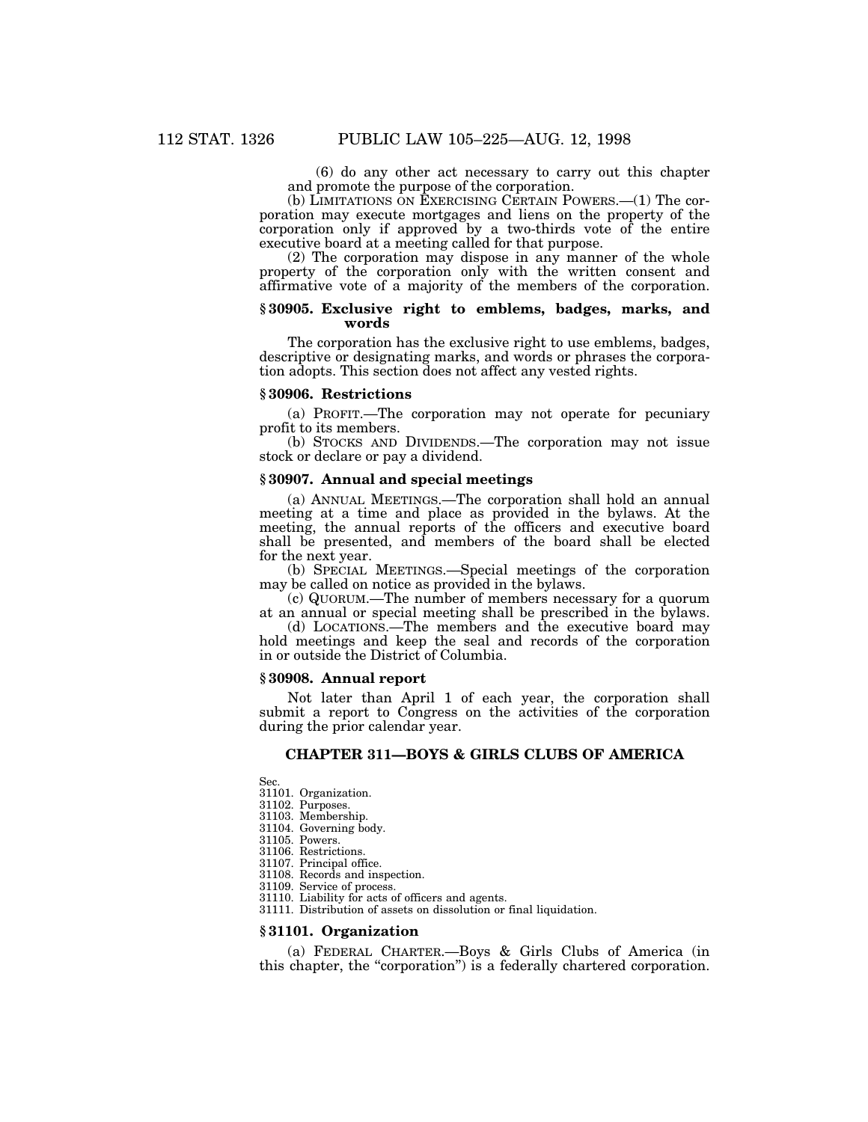(6) do any other act necessary to carry out this chapter and promote the purpose of the corporation.

(b) LIMITATIONS ON EXERCISING CERTAIN POWERS.—(1) The corporation may execute mortgages and liens on the property of the corporation only if approved by a two-thirds vote of the entire executive board at a meeting called for that purpose.

(2) The corporation may dispose in any manner of the whole property of the corporation only with the written consent and affirmative vote of a majority of the members of the corporation.

#### **§ 30905. Exclusive right to emblems, badges, marks, and words**

The corporation has the exclusive right to use emblems, badges, descriptive or designating marks, and words or phrases the corporation adopts. This section does not affect any vested rights.

# **§ 30906. Restrictions**

(a) PROFIT.—The corporation may not operate for pecuniary profit to its members.

(b) STOCKS AND DIVIDENDS.—The corporation may not issue stock or declare or pay a dividend.

#### **§ 30907. Annual and special meetings**

(a) ANNUAL MEETINGS.—The corporation shall hold an annual meeting at a time and place as provided in the bylaws. At the meeting, the annual reports of the officers and executive board shall be presented, and members of the board shall be elected for the next year.

(b) SPECIAL MEETINGS.—Special meetings of the corporation may be called on notice as provided in the bylaws.

(c) QUORUM.—The number of members necessary for a quorum at an annual or special meeting shall be prescribed in the bylaws.

(d) LOCATIONS.—The members and the executive board may hold meetings and keep the seal and records of the corporation in or outside the District of Columbia.

#### **§ 30908. Annual report**

Not later than April 1 of each year, the corporation shall submit a report to Congress on the activities of the corporation during the prior calendar year.

# **CHAPTER 311—BOYS & GIRLS CLUBS OF AMERICA**

Sec.

- 31101. Organization.
- 31102. Purposes.
- 31103. Membership.
- 31104. Governing body.
- 31105. Powers.
- 31106. Restrictions.
- 31107. Principal office.
- 31108. Records and inspection.
- 31109. Service of process.
- 31110. Liability for acts of officers and agents.
- 31111. Distribution of assets on dissolution or final liquidation.

### **§ 31101. Organization**

(a) FEDERAL CHARTER.—Boys & Girls Clubs of America (in this chapter, the ''corporation'') is a federally chartered corporation.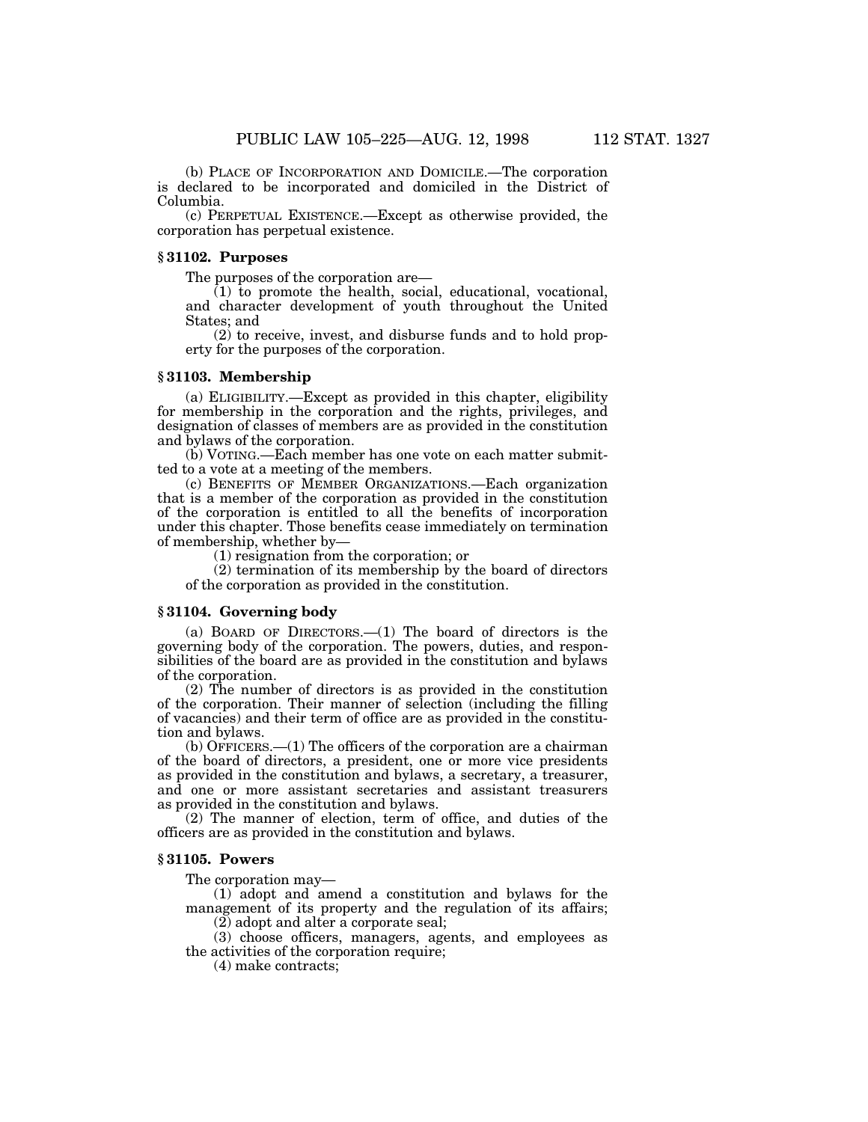(b) PLACE OF INCORPORATION AND DOMICILE.—The corporation is declared to be incorporated and domiciled in the District of Columbia.

(c) PERPETUAL EXISTENCE.—Except as otherwise provided, the corporation has perpetual existence.

# **§ 31102. Purposes**

The purposes of the corporation are—

(1) to promote the health, social, educational, vocational, and character development of youth throughout the United States; and

(2) to receive, invest, and disburse funds and to hold property for the purposes of the corporation.

#### **§ 31103. Membership**

(a) ELIGIBILITY.—Except as provided in this chapter, eligibility for membership in the corporation and the rights, privileges, and designation of classes of members are as provided in the constitution and bylaws of the corporation.

(b) VOTING.—Each member has one vote on each matter submitted to a vote at a meeting of the members.

(c) BENEFITS OF MEMBER ORGANIZATIONS.—Each organization that is a member of the corporation as provided in the constitution of the corporation is entitled to all the benefits of incorporation under this chapter. Those benefits cease immediately on termination of membership, whether by—

(1) resignation from the corporation; or

(2) termination of its membership by the board of directors of the corporation as provided in the constitution.

### **§ 31104. Governing body**

(a) BOARD OF DIRECTORS.—(1) The board of directors is the governing body of the corporation. The powers, duties, and responsibilities of the board are as provided in the constitution and bylaws of the corporation.

(2) The number of directors is as provided in the constitution of the corporation. Their manner of selection (including the filling of vacancies) and their term of office are as provided in the constitution and bylaws.

(b) OFFICERS.—(1) The officers of the corporation are a chairman of the board of directors, a president, one or more vice presidents as provided in the constitution and bylaws, a secretary, a treasurer, and one or more assistant secretaries and assistant treasurers as provided in the constitution and bylaws.

(2) The manner of election, term of office, and duties of the officers are as provided in the constitution and bylaws.

#### **§ 31105. Powers**

The corporation may—

(1) adopt and amend a constitution and bylaws for the management of its property and the regulation of its affairs; (2) adopt and alter a corporate seal;

(3) choose officers, managers, agents, and employees as the activities of the corporation require;

(4) make contracts;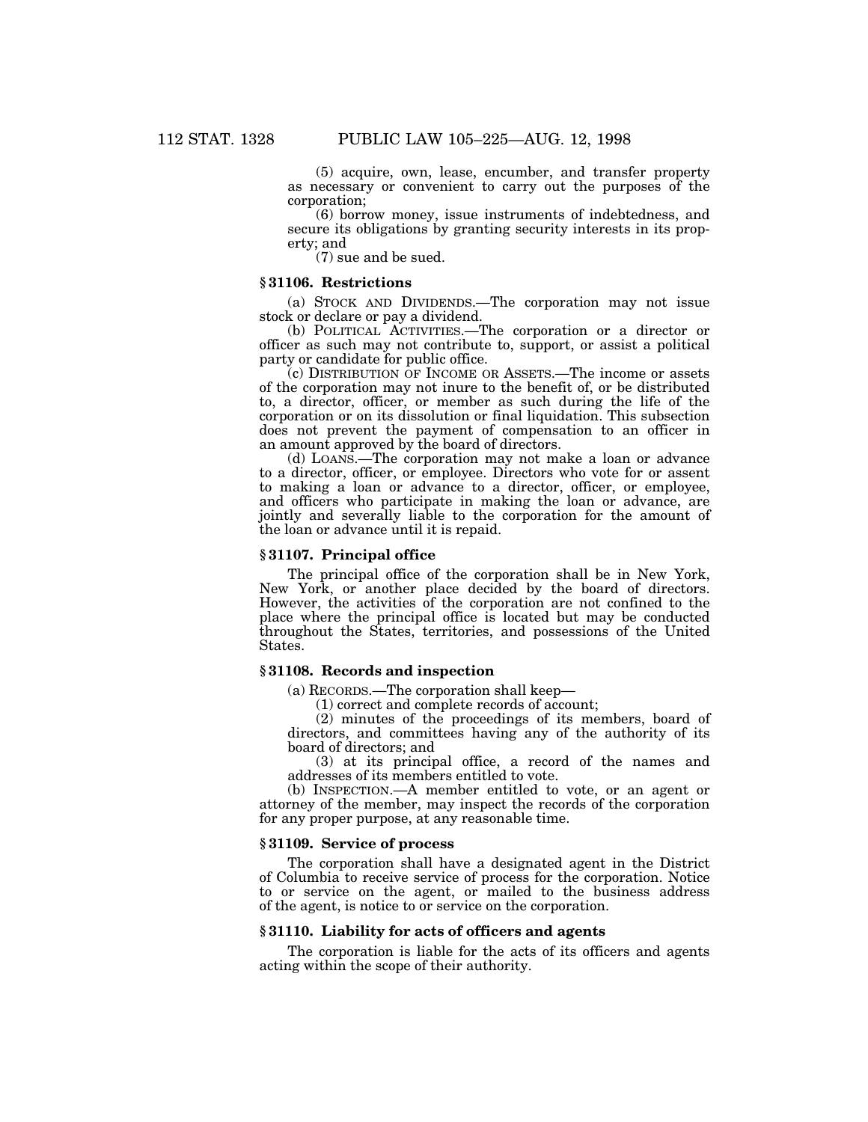(5) acquire, own, lease, encumber, and transfer property as necessary or convenient to carry out the purposes of the corporation;

(6) borrow money, issue instruments of indebtedness, and secure its obligations by granting security interests in its property; and

(7) sue and be sued.

### **§ 31106. Restrictions**

(a) STOCK AND DIVIDENDS.—The corporation may not issue stock or declare or pay a dividend.

(b) POLITICAL ACTIVITIES.—The corporation or a director or officer as such may not contribute to, support, or assist a political party or candidate for public office.

(c) DISTRIBUTION OF INCOME OR ASSETS.—The income or assets of the corporation may not inure to the benefit of, or be distributed to, a director, officer, or member as such during the life of the corporation or on its dissolution or final liquidation. This subsection does not prevent the payment of compensation to an officer in an amount approved by the board of directors.

(d) LOANS.—The corporation may not make a loan or advance to a director, officer, or employee. Directors who vote for or assent to making a loan or advance to a director, officer, or employee, and officers who participate in making the loan or advance, are jointly and severally liable to the corporation for the amount of the loan or advance until it is repaid.

#### **§ 31107. Principal office**

The principal office of the corporation shall be in New York, New York, or another place decided by the board of directors. However, the activities of the corporation are not confined to the place where the principal office is located but may be conducted throughout the States, territories, and possessions of the United States.

### **§ 31108. Records and inspection**

(a) RECORDS.—The corporation shall keep—

(1) correct and complete records of account;

(2) minutes of the proceedings of its members, board of directors, and committees having any of the authority of its board of directors; and

(3) at its principal office, a record of the names and addresses of its members entitled to vote.

(b) INSPECTION.—A member entitled to vote, or an agent or attorney of the member, may inspect the records of the corporation for any proper purpose, at any reasonable time.

#### **§ 31109. Service of process**

The corporation shall have a designated agent in the District of Columbia to receive service of process for the corporation. Notice to or service on the agent, or mailed to the business address of the agent, is notice to or service on the corporation.

# **§ 31110. Liability for acts of officers and agents**

The corporation is liable for the acts of its officers and agents acting within the scope of their authority.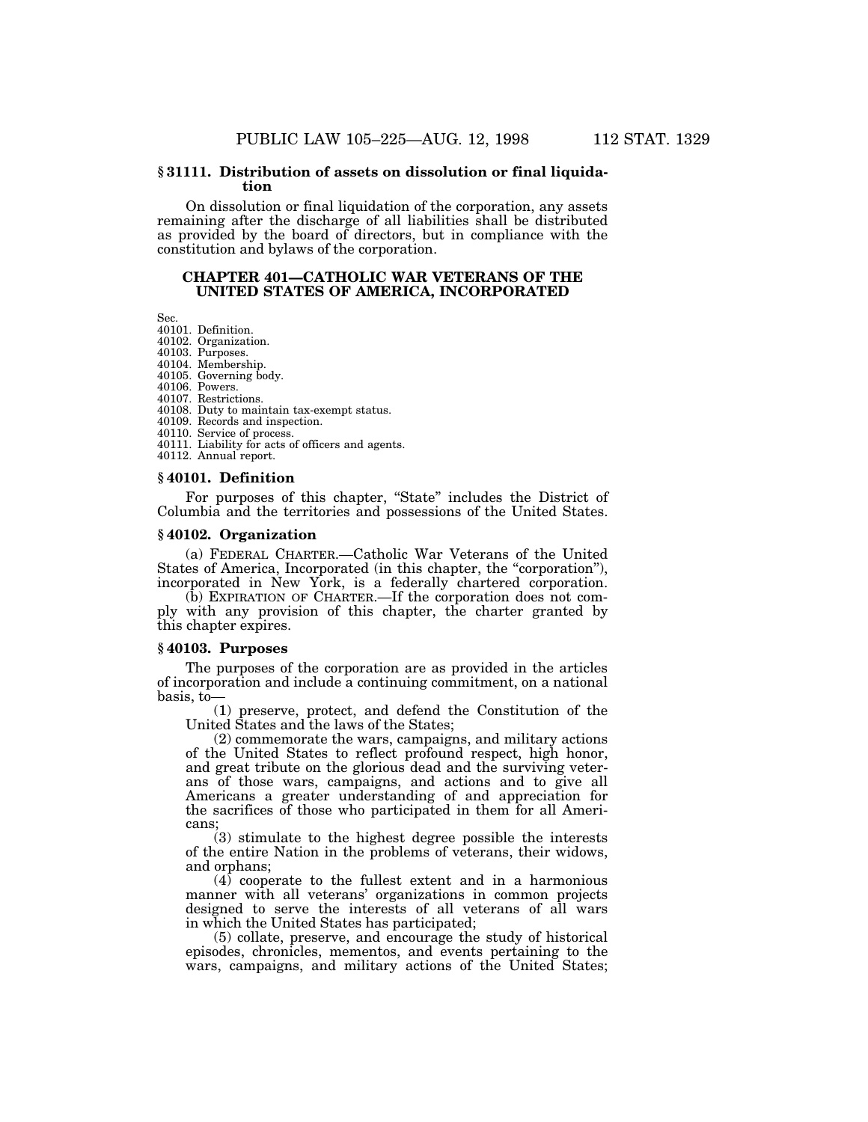### **§ 31111. Distribution of assets on dissolution or final liquidation**

On dissolution or final liquidation of the corporation, any assets remaining after the discharge of all liabilities shall be distributed as provided by the board of directors, but in compliance with the constitution and bylaws of the corporation.

# **CHAPTER 401—CATHOLIC WAR VETERANS OF THE UNITED STATES OF AMERICA, INCORPORATED**

Sec.

40101. Definition.

40102. Organization.

40103. Purposes.

40104. Membership.

40105. Governing body. 40106. Powers.

40107. Restrictions.

40108. Duty to maintain tax-exempt status.

40109. Records and inspection.

40110. Service of process.

40111. Liability for acts of officers and agents.

40112. Annual report.

#### **§ 40101. Definition**

For purposes of this chapter, "State" includes the District of Columbia and the territories and possessions of the United States.

# **§ 40102. Organization**

(a) FEDERAL CHARTER.—Catholic War Veterans of the United States of America, Incorporated (in this chapter, the "corporation"), incorporated in New York, is a federally chartered corporation.

(b) EXPIRATION OF CHARTER.—If the corporation does not comply with any provision of this chapter, the charter granted by this chapter expires.

#### **§ 40103. Purposes**

The purposes of the corporation are as provided in the articles of incorporation and include a continuing commitment, on a national basis, to—

(1) preserve, protect, and defend the Constitution of the United States and the laws of the States;

(2) commemorate the wars, campaigns, and military actions of the United States to reflect profound respect, high honor, and great tribute on the glorious dead and the surviving veterans of those wars, campaigns, and actions and to give all Americans a greater understanding of and appreciation for the sacrifices of those who participated in them for all Americans;

(3) stimulate to the highest degree possible the interests of the entire Nation in the problems of veterans, their widows, and orphans;

(4) cooperate to the fullest extent and in a harmonious manner with all veterans' organizations in common projects designed to serve the interests of all veterans of all wars in which the United States has participated;

(5) collate, preserve, and encourage the study of historical episodes, chronicles, mementos, and events pertaining to the wars, campaigns, and military actions of the United States;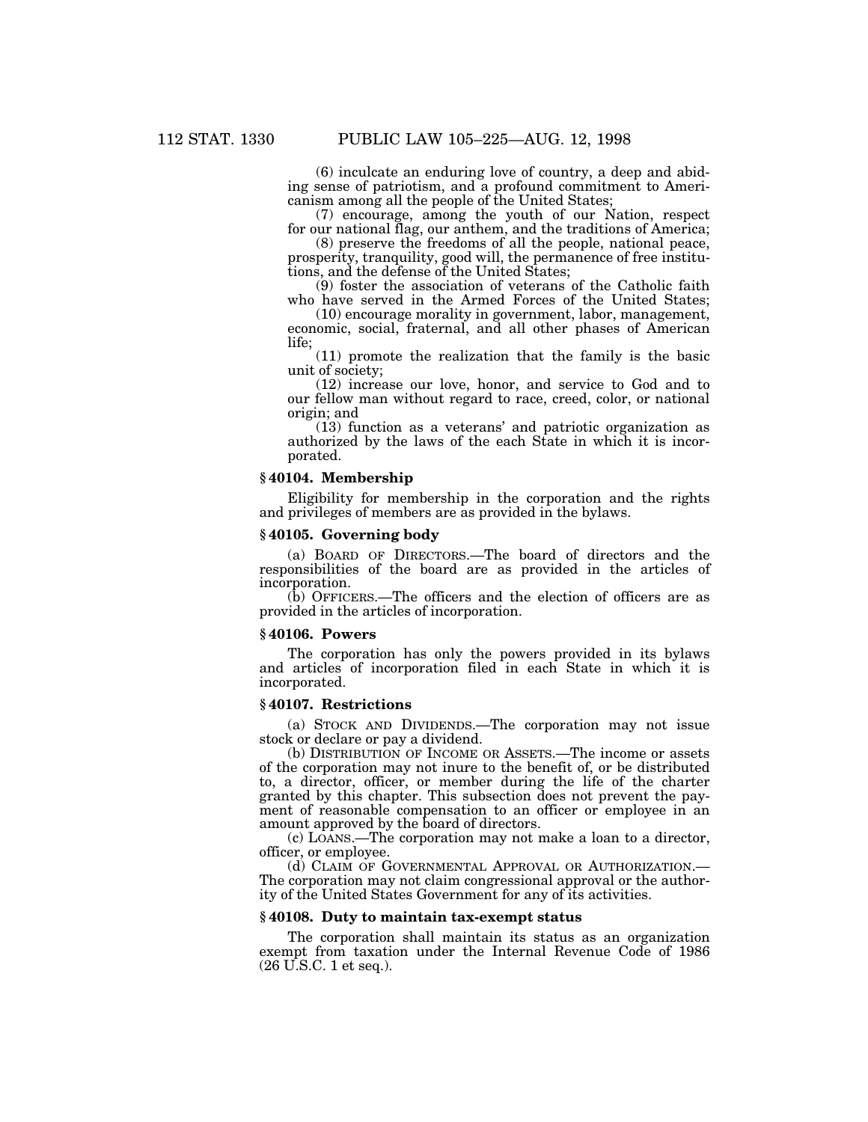(6) inculcate an enduring love of country, a deep and abiding sense of patriotism, and a profound commitment to Americanism among all the people of the United States;

(7) encourage, among the youth of our Nation, respect for our national flag, our anthem, and the traditions of America;

(8) preserve the freedoms of all the people, national peace, prosperity, tranquility, good will, the permanence of free institutions, and the defense of the United States;

(9) foster the association of veterans of the Catholic faith who have served in the Armed Forces of the United States;

(10) encourage morality in government, labor, management, economic, social, fraternal, and all other phases of American life;

(11) promote the realization that the family is the basic unit of society;

(12) increase our love, honor, and service to God and to our fellow man without regard to race, creed, color, or national origin; and

(13) function as a veterans' and patriotic organization as authorized by the laws of the each State in which it is incorporated.

#### **§ 40104. Membership**

Eligibility for membership in the corporation and the rights and privileges of members are as provided in the bylaws.

### **§ 40105. Governing body**

(a) BOARD OF DIRECTORS.—The board of directors and the responsibilities of the board are as provided in the articles of incorporation.

(b) OFFICERS.—The officers and the election of officers are as provided in the articles of incorporation.

#### **§ 40106. Powers**

The corporation has only the powers provided in its bylaws and articles of incorporation filed in each State in which it is incorporated.

#### **§ 40107. Restrictions**

(a) STOCK AND DIVIDENDS.—The corporation may not issue stock or declare or pay a dividend.

(b) DISTRIBUTION OF INCOME OR ASSETS.—The income or assets of the corporation may not inure to the benefit of, or be distributed to, a director, officer, or member during the life of the charter granted by this chapter. This subsection does not prevent the payment of reasonable compensation to an officer or employee in an amount approved by the board of directors.

(c) LOANS.—The corporation may not make a loan to a director, officer, or employee.

(d) CLAIM OF GOVERNMENTAL APPROVAL OR AUTHORIZATION.— The corporation may not claim congressional approval or the authority of the United States Government for any of its activities.

### **§ 40108. Duty to maintain tax-exempt status**

The corporation shall maintain its status as an organization exempt from taxation under the Internal Revenue Code of 1986 (26 U.S.C. 1 et seq.).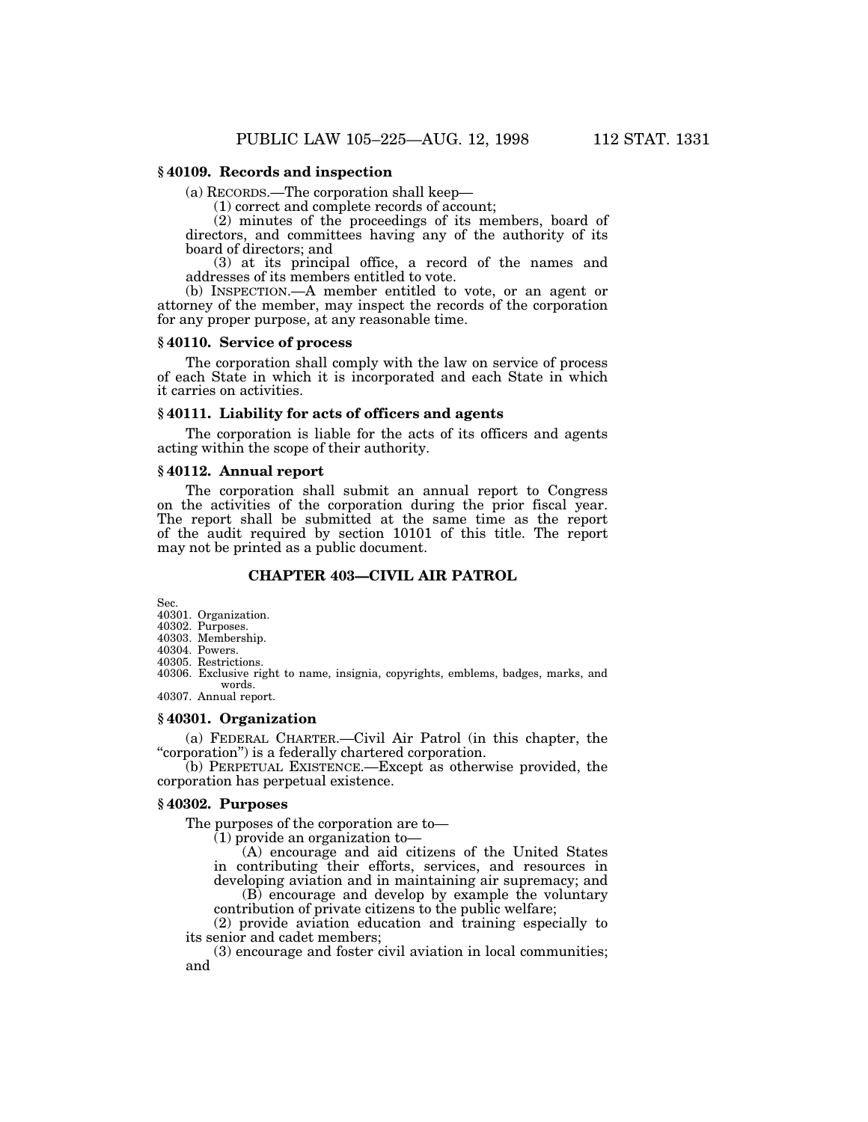### **§ 40109. Records and inspection**

(a) RECORDS.—The corporation shall keep—

(1) correct and complete records of account;

(2) minutes of the proceedings of its members, board of directors, and committees having any of the authority of its board of directors; and

(3) at its principal office, a record of the names and addresses of its members entitled to vote.

(b) INSPECTION.—A member entitled to vote, or an agent or attorney of the member, may inspect the records of the corporation for any proper purpose, at any reasonable time.

### **§ 40110. Service of process**

The corporation shall comply with the law on service of process of each State in which it is incorporated and each State in which it carries on activities.

# **§ 40111. Liability for acts of officers and agents**

The corporation is liable for the acts of its officers and agents acting within the scope of their authority.

#### **§ 40112. Annual report**

The corporation shall submit an annual report to Congress on the activities of the corporation during the prior fiscal year. The report shall be submitted at the same time as the report of the audit required by section 10101 of this title. The report may not be printed as a public document.

# **CHAPTER 403—CIVIL AIR PATROL**

Sec.

- 40301. Organization.
- 40302. Purposes.
- 40303. Membership.
- 40304. Powers. 40305. Restrictions.
- 

40306. Exclusive right to name, insignia, copyrights, emblems, badges, marks, and words. 40307. Annual report.

#### **§ 40301. Organization**

(a) FEDERAL CHARTER.—Civil Air Patrol (in this chapter, the "corporation") is a federally chartered corporation.

(b) PERPETUAL EXISTENCE.—Except as otherwise provided, the corporation has perpetual existence.

### **§ 40302. Purposes**

The purposes of the corporation are to—

 $(1)$  provide an organization to-

(A) encourage and aid citizens of the United States in contributing their efforts, services, and resources in developing aviation and in maintaining air supremacy; and

(B) encourage and develop by example the voluntary contribution of private citizens to the public welfare;

(2) provide aviation education and training especially to its senior and cadet members;

(3) encourage and foster civil aviation in local communities; and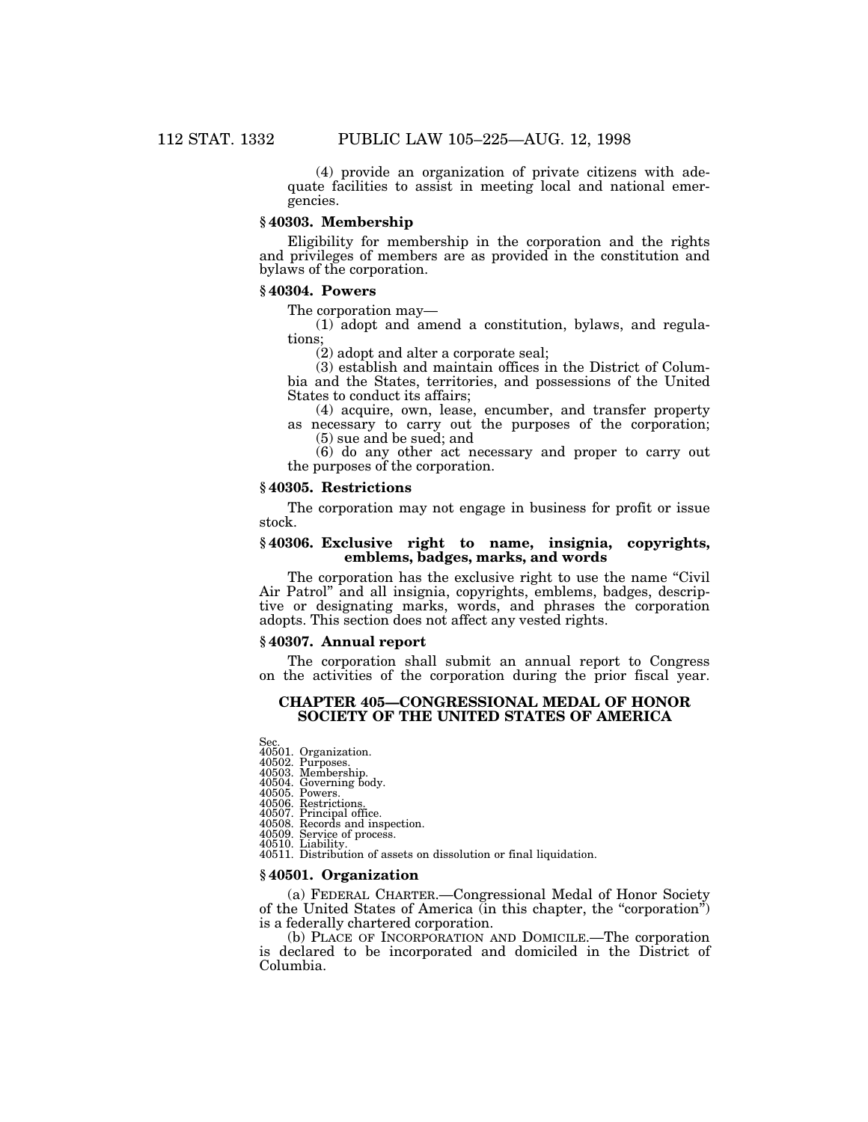(4) provide an organization of private citizens with adequate facilities to assist in meeting local and national emergencies.

### **§ 40303. Membership**

Eligibility for membership in the corporation and the rights and privileges of members are as provided in the constitution and bylaws of the corporation.

# **§ 40304. Powers**

The corporation may—

(1) adopt and amend a constitution, bylaws, and regulations;

(2) adopt and alter a corporate seal;

(3) establish and maintain offices in the District of Columbia and the States, territories, and possessions of the United States to conduct its affairs;

(4) acquire, own, lease, encumber, and transfer property as necessary to carry out the purposes of the corporation; (5) sue and be sued; and

(6) do any other act necessary and proper to carry out the purposes of the corporation.

### **§ 40305. Restrictions**

The corporation may not engage in business for profit or issue stock.

### **§ 40306. Exclusive right to name, insignia, copyrights, emblems, badges, marks, and words**

The corporation has the exclusive right to use the name ''Civil Air Patrol'' and all insignia, copyrights, emblems, badges, descriptive or designating marks, words, and phrases the corporation adopts. This section does not affect any vested rights.

#### **§ 40307. Annual report**

The corporation shall submit an annual report to Congress on the activities of the corporation during the prior fiscal year.

# **CHAPTER 405—CONGRESSIONAL MEDAL OF HONOR SOCIETY OF THE UNITED STATES OF AMERICA**

Sec.

40501. Organization. 40502. Purposes. 40503. Membership.

40504. Governing body. 40505. Powers. 40506. Restrictions. 40507. Principal office. 40508. Records and inspection. 40509. Service of process. 40510. Liability.

40511. Distribution of assets on dissolution or final liquidation.

#### **§ 40501. Organization**

(a) FEDERAL CHARTER.—Congressional Medal of Honor Society of the United States of America (in this chapter, the ''corporation'') is a federally chartered corporation.

(b) PLACE OF INCORPORATION AND DOMICILE.—The corporation is declared to be incorporated and domiciled in the District of Columbia.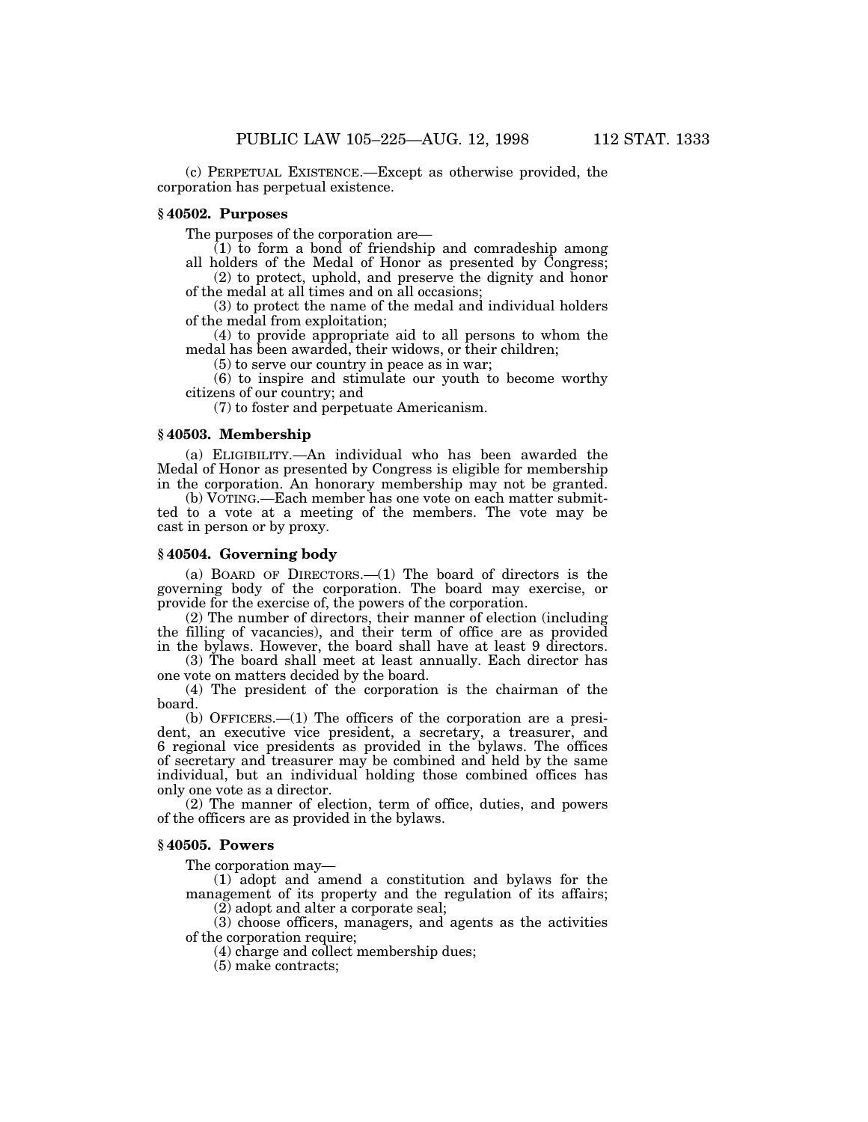(c) PERPETUAL EXISTENCE.—Except as otherwise provided, the corporation has perpetual existence.

# **§ 40502. Purposes**

The purposes of the corporation are—

(1) to form a bond of friendship and comradeship among all holders of the Medal of Honor as presented by Congress;

(2) to protect, uphold, and preserve the dignity and honor of the medal at all times and on all occasions;

(3) to protect the name of the medal and individual holders of the medal from exploitation;

(4) to provide appropriate aid to all persons to whom the medal has been awarded, their widows, or their children;

(5) to serve our country in peace as in war;

(6) to inspire and stimulate our youth to become worthy citizens of our country; and

(7) to foster and perpetuate Americanism.

### **§ 40503. Membership**

(a) ELIGIBILITY.—An individual who has been awarded the Medal of Honor as presented by Congress is eligible for membership in the corporation. An honorary membership may not be granted.

(b) VOTING.—Each member has one vote on each matter submitted to a vote at a meeting of the members. The vote may be cast in person or by proxy.

### **§ 40504. Governing body**

(a) BOARD OF DIRECTORS.—(1) The board of directors is the governing body of the corporation. The board may exercise, or provide for the exercise of, the powers of the corporation.

(2) The number of directors, their manner of election (including the filling of vacancies), and their term of office are as provided in the bylaws. However, the board shall have at least 9 directors.

(3) The board shall meet at least annually. Each director has one vote on matters decided by the board.

(4) The president of the corporation is the chairman of the board.

(b) OFFICERS.—(1) The officers of the corporation are a president, an executive vice president, a secretary, a treasurer, and 6 regional vice presidents as provided in the bylaws. The offices of secretary and treasurer may be combined and held by the same individual, but an individual holding those combined offices has only one vote as a director.

(2) The manner of election, term of office, duties, and powers of the officers are as provided in the bylaws.

#### **§ 40505. Powers**

The corporation may—

(1) adopt and amend a constitution and bylaws for the management of its property and the regulation of its affairs; (2) adopt and alter a corporate seal;

(3) choose officers, managers, and agents as the activities of the corporation require;

(4) charge and collect membership dues;

(5) make contracts;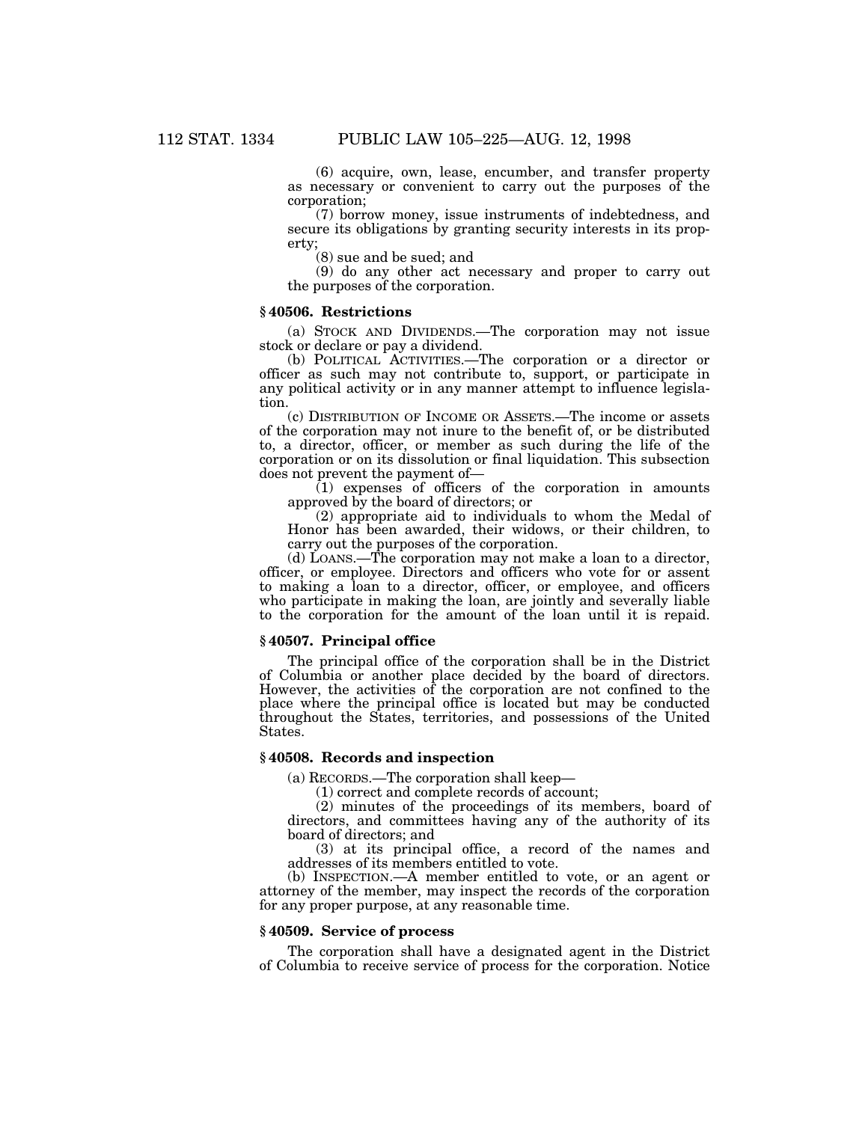(6) acquire, own, lease, encumber, and transfer property as necessary or convenient to carry out the purposes of the corporation;

(7) borrow money, issue instruments of indebtedness, and secure its obligations by granting security interests in its property;

(8) sue and be sued; and

(9) do any other act necessary and proper to carry out the purposes of the corporation.

# **§ 40506. Restrictions**

(a) STOCK AND DIVIDENDS.—The corporation may not issue stock or declare or pay a dividend.

(b) POLITICAL ACTIVITIES.—The corporation or a director or officer as such may not contribute to, support, or participate in any political activity or in any manner attempt to influence legislation.

(c) DISTRIBUTION OF INCOME OR ASSETS.—The income or assets of the corporation may not inure to the benefit of, or be distributed to, a director, officer, or member as such during the life of the corporation or on its dissolution or final liquidation. This subsection does not prevent the payment of—

 $(1)$  expenses of officers of the corporation in amounts approved by the board of directors; or

(2) appropriate aid to individuals to whom the Medal of Honor has been awarded, their widows, or their children, to carry out the purposes of the corporation.

(d) LOANS.—The corporation may not make a loan to a director, officer, or employee. Directors and officers who vote for or assent to making a loan to a director, officer, or employee, and officers who participate in making the loan, are jointly and severally liable to the corporation for the amount of the loan until it is repaid.

#### **§ 40507. Principal office**

The principal office of the corporation shall be in the District of Columbia or another place decided by the board of directors. However, the activities of the corporation are not confined to the place where the principal office is located but may be conducted throughout the States, territories, and possessions of the United States.

#### **§ 40508. Records and inspection**

(a) RECORDS.—The corporation shall keep—

(1) correct and complete records of account;

(2) minutes of the proceedings of its members, board of directors, and committees having any of the authority of its board of directors; and

(3) at its principal office, a record of the names and addresses of its members entitled to vote.

(b) INSPECTION.—A member entitled to vote, or an agent or attorney of the member, may inspect the records of the corporation for any proper purpose, at any reasonable time.

#### **§ 40509. Service of process**

The corporation shall have a designated agent in the District of Columbia to receive service of process for the corporation. Notice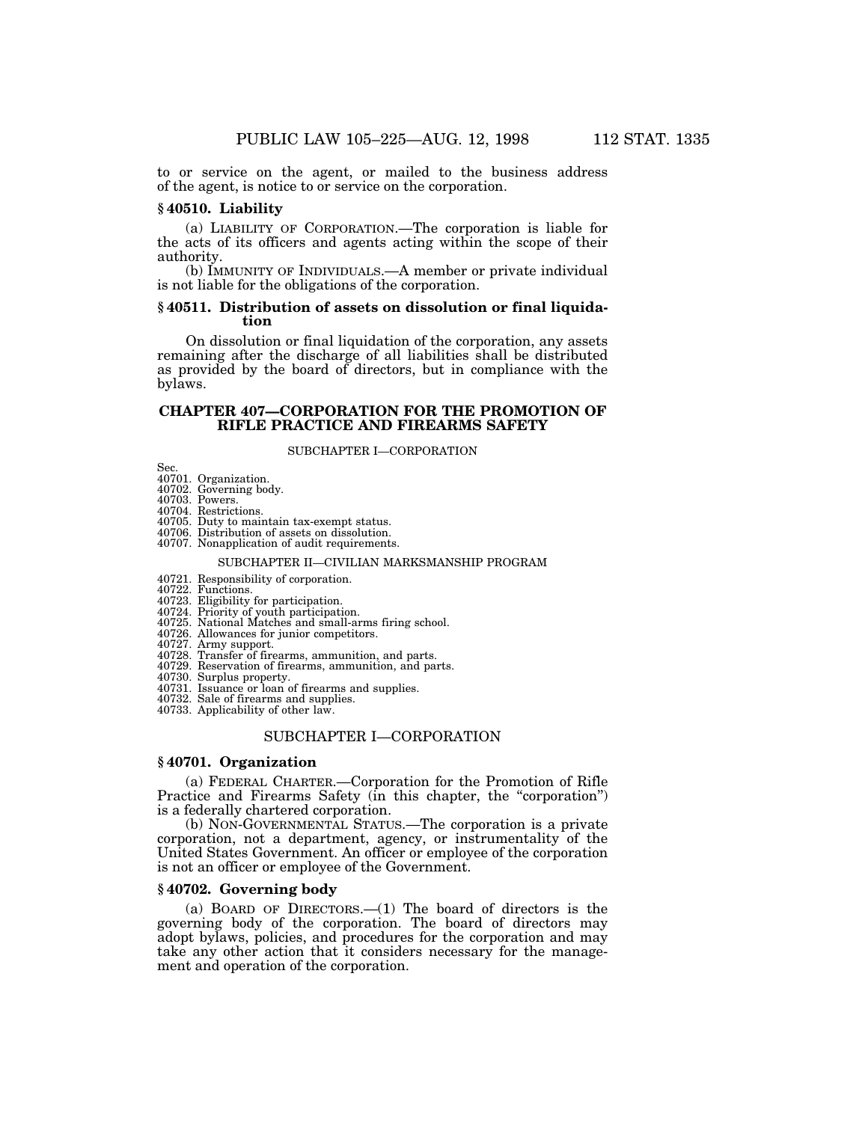to or service on the agent, or mailed to the business address of the agent, is notice to or service on the corporation.

### **§ 40510. Liability**

(a) LIABILITY OF CORPORATION.—The corporation is liable for the acts of its officers and agents acting within the scope of their authority.

(b) IMMUNITY OF INDIVIDUALS.—A member or private individual is not liable for the obligations of the corporation.

### **§ 40511. Distribution of assets on dissolution or final liquidation**

On dissolution or final liquidation of the corporation, any assets remaining after the discharge of all liabilities shall be distributed as provided by the board of directors, but in compliance with the bylaws.

# **CHAPTER 407—CORPORATION FOR THE PROMOTION OF RIFLE PRACTICE AND FIREARMS SAFETY**

# SUBCHAPTER I—CORPORATION

Sec.

- 40701. Organization.
- 40702. Governing body. 40703. Powers.
- 40704. Restrictions.
- 40705. Duty to maintain tax-exempt status.
- 
- 40706. Distribution of assets on dissolution. 40707. Nonapplication of audit requirements.

#### SUBCHAPTER II—CIVILIAN MARKSMANSHIP PROGRAM

#### 40721. Responsibility of corporation.

- 40722. Functions.
- 40723. Eligibility for participation.
- 40724. Priority of youth participation.
- 40725. National Matches and small-arms firing school. 40726. Allowances for junior competitors.
- 
- 
- 40727. Army support. 40728. Transfer of firearms, ammunition, and parts. 40729. Reservation of firearms, ammunition, and parts.
- 40730. Surplus property.
- 40731. Issuance or loan of firearms and supplies.
- 40732. Sale of firearms and supplies.
- 40733. Applicability of other law.

### SUBCHAPTER I—CORPORATION

### **§ 40701. Organization**

(a) FEDERAL CHARTER.—Corporation for the Promotion of Rifle Practice and Firearms Safety (in this chapter, the "corporation") is a federally chartered corporation.

(b) NON-GOVERNMENTAL STATUS.—The corporation is a private corporation, not a department, agency, or instrumentality of the United States Government. An officer or employee of the corporation is not an officer or employee of the Government.

### **§ 40702. Governing body**

(a) BOARD OF DIRECTORS.—(1) The board of directors is the governing body of the corporation. The board of directors may adopt bylaws, policies, and procedures for the corporation and may take any other action that it considers necessary for the management and operation of the corporation.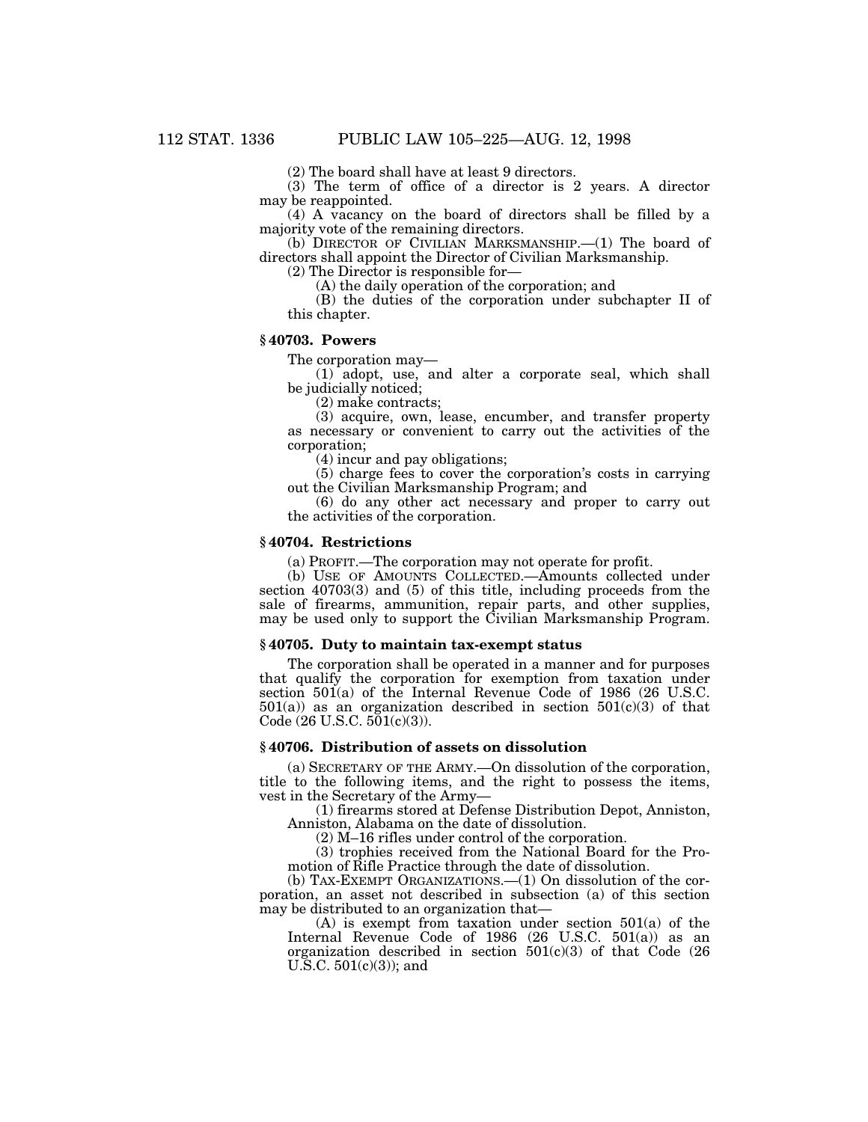(2) The board shall have at least 9 directors.

(3) The term of office of a director is 2 years. A director may be reappointed.

(4) A vacancy on the board of directors shall be filled by a majority vote of the remaining directors.

(b) DIRECTOR OF CIVILIAN MARKSMANSHIP.—(1) The board of directors shall appoint the Director of Civilian Marksmanship.

(2) The Director is responsible for—

(A) the daily operation of the corporation; and

(B) the duties of the corporation under subchapter II of this chapter.

### **§ 40703. Powers**

The corporation may—

(1) adopt, use, and alter a corporate seal, which shall be judicially noticed;

(2) make contracts;

(3) acquire, own, lease, encumber, and transfer property as necessary or convenient to carry out the activities of the corporation;

(4) incur and pay obligations;

(5) charge fees to cover the corporation's costs in carrying out the Civilian Marksmanship Program; and

(6) do any other act necessary and proper to carry out the activities of the corporation.

#### **§ 40704. Restrictions**

(a) PROFIT.—The corporation may not operate for profit.

(b) USE OF AMOUNTS COLLECTED.—Amounts collected under section 40703(3) and (5) of this title, including proceeds from the sale of firearms, ammunition, repair parts, and other supplies, may be used only to support the Civilian Marksmanship Program.

# **§ 40705. Duty to maintain tax-exempt status**

The corporation shall be operated in a manner and for purposes that qualify the corporation for exemption from taxation under section  $501(a)$  of the Internal Revenue Code of 1986 (26 U.S.C.  $501(a)$ ) as an organization described in section  $501(c)(3)$  of that Code  $(26 \text{ U.S.C. } 501 \text{ (c)}(3))$ .

### **§ 40706. Distribution of assets on dissolution**

(a) SECRETARY OF THE ARMY.—On dissolution of the corporation, title to the following items, and the right to possess the items, vest in the Secretary of the Army—

(1) firearms stored at Defense Distribution Depot, Anniston, Anniston, Alabama on the date of dissolution.

(2) M–16 rifles under control of the corporation.

(3) trophies received from the National Board for the Promotion of Rifle Practice through the date of dissolution.

(b) TAX-EXEMPT ORGANIZATIONS.—(1) On dissolution of the corporation, an asset not described in subsection (a) of this section may be distributed to an organization that—

(A) is exempt from taxation under section 501(a) of the Internal Revenue Code of  $1986$  (26 U.S.C.  $501(a)$ ) as an organization described in section 501(c)(3) of that Code (26 U.S.C.  $501(c)(3)$ ; and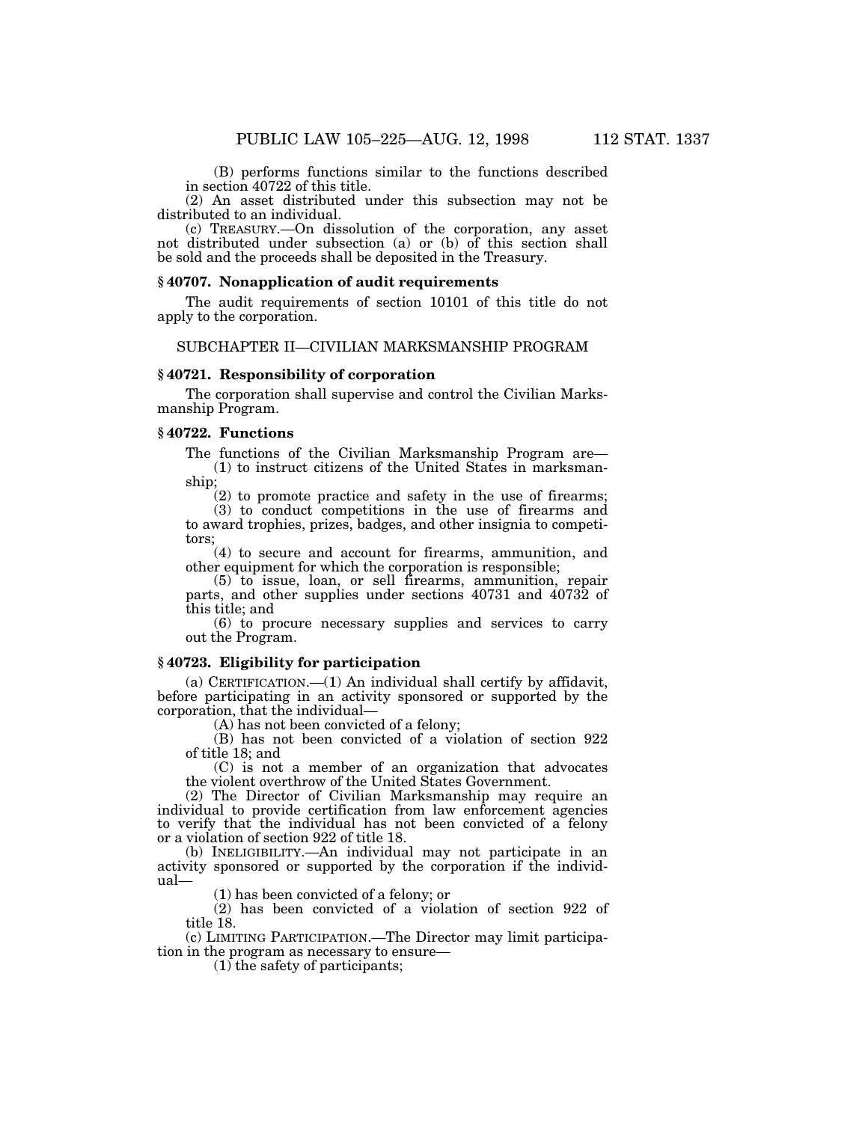(B) performs functions similar to the functions described in section 40722 of this title.

(2) An asset distributed under this subsection may not be distributed to an individual.

(c) TREASURY.—On dissolution of the corporation, any asset not distributed under subsection (a) or (b) of this section shall be sold and the proceeds shall be deposited in the Treasury.

### **§ 40707. Nonapplication of audit requirements**

The audit requirements of section 10101 of this title do not apply to the corporation.

#### SUBCHAPTER II—CIVILIAN MARKSMANSHIP PROGRAM

### **§ 40721. Responsibility of corporation**

The corporation shall supervise and control the Civilian Marksmanship Program.

# **§ 40722. Functions**

The functions of the Civilian Marksmanship Program are— (1) to instruct citizens of the United States in marksmanship;

(2) to promote practice and safety in the use of firearms; (3) to conduct competitions in the use of firearms and

to award trophies, prizes, badges, and other insignia to competitors;

(4) to secure and account for firearms, ammunition, and other equipment for which the corporation is responsible;

(5) to issue, loan, or sell firearms, ammunition, repair parts, and other supplies under sections 40731 and 40732 of this title; and

(6) to procure necessary supplies and services to carry out the Program.

# **§ 40723. Eligibility for participation**

(a) CERTIFICATION.—(1) An individual shall certify by affidavit, before participating in an activity sponsored or supported by the corporation, that the individual—

(A) has not been convicted of a felony;

(B) has not been convicted of a violation of section 922 of title 18; and

(C) is not a member of an organization that advocates the violent overthrow of the United States Government.

(2) The Director of Civilian Marksmanship may require an individual to provide certification from law enforcement agencies to verify that the individual has not been convicted of a felony or a violation of section 922 of title 18.

(b) INELIGIBILITY.—An individual may not participate in an activity sponsored or supported by the corporation if the individual—

(1) has been convicted of a felony; or

(2) has been convicted of a violation of section 922 of title 18.

(c) LIMITING PARTICIPATION.—The Director may limit participation in the program as necessary to ensure—

 $(1)$  the safety of participants;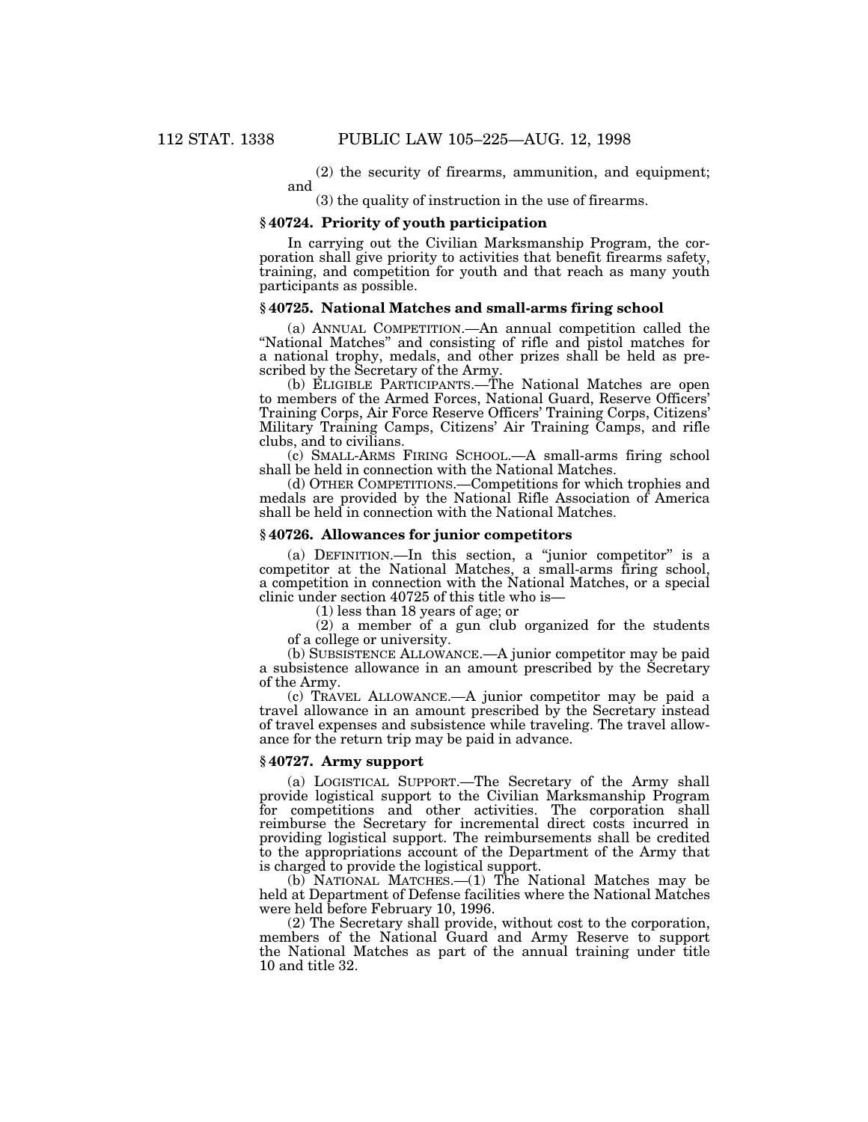(2) the security of firearms, ammunition, and equipment; and

(3) the quality of instruction in the use of firearms.

### **§ 40724. Priority of youth participation**

In carrying out the Civilian Marksmanship Program, the corporation shall give priority to activities that benefit firearms safety, training, and competition for youth and that reach as many youth participants as possible.

# **§ 40725. National Matches and small-arms firing school**

(a) ANNUAL COMPETITION.—An annual competition called the ''National Matches'' and consisting of rifle and pistol matches for a national trophy, medals, and other prizes shall be held as prescribed by the Secretary of the Army.

(b) ELIGIBLE PARTICIPANTS.—The National Matches are open to members of the Armed Forces, National Guard, Reserve Officers' Training Corps, Air Force Reserve Officers' Training Corps, Citizens' Military Training Camps, Citizens' Air Training Camps, and rifle clubs, and to civilians.

(c) SMALL-ARMS FIRING SCHOOL.—A small-arms firing school shall be held in connection with the National Matches.

(d) OTHER COMPETITIONS.—Competitions for which trophies and medals are provided by the National Rifle Association of America shall be held in connection with the National Matches.

### **§ 40726. Allowances for junior competitors**

(a) DEFINITION.—In this section, a ''junior competitor'' is a competitor at the National Matches, a small-arms firing school, a competition in connection with the National Matches, or a special clinic under section 40725 of this title who is—

(1) less than 18 years of age; or

 $(2)$  a member of a gun club organized for the students of a college or university.

(b) SUBSISTENCE ALLOWANCE.—A junior competitor may be paid a subsistence allowance in an amount prescribed by the Secretary of the Army.

(c) TRAVEL ALLOWANCE.—A junior competitor may be paid a travel allowance in an amount prescribed by the Secretary instead of travel expenses and subsistence while traveling. The travel allowance for the return trip may be paid in advance.

### **§ 40727. Army support**

(a) LOGISTICAL SUPPORT.—The Secretary of the Army shall provide logistical support to the Civilian Marksmanship Program for competitions and other activities. The corporation shall reimburse the Secretary for incremental direct costs incurred in providing logistical support. The reimbursements shall be credited to the appropriations account of the Department of the Army that is charged to provide the logistical support.

(b) NATIONAL MATCHES.—(1) The National Matches may be held at Department of Defense facilities where the National Matches were held before February 10, 1996.

(2) The Secretary shall provide, without cost to the corporation, members of the National Guard and Army Reserve to support the National Matches as part of the annual training under title 10 and title 32.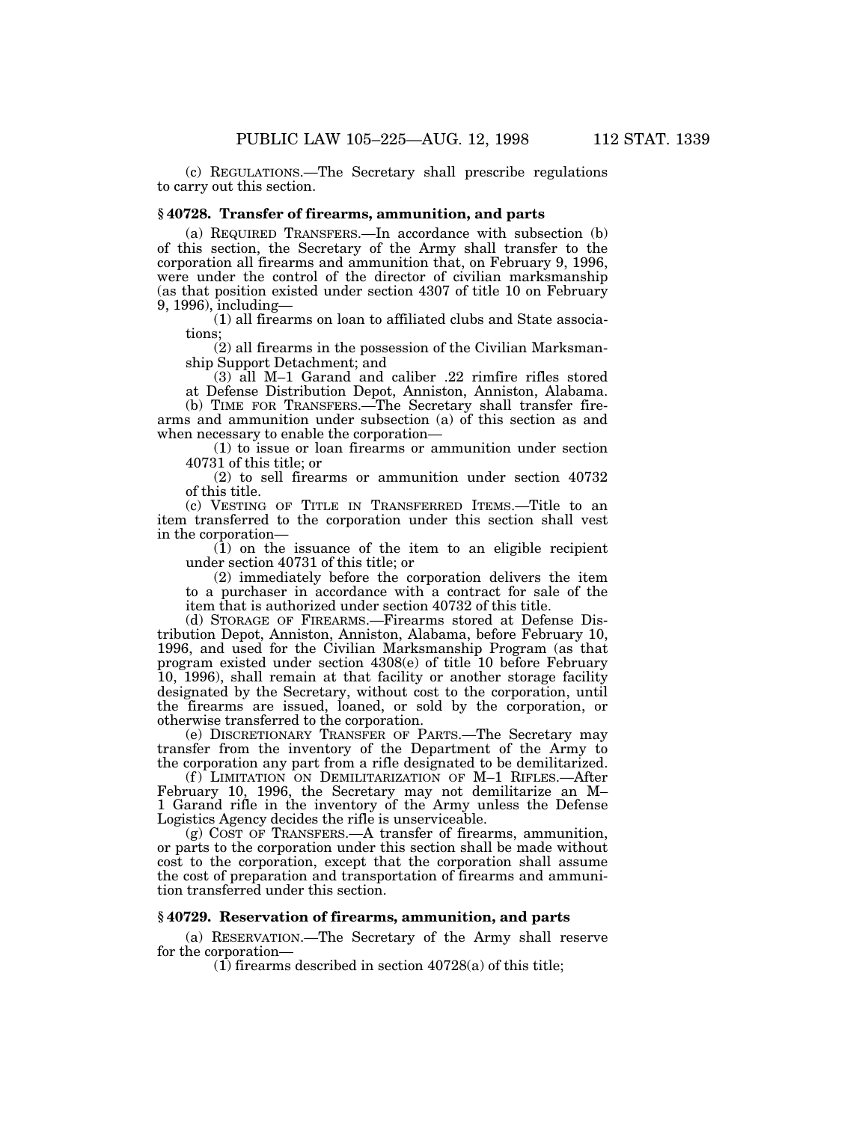(c) REGULATIONS.—The Secretary shall prescribe regulations to carry out this section.

### **§ 40728. Transfer of firearms, ammunition, and parts**

(a) REQUIRED TRANSFERS.—In accordance with subsection (b) of this section, the Secretary of the Army shall transfer to the corporation all firearms and ammunition that, on February 9, 1996, were under the control of the director of civilian marksmanship (as that position existed under section 4307 of title 10 on February 9, 1996), including—

(1) all firearms on loan to affiliated clubs and State associations;

(2) all firearms in the possession of the Civilian Marksmanship Support Detachment; and

(3) all M–1 Garand and caliber .22 rimfire rifles stored at Defense Distribution Depot, Anniston, Anniston, Alabama.

(b) TIME FOR TRANSFERS.—The Secretary shall transfer firearms and ammunition under subsection (a) of this section as and when necessary to enable the corporation—

(1) to issue or loan firearms or ammunition under section 40731 of this title; or

(2) to sell firearms or ammunition under section 40732 of this title.

(c) VESTING OF TITLE IN TRANSFERRED ITEMS.—Title to an item transferred to the corporation under this section shall vest in the corporation—

(1) on the issuance of the item to an eligible recipient under section 40731 of this title; or

(2) immediately before the corporation delivers the item to a purchaser in accordance with a contract for sale of the item that is authorized under section 40732 of this title.

(d) STORAGE OF FIREARMS.—Firearms stored at Defense Distribution Depot, Anniston, Anniston, Alabama, before February 10, 1996, and used for the Civilian Marksmanship Program (as that program existed under section 4308(e) of title 10 before February 10, 1996), shall remain at that facility or another storage facility designated by the Secretary, without cost to the corporation, until the firearms are issued, loaned, or sold by the corporation, or otherwise transferred to the corporation.

(e) DISCRETIONARY TRANSFER OF PARTS.—The Secretary may transfer from the inventory of the Department of the Army to the corporation any part from a rifle designated to be demilitarized.

(f ) LIMITATION ON DEMILITARIZATION OF M–1 RIFLES.—After February 10, 1996, the Secretary may not demilitarize an M– 1 Garand rifle in the inventory of the Army unless the Defense Logistics Agency decides the rifle is unserviceable.

(g) COST OF TRANSFERS.—A transfer of firearms, ammunition, or parts to the corporation under this section shall be made without cost to the corporation, except that the corporation shall assume the cost of preparation and transportation of firearms and ammunition transferred under this section.

### **§ 40729. Reservation of firearms, ammunition, and parts**

(a) RESERVATION.—The Secretary of the Army shall reserve for the corporation—

 $(1)$  firearms described in section  $40728(a)$  of this title;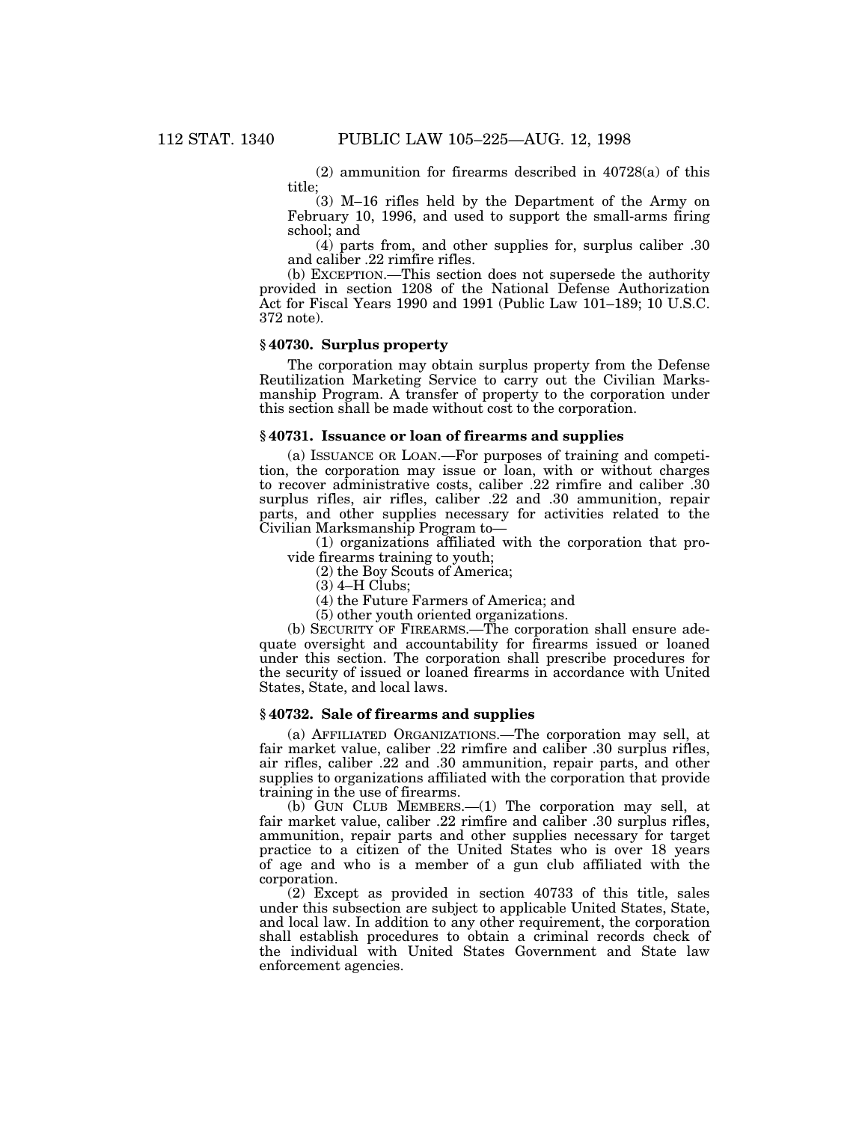(2) ammunition for firearms described in 40728(a) of this title;

(3) M–16 rifles held by the Department of the Army on February 10, 1996, and used to support the small-arms firing school; and

(4) parts from, and other supplies for, surplus caliber .30 and caliber .22 rimfire rifles.

(b) EXCEPTION.—This section does not supersede the authority provided in section 1208 of the National Defense Authorization Act for Fiscal Years 1990 and 1991 (Public Law 101–189; 10 U.S.C. 372 note).

# **§ 40730. Surplus property**

The corporation may obtain surplus property from the Defense Reutilization Marketing Service to carry out the Civilian Marksmanship Program. A transfer of property to the corporation under this section shall be made without cost to the corporation.

#### **§ 40731. Issuance or loan of firearms and supplies**

(a) ISSUANCE OR LOAN.—For purposes of training and competition, the corporation may issue or loan, with or without charges to recover administrative costs, caliber .22 rimfire and caliber .30 surplus rifles, air rifles, caliber .22 and .30 ammunition, repair parts, and other supplies necessary for activities related to the Civilian Marksmanship Program to—

(1) organizations affiliated with the corporation that provide firearms training to youth;

(2) the Boy Scouts of America;

(3) 4–H Clubs;

(4) the Future Farmers of America; and

(5) other youth oriented organizations.

(b) SECURITY OF FIREARMS.—The corporation shall ensure adequate oversight and accountability for firearms issued or loaned under this section. The corporation shall prescribe procedures for the security of issued or loaned firearms in accordance with United States, State, and local laws.

### **§ 40732. Sale of firearms and supplies**

(a) AFFILIATED ORGANIZATIONS.—The corporation may sell, at fair market value, caliber .22 rimfire and caliber .30 surplus rifles, air rifles, caliber .22 and .30 ammunition, repair parts, and other supplies to organizations affiliated with the corporation that provide training in the use of firearms.

(b) GUN CLUB MEMBERS.—(1) The corporation may sell, at fair market value, caliber .22 rimfire and caliber .30 surplus rifles, ammunition, repair parts and other supplies necessary for target practice to a citizen of the United States who is over 18 years of age and who is a member of a gun club affiliated with the corporation.

(2) Except as provided in section 40733 of this title, sales under this subsection are subject to applicable United States, State, and local law. In addition to any other requirement, the corporation shall establish procedures to obtain a criminal records check of the individual with United States Government and State law enforcement agencies.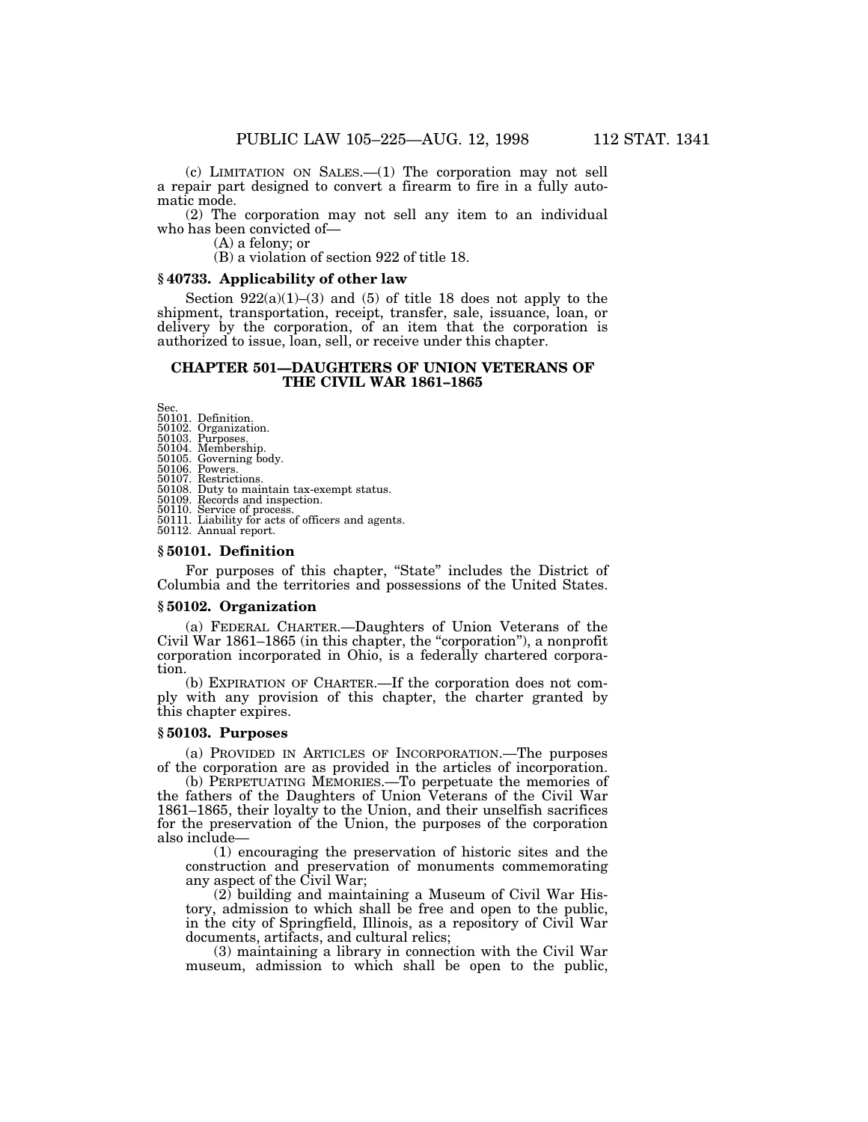(c) LIMITATION ON SALES.—(1) The corporation may not sell a repair part designed to convert a firearm to fire in a fully automatic mode.

(2) The corporation may not sell any item to an individual who has been convicted of—

(A) a felony; or

(B) a violation of section 922 of title 18.

### **§ 40733. Applicability of other law**

Section  $922(a)(1)$ –(3) and (5) of title 18 does not apply to the shipment, transportation, receipt, transfer, sale, issuance, loan, or delivery by the corporation, of an item that the corporation is authorized to issue, loan, sell, or receive under this chapter.

# **CHAPTER 501—DAUGHTERS OF UNION VETERANS OF THE CIVIL WAR 1861–1865**

Sec. 50101. Definition.

50102. Organization. 50103. Purposes.

50104. Membership. 50105. Governing body. 50106. Powers.

50107. Restrictions. 50108. Duty to maintain tax-exempt status. 50109. Records and inspection. 50110. Service of process. 50111. Liability for acts of officers and agents.

50112. Annual report.

**§ 50101. Definition**

For purposes of this chapter, "State" includes the District of Columbia and the territories and possessions of the United States.

#### **§ 50102. Organization**

(a) FEDERAL CHARTER.—Daughters of Union Veterans of the Civil War 1861–1865 (in this chapter, the ''corporation''), a nonprofit corporation incorporated in Ohio, is a federally chartered corporation.

(b) EXPIRATION OF CHARTER.—If the corporation does not comply with any provision of this chapter, the charter granted by this chapter expires.

# **§ 50103. Purposes**

(a) PROVIDED IN ARTICLES OF INCORPORATION.—The purposes of the corporation are as provided in the articles of incorporation.

(b) PERPETUATING MEMORIES.—To perpetuate the memories of the fathers of the Daughters of Union Veterans of the Civil War 1861–1865, their loyalty to the Union, and their unselfish sacrifices for the preservation of the Union, the purposes of the corporation also include—

(1) encouraging the preservation of historic sites and the construction and preservation of monuments commemorating any aspect of the Civil War;

(2) building and maintaining a Museum of Civil War History, admission to which shall be free and open to the public, in the city of Springfield, Illinois, as a repository of Civil War documents, artifacts, and cultural relics;

(3) maintaining a library in connection with the Civil War museum, admission to which shall be open to the public,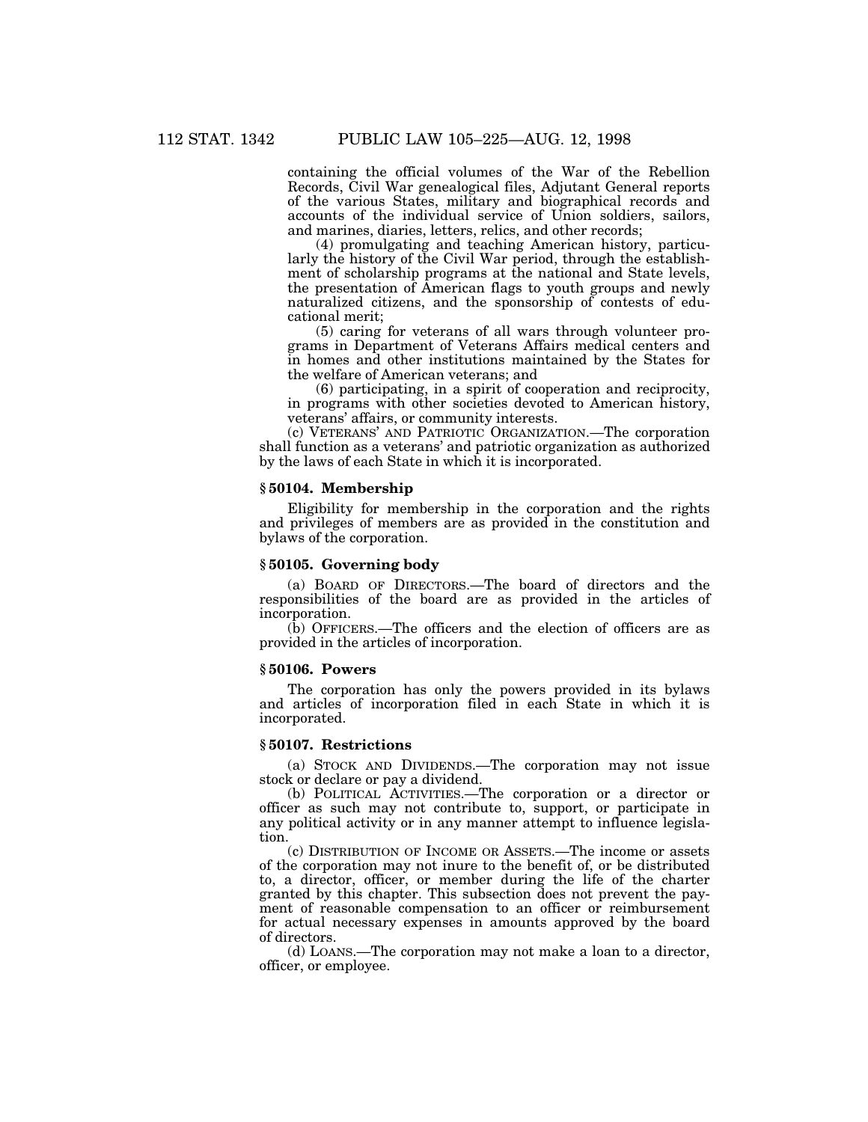containing the official volumes of the War of the Rebellion Records, Civil War genealogical files, Adjutant General reports of the various States, military and biographical records and accounts of the individual service of Union soldiers, sailors, and marines, diaries, letters, relics, and other records;

(4) promulgating and teaching American history, particularly the history of the Civil War period, through the establishment of scholarship programs at the national and State levels, the presentation of American flags to youth groups and newly naturalized citizens, and the sponsorship of contests of educational merit;

(5) caring for veterans of all wars through volunteer programs in Department of Veterans Affairs medical centers and in homes and other institutions maintained by the States for the welfare of American veterans; and

(6) participating, in a spirit of cooperation and reciprocity, in programs with other societies devoted to American history, veterans' affairs, or community interests.

(c) VETERANS' AND PATRIOTIC ORGANIZATION.—The corporation shall function as a veterans' and patriotic organization as authorized by the laws of each State in which it is incorporated.

# **§ 50104. Membership**

Eligibility for membership in the corporation and the rights and privileges of members are as provided in the constitution and bylaws of the corporation.

### **§ 50105. Governing body**

(a) BOARD OF DIRECTORS.—The board of directors and the responsibilities of the board are as provided in the articles of incorporation.

(b) OFFICERS.—The officers and the election of officers are as provided in the articles of incorporation.

# **§ 50106. Powers**

The corporation has only the powers provided in its bylaws and articles of incorporation filed in each State in which it is incorporated.

### **§ 50107. Restrictions**

(a) STOCK AND DIVIDENDS.—The corporation may not issue stock or declare or pay a dividend.

(b) POLITICAL ACTIVITIES.—The corporation or a director or officer as such may not contribute to, support, or participate in any political activity or in any manner attempt to influence legislation.

(c) DISTRIBUTION OF INCOME OR ASSETS.—The income or assets of the corporation may not inure to the benefit of, or be distributed to, a director, officer, or member during the life of the charter granted by this chapter. This subsection does not prevent the payment of reasonable compensation to an officer or reimbursement for actual necessary expenses in amounts approved by the board of directors.

(d) LOANS.—The corporation may not make a loan to a director, officer, or employee.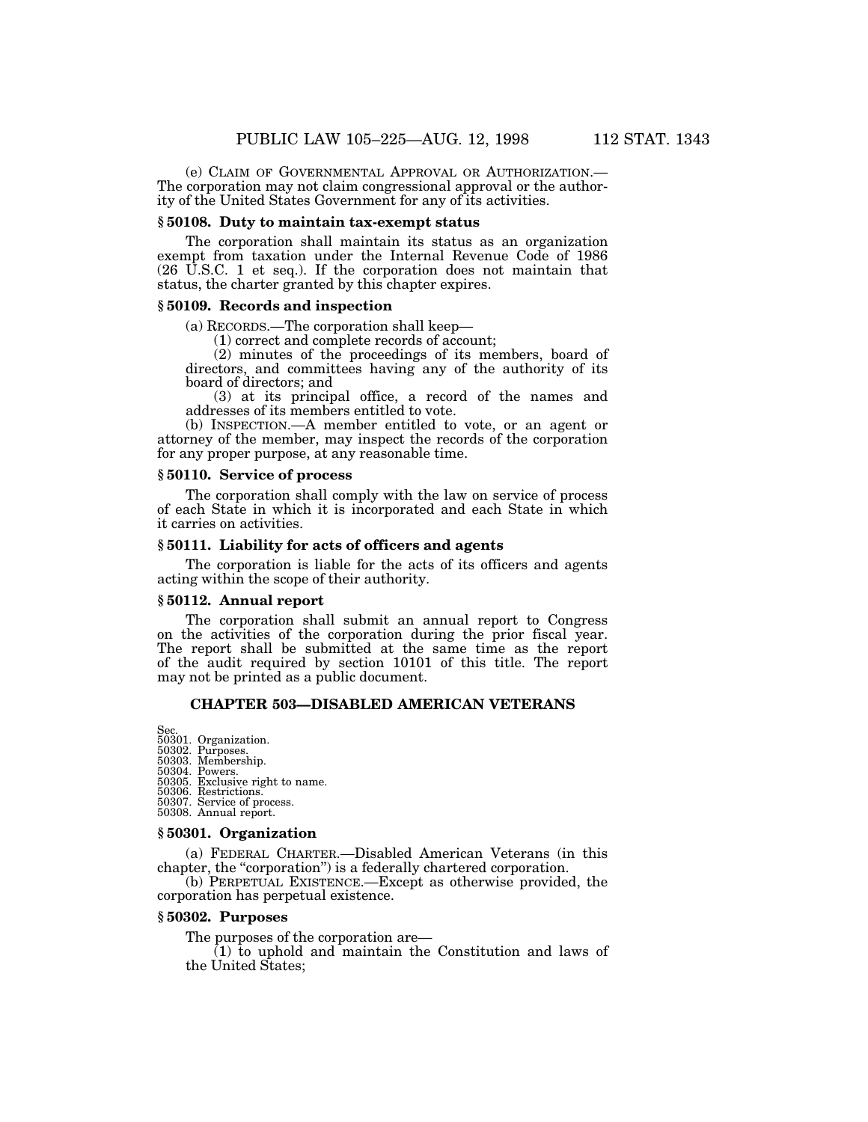(e) CLAIM OF GOVERNMENTAL APPROVAL OR AUTHORIZATION.— The corporation may not claim congressional approval or the authority of the United States Government for any of its activities.

#### **§ 50108. Duty to maintain tax-exempt status**

The corporation shall maintain its status as an organization exempt from taxation under the Internal Revenue Code of 1986 (26 U.S.C. 1 et seq.). If the corporation does not maintain that status, the charter granted by this chapter expires.

### **§ 50109. Records and inspection**

(a) RECORDS.—The corporation shall keep—

(1) correct and complete records of account;

(2) minutes of the proceedings of its members, board of directors, and committees having any of the authority of its board of directors; and

(3) at its principal office, a record of the names and addresses of its members entitled to vote.

(b) INSPECTION.—A member entitled to vote, or an agent or attorney of the member, may inspect the records of the corporation for any proper purpose, at any reasonable time.

# **§ 50110. Service of process**

The corporation shall comply with the law on service of process of each State in which it is incorporated and each State in which it carries on activities.

## **§ 50111. Liability for acts of officers and agents**

The corporation is liable for the acts of its officers and agents acting within the scope of their authority.

#### **§ 50112. Annual report**

The corporation shall submit an annual report to Congress on the activities of the corporation during the prior fiscal year. The report shall be submitted at the same time as the report of the audit required by section 10101 of this title. The report may not be printed as a public document.

# **CHAPTER 503—DISABLED AMERICAN VETERANS**

Sec. 50301. Organization. 50302. Purposes. 50303. Membership.

- 50304. Powers. 50305. Exclusive right to name.
- 50306. Restrictions.
- 50307. Service of process. 50308. Annual report.

## **§ 50301. Organization**

(a) FEDERAL CHARTER.—Disabled American Veterans (in this chapter, the ''corporation'') is a federally chartered corporation.

(b) PERPETUAL EXISTENCE.—Except as otherwise provided, the corporation has perpetual existence.

### **§ 50302. Purposes**

The purposes of the corporation are—

(1) to uphold and maintain the Constitution and laws of the United States;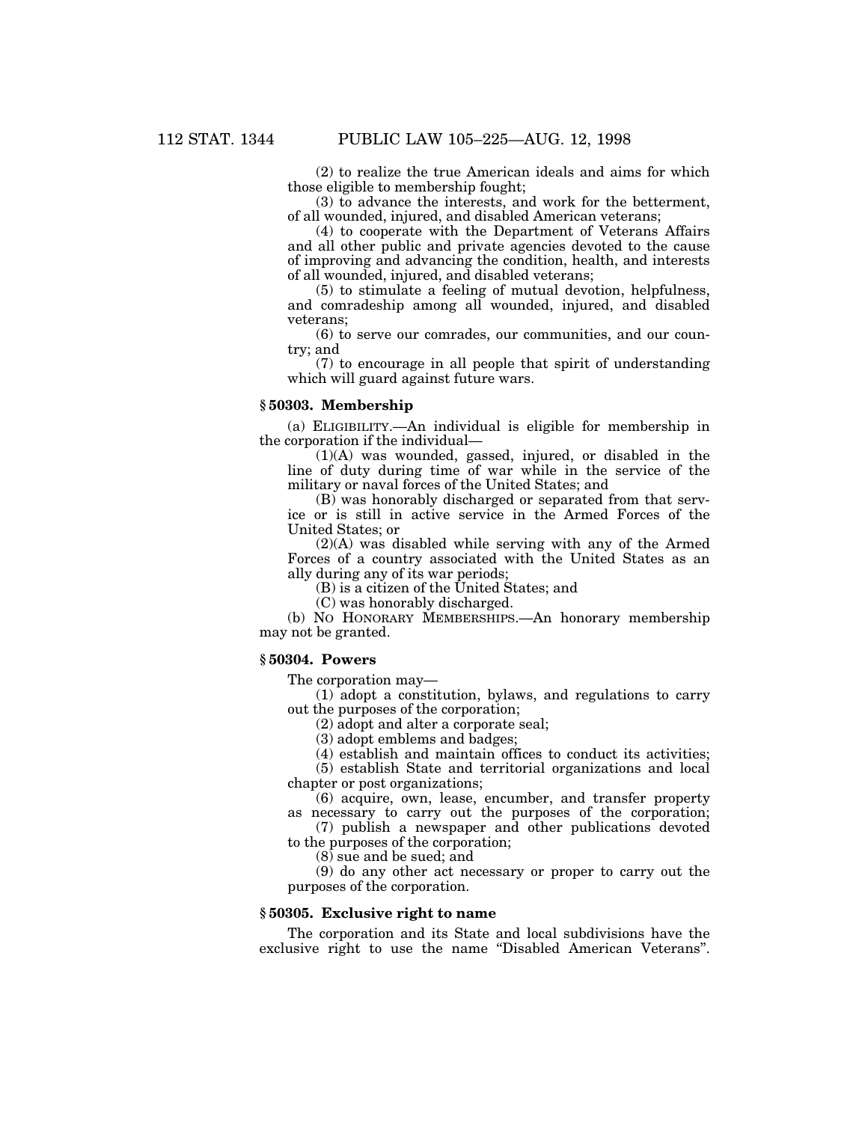(2) to realize the true American ideals and aims for which those eligible to membership fought;

(3) to advance the interests, and work for the betterment, of all wounded, injured, and disabled American veterans;

(4) to cooperate with the Department of Veterans Affairs and all other public and private agencies devoted to the cause of improving and advancing the condition, health, and interests of all wounded, injured, and disabled veterans;

(5) to stimulate a feeling of mutual devotion, helpfulness, and comradeship among all wounded, injured, and disabled veterans;

(6) to serve our comrades, our communities, and our country; and

(7) to encourage in all people that spirit of understanding which will guard against future wars.

# **§ 50303. Membership**

(a) ELIGIBILITY.—An individual is eligible for membership in the corporation if the individual—

(1)(A) was wounded, gassed, injured, or disabled in the line of duty during time of war while in the service of the military or naval forces of the United States; and

(B) was honorably discharged or separated from that service or is still in active service in the Armed Forces of the United States; or

(2)(A) was disabled while serving with any of the Armed Forces of a country associated with the United States as an ally during any of its war periods;

(B) is a citizen of the United States; and

(C) was honorably discharged.

(b) NO HONORARY MEMBERSHIPS.—An honorary membership may not be granted.

# **§ 50304. Powers**

The corporation may—

(1) adopt a constitution, bylaws, and regulations to carry out the purposes of the corporation;

(2) adopt and alter a corporate seal;

(3) adopt emblems and badges;

(4) establish and maintain offices to conduct its activities;

(5) establish State and territorial organizations and local chapter or post organizations;

(6) acquire, own, lease, encumber, and transfer property as necessary to carry out the purposes of the corporation;

(7) publish a newspaper and other publications devoted to the purposes of the corporation;

 $(8)$  sue and be sued; and

(9) do any other act necessary or proper to carry out the purposes of the corporation.

# **§ 50305. Exclusive right to name**

The corporation and its State and local subdivisions have the exclusive right to use the name "Disabled American Veterans".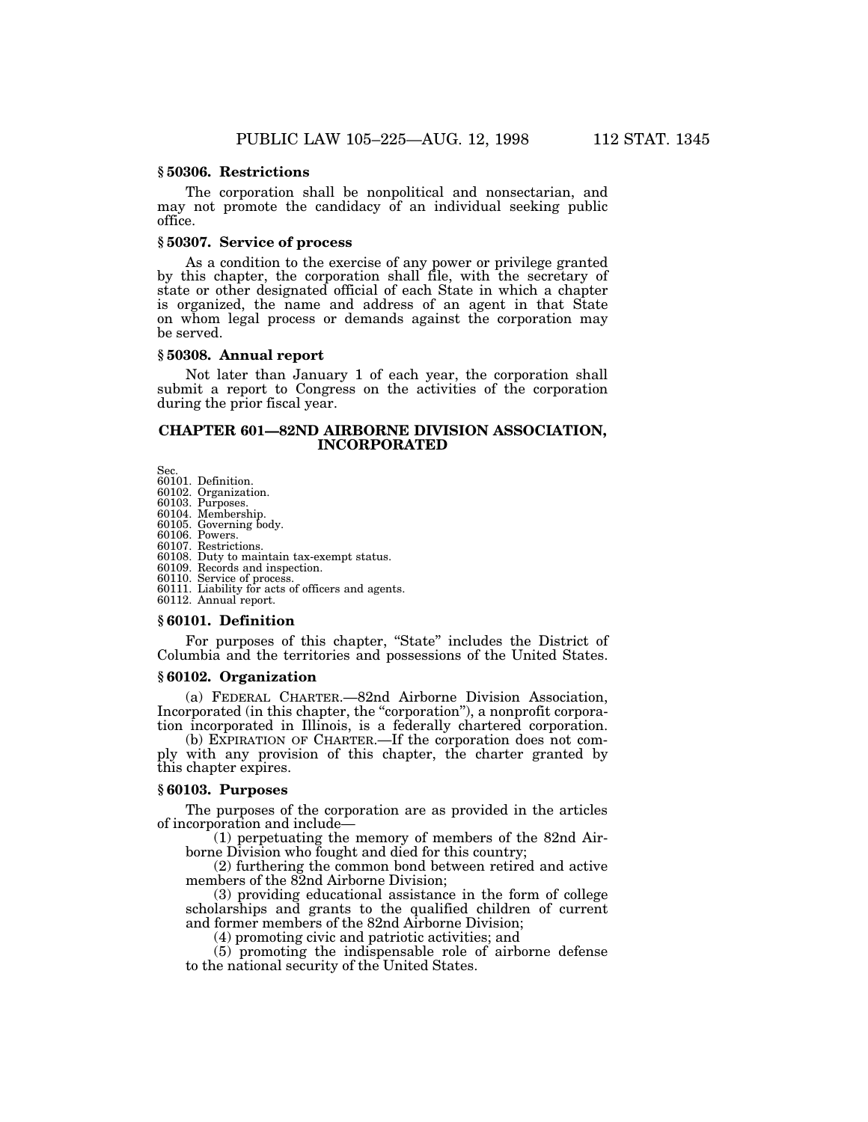### **§ 50306. Restrictions**

The corporation shall be nonpolitical and nonsectarian, and may not promote the candidacy of an individual seeking public office.

# **§ 50307. Service of process**

As a condition to the exercise of any power or privilege granted by this chapter, the corporation shall file, with the secretary of state or other designated official of each State in which a chapter is organized, the name and address of an agent in that State on whom legal process or demands against the corporation may be served.

#### **§ 50308. Annual report**

Not later than January 1 of each year, the corporation shall submit a report to Congress on the activities of the corporation during the prior fiscal year.

# **CHAPTER 601—82ND AIRBORNE DIVISION ASSOCIATION, INCORPORATED**

Sec.

- 
- 
- 
- 60101. Definition. 60102. Organization. 60103. Purposes. 60104. Membership. 60105. Governing body. 60106. Powers.
- 
- 
- 60107. Restrictions. 60108. Duty to maintain tax-exempt status.
- 60109. Records and inspection.
- 60110. Service of process.
- 60111. Liability for acts of officers and agents. 60112. Annual report.

#### **§ 60101. Definition**

For purposes of this chapter, "State" includes the District of Columbia and the territories and possessions of the United States.

# **§ 60102. Organization**

(a) FEDERAL CHARTER.—82nd Airborne Division Association, Incorporated (in this chapter, the ''corporation''), a nonprofit corporation incorporated in Illinois, is a federally chartered corporation.

(b) EXPIRATION OF CHARTER.—If the corporation does not comply with any provision of this chapter, the charter granted by this chapter expires.

### **§ 60103. Purposes**

The purposes of the corporation are as provided in the articles of incorporation and include—

(1) perpetuating the memory of members of the 82nd Airborne Division who fought and died for this country;

(2) furthering the common bond between retired and active members of the 82nd Airborne Division;

(3) providing educational assistance in the form of college scholarships and grants to the qualified children of current and former members of the 82nd Airborne Division;

(4) promoting civic and patriotic activities; and

(5) promoting the indispensable role of airborne defense to the national security of the United States.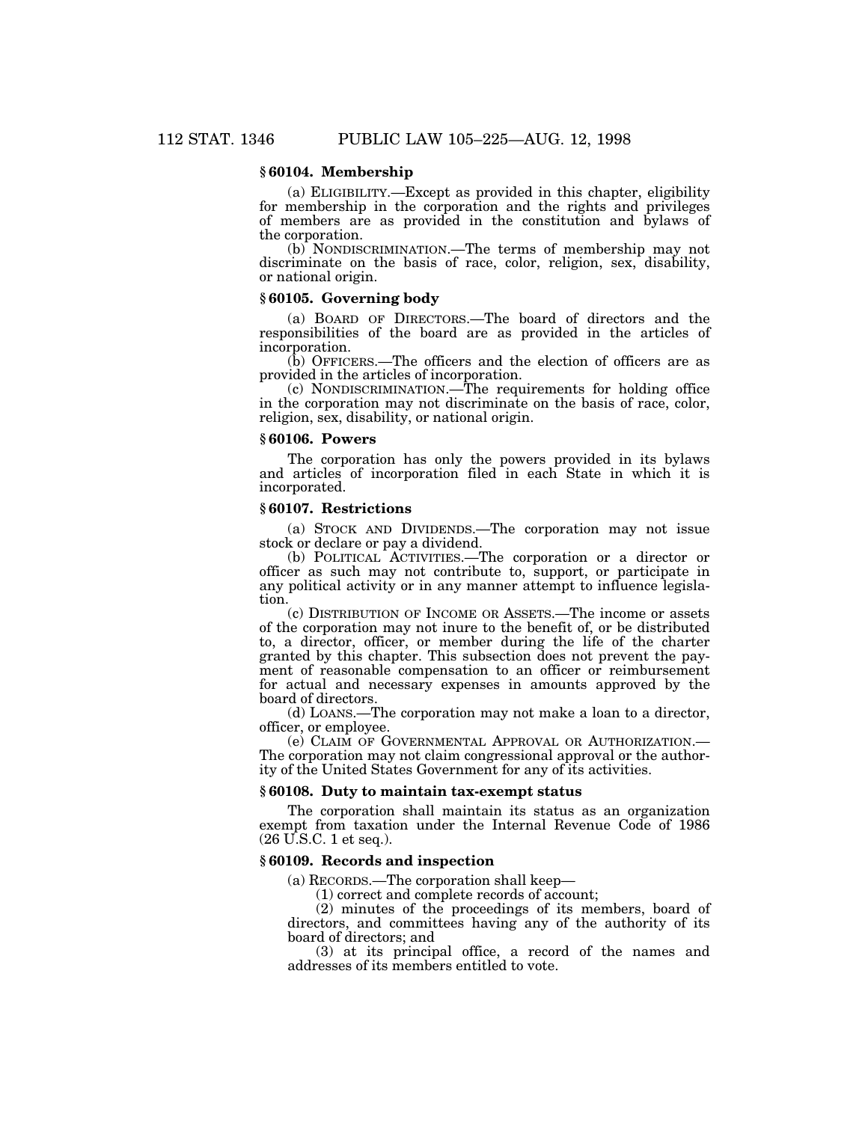# **§ 60104. Membership**

(a) ELIGIBILITY.—Except as provided in this chapter, eligibility for membership in the corporation and the rights and privileges of members are as provided in the constitution and bylaws of the corporation.

(b) NONDISCRIMINATION.—The terms of membership may not discriminate on the basis of race, color, religion, sex, disability, or national origin.

### **§ 60105. Governing body**

(a) BOARD OF DIRECTORS.—The board of directors and the responsibilities of the board are as provided in the articles of incorporation.

(b) OFFICERS.—The officers and the election of officers are as provided in the articles of incorporation.

(c) NONDISCRIMINATION.—The requirements for holding office in the corporation may not discriminate on the basis of race, color, religion, sex, disability, or national origin.

### **§ 60106. Powers**

The corporation has only the powers provided in its bylaws and articles of incorporation filed in each State in which it is incorporated.

### **§ 60107. Restrictions**

(a) STOCK AND DIVIDENDS.—The corporation may not issue stock or declare or pay a dividend.

(b) POLITICAL ACTIVITIES.—The corporation or a director or officer as such may not contribute to, support, or participate in any political activity or in any manner attempt to influence legislation.

(c) DISTRIBUTION OF INCOME OR ASSETS.—The income or assets of the corporation may not inure to the benefit of, or be distributed to, a director, officer, or member during the life of the charter granted by this chapter. This subsection does not prevent the payment of reasonable compensation to an officer or reimbursement for actual and necessary expenses in amounts approved by the board of directors.

(d) LOANS.—The corporation may not make a loan to a director, officer, or employee.

(e) CLAIM OF GOVERNMENTAL APPROVAL OR AUTHORIZATION.— The corporation may not claim congressional approval or the authority of the United States Government for any of its activities.

#### **§ 60108. Duty to maintain tax-exempt status**

The corporation shall maintain its status as an organization exempt from taxation under the Internal Revenue Code of 1986 (26 U.S.C. 1 et seq.).

# **§ 60109. Records and inspection**

(a) RECORDS.—The corporation shall keep—

(1) correct and complete records of account;

(2) minutes of the proceedings of its members, board of directors, and committees having any of the authority of its board of directors; and

(3) at its principal office, a record of the names and addresses of its members entitled to vote.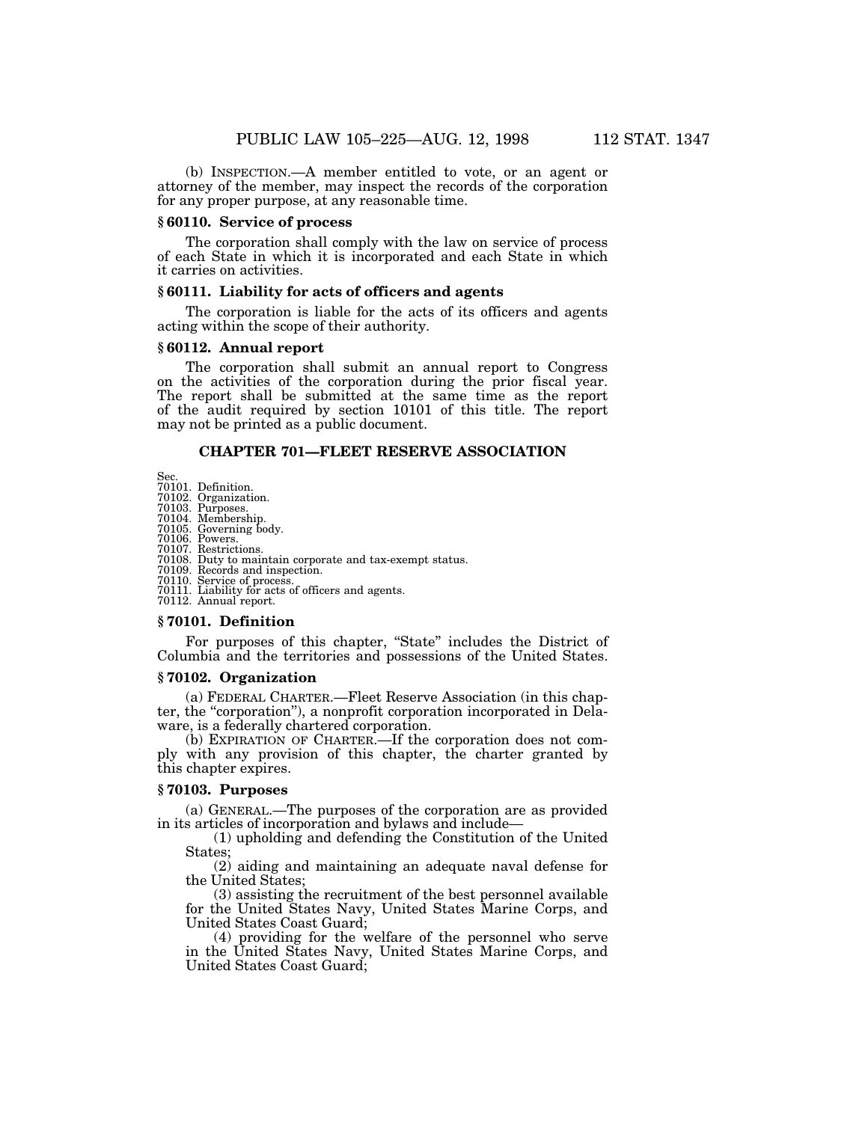(b) INSPECTION.—A member entitled to vote, or an agent or attorney of the member, may inspect the records of the corporation for any proper purpose, at any reasonable time.

#### **§ 60110. Service of process**

The corporation shall comply with the law on service of process of each State in which it is incorporated and each State in which it carries on activities.

# **§ 60111. Liability for acts of officers and agents**

The corporation is liable for the acts of its officers and agents acting within the scope of their authority.

# **§ 60112. Annual report**

The corporation shall submit an annual report to Congress on the activities of the corporation during the prior fiscal year. The report shall be submitted at the same time as the report of the audit required by section 10101 of this title. The report may not be printed as a public document.

# **CHAPTER 701—FLEET RESERVE ASSOCIATION**

- Sec. 70101. Definition. 70102. Organization. 70103. Purposes.
- 
- 
- 
- 
- 
- 70104. Membership. 70105. Governing body. 70106. Powers. 70107. Restrictions. 70108. Duty to maintain corporate and tax-exempt status.
- 
- 
- 70109. Records and inspection. 70110. Service of process. 70111. Liability for acts of officers and agents. 70112. Annual report.

#### **§ 70101. Definition**

For purposes of this chapter, "State" includes the District of Columbia and the territories and possessions of the United States.

# **§ 70102. Organization**

(a) FEDERAL CHARTER.—Fleet Reserve Association (in this chapter, the "corporation"), a nonprofit corporation incorporated in Delaware, is a federally chartered corporation.

(b) EXPIRATION OF CHARTER.—If the corporation does not comply with any provision of this chapter, the charter granted by this chapter expires.

### **§ 70103. Purposes**

(a) GENERAL.—The purposes of the corporation are as provided in its articles of incorporation and bylaws and include—

(1) upholding and defending the Constitution of the United States;

(2) aiding and maintaining an adequate naval defense for the United States;

(3) assisting the recruitment of the best personnel available for the United States Navy, United States Marine Corps, and United States Coast Guard;

(4) providing for the welfare of the personnel who serve in the United States Navy, United States Marine Corps, and United States Coast Guard;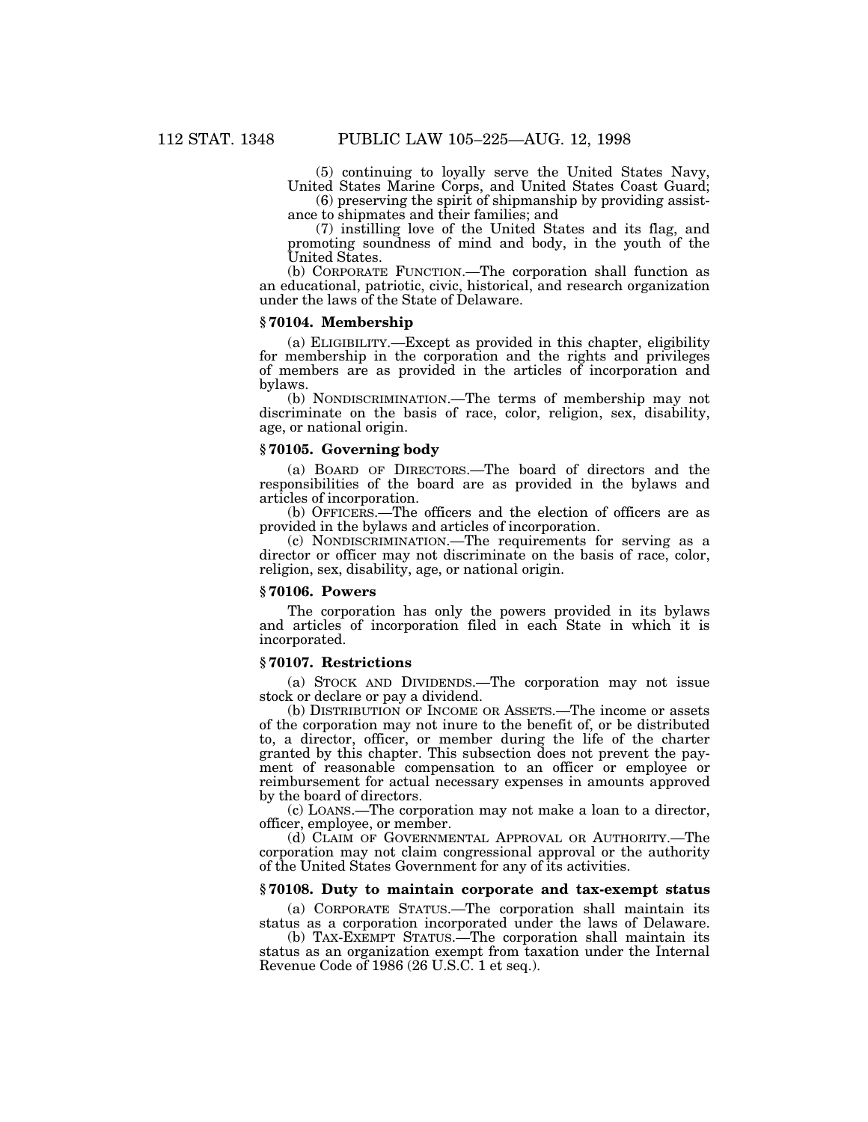(5) continuing to loyally serve the United States Navy, United States Marine Corps, and United States Coast Guard;

(6) preserving the spirit of shipmanship by providing assistance to shipmates and their families; and

(7) instilling love of the United States and its flag, and promoting soundness of mind and body, in the youth of the United States.

(b) CORPORATE FUNCTION.—The corporation shall function as an educational, patriotic, civic, historical, and research organization under the laws of the State of Delaware.

### **§ 70104. Membership**

(a) ELIGIBILITY.—Except as provided in this chapter, eligibility for membership in the corporation and the rights and privileges of members are as provided in the articles of incorporation and bylaws.

(b) NONDISCRIMINATION.—The terms of membership may not discriminate on the basis of race, color, religion, sex, disability, age, or national origin.

### **§ 70105. Governing body**

(a) BOARD OF DIRECTORS.—The board of directors and the responsibilities of the board are as provided in the bylaws and articles of incorporation.

(b) OFFICERS.—The officers and the election of officers are as provided in the bylaws and articles of incorporation.

(c) NONDISCRIMINATION.—The requirements for serving as a director or officer may not discriminate on the basis of race, color, religion, sex, disability, age, or national origin.

#### **§ 70106. Powers**

The corporation has only the powers provided in its bylaws and articles of incorporation filed in each State in which it is incorporated.

# **§ 70107. Restrictions**

(a) STOCK AND DIVIDENDS.—The corporation may not issue stock or declare or pay a dividend.

(b) DISTRIBUTION OF INCOME OR ASSETS.—The income or assets of the corporation may not inure to the benefit of, or be distributed to, a director, officer, or member during the life of the charter granted by this chapter. This subsection does not prevent the payment of reasonable compensation to an officer or employee or reimbursement for actual necessary expenses in amounts approved by the board of directors.

(c) LOANS.—The corporation may not make a loan to a director, officer, employee, or member.

(d) CLAIM OF GOVERNMENTAL APPROVAL OR AUTHORITY.—The corporation may not claim congressional approval or the authority of the United States Government for any of its activities.

# **§ 70108. Duty to maintain corporate and tax-exempt status**

(a) CORPORATE STATUS.—The corporation shall maintain its status as a corporation incorporated under the laws of Delaware.

(b) TAX-EXEMPT STATUS.—The corporation shall maintain its status as an organization exempt from taxation under the Internal Revenue Code of 1986 (26 U.S.C. 1 et seq.).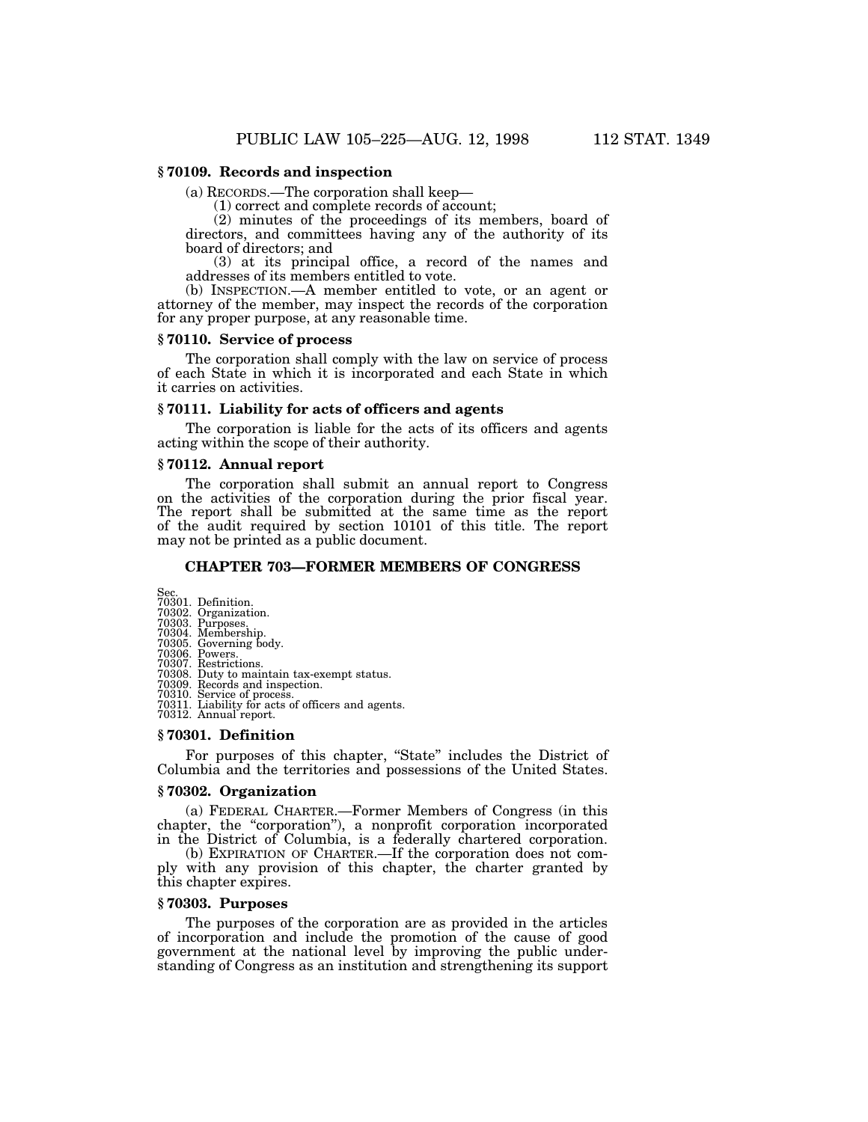(a) RECORDS.—The corporation shall keep—

(1) correct and complete records of account;

(2) minutes of the proceedings of its members, board of directors, and committees having any of the authority of its board of directors; and

(3) at its principal office, a record of the names and addresses of its members entitled to vote.

(b) INSPECTION.—A member entitled to vote, or an agent or attorney of the member, may inspect the records of the corporation for any proper purpose, at any reasonable time.

#### **§ 70110. Service of process**

The corporation shall comply with the law on service of process of each State in which it is incorporated and each State in which it carries on activities.

# **§ 70111. Liability for acts of officers and agents**

The corporation is liable for the acts of its officers and agents acting within the scope of their authority.

# **§ 70112. Annual report**

The corporation shall submit an annual report to Congress on the activities of the corporation during the prior fiscal year. The report shall be submitted at the same time as the report of the audit required by section 10101 of this title. The report may not be printed as a public document.

# **CHAPTER 703—FORMER MEMBERS OF CONGRESS**

- 
- 
- 
- 
- 
- Sec.<br>70301. Definition.<br>70302. Organization.<br>70303. Purposes.<br>70305. Governing body.<br>70305. Governing body.<br>70306. Powers.<br>70308. Duty to maintain tax-exempt status.<br>70308. Records and inspection.<br>70310. Service of process
- 
- 
- 70311. Liability for acts of officers and agents. 70312. Annual report.

# **§ 70301. Definition**

For purposes of this chapter, "State" includes the District of Columbia and the territories and possessions of the United States.

### **§ 70302. Organization**

(a) FEDERAL CHARTER.—Former Members of Congress (in this chapter, the ''corporation''), a nonprofit corporation incorporated in the District of Columbia, is a federally chartered corporation.

(b) EXPIRATION OF CHARTER.—If the corporation does not comply with any provision of this chapter, the charter granted by this chapter expires.

### **§ 70303. Purposes**

The purposes of the corporation are as provided in the articles of incorporation and include the promotion of the cause of good government at the national level by improving the public understanding of Congress as an institution and strengthening its support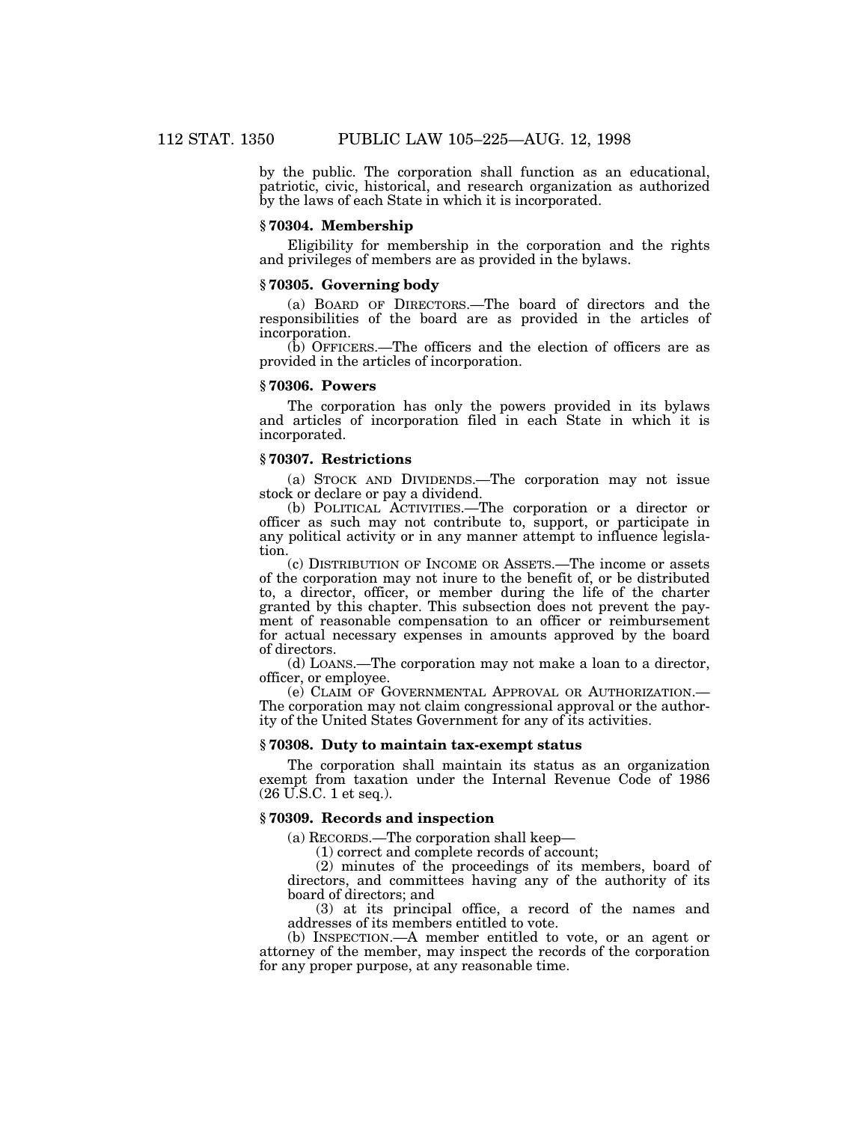by the public. The corporation shall function as an educational, patriotic, civic, historical, and research organization as authorized by the laws of each State in which it is incorporated.

#### **§ 70304. Membership**

Eligibility for membership in the corporation and the rights and privileges of members are as provided in the bylaws.

### **§ 70305. Governing body**

(a) BOARD OF DIRECTORS.—The board of directors and the responsibilities of the board are as provided in the articles of incorporation.

(b) OFFICERS.—The officers and the election of officers are as provided in the articles of incorporation.

#### **§ 70306. Powers**

The corporation has only the powers provided in its bylaws and articles of incorporation filed in each State in which it is incorporated.

#### **§ 70307. Restrictions**

(a) STOCK AND DIVIDENDS.—The corporation may not issue stock or declare or pay a dividend.

(b) POLITICAL ACTIVITIES.—The corporation or a director or officer as such may not contribute to, support, or participate in any political activity or in any manner attempt to influence legislation.

(c) DISTRIBUTION OF INCOME OR ASSETS.—The income or assets of the corporation may not inure to the benefit of, or be distributed to, a director, officer, or member during the life of the charter granted by this chapter. This subsection does not prevent the payment of reasonable compensation to an officer or reimbursement for actual necessary expenses in amounts approved by the board of directors.

(d) LOANS.—The corporation may not make a loan to a director, officer, or employee.

(e) CLAIM OF GOVERNMENTAL APPROVAL OR AUTHORIZATION.— The corporation may not claim congressional approval or the authority of the United States Government for any of its activities.

### **§ 70308. Duty to maintain tax-exempt status**

The corporation shall maintain its status as an organization exempt from taxation under the Internal Revenue Code of 1986 (26 U.S.C. 1 et seq.).

# **§ 70309. Records and inspection**

(a) RECORDS.—The corporation shall keep—

(1) correct and complete records of account;

(2) minutes of the proceedings of its members, board of directors, and committees having any of the authority of its board of directors; and

(3) at its principal office, a record of the names and addresses of its members entitled to vote.

(b) INSPECTION.—A member entitled to vote, or an agent or attorney of the member, may inspect the records of the corporation for any proper purpose, at any reasonable time.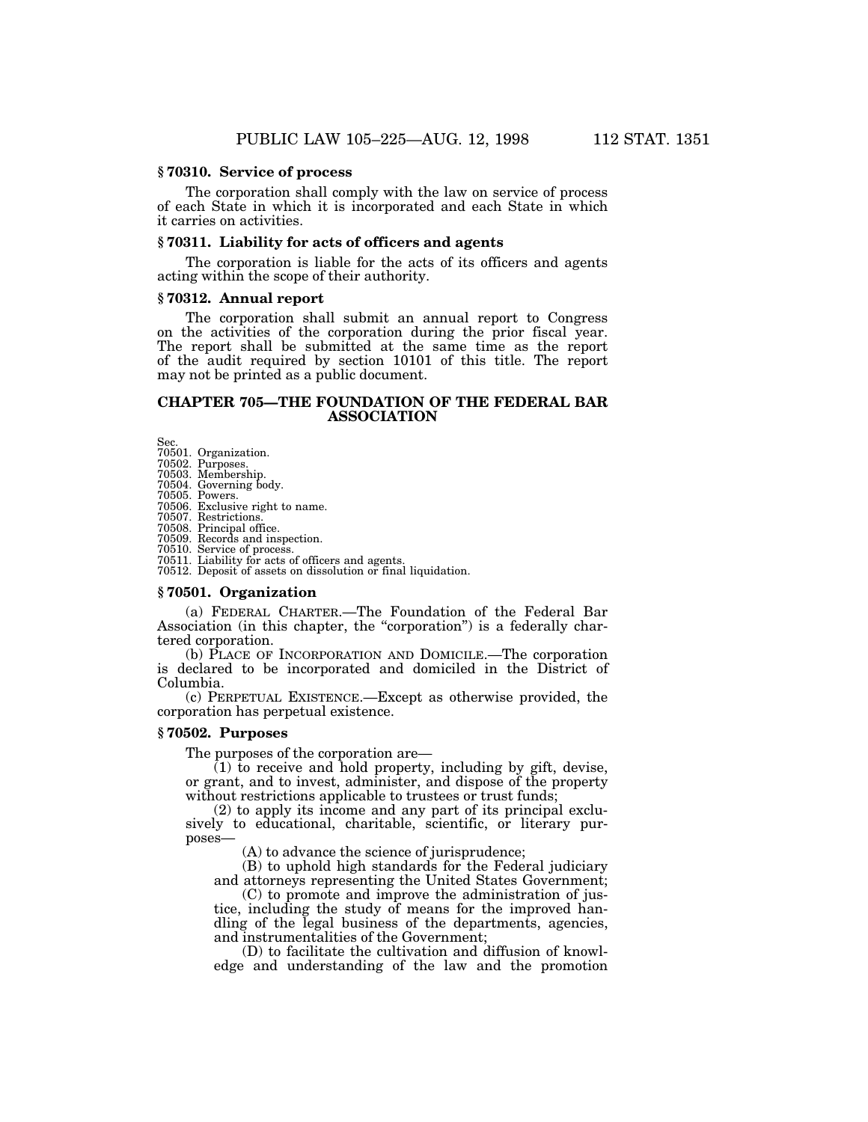# **§ 70310. Service of process**

The corporation shall comply with the law on service of process of each State in which it is incorporated and each State in which it carries on activities.

# **§ 70311. Liability for acts of officers and agents**

The corporation is liable for the acts of its officers and agents acting within the scope of their authority.

### **§ 70312. Annual report**

The corporation shall submit an annual report to Congress on the activities of the corporation during the prior fiscal year. The report shall be submitted at the same time as the report of the audit required by section 10101 of this title. The report may not be printed as a public document.

# **CHAPTER 705—THE FOUNDATION OF THE FEDERAL BAR ASSOCIATION**

- 
- 

Sec. 70501. Organization. 70502. Purposes. 70503. Membership. 70504. Governing body.

70505. Powers. 70506. Exclusive right to name. 70507. Restrictions. 70508. Principal office. 70509. Records and inspection.

70510. Service of process. 70511. Liability for acts of officers and agents.

70512. Deposit of assets on dissolution or final liquidation.

#### **§ 70501. Organization**

(a) FEDERAL CHARTER.—The Foundation of the Federal Bar Association (in this chapter, the "corporation") is a federally chartered corporation.

(b) PLACE OF INCORPORATION AND DOMICILE.—The corporation is declared to be incorporated and domiciled in the District of Columbia.

(c) PERPETUAL EXISTENCE.—Except as otherwise provided, the corporation has perpetual existence.

#### **§ 70502. Purposes**

The purposes of the corporation are—

(1) to receive and hold property, including by gift, devise, or grant, and to invest, administer, and dispose of the property without restrictions applicable to trustees or trust funds;

(2) to apply its income and any part of its principal exclusively to educational, charitable, scientific, or literary purposes—

(A) to advance the science of jurisprudence;

(B) to uphold high standards for the Federal judiciary and attorneys representing the United States Government;

(C) to promote and improve the administration of justice, including the study of means for the improved handling of the legal business of the departments, agencies, and instrumentalities of the Government;

(D) to facilitate the cultivation and diffusion of knowledge and understanding of the law and the promotion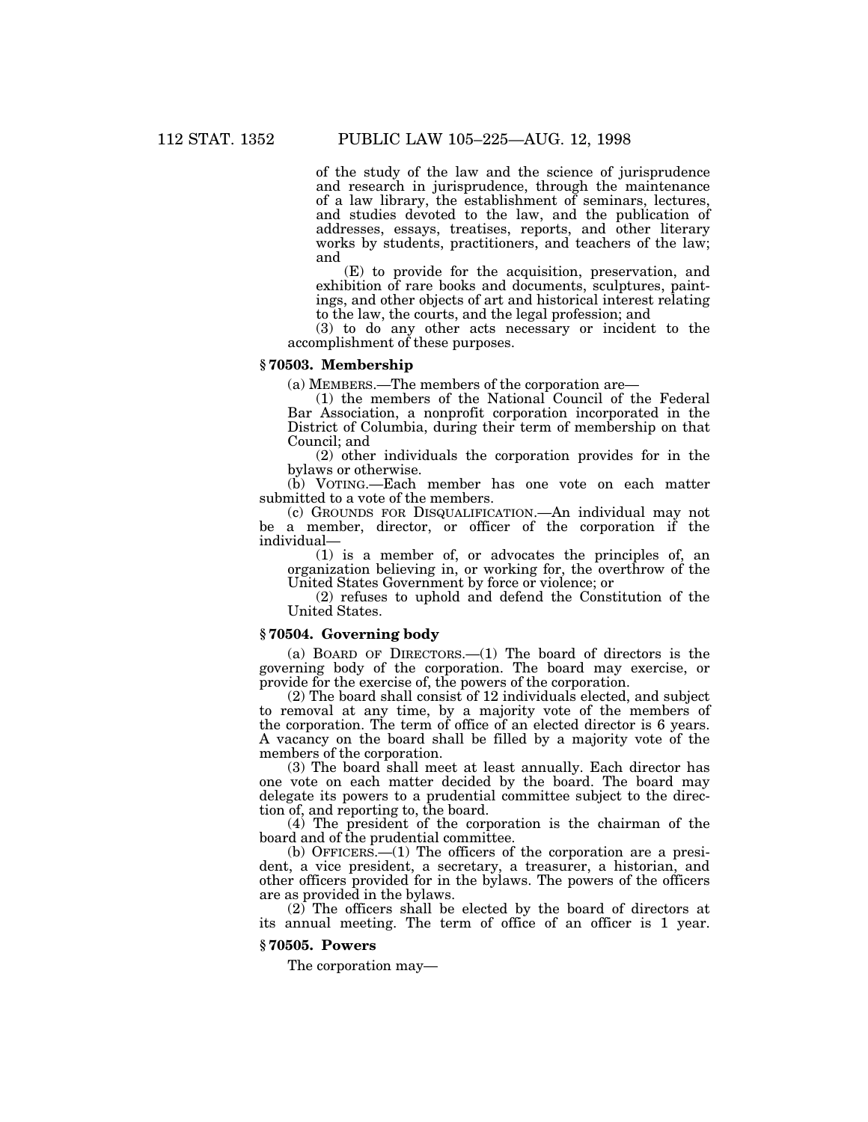of the study of the law and the science of jurisprudence and research in jurisprudence, through the maintenance of a law library, the establishment of seminars, lectures, and studies devoted to the law, and the publication of addresses, essays, treatises, reports, and other literary works by students, practitioners, and teachers of the law; and

(E) to provide for the acquisition, preservation, and exhibition of rare books and documents, sculptures, paintings, and other objects of art and historical interest relating to the law, the courts, and the legal profession; and

(3) to do any other acts necessary or incident to the accomplishment of these purposes.

# **§ 70503. Membership**

(a) MEMBERS.—The members of the corporation are—

(1) the members of the National Council of the Federal Bar Association, a nonprofit corporation incorporated in the District of Columbia, during their term of membership on that Council; and

(2) other individuals the corporation provides for in the bylaws or otherwise.

(b) VOTING.—Each member has one vote on each matter submitted to a vote of the members.

(c) GROUNDS FOR DISQUALIFICATION.—An individual may not be a member, director, or officer of the corporation if the individual—

(1) is a member of, or advocates the principles of, an organization believing in, or working for, the overthrow of the United States Government by force or violence; or

(2) refuses to uphold and defend the Constitution of the United States.

### **§ 70504. Governing body**

(a) BOARD OF DIRECTORS.—(1) The board of directors is the governing body of the corporation. The board may exercise, or provide for the exercise of, the powers of the corporation.

(2) The board shall consist of 12 individuals elected, and subject to removal at any time, by a majority vote of the members of the corporation. The term of office of an elected director is 6 years. A vacancy on the board shall be filled by a majority vote of the members of the corporation.

(3) The board shall meet at least annually. Each director has one vote on each matter decided by the board. The board may delegate its powers to a prudential committee subject to the direction of, and reporting to, the board.

(4) The president of the corporation is the chairman of the board and of the prudential committee.

(b) OFFICERS.—(1) The officers of the corporation are a president, a vice president, a secretary, a treasurer, a historian, and other officers provided for in the bylaws. The powers of the officers are as provided in the bylaws.

 $(2)$  The officers shall be elected by the board of directors at its annual meeting. The term of office of an officer is 1 year.

#### **§ 70505. Powers**

The corporation may—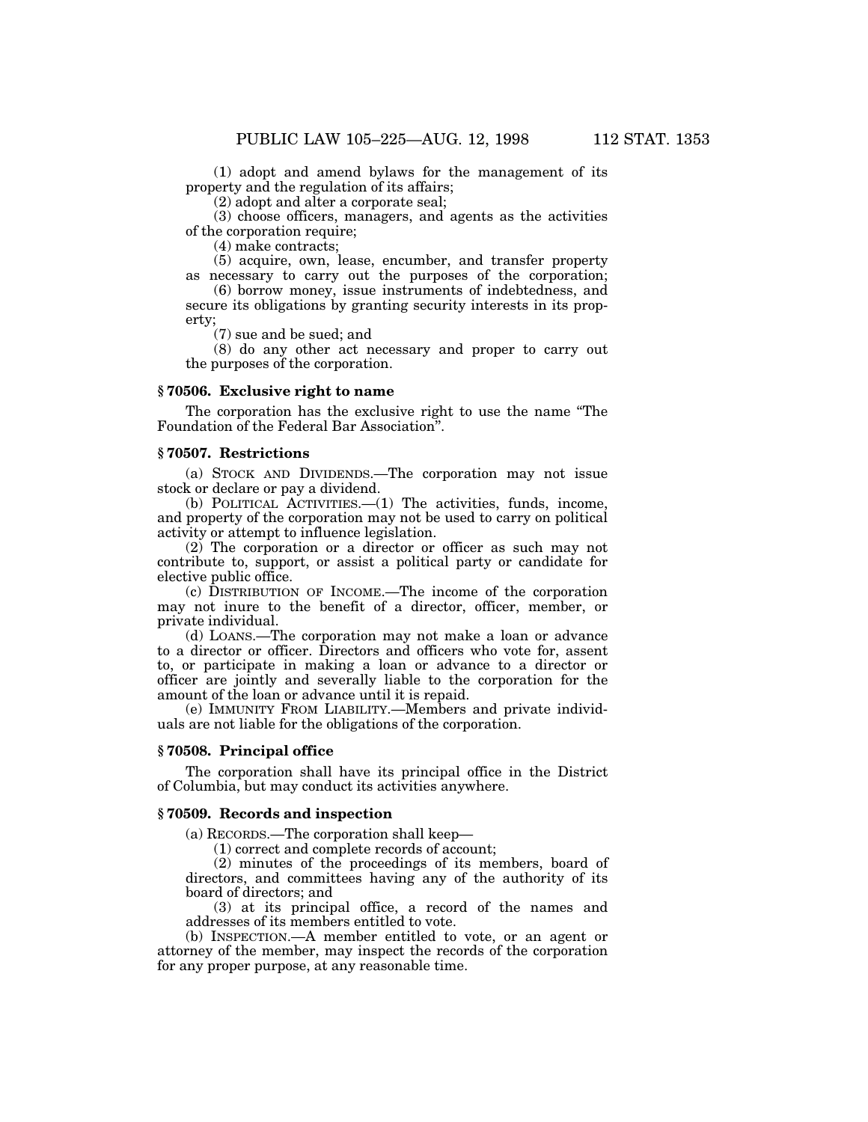(1) adopt and amend bylaws for the management of its property and the regulation of its affairs;

(2) adopt and alter a corporate seal;

(3) choose officers, managers, and agents as the activities of the corporation require;

(4) make contracts;

(5) acquire, own, lease, encumber, and transfer property as necessary to carry out the purposes of the corporation;

(6) borrow money, issue instruments of indebtedness, and secure its obligations by granting security interests in its property;

(7) sue and be sued; and

(8) do any other act necessary and proper to carry out the purposes of the corporation.

#### **§ 70506. Exclusive right to name**

The corporation has the exclusive right to use the name ''The Foundation of the Federal Bar Association''.

### **§ 70507. Restrictions**

(a) STOCK AND DIVIDENDS.—The corporation may not issue stock or declare or pay a dividend.

(b) POLITICAL ACTIVITIES.—(1) The activities, funds, income, and property of the corporation may not be used to carry on political activity or attempt to influence legislation.

(2) The corporation or a director or officer as such may not contribute to, support, or assist a political party or candidate for elective public office.

(c) DISTRIBUTION OF INCOME.—The income of the corporation may not inure to the benefit of a director, officer, member, or private individual.

(d) LOANS.—The corporation may not make a loan or advance to a director or officer. Directors and officers who vote for, assent to, or participate in making a loan or advance to a director or officer are jointly and severally liable to the corporation for the amount of the loan or advance until it is repaid.

(e) IMMUNITY FROM LIABILITY.—Members and private individuals are not liable for the obligations of the corporation.

#### **§ 70508. Principal office**

The corporation shall have its principal office in the District of Columbia, but may conduct its activities anywhere.

### **§ 70509. Records and inspection**

(a) RECORDS.—The corporation shall keep—

(1) correct and complete records of account;

(2) minutes of the proceedings of its members, board of directors, and committees having any of the authority of its board of directors; and

(3) at its principal office, a record of the names and addresses of its members entitled to vote.

(b) INSPECTION.—A member entitled to vote, or an agent or attorney of the member, may inspect the records of the corporation for any proper purpose, at any reasonable time.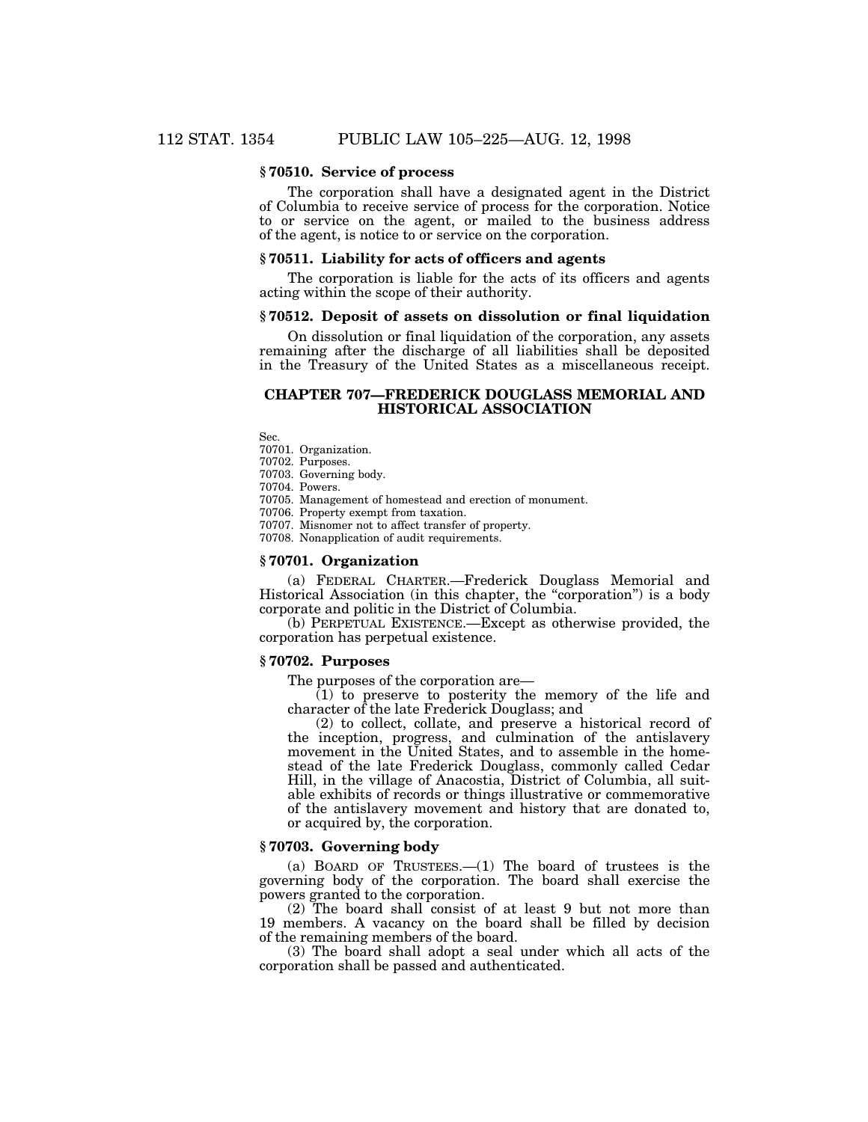### **§ 70510. Service of process**

The corporation shall have a designated agent in the District of Columbia to receive service of process for the corporation. Notice to or service on the agent, or mailed to the business address of the agent, is notice to or service on the corporation.

# **§ 70511. Liability for acts of officers and agents**

The corporation is liable for the acts of its officers and agents acting within the scope of their authority.

# **§ 70512. Deposit of assets on dissolution or final liquidation**

On dissolution or final liquidation of the corporation, any assets remaining after the discharge of all liabilities shall be deposited in the Treasury of the United States as a miscellaneous receipt.

# **CHAPTER 707—FREDERICK DOUGLASS MEMORIAL AND HISTORICAL ASSOCIATION**

Sec.

70701. Organization.

70702. Purposes.

70703. Governing body.

70704. Powers.

70705. Management of homestead and erection of monument.

70706. Property exempt from taxation.

70707. Misnomer not to affect transfer of property.

70708. Nonapplication of audit requirements.

### **§ 70701. Organization**

(a) FEDERAL CHARTER.—Frederick Douglass Memorial and Historical Association (in this chapter, the ''corporation'') is a body corporate and politic in the District of Columbia.

(b) PERPETUAL EXISTENCE.—Except as otherwise provided, the corporation has perpetual existence.

### **§ 70702. Purposes**

The purposes of the corporation are—

(1) to preserve to posterity the memory of the life and character of the late Frederick Douglass; and

(2) to collect, collate, and preserve a historical record of the inception, progress, and culmination of the antislavery movement in the United States, and to assemble in the homestead of the late Frederick Douglass, commonly called Cedar Hill, in the village of Anacostia, District of Columbia, all suitable exhibits of records or things illustrative or commemorative of the antislavery movement and history that are donated to, or acquired by, the corporation.

# **§ 70703. Governing body**

(a) BOARD OF TRUSTEES.—(1) The board of trustees is the governing body of the corporation. The board shall exercise the powers granted to the corporation.

(2) The board shall consist of at least 9 but not more than 19 members. A vacancy on the board shall be filled by decision of the remaining members of the board.

(3) The board shall adopt a seal under which all acts of the corporation shall be passed and authenticated.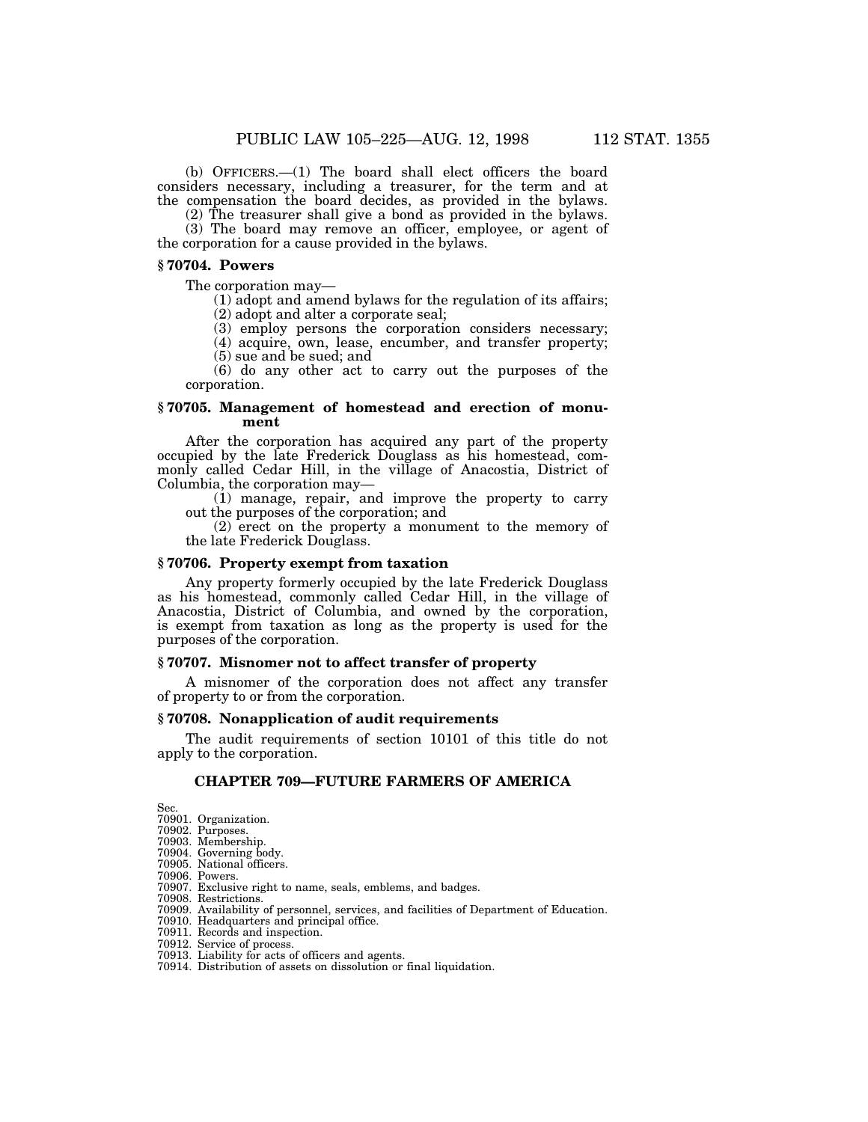(b) OFFICERS.—(1) The board shall elect officers the board considers necessary, including a treasurer, for the term and at the compensation the board decides, as provided in the bylaws.

(2) The treasurer shall give a bond as provided in the bylaws.

(3) The board may remove an officer, employee, or agent of the corporation for a cause provided in the bylaws.

### **§ 70704. Powers**

The corporation may—

(1) adopt and amend bylaws for the regulation of its affairs; (2) adopt and alter a corporate seal;

(3) employ persons the corporation considers necessary;

(4) acquire, own, lease, encumber, and transfer property;

(5) sue and be sued; and

(6) do any other act to carry out the purposes of the corporation.

### **§ 70705. Management of homestead and erection of monument**

After the corporation has acquired any part of the property occupied by the late Frederick Douglass as his homestead, commonly called Cedar Hill, in the village of Anacostia, District of Columbia, the corporation may—

(1) manage, repair, and improve the property to carry out the purposes of the corporation; and

(2) erect on the property a monument to the memory of the late Frederick Douglass.

#### **§ 70706. Property exempt from taxation**

Any property formerly occupied by the late Frederick Douglass as his homestead, commonly called Cedar Hill, in the village of Anacostia, District of Columbia, and owned by the corporation, is exempt from taxation as long as the property is used for the purposes of the corporation.

# **§ 70707. Misnomer not to affect transfer of property**

A misnomer of the corporation does not affect any transfer of property to or from the corporation.

### **§ 70708. Nonapplication of audit requirements**

The audit requirements of section 10101 of this title do not apply to the corporation.

## **CHAPTER 709—FUTURE FARMERS OF AMERICA**

Sec.

- 70901. Organization.
- 70902. Purposes.
- 70903. Membership.
- 70904. Governing body. 70905. National officers.
- 70906. Powers.
- 
- 70907. Exclusive right to name, seals, emblems, and badges.
- 70908. Restrictions.
- 70909. Availability of personnel, services, and facilities of Department of Education.

70910. Headquarters and principal office.

- 70911. Records and inspection.
- 70912. Service of process.
- 70913. Liability for acts of officers and agents.
- 70914. Distribution of assets on dissolution or final liquidation.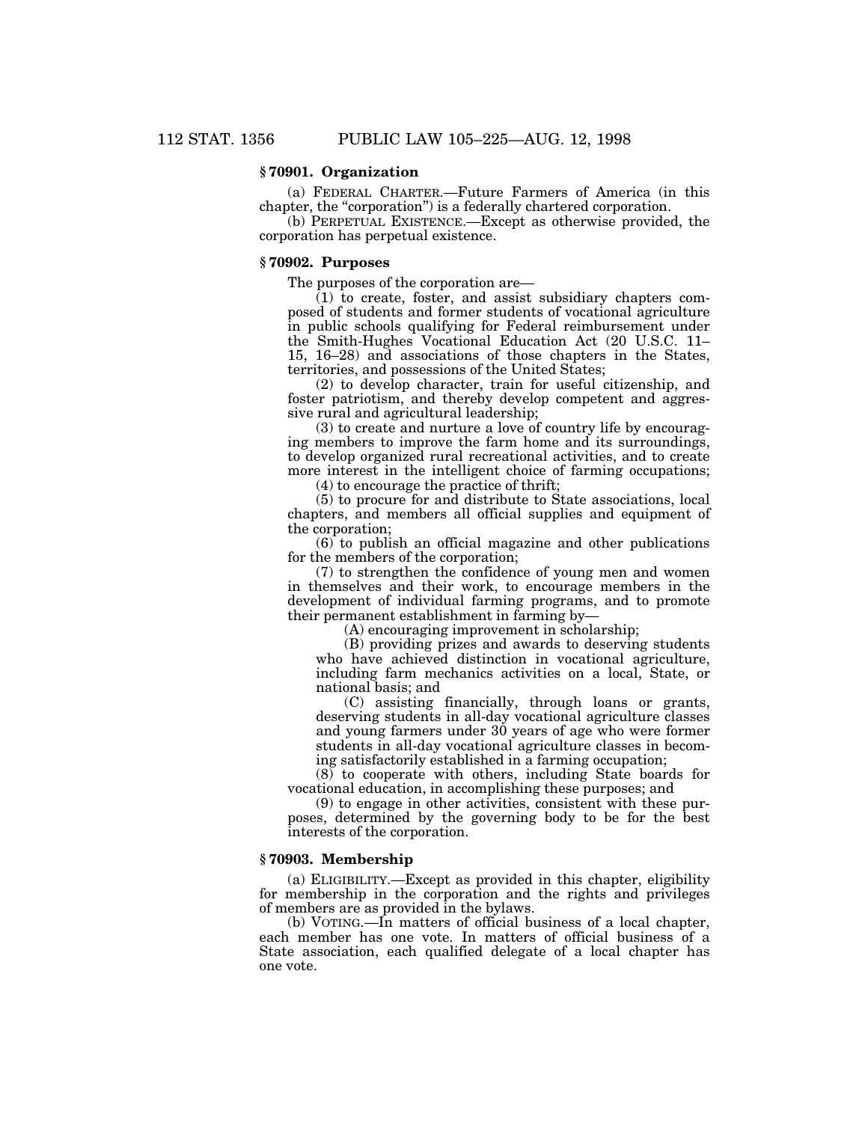# **§ 70901. Organization**

(a) FEDERAL CHARTER.—Future Farmers of America (in this chapter, the ''corporation'') is a federally chartered corporation.

(b) PERPETUAL EXISTENCE.—Except as otherwise provided, the corporation has perpetual existence.

### **§ 70902. Purposes**

The purposes of the corporation are—

(1) to create, foster, and assist subsidiary chapters composed of students and former students of vocational agriculture in public schools qualifying for Federal reimbursement under the Smith-Hughes Vocational Education Act (20 U.S.C. 11– 15, 16–28) and associations of those chapters in the States, territories, and possessions of the United States;

(2) to develop character, train for useful citizenship, and foster patriotism, and thereby develop competent and aggressive rural and agricultural leadership;

(3) to create and nurture a love of country life by encouraging members to improve the farm home and its surroundings, to develop organized rural recreational activities, and to create more interest in the intelligent choice of farming occupations;

(4) to encourage the practice of thrift;

(5) to procure for and distribute to State associations, local chapters, and members all official supplies and equipment of the corporation;

(6) to publish an official magazine and other publications for the members of the corporation;

(7) to strengthen the confidence of young men and women in themselves and their work, to encourage members in the development of individual farming programs, and to promote their permanent establishment in farming by—

(A) encouraging improvement in scholarship;

(B) providing prizes and awards to deserving students who have achieved distinction in vocational agriculture, including farm mechanics activities on a local, State, or national basis; and

(C) assisting financially, through loans or grants, deserving students in all-day vocational agriculture classes and young farmers under 30 years of age who were former students in all-day vocational agriculture classes in becoming satisfactorily established in a farming occupation;

(8) to cooperate with others, including State boards for vocational education, in accomplishing these purposes; and

(9) to engage in other activities, consistent with these purposes, determined by the governing body to be for the best interests of the corporation.

### **§ 70903. Membership**

(a) ELIGIBILITY.—Except as provided in this chapter, eligibility for membership in the corporation and the rights and privileges of members are as provided in the bylaws.

(b) VOTING.—In matters of official business of a local chapter, each member has one vote. In matters of official business of a State association, each qualified delegate of a local chapter has one vote.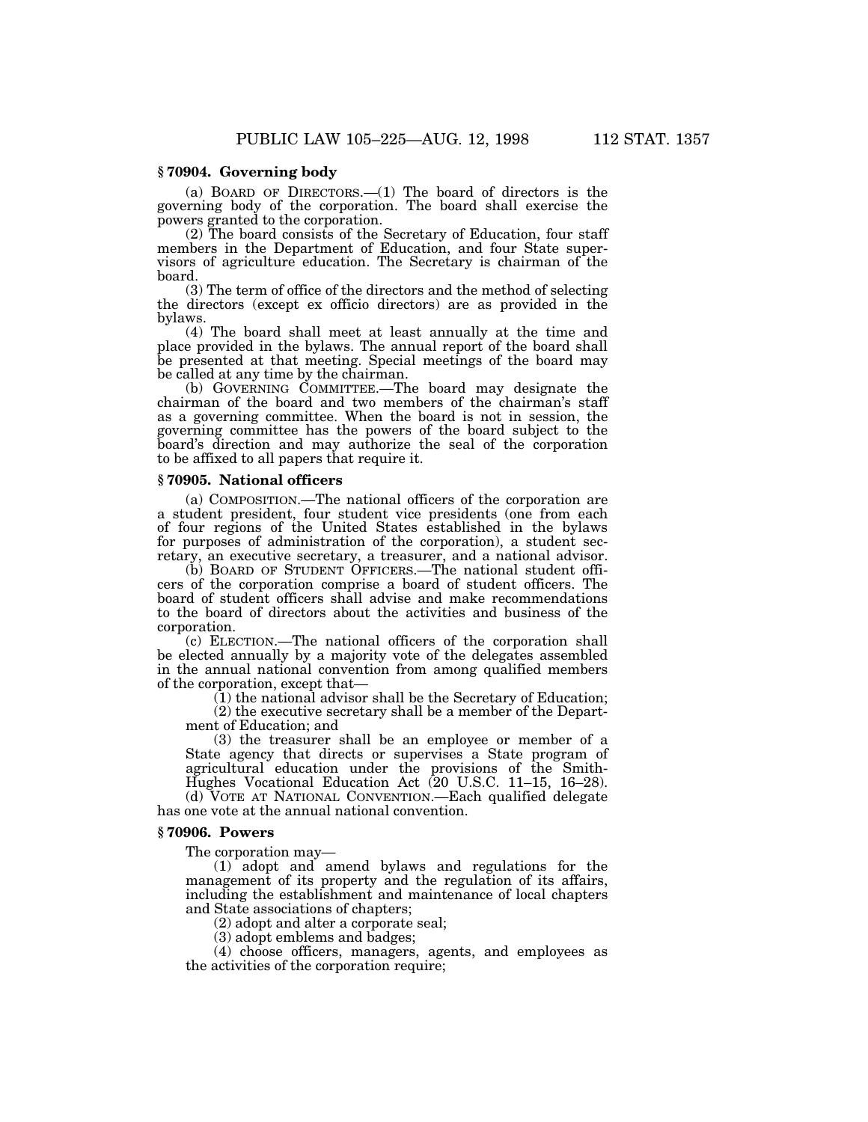### **§ 70904. Governing body**

(a) BOARD OF DIRECTORS.—(1) The board of directors is the governing body of the corporation. The board shall exercise the powers granted to the corporation.

(2) The board consists of the Secretary of Education, four staff members in the Department of Education, and four State supervisors of agriculture education. The Secretary is chairman of the board.

(3) The term of office of the directors and the method of selecting the directors (except ex officio directors) are as provided in the bylaws.

(4) The board shall meet at least annually at the time and place provided in the bylaws. The annual report of the board shall be presented at that meeting. Special meetings of the board may be called at any time by the chairman.

(b) GOVERNING COMMITTEE.—The board may designate the chairman of the board and two members of the chairman's staff as a governing committee. When the board is not in session, the governing committee has the powers of the board subject to the board's direction and may authorize the seal of the corporation to be affixed to all papers that require it.

### **§ 70905. National officers**

(a) COMPOSITION.—The national officers of the corporation are a student president, four student vice presidents (one from each of four regions of the United States established in the bylaws for purposes of administration of the corporation), a student secretary, an executive secretary, a treasurer, and a national advisor.

(b) BOARD OF STUDENT OFFICERS.—The national student officers of the corporation comprise a board of student officers. The board of student officers shall advise and make recommendations to the board of directors about the activities and business of the corporation.

(c) ELECTION.—The national officers of the corporation shall be elected annually by a majority vote of the delegates assembled in the annual national convention from among qualified members of the corporation, except that—

(1) the national advisor shall be the Secretary of Education; (2) the executive secretary shall be a member of the Depart-

ment of Education; and

(3) the treasurer shall be an employee or member of a State agency that directs or supervises a State program of agricultural education under the provisions of the Smith-Hughes Vocational Education Act (20 U.S.C. 11–15, 16–28). (d) VOTE AT NATIONAL CONVENTION.—Each qualified delegate

has one vote at the annual national convention.

# **§ 70906. Powers**

The corporation may—

(1) adopt and amend bylaws and regulations for the management of its property and the regulation of its affairs, including the establishment and maintenance of local chapters and State associations of chapters;

(2) adopt and alter a corporate seal;

(3) adopt emblems and badges;

(4) choose officers, managers, agents, and employees as the activities of the corporation require;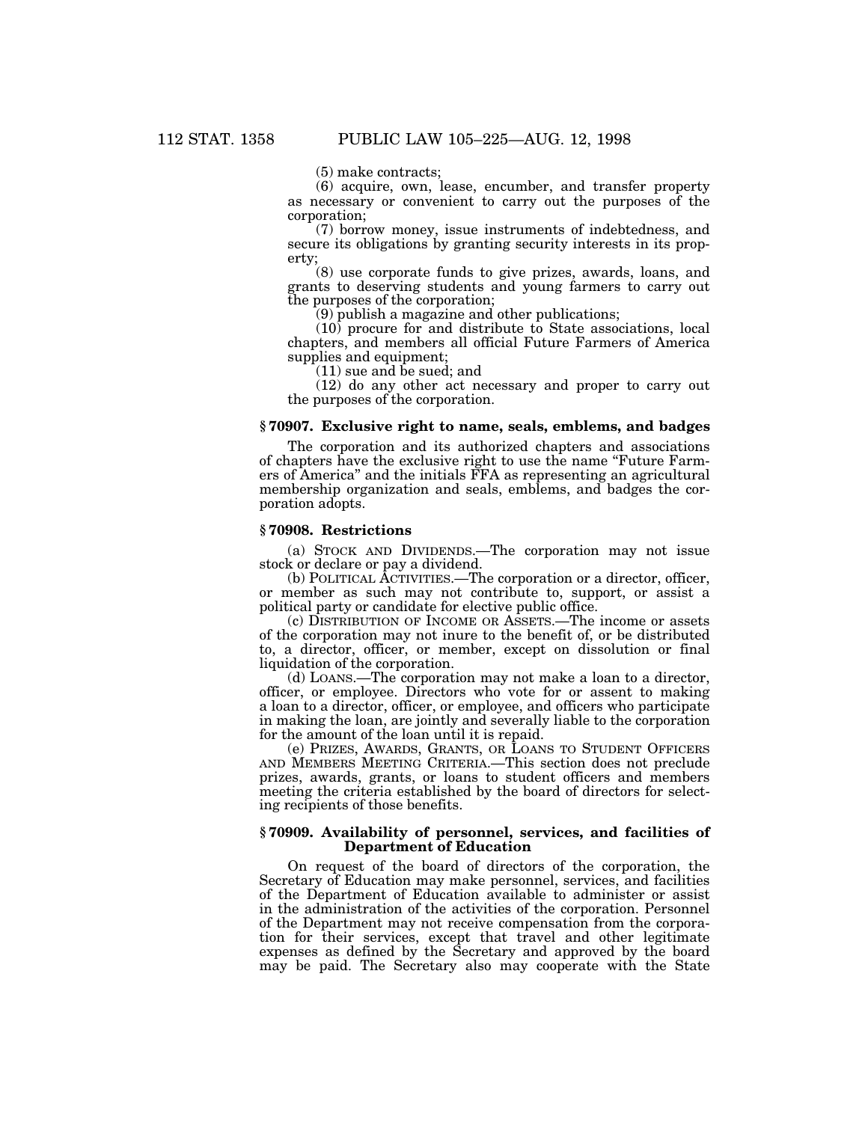(5) make contracts;

(6) acquire, own, lease, encumber, and transfer property as necessary or convenient to carry out the purposes of the corporation;

(7) borrow money, issue instruments of indebtedness, and secure its obligations by granting security interests in its property;

(8) use corporate funds to give prizes, awards, loans, and grants to deserving students and young farmers to carry out the purposes of the corporation;

(9) publish a magazine and other publications;

(10) procure for and distribute to State associations, local chapters, and members all official Future Farmers of America supplies and equipment;

(11) sue and be sued; and

(12) do any other act necessary and proper to carry out the purposes of the corporation.

# **§ 70907. Exclusive right to name, seals, emblems, and badges**

The corporation and its authorized chapters and associations of chapters have the exclusive right to use the name ''Future Farmers of America'' and the initials FFA as representing an agricultural membership organization and seals, emblems, and badges the corporation adopts.

### **§ 70908. Restrictions**

(a) STOCK AND DIVIDENDS.—The corporation may not issue stock or declare or pay a dividend.

(b) POLITICAL ACTIVITIES.—The corporation or a director, officer, or member as such may not contribute to, support, or assist a political party or candidate for elective public office.

(c) DISTRIBUTION OF INCOME OR ASSETS.—The income or assets of the corporation may not inure to the benefit of, or be distributed to, a director, officer, or member, except on dissolution or final liquidation of the corporation.

(d) LOANS.—The corporation may not make a loan to a director, officer, or employee. Directors who vote for or assent to making a loan to a director, officer, or employee, and officers who participate in making the loan, are jointly and severally liable to the corporation for the amount of the loan until it is repaid.

(e) PRIZES, AWARDS, GRANTS, OR LOANS TO STUDENT OFFICERS AND MEMBERS MEETING CRITERIA.—This section does not preclude prizes, awards, grants, or loans to student officers and members meeting the criteria established by the board of directors for selecting recipients of those benefits.

### **§ 70909. Availability of personnel, services, and facilities of Department of Education**

On request of the board of directors of the corporation, the Secretary of Education may make personnel, services, and facilities of the Department of Education available to administer or assist in the administration of the activities of the corporation. Personnel of the Department may not receive compensation from the corporation for their services, except that travel and other legitimate expenses as defined by the Secretary and approved by the board may be paid. The Secretary also may cooperate with the State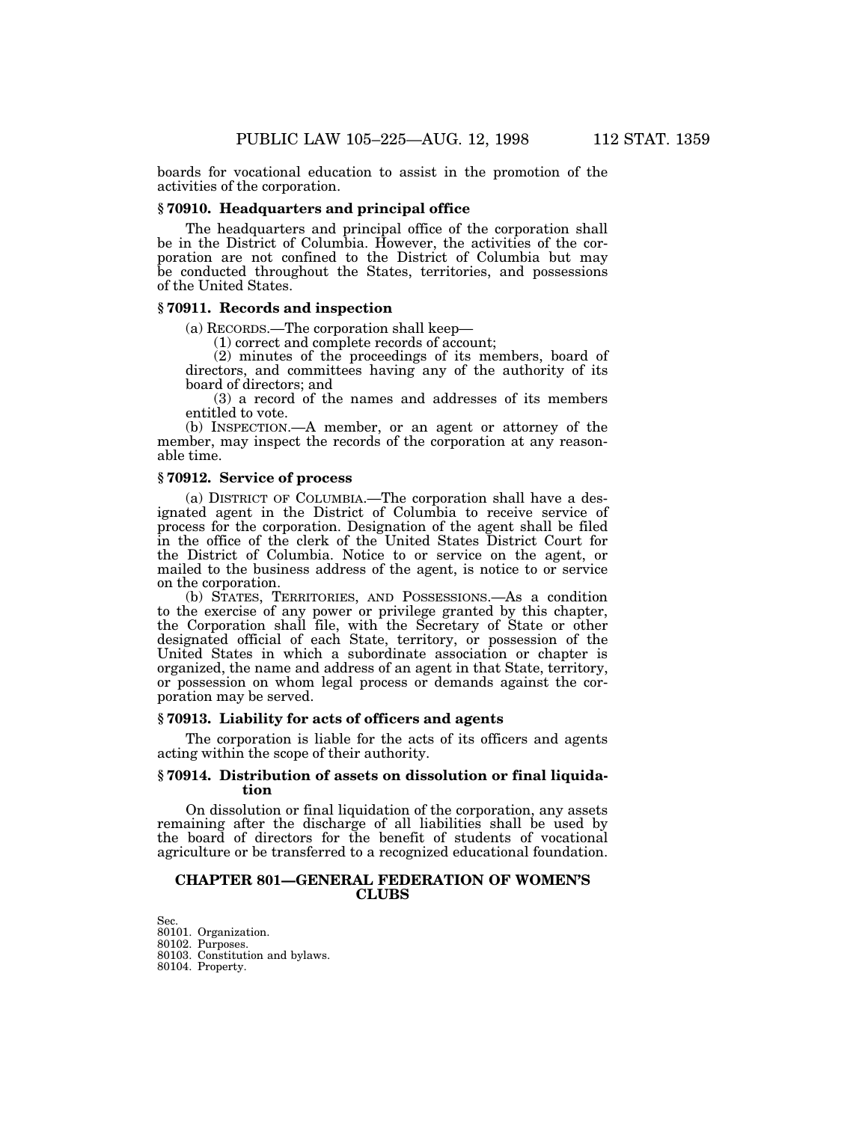boards for vocational education to assist in the promotion of the activities of the corporation.

### **§ 70910. Headquarters and principal office**

The headquarters and principal office of the corporation shall be in the District of Columbia. However, the activities of the corporation are not confined to the District of Columbia but may be conducted throughout the States, territories, and possessions of the United States.

### **§ 70911. Records and inspection**

(a) RECORDS.—The corporation shall keep—

(1) correct and complete records of account;

(2) minutes of the proceedings of its members, board of directors, and committees having any of the authority of its board of directors; and

(3) a record of the names and addresses of its members entitled to vote.

(b) INSPECTION.—A member, or an agent or attorney of the member, may inspect the records of the corporation at any reasonable time.

### **§ 70912. Service of process**

(a) DISTRICT OF COLUMBIA.—The corporation shall have a designated agent in the District of Columbia to receive service of process for the corporation. Designation of the agent shall be filed in the office of the clerk of the United States District Court for the District of Columbia. Notice to or service on the agent, or mailed to the business address of the agent, is notice to or service on the corporation.

(b) STATES, TERRITORIES, AND POSSESSIONS.—As a condition to the exercise of any power or privilege granted by this chapter, the Corporation shall file, with the Secretary of State or other designated official of each State, territory, or possession of the United States in which a subordinate association or chapter is organized, the name and address of an agent in that State, territory, or possession on whom legal process or demands against the corporation may be served.

#### **§ 70913. Liability for acts of officers and agents**

The corporation is liable for the acts of its officers and agents acting within the scope of their authority.

#### **§ 70914. Distribution of assets on dissolution or final liquidation**

On dissolution or final liquidation of the corporation, any assets remaining after the discharge of all liabilities shall be used by the board of directors for the benefit of students of vocational agriculture or be transferred to a recognized educational foundation.

# **CHAPTER 801—GENERAL FEDERATION OF WOMEN'S CLUBS**

Sec. 80101. Organization. 80102. Purposes. 80103. Constitution and bylaws. 80104. Property.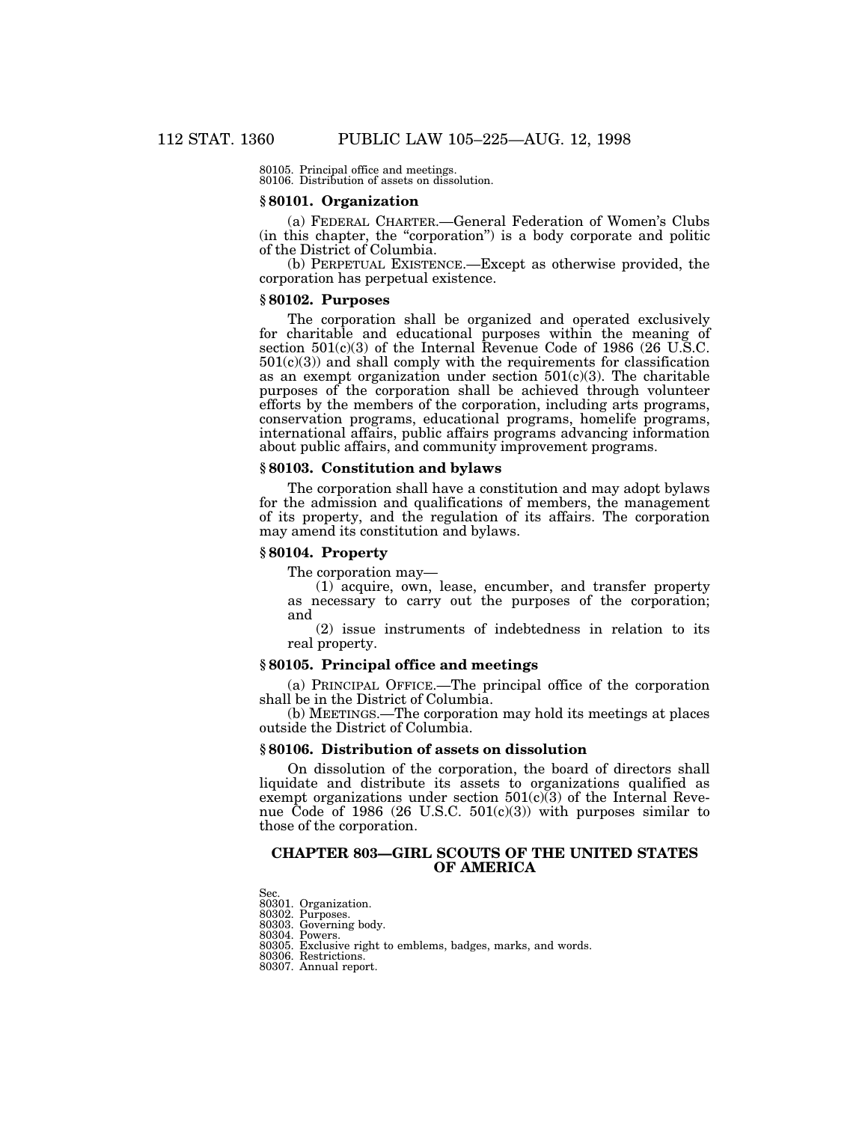80105. Principal office and meetings. 80106. Distribution of assets on dissolution.

#### **§ 80101. Organization**

(a) FEDERAL CHARTER.—General Federation of Women's Clubs (in this chapter, the ''corporation'') is a body corporate and politic of the District of Columbia.

(b) PERPETUAL EXISTENCE.—Except as otherwise provided, the corporation has perpetual existence.

# **§ 80102. Purposes**

The corporation shall be organized and operated exclusively for charitable and educational purposes within the meaning of section 501(c)(3) of the Internal Revenue Code of 1986 (26 U.S.C.  $501(c)(3)$  and shall comply with the requirements for classification as an exempt organization under section  $501(c)(3)$ . The charitable purposes of the corporation shall be achieved through volunteer efforts by the members of the corporation, including arts programs, conservation programs, educational programs, homelife programs, international affairs, public affairs programs advancing information about public affairs, and community improvement programs.

### **§ 80103. Constitution and bylaws**

The corporation shall have a constitution and may adopt bylaws for the admission and qualifications of members, the management of its property, and the regulation of its affairs. The corporation may amend its constitution and bylaws.

### **§ 80104. Property**

The corporation may—

(1) acquire, own, lease, encumber, and transfer property as necessary to carry out the purposes of the corporation; and

(2) issue instruments of indebtedness in relation to its real property.

### **§ 80105. Principal office and meetings**

(a) PRINCIPAL OFFICE.—The principal office of the corporation shall be in the District of Columbia.

(b) MEETINGS.—The corporation may hold its meetings at places outside the District of Columbia.

### **§ 80106. Distribution of assets on dissolution**

On dissolution of the corporation, the board of directors shall liquidate and distribute its assets to organizations qualified as exempt organizations under section  $501(c)(3)$  of the Internal Revenue Code of 1986 (26 U.S.C.  $501(c)(3)$ ) with purposes similar to those of the corporation.

# **CHAPTER 803—GIRL SCOUTS OF THE UNITED STATES OF AMERICA**

Sec. 80301. Organization. 80302. Purposes. 80303. Governing body. 80304. Powers. 80305. Exclusive right to emblems, badges, marks, and words. 80306. Restrictions.

80307. Annual report.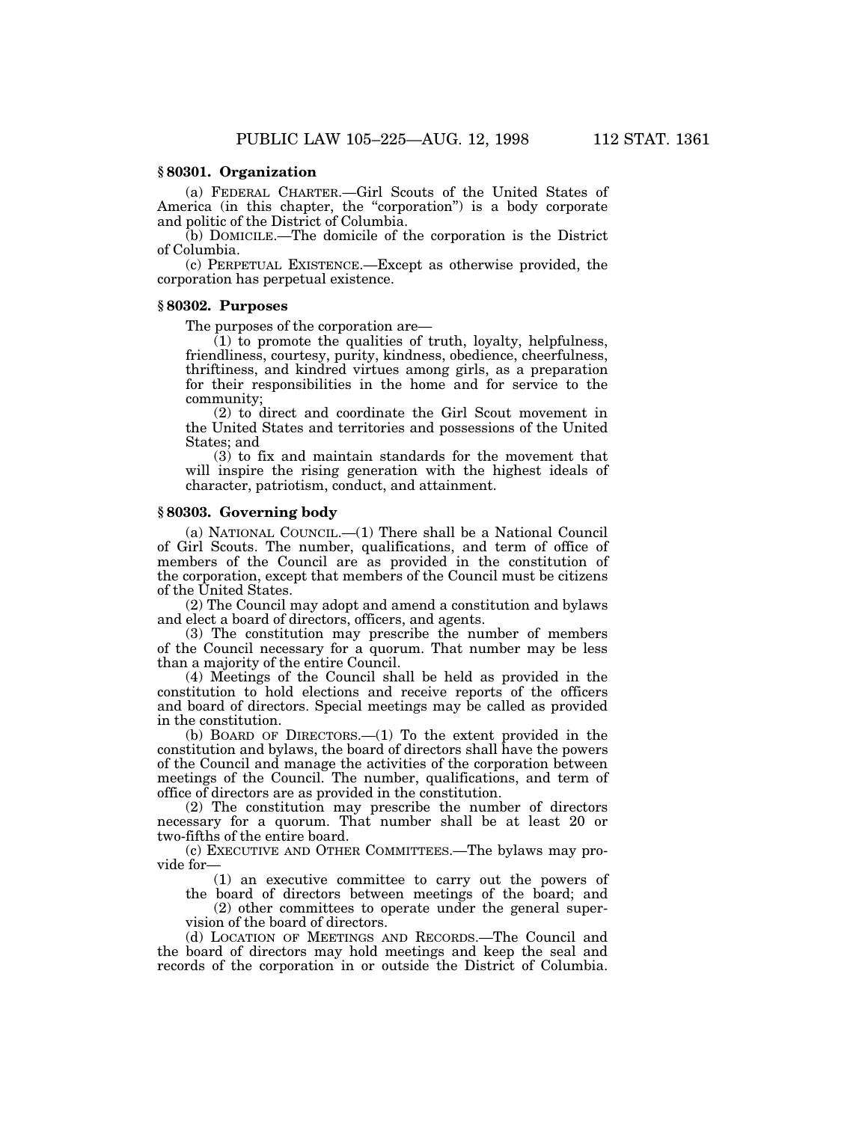## **§ 80301. Organization**

(a) FEDERAL CHARTER.—Girl Scouts of the United States of America (in this chapter, the "corporation") is a body corporate and politic of the District of Columbia.

(b) DOMICILE.—The domicile of the corporation is the District of Columbia.

(c) PERPETUAL EXISTENCE.—Except as otherwise provided, the corporation has perpetual existence.

## **§ 80302. Purposes**

The purposes of the corporation are—

 $(1)$  to promote the qualities of truth, loyalty, helpfulness, friendliness, courtesy, purity, kindness, obedience, cheerfulness, thriftiness, and kindred virtues among girls, as a preparation for their responsibilities in the home and for service to the community;

(2) to direct and coordinate the Girl Scout movement in the United States and territories and possessions of the United States; and

(3) to fix and maintain standards for the movement that will inspire the rising generation with the highest ideals of character, patriotism, conduct, and attainment.

## **§ 80303. Governing body**

(a) NATIONAL COUNCIL.—(1) There shall be a National Council of Girl Scouts. The number, qualifications, and term of office of members of the Council are as provided in the constitution of the corporation, except that members of the Council must be citizens of the United States.

(2) The Council may adopt and amend a constitution and bylaws and elect a board of directors, officers, and agents.

(3) The constitution may prescribe the number of members of the Council necessary for a quorum. That number may be less than a majority of the entire Council.

(4) Meetings of the Council shall be held as provided in the constitution to hold elections and receive reports of the officers and board of directors. Special meetings may be called as provided in the constitution.

(b) BOARD OF DIRECTORS.—(1) To the extent provided in the constitution and bylaws, the board of directors shall have the powers of the Council and manage the activities of the corporation between meetings of the Council. The number, qualifications, and term of office of directors are as provided in the constitution.

(2) The constitution may prescribe the number of directors necessary for a quorum. That number shall be at least 20 or two-fifths of the entire board.

(c) EXECUTIVE AND OTHER COMMITTEES.—The bylaws may provide for—

(1) an executive committee to carry out the powers of the board of directors between meetings of the board; and

(2) other committees to operate under the general supervision of the board of directors.

(d) LOCATION OF MEETINGS AND RECORDS.—The Council and the board of directors may hold meetings and keep the seal and records of the corporation in or outside the District of Columbia.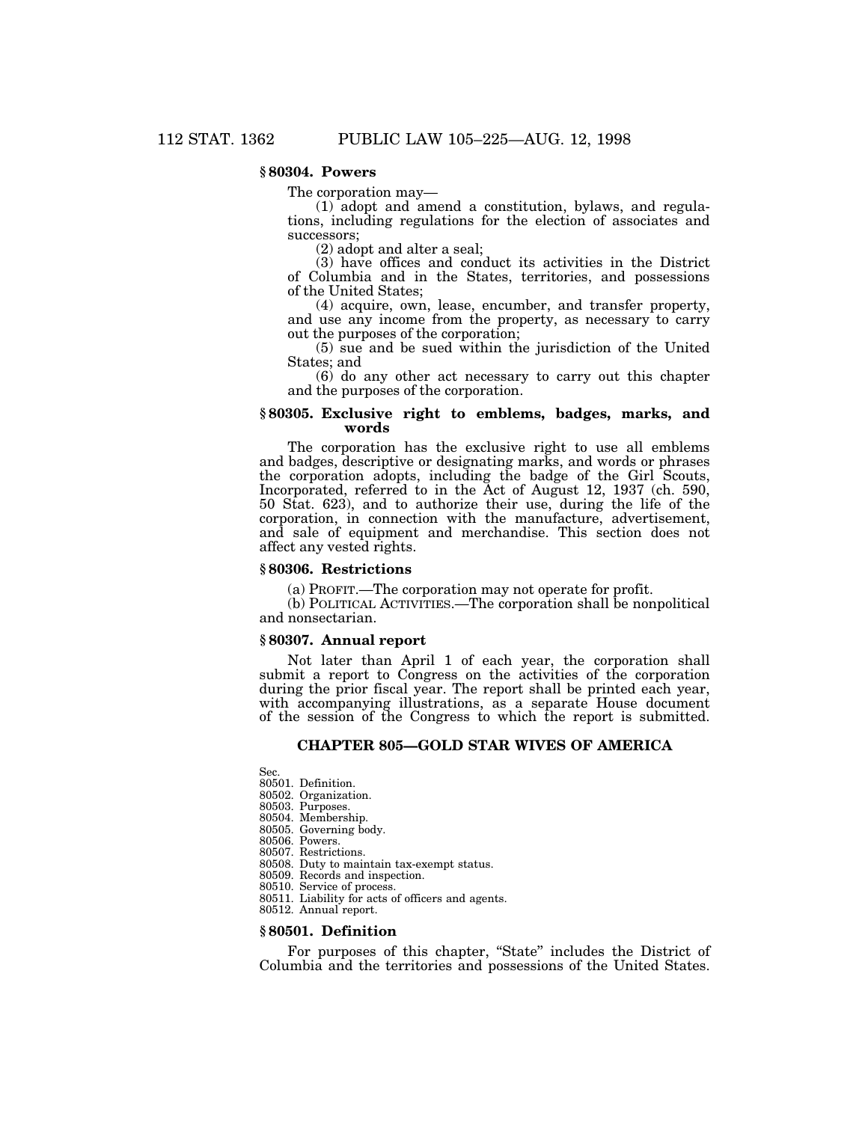# **§ 80304. Powers**

The corporation may—

(1) adopt and amend a constitution, bylaws, and regulations, including regulations for the election of associates and successors;

(2) adopt and alter a seal;

(3) have offices and conduct its activities in the District of Columbia and in the States, territories, and possessions of the United States;

(4) acquire, own, lease, encumber, and transfer property, and use any income from the property, as necessary to carry out the purposes of the corporation;

(5) sue and be sued within the jurisdiction of the United States; and

(6) do any other act necessary to carry out this chapter and the purposes of the corporation.

## **§ 80305. Exclusive right to emblems, badges, marks, and words**

The corporation has the exclusive right to use all emblems and badges, descriptive or designating marks, and words or phrases the corporation adopts, including the badge of the Girl Scouts, Incorporated, referred to in the Act of August 12, 1937 (ch. 590, 50 Stat. 623), and to authorize their use, during the life of the corporation, in connection with the manufacture, advertisement, and sale of equipment and merchandise. This section does not affect any vested rights.

### **§ 80306. Restrictions**

(a) PROFIT.—The corporation may not operate for profit.

(b) POLITICAL ACTIVITIES.—The corporation shall be nonpolitical and nonsectarian.

#### **§ 80307. Annual report**

Not later than April 1 of each year, the corporation shall submit a report to Congress on the activities of the corporation during the prior fiscal year. The report shall be printed each year, with accompanying illustrations, as a separate House document of the session of the Congress to which the report is submitted.

# **CHAPTER 805—GOLD STAR WIVES OF AMERICA**

Sec.

80501. Definition.

- 80502. Organization.
- 80503. Purposes.
- 80504. Membership.
- 80505. Governing body. 80506. Powers.
- 80507. Restrictions.
- 80508. Duty to maintain tax-exempt status.
- 80509. Records and inspection.
- 80510. Service of process.
- 80511. Liability for acts of officers and agents.
- 80512. Annual report.

## **§ 80501. Definition**

For purposes of this chapter, "State" includes the District of Columbia and the territories and possessions of the United States.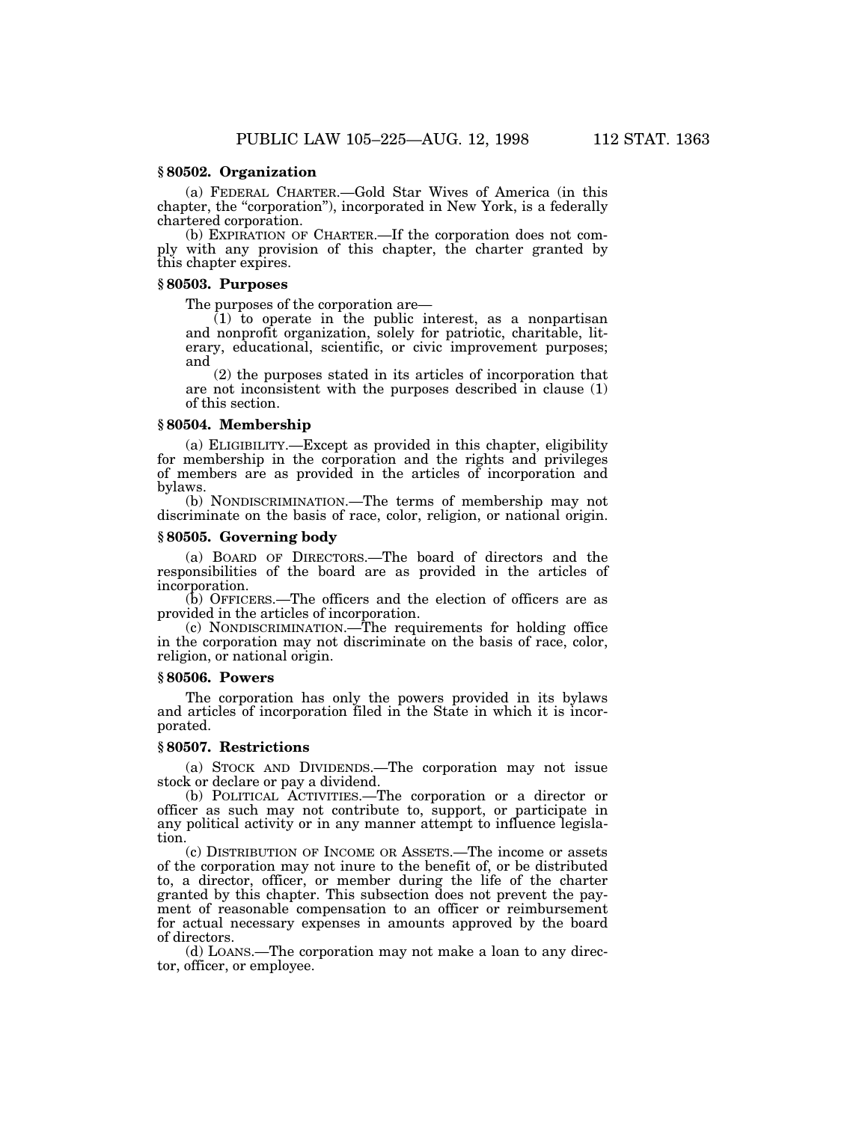## **§ 80502. Organization**

(a) FEDERAL CHARTER.—Gold Star Wives of America (in this chapter, the "corporation"), incorporated in New York, is a federally chartered corporation.

(b) EXPIRATION OF CHARTER.—If the corporation does not comply with any provision of this chapter, the charter granted by this chapter expires.

# **§ 80503. Purposes**

The purposes of the corporation are—

 $(1)$  to operate in the public interest, as a nonpartisan and nonprofit organization, solely for patriotic, charitable, literary, educational, scientific, or civic improvement purposes; and

(2) the purposes stated in its articles of incorporation that are not inconsistent with the purposes described in clause (1) of this section.

#### **§ 80504. Membership**

(a) ELIGIBILITY.—Except as provided in this chapter, eligibility for membership in the corporation and the rights and privileges of members are as provided in the articles of incorporation and bylaws.

(b) NONDISCRIMINATION.—The terms of membership may not discriminate on the basis of race, color, religion, or national origin.

# **§ 80505. Governing body**

(a) BOARD OF DIRECTORS.—The board of directors and the responsibilities of the board are as provided in the articles of incorporation.

(b) OFFICERS.—The officers and the election of officers are as provided in the articles of incorporation.

(c) NONDISCRIMINATION.—The requirements for holding office in the corporation may not discriminate on the basis of race, color, religion, or national origin.

## **§ 80506. Powers**

The corporation has only the powers provided in its bylaws and articles of incorporation filed in the State in which it is incorporated.

#### **§ 80507. Restrictions**

(a) STOCK AND DIVIDENDS.—The corporation may not issue stock or declare or pay a dividend.

(b) POLITICAL ACTIVITIES.—The corporation or a director or officer as such may not contribute to, support, or participate in any political activity or in any manner attempt to influence legislation.

(c) DISTRIBUTION OF INCOME OR ASSETS.—The income or assets of the corporation may not inure to the benefit of, or be distributed to, a director, officer, or member during the life of the charter granted by this chapter. This subsection does not prevent the payment of reasonable compensation to an officer or reimbursement for actual necessary expenses in amounts approved by the board of directors.

(d) LOANS.—The corporation may not make a loan to any director, officer, or employee.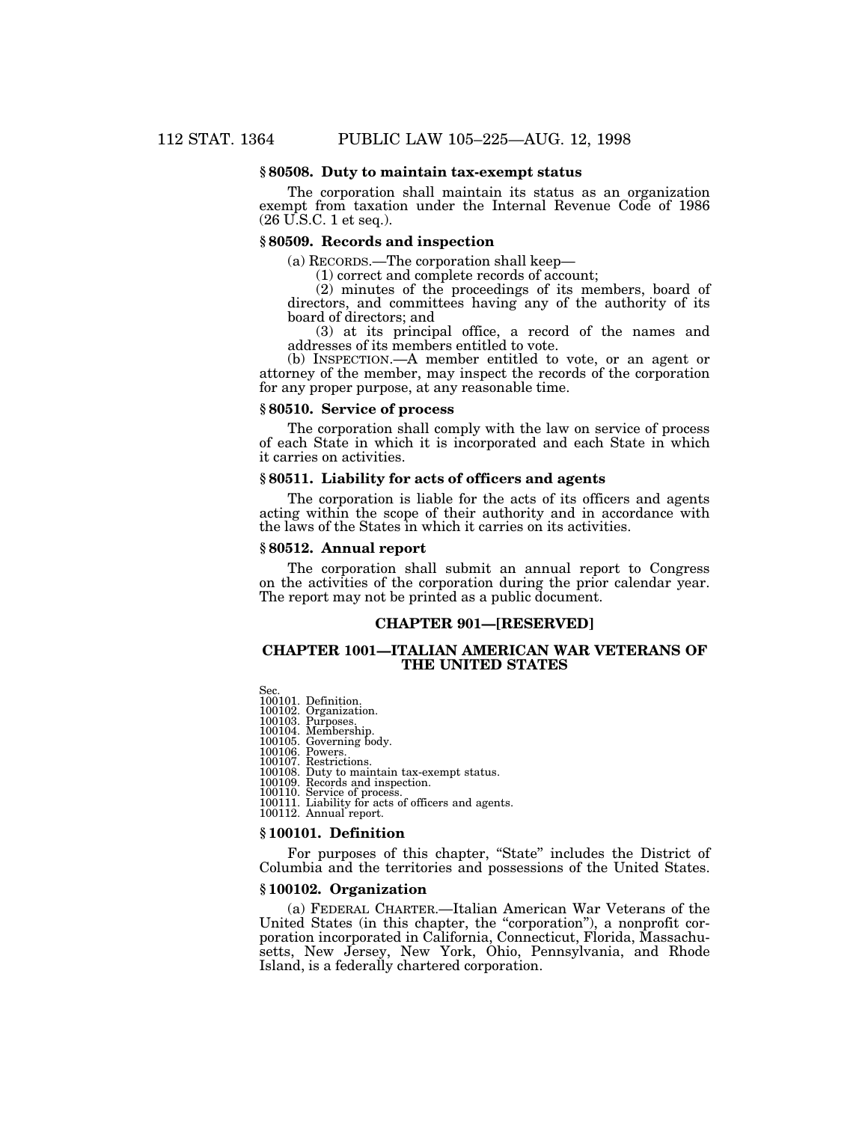# **§ 80508. Duty to maintain tax-exempt status**

The corporation shall maintain its status as an organization exempt from taxation under the Internal Revenue Code of 1986 (26 U.S.C. 1 et seq.).

# **§ 80509. Records and inspection**

(a) RECORDS.—The corporation shall keep—

(1) correct and complete records of account;

(2) minutes of the proceedings of its members, board of directors, and committees having any of the authority of its board of directors; and

(3) at its principal office, a record of the names and addresses of its members entitled to vote.

(b) INSPECTION.—A member entitled to vote, or an agent or attorney of the member, may inspect the records of the corporation for any proper purpose, at any reasonable time.

## **§ 80510. Service of process**

The corporation shall comply with the law on service of process of each State in which it is incorporated and each State in which it carries on activities.

## **§ 80511. Liability for acts of officers and agents**

The corporation is liable for the acts of its officers and agents acting within the scope of their authority and in accordance with the laws of the States in which it carries on its activities.

#### **§ 80512. Annual report**

The corporation shall submit an annual report to Congress on the activities of the corporation during the prior calendar year. The report may not be printed as a public document.

# **CHAPTER 901—[RESERVED]**

## **CHAPTER 1001—ITALIAN AMERICAN WAR VETERANS OF THE UNITED STATES**

Sec. 100101. Definition. 100102. Organization. 100103. Purposes. 100104. Membership. 100105. Governing body. 100106. Powers.

100107. Restrictions. 100108. Duty to maintain tax-exempt status. 100109. Records and inspection. 100110. Service of process. 100111. Liability for acts of officers and agents. 100112. Annual report.

# **§ 100101. Definition**

For purposes of this chapter, "State" includes the District of Columbia and the territories and possessions of the United States.

## **§ 100102. Organization**

(a) FEDERAL CHARTER.—Italian American War Veterans of the United States (in this chapter, the ''corporation''), a nonprofit corporation incorporated in California, Connecticut, Florida, Massachusetts, New Jersey, New York, Ohio, Pennsylvania, and Rhode Island, is a federally chartered corporation.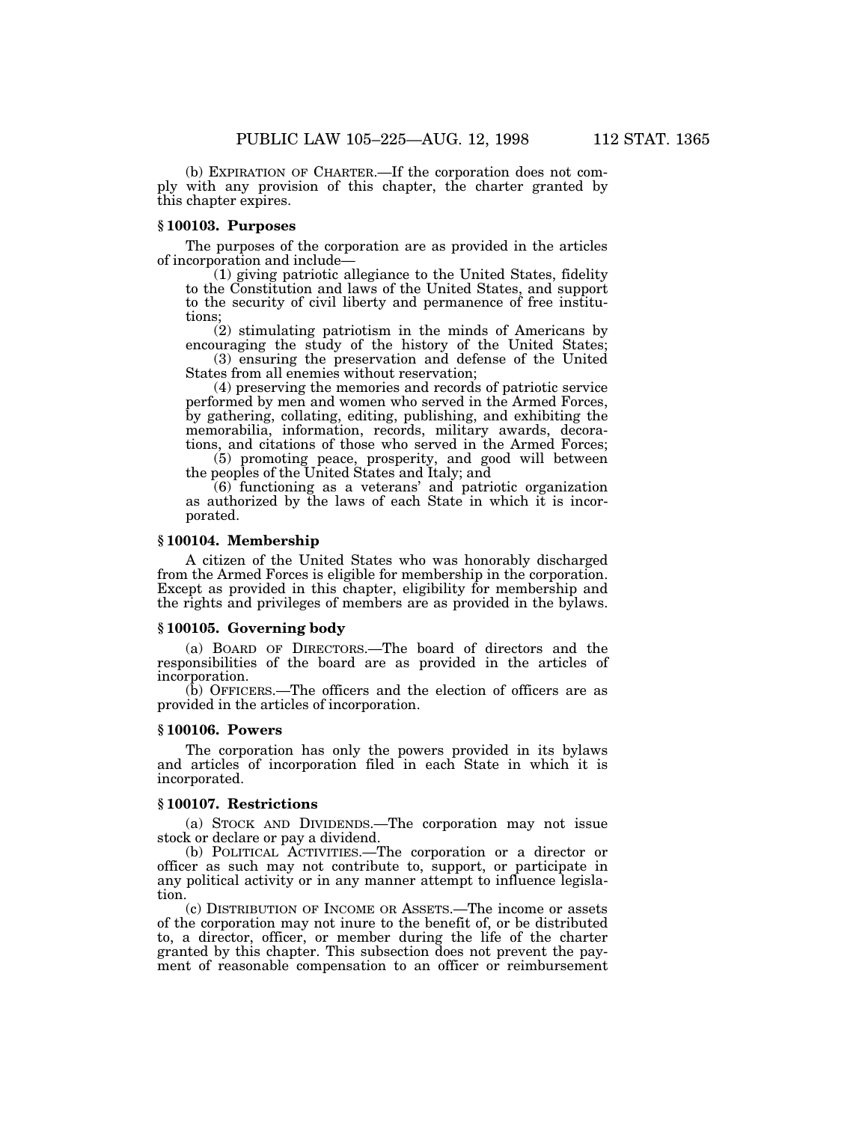(b) EXPIRATION OF CHARTER.—If the corporation does not comply with any provision of this chapter, the charter granted by this chapter expires.

## **§ 100103. Purposes**

The purposes of the corporation are as provided in the articles of incorporation and include—

(1) giving patriotic allegiance to the United States, fidelity to the Constitution and laws of the United States, and support to the security of civil liberty and permanence of free institutions;

(2) stimulating patriotism in the minds of Americans by encouraging the study of the history of the United States;

(3) ensuring the preservation and defense of the United States from all enemies without reservation;

(4) preserving the memories and records of patriotic service performed by men and women who served in the Armed Forces, by gathering, collating, editing, publishing, and exhibiting the memorabilia, information, records, military awards, decorations, and citations of those who served in the Armed Forces;

(5) promoting peace, prosperity, and good will between the peoples of the United States and Italy; and

(6) functioning as a veterans' and patriotic organization as authorized by the laws of each State in which it is incorporated.

#### **§ 100104. Membership**

A citizen of the United States who was honorably discharged from the Armed Forces is eligible for membership in the corporation. Except as provided in this chapter, eligibility for membership and the rights and privileges of members are as provided in the bylaws.

## **§ 100105. Governing body**

(a) BOARD OF DIRECTORS.—The board of directors and the responsibilities of the board are as provided in the articles of incorporation.

(b) OFFICERS.—The officers and the election of officers are as provided in the articles of incorporation.

#### **§ 100106. Powers**

The corporation has only the powers provided in its bylaws and articles of incorporation filed in each State in which it is incorporated.

#### **§ 100107. Restrictions**

(a) STOCK AND DIVIDENDS.—The corporation may not issue stock or declare or pay a dividend.

(b) POLITICAL ACTIVITIES.—The corporation or a director or officer as such may not contribute to, support, or participate in any political activity or in any manner attempt to influence legislation.

(c) DISTRIBUTION OF INCOME OR ASSETS.—The income or assets of the corporation may not inure to the benefit of, or be distributed to, a director, officer, or member during the life of the charter granted by this chapter. This subsection does not prevent the payment of reasonable compensation to an officer or reimbursement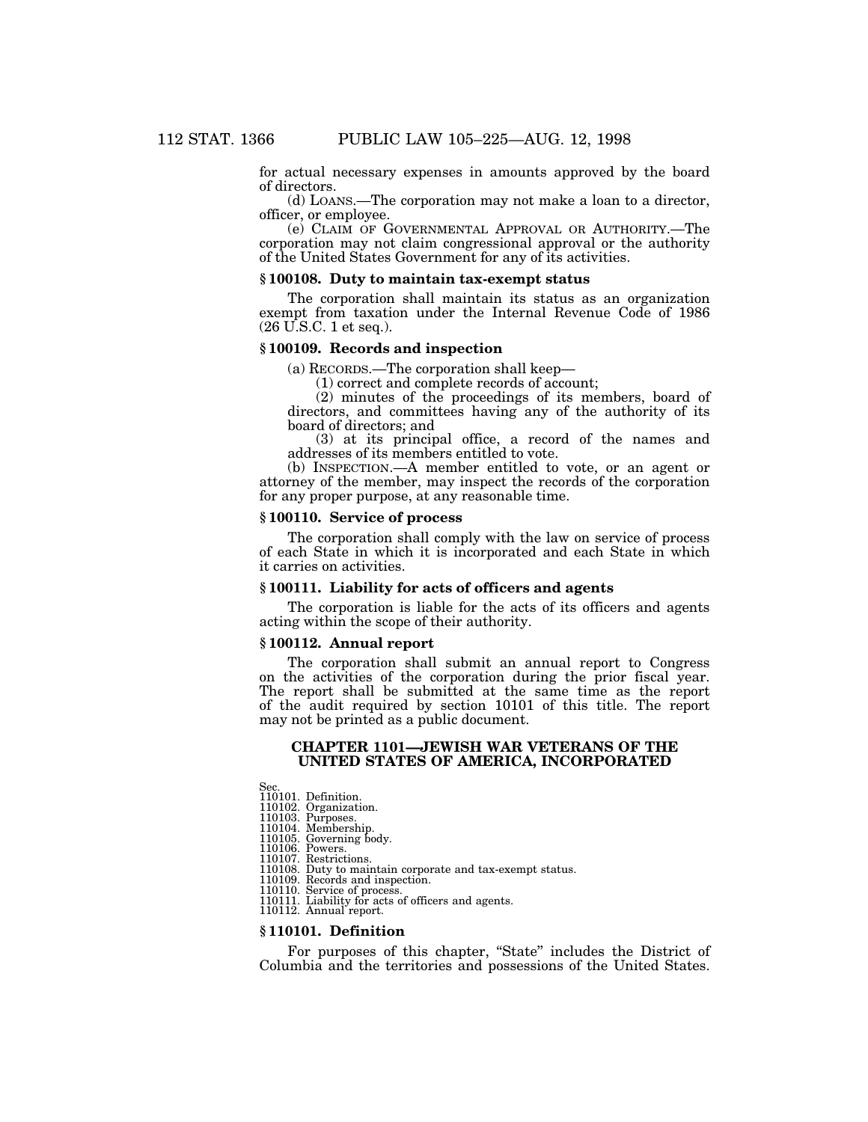for actual necessary expenses in amounts approved by the board of directors.

(d) LOANS.—The corporation may not make a loan to a director, officer, or employee.

(e) CLAIM OF GOVERNMENTAL APPROVAL OR AUTHORITY.—The corporation may not claim congressional approval or the authority of the United States Government for any of its activities.

## **§ 100108. Duty to maintain tax-exempt status**

The corporation shall maintain its status as an organization exempt from taxation under the Internal Revenue Code of 1986 (26 U.S.C. 1 et seq.).

# **§ 100109. Records and inspection**

(a) RECORDS.—The corporation shall keep—

(1) correct and complete records of account;

(2) minutes of the proceedings of its members, board of directors, and committees having any of the authority of its board of directors; and

(3) at its principal office, a record of the names and addresses of its members entitled to vote.

(b) INSPECTION.—A member entitled to vote, or an agent or attorney of the member, may inspect the records of the corporation for any proper purpose, at any reasonable time.

## **§ 100110. Service of process**

The corporation shall comply with the law on service of process of each State in which it is incorporated and each State in which it carries on activities.

## **§ 100111. Liability for acts of officers and agents**

The corporation is liable for the acts of its officers and agents acting within the scope of their authority.

#### **§ 100112. Annual report**

The corporation shall submit an annual report to Congress on the activities of the corporation during the prior fiscal year. The report shall be submitted at the same time as the report of the audit required by section 10101 of this title. The report may not be printed as a public document.

# **CHAPTER 1101—JEWISH WAR VETERANS OF THE UNITED STATES OF AMERICA, INCORPORATED**

- 
- 

Sec.<br>110101. Definition.<br>110102. Organization.<br>110103. Purposes.<br>110104. Membership.<br>110105. Governing body.<br>110106. Powers.<br>110107. Restrictions.<br>110108. Duty to maintain corporate and tax-exempt status.<br>110109. Records a

110111. Liability for acts of officers and agents.<br>110112. Annual report.

#### **§ 110101. Definition**

For purposes of this chapter, "State" includes the District of Columbia and the territories and possessions of the United States.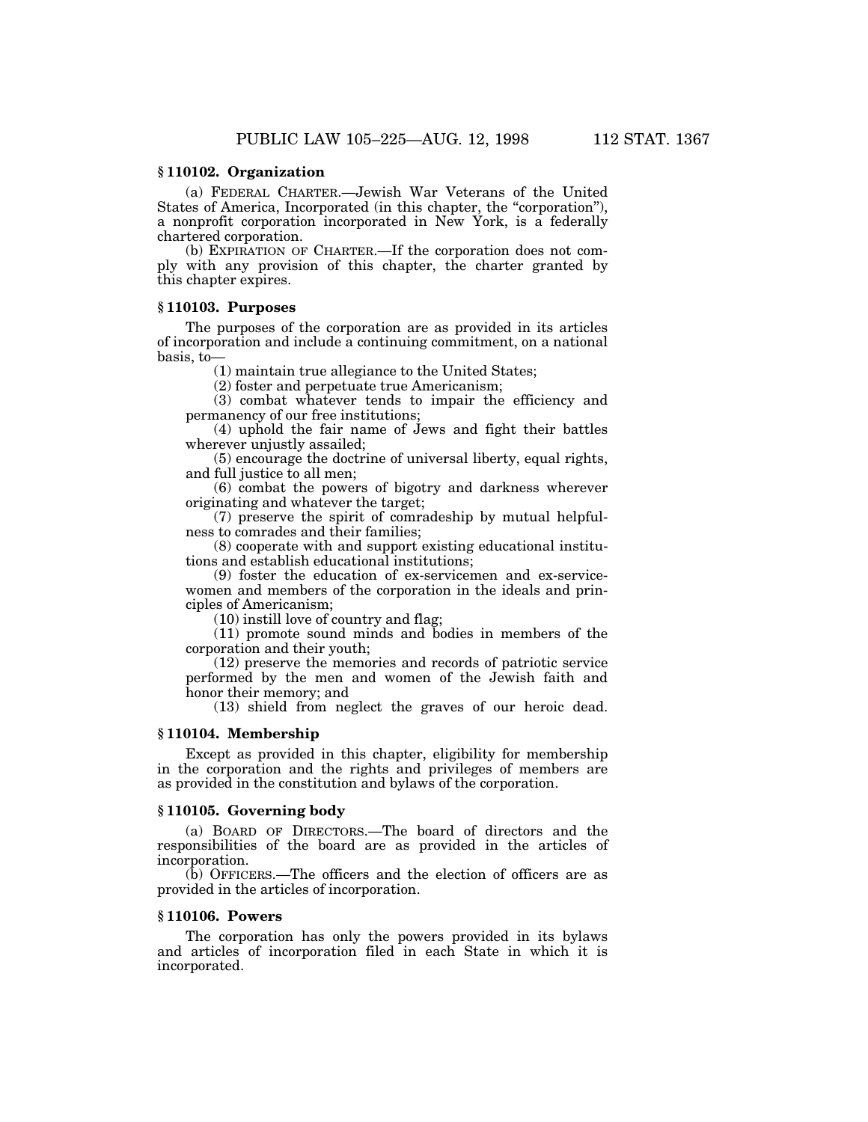## **§ 110102. Organization**

(a) FEDERAL CHARTER.—Jewish War Veterans of the United States of America, Incorporated (in this chapter, the "corporation"), a nonprofit corporation incorporated in New York, is a federally chartered corporation.

(b) EXPIRATION OF CHARTER.—If the corporation does not comply with any provision of this chapter, the charter granted by this chapter expires.

# **§ 110103. Purposes**

The purposes of the corporation are as provided in its articles of incorporation and include a continuing commitment, on a national basis, to—

(1) maintain true allegiance to the United States;

(2) foster and perpetuate true Americanism;

(3) combat whatever tends to impair the efficiency and permanency of our free institutions;

(4) uphold the fair name of Jews and fight their battles wherever unjustly assailed;

(5) encourage the doctrine of universal liberty, equal rights, and full justice to all men;

(6) combat the powers of bigotry and darkness wherever originating and whatever the target;

(7) preserve the spirit of comradeship by mutual helpfulness to comrades and their families;

(8) cooperate with and support existing educational institutions and establish educational institutions;

(9) foster the education of ex-servicemen and ex-servicewomen and members of the corporation in the ideals and principles of Americanism;

(10) instill love of country and flag;

(11) promote sound minds and bodies in members of the corporation and their youth;

(12) preserve the memories and records of patriotic service performed by the men and women of the Jewish faith and honor their memory; and

(13) shield from neglect the graves of our heroic dead.

## **§ 110104. Membership**

Except as provided in this chapter, eligibility for membership in the corporation and the rights and privileges of members are as provided in the constitution and bylaws of the corporation.

## **§ 110105. Governing body**

(a) BOARD OF DIRECTORS.—The board of directors and the responsibilities of the board are as provided in the articles of incorporation.

(b) OFFICERS.—The officers and the election of officers are as provided in the articles of incorporation.

#### **§ 110106. Powers**

The corporation has only the powers provided in its bylaws and articles of incorporation filed in each State in which it is incorporated.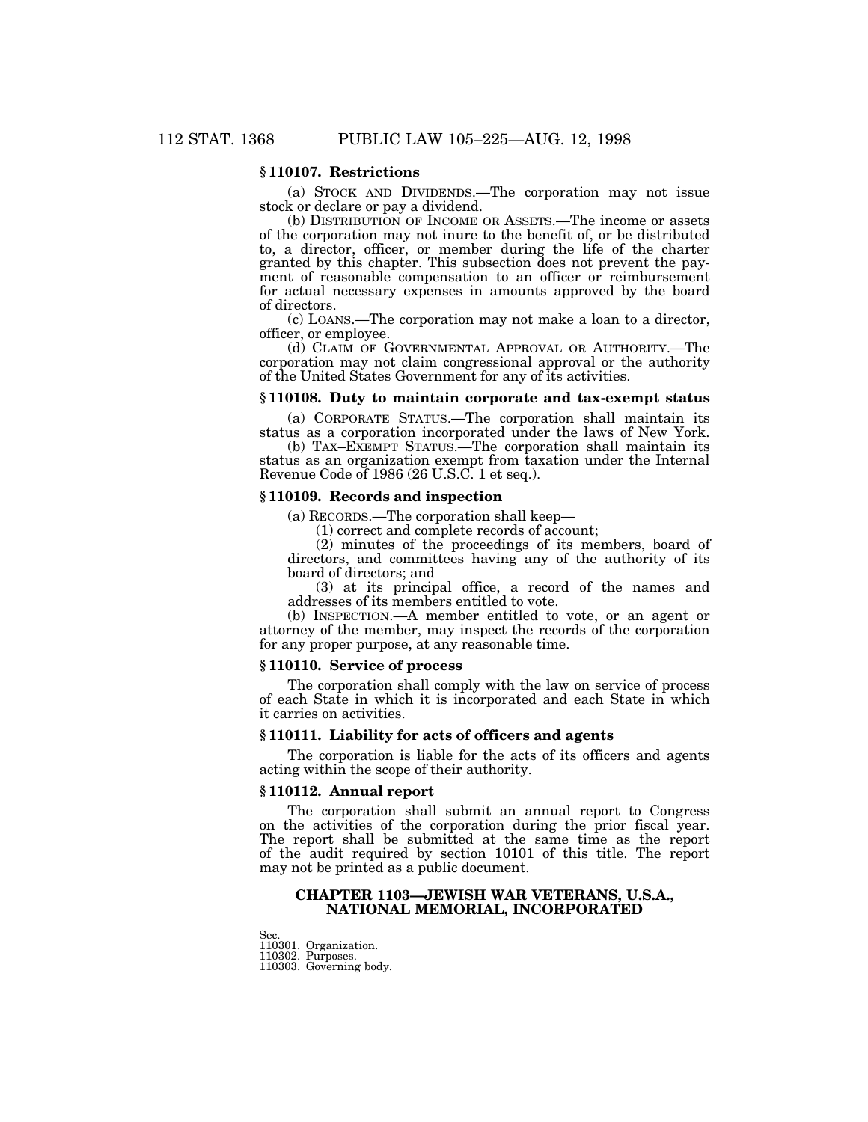# **§ 110107. Restrictions**

(a) STOCK AND DIVIDENDS.—The corporation may not issue stock or declare or pay a dividend.

(b) DISTRIBUTION OF INCOME OR ASSETS.—The income or assets of the corporation may not inure to the benefit of, or be distributed to, a director, officer, or member during the life of the charter granted by this chapter. This subsection does not prevent the payment of reasonable compensation to an officer or reimbursement for actual necessary expenses in amounts approved by the board of directors.

(c) LOANS.—The corporation may not make a loan to a director, officer, or employee.

(d) CLAIM OF GOVERNMENTAL APPROVAL OR AUTHORITY.—The corporation may not claim congressional approval or the authority of the United States Government for any of its activities.

## **§ 110108. Duty to maintain corporate and tax-exempt status**

(a) CORPORATE STATUS.—The corporation shall maintain its status as a corporation incorporated under the laws of New York.

(b) TAX–EXEMPT STATUS.—The corporation shall maintain its status as an organization exempt from taxation under the Internal Revenue Code of 1986 (26 U.S.C. 1 et seq.).

#### **§ 110109. Records and inspection**

(a) RECORDS.—The corporation shall keep—

(1) correct and complete records of account;

(2) minutes of the proceedings of its members, board of directors, and committees having any of the authority of its board of directors; and

(3) at its principal office, a record of the names and addresses of its members entitled to vote.

(b) INSPECTION.—A member entitled to vote, or an agent or attorney of the member, may inspect the records of the corporation for any proper purpose, at any reasonable time.

## **§ 110110. Service of process**

The corporation shall comply with the law on service of process of each State in which it is incorporated and each State in which it carries on activities.

## **§ 110111. Liability for acts of officers and agents**

The corporation is liable for the acts of its officers and agents acting within the scope of their authority.

## **§ 110112. Annual report**

The corporation shall submit an annual report to Congress on the activities of the corporation during the prior fiscal year. The report shall be submitted at the same time as the report of the audit required by section 10101 of this title. The report may not be printed as a public document.

# **CHAPTER 1103—JEWISH WAR VETERANS, U.S.A., NATIONAL MEMORIAL, INCORPORATED**

Sec. 110301. Organization. 110302. Purposes. 110303. Governing body.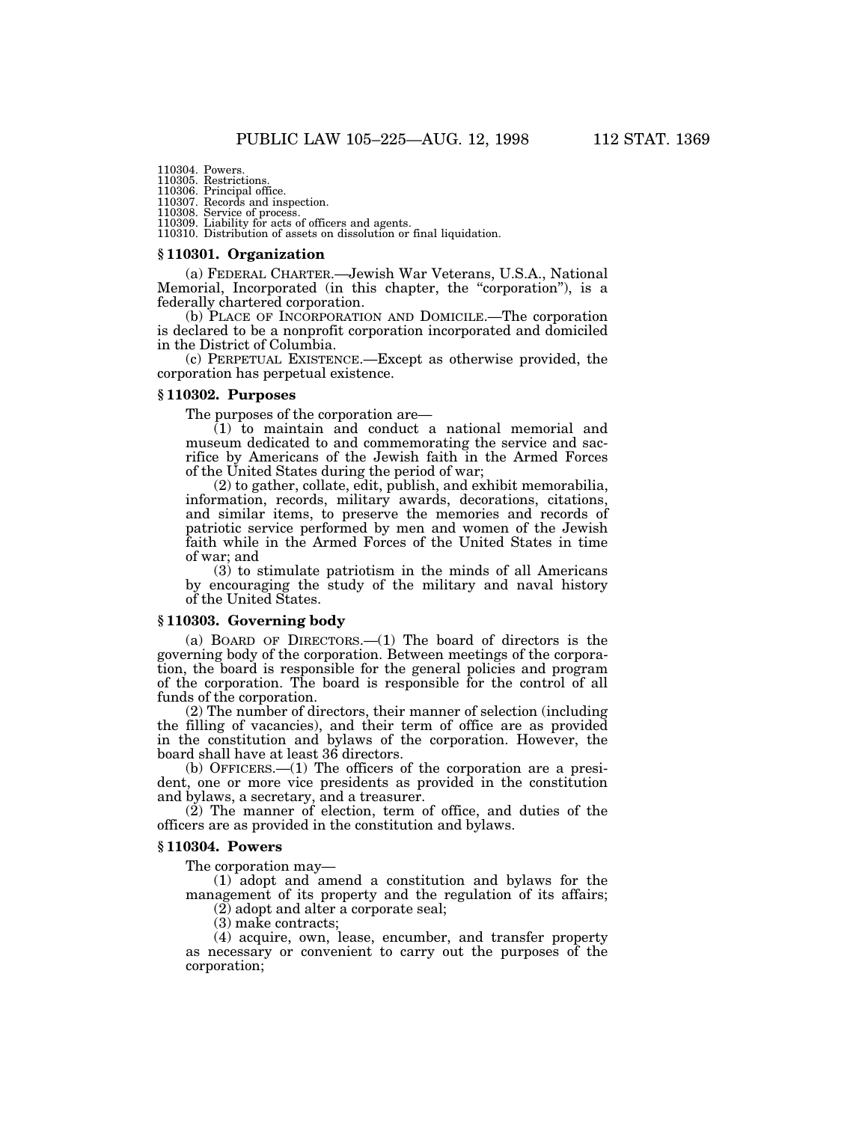110304. Powers.

110305. Restrictions. 110306. Principal office. 110307. Records and inspection. 110308. Service of process.

110309. Liability for acts of officers and agents. 110310. Distribution of assets on dissolution or final liquidation.

## **§ 110301. Organization**

(a) FEDERAL CHARTER.—Jewish War Veterans, U.S.A., National Memorial, Incorporated (in this chapter, the "corporation"), is a federally chartered corporation.

(b) PLACE OF INCORPORATION AND DOMICILE.—The corporation is declared to be a nonprofit corporation incorporated and domiciled in the District of Columbia.

(c) PERPETUAL EXISTENCE.—Except as otherwise provided, the corporation has perpetual existence.

## **§ 110302. Purposes**

The purposes of the corporation are—

 $(1)$  to maintain and conduct a national memorial and museum dedicated to and commemorating the service and sacrifice by Americans of the Jewish faith in the Armed Forces of the United States during the period of war;

(2) to gather, collate, edit, publish, and exhibit memorabilia, information, records, military awards, decorations, citations, and similar items, to preserve the memories and records of patriotic service performed by men and women of the Jewish faith while in the Armed Forces of the United States in time of war; and

(3) to stimulate patriotism in the minds of all Americans by encouraging the study of the military and naval history of the United States.

#### **§ 110303. Governing body**

(a) BOARD OF DIRECTORS.—(1) The board of directors is the governing body of the corporation. Between meetings of the corporation, the board is responsible for the general policies and program of the corporation. The board is responsible for the control of all funds of the corporation.

(2) The number of directors, their manner of selection (including the filling of vacancies), and their term of office are as provided in the constitution and bylaws of the corporation. However, the board shall have at least 36 directors.

(b) OFFICERS.—(1) The officers of the corporation are a president, one or more vice presidents as provided in the constitution and bylaws, a secretary, and a treasurer.

(2) The manner of election, term of office, and duties of the officers are as provided in the constitution and bylaws.

## **§ 110304. Powers**

The corporation may—

(1) adopt and amend a constitution and bylaws for the management of its property and the regulation of its affairs;

(2) adopt and alter a corporate seal;

(3) make contracts;

(4) acquire, own, lease, encumber, and transfer property as necessary or convenient to carry out the purposes of the corporation;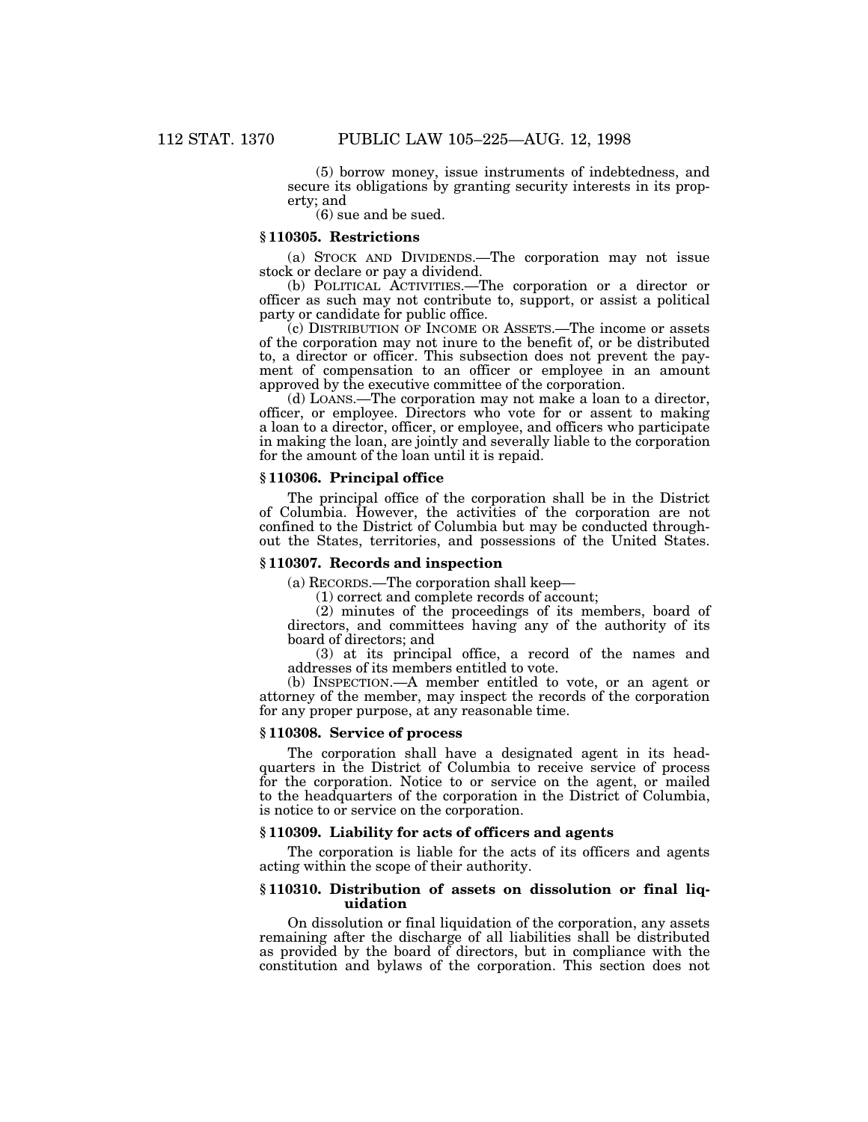(5) borrow money, issue instruments of indebtedness, and secure its obligations by granting security interests in its property; and

(6) sue and be sued.

# **§ 110305. Restrictions**

(a) STOCK AND DIVIDENDS.—The corporation may not issue stock or declare or pay a dividend.

(b) POLITICAL ACTIVITIES.—The corporation or a director or officer as such may not contribute to, support, or assist a political party or candidate for public office.

(c) DISTRIBUTION OF INCOME OR ASSETS.—The income or assets of the corporation may not inure to the benefit of, or be distributed to, a director or officer. This subsection does not prevent the payment of compensation to an officer or employee in an amount approved by the executive committee of the corporation.

(d) LOANS.—The corporation may not make a loan to a director, officer, or employee. Directors who vote for or assent to making a loan to a director, officer, or employee, and officers who participate in making the loan, are jointly and severally liable to the corporation for the amount of the loan until it is repaid.

#### **§ 110306. Principal office**

The principal office of the corporation shall be in the District of Columbia. However, the activities of the corporation are not confined to the District of Columbia but may be conducted throughout the States, territories, and possessions of the United States.

#### **§ 110307. Records and inspection**

(a) RECORDS.—The corporation shall keep—

(1) correct and complete records of account;

(2) minutes of the proceedings of its members, board of directors, and committees having any of the authority of its board of directors; and

(3) at its principal office, a record of the names and addresses of its members entitled to vote.

(b) INSPECTION.—A member entitled to vote, or an agent or attorney of the member, may inspect the records of the corporation for any proper purpose, at any reasonable time.

## **§ 110308. Service of process**

The corporation shall have a designated agent in its headquarters in the District of Columbia to receive service of process for the corporation. Notice to or service on the agent, or mailed to the headquarters of the corporation in the District of Columbia, is notice to or service on the corporation.

# **§ 110309. Liability for acts of officers and agents**

The corporation is liable for the acts of its officers and agents acting within the scope of their authority.

## **§ 110310. Distribution of assets on dissolution or final liquidation**

On dissolution or final liquidation of the corporation, any assets remaining after the discharge of all liabilities shall be distributed as provided by the board of directors, but in compliance with the constitution and bylaws of the corporation. This section does not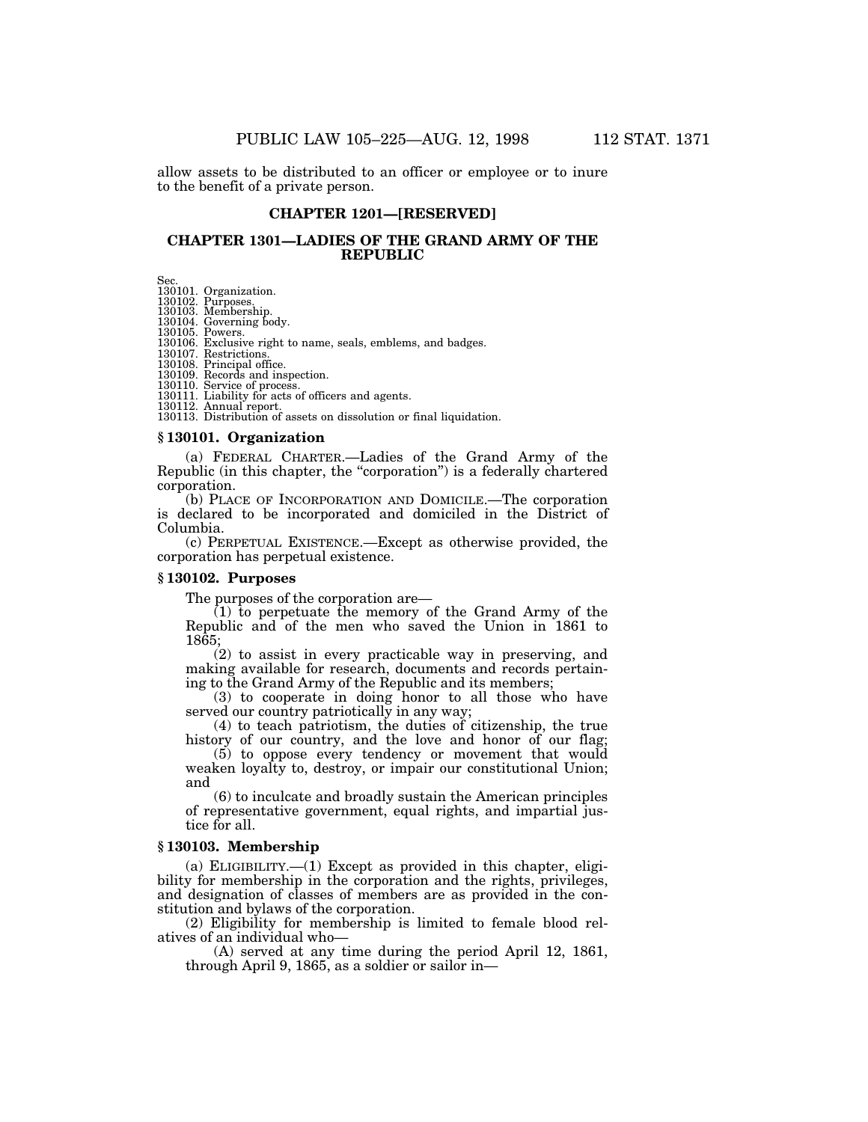allow assets to be distributed to an officer or employee or to inure to the benefit of a private person.

# **CHAPTER 1201—[RESERVED]**

# **CHAPTER 1301—LADIES OF THE GRAND ARMY OF THE REPUBLIC**

Sec.

130101. Organization. 130102. Purposes. 130103. Membership. 130104. Governing body. 130105. Powers. 130106. Exclusive right to name, seals, emblems, and badges.

130107. Restrictions. 130108. Principal office. 130109. Records and inspection. 130110. Service of process.

130111. Liability for acts of officers and agents.

130112. Annual report. 130113. Distribution of assets on dissolution or final liquidation.

#### **§ 130101. Organization**

(a) FEDERAL CHARTER.—Ladies of the Grand Army of the Republic (in this chapter, the ''corporation'') is a federally chartered corporation.

(b) PLACE OF INCORPORATION AND DOMICILE.—The corporation is declared to be incorporated and domiciled in the District of Columbia.

(c) PERPETUAL EXISTENCE.—Except as otherwise provided, the corporation has perpetual existence.

# **§ 130102. Purposes**

The purposes of the corporation are—

 $(1)$  to perpetuate the memory of the Grand Army of the Republic and of the men who saved the Union in 1861 to 1865;

(2) to assist in every practicable way in preserving, and making available for research, documents and records pertaining to the Grand Army of the Republic and its members;

(3) to cooperate in doing honor to all those who have served our country patriotically in any way;

(4) to teach patriotism, the duties of citizenship, the true history of our country, and the love and honor of our flag;

(5) to oppose every tendency or movement that would weaken loyalty to, destroy, or impair our constitutional Union; and

(6) to inculcate and broadly sustain the American principles of representative government, equal rights, and impartial justice for all.

## **§ 130103. Membership**

(a) ELIGIBILITY.—(1) Except as provided in this chapter, eligibility for membership in the corporation and the rights, privileges, and designation of classes of members are as provided in the constitution and bylaws of the corporation.

(2) Eligibility for membership is limited to female blood relatives of an individual who—

(A) served at any time during the period April 12, 1861, through April 9, 1865, as a soldier or sailor in—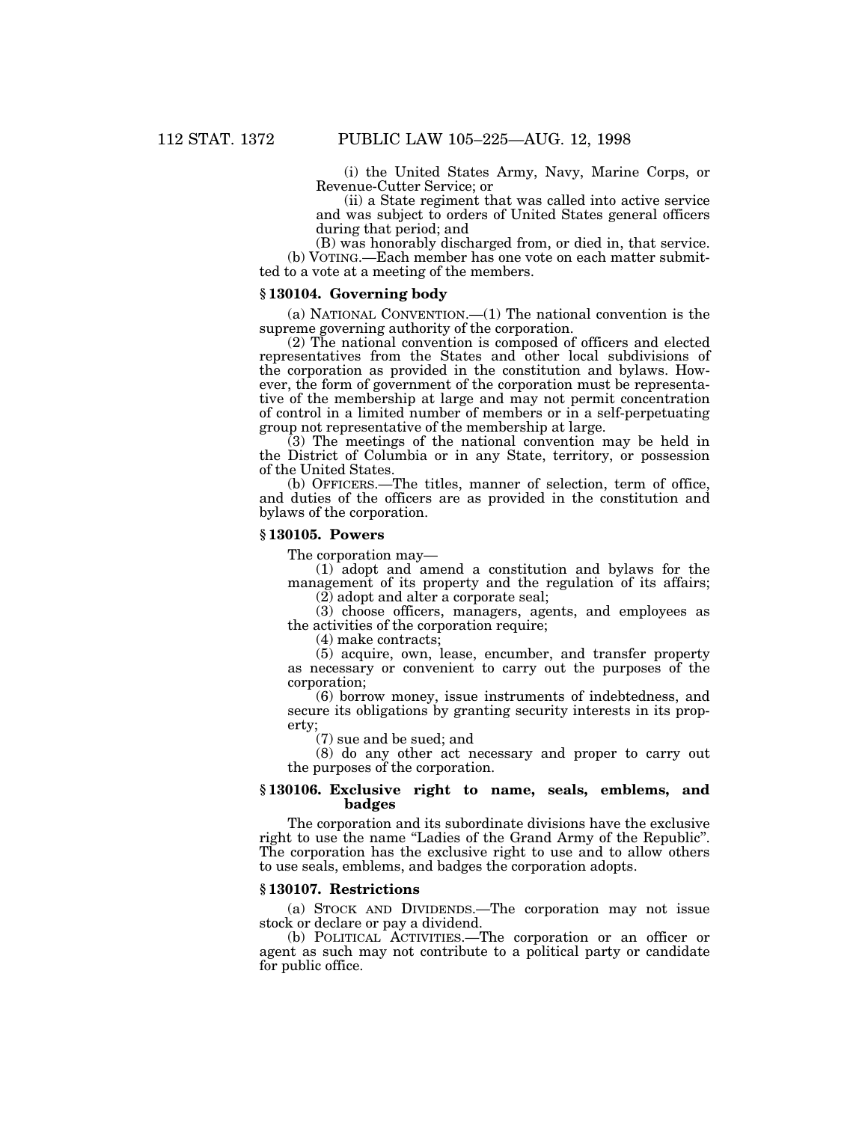(i) the United States Army, Navy, Marine Corps, or Revenue-Cutter Service; or

(ii) a State regiment that was called into active service and was subject to orders of United States general officers during that period; and

(B) was honorably discharged from, or died in, that service. (b) VOTING.—Each member has one vote on each matter submitted to a vote at a meeting of the members.

## **§ 130104. Governing body**

(a) NATIONAL CONVENTION.—(1) The national convention is the supreme governing authority of the corporation.

(2) The national convention is composed of officers and elected representatives from the States and other local subdivisions of the corporation as provided in the constitution and bylaws. However, the form of government of the corporation must be representative of the membership at large and may not permit concentration of control in a limited number of members or in a self-perpetuating group not representative of the membership at large.

(3) The meetings of the national convention may be held in the District of Columbia or in any State, territory, or possession of the United States.

(b) OFFICERS.—The titles, manner of selection, term of office, and duties of the officers are as provided in the constitution and bylaws of the corporation.

## **§ 130105. Powers**

The corporation may—

(1) adopt and amend a constitution and bylaws for the management of its property and the regulation of its affairs; (2) adopt and alter a corporate seal;

(3) choose officers, managers, agents, and employees as the activities of the corporation require;

(4) make contracts;

(5) acquire, own, lease, encumber, and transfer property as necessary or convenient to carry out the purposes of the corporation;

(6) borrow money, issue instruments of indebtedness, and secure its obligations by granting security interests in its property;

(7) sue and be sued; and

(8) do any other act necessary and proper to carry out the purposes of the corporation.

## **§ 130106. Exclusive right to name, seals, emblems, and badges**

The corporation and its subordinate divisions have the exclusive right to use the name ''Ladies of the Grand Army of the Republic''. The corporation has the exclusive right to use and to allow others to use seals, emblems, and badges the corporation adopts.

## **§ 130107. Restrictions**

(a) STOCK AND DIVIDENDS.—The corporation may not issue stock or declare or pay a dividend.

(b) POLITICAL ACTIVITIES.—The corporation or an officer or agent as such may not contribute to a political party or candidate for public office.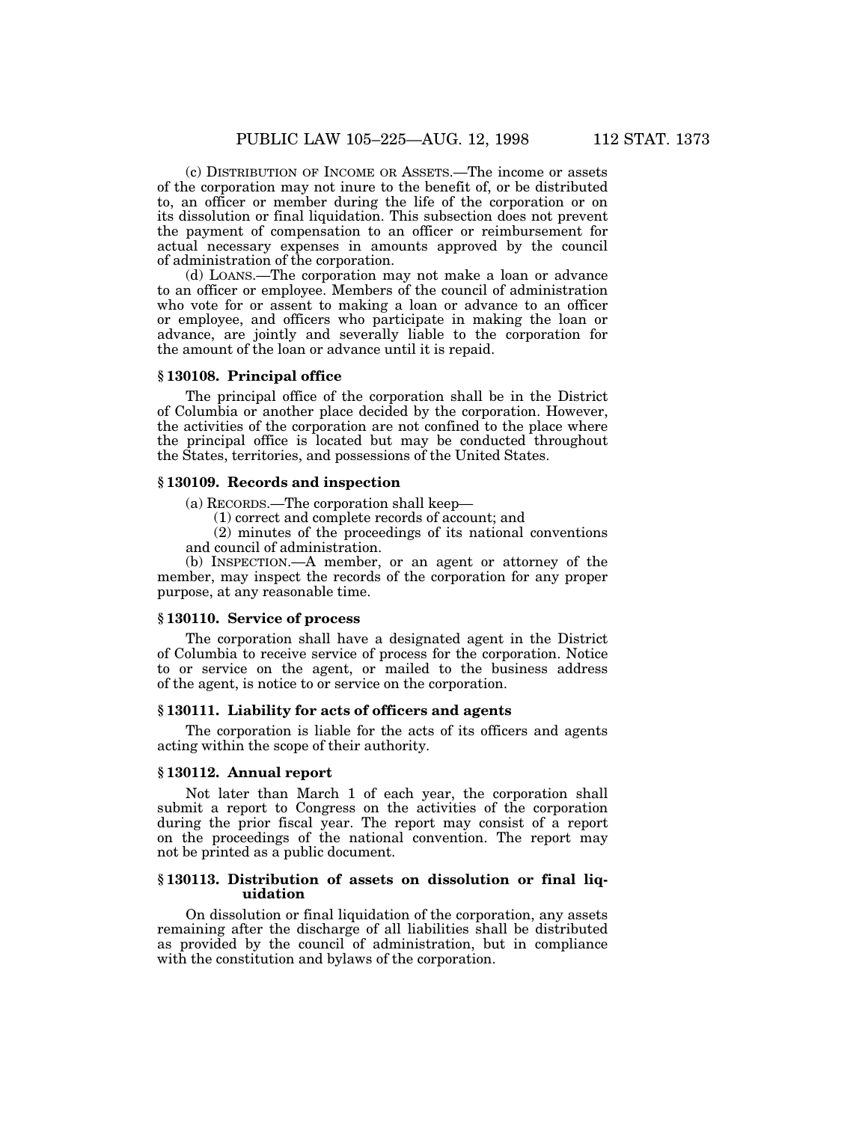(c) DISTRIBUTION OF INCOME OR ASSETS.—The income or assets of the corporation may not inure to the benefit of, or be distributed to, an officer or member during the life of the corporation or on its dissolution or final liquidation. This subsection does not prevent the payment of compensation to an officer or reimbursement for actual necessary expenses in amounts approved by the council of administration of the corporation.

(d) LOANS.—The corporation may not make a loan or advance to an officer or employee. Members of the council of administration who vote for or assent to making a loan or advance to an officer or employee, and officers who participate in making the loan or advance, are jointly and severally liable to the corporation for the amount of the loan or advance until it is repaid.

#### **§ 130108. Principal office**

The principal office of the corporation shall be in the District of Columbia or another place decided by the corporation. However, the activities of the corporation are not confined to the place where the principal office is located but may be conducted throughout the States, territories, and possessions of the United States.

## **§ 130109. Records and inspection**

(a) RECORDS.—The corporation shall keep—

(1) correct and complete records of account; and

(2) minutes of the proceedings of its national conventions and council of administration.

(b) INSPECTION.—A member, or an agent or attorney of the member, may inspect the records of the corporation for any proper purpose, at any reasonable time.

# **§ 130110. Service of process**

The corporation shall have a designated agent in the District of Columbia to receive service of process for the corporation. Notice to or service on the agent, or mailed to the business address of the agent, is notice to or service on the corporation.

## **§ 130111. Liability for acts of officers and agents**

The corporation is liable for the acts of its officers and agents acting within the scope of their authority.

# **§ 130112. Annual report**

Not later than March 1 of each year, the corporation shall submit a report to Congress on the activities of the corporation during the prior fiscal year. The report may consist of a report on the proceedings of the national convention. The report may not be printed as a public document.

# **§ 130113. Distribution of assets on dissolution or final liquidation**

On dissolution or final liquidation of the corporation, any assets remaining after the discharge of all liabilities shall be distributed as provided by the council of administration, but in compliance with the constitution and bylaws of the corporation.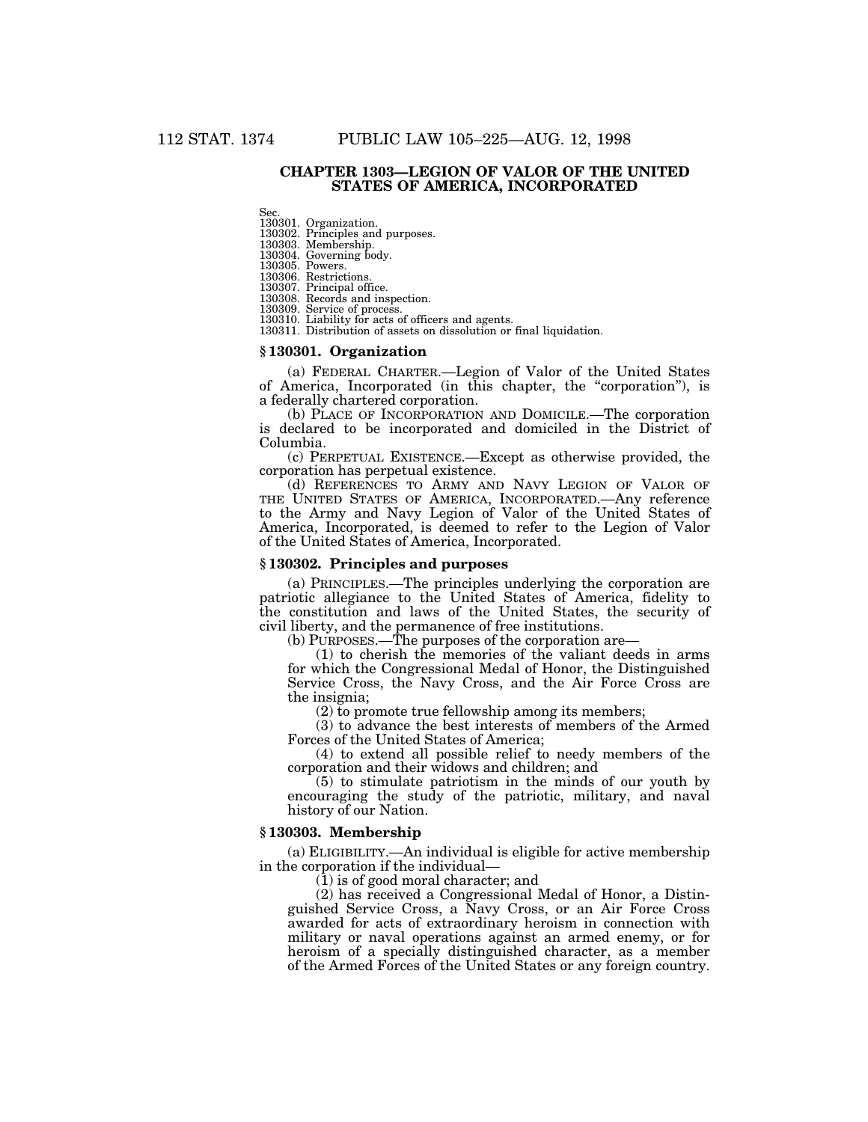# **CHAPTER 1303—LEGION OF VALOR OF THE UNITED STATES OF AMERICA, INCORPORATED**

Sec.

130301. Organization.

130302. Principles and purposes. 130303. Membership.

130304. Governing body. 130305. Powers. 130306. Restrictions. 130307. Principal office.

130308. Records and inspection.

130309. Service of process. 130310. Liability for acts of officers and agents. 130311. Distribution of assets on dissolution or final liquidation.

#### **§ 130301. Organization**

(a) FEDERAL CHARTER.—Legion of Valor of the United States of America, Incorporated (in this chapter, the ''corporation''), is a federally chartered corporation.

(b) PLACE OF INCORPORATION AND DOMICILE.—The corporation is declared to be incorporated and domiciled in the District of Columbia.

(c) PERPETUAL EXISTENCE.—Except as otherwise provided, the corporation has perpetual existence.

(d) REFERENCES TO ARMY AND NAVY LEGION OF VALOR OF THE UNITED STATES OF AMERICA, INCORPORATED.—Any reference to the Army and Navy Legion of Valor of the United States of America, Incorporated, is deemed to refer to the Legion of Valor of the United States of America, Incorporated.

#### **§ 130302. Principles and purposes**

(a) PRINCIPLES.—The principles underlying the corporation are patriotic allegiance to the United States of America, fidelity to the constitution and laws of the United States, the security of civil liberty, and the permanence of free institutions.

(b) PURPOSES.—The purposes of the corporation are—

(1) to cherish the memories of the valiant deeds in arms for which the Congressional Medal of Honor, the Distinguished Service Cross, the Navy Cross, and the Air Force Cross are the insignia;

(2) to promote true fellowship among its members;

(3) to advance the best interests of members of the Armed Forces of the United States of America;

(4) to extend all possible relief to needy members of the corporation and their widows and children; and

(5) to stimulate patriotism in the minds of our youth by encouraging the study of the patriotic, military, and naval history of our Nation.

# **§ 130303. Membership**

(a) ELIGIBILITY.—An individual is eligible for active membership in the corporation if the individual—

 $(1)$  is of good moral character; and

(2) has received a Congressional Medal of Honor, a Distinguished Service Cross, a Navy Cross, or an Air Force Cross awarded for acts of extraordinary heroism in connection with military or naval operations against an armed enemy, or for heroism of a specially distinguished character, as a member of the Armed Forces of the United States or any foreign country.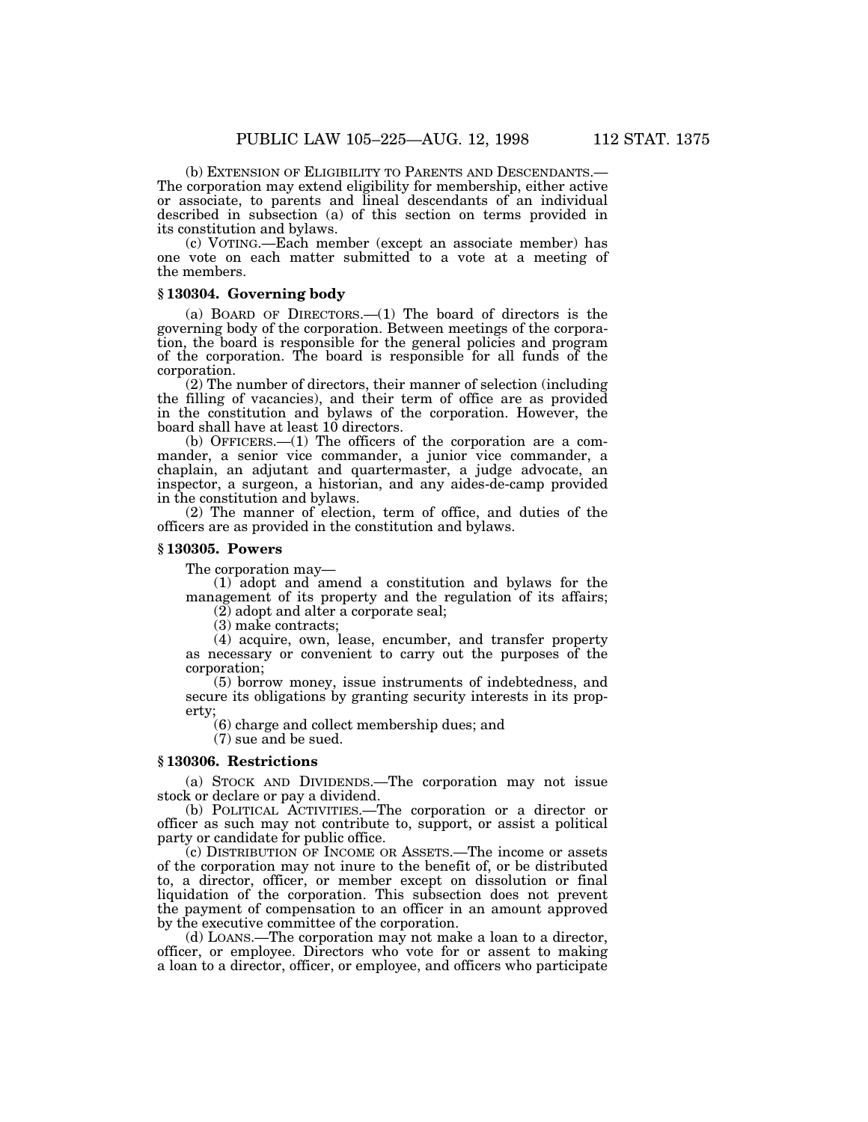(b) EXTENSION OF ELIGIBILITY TO PARENTS AND DESCENDANTS.— The corporation may extend eligibility for membership, either active or associate, to parents and lineal descendants of an individual described in subsection (a) of this section on terms provided in its constitution and bylaws.

(c) VOTING.—Each member (except an associate member) has one vote on each matter submitted to a vote at a meeting of the members.

## **§ 130304. Governing body**

(a) BOARD OF DIRECTORS.—(1) The board of directors is the governing body of the corporation. Between meetings of the corporation, the board is responsible for the general policies and program of the corporation. The board is responsible for all funds of the corporation.

(2) The number of directors, their manner of selection (including the filling of vacancies), and their term of office are as provided in the constitution and bylaws of the corporation. However, the board shall have at least 10 directors.

(b) OFFICERS.—(1) The officers of the corporation are a commander, a senior vice commander, a junior vice commander, a chaplain, an adjutant and quartermaster, a judge advocate, an inspector, a surgeon, a historian, and any aides-de-camp provided in the constitution and bylaws.

(2) The manner of election, term of office, and duties of the officers are as provided in the constitution and bylaws.

#### **§ 130305. Powers**

The corporation may—

(1) adopt and amend a constitution and bylaws for the management of its property and the regulation of its affairs;

(2) adopt and alter a corporate seal;

(3) make contracts;

(4) acquire, own, lease, encumber, and transfer property as necessary or convenient to carry out the purposes of the corporation;

(5) borrow money, issue instruments of indebtedness, and secure its obligations by granting security interests in its property;

(6) charge and collect membership dues; and

(7) sue and be sued.

#### **§ 130306. Restrictions**

(a) STOCK AND DIVIDENDS.—The corporation may not issue stock or declare or pay a dividend.

(b) POLITICAL ACTIVITIES.—The corporation or a director or officer as such may not contribute to, support, or assist a political party or candidate for public office.

(c) DISTRIBUTION OF INCOME OR ASSETS.—The income or assets of the corporation may not inure to the benefit of, or be distributed to, a director, officer, or member except on dissolution or final liquidation of the corporation. This subsection does not prevent the payment of compensation to an officer in an amount approved by the executive committee of the corporation.

(d) LOANS.—The corporation may not make a loan to a director, officer, or employee. Directors who vote for or assent to making a loan to a director, officer, or employee, and officers who participate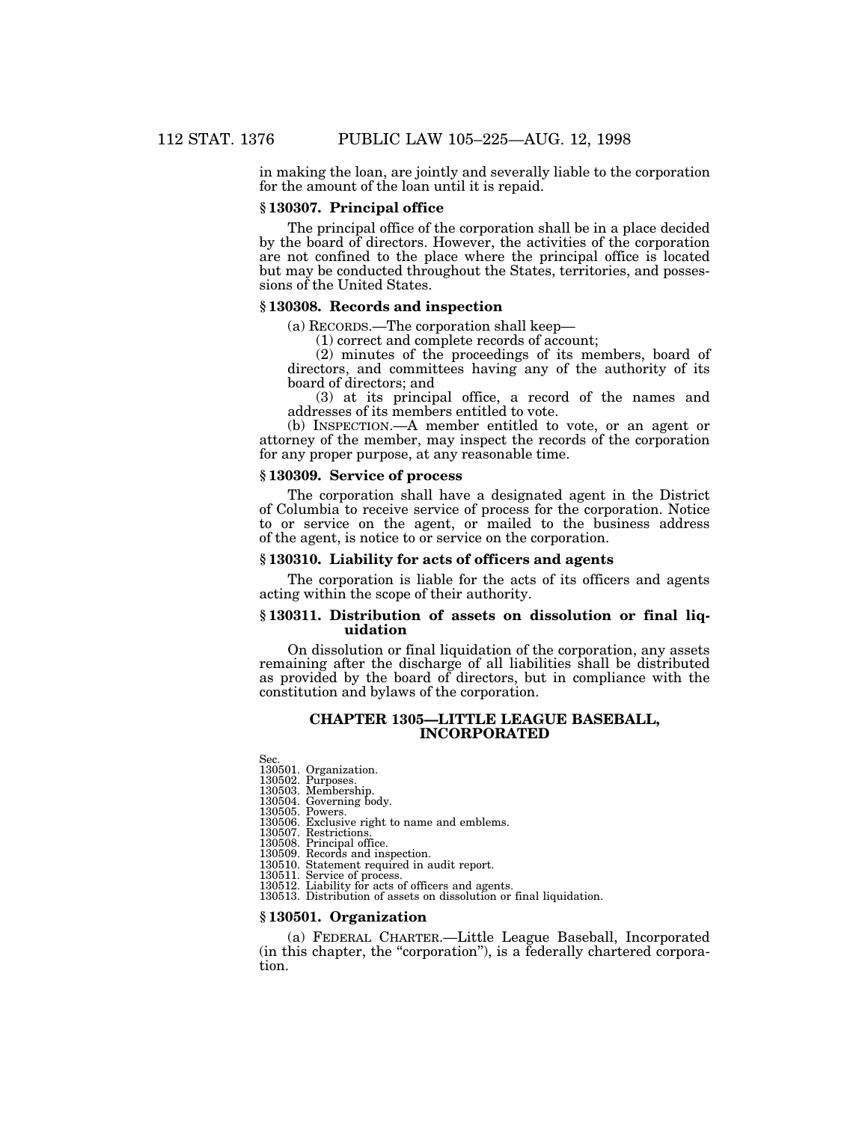in making the loan, are jointly and severally liable to the corporation for the amount of the loan until it is repaid.

# **§ 130307. Principal office**

The principal office of the corporation shall be in a place decided by the board of directors. However, the activities of the corporation are not confined to the place where the principal office is located but may be conducted throughout the States, territories, and possessions of the United States.

#### **§ 130308. Records and inspection**

(a) RECORDS.—The corporation shall keep—

(1) correct and complete records of account;

(2) minutes of the proceedings of its members, board of directors, and committees having any of the authority of its board of directors; and

(3) at its principal office, a record of the names and addresses of its members entitled to vote.

(b) INSPECTION.—A member entitled to vote, or an agent or attorney of the member, may inspect the records of the corporation for any proper purpose, at any reasonable time.

# **§ 130309. Service of process**

The corporation shall have a designated agent in the District of Columbia to receive service of process for the corporation. Notice to or service on the agent, or mailed to the business address of the agent, is notice to or service on the corporation.

## **§ 130310. Liability for acts of officers and agents**

The corporation is liable for the acts of its officers and agents acting within the scope of their authority.

## **§ 130311. Distribution of assets on dissolution or final liquidation**

On dissolution or final liquidation of the corporation, any assets remaining after the discharge of all liabilities shall be distributed as provided by the board of directors, but in compliance with the constitution and bylaws of the corporation.

## **CHAPTER 1305—LITTLE LEAGUE BASEBALL, INCORPORATED**

Sec.

130501. Organization. 130502. Purposes. 130503. Membership. 130504. Governing body. 130505. Powers.

130506. Exclusive right to name and emblems.<br>130507. Restrictions.<br>130508. Principal office.<br>130508. Principal office.<br>130510. Records and inspection.<br>130511. Service of process.<br>130512. Liability for acts of officers and

## **§ 130501. Organization**

(a) FEDERAL CHARTER.—Little League Baseball, Incorporated (in this chapter, the ''corporation''), is a federally chartered corporation.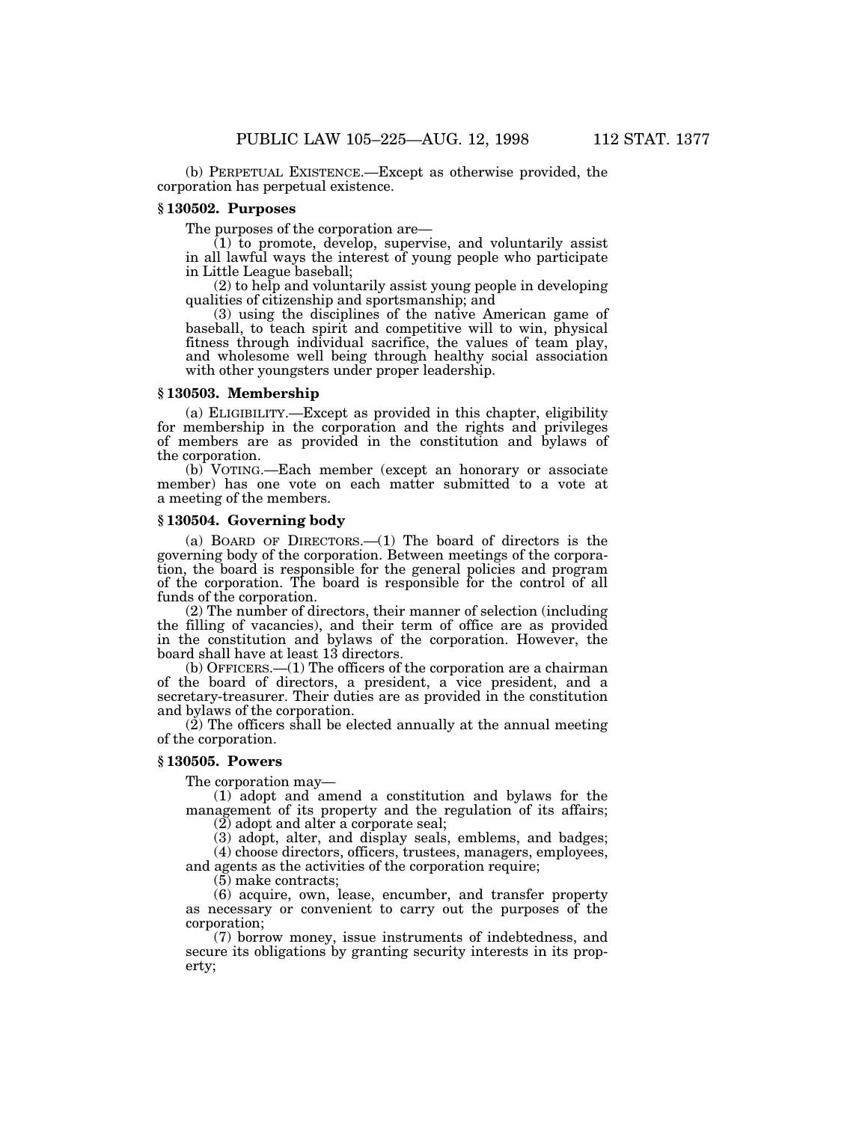(b) PERPETUAL EXISTENCE.—Except as otherwise provided, the corporation has perpetual existence.

## **§ 130502. Purposes**

The purposes of the corporation are—

(1) to promote, develop, supervise, and voluntarily assist in all lawful ways the interest of young people who participate in Little League baseball;

(2) to help and voluntarily assist young people in developing qualities of citizenship and sportsmanship; and

(3) using the disciplines of the native American game of baseball, to teach spirit and competitive will to win, physical fitness through individual sacrifice, the values of team play, and wholesome well being through healthy social association with other youngsters under proper leadership.

## **§ 130503. Membership**

(a) ELIGIBILITY.—Except as provided in this chapter, eligibility for membership in the corporation and the rights and privileges of members are as provided in the constitution and bylaws of the corporation.

(b) VOTING.—Each member (except an honorary or associate member) has one vote on each matter submitted to a vote at a meeting of the members.

## **§ 130504. Governing body**

(a) BOARD OF DIRECTORS.—(1) The board of directors is the governing body of the corporation. Between meetings of the corporation, the board is responsible for the general policies and program of the corporation. The board is responsible for the control of all funds of the corporation.

(2) The number of directors, their manner of selection (including the filling of vacancies), and their term of office are as provided in the constitution and bylaws of the corporation. However, the board shall have at least 13 directors.

(b) OFFICERS.—(1) The officers of the corporation are a chairman of the board of directors, a president, a vice president, and a secretary-treasurer. Their duties are as provided in the constitution and bylaws of the corporation.

(2) The officers shall be elected annually at the annual meeting of the corporation.

# **§ 130505. Powers**

The corporation may—

(1) adopt and amend a constitution and bylaws for the management of its property and the regulation of its affairs; (2) adopt and alter a corporate seal;

(3) adopt, alter, and display seals, emblems, and badges; (4) choose directors, officers, trustees, managers, employees, and agents as the activities of the corporation require;

 $(5)$  make contracts;

(6) acquire, own, lease, encumber, and transfer property as necessary or convenient to carry out the purposes of the corporation;

(7) borrow money, issue instruments of indebtedness, and secure its obligations by granting security interests in its property;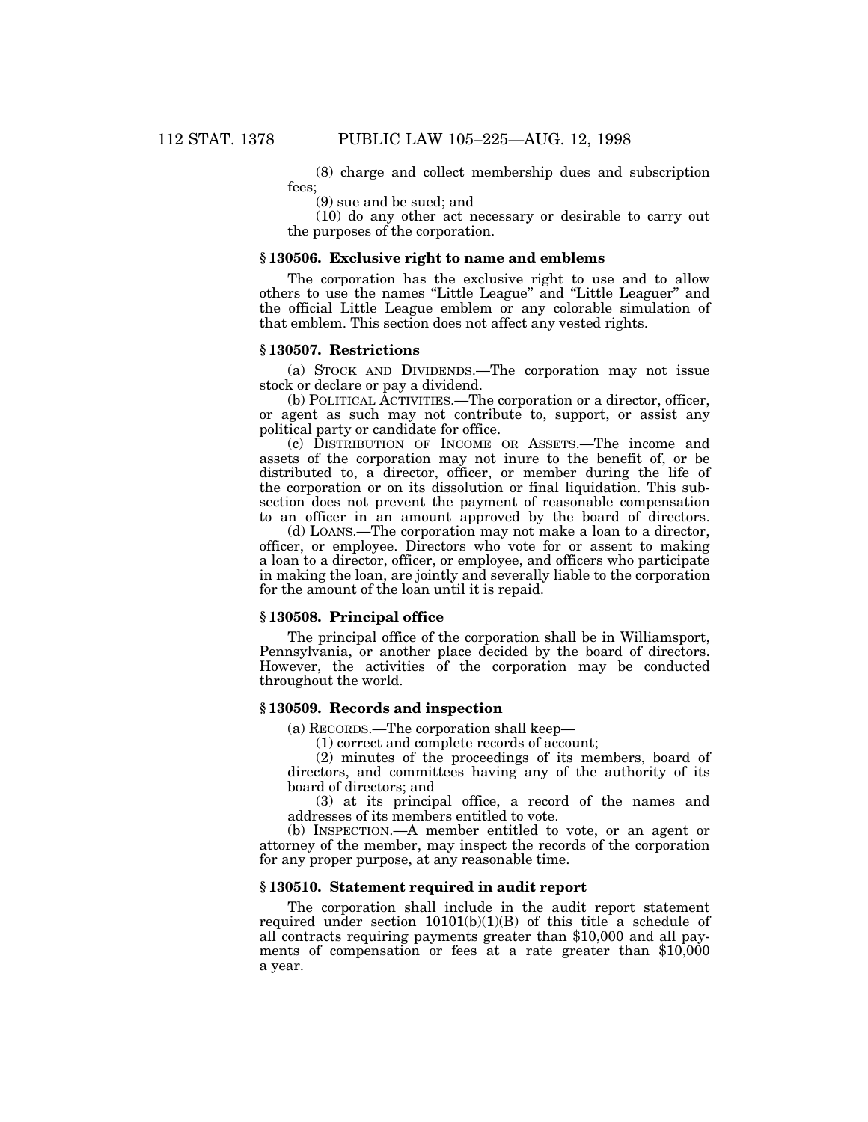(8) charge and collect membership dues and subscription fees;

(9) sue and be sued; and

(10) do any other act necessary or desirable to carry out the purposes of the corporation.

## **§ 130506. Exclusive right to name and emblems**

The corporation has the exclusive right to use and to allow others to use the names "Little League" and "Little Leaguer" and the official Little League emblem or any colorable simulation of that emblem. This section does not affect any vested rights.

## **§ 130507. Restrictions**

(a) STOCK AND DIVIDENDS.—The corporation may not issue stock or declare or pay a dividend.

(b) POLITICAL ACTIVITIES.—The corporation or a director, officer, or agent as such may not contribute to, support, or assist any political party or candidate for office.

(c) DISTRIBUTION OF INCOME OR ASSETS.—The income and assets of the corporation may not inure to the benefit of, or be distributed to, a director, officer, or member during the life of the corporation or on its dissolution or final liquidation. This subsection does not prevent the payment of reasonable compensation to an officer in an amount approved by the board of directors.

(d) LOANS.—The corporation may not make a loan to a director, officer, or employee. Directors who vote for or assent to making a loan to a director, officer, or employee, and officers who participate in making the loan, are jointly and severally liable to the corporation for the amount of the loan until it is repaid.

## **§ 130508. Principal office**

The principal office of the corporation shall be in Williamsport, Pennsylvania, or another place decided by the board of directors. However, the activities of the corporation may be conducted throughout the world.

# **§ 130509. Records and inspection**

(a) RECORDS.—The corporation shall keep—

(1) correct and complete records of account;

(2) minutes of the proceedings of its members, board of directors, and committees having any of the authority of its board of directors; and

(3) at its principal office, a record of the names and addresses of its members entitled to vote.

(b) INSPECTION.—A member entitled to vote, or an agent or attorney of the member, may inspect the records of the corporation for any proper purpose, at any reasonable time.

## **§ 130510. Statement required in audit report**

The corporation shall include in the audit report statement required under section  $10101(b)(1)(B)$  of this title a schedule of all contracts requiring payments greater than \$10,000 and all payments of compensation or fees at a rate greater than \$10,000 a year.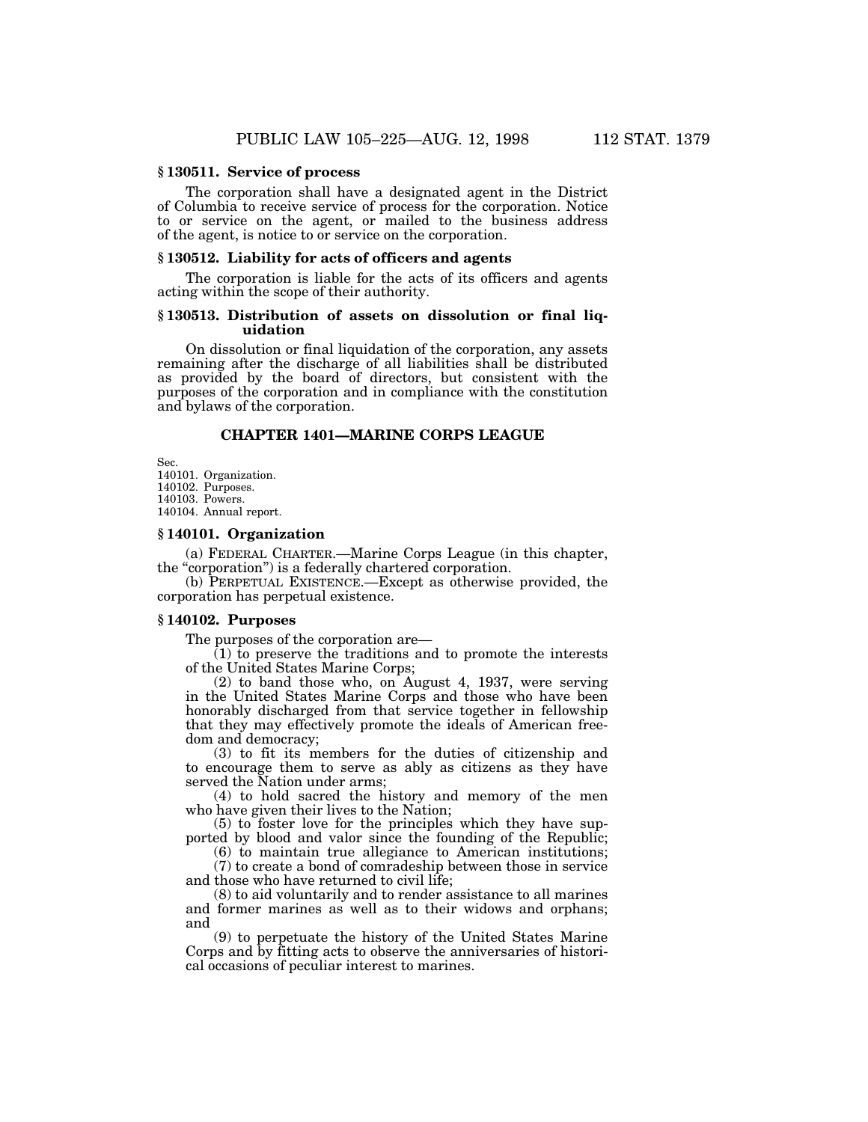## **§ 130511. Service of process**

The corporation shall have a designated agent in the District of Columbia to receive service of process for the corporation. Notice to or service on the agent, or mailed to the business address of the agent, is notice to or service on the corporation.

## **§ 130512. Liability for acts of officers and agents**

The corporation is liable for the acts of its officers and agents acting within the scope of their authority.

## **§ 130513. Distribution of assets on dissolution or final liquidation**

On dissolution or final liquidation of the corporation, any assets remaining after the discharge of all liabilities shall be distributed as provided by the board of directors, but consistent with the purposes of the corporation and in compliance with the constitution and bylaws of the corporation.

# **CHAPTER 1401—MARINE CORPS LEAGUE**

Sec.

140101. Organization.

140102. Purposes.

140103. Powers. 140104. Annual report.

#### **§ 140101. Organization**

(a) FEDERAL CHARTER.—Marine Corps League (in this chapter, the ''corporation'') is a federally chartered corporation.

(b) PERPETUAL EXISTENCE.—Except as otherwise provided, the corporation has perpetual existence.

#### **§ 140102. Purposes**

The purposes of the corporation are—

 $(1)$  to preserve the traditions and to promote the interests of the United States Marine Corps;

(2) to band those who, on August 4, 1937, were serving in the United States Marine Corps and those who have been honorably discharged from that service together in fellowship that they may effectively promote the ideals of American freedom and democracy;

(3) to fit its members for the duties of citizenship and to encourage them to serve as ably as citizens as they have served the Nation under arms;

(4) to hold sacred the history and memory of the men who have given their lives to the Nation;

(5) to foster love for the principles which they have supported by blood and valor since the founding of the Republic;

(6) to maintain true allegiance to American institutions; (7) to create a bond of comradeship between those in service

and those who have returned to civil life;

(8) to aid voluntarily and to render assistance to all marines and former marines as well as to their widows and orphans; and

(9) to perpetuate the history of the United States Marine Corps and by fitting acts to observe the anniversaries of historical occasions of peculiar interest to marines.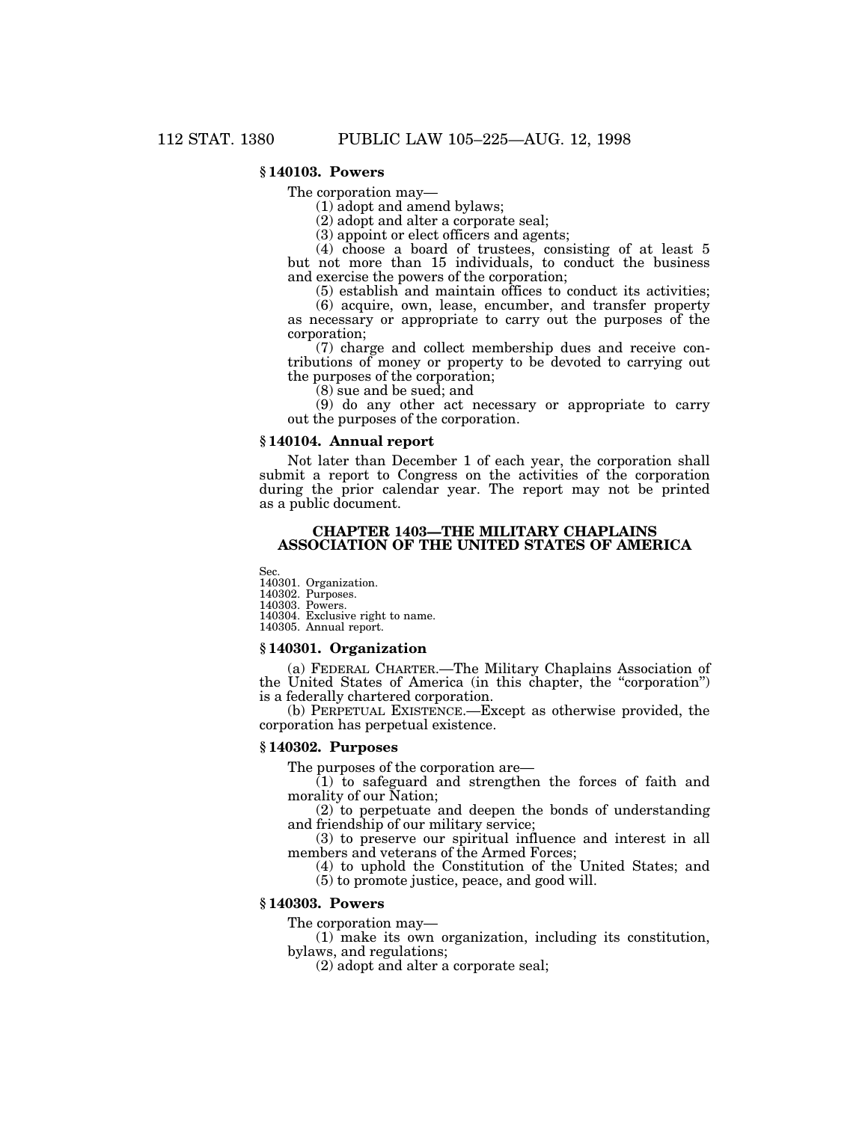# **§ 140103. Powers**

The corporation may—

(1) adopt and amend bylaws;

(2) adopt and alter a corporate seal;

(3) appoint or elect officers and agents;

(4) choose a board of trustees, consisting of at least 5 but not more than 15 individuals, to conduct the business and exercise the powers of the corporation;

(5) establish and maintain offices to conduct its activities; (6) acquire, own, lease, encumber, and transfer property

as necessary or appropriate to carry out the purposes of the corporation;

(7) charge and collect membership dues and receive contributions of money or property to be devoted to carrying out the purposes of the corporation;

(8) sue and be sued; and

(9) do any other act necessary or appropriate to carry out the purposes of the corporation.

## **§ 140104. Annual report**

Not later than December 1 of each year, the corporation shall submit a report to Congress on the activities of the corporation during the prior calendar year. The report may not be printed as a public document.

# **CHAPTER 1403—THE MILITARY CHAPLAINS ASSOCIATION OF THE UNITED STATES OF AMERICA**

Sec. 140301. Organization. 140302. Purposes. 140303. Powers. 140304. Exclusive right to name. 140305. Annual report.

## **§ 140301. Organization**

(a) FEDERAL CHARTER.—The Military Chaplains Association of the United States of America (in this chapter, the ''corporation'') is a federally chartered corporation.

(b) PERPETUAL EXISTENCE.—Except as otherwise provided, the corporation has perpetual existence.

## **§ 140302. Purposes**

The purposes of the corporation are—

(1) to safeguard and strengthen the forces of faith and morality of our Nation;

(2) to perpetuate and deepen the bonds of understanding and friendship of our military service;

(3) to preserve our spiritual influence and interest in all members and veterans of the Armed Forces;

(4) to uphold the Constitution of the United States; and

(5) to promote justice, peace, and good will.

# **§ 140303. Powers**

The corporation may—

(1) make its own organization, including its constitution,

bylaws, and regulations;

(2) adopt and alter a corporate seal;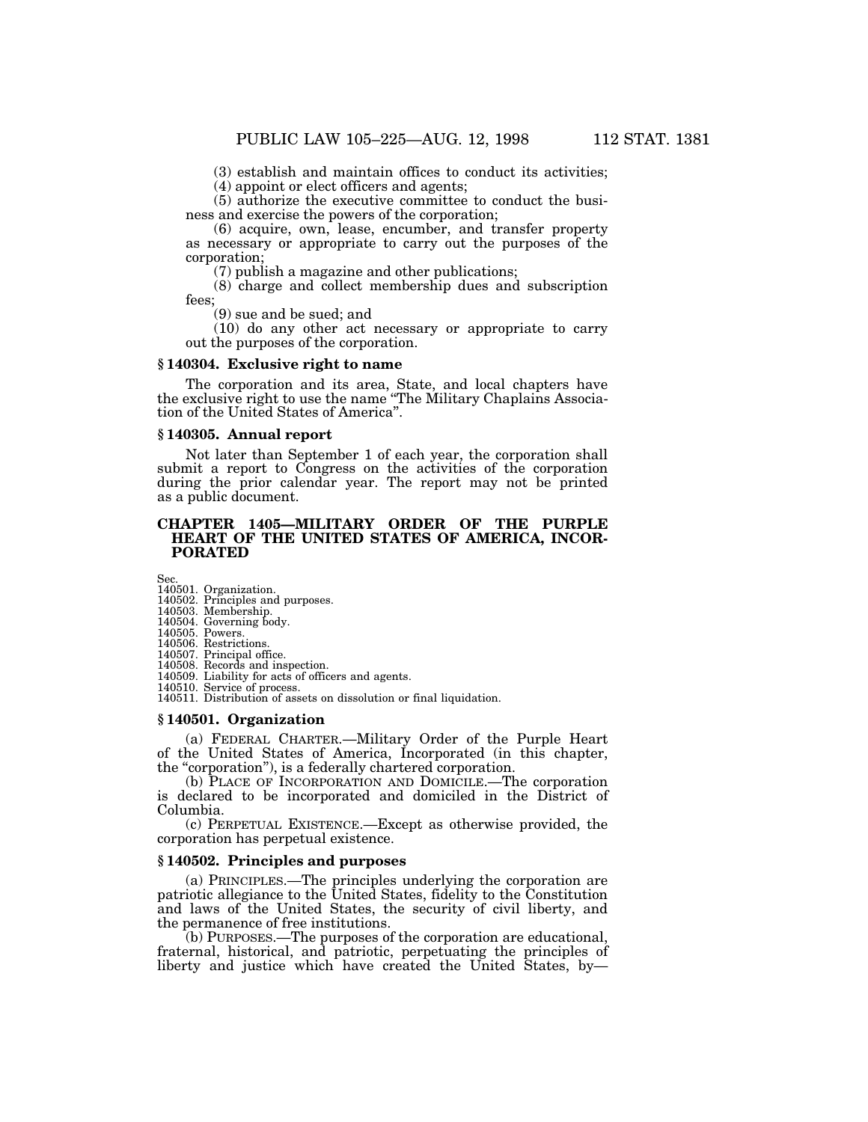(3) establish and maintain offices to conduct its activities;

(4) appoint or elect officers and agents;

(5) authorize the executive committee to conduct the business and exercise the powers of the corporation;

(6) acquire, own, lease, encumber, and transfer property as necessary or appropriate to carry out the purposes of the corporation;

(7) publish a magazine and other publications;

(8) charge and collect membership dues and subscription fees;

(9) sue and be sued; and

(10) do any other act necessary or appropriate to carry out the purposes of the corporation.

## **§ 140304. Exclusive right to name**

The corporation and its area, State, and local chapters have the exclusive right to use the name ''The Military Chaplains Association of the United States of America''.

## **§ 140305. Annual report**

Not later than September 1 of each year, the corporation shall submit a report to Congress on the activities of the corporation during the prior calendar year. The report may not be printed as a public document.

# **CHAPTER 1405—MILITARY ORDER OF THE PURPLE HEART OF THE UNITED STATES OF AMERICA, INCOR-PORATED**

Sec.

140501. Organization.

140502. Principles and purposes. 140503. Membership. 140504. Governing body. 140505. Powers. 140506. Restrictions.

- 
- 
- 

- 140507. Principal office. 140508. Records and inspection.
- 140509. Liability for acts of officers and agents.
- 140510. Service of process.
- 140511. Distribution of assets on dissolution or final liquidation.

## **§ 140501. Organization**

(a) FEDERAL CHARTER.—Military Order of the Purple Heart of the United States of America, Incorporated (in this chapter, the ''corporation''), is a federally chartered corporation.

(b) PLACE OF INCORPORATION AND DOMICILE.—The corporation is declared to be incorporated and domiciled in the District of Columbia.

(c) PERPETUAL EXISTENCE.—Except as otherwise provided, the corporation has perpetual existence.

#### **§ 140502. Principles and purposes**

(a) PRINCIPLES.—The principles underlying the corporation are patriotic allegiance to the United States, fidelity to the Constitution and laws of the United States, the security of civil liberty, and the permanence of free institutions.

(b) PURPOSES.—The purposes of the corporation are educational, fraternal, historical, and patriotic, perpetuating the principles of liberty and justice which have created the United States, by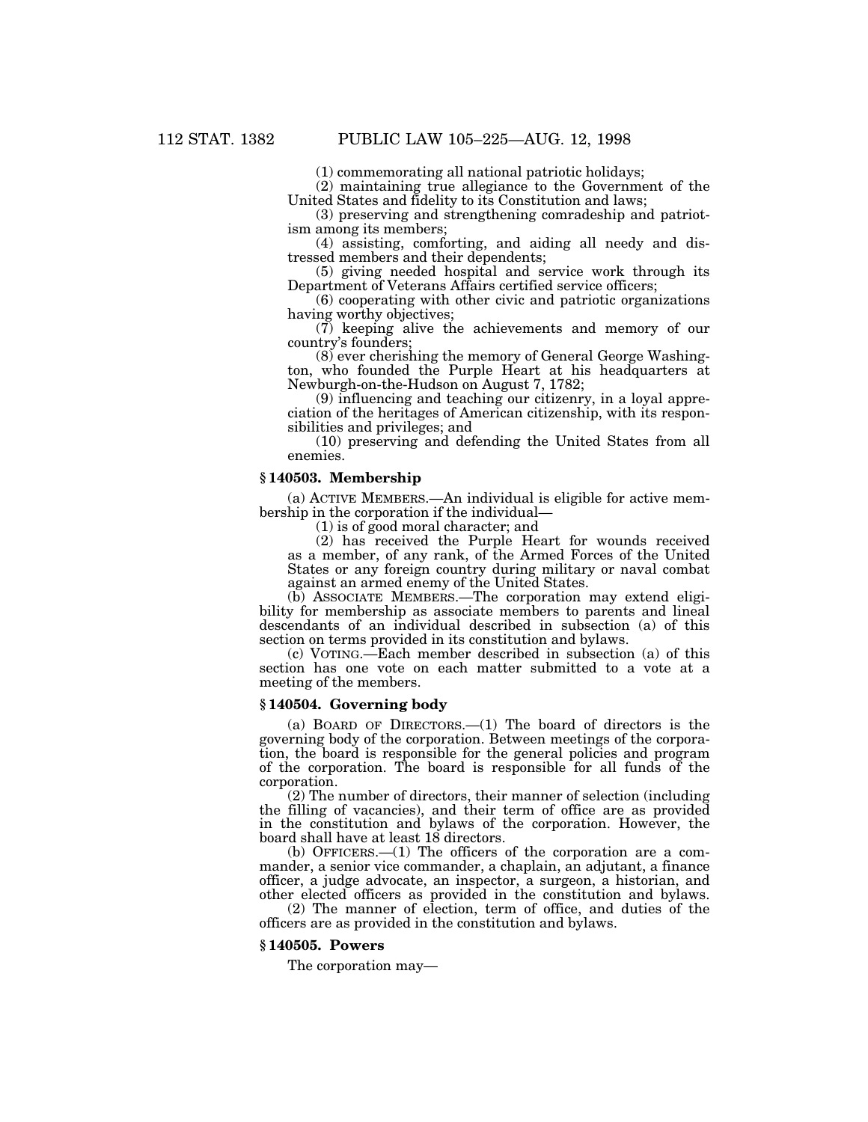(1) commemorating all national patriotic holidays;

(2) maintaining true allegiance to the Government of the United States and fidelity to its Constitution and laws;

(3) preserving and strengthening comradeship and patriotism among its members;

(4) assisting, comforting, and aiding all needy and distressed members and their dependents;

(5) giving needed hospital and service work through its Department of Veterans Affairs certified service officers;

(6) cooperating with other civic and patriotic organizations having worthy objectives;

(7) keeping alive the achievements and memory of our country's founders;

(8) ever cherishing the memory of General George Washington, who founded the Purple Heart at his headquarters at Newburgh-on-the-Hudson on August 7, 1782;

(9) influencing and teaching our citizenry, in a loyal appreciation of the heritages of American citizenship, with its responsibilities and privileges; and

(10) preserving and defending the United States from all enemies.

## **§ 140503. Membership**

(a) ACTIVE MEMBERS.—An individual is eligible for active membership in the corporation if the individual—

(1) is of good moral character; and

(2) has received the Purple Heart for wounds received as a member, of any rank, of the Armed Forces of the United States or any foreign country during military or naval combat against an armed enemy of the United States.

(b) ASSOCIATE MEMBERS.—The corporation may extend eligibility for membership as associate members to parents and lineal descendants of an individual described in subsection (a) of this section on terms provided in its constitution and bylaws.

(c) VOTING.—Each member described in subsection (a) of this section has one vote on each matter submitted to a vote at a meeting of the members.

#### **§ 140504. Governing body**

(a) BOARD OF DIRECTORS.—(1) The board of directors is the governing body of the corporation. Between meetings of the corporation, the board is responsible for the general policies and program of the corporation. The board is responsible for all funds of the corporation.

(2) The number of directors, their manner of selection (including the filling of vacancies), and their term of office are as provided in the constitution and bylaws of the corporation. However, the board shall have at least 18 directors.

(b) OFFICERS.—(1) The officers of the corporation are a commander, a senior vice commander, a chaplain, an adjutant, a finance officer, a judge advocate, an inspector, a surgeon, a historian, and other elected officers as provided in the constitution and bylaws.

(2) The manner of election, term of office, and duties of the officers are as provided in the constitution and bylaws.

#### **§ 140505. Powers**

The corporation may—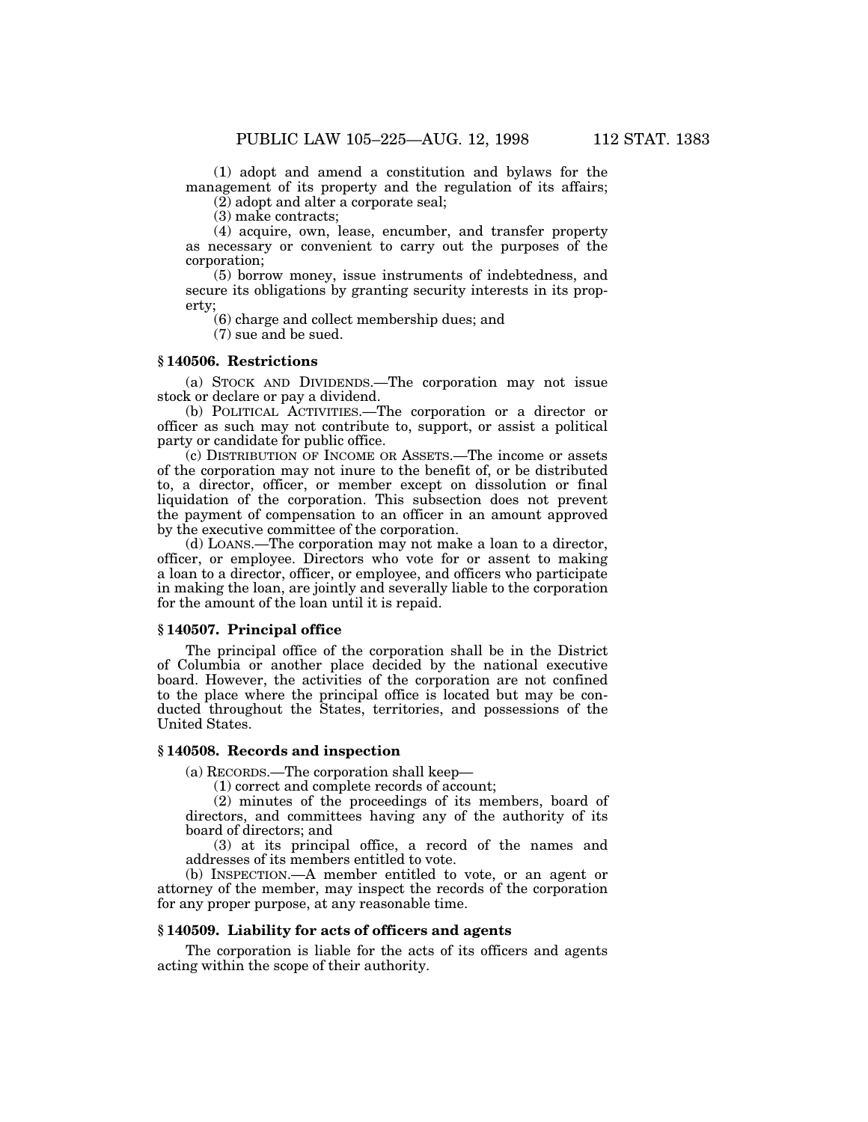(1) adopt and amend a constitution and bylaws for the management of its property and the regulation of its affairs; (2) adopt and alter a corporate seal;

(3) make contracts;

(4) acquire, own, lease, encumber, and transfer property as necessary or convenient to carry out the purposes of the corporation;

(5) borrow money, issue instruments of indebtedness, and secure its obligations by granting security interests in its property;

(6) charge and collect membership dues; and

(7) sue and be sued.

#### **§ 140506. Restrictions**

(a) STOCK AND DIVIDENDS.—The corporation may not issue stock or declare or pay a dividend.

(b) POLITICAL ACTIVITIES.—The corporation or a director or officer as such may not contribute to, support, or assist a political party or candidate for public office.

(c) DISTRIBUTION OF INCOME OR ASSETS.—The income or assets of the corporation may not inure to the benefit of, or be distributed to, a director, officer, or member except on dissolution or final liquidation of the corporation. This subsection does not prevent the payment of compensation to an officer in an amount approved by the executive committee of the corporation.

(d) LOANS.—The corporation may not make a loan to a director, officer, or employee. Directors who vote for or assent to making a loan to a director, officer, or employee, and officers who participate in making the loan, are jointly and severally liable to the corporation for the amount of the loan until it is repaid.

## **§ 140507. Principal office**

The principal office of the corporation shall be in the District of Columbia or another place decided by the national executive board. However, the activities of the corporation are not confined to the place where the principal office is located but may be conducted throughout the States, territories, and possessions of the United States.

## **§ 140508. Records and inspection**

(a) RECORDS.—The corporation shall keep—

(1) correct and complete records of account;

(2) minutes of the proceedings of its members, board of directors, and committees having any of the authority of its board of directors; and

(3) at its principal office, a record of the names and addresses of its members entitled to vote.

(b) INSPECTION.—A member entitled to vote, or an agent or attorney of the member, may inspect the records of the corporation for any proper purpose, at any reasonable time.

# **§ 140509. Liability for acts of officers and agents**

The corporation is liable for the acts of its officers and agents acting within the scope of their authority.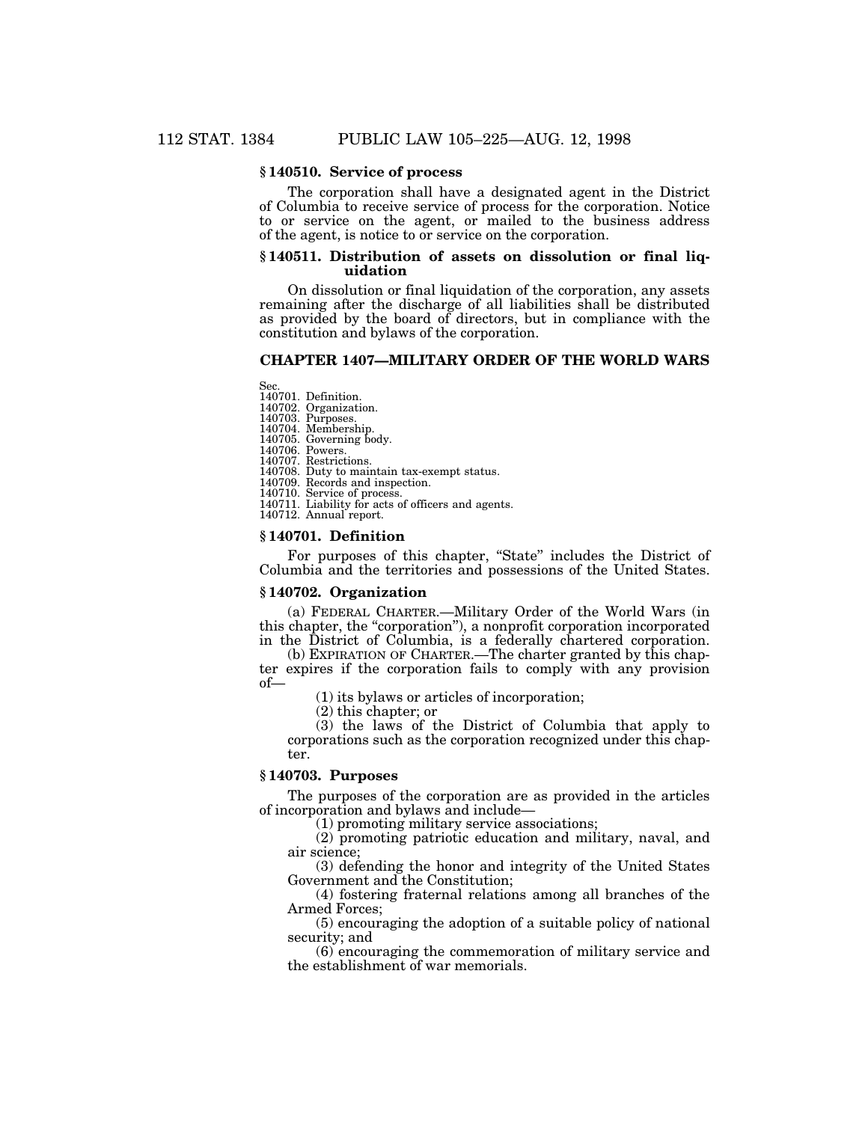# **§ 140510. Service of process**

The corporation shall have a designated agent in the District of Columbia to receive service of process for the corporation. Notice to or service on the agent, or mailed to the business address of the agent, is notice to or service on the corporation.

### **§ 140511. Distribution of assets on dissolution or final liquidation**

On dissolution or final liquidation of the corporation, any assets remaining after the discharge of all liabilities shall be distributed as provided by the board of directors, but in compliance with the constitution and bylaws of the corporation.

# **CHAPTER 1407—MILITARY ORDER OF THE WORLD WARS**

Sec. 140701. Definition. 140702. Organization. 140703. Purposes. 140704. Membership. 140705. Governing body. 140706. Powers. 140707. Restrictions.

140708. Duty to maintain tax-exempt status. 140709. Records and inspection. 140710. Service of process.

140711. Liability for acts of officers and agents. 140712. Annual report.

#### **§ 140701. Definition**

For purposes of this chapter, "State" includes the District of Columbia and the territories and possessions of the United States.

#### **§ 140702. Organization**

(a) FEDERAL CHARTER.—Military Order of the World Wars (in this chapter, the ''corporation''), a nonprofit corporation incorporated in the District of Columbia, is a federally chartered corporation.

(b) EXPIRATION OF CHARTER.—The charter granted by this chapter expires if the corporation fails to comply with any provision of—

(1) its bylaws or articles of incorporation;

(2) this chapter; or

(3) the laws of the District of Columbia that apply to corporations such as the corporation recognized under this chapter.

#### **§ 140703. Purposes**

The purposes of the corporation are as provided in the articles of incorporation and bylaws and include—

(1) promoting military service associations;

(2) promoting patriotic education and military, naval, and air science;

(3) defending the honor and integrity of the United States Government and the Constitution;

(4) fostering fraternal relations among all branches of the Armed Forces;

(5) encouraging the adoption of a suitable policy of national security; and

(6) encouraging the commemoration of military service and the establishment of war memorials.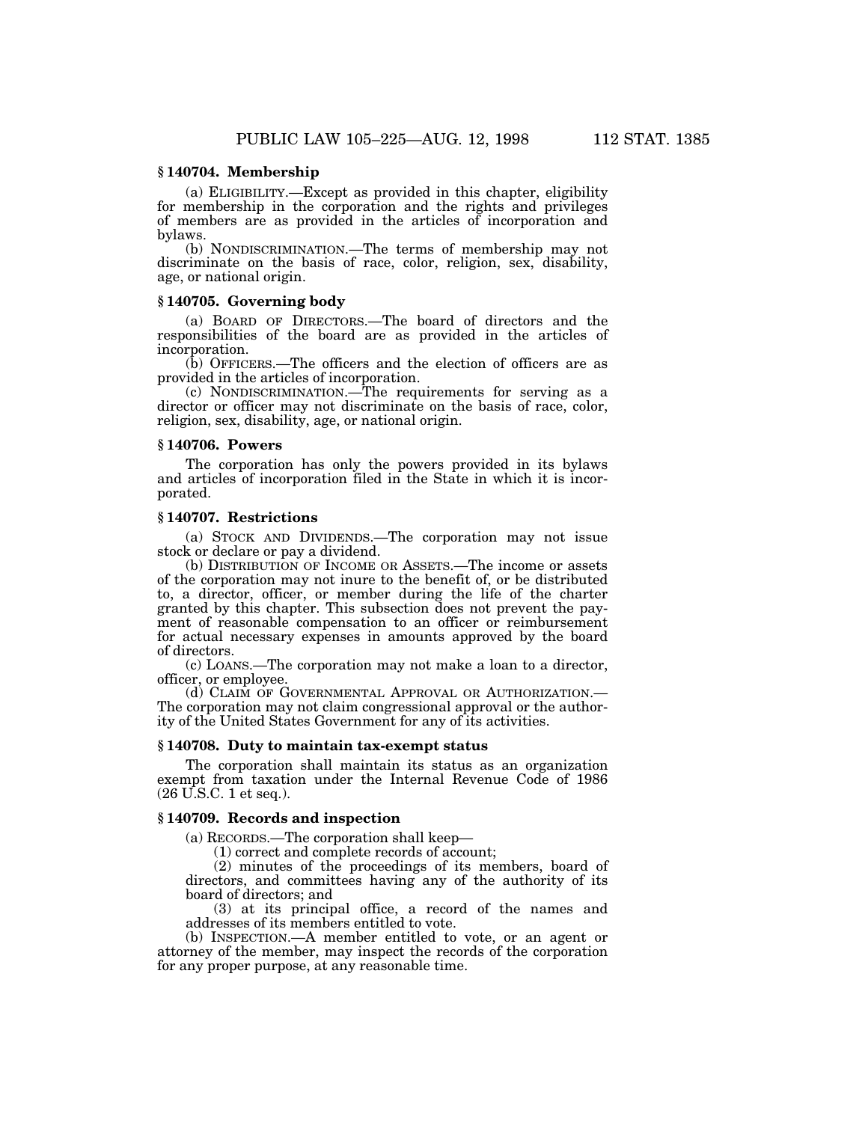# **§ 140704. Membership**

(a) ELIGIBILITY.—Except as provided in this chapter, eligibility for membership in the corporation and the rights and privileges of members are as provided in the articles of incorporation and bylaws.

(b) NONDISCRIMINATION.—The terms of membership may not discriminate on the basis of race, color, religion, sex, disability, age, or national origin.

## **§ 140705. Governing body**

(a) BOARD OF DIRECTORS.—The board of directors and the responsibilities of the board are as provided in the articles of incorporation.

(b) OFFICERS.—The officers and the election of officers are as provided in the articles of incorporation.

(c) NONDISCRIMINATION.—The requirements for serving as a director or officer may not discriminate on the basis of race, color, religion, sex, disability, age, or national origin.

## **§ 140706. Powers**

The corporation has only the powers provided in its bylaws and articles of incorporation filed in the State in which it is incorporated.

## **§ 140707. Restrictions**

(a) STOCK AND DIVIDENDS.—The corporation may not issue stock or declare or pay a dividend.

(b) DISTRIBUTION OF INCOME OR ASSETS.—The income or assets of the corporation may not inure to the benefit of, or be distributed to, a director, officer, or member during the life of the charter granted by this chapter. This subsection does not prevent the payment of reasonable compensation to an officer or reimbursement for actual necessary expenses in amounts approved by the board of directors.

(c) LOANS.—The corporation may not make a loan to a director, officer, or employee.

(d) CLAIM OF GOVERNMENTAL APPROVAL OR AUTHORIZATION.— The corporation may not claim congressional approval or the authority of the United States Government for any of its activities.

## **§ 140708. Duty to maintain tax-exempt status**

The corporation shall maintain its status as an organization exempt from taxation under the Internal Revenue Code of 1986 (26 U.S.C. 1 et seq.).

## **§ 140709. Records and inspection**

(a) RECORDS.—The corporation shall keep—

(1) correct and complete records of account;

(2) minutes of the proceedings of its members, board of directors, and committees having any of the authority of its board of directors; and

(3) at its principal office, a record of the names and addresses of its members entitled to vote.

(b) INSPECTION.—A member entitled to vote, or an agent or attorney of the member, may inspect the records of the corporation for any proper purpose, at any reasonable time.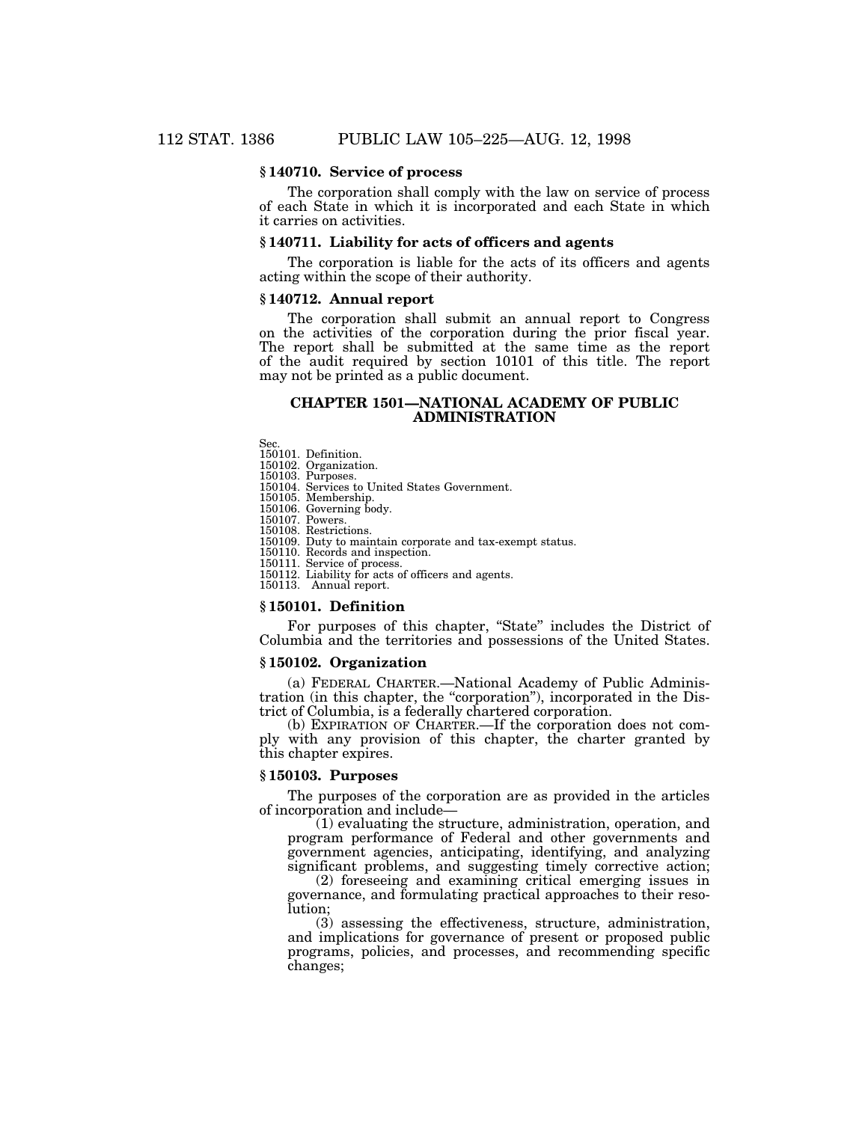## **§ 140710. Service of process**

The corporation shall comply with the law on service of process of each State in which it is incorporated and each State in which it carries on activities.

# **§ 140711. Liability for acts of officers and agents**

The corporation is liable for the acts of its officers and agents acting within the scope of their authority.

# **§ 140712. Annual report**

The corporation shall submit an annual report to Congress on the activities of the corporation during the prior fiscal year. The report shall be submitted at the same time as the report of the audit required by section 10101 of this title. The report may not be printed as a public document.

# **CHAPTER 1501—NATIONAL ACADEMY OF PUBLIC ADMINISTRATION**

Sec. 150101. Definition.

- 
- 

150102. Organization.<br>150103. Purposes.<br>150104. Services to United States Government.<br>150105. Membership.<br>150106. Governing body.<br>150107. Powers.<br>150108. Restrictions.<br>150108. Duty to maintain corporate and tax-exempt stat

150110. Records and inspection.

150111. Service of process.

150112. Liability for acts of officers and agents. 150113. Annual report.

#### **§ 150101. Definition**

For purposes of this chapter, "State" includes the District of Columbia and the territories and possessions of the United States.

## **§ 150102. Organization**

(a) FEDERAL CHARTER.—National Academy of Public Administration (in this chapter, the ''corporation''), incorporated in the District of Columbia, is a federally chartered corporation.

(b) EXPIRATION OF CHARTER.—If the corporation does not comply with any provision of this chapter, the charter granted by this chapter expires.

#### **§ 150103. Purposes**

The purposes of the corporation are as provided in the articles of incorporation and include—

(1) evaluating the structure, administration, operation, and program performance of Federal and other governments and government agencies, anticipating, identifying, and analyzing significant problems, and suggesting timely corrective action;

(2) foreseeing and examining critical emerging issues in governance, and formulating practical approaches to their resolution;

(3) assessing the effectiveness, structure, administration, and implications for governance of present or proposed public programs, policies, and processes, and recommending specific changes;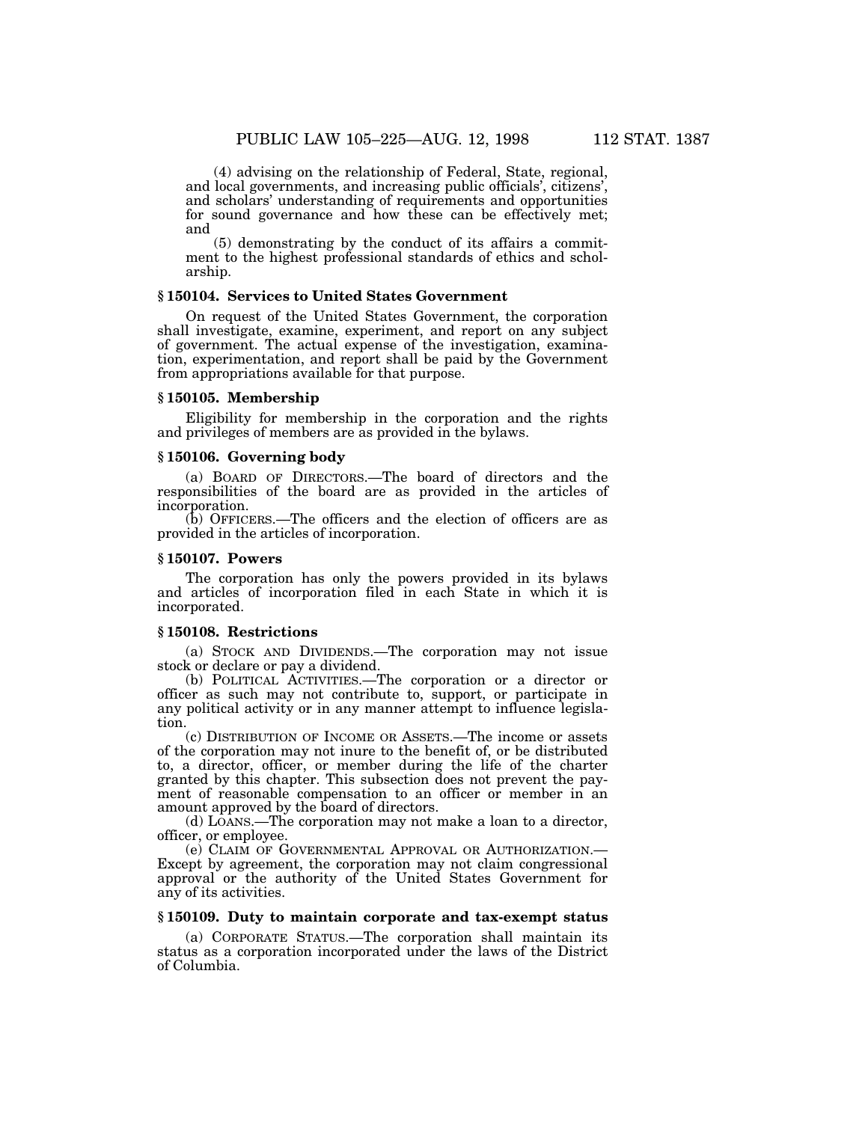(4) advising on the relationship of Federal, State, regional, and local governments, and increasing public officials', citizens', and scholars' understanding of requirements and opportunities for sound governance and how these can be effectively met; and

(5) demonstrating by the conduct of its affairs a commitment to the highest professional standards of ethics and scholarship.

## **§ 150104. Services to United States Government**

On request of the United States Government, the corporation shall investigate, examine, experiment, and report on any subject of government. The actual expense of the investigation, examination, experimentation, and report shall be paid by the Government from appropriations available for that purpose.

## **§ 150105. Membership**

Eligibility for membership in the corporation and the rights and privileges of members are as provided in the bylaws.

## **§ 150106. Governing body**

(a) BOARD OF DIRECTORS.—The board of directors and the responsibilities of the board are as provided in the articles of incorporation.

(b) OFFICERS.—The officers and the election of officers are as provided in the articles of incorporation.

## **§ 150107. Powers**

The corporation has only the powers provided in its bylaws and articles of incorporation filed in each State in which it is incorporated.

#### **§ 150108. Restrictions**

(a) STOCK AND DIVIDENDS.—The corporation may not issue stock or declare or pay a dividend.

(b) POLITICAL ACTIVITIES.—The corporation or a director or officer as such may not contribute to, support, or participate in any political activity or in any manner attempt to influence legislation.

(c) DISTRIBUTION OF INCOME OR ASSETS.—The income or assets of the corporation may not inure to the benefit of, or be distributed to, a director, officer, or member during the life of the charter granted by this chapter. This subsection does not prevent the payment of reasonable compensation to an officer or member in an amount approved by the board of directors.

(d) LOANS.—The corporation may not make a loan to a director, officer, or employee.

(e) CLAIM OF GOVERNMENTAL APPROVAL OR AUTHORIZATION.— Except by agreement, the corporation may not claim congressional approval or the authority of the United States Government for any of its activities.

## **§ 150109. Duty to maintain corporate and tax-exempt status**

(a) CORPORATE STATUS.—The corporation shall maintain its status as a corporation incorporated under the laws of the District of Columbia.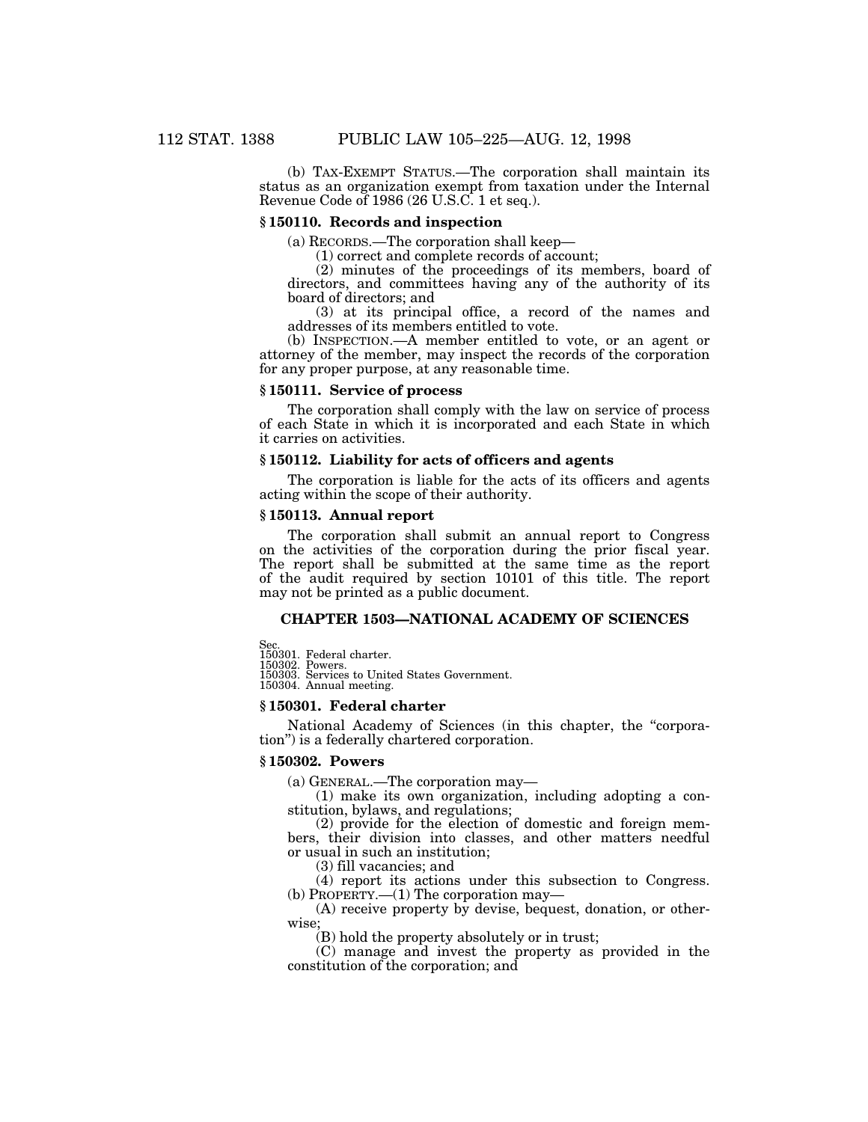(b) TAX-EXEMPT STATUS.—The corporation shall maintain its status as an organization exempt from taxation under the Internal Revenue Code of 1986 (26 U.S.C. 1 et seq.).

## **§ 150110. Records and inspection**

(a) RECORDS.—The corporation shall keep—

(1) correct and complete records of account;

(2) minutes of the proceedings of its members, board of directors, and committees having any of the authority of its board of directors; and

(3) at its principal office, a record of the names and addresses of its members entitled to vote.

(b) INSPECTION.—A member entitled to vote, or an agent or attorney of the member, may inspect the records of the corporation for any proper purpose, at any reasonable time.

## **§ 150111. Service of process**

The corporation shall comply with the law on service of process of each State in which it is incorporated and each State in which it carries on activities.

## **§ 150112. Liability for acts of officers and agents**

The corporation is liable for the acts of its officers and agents acting within the scope of their authority.

## **§ 150113. Annual report**

The corporation shall submit an annual report to Congress on the activities of the corporation during the prior fiscal year. The report shall be submitted at the same time as the report of the audit required by section 10101 of this title. The report may not be printed as a public document.

# **CHAPTER 1503—NATIONAL ACADEMY OF SCIENCES**

Sec.

150301. Federal charter.

150302. Powers. 150303. Services to United States Government. 150304. Annual meeting.

# **§ 150301. Federal charter**

National Academy of Sciences (in this chapter, the "corporation'') is a federally chartered corporation.

#### **§ 150302. Powers**

(a) GENERAL.—The corporation may—

(1) make its own organization, including adopting a constitution, bylaws, and regulations;

(2) provide for the election of domestic and foreign members, their division into classes, and other matters needful or usual in such an institution;

(3) fill vacancies; and

(4) report its actions under this subsection to Congress. (b) PROPERTY.—(1) The corporation may—

(A) receive property by devise, bequest, donation, or otherwise;

(B) hold the property absolutely or in trust;

(C) manage and invest the property as provided in the constitution of the corporation; and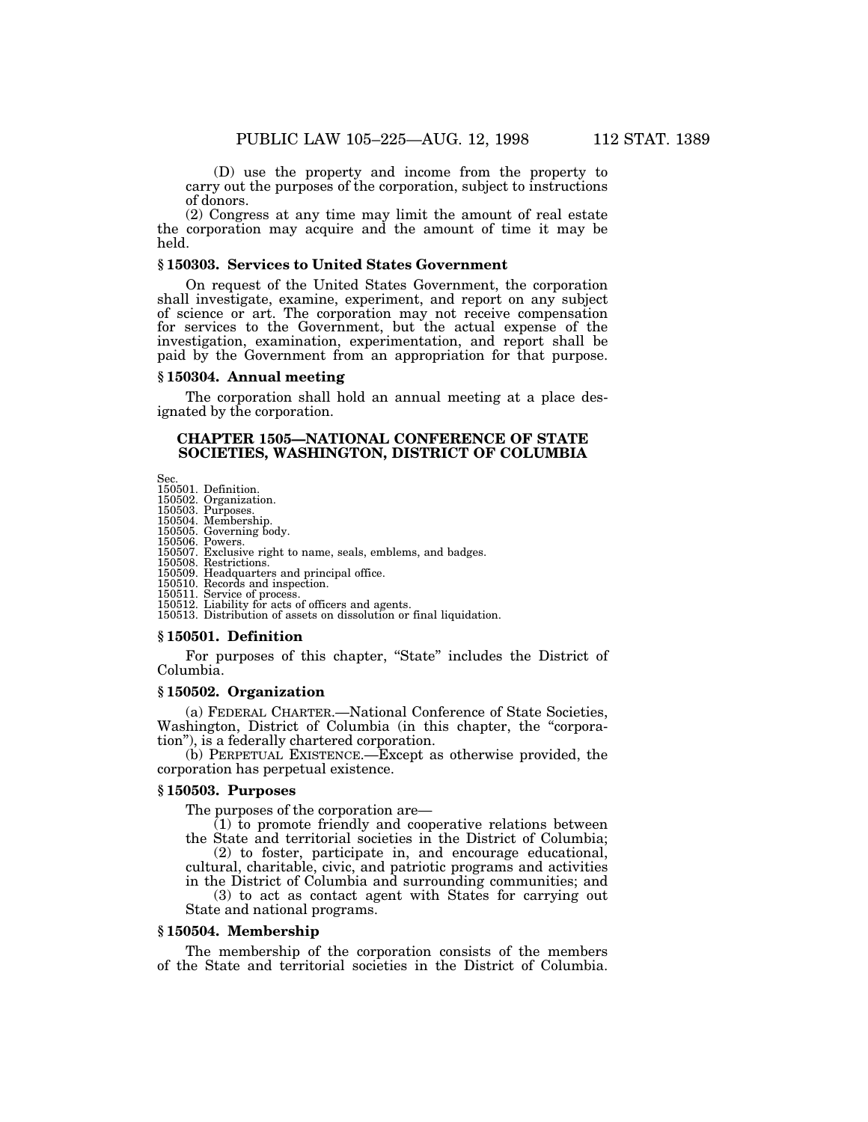(D) use the property and income from the property to carry out the purposes of the corporation, subject to instructions of donors.

(2) Congress at any time may limit the amount of real estate the corporation may acquire and the amount of time it may be held.

## **§ 150303. Services to United States Government**

On request of the United States Government, the corporation shall investigate, examine, experiment, and report on any subject of science or art. The corporation may not receive compensation for services to the Government, but the actual expense of the investigation, examination, experimentation, and report shall be paid by the Government from an appropriation for that purpose.

#### **§ 150304. Annual meeting**

The corporation shall hold an annual meeting at a place designated by the corporation.

## **CHAPTER 1505—NATIONAL CONFERENCE OF STATE SOCIETIES, WASHINGTON, DISTRICT OF COLUMBIA**

Sec.

- 
- 

150501. Definition. 150502. Organization. 150503. Purposes. 150504. Membership. 150505. Governing body.

150506. Powers. 150507. Exclusive right to name, seals, emblems, and badges.

150508. Restrictions. 150509. Headquarters and principal office. 150510. Records and inspection.

- 150511. Service of process.
- 150512. Liability for acts of officers and agents.
- 150513. Distribution of assets on dissolution or final liquidation.

#### **§ 150501. Definition**

For purposes of this chapter, "State" includes the District of Columbia.

# **§ 150502. Organization**

(a) FEDERAL CHARTER.—National Conference of State Societies, Washington, District of Columbia (in this chapter, the ''corporation''), is a federally chartered corporation.

(b) PERPETUAL EXISTENCE.—Except as otherwise provided, the corporation has perpetual existence.

## **§ 150503. Purposes**

The purposes of the corporation are—

(1) to promote friendly and cooperative relations between the State and territorial societies in the District of Columbia;

(2) to foster, participate in, and encourage educational, cultural, charitable, civic, and patriotic programs and activities in the District of Columbia and surrounding communities; and

(3) to act as contact agent with States for carrying out State and national programs.

## **§ 150504. Membership**

The membership of the corporation consists of the members of the State and territorial societies in the District of Columbia.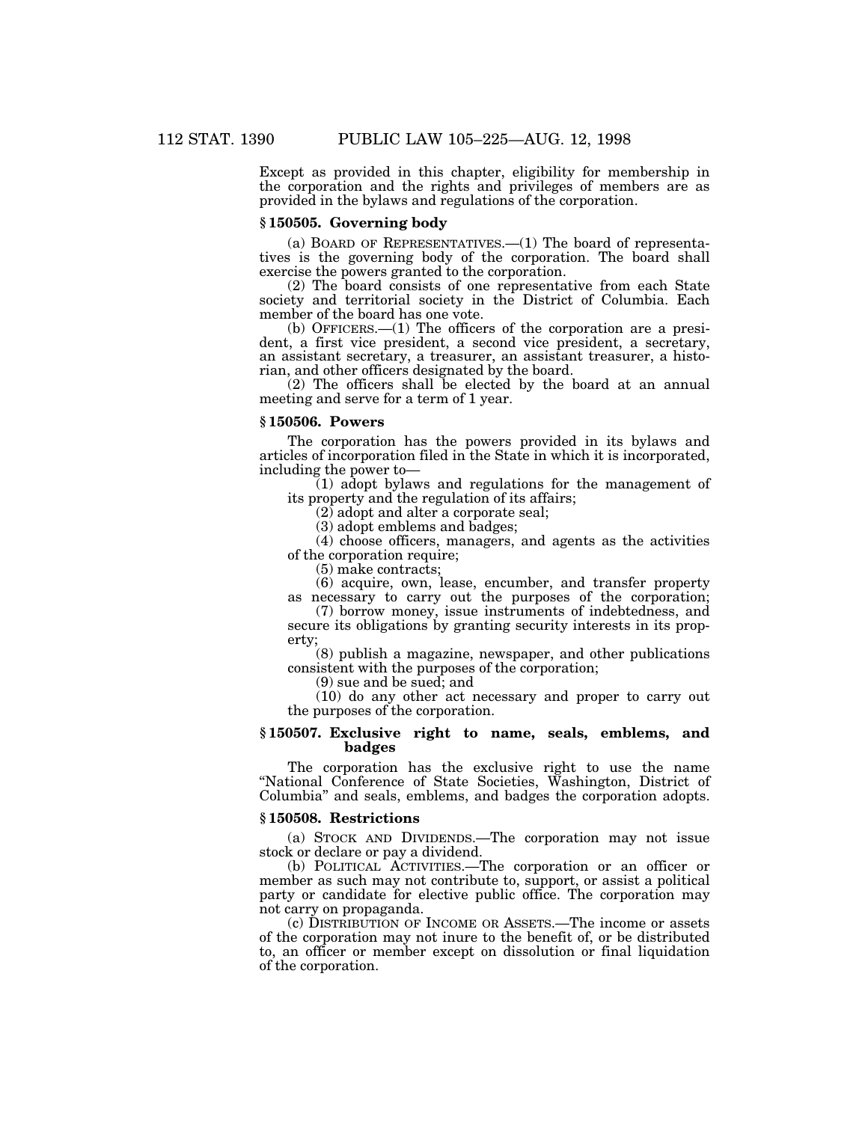Except as provided in this chapter, eligibility for membership in the corporation and the rights and privileges of members are as provided in the bylaws and regulations of the corporation.

### **§ 150505. Governing body**

(a) BOARD OF REPRESENTATIVES.—(1) The board of representatives is the governing body of the corporation. The board shall exercise the powers granted to the corporation.

(2) The board consists of one representative from each State society and territorial society in the District of Columbia. Each member of the board has one vote.

(b) OFFICERS.—(1) The officers of the corporation are a president, a first vice president, a second vice president, a secretary, an assistant secretary, a treasurer, an assistant treasurer, a historian, and other officers designated by the board.

(2) The officers shall be elected by the board at an annual meeting and serve for a term of 1 year.

## **§ 150506. Powers**

The corporation has the powers provided in its bylaws and articles of incorporation filed in the State in which it is incorporated, including the power to—

 $(1)$  adopt bylaws and regulations for the management of its property and the regulation of its affairs;

(2) adopt and alter a corporate seal;

(3) adopt emblems and badges;

(4) choose officers, managers, and agents as the activities of the corporation require;

(5) make contracts;

(6) acquire, own, lease, encumber, and transfer property as necessary to carry out the purposes of the corporation;

(7) borrow money, issue instruments of indebtedness, and secure its obligations by granting security interests in its property;

(8) publish a magazine, newspaper, and other publications consistent with the purposes of the corporation;

(9) sue and be sued; and

(10) do any other act necessary and proper to carry out the purposes of the corporation.

## **§ 150507. Exclusive right to name, seals, emblems, and badges**

The corporation has the exclusive right to use the name ''National Conference of State Societies, Washington, District of Columbia'' and seals, emblems, and badges the corporation adopts.

## **§ 150508. Restrictions**

(a) STOCK AND DIVIDENDS.—The corporation may not issue stock or declare or pay a dividend.

(b) POLITICAL ACTIVITIES.—The corporation or an officer or member as such may not contribute to, support, or assist a political party or candidate for elective public office. The corporation may not carry on propaganda.

(c) DISTRIBUTION OF INCOME OR ASSETS.—The income or assets of the corporation may not inure to the benefit of, or be distributed to, an officer or member except on dissolution or final liquidation of the corporation.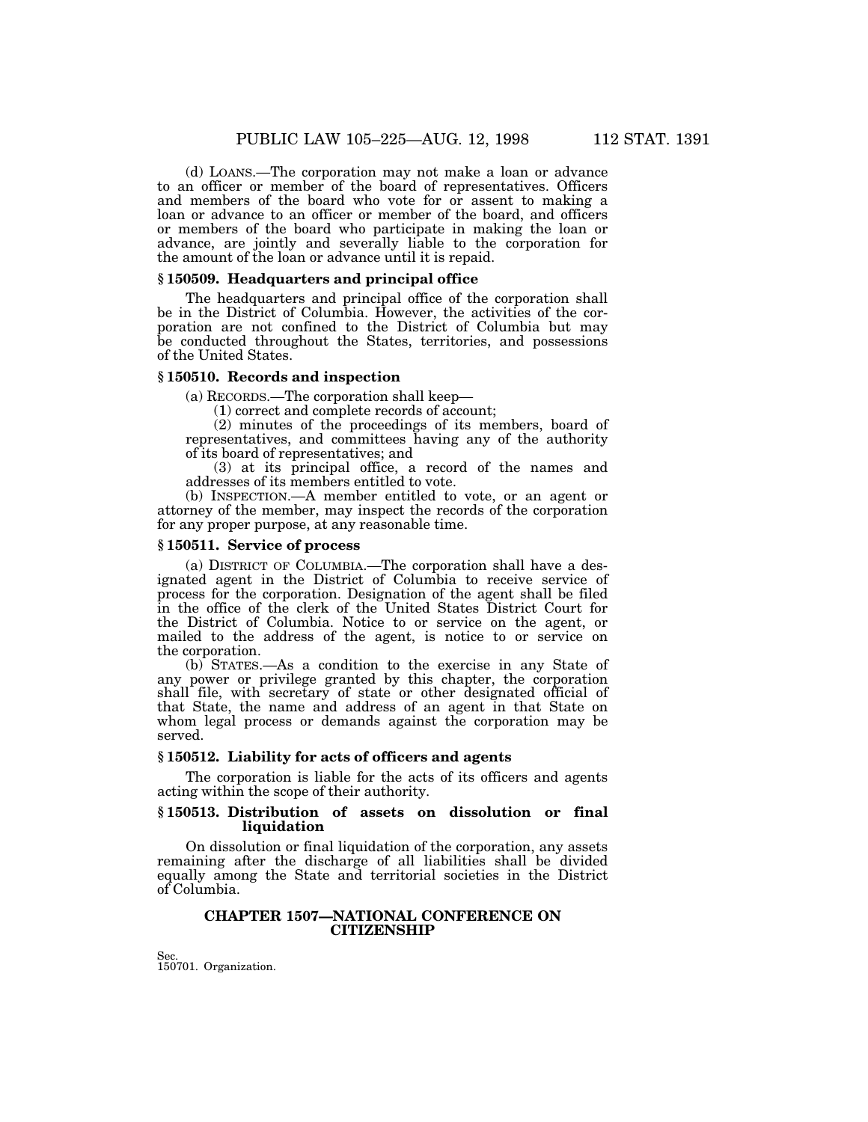(d) LOANS.—The corporation may not make a loan or advance to an officer or member of the board of representatives. Officers and members of the board who vote for or assent to making a loan or advance to an officer or member of the board, and officers or members of the board who participate in making the loan or advance, are jointly and severally liable to the corporation for the amount of the loan or advance until it is repaid.

## **§ 150509. Headquarters and principal office**

The headquarters and principal office of the corporation shall be in the District of Columbia. However, the activities of the corporation are not confined to the District of Columbia but may be conducted throughout the States, territories, and possessions of the United States.

#### **§ 150510. Records and inspection**

(a) RECORDS.—The corporation shall keep—

(1) correct and complete records of account;

(2) minutes of the proceedings of its members, board of representatives, and committees having any of the authority of its board of representatives; and

(3) at its principal office, a record of the names and addresses of its members entitled to vote.

(b) INSPECTION.—A member entitled to vote, or an agent or attorney of the member, may inspect the records of the corporation for any proper purpose, at any reasonable time.

## **§ 150511. Service of process**

(a) DISTRICT OF COLUMBIA.—The corporation shall have a designated agent in the District of Columbia to receive service of process for the corporation. Designation of the agent shall be filed in the office of the clerk of the United States District Court for the District of Columbia. Notice to or service on the agent, or mailed to the address of the agent, is notice to or service on the corporation.

(b) STATES.—As a condition to the exercise in any State of any power or privilege granted by this chapter, the corporation shall file, with secretary of state or other designated official of that State, the name and address of an agent in that State on whom legal process or demands against the corporation may be served.

# **§ 150512. Liability for acts of officers and agents**

The corporation is liable for the acts of its officers and agents acting within the scope of their authority.

## **§ 150513. Distribution of assets on dissolution or final liquidation**

On dissolution or final liquidation of the corporation, any assets remaining after the discharge of all liabilities shall be divided equally among the State and territorial societies in the District of Columbia.

## **CHAPTER 1507—NATIONAL CONFERENCE ON CITIZENSHIP**

Sec. 150701. Organization.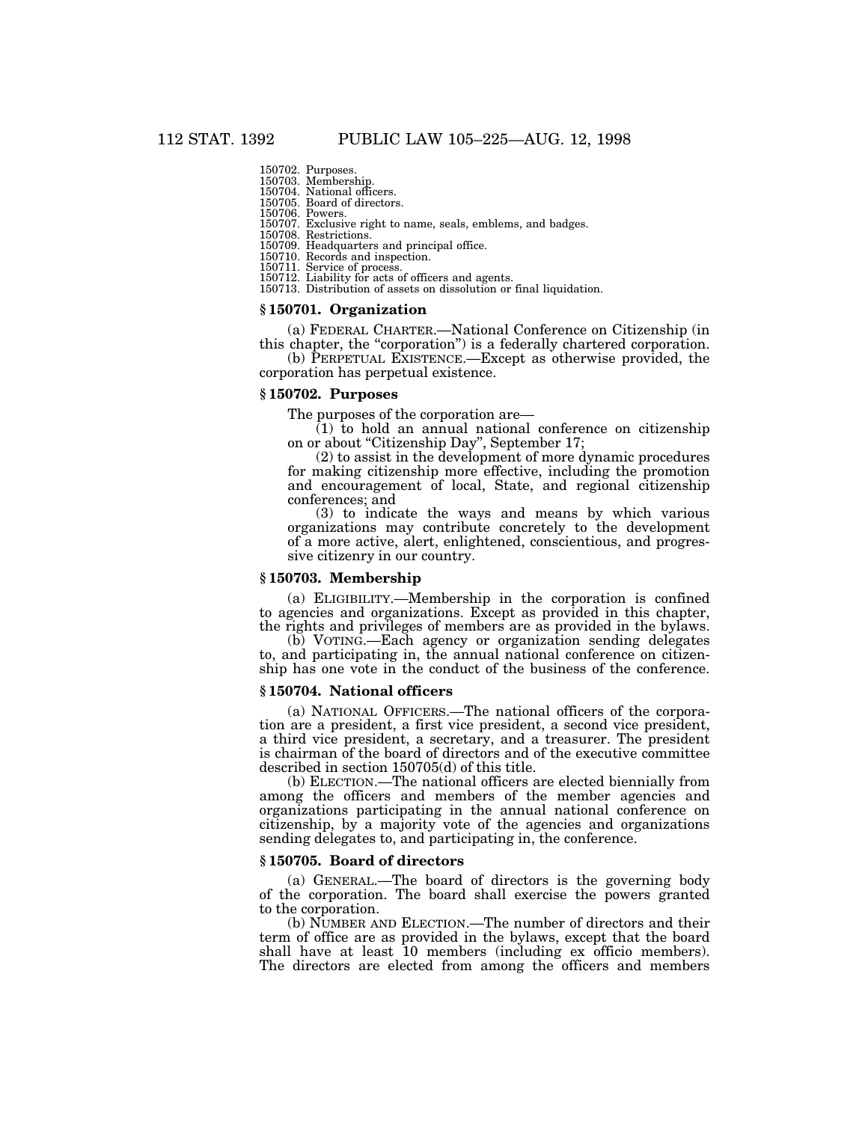150702. Purposes. 150703. Membership. 150704. National officers. 150705. Board of directors.

150706. Powers. 150707. Exclusive right to name, seals, emblems, and badges. 150708. Restrictions. 150709. Headquarters and principal office.

150710. Records and inspection.

150711. Service of process. 150712. Liability for acts of officers and agents.

150713. Distribution of assets on dissolution or final liquidation.

#### **§ 150701. Organization**

(a) FEDERAL CHARTER.—National Conference on Citizenship (in this chapter, the ''corporation'') is a federally chartered corporation.

(b) PERPETUAL EXISTENCE.—Except as otherwise provided, the corporation has perpetual existence.

# **§ 150702. Purposes**

The purposes of the corporation are—

 $(1)$  to hold an annual national conference on citizenship on or about "Citizenship Day", September 17;

(2) to assist in the development of more dynamic procedures for making citizenship more effective, including the promotion and encouragement of local, State, and regional citizenship conferences; and

(3) to indicate the ways and means by which various organizations may contribute concretely to the development of a more active, alert, enlightened, conscientious, and progressive citizenry in our country.

#### **§ 150703. Membership**

(a) ELIGIBILITY.—Membership in the corporation is confined to agencies and organizations. Except as provided in this chapter, the rights and privileges of members are as provided in the bylaws.

(b) VOTING.—Each agency or organization sending delegates to, and participating in, the annual national conference on citizenship has one vote in the conduct of the business of the conference.

#### **§ 150704. National officers**

(a) NATIONAL OFFICERS.—The national officers of the corporation are a president, a first vice president, a second vice president, a third vice president, a secretary, and a treasurer. The president is chairman of the board of directors and of the executive committee described in section 150705(d) of this title.

(b) ELECTION.—The national officers are elected biennially from among the officers and members of the member agencies and organizations participating in the annual national conference on citizenship, by a majority vote of the agencies and organizations sending delegates to, and participating in, the conference.

# **§ 150705. Board of directors**

(a) GENERAL.—The board of directors is the governing body of the corporation. The board shall exercise the powers granted to the corporation.

(b) NUMBER AND ELECTION.—The number of directors and their term of office are as provided in the bylaws, except that the board shall have at least 10 members (including ex officio members). The directors are elected from among the officers and members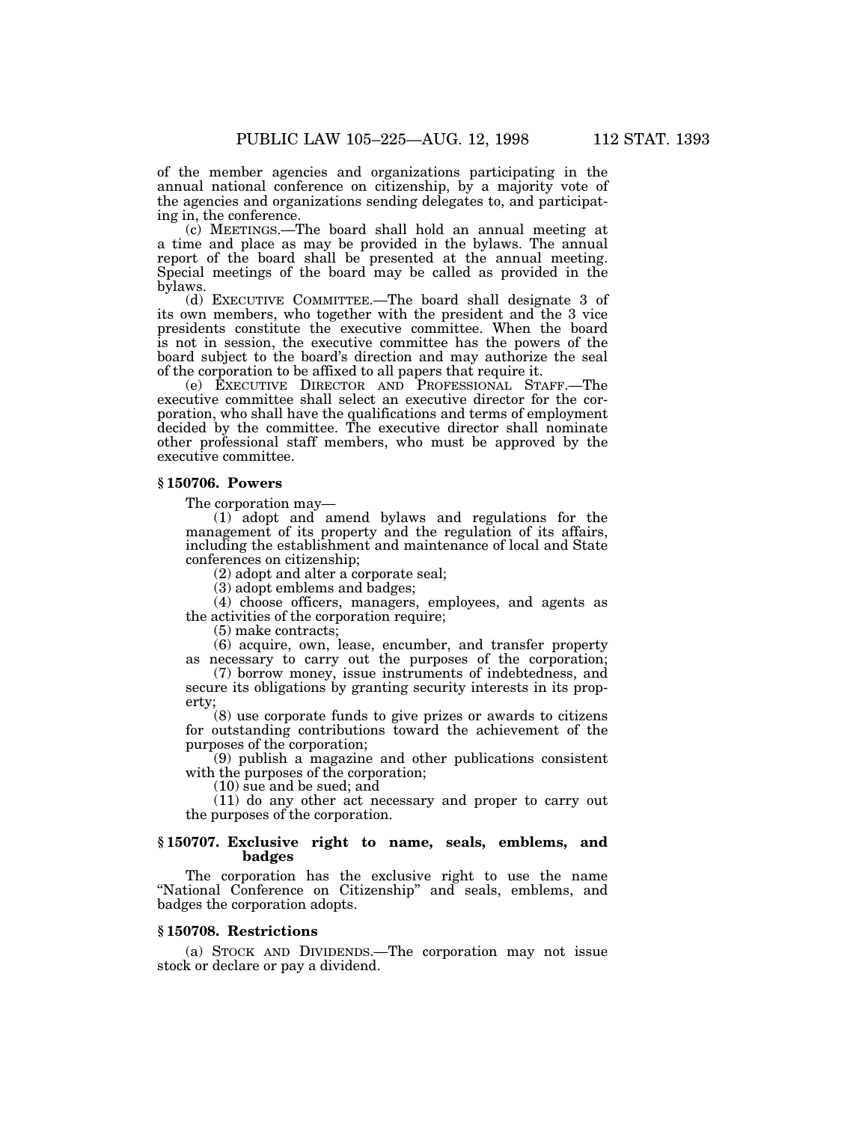of the member agencies and organizations participating in the annual national conference on citizenship, by a majority vote of the agencies and organizations sending delegates to, and participating in, the conference.

(c) MEETINGS.—The board shall hold an annual meeting at a time and place as may be provided in the bylaws. The annual report of the board shall be presented at the annual meeting. Special meetings of the board may be called as provided in the bylaws.

(d) EXECUTIVE COMMITTEE.—The board shall designate 3 of its own members, who together with the president and the 3 vice presidents constitute the executive committee. When the board is not in session, the executive committee has the powers of the board subject to the board's direction and may authorize the seal of the corporation to be affixed to all papers that require it.

(e) EXECUTIVE DIRECTOR AND PROFESSIONAL STAFF.—The executive committee shall select an executive director for the corporation, who shall have the qualifications and terms of employment decided by the committee. The executive director shall nominate other professional staff members, who must be approved by the executive committee.

## **§ 150706. Powers**

The corporation may—

(1) adopt and amend bylaws and regulations for the management of its property and the regulation of its affairs, including the establishment and maintenance of local and State conferences on citizenship;

(2) adopt and alter a corporate seal;

(3) adopt emblems and badges;

(4) choose officers, managers, employees, and agents as the activities of the corporation require;

(5) make contracts;

(6) acquire, own, lease, encumber, and transfer property as necessary to carry out the purposes of the corporation;

(7) borrow money, issue instruments of indebtedness, and secure its obligations by granting security interests in its property;

 $(8)$  use corporate funds to give prizes or awards to citizens for outstanding contributions toward the achievement of the purposes of the corporation;

(9) publish a magazine and other publications consistent with the purposes of the corporation;

(10) sue and be sued; and

(11) do any other act necessary and proper to carry out the purposes of the corporation.

## **§ 150707. Exclusive right to name, seals, emblems, and badges**

The corporation has the exclusive right to use the name "National Conference on Citizenship" and seals, emblems, and badges the corporation adopts.

## **§ 150708. Restrictions**

(a) STOCK AND DIVIDENDS.—The corporation may not issue stock or declare or pay a dividend.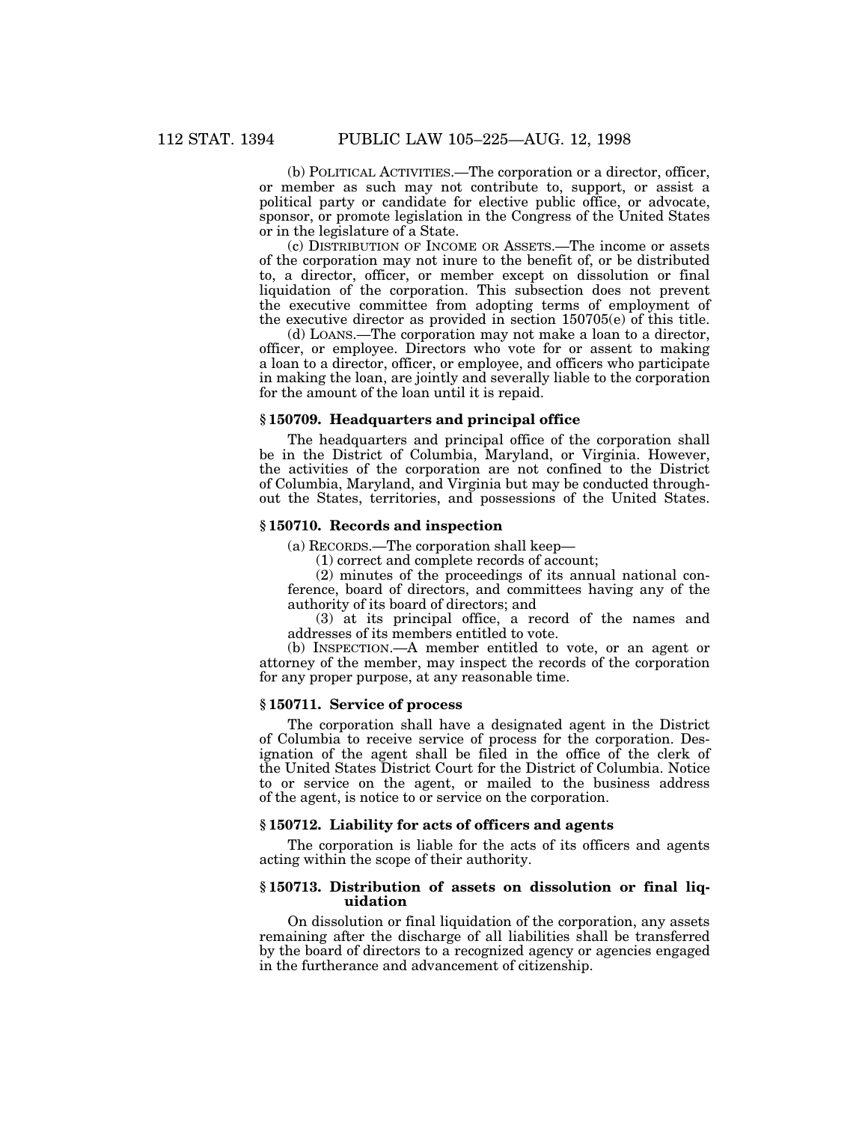(b) POLITICAL ACTIVITIES.—The corporation or a director, officer, or member as such may not contribute to, support, or assist a political party or candidate for elective public office, or advocate, sponsor, or promote legislation in the Congress of the United States or in the legislature of a State.

(c) DISTRIBUTION OF INCOME OR ASSETS.—The income or assets of the corporation may not inure to the benefit of, or be distributed to, a director, officer, or member except on dissolution or final liquidation of the corporation. This subsection does not prevent the executive committee from adopting terms of employment of the executive director as provided in section  $150705(e)$  of this title.

(d) LOANS.—The corporation may not make a loan to a director, officer, or employee. Directors who vote for or assent to making a loan to a director, officer, or employee, and officers who participate in making the loan, are jointly and severally liable to the corporation for the amount of the loan until it is repaid.

## **§ 150709. Headquarters and principal office**

The headquarters and principal office of the corporation shall be in the District of Columbia, Maryland, or Virginia. However, the activities of the corporation are not confined to the District of Columbia, Maryland, and Virginia but may be conducted throughout the States, territories, and possessions of the United States.

#### **§ 150710. Records and inspection**

(a) RECORDS.—The corporation shall keep—

(1) correct and complete records of account;

(2) minutes of the proceedings of its annual national conference, board of directors, and committees having any of the authority of its board of directors; and

(3) at its principal office, a record of the names and addresses of its members entitled to vote.

(b) INSPECTION.—A member entitled to vote, or an agent or attorney of the member, may inspect the records of the corporation for any proper purpose, at any reasonable time.

#### **§ 150711. Service of process**

The corporation shall have a designated agent in the District of Columbia to receive service of process for the corporation. Designation of the agent shall be filed in the office of the clerk of the United States District Court for the District of Columbia. Notice to or service on the agent, or mailed to the business address of the agent, is notice to or service on the corporation.

## **§ 150712. Liability for acts of officers and agents**

The corporation is liable for the acts of its officers and agents acting within the scope of their authority.

# **§ 150713. Distribution of assets on dissolution or final liquidation**

On dissolution or final liquidation of the corporation, any assets remaining after the discharge of all liabilities shall be transferred by the board of directors to a recognized agency or agencies engaged in the furtherance and advancement of citizenship.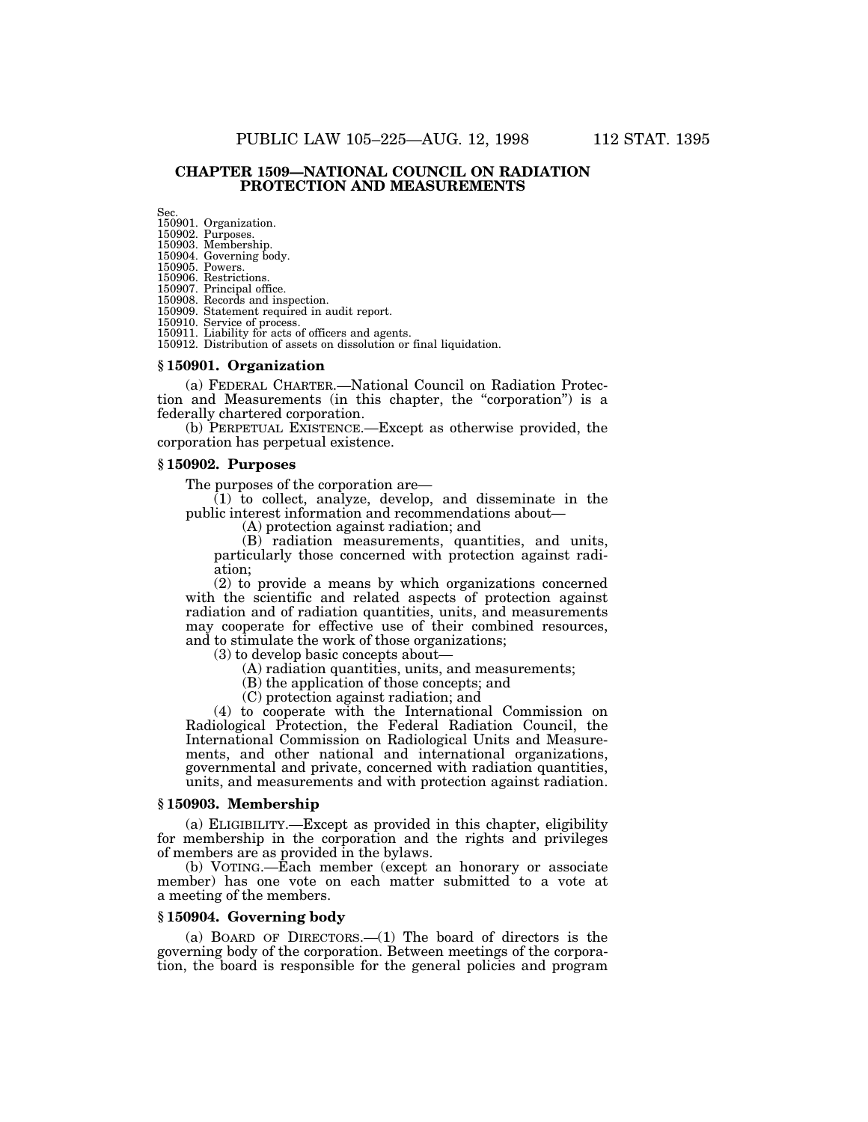# **CHAPTER 1509—NATIONAL COUNCIL ON RADIATION PROTECTION AND MEASUREMENTS**

Sec. 150901. Organization.

150902. Purposes. 150903. Membership.

150904. Governing body. 150905. Powers. 150906. Restrictions. 150907. Principal office. 150908. Records and inspection.

150909. Statement required in audit report.

150910. Service of process. 150911. Liability for acts of officers and agents.

150912. Distribution of assets on dissolution or final liquidation.

## **§ 150901. Organization**

(a) FEDERAL CHARTER.—National Council on Radiation Protection and Measurements (in this chapter, the ''corporation'') is a federally chartered corporation.

(b) PERPETUAL EXISTENCE.—Except as otherwise provided, the corporation has perpetual existence.

## **§ 150902. Purposes**

The purposes of the corporation are—

(1) to collect, analyze, develop, and disseminate in the public interest information and recommendations about—

(A) protection against radiation; and

(B) radiation measurements, quantities, and units, particularly those concerned with protection against radiation;

(2) to provide a means by which organizations concerned with the scientific and related aspects of protection against radiation and of radiation quantities, units, and measurements may cooperate for effective use of their combined resources, and to stimulate the work of those organizations;

(3) to develop basic concepts about—

(A) radiation quantities, units, and measurements;

(B) the application of those concepts; and

(C) protection against radiation; and

(4) to cooperate with the International Commission on Radiological Protection, the Federal Radiation Council, the International Commission on Radiological Units and Measurements, and other national and international organizations, governmental and private, concerned with radiation quantities, units, and measurements and with protection against radiation.

#### **§ 150903. Membership**

(a) ELIGIBILITY.—Except as provided in this chapter, eligibility for membership in the corporation and the rights and privileges of members are as provided in the bylaws.

(b) VOTING.—Each member (except an honorary or associate member) has one vote on each matter submitted to a vote at a meeting of the members.

## **§ 150904. Governing body**

(a) BOARD OF DIRECTORS.—(1) The board of directors is the governing body of the corporation. Between meetings of the corporation, the board is responsible for the general policies and program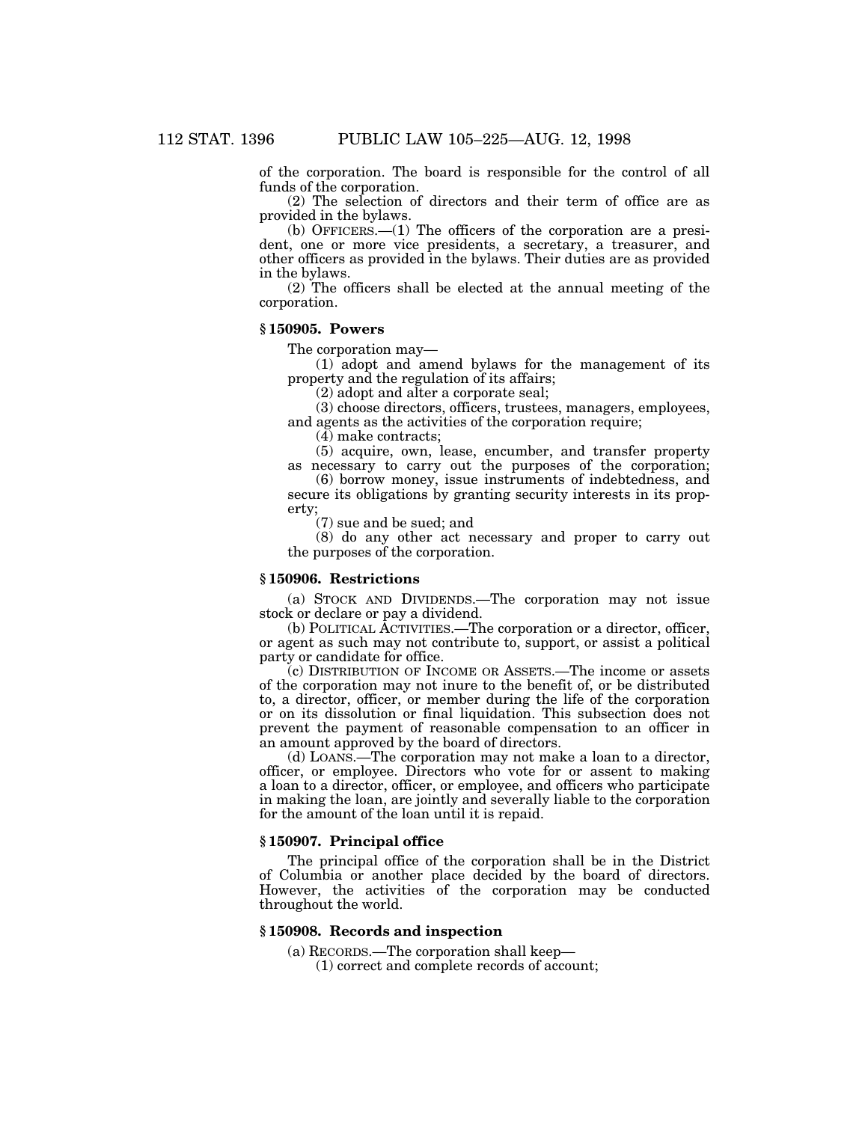of the corporation. The board is responsible for the control of all funds of the corporation.

(2) The selection of directors and their term of office are as provided in the bylaws.

(b) OFFICERS.—(1) The officers of the corporation are a president, one or more vice presidents, a secretary, a treasurer, and other officers as provided in the bylaws. Their duties are as provided in the bylaws.

(2) The officers shall be elected at the annual meeting of the corporation.

## **§ 150905. Powers**

The corporation may—

(1) adopt and amend bylaws for the management of its property and the regulation of its affairs;

(2) adopt and alter a corporate seal;

(3) choose directors, officers, trustees, managers, employees, and agents as the activities of the corporation require;

 $(4)$  make contracts;

(5) acquire, own, lease, encumber, and transfer property as necessary to carry out the purposes of the corporation;

(6) borrow money, issue instruments of indebtedness, and secure its obligations by granting security interests in its property;

(7) sue and be sued; and

(8) do any other act necessary and proper to carry out the purposes of the corporation.

## **§ 150906. Restrictions**

(a) STOCK AND DIVIDENDS.—The corporation may not issue stock or declare or pay a dividend.

(b) POLITICAL ACTIVITIES.—The corporation or a director, officer, or agent as such may not contribute to, support, or assist a political party or candidate for office.

(c) DISTRIBUTION OF INCOME OR ASSETS.—The income or assets of the corporation may not inure to the benefit of, or be distributed to, a director, officer, or member during the life of the corporation or on its dissolution or final liquidation. This subsection does not prevent the payment of reasonable compensation to an officer in an amount approved by the board of directors.

(d) LOANS.—The corporation may not make a loan to a director, officer, or employee. Directors who vote for or assent to making a loan to a director, officer, or employee, and officers who participate in making the loan, are jointly and severally liable to the corporation for the amount of the loan until it is repaid.

## **§ 150907. Principal office**

The principal office of the corporation shall be in the District of Columbia or another place decided by the board of directors. However, the activities of the corporation may be conducted throughout the world.

#### **§ 150908. Records and inspection**

(a) RECORDS.—The corporation shall keep—

(1) correct and complete records of account;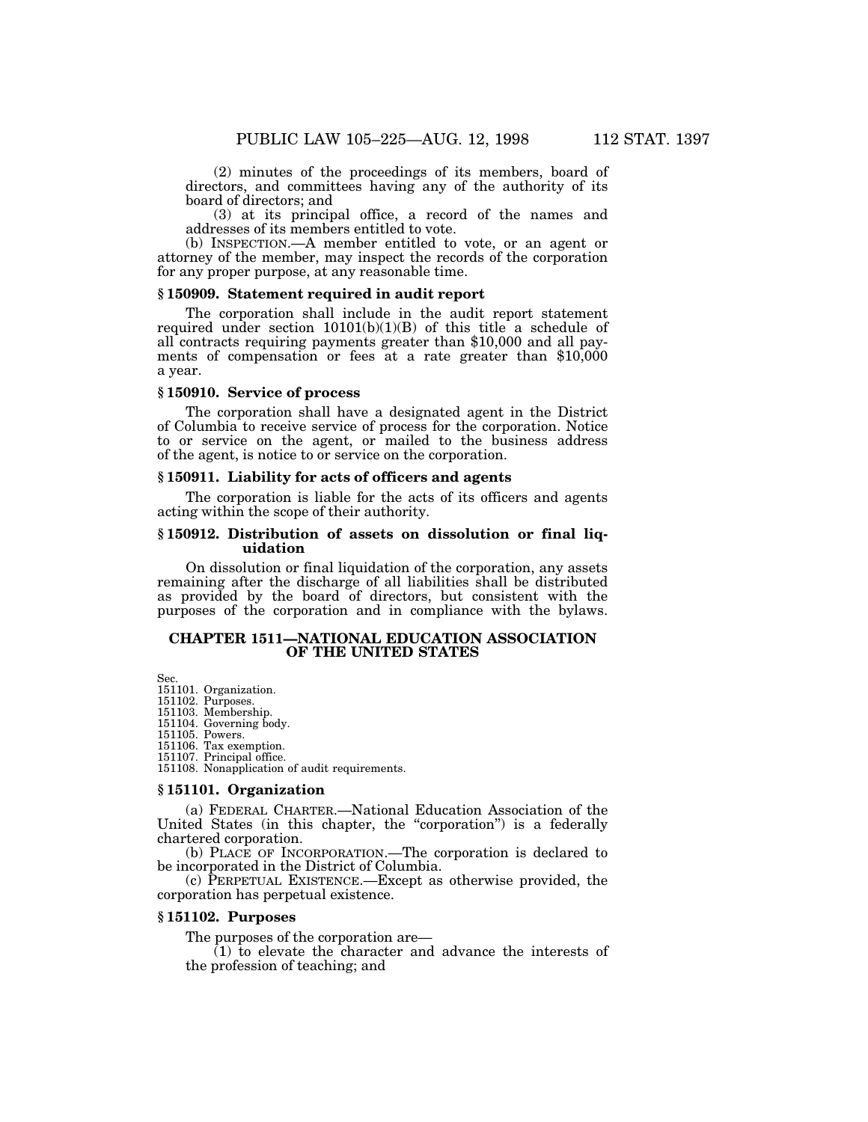(2) minutes of the proceedings of its members, board of directors, and committees having any of the authority of its board of directors; and

(3) at its principal office, a record of the names and addresses of its members entitled to vote.

(b) INSPECTION.—A member entitled to vote, or an agent or attorney of the member, may inspect the records of the corporation for any proper purpose, at any reasonable time.

# **§ 150909. Statement required in audit report**

The corporation shall include in the audit report statement required under section  $10101(b)(1)(B)$  of this title a schedule of all contracts requiring payments greater than \$10,000 and all payments of compensation or fees at a rate greater than \$10,000 a year.

#### **§ 150910. Service of process**

The corporation shall have a designated agent in the District of Columbia to receive service of process for the corporation. Notice to or service on the agent, or mailed to the business address of the agent, is notice to or service on the corporation.

#### **§ 150911. Liability for acts of officers and agents**

The corporation is liable for the acts of its officers and agents acting within the scope of their authority.

#### **§ 150912. Distribution of assets on dissolution or final liquidation**

On dissolution or final liquidation of the corporation, any assets remaining after the discharge of all liabilities shall be distributed as provided by the board of directors, but consistent with the purposes of the corporation and in compliance with the bylaws.

# **CHAPTER 1511—NATIONAL EDUCATION ASSOCIATION OF THE UNITED STATES**

Sec. 151101. Organization. 151102. Purposes. 151103. Membership.

151104. Governing body. 151105. Powers.

151106. Tax exemption. 151107. Principal office.

151108. Nonapplication of audit requirements.

#### **§ 151101. Organization**

(a) FEDERAL CHARTER.—National Education Association of the United States (in this chapter, the ''corporation'') is a federally chartered corporation.

(b) PLACE OF INCORPORATION.—The corporation is declared to be incorporated in the District of Columbia.

(c) PERPETUAL EXISTENCE.—Except as otherwise provided, the corporation has perpetual existence.

#### **§ 151102. Purposes**

The purposes of the corporation are—

(1) to elevate the character and advance the interests of the profession of teaching; and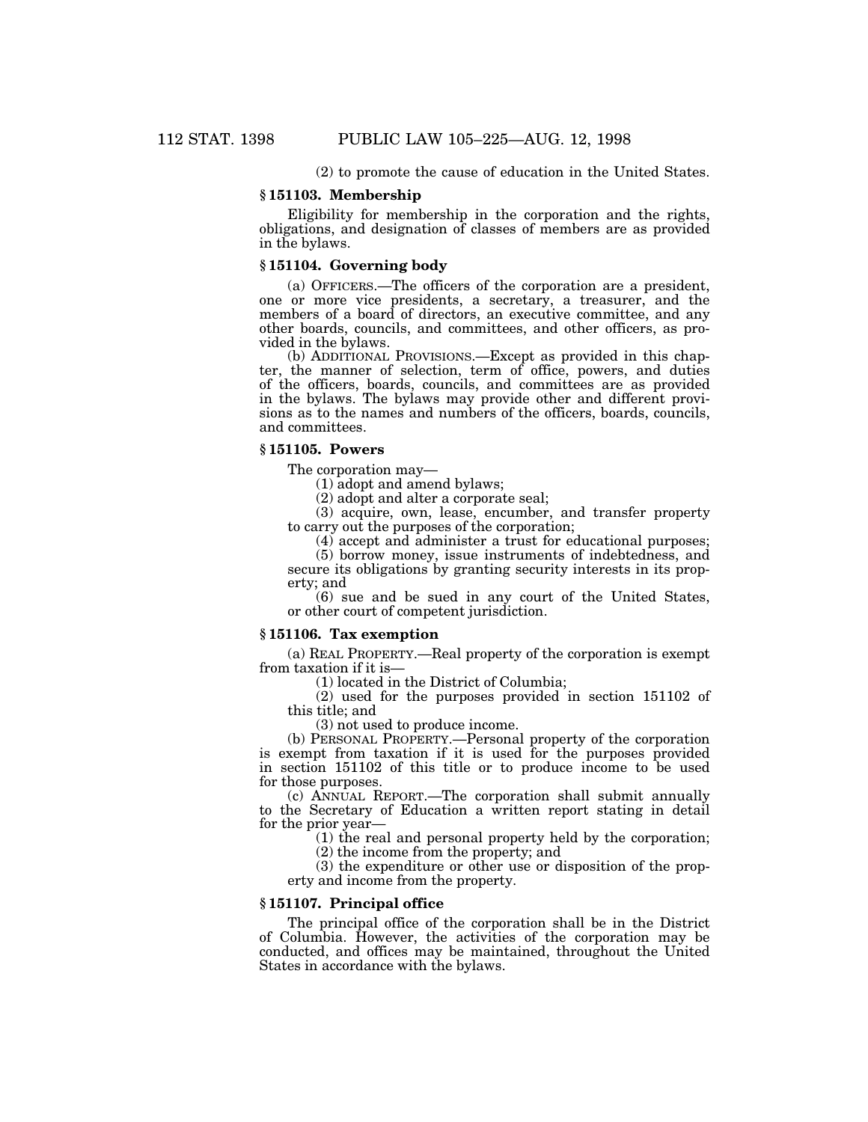(2) to promote the cause of education in the United States.

#### **§ 151103. Membership**

Eligibility for membership in the corporation and the rights, obligations, and designation of classes of members are as provided in the bylaws.

# **§ 151104. Governing body**

(a) OFFICERS.—The officers of the corporation are a president, one or more vice presidents, a secretary, a treasurer, and the members of a board of directors, an executive committee, and any other boards, councils, and committees, and other officers, as provided in the bylaws.

(b) ADDITIONAL PROVISIONS.—Except as provided in this chapter, the manner of selection, term of office, powers, and duties of the officers, boards, councils, and committees are as provided in the bylaws. The bylaws may provide other and different provisions as to the names and numbers of the officers, boards, councils, and committees.

#### **§ 151105. Powers**

The corporation may—

(1) adopt and amend bylaws;

(2) adopt and alter a corporate seal;

(3) acquire, own, lease, encumber, and transfer property to carry out the purposes of the corporation;

(4) accept and administer a trust for educational purposes;

(5) borrow money, issue instruments of indebtedness, and secure its obligations by granting security interests in its property; and

(6) sue and be sued in any court of the United States, or other court of competent jurisdiction.

#### **§ 151106. Tax exemption**

(a) REAL PROPERTY.—Real property of the corporation is exempt from taxation if it is—

(1) located in the District of Columbia;

(2) used for the purposes provided in section 151102 of this title; and

(3) not used to produce income.

(b) PERSONAL PROPERTY.—Personal property of the corporation is exempt from taxation if it is used for the purposes provided in section 151102 of this title or to produce income to be used for those purposes.

(c) ANNUAL REPORT.—The corporation shall submit annually to the Secretary of Education a written report stating in detail for the prior year—

(1) the real and personal property held by the corporation;

(2) the income from the property; and

(3) the expenditure or other use or disposition of the property and income from the property.

#### **§ 151107. Principal office**

The principal office of the corporation shall be in the District of Columbia. However, the activities of the corporation may be conducted, and offices may be maintained, throughout the United States in accordance with the bylaws.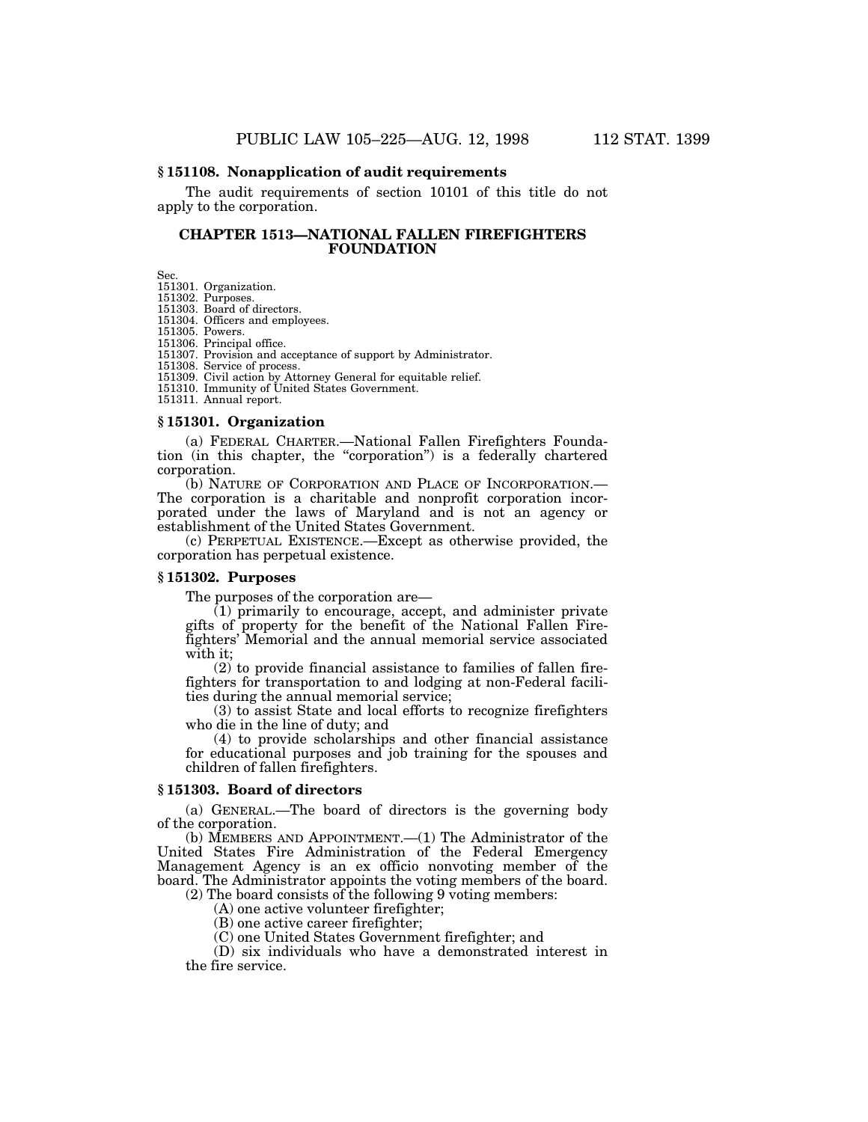## **§ 151108. Nonapplication of audit requirements**

The audit requirements of section 10101 of this title do not apply to the corporation.

# **CHAPTER 1513—NATIONAL FALLEN FIREFIGHTERS FOUNDATION**

Sec.

151301. Organization.

151302. Purposes.

151303. Board of directors. 151304. Officers and employees.

151305. Powers.

151306. Principal office.

151307. Provision and acceptance of support by Administrator.

151308. Service of process.

151309. Civil action by Attorney General for equitable relief.

151310. Immunity of United States Government.

151311. Annual report.

#### **§ 151301. Organization**

(a) FEDERAL CHARTER.—National Fallen Firefighters Foundation (in this chapter, the ''corporation'') is a federally chartered corporation.

(b) NATURE OF CORPORATION AND PLACE OF INCORPORATION.— The corporation is a charitable and nonprofit corporation incorporated under the laws of Maryland and is not an agency or establishment of the United States Government.

(c) PERPETUAL EXISTENCE.—Except as otherwise provided, the corporation has perpetual existence.

# **§ 151302. Purposes**

The purposes of the corporation are—

(1) primarily to encourage, accept, and administer private gifts of property for the benefit of the National Fallen Firefighters' Memorial and the annual memorial service associated with it;

(2) to provide financial assistance to families of fallen firefighters for transportation to and lodging at non-Federal facilities during the annual memorial service;

(3) to assist State and local efforts to recognize firefighters who die in the line of duty; and

(4) to provide scholarships and other financial assistance for educational purposes and job training for the spouses and children of fallen firefighters.

#### **§ 151303. Board of directors**

(a) GENERAL.—The board of directors is the governing body of the corporation.

(b) MEMBERS AND APPOINTMENT.—(1) The Administrator of the United States Fire Administration of the Federal Emergency Management Agency is an ex officio nonvoting member of the board. The Administrator appoints the voting members of the board. (2) The board consists of the following 9 voting members:

(A) one active volunteer firefighter;

(B) one active career firefighter;

(C) one United States Government firefighter; and

(D) six individuals who have a demonstrated interest in the fire service.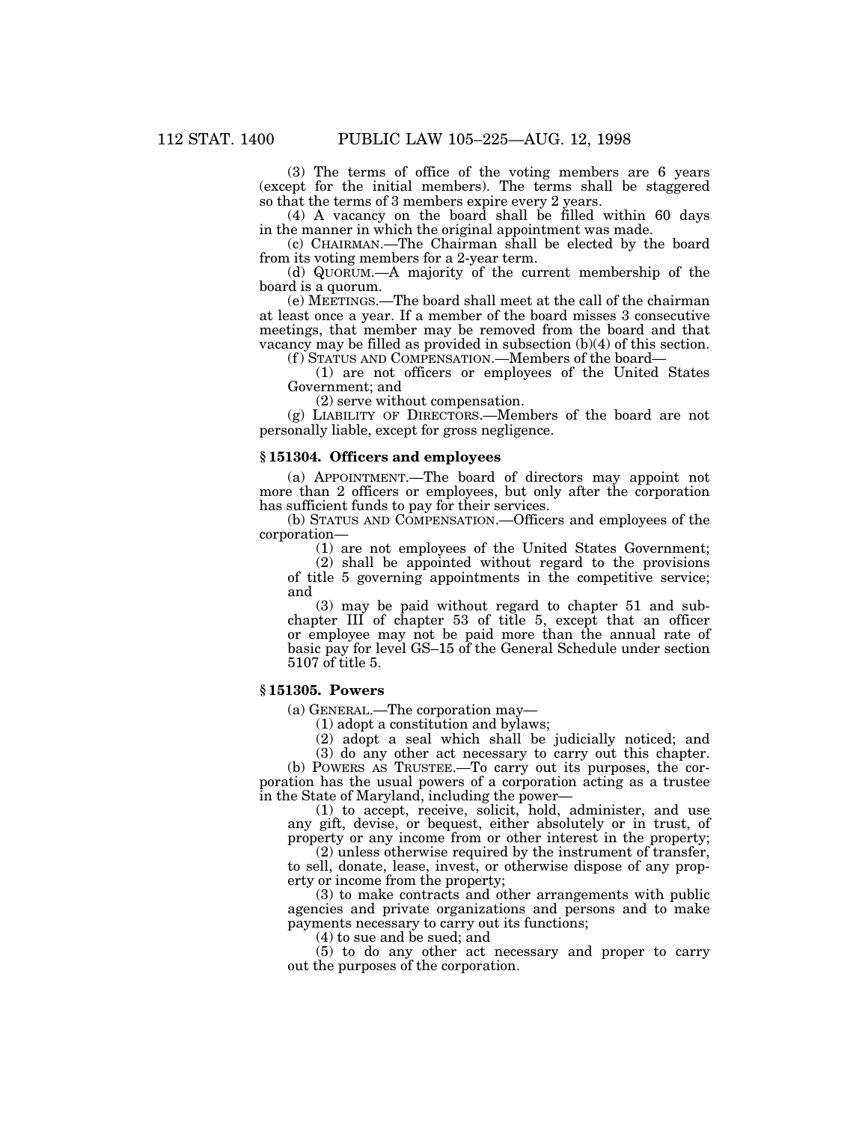(3) The terms of office of the voting members are 6 years (except for the initial members). The terms shall be staggered so that the terms of 3 members expire every 2 years.

(4) A vacancy on the board shall be filled within 60 days in the manner in which the original appointment was made.

(c) CHAIRMAN.—The Chairman shall be elected by the board from its voting members for a 2-year term.

(d) QUORUM.—A majority of the current membership of the board is a quorum.

(e) MEETINGS.—The board shall meet at the call of the chairman at least once a year. If a member of the board misses 3 consecutive meetings, that member may be removed from the board and that vacancy may be filled as provided in subsection (b)(4) of this section.

(f ) STATUS AND COMPENSATION.—Members of the board—

(1) are not officers or employees of the United States Government; and

(2) serve without compensation.

(g) LIABILITY OF DIRECTORS.—Members of the board are not personally liable, except for gross negligence.

#### **§ 151304. Officers and employees**

(a) APPOINTMENT.—The board of directors may appoint not more than 2 officers or employees, but only after the corporation has sufficient funds to pay for their services.

(b) STATUS AND COMPENSATION.—Officers and employees of the corporation—

(1) are not employees of the United States Government;

(2) shall be appointed without regard to the provisions of title 5 governing appointments in the competitive service; and

(3) may be paid without regard to chapter 51 and subchapter III of chapter 53 of title 5, except that an officer or employee may not be paid more than the annual rate of basic pay for level GS–15 of the General Schedule under section 5107 of title 5.

#### **§ 151305. Powers**

(a) GENERAL.—The corporation may—

(1) adopt a constitution and bylaws;

(2) adopt a seal which shall be judicially noticed; and

(3) do any other act necessary to carry out this chapter. (b) POWERS AS TRUSTEE.—To carry out its purposes, the cor-

poration has the usual powers of a corporation acting as a trustee in the State of Maryland, including the power—

(1) to accept, receive, solicit, hold, administer, and use any gift, devise, or bequest, either absolutely or in trust, of property or any income from or other interest in the property;

(2) unless otherwise required by the instrument of transfer, to sell, donate, lease, invest, or otherwise dispose of any property or income from the property;

(3) to make contracts and other arrangements with public agencies and private organizations and persons and to make payments necessary to carry out its functions;

(4) to sue and be sued; and

(5) to do any other act necessary and proper to carry out the purposes of the corporation.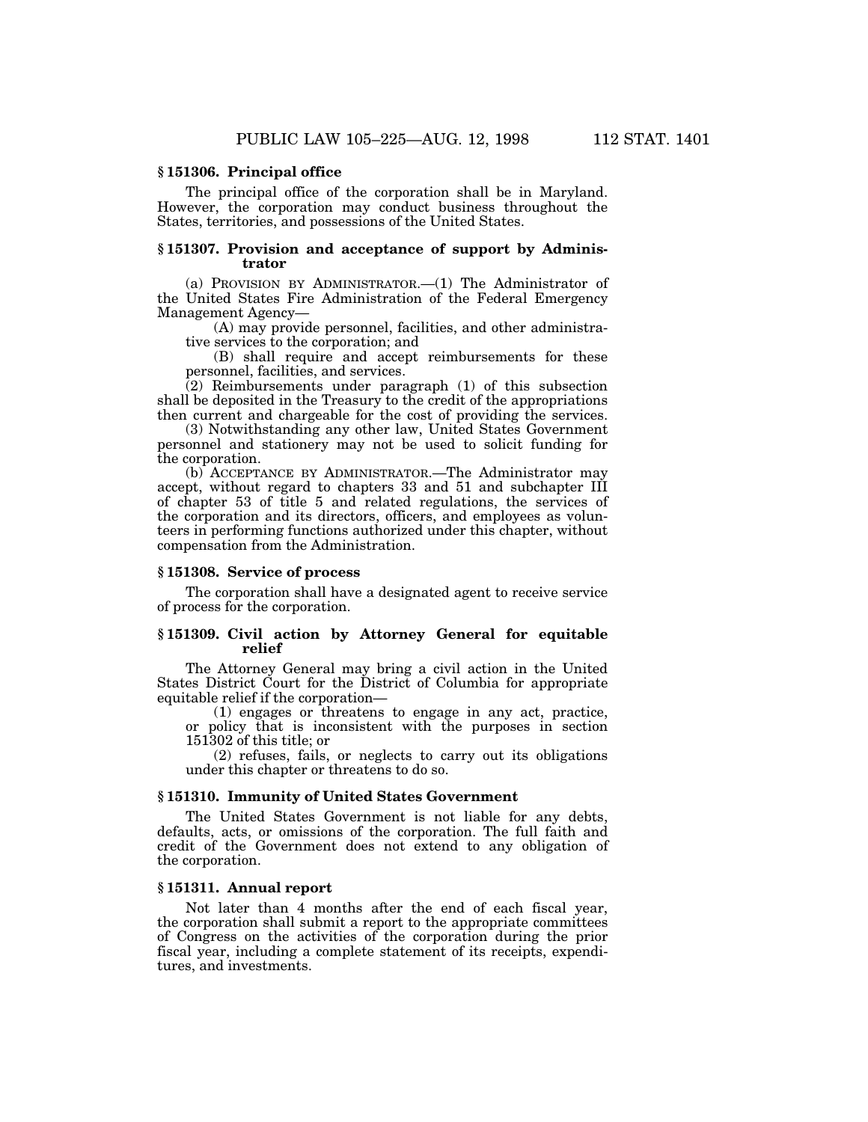## **§ 151306. Principal office**

The principal office of the corporation shall be in Maryland. However, the corporation may conduct business throughout the States, territories, and possessions of the United States.

#### **§ 151307. Provision and acceptance of support by Administrator**

(a) PROVISION BY ADMINISTRATOR.—(1) The Administrator of the United States Fire Administration of the Federal Emergency Management Agency—

(A) may provide personnel, facilities, and other administrative services to the corporation; and

(B) shall require and accept reimbursements for these personnel, facilities, and services.

(2) Reimbursements under paragraph (1) of this subsection shall be deposited in the Treasury to the credit of the appropriations then current and chargeable for the cost of providing the services.

(3) Notwithstanding any other law, United States Government personnel and stationery may not be used to solicit funding for the corporation.

(b) ACCEPTANCE BY ADMINISTRATOR.—The Administrator may accept, without regard to chapters 33 and 51 and subchapter III of chapter 53 of title 5 and related regulations, the services of the corporation and its directors, officers, and employees as volunteers in performing functions authorized under this chapter, without compensation from the Administration.

## **§ 151308. Service of process**

The corporation shall have a designated agent to receive service of process for the corporation.

#### **§ 151309. Civil action by Attorney General for equitable relief**

The Attorney General may bring a civil action in the United States District Court for the District of Columbia for appropriate equitable relief if the corporation—

(1) engages or threatens to engage in any act, practice, or policy that is inconsistent with the purposes in section 151302 of this title; or

(2) refuses, fails, or neglects to carry out its obligations under this chapter or threatens to do so.

#### **§ 151310. Immunity of United States Government**

The United States Government is not liable for any debts, defaults, acts, or omissions of the corporation. The full faith and credit of the Government does not extend to any obligation of the corporation.

## **§ 151311. Annual report**

Not later than 4 months after the end of each fiscal year, the corporation shall submit a report to the appropriate committees of Congress on the activities of the corporation during the prior fiscal year, including a complete statement of its receipts, expenditures, and investments.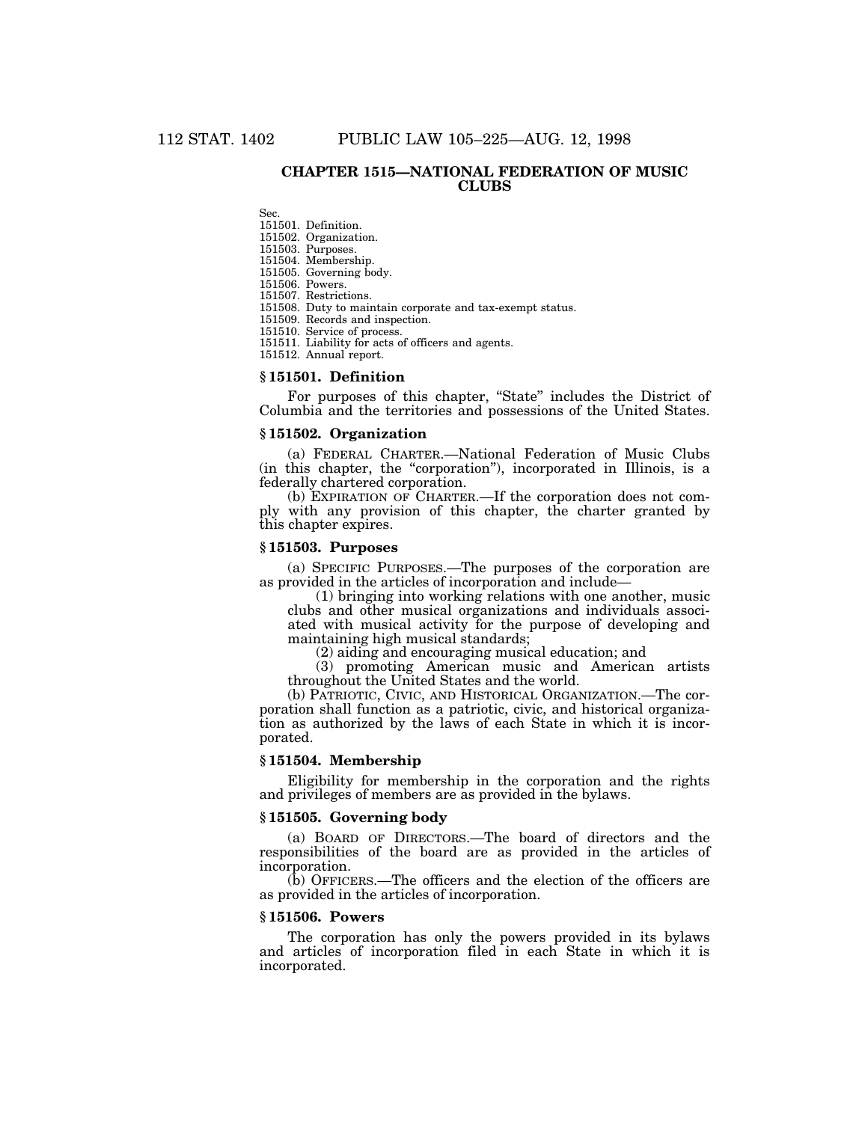# **CHAPTER 1515—NATIONAL FEDERATION OF MUSIC CLUBS**

Sec.

151501. Definition.

151502. Organization.

151503. Purposes.

151504. Membership. 151505. Governing body.

151506. Powers.

151507. Restrictions.

151508. Duty to maintain corporate and tax-exempt status.

151509. Records and inspection.

151510. Service of process.

151511. Liability for acts of officers and agents.

151512. Annual report.

#### **§ 151501. Definition**

For purposes of this chapter, "State" includes the District of Columbia and the territories and possessions of the United States.

#### **§ 151502. Organization**

(a) FEDERAL CHARTER.—National Federation of Music Clubs (in this chapter, the ''corporation''), incorporated in Illinois, is a federally chartered corporation.

(b) EXPIRATION OF CHARTER.—If the corporation does not comply with any provision of this chapter, the charter granted by this chapter expires.

#### **§ 151503. Purposes**

(a) SPECIFIC PURPOSES.—The purposes of the corporation are as provided in the articles of incorporation and include—

(1) bringing into working relations with one another, music clubs and other musical organizations and individuals associated with musical activity for the purpose of developing and maintaining high musical standards;

(2) aiding and encouraging musical education; and

(3) promoting American music and American artists throughout the United States and the world.

(b) PATRIOTIC, CIVIC, AND HISTORICAL ORGANIZATION.—The corporation shall function as a patriotic, civic, and historical organization as authorized by the laws of each State in which it is incorporated.

#### **§ 151504. Membership**

Eligibility for membership in the corporation and the rights and privileges of members are as provided in the bylaws.

# **§ 151505. Governing body**

(a) BOARD OF DIRECTORS.—The board of directors and the responsibilities of the board are as provided in the articles of incorporation.

(b) OFFICERS.—The officers and the election of the officers are as provided in the articles of incorporation.

#### **§ 151506. Powers**

The corporation has only the powers provided in its bylaws and articles of incorporation filed in each State in which it is incorporated.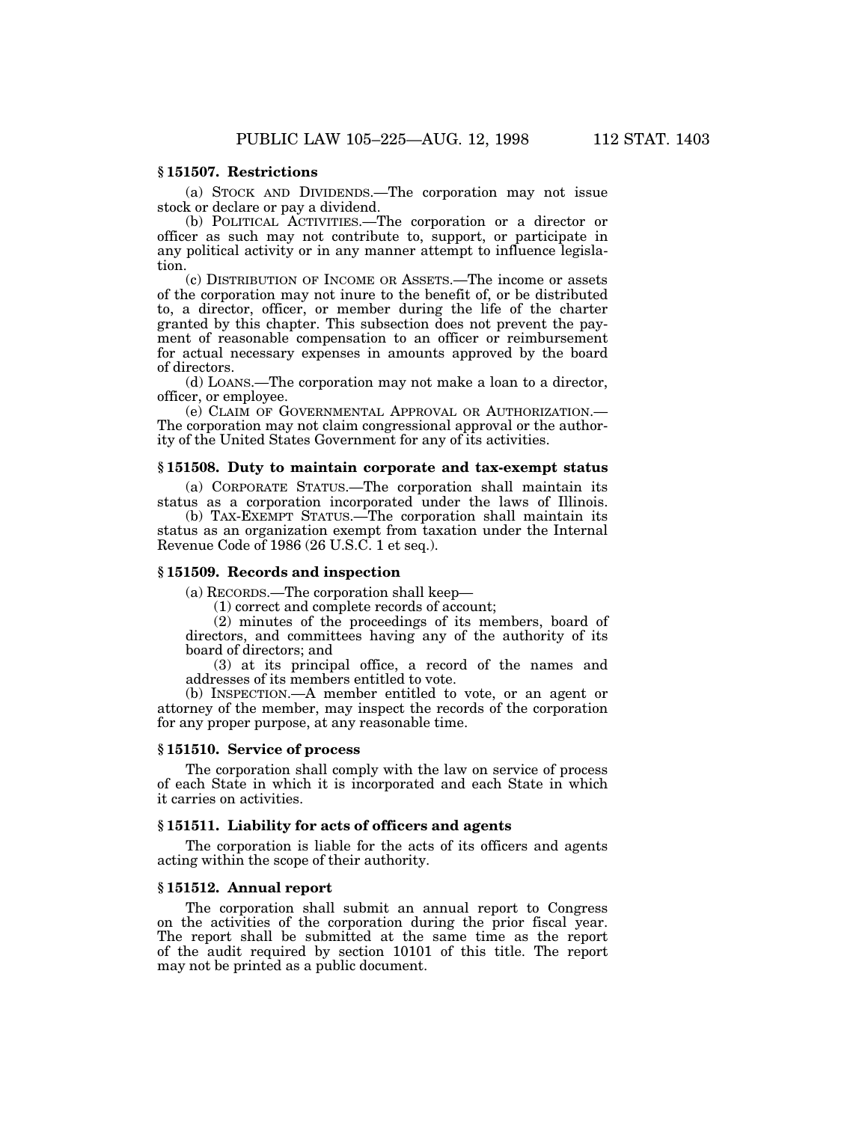## **§ 151507. Restrictions**

(a) STOCK AND DIVIDENDS.—The corporation may not issue stock or declare or pay a dividend.

(b) POLITICAL ACTIVITIES.—The corporation or a director or officer as such may not contribute to, support, or participate in any political activity or in any manner attempt to influence legislation.

(c) DISTRIBUTION OF INCOME OR ASSETS.—The income or assets of the corporation may not inure to the benefit of, or be distributed to, a director, officer, or member during the life of the charter granted by this chapter. This subsection does not prevent the payment of reasonable compensation to an officer or reimbursement for actual necessary expenses in amounts approved by the board of directors.

(d) LOANS.—The corporation may not make a loan to a director, officer, or employee.

(e) CLAIM OF GOVERNMENTAL APPROVAL OR AUTHORIZATION.— The corporation may not claim congressional approval or the authority of the United States Government for any of its activities.

# **§ 151508. Duty to maintain corporate and tax-exempt status**

(a) CORPORATE STATUS.—The corporation shall maintain its status as a corporation incorporated under the laws of Illinois.

(b) TAX-EXEMPT STATUS.—The corporation shall maintain its status as an organization exempt from taxation under the Internal Revenue Code of 1986 (26 U.S.C. 1 et seq.).

#### **§ 151509. Records and inspection**

(a) RECORDS.—The corporation shall keep—

(1) correct and complete records of account;

(2) minutes of the proceedings of its members, board of directors, and committees having any of the authority of its board of directors; and

(3) at its principal office, a record of the names and addresses of its members entitled to vote.

(b) INSPECTION.—A member entitled to vote, or an agent or attorney of the member, may inspect the records of the corporation for any proper purpose, at any reasonable time.

#### **§ 151510. Service of process**

The corporation shall comply with the law on service of process of each State in which it is incorporated and each State in which it carries on activities.

## **§ 151511. Liability for acts of officers and agents**

The corporation is liable for the acts of its officers and agents acting within the scope of their authority.

## **§ 151512. Annual report**

The corporation shall submit an annual report to Congress on the activities of the corporation during the prior fiscal year. The report shall be submitted at the same time as the report of the audit required by section 10101 of this title. The report may not be printed as a public document.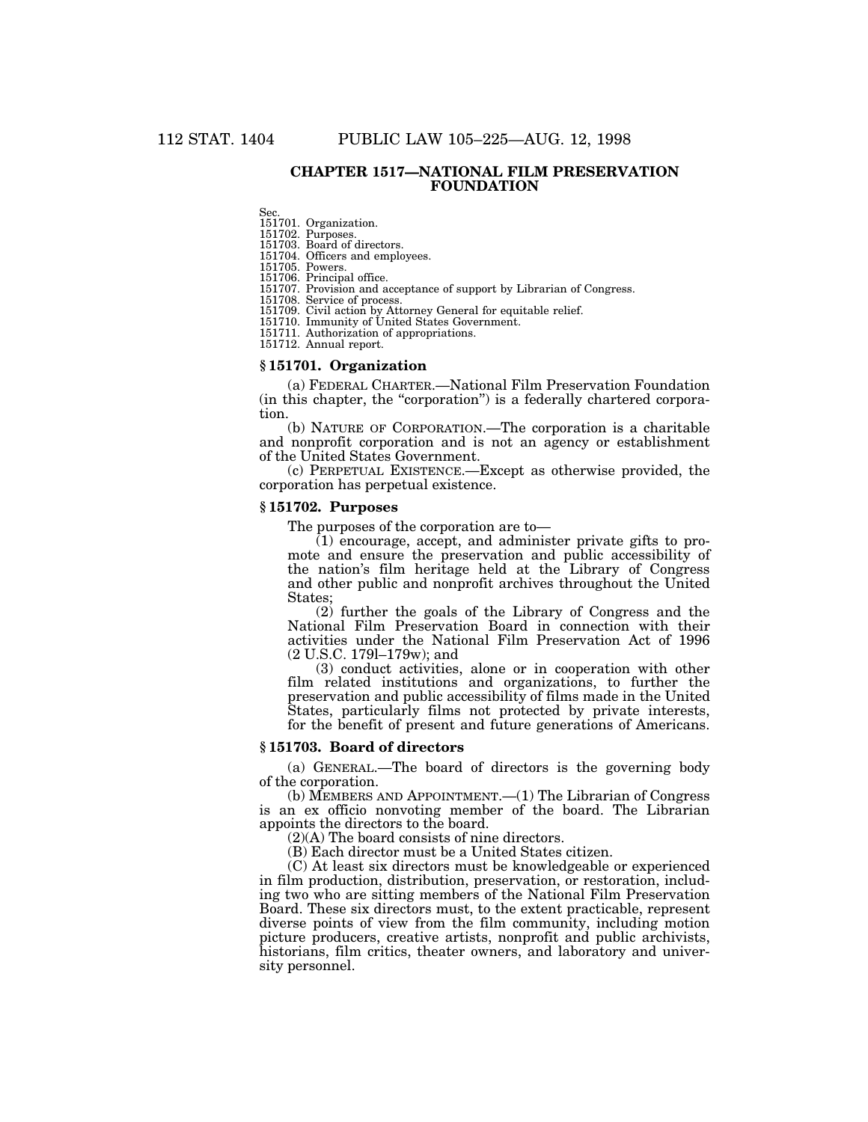# **CHAPTER 1517—NATIONAL FILM PRESERVATION FOUNDATION**

Sec.

151701. Organization. 151702. Purposes. 151703. Board of directors.

151704. Officers and employees. 151705. Powers. 151706. Principal office. 151707. Provision and acceptance of support by Librarian of Congress.

151708. Service of process. 151709. Civil action by Attorney General for equitable relief.

151710. Immunity of United States Government.

151711. Authorization of appropriations.

151712. Annual report.

#### **§ 151701. Organization**

(a) FEDERAL CHARTER.—National Film Preservation Foundation (in this chapter, the "corporation") is a federally chartered corporation.

(b) NATURE OF CORPORATION.—The corporation is a charitable and nonprofit corporation and is not an agency or establishment of the United States Government.

(c) PERPETUAL EXISTENCE.—Except as otherwise provided, the corporation has perpetual existence.

#### **§ 151702. Purposes**

The purposes of the corporation are to—

(1) encourage, accept, and administer private gifts to promote and ensure the preservation and public accessibility of the nation's film heritage held at the Library of Congress and other public and nonprofit archives throughout the United States;

(2) further the goals of the Library of Congress and the National Film Preservation Board in connection with their activities under the National Film Preservation Act of 1996 (2 U.S.C. 179l–179w); and

(3) conduct activities, alone or in cooperation with other film related institutions and organizations, to further the preservation and public accessibility of films made in the United States, particularly films not protected by private interests, for the benefit of present and future generations of Americans.

#### **§ 151703. Board of directors**

(a) GENERAL.—The board of directors is the governing body of the corporation.

(b) MEMBERS AND APPOINTMENT.—(1) The Librarian of Congress is an ex officio nonvoting member of the board. The Librarian appoints the directors to the board.

(2)(A) The board consists of nine directors.

(B) Each director must be a United States citizen.

(C) At least six directors must be knowledgeable or experienced in film production, distribution, preservation, or restoration, including two who are sitting members of the National Film Preservation Board. These six directors must, to the extent practicable, represent diverse points of view from the film community, including motion picture producers, creative artists, nonprofit and public archivists, historians, film critics, theater owners, and laboratory and university personnel.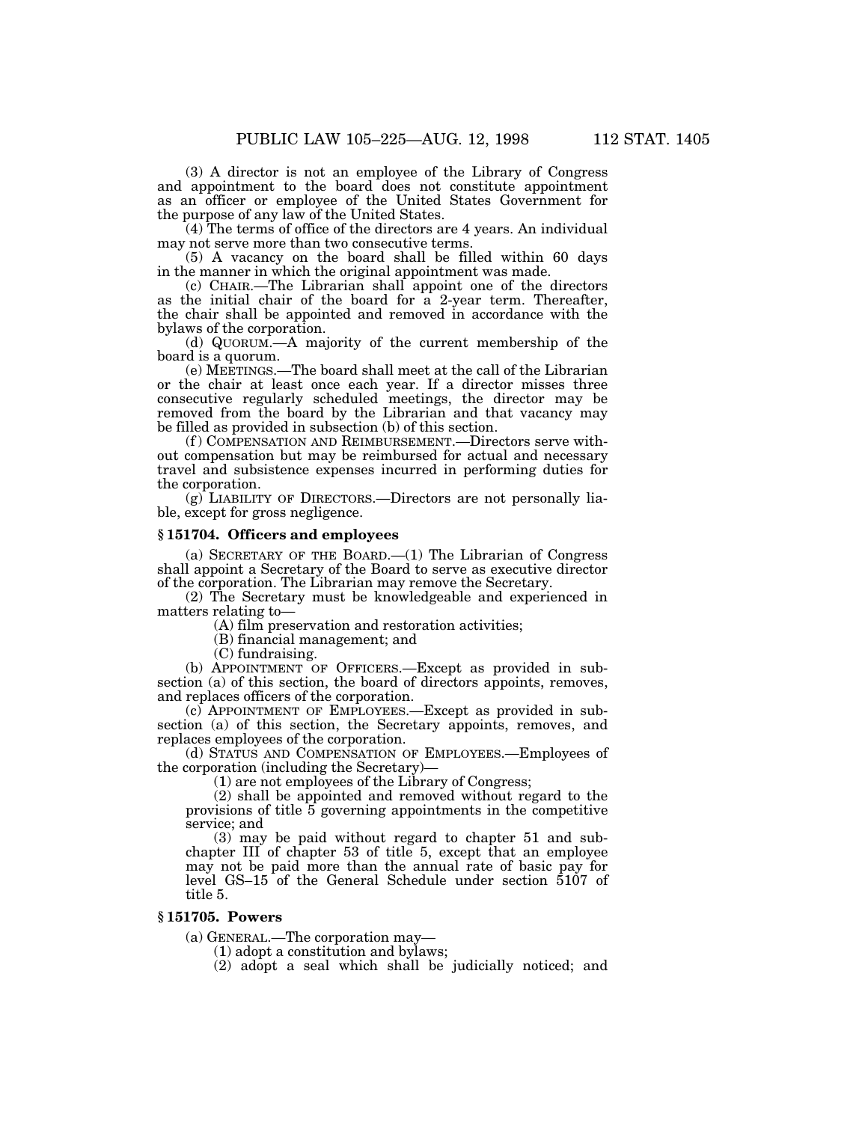(3) A director is not an employee of the Library of Congress and appointment to the board does not constitute appointment as an officer or employee of the United States Government for the purpose of any law of the United States.

(4) The terms of office of the directors are 4 years. An individual may not serve more than two consecutive terms.

(5) A vacancy on the board shall be filled within 60 days in the manner in which the original appointment was made.

(c) CHAIR.—The Librarian shall appoint one of the directors as the initial chair of the board for a 2-year term. Thereafter, the chair shall be appointed and removed in accordance with the bylaws of the corporation.

(d) QUORUM.—A majority of the current membership of the board is a quorum.

(e) MEETINGS.—The board shall meet at the call of the Librarian or the chair at least once each year. If a director misses three consecutive regularly scheduled meetings, the director may be removed from the board by the Librarian and that vacancy may be filled as provided in subsection (b) of this section.

(f) COMPENSATION AND REIMBURSEMENT.—Directors serve without compensation but may be reimbursed for actual and necessary travel and subsistence expenses incurred in performing duties for the corporation.

(g) LIABILITY OF DIRECTORS.—Directors are not personally liable, except for gross negligence.

## **§ 151704. Officers and employees**

(a) SECRETARY OF THE BOARD.—(1) The Librarian of Congress shall appoint a Secretary of the Board to serve as executive director of the corporation. The Librarian may remove the Secretary.

(2) The Secretary must be knowledgeable and experienced in matters relating to—

(A) film preservation and restoration activities;

(B) financial management; and

(C) fundraising.

(b) APPOINTMENT OF OFFICERS.—Except as provided in subsection (a) of this section, the board of directors appoints, removes, and replaces officers of the corporation.

(c) APPOINTMENT OF EMPLOYEES.—Except as provided in subsection (a) of this section, the Secretary appoints, removes, and replaces employees of the corporation.

(d) STATUS AND COMPENSATION OF EMPLOYEES.—Employees of the corporation (including the Secretary)—

(1) are not employees of the Library of Congress;

(2) shall be appointed and removed without regard to the provisions of title 5 governing appointments in the competitive service; and

(3) may be paid without regard to chapter 51 and subchapter III of chapter 53 of title 5, except that an employee may not be paid more than the annual rate of basic pay for level GS–15 of the General Schedule under section 5107 of title 5.

# **§ 151705. Powers**

(a) GENERAL.—The corporation may—

(1) adopt a constitution and bylaws;

(2) adopt a seal which shall be judicially noticed; and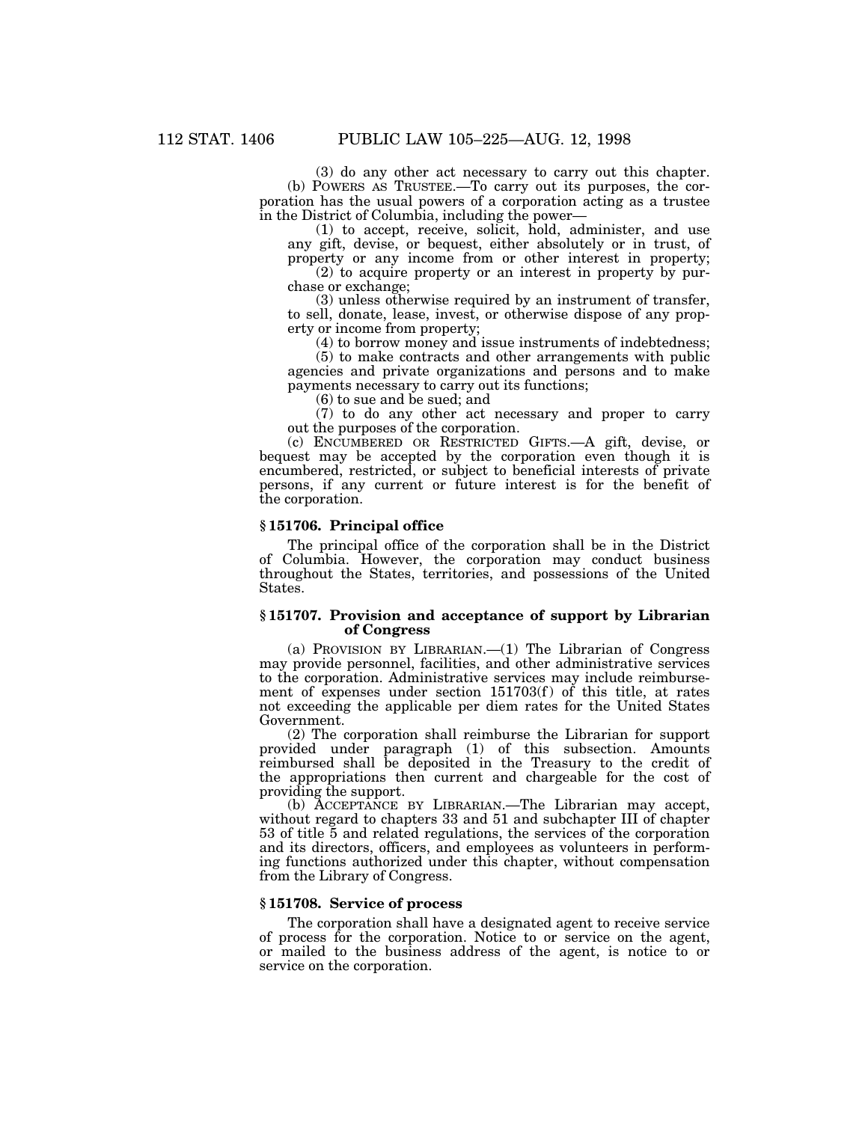(3) do any other act necessary to carry out this chapter. (b) POWERS AS TRUSTEE.—To carry out its purposes, the corporation has the usual powers of a corporation acting as a trustee in the District of Columbia, including the power—

(1) to accept, receive, solicit, hold, administer, and use any gift, devise, or bequest, either absolutely or in trust, of property or any income from or other interest in property;

(2) to acquire property or an interest in property by purchase or exchange;

(3) unless otherwise required by an instrument of transfer, to sell, donate, lease, invest, or otherwise dispose of any property or income from property;

(4) to borrow money and issue instruments of indebtedness;

(5) to make contracts and other arrangements with public agencies and private organizations and persons and to make payments necessary to carry out its functions;

(6) to sue and be sued; and

(7) to do any other act necessary and proper to carry out the purposes of the corporation.

(c) ENCUMBERED OR RESTRICTED GIFTS.—A gift, devise, or bequest may be accepted by the corporation even though it is encumbered, restricted, or subject to beneficial interests of private persons, if any current or future interest is for the benefit of the corporation.

#### **§ 151706. Principal office**

The principal office of the corporation shall be in the District of Columbia. However, the corporation may conduct business throughout the States, territories, and possessions of the United States.

## **§ 151707. Provision and acceptance of support by Librarian of Congress**

(a) PROVISION BY LIBRARIAN.—(1) The Librarian of Congress may provide personnel, facilities, and other administrative services to the corporation. Administrative services may include reimbursement of expenses under section  $151703(f)$  of this title, at rates not exceeding the applicable per diem rates for the United States Government.

(2) The corporation shall reimburse the Librarian for support provided under paragraph (1) of this subsection. Amounts reimbursed shall be deposited in the Treasury to the credit of the appropriations then current and chargeable for the cost of providing the support.

(b) ACCEPTANCE BY LIBRARIAN.—The Librarian may accept, without regard to chapters 33 and 51 and subchapter III of chapter 53 of title 5 and related regulations, the services of the corporation and its directors, officers, and employees as volunteers in performing functions authorized under this chapter, without compensation from the Library of Congress.

#### **§ 151708. Service of process**

The corporation shall have a designated agent to receive service of process for the corporation. Notice to or service on the agent, or mailed to the business address of the agent, is notice to or service on the corporation.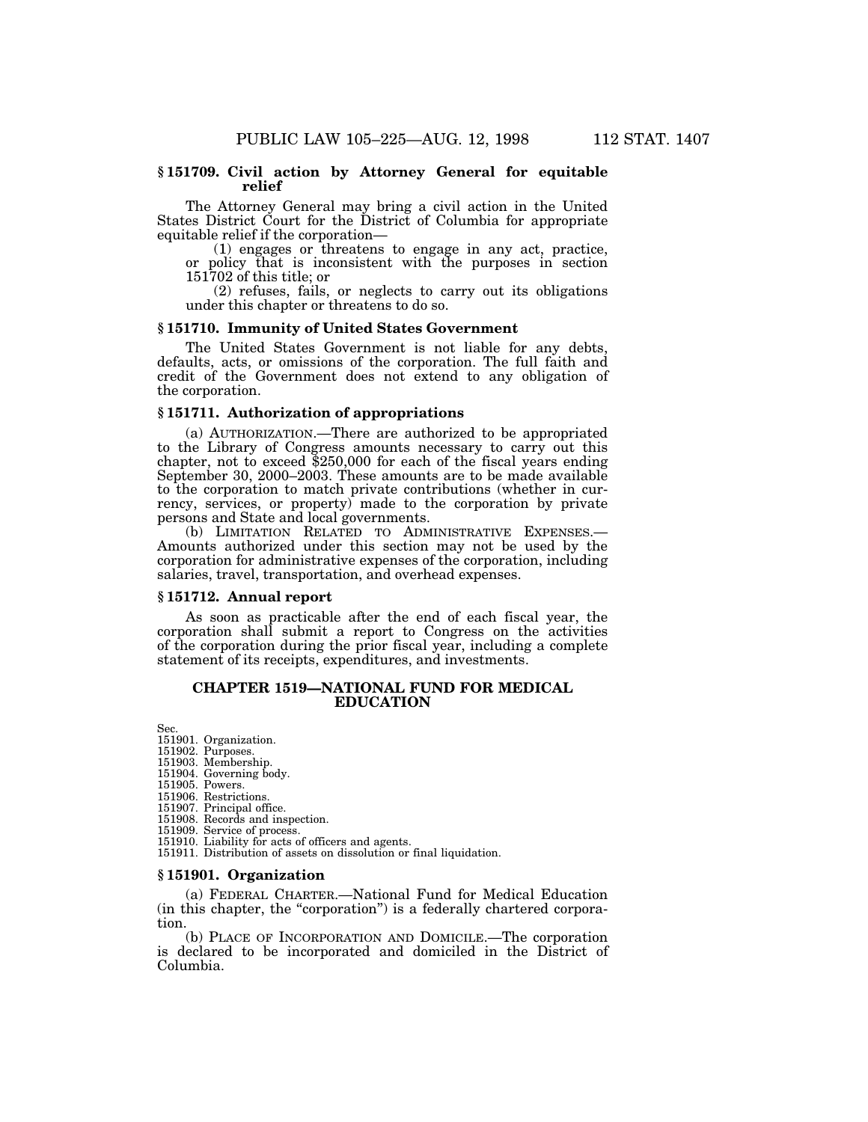## **§ 151709. Civil action by Attorney General for equitable relief**

The Attorney General may bring a civil action in the United States District Court for the District of Columbia for appropriate equitable relief if the corporation—

(1) engages or threatens to engage in any act, practice, or policy that is inconsistent with the purposes in section 151702 of this title; or

(2) refuses, fails, or neglects to carry out its obligations under this chapter or threatens to do so.

#### **§ 151710. Immunity of United States Government**

The United States Government is not liable for any debts, defaults, acts, or omissions of the corporation. The full faith and credit of the Government does not extend to any obligation of the corporation.

## **§ 151711. Authorization of appropriations**

(a) AUTHORIZATION.—There are authorized to be appropriated to the Library of Congress amounts necessary to carry out this chapter, not to exceed \$250,000 for each of the fiscal years ending September 30, 2000–2003. These amounts are to be made available to the corporation to match private contributions (whether in currency, services, or property) made to the corporation by private persons and State and local governments.

(b) LIMITATION RELATED TO ADMINISTRATIVE EXPENSES.— Amounts authorized under this section may not be used by the corporation for administrative expenses of the corporation, including salaries, travel, transportation, and overhead expenses.

#### **§ 151712. Annual report**

As soon as practicable after the end of each fiscal year, the corporation shall submit a report to Congress on the activities of the corporation during the prior fiscal year, including a complete statement of its receipts, expenditures, and investments.

## **CHAPTER 1519—NATIONAL FUND FOR MEDICAL EDUCATION**

Sec.

- 151901. Organization.
- 151902. Purposes. 151903. Membership.
- 151904. Governing body.
- 151905. Powers.
- 151906. Restrictions.
- 151907. Principal office.
- 151908. Records and inspection.
- 151909. Service of process.
- 151910. Liability for acts of officers and agents.
- 151911. Distribution of assets on dissolution or final liquidation.

#### **§ 151901. Organization**

(a) FEDERAL CHARTER.—National Fund for Medical Education (in this chapter, the ''corporation'') is a federally chartered corporation.

(b) PLACE OF INCORPORATION AND DOMICILE.—The corporation is declared to be incorporated and domiciled in the District of Columbia.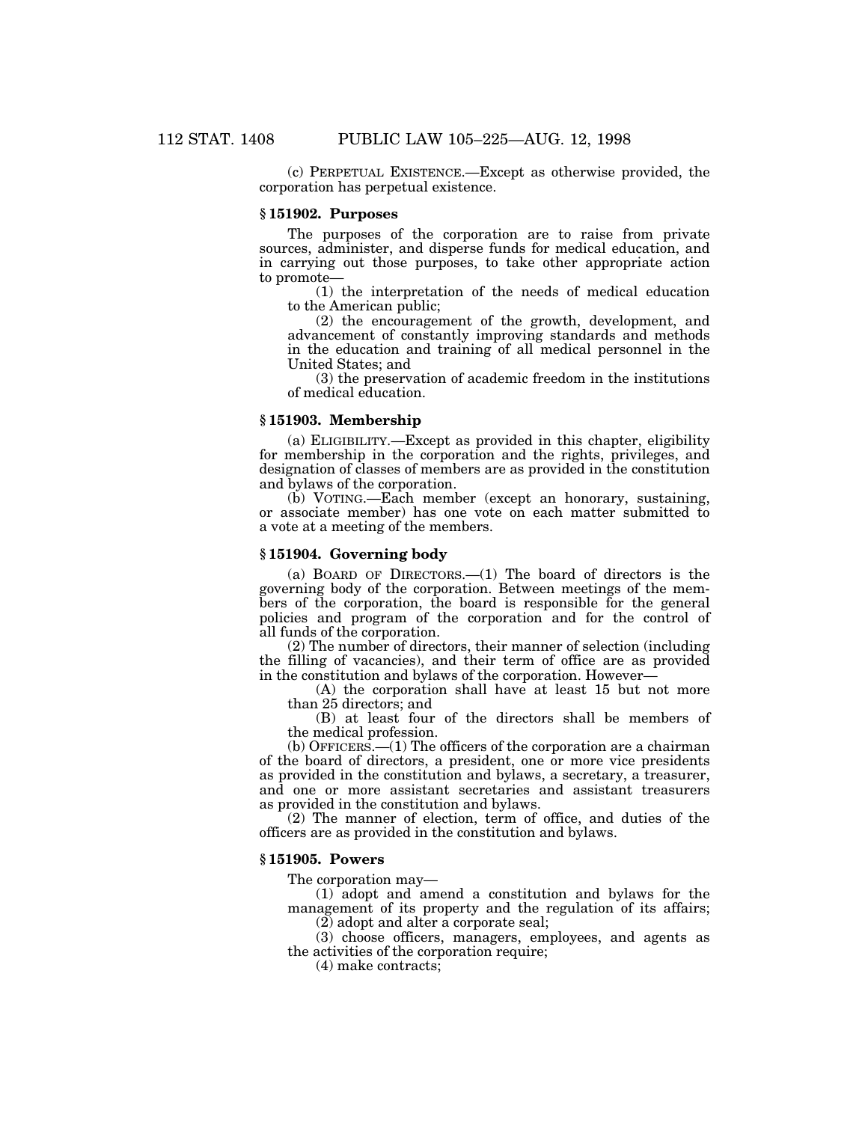(c) PERPETUAL EXISTENCE.—Except as otherwise provided, the corporation has perpetual existence.

## **§ 151902. Purposes**

The purposes of the corporation are to raise from private sources, administer, and disperse funds for medical education, and in carrying out those purposes, to take other appropriate action to promote—

(1) the interpretation of the needs of medical education to the American public;

(2) the encouragement of the growth, development, and advancement of constantly improving standards and methods in the education and training of all medical personnel in the United States; and

(3) the preservation of academic freedom in the institutions of medical education.

## **§ 151903. Membership**

(a) ELIGIBILITY.—Except as provided in this chapter, eligibility for membership in the corporation and the rights, privileges, and designation of classes of members are as provided in the constitution and bylaws of the corporation.

(b) VOTING.—Each member (except an honorary, sustaining, or associate member) has one vote on each matter submitted to a vote at a meeting of the members.

## **§ 151904. Governing body**

(a) BOARD OF DIRECTORS.—(1) The board of directors is the governing body of the corporation. Between meetings of the members of the corporation, the board is responsible for the general policies and program of the corporation and for the control of all funds of the corporation.

(2) The number of directors, their manner of selection (including the filling of vacancies), and their term of office are as provided in the constitution and bylaws of the corporation. However—

(A) the corporation shall have at least 15 but not more than 25 directors; and

(B) at least four of the directors shall be members of the medical profession.

(b) OFFICERS.—(1) The officers of the corporation are a chairman of the board of directors, a president, one or more vice presidents as provided in the constitution and bylaws, a secretary, a treasurer, and one or more assistant secretaries and assistant treasurers as provided in the constitution and bylaws.

(2) The manner of election, term of office, and duties of the officers are as provided in the constitution and bylaws.

#### **§ 151905. Powers**

The corporation may—

(1) adopt and amend a constitution and bylaws for the management of its property and the regulation of its affairs; (2) adopt and alter a corporate seal;

(3) choose officers, managers, employees, and agents as the activities of the corporation require;

(4) make contracts;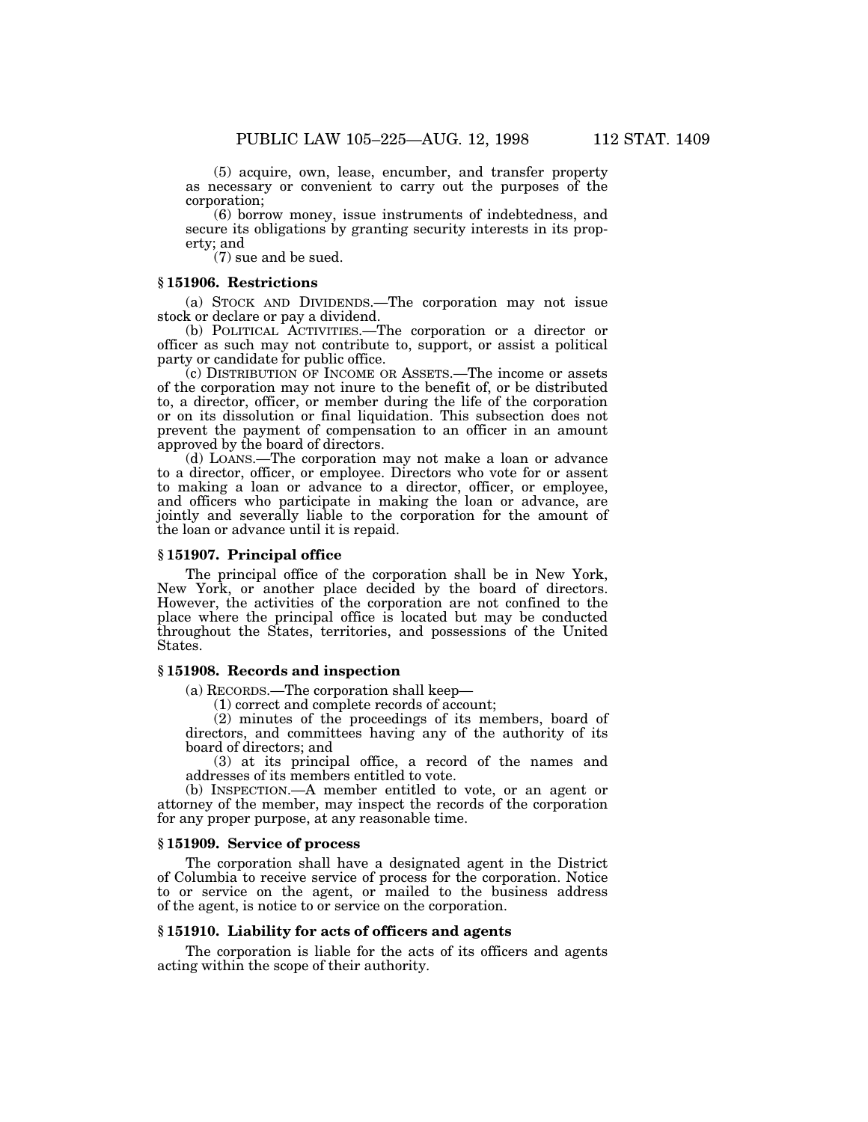(5) acquire, own, lease, encumber, and transfer property as necessary or convenient to carry out the purposes of the corporation;

(6) borrow money, issue instruments of indebtedness, and secure its obligations by granting security interests in its property; and

(7) sue and be sued.

#### **§ 151906. Restrictions**

(a) STOCK AND DIVIDENDS.—The corporation may not issue stock or declare or pay a dividend.

(b) POLITICAL ACTIVITIES.—The corporation or a director or officer as such may not contribute to, support, or assist a political party or candidate for public office.

(c) DISTRIBUTION OF INCOME OR ASSETS.—The income or assets of the corporation may not inure to the benefit of, or be distributed to, a director, officer, or member during the life of the corporation or on its dissolution or final liquidation. This subsection does not prevent the payment of compensation to an officer in an amount approved by the board of directors.

(d) LOANS.—The corporation may not make a loan or advance to a director, officer, or employee. Directors who vote for or assent to making a loan or advance to a director, officer, or employee, and officers who participate in making the loan or advance, are jointly and severally liable to the corporation for the amount of the loan or advance until it is repaid.

#### **§ 151907. Principal office**

The principal office of the corporation shall be in New York, New York, or another place decided by the board of directors. However, the activities of the corporation are not confined to the place where the principal office is located but may be conducted throughout the States, territories, and possessions of the United States.

#### **§ 151908. Records and inspection**

(a) RECORDS.—The corporation shall keep—

(1) correct and complete records of account;

(2) minutes of the proceedings of its members, board of directors, and committees having any of the authority of its board of directors; and

(3) at its principal office, a record of the names and addresses of its members entitled to vote.

(b) INSPECTION.—A member entitled to vote, or an agent or attorney of the member, may inspect the records of the corporation for any proper purpose, at any reasonable time.

#### **§ 151909. Service of process**

The corporation shall have a designated agent in the District of Columbia to receive service of process for the corporation. Notice to or service on the agent, or mailed to the business address of the agent, is notice to or service on the corporation.

#### **§ 151910. Liability for acts of officers and agents**

The corporation is liable for the acts of its officers and agents acting within the scope of their authority.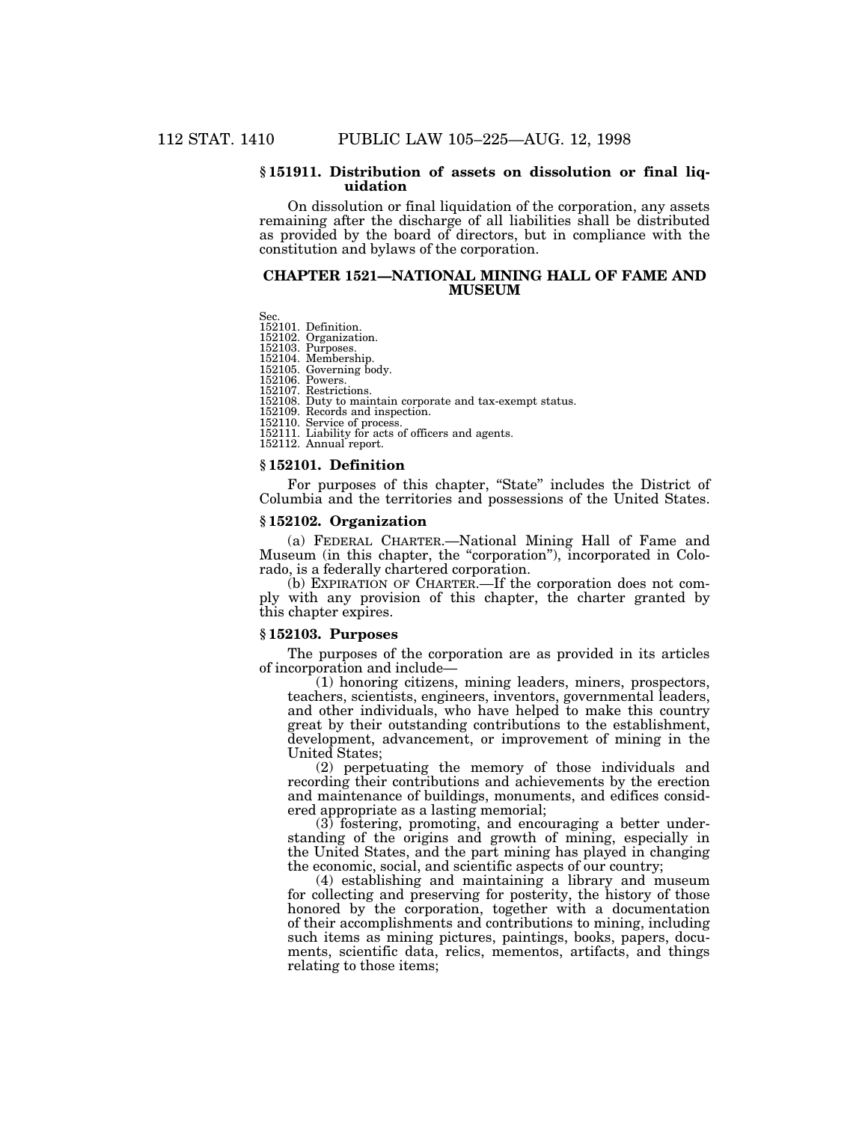#### **§ 151911. Distribution of assets on dissolution or final liquidation**

On dissolution or final liquidation of the corporation, any assets remaining after the discharge of all liabilities shall be distributed as provided by the board of directors, but in compliance with the constitution and bylaws of the corporation.

# **CHAPTER 1521—NATIONAL MINING HALL OF FAME AND MUSEUM**

Sec.<br>152101. Definition.<br>152102. Organization.<br>152103. Purposes.<br>152104. Membership.<br>152105. Governing body.<br>152107. Restrictions.<br>152107. Restrictions.<br>152108. Duty to maintain corporate and tax-exempt status.<br>152108. Dut

152109. Buty to manufall corporated in 152110. Service of process.

152111. Liability for acts of officers and agents. 152112. Annual report.

#### **§ 152101. Definition**

For purposes of this chapter, "State" includes the District of Columbia and the territories and possessions of the United States.

#### **§ 152102. Organization**

(a) FEDERAL CHARTER.—National Mining Hall of Fame and Museum (in this chapter, the ''corporation''), incorporated in Colorado, is a federally chartered corporation.

(b) EXPIRATION OF CHARTER.—If the corporation does not comply with any provision of this chapter, the charter granted by this chapter expires.

#### **§ 152103. Purposes**

The purposes of the corporation are as provided in its articles of incorporation and include—

(1) honoring citizens, mining leaders, miners, prospectors, teachers, scientists, engineers, inventors, governmental leaders, and other individuals, who have helped to make this country great by their outstanding contributions to the establishment, development, advancement, or improvement of mining in the United States;

(2) perpetuating the memory of those individuals and recording their contributions and achievements by the erection and maintenance of buildings, monuments, and edifices considered appropriate as a lasting memorial;

(3) fostering, promoting, and encouraging a better understanding of the origins and growth of mining, especially in the United States, and the part mining has played in changing the economic, social, and scientific aspects of our country;

(4) establishing and maintaining a library and museum for collecting and preserving for posterity, the history of those honored by the corporation, together with a documentation of their accomplishments and contributions to mining, including such items as mining pictures, paintings, books, papers, documents, scientific data, relics, mementos, artifacts, and things relating to those items;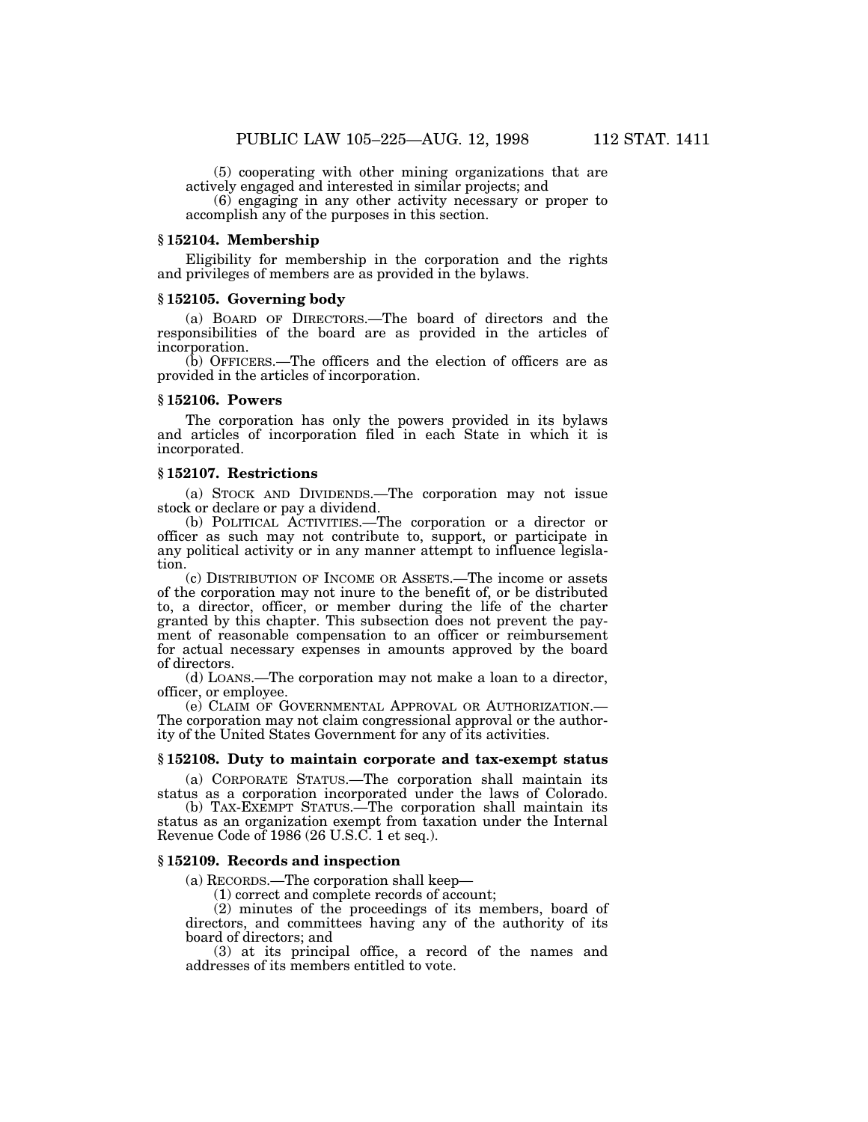(5) cooperating with other mining organizations that are actively engaged and interested in similar projects; and

(6) engaging in any other activity necessary or proper to accomplish any of the purposes in this section.

#### **§ 152104. Membership**

Eligibility for membership in the corporation and the rights and privileges of members are as provided in the bylaws.

#### **§ 152105. Governing body**

(a) BOARD OF DIRECTORS.—The board of directors and the responsibilities of the board are as provided in the articles of incorporation.

(b) OFFICERS.—The officers and the election of officers are as provided in the articles of incorporation.

#### **§ 152106. Powers**

The corporation has only the powers provided in its bylaws and articles of incorporation filed in each State in which it is incorporated.

## **§ 152107. Restrictions**

(a) STOCK AND DIVIDENDS.—The corporation may not issue stock or declare or pay a dividend.

(b) POLITICAL ACTIVITIES.—The corporation or a director or officer as such may not contribute to, support, or participate in any political activity or in any manner attempt to influence legislation.

(c) DISTRIBUTION OF INCOME OR ASSETS.—The income or assets of the corporation may not inure to the benefit of, or be distributed to, a director, officer, or member during the life of the charter granted by this chapter. This subsection does not prevent the payment of reasonable compensation to an officer or reimbursement for actual necessary expenses in amounts approved by the board of directors.

(d) LOANS.—The corporation may not make a loan to a director, officer, or employee.<br>(e) CLAIM OF GOVERNMENTAL APPROVAL OR AUTHORIZATION.—

The corporation may not claim congressional approval or the authority of the United States Government for any of its activities.

# **§ 152108. Duty to maintain corporate and tax-exempt status**

(a) CORPORATE STATUS.—The corporation shall maintain its status as a corporation incorporated under the laws of Colorado.

(b) TAX-EXEMPT STATUS.—The corporation shall maintain its status as an organization exempt from taxation under the Internal Revenue Code of 1986 (26 U.S.C. 1 et seq.).

# **§ 152109. Records and inspection**

(a) RECORDS.—The corporation shall keep—

(1) correct and complete records of account;

(2) minutes of the proceedings of its members, board of directors, and committees having any of the authority of its board of directors; and

(3) at its principal office, a record of the names and addresses of its members entitled to vote.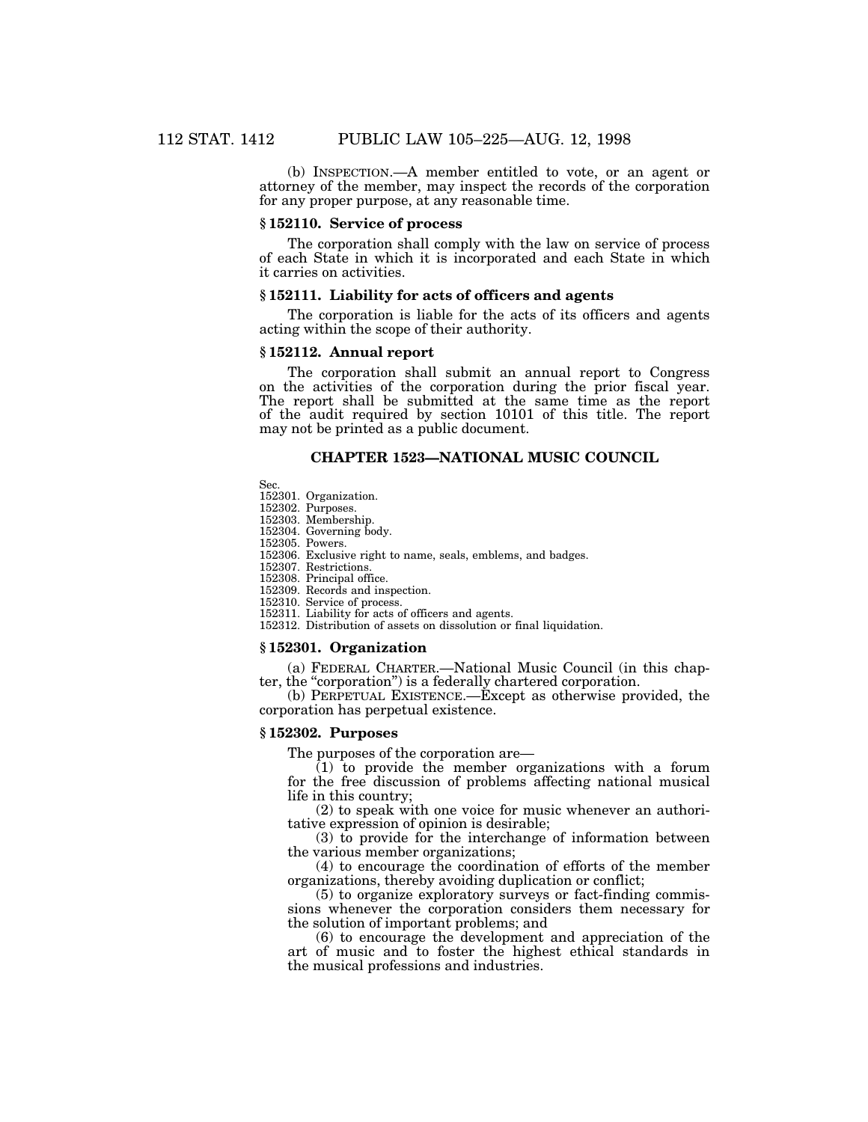(b) INSPECTION.—A member entitled to vote, or an agent or attorney of the member, may inspect the records of the corporation for any proper purpose, at any reasonable time.

#### **§ 152110. Service of process**

The corporation shall comply with the law on service of process of each State in which it is incorporated and each State in which it carries on activities.

#### **§ 152111. Liability for acts of officers and agents**

The corporation is liable for the acts of its officers and agents acting within the scope of their authority.

#### **§ 152112. Annual report**

The corporation shall submit an annual report to Congress on the activities of the corporation during the prior fiscal year. The report shall be submitted at the same time as the report of the audit required by section 10101 of this title. The report may not be printed as a public document.

# **CHAPTER 1523—NATIONAL MUSIC COUNCIL**

Sec.

- 152301. Organization.
- 152302. Purposes.
- 152303. Membership.
- 152304. Governing body.
- 152305. Powers.
- 152306. Exclusive right to name, seals, emblems, and badges.
- 152307. Restrictions.
- 152308. Principal office.
- 152309. Records and inspection. 152310. Service of process.
- $152311$ . Liability for acts of officers and agents.
- 152312. Distribution of assets on dissolution or final liquidation.

#### **§ 152301. Organization**

(a) FEDERAL CHARTER.—National Music Council (in this chapter, the "corporation") is a federally chartered corporation.

(b) PERPETUAL EXISTENCE.—Except as otherwise provided, the corporation has perpetual existence.

#### **§ 152302. Purposes**

The purposes of the corporation are—

(1) to provide the member organizations with a forum for the free discussion of problems affecting national musical life in this country;

(2) to speak with one voice for music whenever an authoritative expression of opinion is desirable;

(3) to provide for the interchange of information between the various member organizations;

(4) to encourage the coordination of efforts of the member organizations, thereby avoiding duplication or conflict;

(5) to organize exploratory surveys or fact-finding commissions whenever the corporation considers them necessary for the solution of important problems; and

(6) to encourage the development and appreciation of the art of music and to foster the highest ethical standards in the musical professions and industries.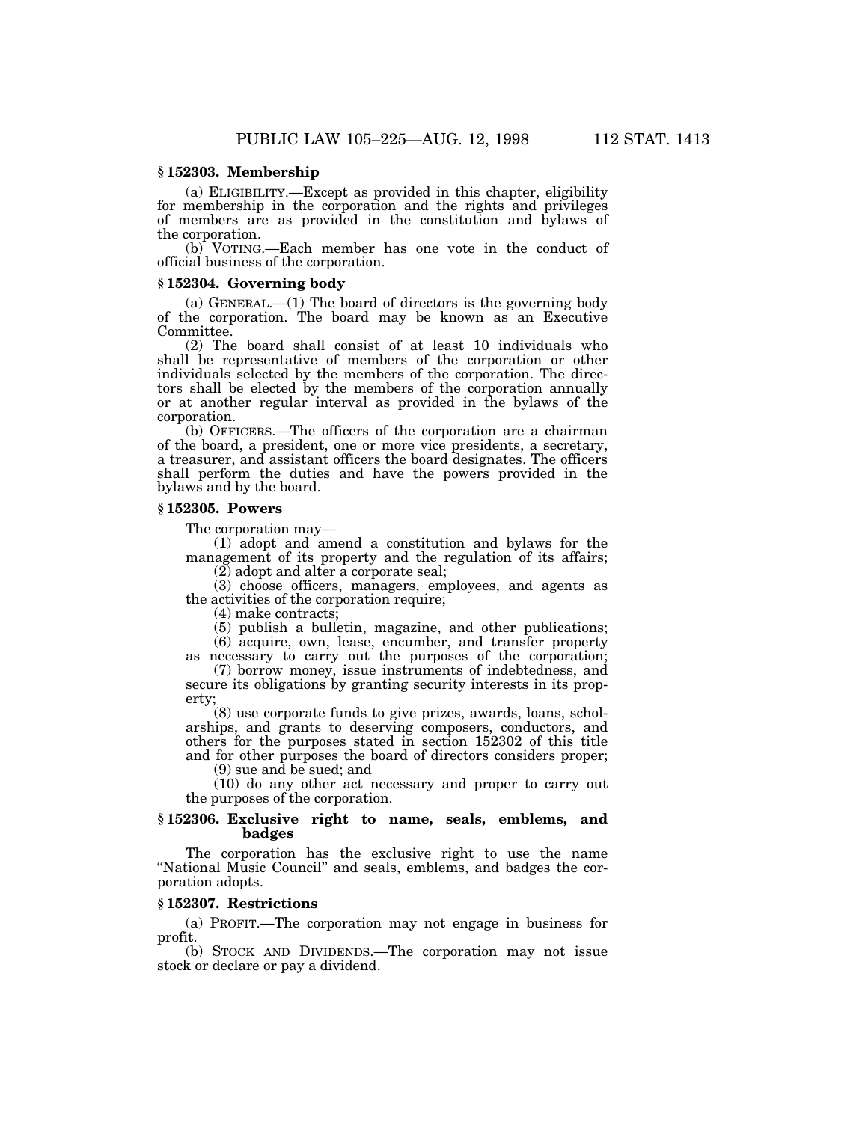# **§ 152303. Membership**

(a) ELIGIBILITY.—Except as provided in this chapter, eligibility for membership in the corporation and the rights and privileges of members are as provided in the constitution and bylaws of the corporation.

(b) VOTING.—Each member has one vote in the conduct of official business of the corporation.

#### **§ 152304. Governing body**

(a) GENERAL.—(1) The board of directors is the governing body of the corporation. The board may be known as an Executive Committee.

(2) The board shall consist of at least 10 individuals who shall be representative of members of the corporation or other individuals selected by the members of the corporation. The directors shall be elected by the members of the corporation annually or at another regular interval as provided in the bylaws of the corporation.

(b) OFFICERS.—The officers of the corporation are a chairman of the board, a president, one or more vice presidents, a secretary, a treasurer, and assistant officers the board designates. The officers shall perform the duties and have the powers provided in the bylaws and by the board.

#### **§ 152305. Powers**

The corporation may—

(1) adopt and amend a constitution and bylaws for the management of its property and the regulation of its affairs; (2) adopt and alter a corporate seal;

(3) choose officers, managers, employees, and agents as the activities of the corporation require;

(4) make contracts;

(5) publish a bulletin, magazine, and other publications;

(6) acquire, own, lease, encumber, and transfer property as necessary to carry out the purposes of the corporation;

(7) borrow money, issue instruments of indebtedness, and secure its obligations by granting security interests in its property;

(8) use corporate funds to give prizes, awards, loans, scholarships, and grants to deserving composers, conductors, and others for the purposes stated in section 152302 of this title and for other purposes the board of directors considers proper;

(9) sue and be sued; and

(10) do any other act necessary and proper to carry out the purposes of the corporation.

#### **§ 152306. Exclusive right to name, seals, emblems, and badges**

The corporation has the exclusive right to use the name "National Music Council" and seals, emblems, and badges the corporation adopts.

## **§ 152307. Restrictions**

(a) PROFIT.—The corporation may not engage in business for profit.

(b) STOCK AND DIVIDENDS.—The corporation may not issue stock or declare or pay a dividend.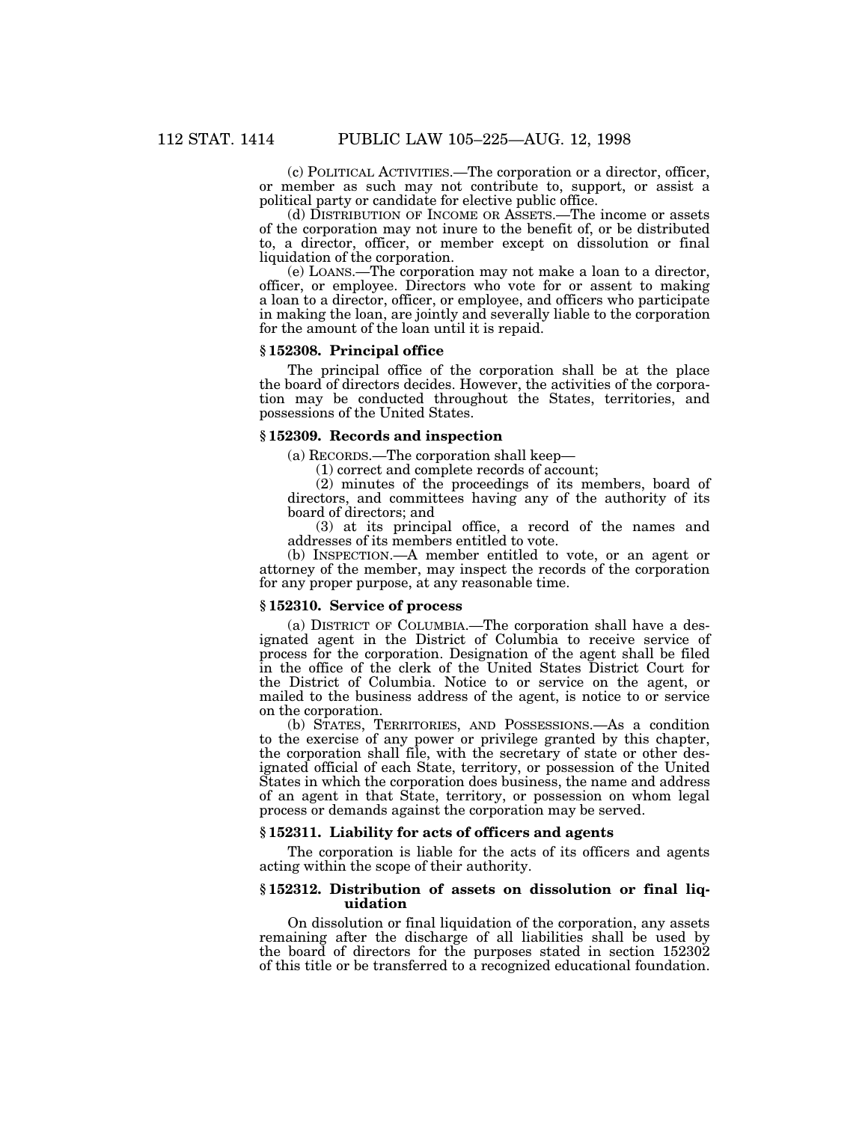(c) POLITICAL ACTIVITIES.—The corporation or a director, officer, or member as such may not contribute to, support, or assist a political party or candidate for elective public office.

(d) DISTRIBUTION OF INCOME OR ASSETS.—The income or assets of the corporation may not inure to the benefit of, or be distributed to, a director, officer, or member except on dissolution or final liquidation of the corporation.

(e) LOANS.—The corporation may not make a loan to a director, officer, or employee. Directors who vote for or assent to making a loan to a director, officer, or employee, and officers who participate in making the loan, are jointly and severally liable to the corporation for the amount of the loan until it is repaid.

#### **§ 152308. Principal office**

The principal office of the corporation shall be at the place the board of directors decides. However, the activities of the corporation may be conducted throughout the States, territories, and possessions of the United States.

#### **§ 152309. Records and inspection**

(a) RECORDS.—The corporation shall keep—

(1) correct and complete records of account;

(2) minutes of the proceedings of its members, board of directors, and committees having any of the authority of its board of directors; and

(3) at its principal office, a record of the names and addresses of its members entitled to vote.

(b) INSPECTION.—A member entitled to vote, or an agent or attorney of the member, may inspect the records of the corporation for any proper purpose, at any reasonable time.

#### **§ 152310. Service of process**

(a) DISTRICT OF COLUMBIA.—The corporation shall have a designated agent in the District of Columbia to receive service of process for the corporation. Designation of the agent shall be filed in the office of the clerk of the United States District Court for the District of Columbia. Notice to or service on the agent, or mailed to the business address of the agent, is notice to or service on the corporation.

(b) STATES, TERRITORIES, AND POSSESSIONS.—As a condition to the exercise of any power or privilege granted by this chapter, the corporation shall file, with the secretary of state or other designated official of each State, territory, or possession of the United States in which the corporation does business, the name and address of an agent in that State, territory, or possession on whom legal process or demands against the corporation may be served.

#### **§ 152311. Liability for acts of officers and agents**

The corporation is liable for the acts of its officers and agents acting within the scope of their authority.

#### **§ 152312. Distribution of assets on dissolution or final liquidation**

On dissolution or final liquidation of the corporation, any assets remaining after the discharge of all liabilities shall be used by the board of directors for the purposes stated in section 152302 of this title or be transferred to a recognized educational foundation.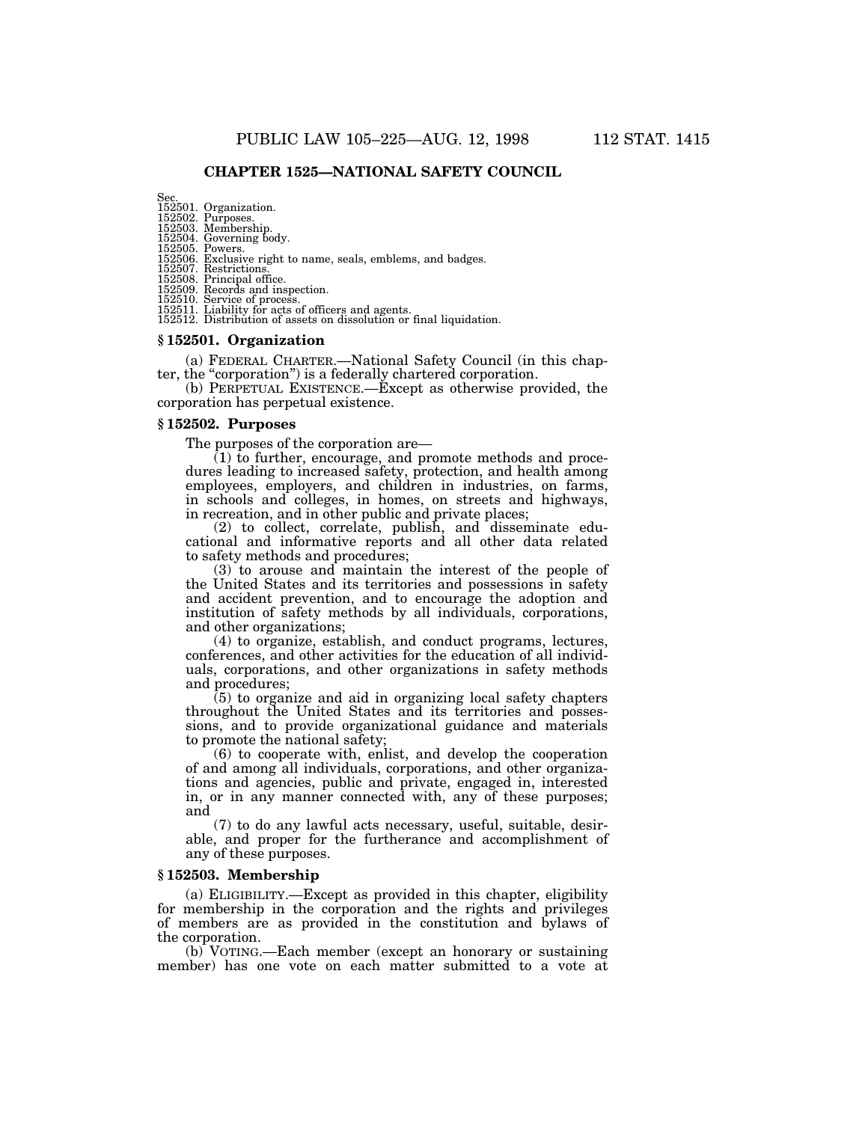# **CHAPTER 1525—NATIONAL SAFETY COUNCIL**

Sec. 152501. Organization. 152502. Purposes. 152503. Membership.

152504. Governing body.

152505. Powers. 152506. Exclusive right to name, seals, emblems, and badges. 152507. Restrictions. 152508. Principal office.

152509. Records and inspection.

152510. Service of process. 152511. Liability for acts of officers and agents.

152512. Distribution of assets on dissolution or final liquidation.

#### **§ 152501. Organization**

(a) FEDERAL CHARTER.—National Safety Council (in this chapter, the "corporation") is a federally chartered corporation.

(b) PERPETUAL EXISTENCE.—Except as otherwise provided, the corporation has perpetual existence.

# **§ 152502. Purposes**

The purposes of the corporation are—

(1) to further, encourage, and promote methods and procedures leading to increased safety, protection, and health among employees, employers, and children in industries, on farms, in schools and colleges, in homes, on streets and highways, in recreation, and in other public and private places;

(2) to collect, correlate, publish, and disseminate educational and informative reports and all other data related to safety methods and procedures;

(3) to arouse and maintain the interest of the people of the United States and its territories and possessions in safety and accident prevention, and to encourage the adoption and institution of safety methods by all individuals, corporations, and other organizations;

(4) to organize, establish, and conduct programs, lectures, conferences, and other activities for the education of all individuals, corporations, and other organizations in safety methods and procedures;

(5) to organize and aid in organizing local safety chapters throughout the United States and its territories and possessions, and to provide organizational guidance and materials to promote the national safety;

(6) to cooperate with, enlist, and develop the cooperation of and among all individuals, corporations, and other organizations and agencies, public and private, engaged in, interested in, or in any manner connected with, any of these purposes; and

(7) to do any lawful acts necessary, useful, suitable, desirable, and proper for the furtherance and accomplishment of any of these purposes.

#### **§ 152503. Membership**

(a) ELIGIBILITY.—Except as provided in this chapter, eligibility for membership in the corporation and the rights and privileges of members are as provided in the constitution and bylaws of the corporation.

(b) VOTING.—Each member (except an honorary or sustaining member) has one vote on each matter submitted to a vote at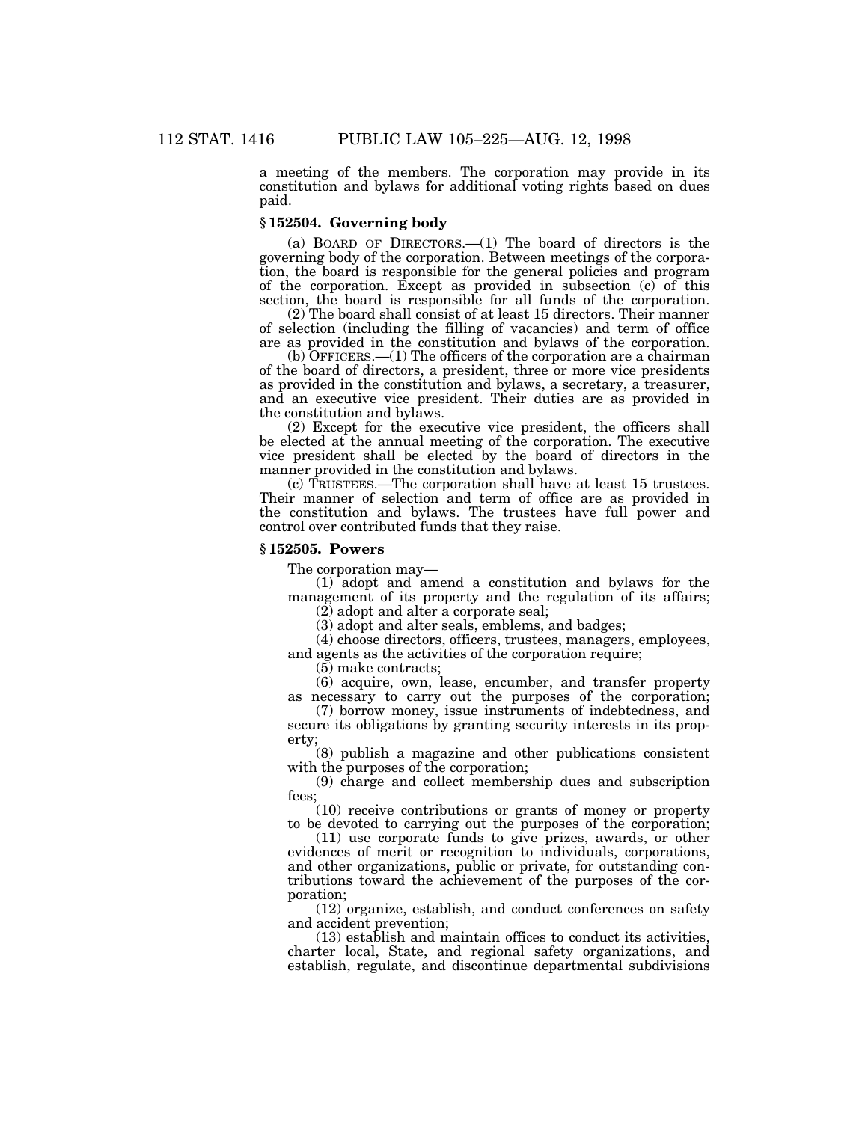a meeting of the members. The corporation may provide in its constitution and bylaws for additional voting rights based on dues paid.

#### **§ 152504. Governing body**

(a) BOARD OF DIRECTORS.—(1) The board of directors is the governing body of the corporation. Between meetings of the corporation, the board is responsible for the general policies and program of the corporation. Except as provided in subsection (c) of this section, the board is responsible for all funds of the corporation.

(2) The board shall consist of at least 15 directors. Their manner of selection (including the filling of vacancies) and term of office are as provided in the constitution and bylaws of the corporation.

(b) OFFICERS.—(1) The officers of the corporation are a chairman of the board of directors, a president, three or more vice presidents as provided in the constitution and bylaws, a secretary, a treasurer, and an executive vice president. Their duties are as provided in the constitution and bylaws.

(2) Except for the executive vice president, the officers shall be elected at the annual meeting of the corporation. The executive vice president shall be elected by the board of directors in the manner provided in the constitution and bylaws.

 $(c)$  TRUSTEES.—The corporation shall have at least 15 trustees. Their manner of selection and term of office are as provided in the constitution and bylaws. The trustees have full power and control over contributed funds that they raise.

#### **§ 152505. Powers**

The corporation may—

(1) adopt and amend a constitution and bylaws for the management of its property and the regulation of its affairs;

(2) adopt and alter a corporate seal;

(3) adopt and alter seals, emblems, and badges;

(4) choose directors, officers, trustees, managers, employees, and agents as the activities of the corporation require;

 $(5)$  make contracts;

(6) acquire, own, lease, encumber, and transfer property as necessary to carry out the purposes of the corporation;

(7) borrow money, issue instruments of indebtedness, and secure its obligations by granting security interests in its property;

(8) publish a magazine and other publications consistent with the purposes of the corporation;

(9) charge and collect membership dues and subscription fees;

(10) receive contributions or grants of money or property to be devoted to carrying out the purposes of the corporation;

(11) use corporate funds to give prizes, awards, or other evidences of merit or recognition to individuals, corporations, and other organizations, public or private, for outstanding contributions toward the achievement of the purposes of the corporation;

(12) organize, establish, and conduct conferences on safety and accident prevention;

(13) establish and maintain offices to conduct its activities, charter local, State, and regional safety organizations, and establish, regulate, and discontinue departmental subdivisions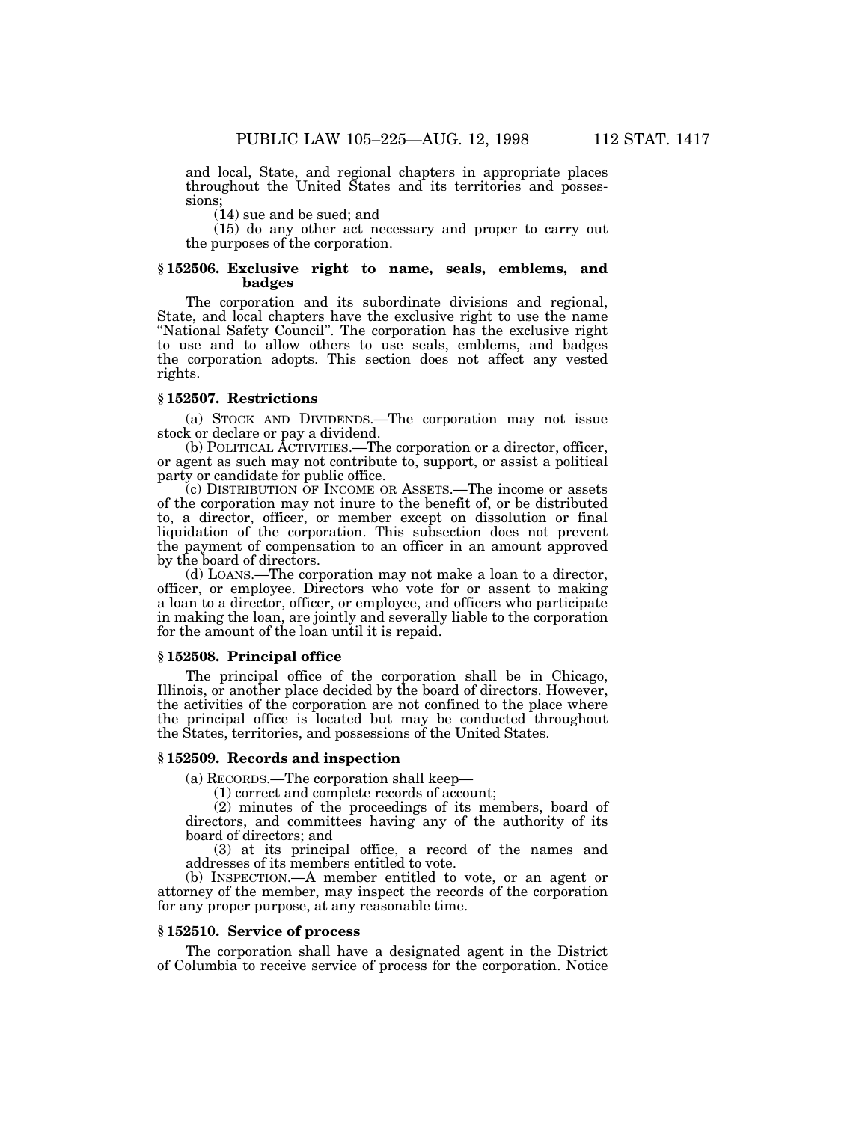and local, State, and regional chapters in appropriate places throughout the United States and its territories and possessions;

(14) sue and be sued; and

(15) do any other act necessary and proper to carry out the purposes of the corporation.

## **§ 152506. Exclusive right to name, seals, emblems, and badges**

The corporation and its subordinate divisions and regional, State, and local chapters have the exclusive right to use the name "National Safety Council". The corporation has the exclusive right to use and to allow others to use seals, emblems, and badges the corporation adopts. This section does not affect any vested rights.

#### **§ 152507. Restrictions**

(a) STOCK AND DIVIDENDS.—The corporation may not issue stock or declare or pay a dividend.

(b) POLITICAL ACTIVITIES.—The corporation or a director, officer, or agent as such may not contribute to, support, or assist a political party or candidate for public office.

(c) DISTRIBUTION OF INCOME OR ASSETS.—The income or assets of the corporation may not inure to the benefit of, or be distributed to, a director, officer, or member except on dissolution or final liquidation of the corporation. This subsection does not prevent the payment of compensation to an officer in an amount approved by the board of directors.

(d) LOANS.—The corporation may not make a loan to a director, officer, or employee. Directors who vote for or assent to making a loan to a director, officer, or employee, and officers who participate in making the loan, are jointly and severally liable to the corporation for the amount of the loan until it is repaid.

#### **§ 152508. Principal office**

The principal office of the corporation shall be in Chicago, Illinois, or another place decided by the board of directors. However, the activities of the corporation are not confined to the place where the principal office is located but may be conducted throughout the States, territories, and possessions of the United States.

#### **§ 152509. Records and inspection**

(a) RECORDS.—The corporation shall keep—

(1) correct and complete records of account;

(2) minutes of the proceedings of its members, board of directors, and committees having any of the authority of its board of directors; and

(3) at its principal office, a record of the names and addresses of its members entitled to vote.

(b) INSPECTION.—A member entitled to vote, or an agent or attorney of the member, may inspect the records of the corporation for any proper purpose, at any reasonable time.

#### **§ 152510. Service of process**

The corporation shall have a designated agent in the District of Columbia to receive service of process for the corporation. Notice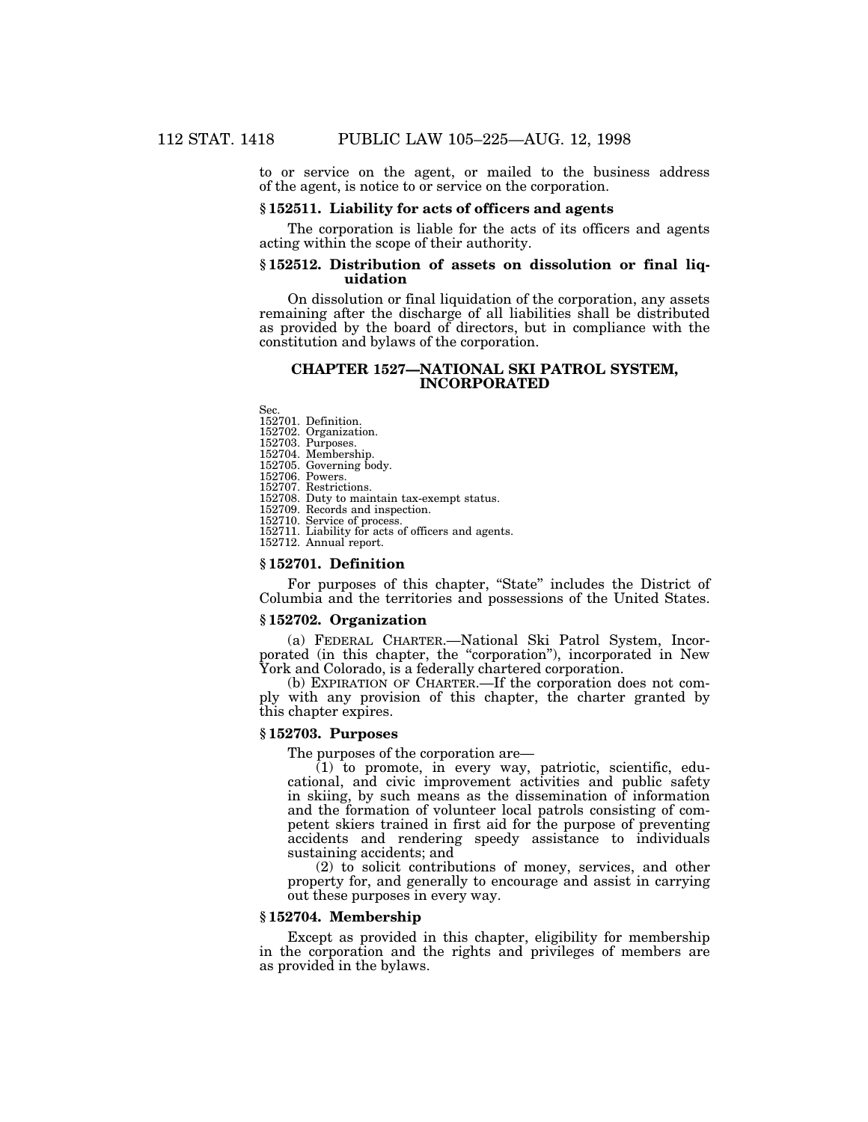to or service on the agent, or mailed to the business address of the agent, is notice to or service on the corporation.

## **§ 152511. Liability for acts of officers and agents**

The corporation is liable for the acts of its officers and agents acting within the scope of their authority.

## **§ 152512. Distribution of assets on dissolution or final liquidation**

On dissolution or final liquidation of the corporation, any assets remaining after the discharge of all liabilities shall be distributed as provided by the board of directors, but in compliance with the constitution and bylaws of the corporation.

## **CHAPTER 1527—NATIONAL SKI PATROL SYSTEM, INCORPORATED**

- 
- 

- 
- 

Sec.<br>152702. Organization.<br>152702. Organization.<br>152703. Purposes.<br>152704. Membership.<br>152705. Governing body.<br>152707. Restrictions.<br>152707. Restrictions.<br>152709. Records and inspection.

152710. Service of process. 152711. Liability for acts of officers and agents. 152712. Annual report.

# **§ 152701. Definition**

For purposes of this chapter, "State" includes the District of Columbia and the territories and possessions of the United States.

#### **§ 152702. Organization**

(a) FEDERAL CHARTER.—National Ski Patrol System, Incorporated (in this chapter, the "corporation"), incorporated in New York and Colorado, is a federally chartered corporation.

(b) EXPIRATION OF CHARTER.—If the corporation does not comply with any provision of this chapter, the charter granted by this chapter expires.

## **§ 152703. Purposes**

The purposes of the corporation are—

(1) to promote, in every way, patriotic, scientific, educational, and civic improvement activities and public safety in skiing, by such means as the dissemination of information and the formation of volunteer local patrols consisting of competent skiers trained in first aid for the purpose of preventing accidents and rendering speedy assistance to individuals sustaining accidents; and

(2) to solicit contributions of money, services, and other property for, and generally to encourage and assist in carrying out these purposes in every way.

#### **§ 152704. Membership**

Except as provided in this chapter, eligibility for membership in the corporation and the rights and privileges of members are as provided in the bylaws.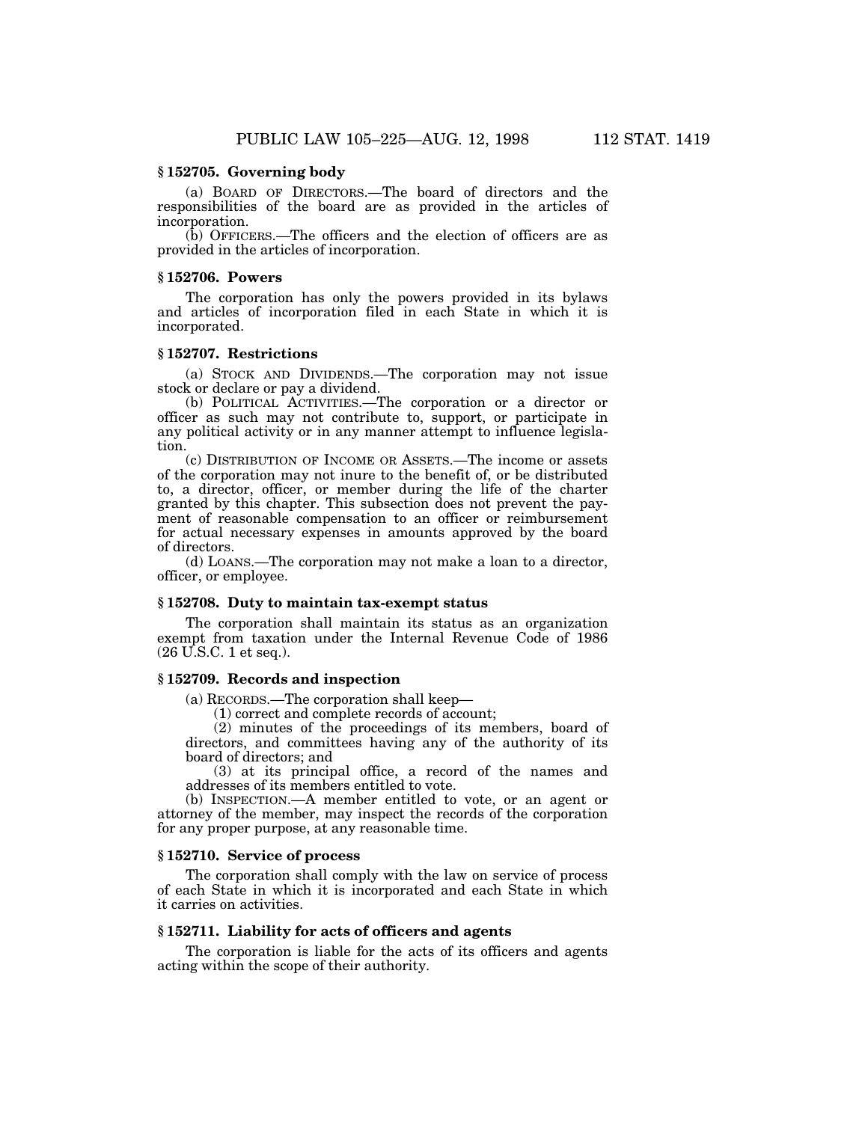#### **§ 152705. Governing body**

(a) BOARD OF DIRECTORS.—The board of directors and the responsibilities of the board are as provided in the articles of incorporation.

(b) OFFICERS.—The officers and the election of officers are as provided in the articles of incorporation.

# **§ 152706. Powers**

The corporation has only the powers provided in its bylaws and articles of incorporation filed in each State in which it is incorporated.

#### **§ 152707. Restrictions**

(a) STOCK AND DIVIDENDS.—The corporation may not issue stock or declare or pay a dividend.

(b) POLITICAL ACTIVITIES.—The corporation or a director or officer as such may not contribute to, support, or participate in any political activity or in any manner attempt to influence legislation.

(c) DISTRIBUTION OF INCOME OR ASSETS.—The income or assets of the corporation may not inure to the benefit of, or be distributed to, a director, officer, or member during the life of the charter granted by this chapter. This subsection does not prevent the payment of reasonable compensation to an officer or reimbursement for actual necessary expenses in amounts approved by the board of directors.

(d) LOANS.—The corporation may not make a loan to a director, officer, or employee.

# **§ 152708. Duty to maintain tax-exempt status**

The corporation shall maintain its status as an organization exempt from taxation under the Internal Revenue Code of 1986 (26 U.S.C. 1 et seq.).

#### **§ 152709. Records and inspection**

(a) RECORDS.—The corporation shall keep—

(1) correct and complete records of account;

(2) minutes of the proceedings of its members, board of directors, and committees having any of the authority of its board of directors; and

(3) at its principal office, a record of the names and addresses of its members entitled to vote.

(b) INSPECTION.—A member entitled to vote, or an agent or attorney of the member, may inspect the records of the corporation for any proper purpose, at any reasonable time.

#### **§ 152710. Service of process**

The corporation shall comply with the law on service of process of each State in which it is incorporated and each State in which it carries on activities.

#### **§ 152711. Liability for acts of officers and agents**

The corporation is liable for the acts of its officers and agents acting within the scope of their authority.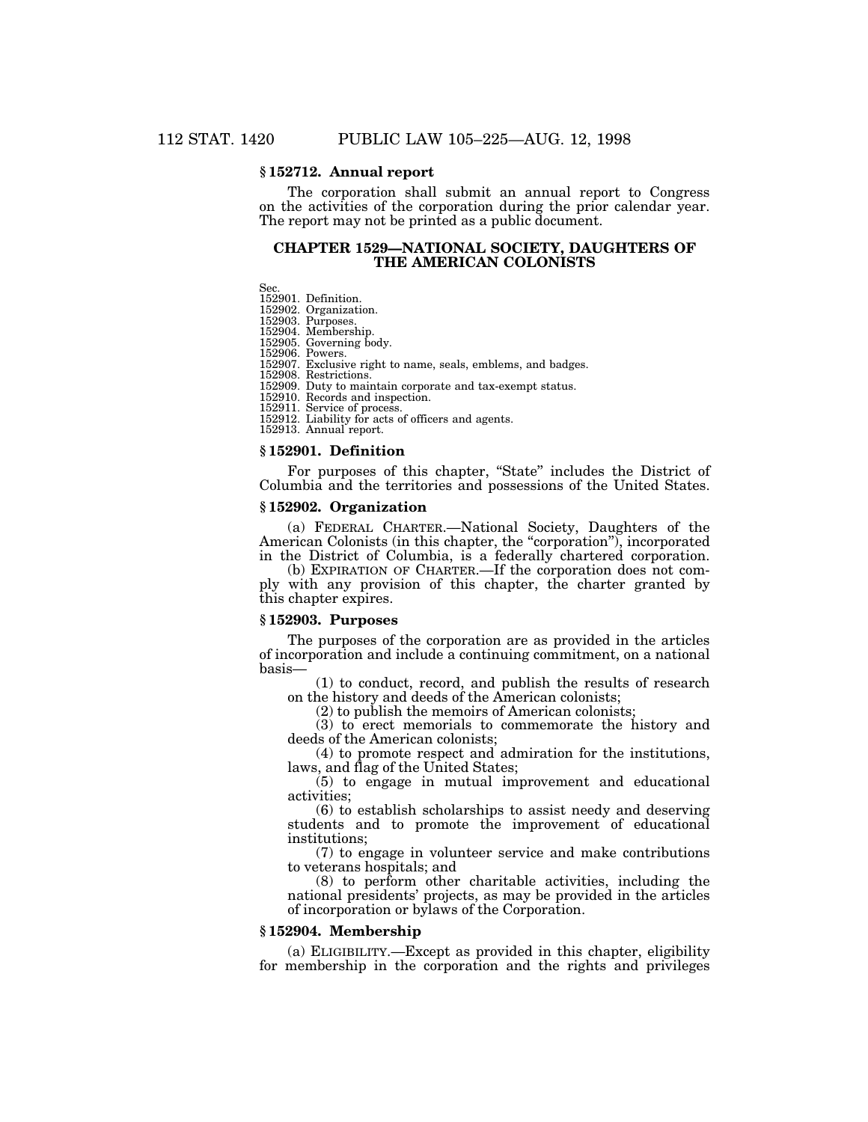# **§ 152712. Annual report**

The corporation shall submit an annual report to Congress on the activities of the corporation during the prior calendar year. The report may not be printed as a public document.

## **CHAPTER 1529—NATIONAL SOCIETY, DAUGHTERS OF THE AMERICAN COLONISTS**

Sec. 152901. Definition.

152902. Organization. 152903. Purposes.

152904. Membership. 152905. Governing body. 152906. Powers.

152907. Exclusive right to name, seals, emblems, and badges.

152908. Restrictions. 152909. Duty to maintain corporate and tax-exempt status.

152910. Records and inspection.

152911. Service of process. 152912. Liability for acts of officers and agents. 152913. Annual report.

#### **§ 152901. Definition**

For purposes of this chapter, ''State'' includes the District of Columbia and the territories and possessions of the United States.

#### **§ 152902. Organization**

(a) FEDERAL CHARTER.—National Society, Daughters of the American Colonists (in this chapter, the "corporation"), incorporated in the District of Columbia, is a federally chartered corporation.

(b) EXPIRATION OF CHARTER.—If the corporation does not comply with any provision of this chapter, the charter granted by this chapter expires.

#### **§ 152903. Purposes**

The purposes of the corporation are as provided in the articles of incorporation and include a continuing commitment, on a national basis—

(1) to conduct, record, and publish the results of research on the history and deeds of the American colonists;

(2) to publish the memoirs of American colonists;

(3) to erect memorials to commemorate the history and deeds of the American colonists;

(4) to promote respect and admiration for the institutions, laws, and flag of the United States;

(5) to engage in mutual improvement and educational activities;

(6) to establish scholarships to assist needy and deserving students and to promote the improvement of educational institutions;

(7) to engage in volunteer service and make contributions to veterans hospitals; and

(8) to perform other charitable activities, including the national presidents' projects, as may be provided in the articles of incorporation or bylaws of the Corporation.

#### **§ 152904. Membership**

(a) ELIGIBILITY.—Except as provided in this chapter, eligibility for membership in the corporation and the rights and privileges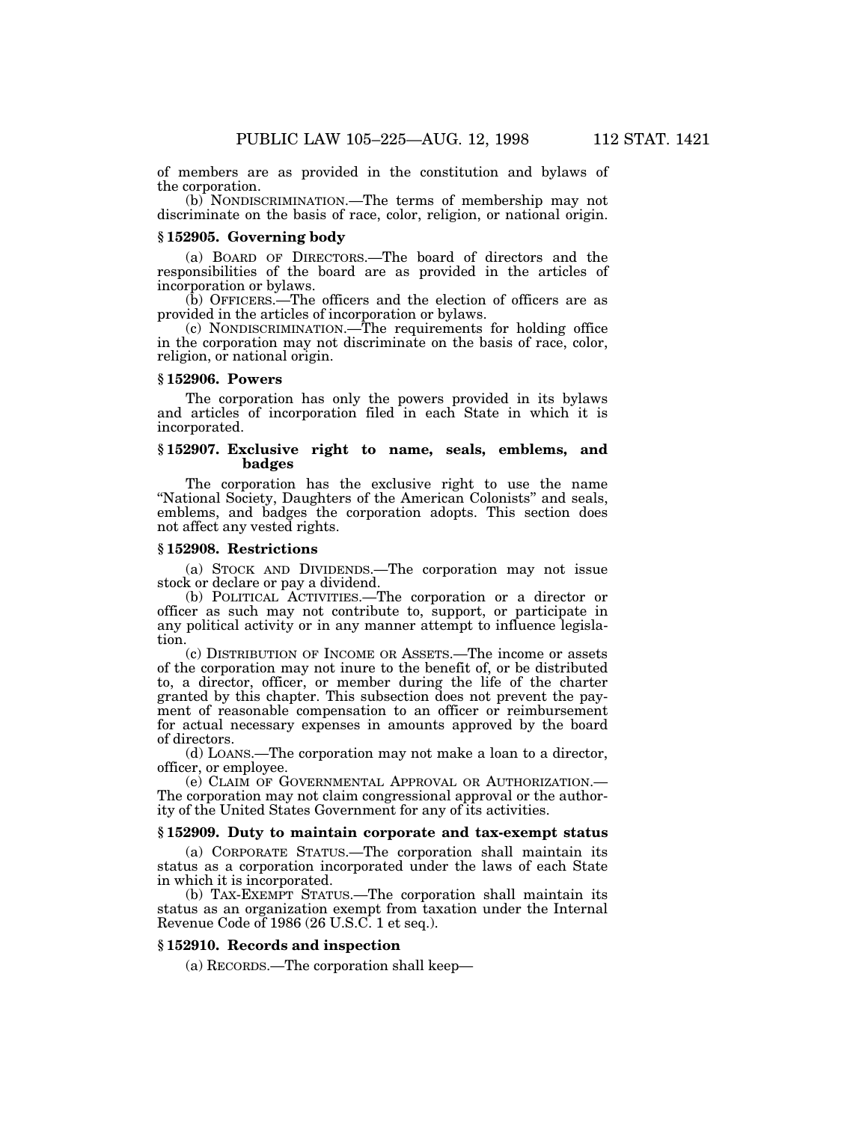of members are as provided in the constitution and bylaws of the corporation.

(b) NONDISCRIMINATION.—The terms of membership may not discriminate on the basis of race, color, religion, or national origin.

## **§ 152905. Governing body**

(a) BOARD OF DIRECTORS.—The board of directors and the responsibilities of the board are as provided in the articles of incorporation or bylaws.

(b) OFFICERS.—The officers and the election of officers are as provided in the articles of incorporation or bylaws.

(c) NONDISCRIMINATION.—The requirements for holding office in the corporation may not discriminate on the basis of race, color, religion, or national origin.

## **§ 152906. Powers**

The corporation has only the powers provided in its bylaws and articles of incorporation filed in each State in which it is incorporated.

#### **§ 152907. Exclusive right to name, seals, emblems, and badges**

The corporation has the exclusive right to use the name "National Society, Daughters of the American Colonists" and seals, emblems, and badges the corporation adopts. This section does not affect any vested rights.

#### **§ 152908. Restrictions**

(a) STOCK AND DIVIDENDS.—The corporation may not issue stock or declare or pay a dividend.

(b) POLITICAL ACTIVITIES.—The corporation or a director or officer as such may not contribute to, support, or participate in any political activity or in any manner attempt to influence legislation.

(c) DISTRIBUTION OF INCOME OR ASSETS.—The income or assets of the corporation may not inure to the benefit of, or be distributed to, a director, officer, or member during the life of the charter granted by this chapter. This subsection does not prevent the payment of reasonable compensation to an officer or reimbursement for actual necessary expenses in amounts approved by the board of directors.

(d) LOANS.—The corporation may not make a loan to a director, officer, or employee.

(e) CLAIM OF GOVERNMENTAL APPROVAL OR AUTHORIZATION.— The corporation may not claim congressional approval or the authority of the United States Government for any of its activities.

# **§ 152909. Duty to maintain corporate and tax-exempt status**

(a) CORPORATE STATUS.—The corporation shall maintain its status as a corporation incorporated under the laws of each State in which it is incorporated.

(b) TAX-EXEMPT STATUS.—The corporation shall maintain its status as an organization exempt from taxation under the Internal Revenue Code of 1986 (26 U.S.C. 1 et seq.).

#### **§ 152910. Records and inspection**

(a) RECORDS.—The corporation shall keep—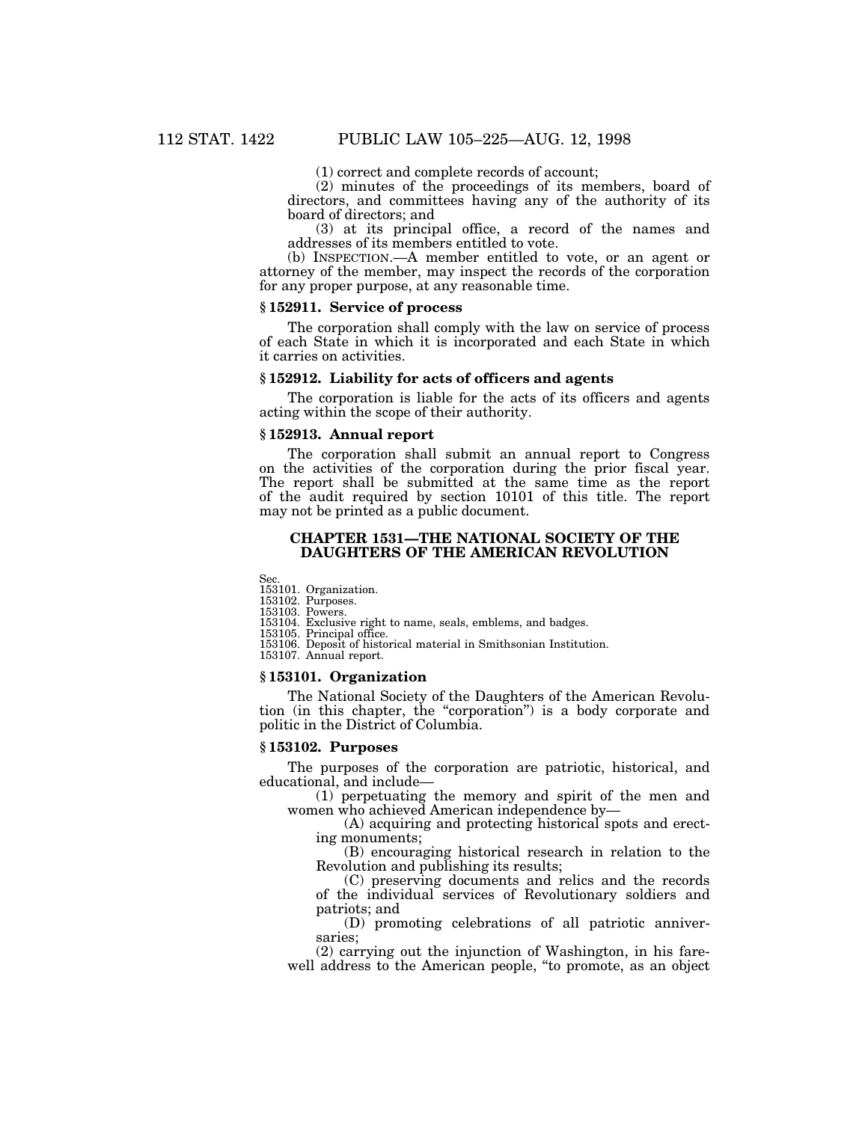(1) correct and complete records of account;

(2) minutes of the proceedings of its members, board of directors, and committees having any of the authority of its board of directors; and

(3) at its principal office, a record of the names and addresses of its members entitled to vote.

(b) INSPECTION.—A member entitled to vote, or an agent or attorney of the member, may inspect the records of the corporation for any proper purpose, at any reasonable time.

#### **§ 152911. Service of process**

The corporation shall comply with the law on service of process of each State in which it is incorporated and each State in which it carries on activities.

## **§ 152912. Liability for acts of officers and agents**

The corporation is liable for the acts of its officers and agents acting within the scope of their authority.

#### **§ 152913. Annual report**

The corporation shall submit an annual report to Congress on the activities of the corporation during the prior fiscal year. The report shall be submitted at the same time as the report of the audit required by section 10101 of this title. The report may not be printed as a public document.

#### **CHAPTER 1531—THE NATIONAL SOCIETY OF THE DAUGHTERS OF THE AMERICAN REVOLUTION**

Sec.

153101. Organization. 153102. Purposes. 153103. Powers.

153104. Exclusive right to name, seals, emblems, and badges. 153105. Principal office.

153106. Deposit of historical material in Smithsonian Institution. 153107. Annual report.

## **§ 153101. Organization**

The National Society of the Daughters of the American Revolution (in this chapter, the ''corporation'') is a body corporate and politic in the District of Columbia.

# **§ 153102. Purposes**

The purposes of the corporation are patriotic, historical, and educational, and include—

(1) perpetuating the memory and spirit of the men and women who achieved American independence by—

(A) acquiring and protecting historical spots and erecting monuments;

(B) encouraging historical research in relation to the Revolution and publishing its results;

(C) preserving documents and relics and the records of the individual services of Revolutionary soldiers and patriots; and

(D) promoting celebrations of all patriotic anniversaries;

(2) carrying out the injunction of Washington, in his farewell address to the American people, "to promote, as an object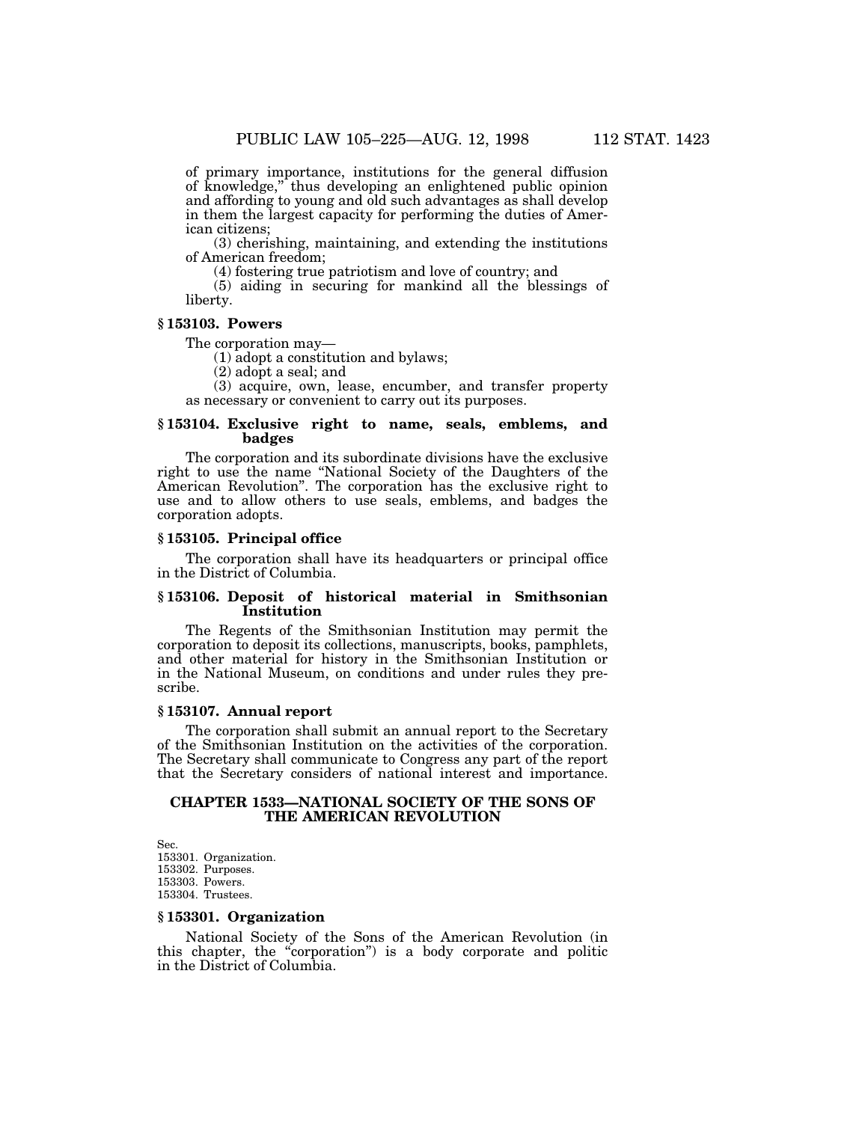of primary importance, institutions for the general diffusion of knowledge,'' thus developing an enlightened public opinion and affording to young and old such advantages as shall develop in them the largest capacity for performing the duties of American citizens;

(3) cherishing, maintaining, and extending the institutions of American freedom;

(4) fostering true patriotism and love of country; and

(5) aiding in securing for mankind all the blessings of liberty.

# **§ 153103. Powers**

The corporation may—

(1) adopt a constitution and bylaws;

(2) adopt a seal; and

(3) acquire, own, lease, encumber, and transfer property as necessary or convenient to carry out its purposes.

## **§ 153104. Exclusive right to name, seals, emblems, and badges**

The corporation and its subordinate divisions have the exclusive right to use the name ''National Society of the Daughters of the American Revolution''. The corporation has the exclusive right to use and to allow others to use seals, emblems, and badges the corporation adopts.

#### **§ 153105. Principal office**

The corporation shall have its headquarters or principal office in the District of Columbia.

#### **§ 153106. Deposit of historical material in Smithsonian Institution**

The Regents of the Smithsonian Institution may permit the corporation to deposit its collections, manuscripts, books, pamphlets, and other material for history in the Smithsonian Institution or in the National Museum, on conditions and under rules they prescribe.

#### **§ 153107. Annual report**

The corporation shall submit an annual report to the Secretary of the Smithsonian Institution on the activities of the corporation. The Secretary shall communicate to Congress any part of the report that the Secretary considers of national interest and importance.

# **CHAPTER 1533—NATIONAL SOCIETY OF THE SONS OF THE AMERICAN REVOLUTION**

Sec. 153301. Organization. 153302. Purposes. 153303. Powers. 153304. Trustees.

#### **§ 153301. Organization**

National Society of the Sons of the American Revolution (in this chapter, the ''corporation'') is a body corporate and politic in the District of Columbia.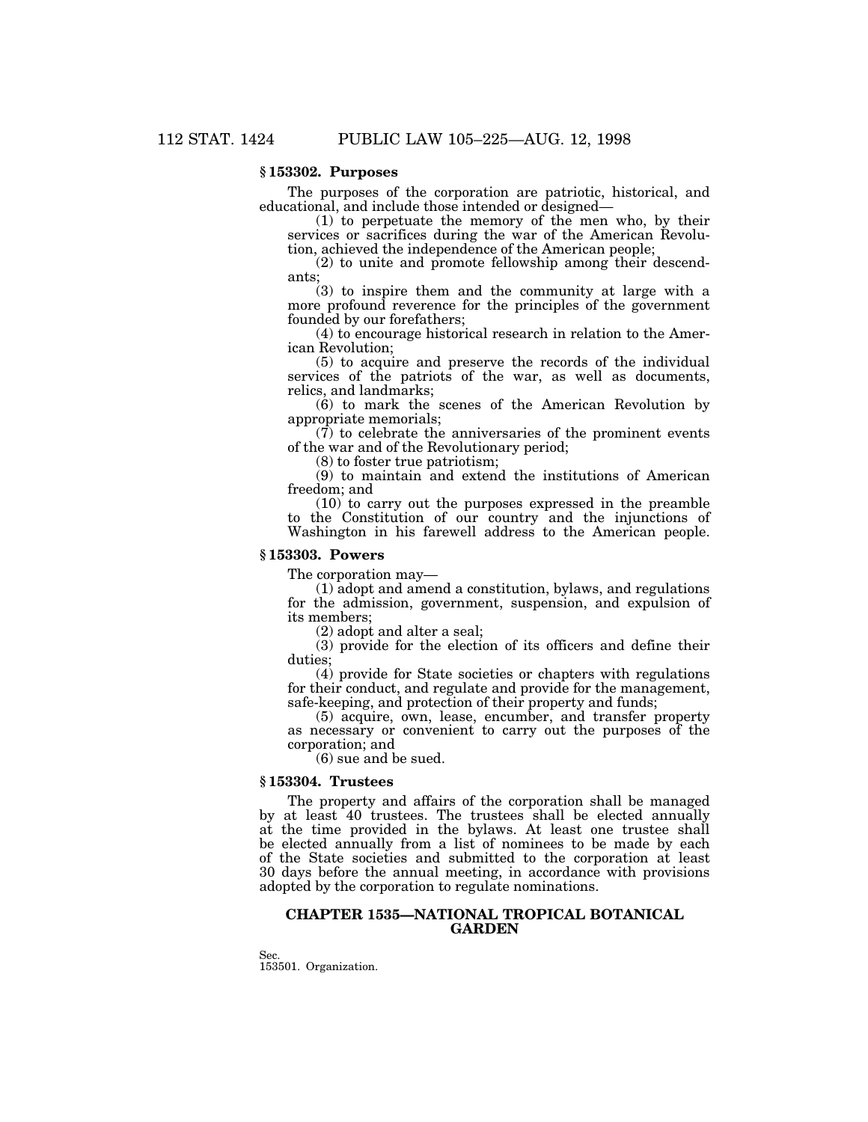## **§ 153302. Purposes**

The purposes of the corporation are patriotic, historical, and educational, and include those intended or designed—

(1) to perpetuate the memory of the men who, by their services or sacrifices during the war of the American Revolution, achieved the independence of the American people;

(2) to unite and promote fellowship among their descendants;

(3) to inspire them and the community at large with a more profound reverence for the principles of the government founded by our forefathers;

(4) to encourage historical research in relation to the American Revolution;

(5) to acquire and preserve the records of the individual services of the patriots of the war, as well as documents, relics, and landmarks;

(6) to mark the scenes of the American Revolution by appropriate memorials;

(7) to celebrate the anniversaries of the prominent events of the war and of the Revolutionary period;

(8) to foster true patriotism;

(9) to maintain and extend the institutions of American freedom; and

(10) to carry out the purposes expressed in the preamble to the Constitution of our country and the injunctions of Washington in his farewell address to the American people.

#### **§ 153303. Powers**

The corporation may—

(1) adopt and amend a constitution, bylaws, and regulations for the admission, government, suspension, and expulsion of its members;

(2) adopt and alter a seal;

(3) provide for the election of its officers and define their duties;

(4) provide for State societies or chapters with regulations for their conduct, and regulate and provide for the management, safe-keeping, and protection of their property and funds;

(5) acquire, own, lease, encumber, and transfer property as necessary or convenient to carry out the purposes of the corporation; and

(6) sue and be sued.

# **§ 153304. Trustees**

The property and affairs of the corporation shall be managed by at least 40 trustees. The trustees shall be elected annually at the time provided in the bylaws. At least one trustee shall be elected annually from a list of nominees to be made by each of the State societies and submitted to the corporation at least 30 days before the annual meeting, in accordance with provisions adopted by the corporation to regulate nominations.

## **CHAPTER 1535—NATIONAL TROPICAL BOTANICAL GARDEN**

Sec. 153501. Organization.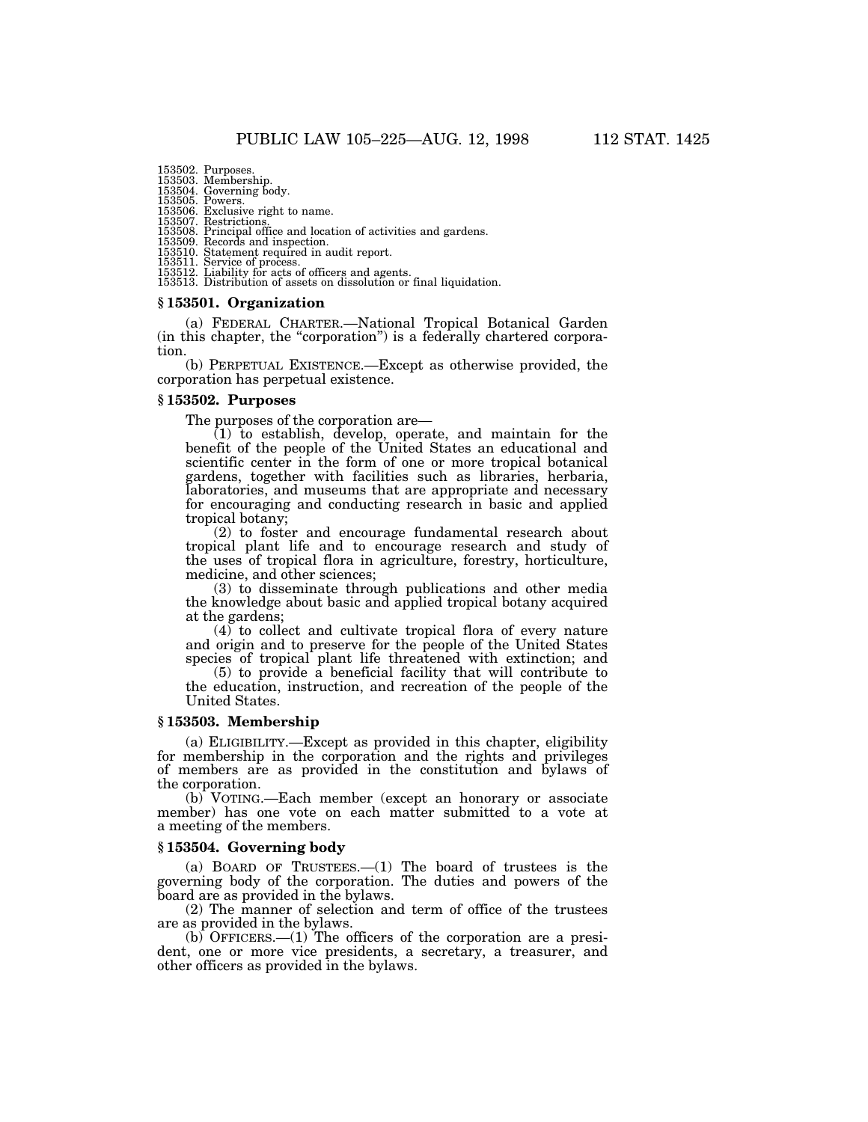153502. Purposes.

153503. Membership. 153504. Governing body.

153505. Powers.<br>153506. Exclusive right to name.<br>153506. Exclusive right to name.<br>153507. Restrictions.<br>153508. Principal office and location of activities and gardens.<br>153510. Statement required in audit report.<br>153510. S

153512. Liability for acts of officers and agents.

153513. Distribution of assets on dissolution or final liquidation.

#### **§ 153501. Organization**

(a) FEDERAL CHARTER.—National Tropical Botanical Garden (in this chapter, the ''corporation'') is a federally chartered corporation.

(b) PERPETUAL EXISTENCE.—Except as otherwise provided, the corporation has perpetual existence.

#### **§ 153502. Purposes**

The purposes of the corporation are—

(1) to establish, develop, operate, and maintain for the benefit of the people of the United States an educational and scientific center in the form of one or more tropical botanical gardens, together with facilities such as libraries, herbaria, laboratories, and museums that are appropriate and necessary for encouraging and conducting research in basic and applied tropical botany;

(2) to foster and encourage fundamental research about tropical plant life and to encourage research and study of the uses of tropical flora in agriculture, forestry, horticulture, medicine, and other sciences;

(3) to disseminate through publications and other media the knowledge about basic and applied tropical botany acquired at the gardens;

(4) to collect and cultivate tropical flora of every nature and origin and to preserve for the people of the United States species of tropical plant life threatened with extinction; and

(5) to provide a beneficial facility that will contribute to the education, instruction, and recreation of the people of the United States.

#### **§ 153503. Membership**

(a) ELIGIBILITY.—Except as provided in this chapter, eligibility for membership in the corporation and the rights and privileges of members are as provided in the constitution and bylaws of the corporation.

(b) VOTING.—Each member (except an honorary or associate member) has one vote on each matter submitted to a vote at a meeting of the members.

#### **§ 153504. Governing body**

(a) BOARD OF TRUSTEES.—(1) The board of trustees is the governing body of the corporation. The duties and powers of the board are as provided in the bylaws.

(2) The manner of selection and term of office of the trustees are as provided in the bylaws.

 $(b)$  OFFICERS.—(1) The officers of the corporation are a president, one or more vice presidents, a secretary, a treasurer, and other officers as provided in the bylaws.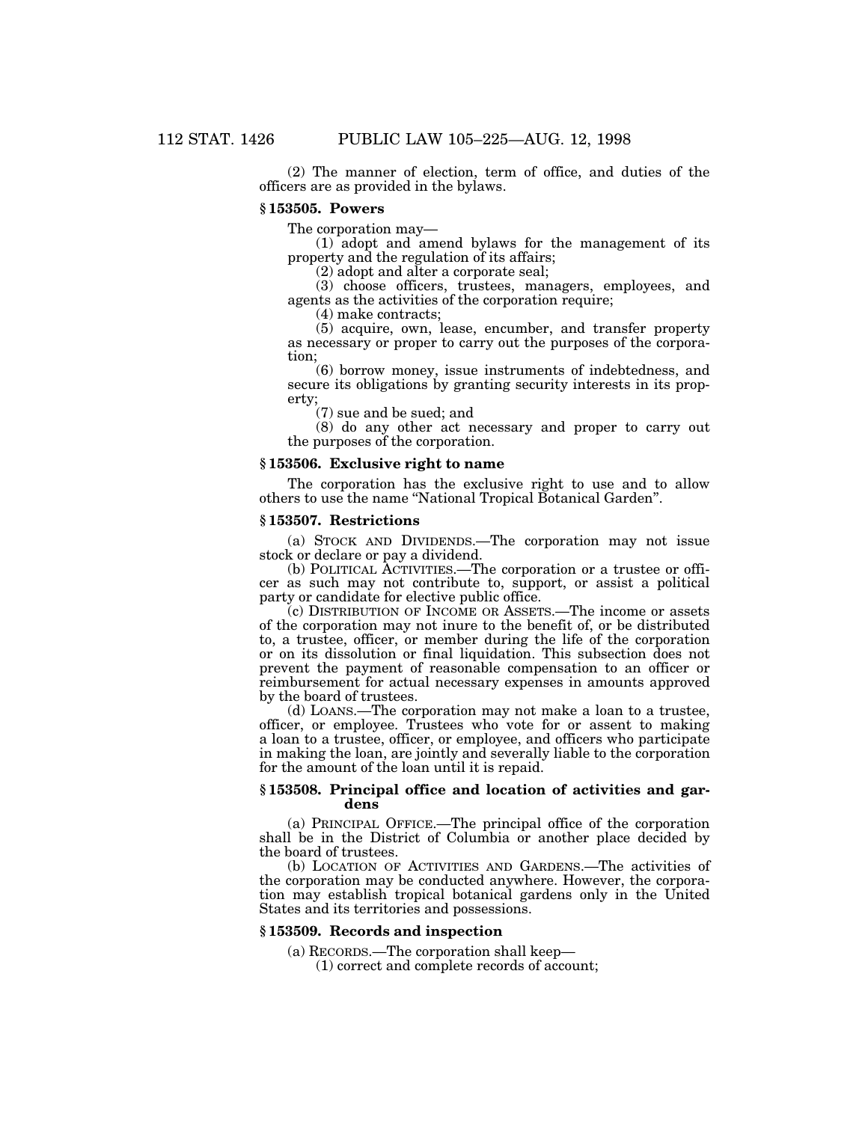(2) The manner of election, term of office, and duties of the officers are as provided in the bylaws.

# **§ 153505. Powers**

The corporation may—

(1) adopt and amend bylaws for the management of its property and the regulation of its affairs;

(2) adopt and alter a corporate seal;

(3) choose officers, trustees, managers, employees, and agents as the activities of the corporation require;

(4) make contracts;

(5) acquire, own, lease, encumber, and transfer property as necessary or proper to carry out the purposes of the corporation;

(6) borrow money, issue instruments of indebtedness, and secure its obligations by granting security interests in its property;

(7) sue and be sued; and

(8) do any other act necessary and proper to carry out the purposes of the corporation.

## **§ 153506. Exclusive right to name**

The corporation has the exclusive right to use and to allow others to use the name ''National Tropical Botanical Garden''.

# **§ 153507. Restrictions**

(a) STOCK AND DIVIDENDS.—The corporation may not issue stock or declare or pay a dividend.

(b) POLITICAL ACTIVITIES.—The corporation or a trustee or officer as such may not contribute to, support, or assist a political party or candidate for elective public office.

(c) DISTRIBUTION OF INCOME OR ASSETS.—The income or assets of the corporation may not inure to the benefit of, or be distributed to, a trustee, officer, or member during the life of the corporation or on its dissolution or final liquidation. This subsection does not prevent the payment of reasonable compensation to an officer or reimbursement for actual necessary expenses in amounts approved by the board of trustees.

(d) LOANS.—The corporation may not make a loan to a trustee, officer, or employee. Trustees who vote for or assent to making a loan to a trustee, officer, or employee, and officers who participate in making the loan, are jointly and severally liable to the corporation for the amount of the loan until it is repaid.

## **§ 153508. Principal office and location of activities and gardens**

(a) PRINCIPAL OFFICE.—The principal office of the corporation shall be in the District of Columbia or another place decided by the board of trustees.

(b) LOCATION OF ACTIVITIES AND GARDENS.—The activities of the corporation may be conducted anywhere. However, the corporation may establish tropical botanical gardens only in the United States and its territories and possessions.

#### **§ 153509. Records and inspection**

(a) RECORDS.—The corporation shall keep—

(1) correct and complete records of account;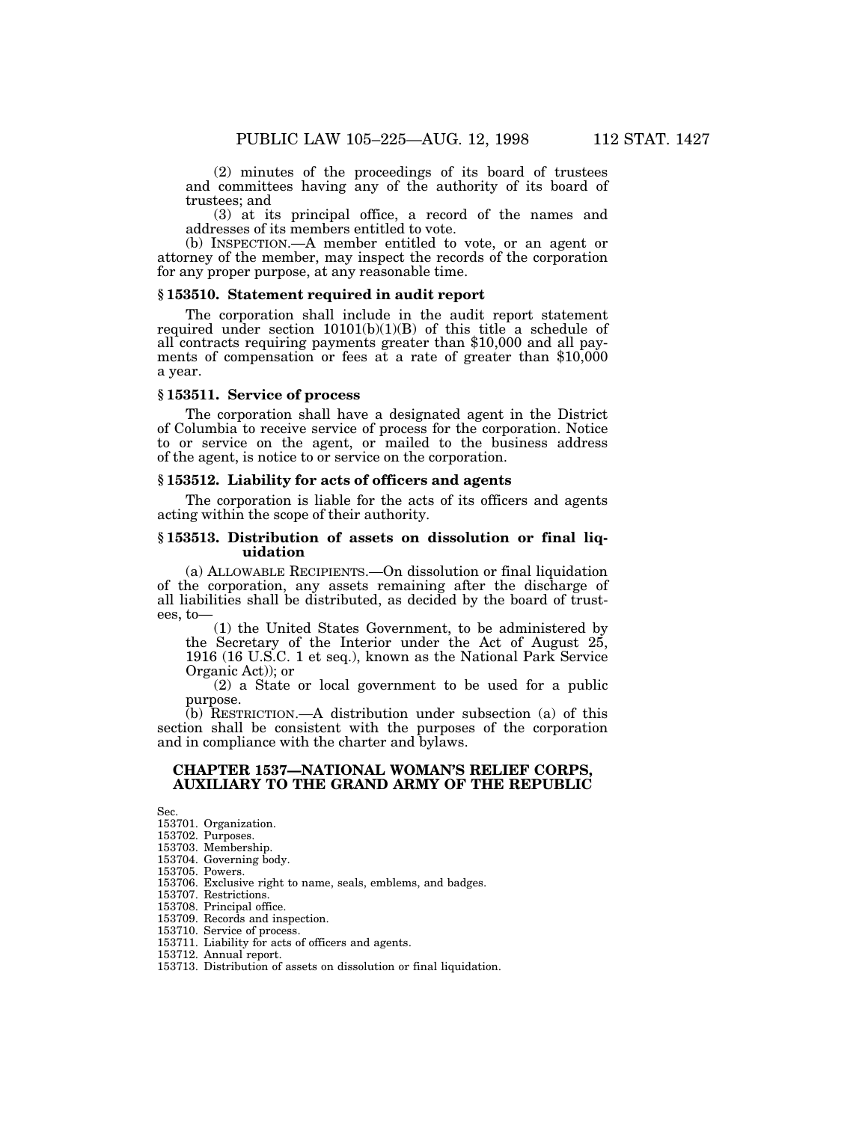(2) minutes of the proceedings of its board of trustees and committees having any of the authority of its board of trustees; and

(3) at its principal office, a record of the names and addresses of its members entitled to vote.

(b) INSPECTION.—A member entitled to vote, or an agent or attorney of the member, may inspect the records of the corporation for any proper purpose, at any reasonable time.

#### **§ 153510. Statement required in audit report**

The corporation shall include in the audit report statement required under section 10101(b)(1)(B) of this title a schedule of all contracts requiring payments greater than \$10,000 and all payments of compensation or fees at a rate of greater than \$10,000 a year.

## **§ 153511. Service of process**

The corporation shall have a designated agent in the District of Columbia to receive service of process for the corporation. Notice to or service on the agent, or mailed to the business address of the agent, is notice to or service on the corporation.

## **§ 153512. Liability for acts of officers and agents**

The corporation is liable for the acts of its officers and agents acting within the scope of their authority.

#### **§ 153513. Distribution of assets on dissolution or final liquidation**

(a) ALLOWABLE RECIPIENTS.—On dissolution or final liquidation of the corporation, any assets remaining after the discharge of all liabilities shall be distributed, as decided by the board of trustees, to—

(1) the United States Government, to be administered by the Secretary of the Interior under the Act of August 25, 1916 (16 U.S.C. 1 et seq.), known as the National Park Service Organic Act)); or

(2) a State or local government to be used for a public purpose.

(b) RESTRICTION.—A distribution under subsection (a) of this section shall be consistent with the purposes of the corporation and in compliance with the charter and bylaws.

## **CHAPTER 1537—NATIONAL WOMAN'S RELIEF CORPS, AUXILIARY TO THE GRAND ARMY OF THE REPUBLIC**

Sec.

- 153701. Organization.
- 153702. Purposes.
- 153703. Membership. 153704. Governing body.
- 153705. Powers.
- 
- 153706. Exclusive right to name, seals, emblems, and badges.
- 153707. Restrictions. 153708. Principal office.
- 153709. Records and inspection.
- 153710. Service of process.
- 153711. Liability for acts of officers and agents.
- 153712. Annual report.
- 153713. Distribution of assets on dissolution or final liquidation.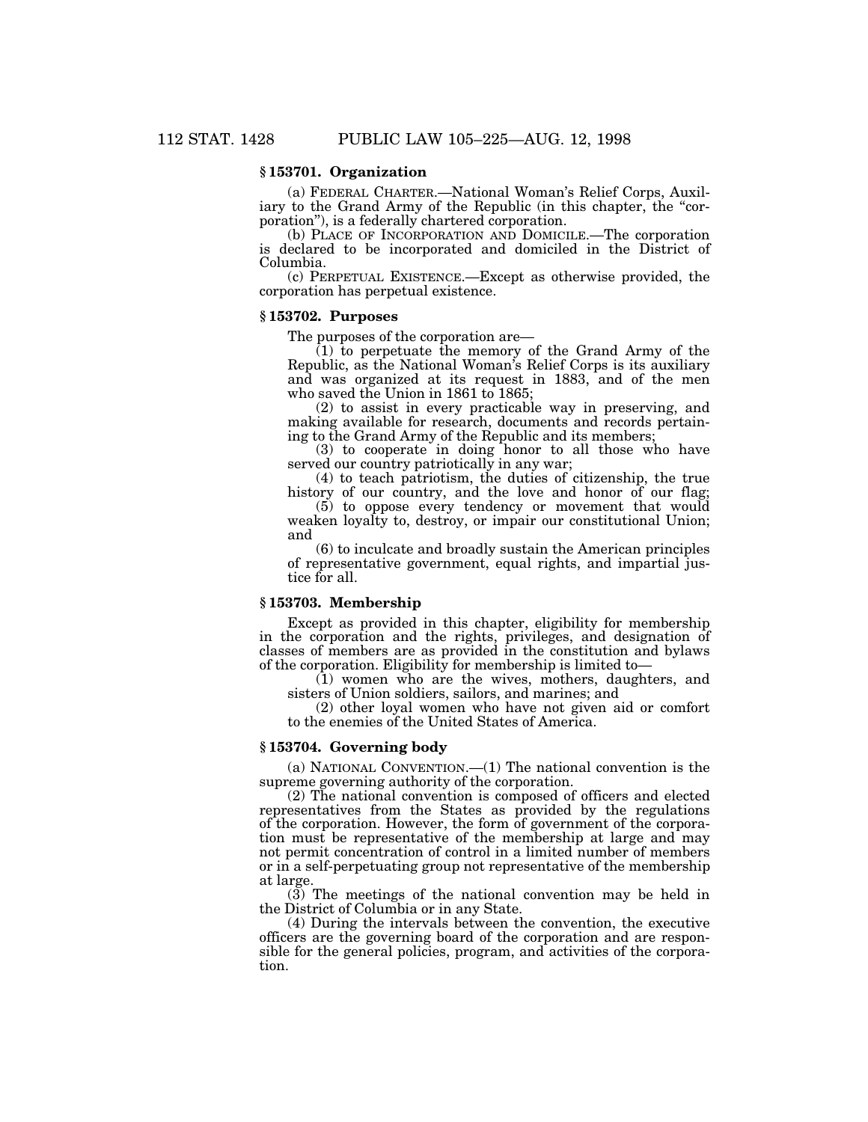# **§ 153701. Organization**

(a) FEDERAL CHARTER.—National Woman's Relief Corps, Auxiliary to the Grand Army of the Republic (in this chapter, the "corporation''), is a federally chartered corporation.

(b) PLACE OF INCORPORATION AND DOMICILE.—The corporation is declared to be incorporated and domiciled in the District of Columbia.

(c) PERPETUAL EXISTENCE.—Except as otherwise provided, the corporation has perpetual existence.

#### **§ 153702. Purposes**

The purposes of the corporation are—

(1) to perpetuate the memory of the Grand Army of the Republic, as the National Woman's Relief Corps is its auxiliary and was organized at its request in 1883, and of the men who saved the Union in 1861 to 1865;

(2) to assist in every practicable way in preserving, and making available for research, documents and records pertaining to the Grand Army of the Republic and its members;

(3) to cooperate in doing honor to all those who have served our country patriotically in any war;

(4) to teach patriotism, the duties of citizenship, the true history of our country, and the love and honor of our flag;

(5) to oppose every tendency or movement that would weaken loyalty to, destroy, or impair our constitutional Union; and

(6) to inculcate and broadly sustain the American principles of representative government, equal rights, and impartial justice for all.

## **§ 153703. Membership**

Except as provided in this chapter, eligibility for membership in the corporation and the rights, privileges, and designation of classes of members are as provided in the constitution and bylaws of the corporation. Eligibility for membership is limited to—

(1) women who are the wives, mothers, daughters, and sisters of Union soldiers, sailors, and marines; and

(2) other loyal women who have not given aid or comfort to the enemies of the United States of America.

#### **§ 153704. Governing body**

(a) NATIONAL CONVENTION.—(1) The national convention is the supreme governing authority of the corporation.

(2) The national convention is composed of officers and elected representatives from the States as provided by the regulations of the corporation. However, the form of government of the corporation must be representative of the membership at large and may not permit concentration of control in a limited number of members or in a self-perpetuating group not representative of the membership at large.

(3) The meetings of the national convention may be held in the District of Columbia or in any State.

(4) During the intervals between the convention, the executive officers are the governing board of the corporation and are responsible for the general policies, program, and activities of the corporation.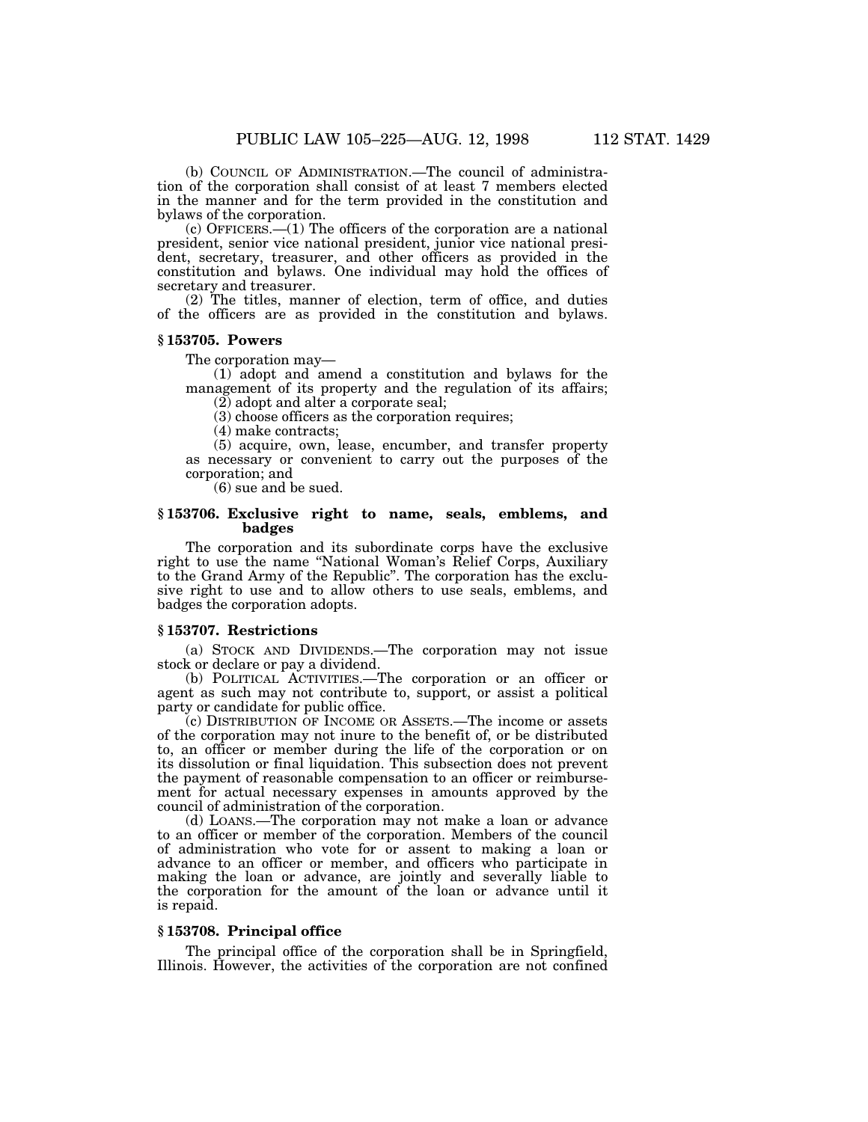(b) COUNCIL OF ADMINISTRATION.—The council of administration of the corporation shall consist of at least 7 members elected in the manner and for the term provided in the constitution and bylaws of the corporation.

(c) OFFICERS.—(1) The officers of the corporation are a national president, senior vice national president, junior vice national president, secretary, treasurer, and other officers as provided in the constitution and bylaws. One individual may hold the offices of secretary and treasurer.

(2) The titles, manner of election, term of office, and duties of the officers are as provided in the constitution and bylaws.

#### **§ 153705. Powers**

The corporation may—

(1) adopt and amend a constitution and bylaws for the management of its property and the regulation of its affairs; (2) adopt and alter a corporate seal;

(3) choose officers as the corporation requires;

(4) make contracts;

(5) acquire, own, lease, encumber, and transfer property as necessary or convenient to carry out the purposes of the corporation; and

(6) sue and be sued.

## **§ 153706. Exclusive right to name, seals, emblems, and badges**

The corporation and its subordinate corps have the exclusive right to use the name ''National Woman's Relief Corps, Auxiliary to the Grand Army of the Republic''. The corporation has the exclusive right to use and to allow others to use seals, emblems, and badges the corporation adopts.

#### **§ 153707. Restrictions**

(a) STOCK AND DIVIDENDS.—The corporation may not issue stock or declare or pay a dividend.

(b) POLITICAL ACTIVITIES.—The corporation or an officer or agent as such may not contribute to, support, or assist a political party or candidate for public office.

(c) DISTRIBUTION OF INCOME OR ASSETS.—The income or assets of the corporation may not inure to the benefit of, or be distributed to, an officer or member during the life of the corporation or on its dissolution or final liquidation. This subsection does not prevent the payment of reasonable compensation to an officer or reimbursement for actual necessary expenses in amounts approved by the council of administration of the corporation.

(d) LOANS.—The corporation may not make a loan or advance to an officer or member of the corporation. Members of the council of administration who vote for or assent to making a loan or advance to an officer or member, and officers who participate in making the loan or advance, are jointly and severally liable to the corporation for the amount of the loan or advance until it is repaid.

## **§ 153708. Principal office**

The principal office of the corporation shall be in Springfield, Illinois. However, the activities of the corporation are not confined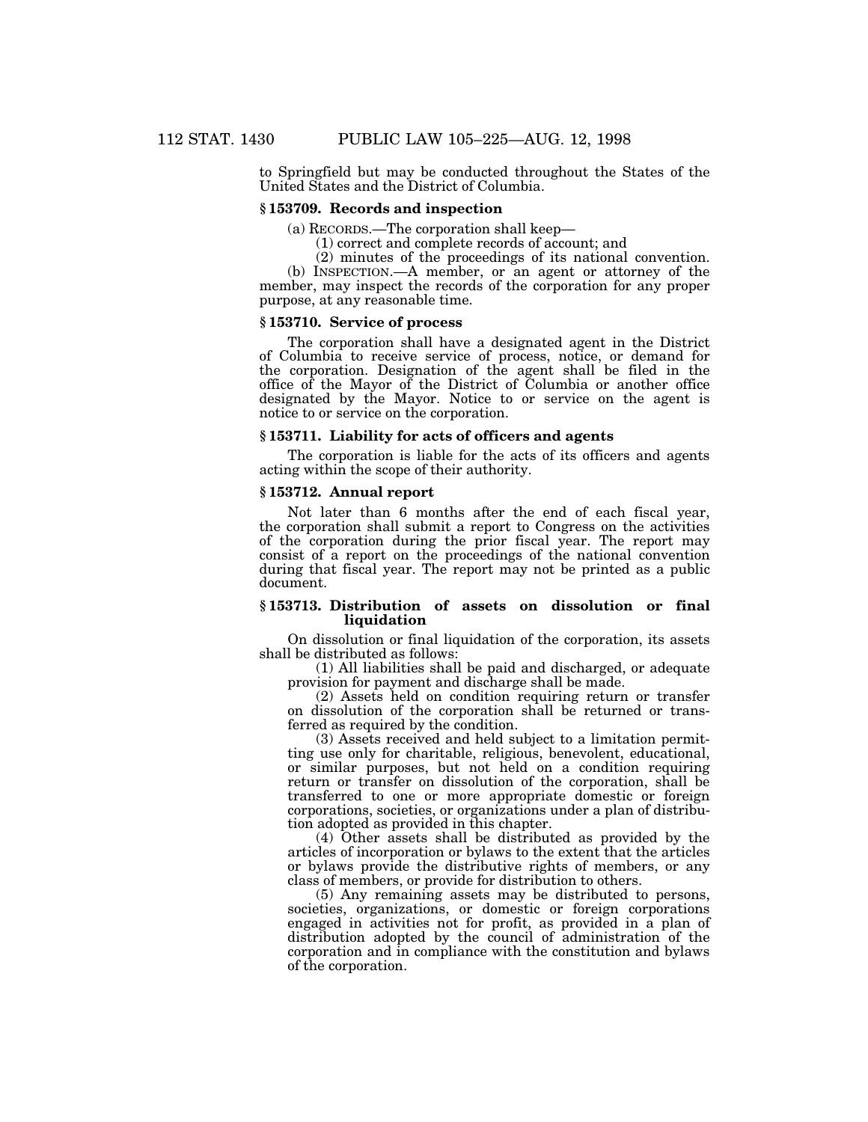to Springfield but may be conducted throughout the States of the United States and the District of Columbia.

# **§ 153709. Records and inspection**

(a) RECORDS.—The corporation shall keep—

(1) correct and complete records of account; and

(2) minutes of the proceedings of its national convention.

(b) INSPECTION.—A member, or an agent or attorney of the member, may inspect the records of the corporation for any proper purpose, at any reasonable time.

## **§ 153710. Service of process**

The corporation shall have a designated agent in the District of Columbia to receive service of process, notice, or demand for the corporation. Designation of the agent shall be filed in the office of the Mayor of the District of Columbia or another office designated by the Mayor. Notice to or service on the agent is notice to or service on the corporation.

#### **§ 153711. Liability for acts of officers and agents**

The corporation is liable for the acts of its officers and agents acting within the scope of their authority.

#### **§ 153712. Annual report**

Not later than 6 months after the end of each fiscal year, the corporation shall submit a report to Congress on the activities of the corporation during the prior fiscal year. The report may consist of a report on the proceedings of the national convention during that fiscal year. The report may not be printed as a public document.

## **§ 153713. Distribution of assets on dissolution or final liquidation**

On dissolution or final liquidation of the corporation, its assets shall be distributed as follows:

(1) All liabilities shall be paid and discharged, or adequate provision for payment and discharge shall be made.

(2) Assets held on condition requiring return or transfer on dissolution of the corporation shall be returned or transferred as required by the condition.

(3) Assets received and held subject to a limitation permitting use only for charitable, religious, benevolent, educational, or similar purposes, but not held on a condition requiring return or transfer on dissolution of the corporation, shall be transferred to one or more appropriate domestic or foreign corporations, societies, or organizations under a plan of distribution adopted as provided in this chapter.

(4) Other assets shall be distributed as provided by the articles of incorporation or bylaws to the extent that the articles or bylaws provide the distributive rights of members, or any class of members, or provide for distribution to others.

(5) Any remaining assets may be distributed to persons, societies, organizations, or domestic or foreign corporations engaged in activities not for profit, as provided in a plan of distribution adopted by the council of administration of the corporation and in compliance with the constitution and bylaws of the corporation.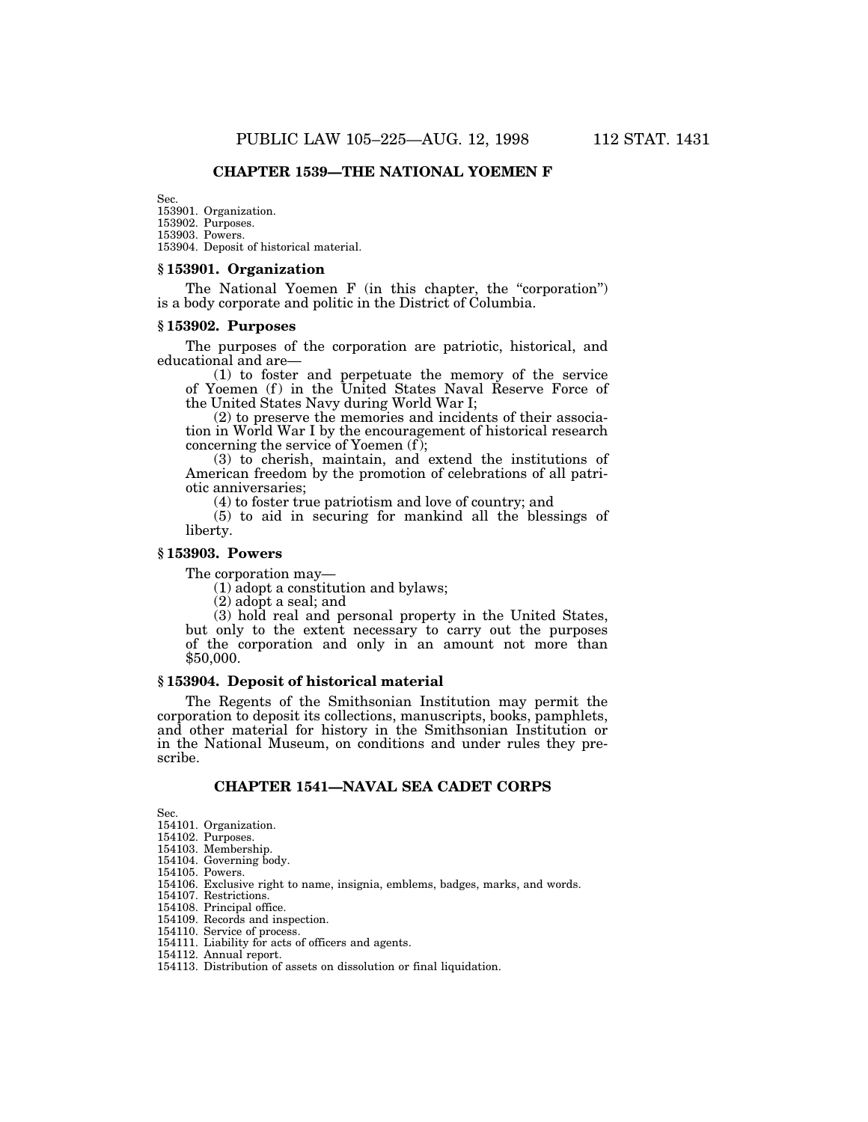# **CHAPTER 1539—THE NATIONAL YOEMEN F**

Sec. 153901. Organization. 153902. Purposes. 153903. Powers. 153904. Deposit of historical material.

#### **§ 153901. Organization**

The National Yoemen F (in this chapter, the "corporation") is a body corporate and politic in the District of Columbia.

#### **§ 153902. Purposes**

The purposes of the corporation are patriotic, historical, and educational and are—

(1) to foster and perpetuate the memory of the service of Yoemen (f) in the United States Naval Reserve Force of the United States Navy during World War I;

(2) to preserve the memories and incidents of their association in World War I by the encouragement of historical research concerning the service of Yoemen  $(f)$ ;

(3) to cherish, maintain, and extend the institutions of American freedom by the promotion of celebrations of all patriotic anniversaries;

(4) to foster true patriotism and love of country; and

(5) to aid in securing for mankind all the blessings of liberty.

#### **§ 153903. Powers**

The corporation may—

(1) adopt a constitution and bylaws;

(2) adopt a seal; and

(3) hold real and personal property in the United States, but only to the extent necessary to carry out the purposes of the corporation and only in an amount not more than \$50,000.

## **§ 153904. Deposit of historical material**

The Regents of the Smithsonian Institution may permit the corporation to deposit its collections, manuscripts, books, pamphlets, and other material for history in the Smithsonian Institution or in the National Museum, on conditions and under rules they prescribe.

# **CHAPTER 1541—NAVAL SEA CADET CORPS**

Sec.

- 154101. Organization.
- 154102. Purposes.
- 154103. Membership. 154104. Governing body.
- 154105. Powers.
- 
- 154106. Exclusive right to name, insignia, emblems, badges, marks, and words.
- 154107. Restrictions. 154108. Principal office.
- 154109. Records and inspection.
- 154110. Service of process.
- 154111. Liability for acts of officers and agents.
- 154112. Annual report.
- 154113. Distribution of assets on dissolution or final liquidation.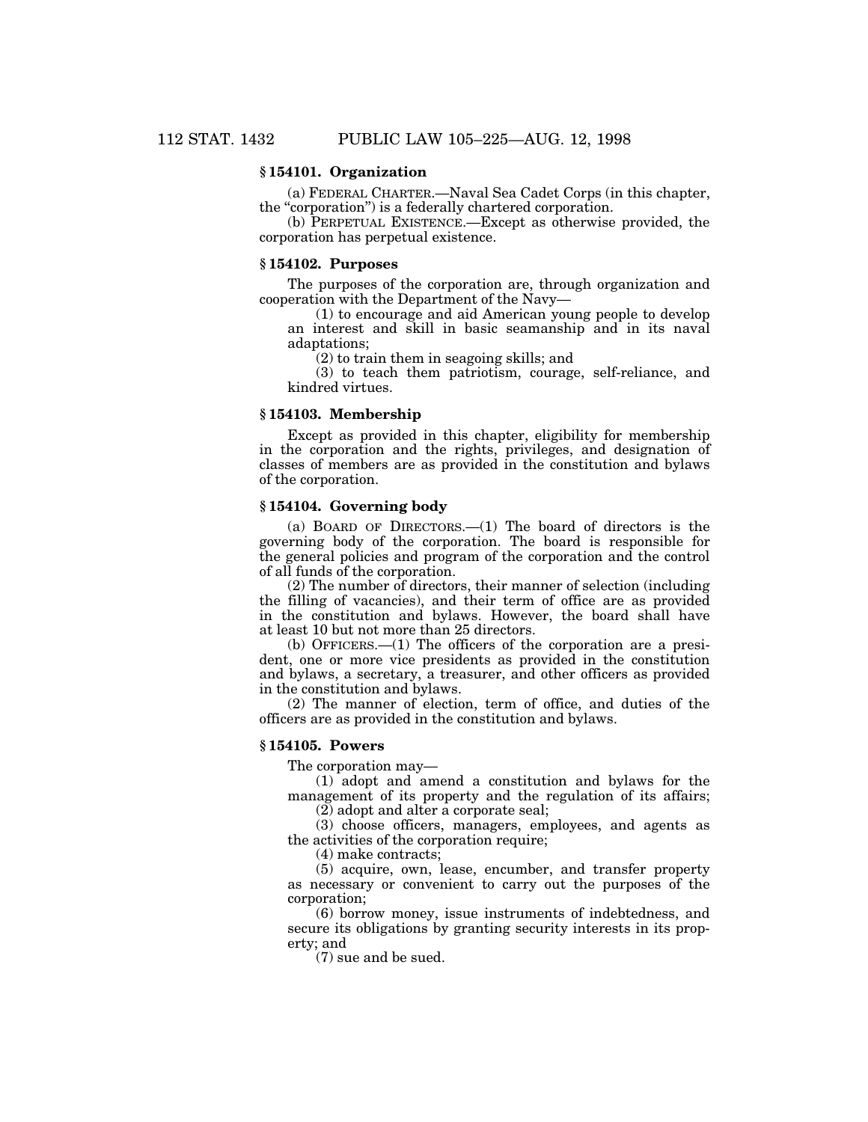# **§ 154101. Organization**

(a) FEDERAL CHARTER.—Naval Sea Cadet Corps (in this chapter, the ''corporation'') is a federally chartered corporation.

(b) PERPETUAL EXISTENCE.—Except as otherwise provided, the corporation has perpetual existence.

#### **§ 154102. Purposes**

The purposes of the corporation are, through organization and cooperation with the Department of the Navy—

(1) to encourage and aid American young people to develop an interest and skill in basic seamanship and in its naval adaptations;

(2) to train them in seagoing skills; and

(3) to teach them patriotism, courage, self-reliance, and kindred virtues.

#### **§ 154103. Membership**

Except as provided in this chapter, eligibility for membership in the corporation and the rights, privileges, and designation of classes of members are as provided in the constitution and bylaws of the corporation.

# **§ 154104. Governing body**

(a) BOARD OF DIRECTORS.—(1) The board of directors is the governing body of the corporation. The board is responsible for the general policies and program of the corporation and the control of all funds of the corporation.

(2) The number of directors, their manner of selection (including the filling of vacancies), and their term of office are as provided in the constitution and bylaws. However, the board shall have at least 10 but not more than 25 directors.

(b) OFFICERS.—(1) The officers of the corporation are a president, one or more vice presidents as provided in the constitution and bylaws, a secretary, a treasurer, and other officers as provided in the constitution and bylaws.

(2) The manner of election, term of office, and duties of the officers are as provided in the constitution and bylaws.

#### **§ 154105. Powers**

The corporation may—

(1) adopt and amend a constitution and bylaws for the management of its property and the regulation of its affairs; (2) adopt and alter a corporate seal;

(3) choose officers, managers, employees, and agents as the activities of the corporation require;

(4) make contracts;

(5) acquire, own, lease, encumber, and transfer property as necessary or convenient to carry out the purposes of the corporation;

(6) borrow money, issue instruments of indebtedness, and secure its obligations by granting security interests in its property; and

(7) sue and be sued.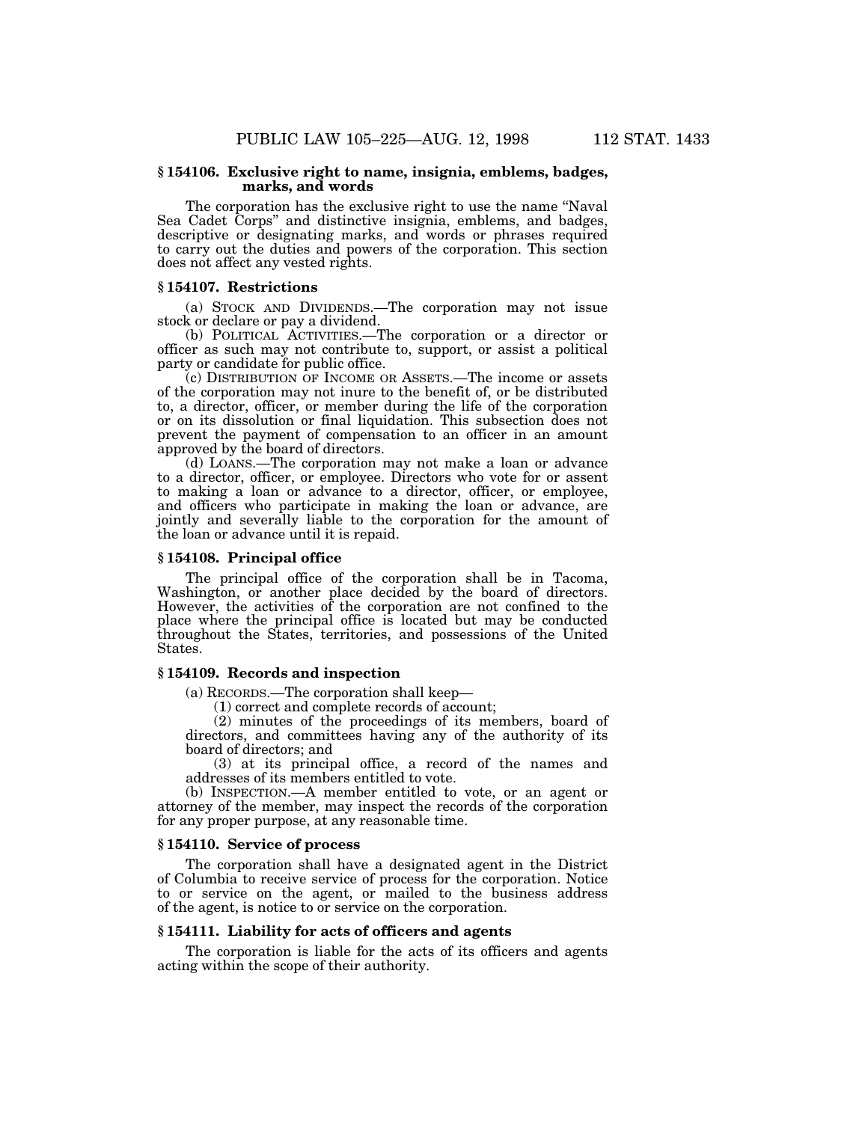## **§ 154106. Exclusive right to name, insignia, emblems, badges, marks, and words**

The corporation has the exclusive right to use the name ''Naval Sea Cadet Corps'' and distinctive insignia, emblems, and badges, descriptive or designating marks, and words or phrases required to carry out the duties and powers of the corporation. This section does not affect any vested rights.

# **§ 154107. Restrictions**

(a) STOCK AND DIVIDENDS.—The corporation may not issue stock or declare or pay a dividend.

(b) POLITICAL ACTIVITIES.—The corporation or a director or officer as such may not contribute to, support, or assist a political party or candidate for public office.

(c) DISTRIBUTION OF INCOME OR ASSETS.—The income or assets of the corporation may not inure to the benefit of, or be distributed to, a director, officer, or member during the life of the corporation or on its dissolution or final liquidation. This subsection does not prevent the payment of compensation to an officer in an amount approved by the board of directors.

(d) LOANS.—The corporation may not make a loan or advance to a director, officer, or employee. Directors who vote for or assent to making a loan or advance to a director, officer, or employee, and officers who participate in making the loan or advance, are jointly and severally liable to the corporation for the amount of the loan or advance until it is repaid.

### **§ 154108. Principal office**

The principal office of the corporation shall be in Tacoma, Washington, or another place decided by the board of directors. However, the activities of the corporation are not confined to the place where the principal office is located but may be conducted throughout the States, territories, and possessions of the United States.

# **§ 154109. Records and inspection**

(a) RECORDS.—The corporation shall keep—

(1) correct and complete records of account;

(2) minutes of the proceedings of its members, board of directors, and committees having any of the authority of its board of directors; and

(3) at its principal office, a record of the names and addresses of its members entitled to vote.

(b) INSPECTION.—A member entitled to vote, or an agent or attorney of the member, may inspect the records of the corporation for any proper purpose, at any reasonable time.

#### **§ 154110. Service of process**

The corporation shall have a designated agent in the District of Columbia to receive service of process for the corporation. Notice to or service on the agent, or mailed to the business address of the agent, is notice to or service on the corporation.

## **§ 154111. Liability for acts of officers and agents**

The corporation is liable for the acts of its officers and agents acting within the scope of their authority.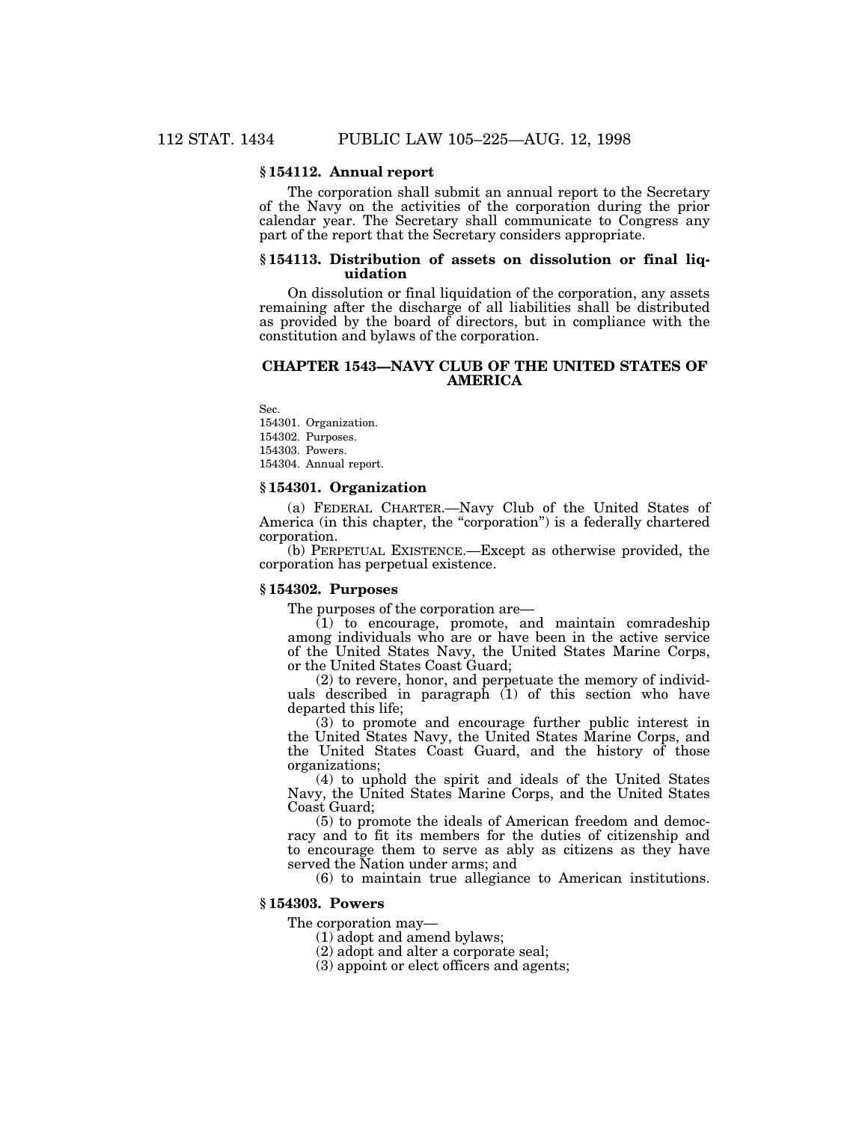# **§ 154112. Annual report**

The corporation shall submit an annual report to the Secretary of the Navy on the activities of the corporation during the prior calendar year. The Secretary shall communicate to Congress any part of the report that the Secretary considers appropriate.

#### **§ 154113. Distribution of assets on dissolution or final liquidation**

On dissolution or final liquidation of the corporation, any assets remaining after the discharge of all liabilities shall be distributed as provided by the board of directors, but in compliance with the constitution and bylaws of the corporation.

# **CHAPTER 1543—NAVY CLUB OF THE UNITED STATES OF AMERICA**

Sec. 154301. Organization. 154302. Purposes. 154303. Powers. 154304. Annual report.

# **§ 154301. Organization**

(a) FEDERAL CHARTER.—Navy Club of the United States of America (in this chapter, the "corporation") is a federally chartered corporation.

(b) PERPETUAL EXISTENCE.—Except as otherwise provided, the corporation has perpetual existence.

# **§ 154302. Purposes**

The purposes of the corporation are—

(1) to encourage, promote, and maintain comradeship among individuals who are or have been in the active service of the United States Navy, the United States Marine Corps, or the United States Coast Guard;

(2) to revere, honor, and perpetuate the memory of individuals described in paragraph (1) of this section who have departed this life;

(3) to promote and encourage further public interest in the United States Navy, the United States Marine Corps, and the United States Coast Guard, and the history of those organizations;

(4) to uphold the spirit and ideals of the United States Navy, the United States Marine Corps, and the United States Coast Guard;

(5) to promote the ideals of American freedom and democracy and to fit its members for the duties of citizenship and to encourage them to serve as ably as citizens as they have served the Nation under arms; and

(6) to maintain true allegiance to American institutions.

# **§ 154303. Powers**

The corporation may—

(1) adopt and amend bylaws;

(2) adopt and alter a corporate seal;

(3) appoint or elect officers and agents;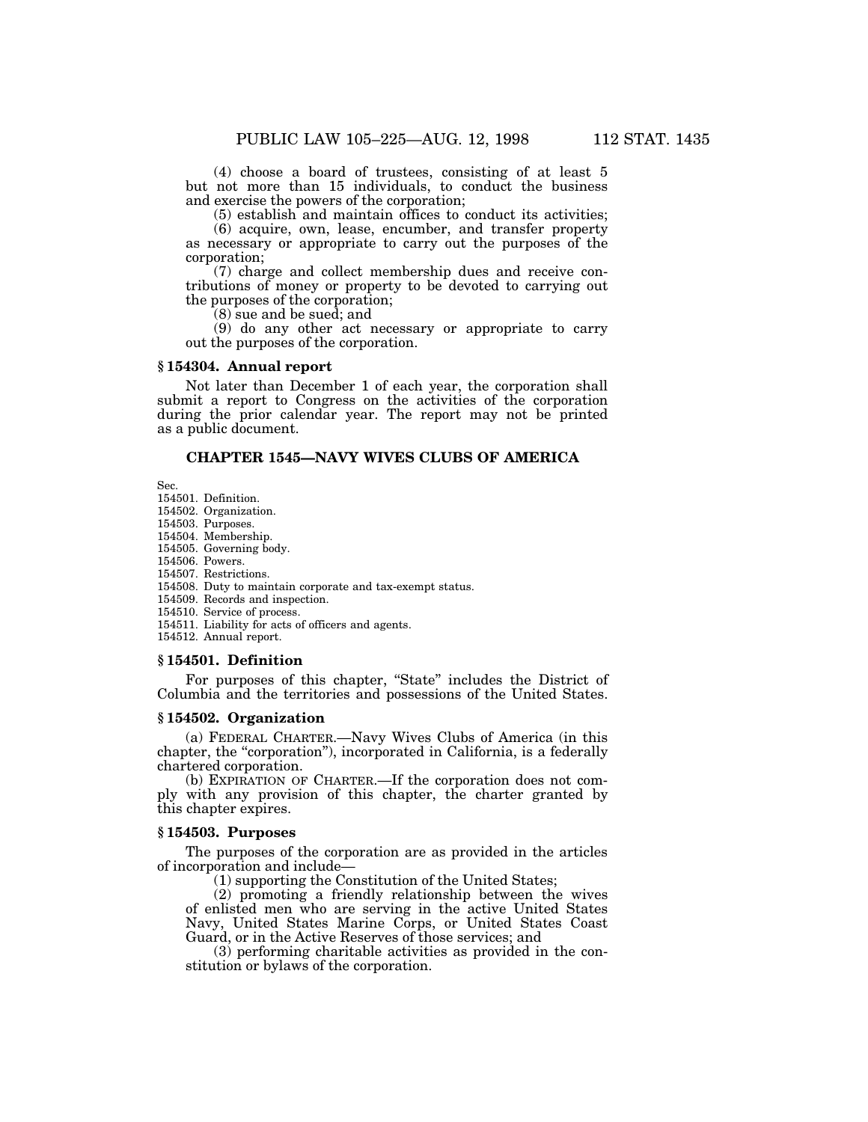(4) choose a board of trustees, consisting of at least 5 but not more than 15 individuals, to conduct the business and exercise the powers of the corporation;

(5) establish and maintain offices to conduct its activities;

(6) acquire, own, lease, encumber, and transfer property as necessary or appropriate to carry out the purposes of the corporation;

(7) charge and collect membership dues and receive contributions of money or property to be devoted to carrying out the purposes of the corporation;

(8) sue and be sued; and

(9) do any other act necessary or appropriate to carry out the purposes of the corporation.

#### **§ 154304. Annual report**

Not later than December 1 of each year, the corporation shall submit a report to Congress on the activities of the corporation during the prior calendar year. The report may not be printed as a public document.

# **CHAPTER 1545—NAVY WIVES CLUBS OF AMERICA**

Sec.

154501. Definition.

154502. Organization.

154503. Purposes.

154504. Membership. 154505. Governing body.

154506. Powers.

154507. Restrictions.

154508. Duty to maintain corporate and tax-exempt status.

154509. Records and inspection.

- 154510. Service of process.
- 154511. Liability for acts of officers and agents.
- 154512. Annual report.

#### **§ 154501. Definition**

For purposes of this chapter, "State" includes the District of Columbia and the territories and possessions of the United States.

## **§ 154502. Organization**

(a) FEDERAL CHARTER.—Navy Wives Clubs of America (in this chapter, the ''corporation''), incorporated in California, is a federally chartered corporation.

(b) EXPIRATION OF CHARTER.—If the corporation does not comply with any provision of this chapter, the charter granted by this chapter expires.

# **§ 154503. Purposes**

The purposes of the corporation are as provided in the articles of incorporation and include—

(1) supporting the Constitution of the United States;

(2) promoting a friendly relationship between the wives of enlisted men who are serving in the active United States Navy, United States Marine Corps, or United States Coast Guard, or in the Active Reserves of those services; and

(3) performing charitable activities as provided in the constitution or bylaws of the corporation.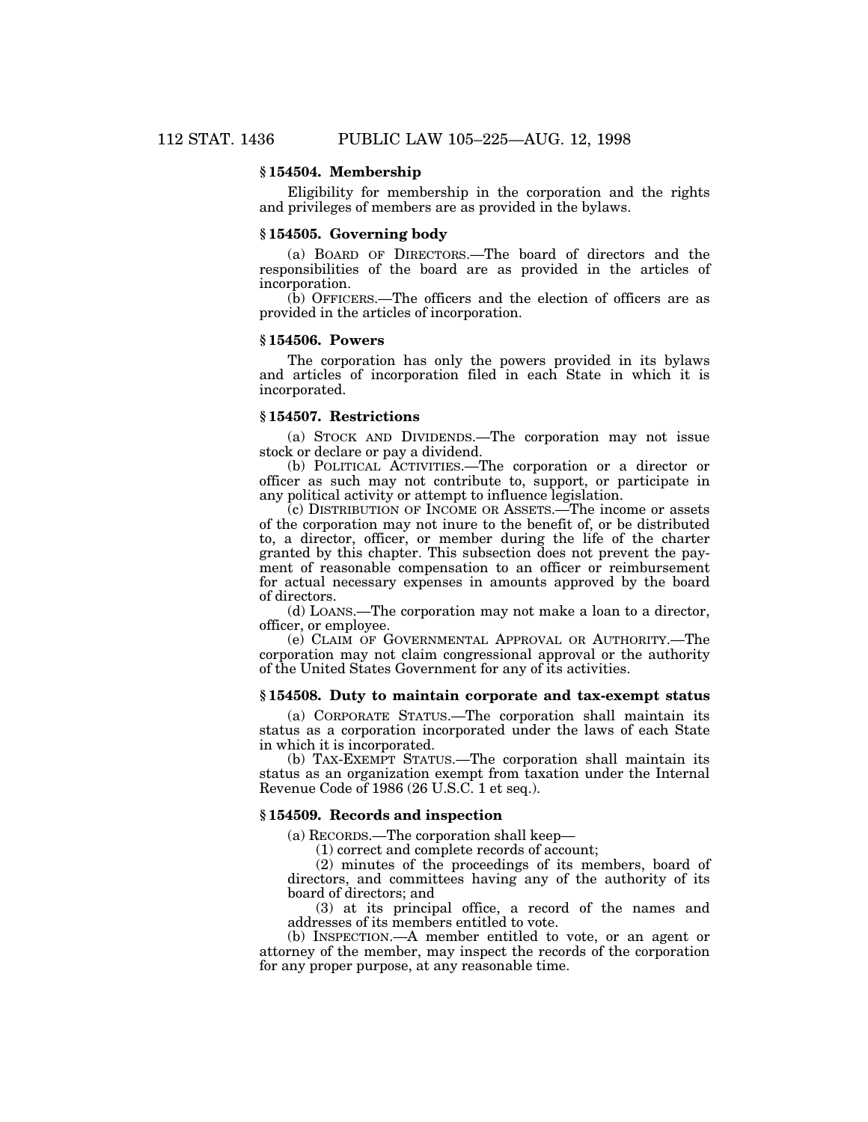# **§ 154504. Membership**

Eligibility for membership in the corporation and the rights and privileges of members are as provided in the bylaws.

# **§ 154505. Governing body**

(a) BOARD OF DIRECTORS.—The board of directors and the responsibilities of the board are as provided in the articles of incorporation.

(b) OFFICERS.—The officers and the election of officers are as provided in the articles of incorporation.

#### **§ 154506. Powers**

The corporation has only the powers provided in its bylaws and articles of incorporation filed in each State in which it is incorporated.

# **§ 154507. Restrictions**

(a) STOCK AND DIVIDENDS.—The corporation may not issue stock or declare or pay a dividend.

(b) POLITICAL ACTIVITIES.—The corporation or a director or officer as such may not contribute to, support, or participate in any political activity or attempt to influence legislation.

(c) DISTRIBUTION OF INCOME OR ASSETS.—The income or assets of the corporation may not inure to the benefit of, or be distributed to, a director, officer, or member during the life of the charter granted by this chapter. This subsection does not prevent the payment of reasonable compensation to an officer or reimbursement for actual necessary expenses in amounts approved by the board of directors.

(d) LOANS.—The corporation may not make a loan to a director, officer, or employee.

(e) CLAIM OF GOVERNMENTAL APPROVAL OR AUTHORITY.—The corporation may not claim congressional approval or the authority of the United States Government for any of its activities.

### **§ 154508. Duty to maintain corporate and tax-exempt status**

(a) CORPORATE STATUS.—The corporation shall maintain its status as a corporation incorporated under the laws of each State in which it is incorporated.

(b) TAX-EXEMPT STATUS.—The corporation shall maintain its status as an organization exempt from taxation under the Internal Revenue Code of 1986 (26 U.S.C. 1 et seq.).

# **§ 154509. Records and inspection**

(a) RECORDS.—The corporation shall keep—

(1) correct and complete records of account;

(2) minutes of the proceedings of its members, board of directors, and committees having any of the authority of its board of directors; and

(3) at its principal office, a record of the names and addresses of its members entitled to vote.

(b) INSPECTION.—A member entitled to vote, or an agent or attorney of the member, may inspect the records of the corporation for any proper purpose, at any reasonable time.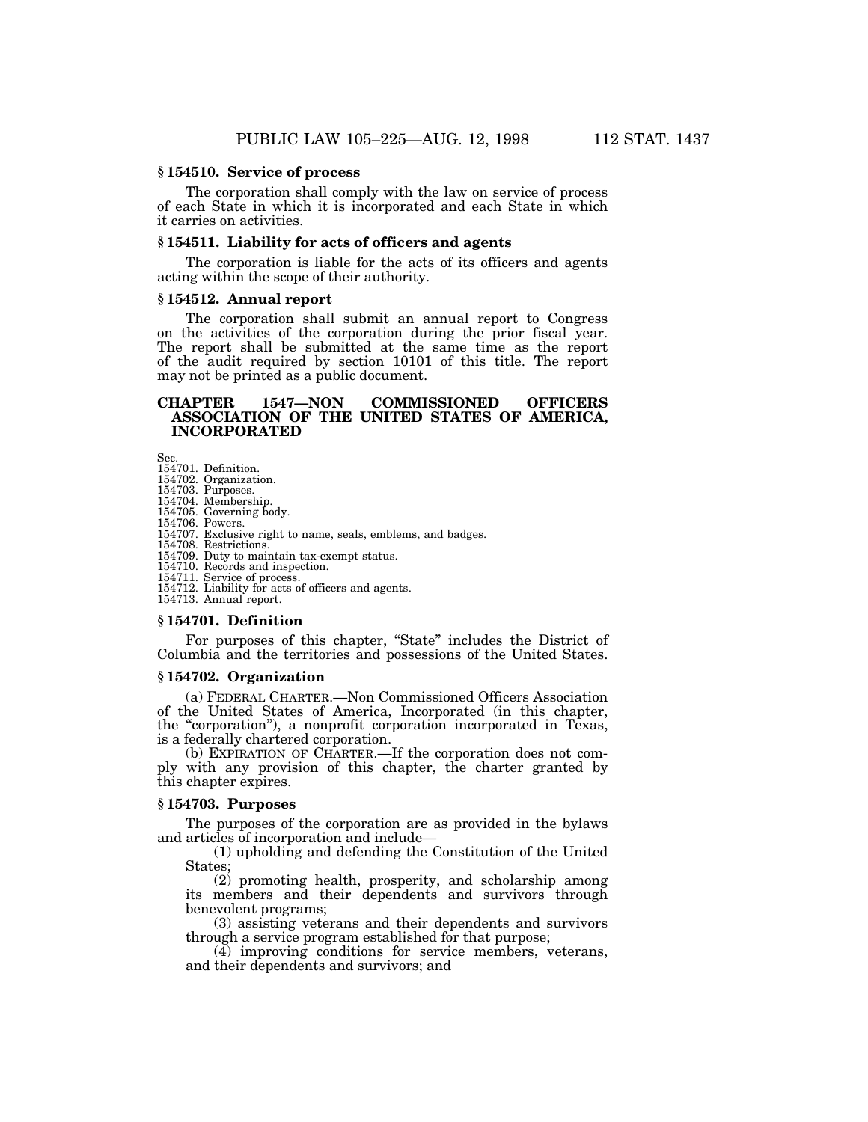## **§ 154510. Service of process**

The corporation shall comply with the law on service of process of each State in which it is incorporated and each State in which it carries on activities.

# **§ 154511. Liability for acts of officers and agents**

The corporation is liable for the acts of its officers and agents acting within the scope of their authority.

#### **§ 154512. Annual report**

The corporation shall submit an annual report to Congress on the activities of the corporation during the prior fiscal year. The report shall be submitted at the same time as the report of the audit required by section 10101 of this title. The report may not be printed as a public document.

# **CHAPTER 1547—NON COMMISSIONED OFFICERS ASSOCIATION OF THE UNITED STATES OF AMERICA, INCORPORATED**

Sec.

- 
- 
- 154701. Definition. 154702. Organization. 154703. Purposes. 154704. Membership.
- 154705. Governing body.
- 154706. Powers.
- 154707. Exclusive right to name, seals, emblems, and badges. 154708. Restrictions.
- 
- 154709. Duty to maintain tax-exempt status.
- 154710. Records and inspection. 154711. Service of process.
- 
- 154712. Liability for acts of officers and agents. 154713. Annual report.

#### **§ 154701. Definition**

For purposes of this chapter, "State" includes the District of Columbia and the territories and possessions of the United States.

# **§ 154702. Organization**

(a) FEDERAL CHARTER.—Non Commissioned Officers Association of the United States of America, Incorporated (in this chapter, the ''corporation''), a nonprofit corporation incorporated in Texas, is a federally chartered corporation.

(b) EXPIRATION OF CHARTER.—If the corporation does not comply with any provision of this chapter, the charter granted by this chapter expires.

### **§ 154703. Purposes**

The purposes of the corporation are as provided in the bylaws and articles of incorporation and include—

(1) upholding and defending the Constitution of the United States;

(2) promoting health, prosperity, and scholarship among its members and their dependents and survivors through benevolent programs;

(3) assisting veterans and their dependents and survivors through a service program established for that purpose;

(4) improving conditions for service members, veterans, and their dependents and survivors; and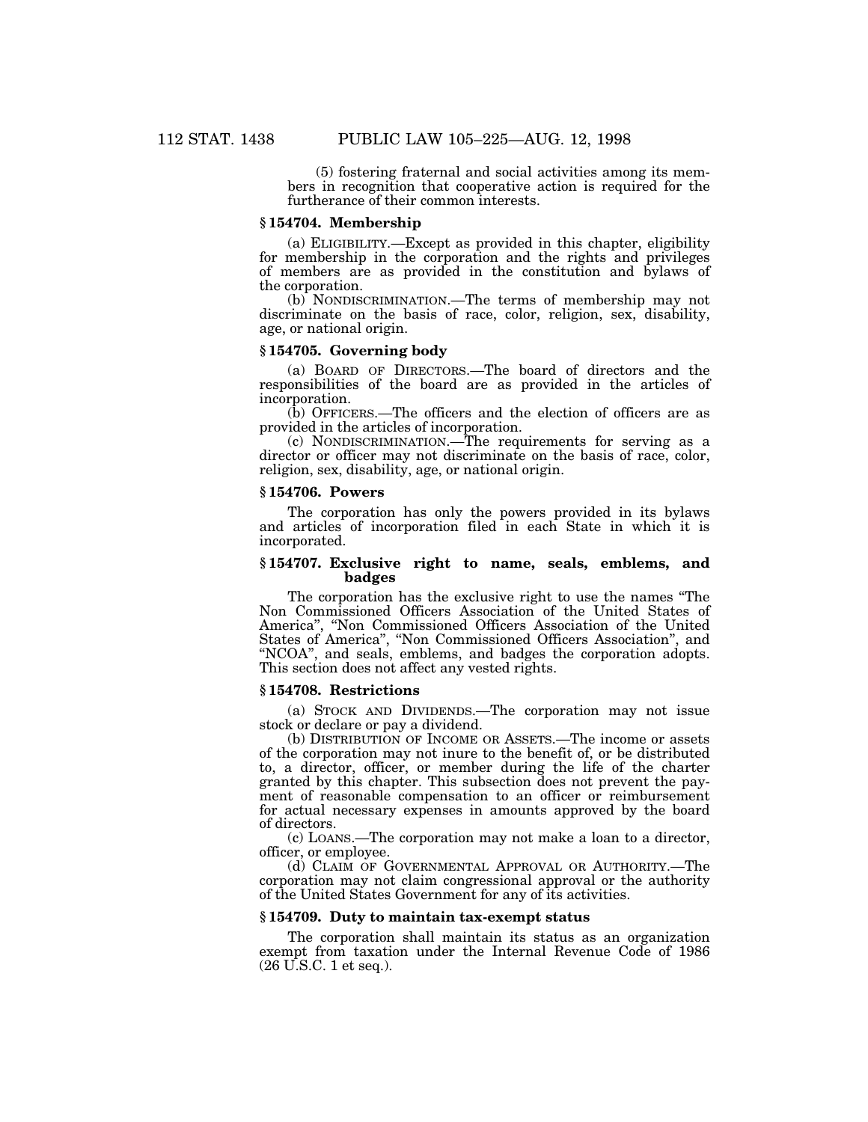(5) fostering fraternal and social activities among its members in recognition that cooperative action is required for the furtherance of their common interests.

#### **§ 154704. Membership**

(a) ELIGIBILITY.—Except as provided in this chapter, eligibility for membership in the corporation and the rights and privileges of members are as provided in the constitution and bylaws of the corporation.

(b) NONDISCRIMINATION.—The terms of membership may not discriminate on the basis of race, color, religion, sex, disability, age, or national origin.

# **§ 154705. Governing body**

(a) BOARD OF DIRECTORS.—The board of directors and the responsibilities of the board are as provided in the articles of incorporation.

(b) OFFICERS.—The officers and the election of officers are as provided in the articles of incorporation.

(c) NONDISCRIMINATION.—The requirements for serving as a director or officer may not discriminate on the basis of race, color, religion, sex, disability, age, or national origin.

#### **§ 154706. Powers**

The corporation has only the powers provided in its bylaws and articles of incorporation filed in each State in which it is incorporated.

### **§ 154707. Exclusive right to name, seals, emblems, and badges**

The corporation has the exclusive right to use the names ''The Non Commissioned Officers Association of the United States of America'', ''Non Commissioned Officers Association of the United States of America'', ''Non Commissioned Officers Association'', and ''NCOA'', and seals, emblems, and badges the corporation adopts. This section does not affect any vested rights.

#### **§ 154708. Restrictions**

(a) STOCK AND DIVIDENDS.—The corporation may not issue stock or declare or pay a dividend.

(b) DISTRIBUTION OF INCOME OR ASSETS.—The income or assets of the corporation may not inure to the benefit of, or be distributed to, a director, officer, or member during the life of the charter granted by this chapter. This subsection does not prevent the payment of reasonable compensation to an officer or reimbursement for actual necessary expenses in amounts approved by the board of directors.

(c) LOANS.—The corporation may not make a loan to a director, officer, or employee.

(d) CLAIM OF GOVERNMENTAL APPROVAL OR AUTHORITY.—The corporation may not claim congressional approval or the authority of the United States Government for any of its activities.

# **§ 154709. Duty to maintain tax-exempt status**

The corporation shall maintain its status as an organization exempt from taxation under the Internal Revenue Code of 1986  $(26 \text{ U.S.C. 1 et seq.}).$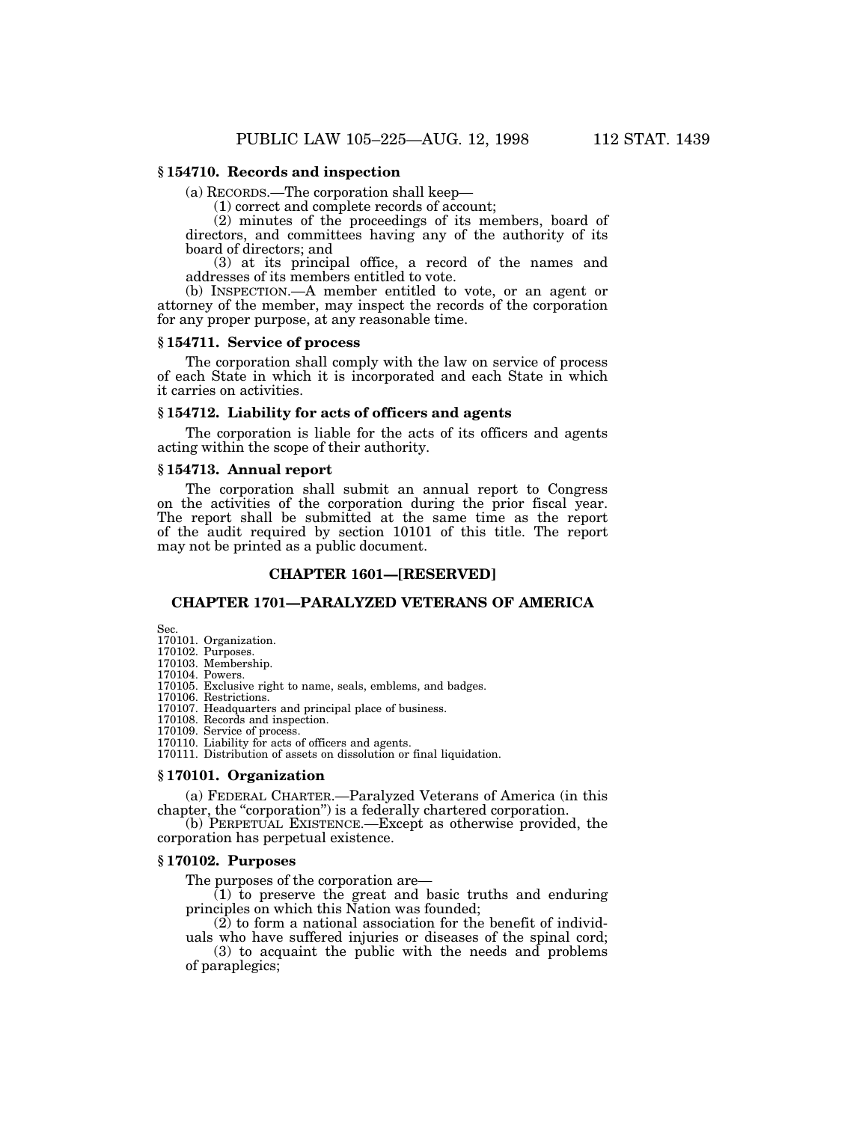### **§ 154710. Records and inspection**

(a) RECORDS.—The corporation shall keep—

(1) correct and complete records of account;

(2) minutes of the proceedings of its members, board of directors, and committees having any of the authority of its board of directors; and

(3) at its principal office, a record of the names and addresses of its members entitled to vote.

(b) INSPECTION.—A member entitled to vote, or an agent or attorney of the member, may inspect the records of the corporation for any proper purpose, at any reasonable time.

## **§ 154711. Service of process**

The corporation shall comply with the law on service of process of each State in which it is incorporated and each State in which it carries on activities.

# **§ 154712. Liability for acts of officers and agents**

The corporation is liable for the acts of its officers and agents acting within the scope of their authority.

#### **§ 154713. Annual report**

The corporation shall submit an annual report to Congress on the activities of the corporation during the prior fiscal year. The report shall be submitted at the same time as the report of the audit required by section 10101 of this title. The report may not be printed as a public document.

#### **CHAPTER 1601—[RESERVED]**

# **CHAPTER 1701—PARALYZED VETERANS OF AMERICA**

Sec.

#### 170101. Organization.

170102. Purposes. 170103. Membership.

# 170104. Powers.

- 170105. Exclusive right to name, seals, emblems, and badges.
- 170106. Restrictions.
- 170107. Headquarters and principal place of business. 170108. Records and inspection.
- 170109. Service of process.

170110. Liability for acts of officers and agents.

170111. Distribution of assets on dissolution or final liquidation.

#### **§ 170101. Organization**

(a) FEDERAL CHARTER.—Paralyzed Veterans of America (in this chapter, the "corporation") is a federally chartered corporation.

(b) PERPETUAL EXISTENCE.—Except as otherwise provided, the corporation has perpetual existence.

## **§ 170102. Purposes**

The purposes of the corporation are—

(1) to preserve the great and basic truths and enduring principles on which this Nation was founded;

 $(2)$  to form a national association for the benefit of individuals who have suffered injuries or diseases of the spinal cord;

(3) to acquaint the public with the needs and problems of paraplegics;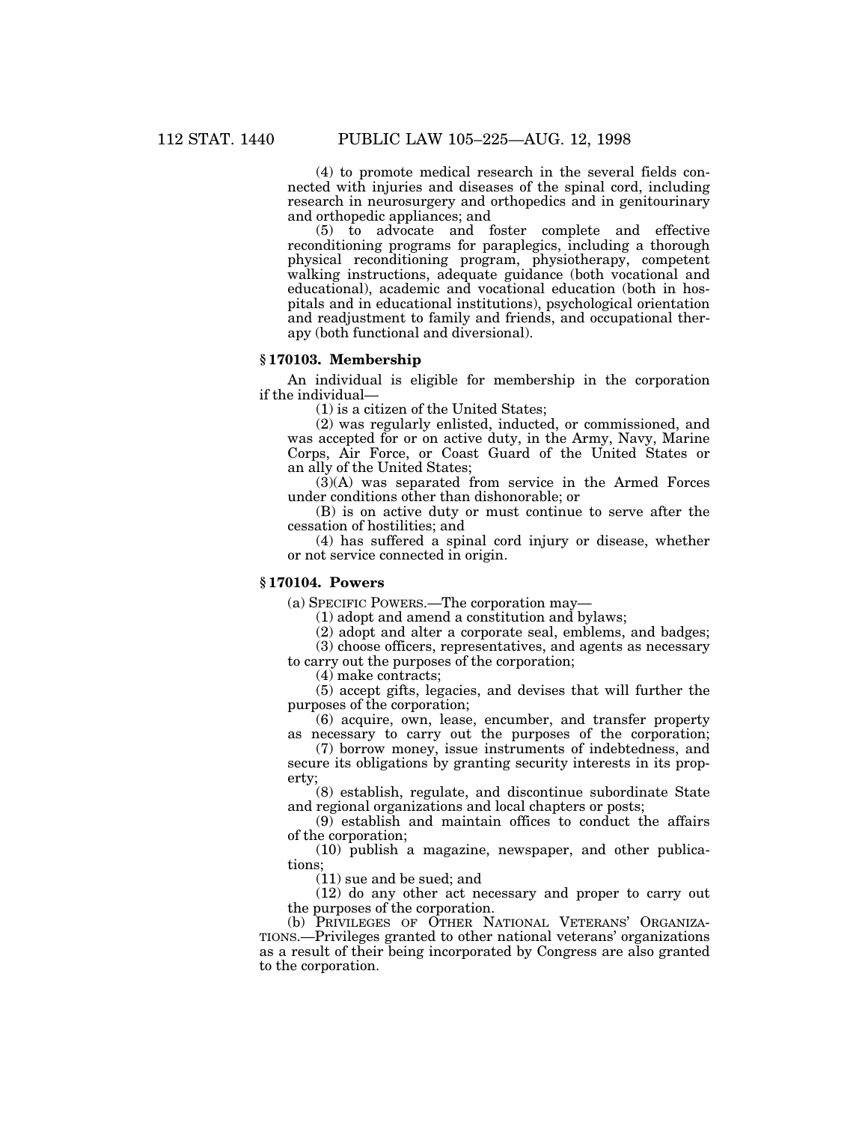(4) to promote medical research in the several fields connected with injuries and diseases of the spinal cord, including research in neurosurgery and orthopedics and in genitourinary and orthopedic appliances; and

(5) to advocate and foster complete and effective reconditioning programs for paraplegics, including a thorough physical reconditioning program, physiotherapy, competent walking instructions, adequate guidance (both vocational and educational), academic and vocational education (both in hospitals and in educational institutions), psychological orientation and readjustment to family and friends, and occupational therapy (both functional and diversional).

# **§ 170103. Membership**

An individual is eligible for membership in the corporation if the individual—

(1) is a citizen of the United States;

(2) was regularly enlisted, inducted, or commissioned, and was accepted for or on active duty, in the Army, Navy, Marine Corps, Air Force, or Coast Guard of the United States or an ally of the United States;

 $(3)(A)$  was separated from service in the Armed Forces under conditions other than dishonorable; or

(B) is on active duty or must continue to serve after the cessation of hostilities; and

(4) has suffered a spinal cord injury or disease, whether or not service connected in origin.

# **§ 170104. Powers**

(a) SPECIFIC POWERS.—The corporation may—

(1) adopt and amend a constitution and bylaws;

(2) adopt and alter a corporate seal, emblems, and badges;

(3) choose officers, representatives, and agents as necessary

to carry out the purposes of the corporation;

(4) make contracts;

(5) accept gifts, legacies, and devises that will further the purposes of the corporation;

(6) acquire, own, lease, encumber, and transfer property as necessary to carry out the purposes of the corporation;

(7) borrow money, issue instruments of indebtedness, and secure its obligations by granting security interests in its property;

(8) establish, regulate, and discontinue subordinate State and regional organizations and local chapters or posts;

(9) establish and maintain offices to conduct the affairs of the corporation;

(10) publish a magazine, newspaper, and other publications;

(11) sue and be sued; and

(12) do any other act necessary and proper to carry out the purposes of the corporation.

(b) PRIVILEGES OF OTHER NATIONAL VETERANS' ORGANIZA-TIONS.—Privileges granted to other national veterans' organizations as a result of their being incorporated by Congress are also granted to the corporation.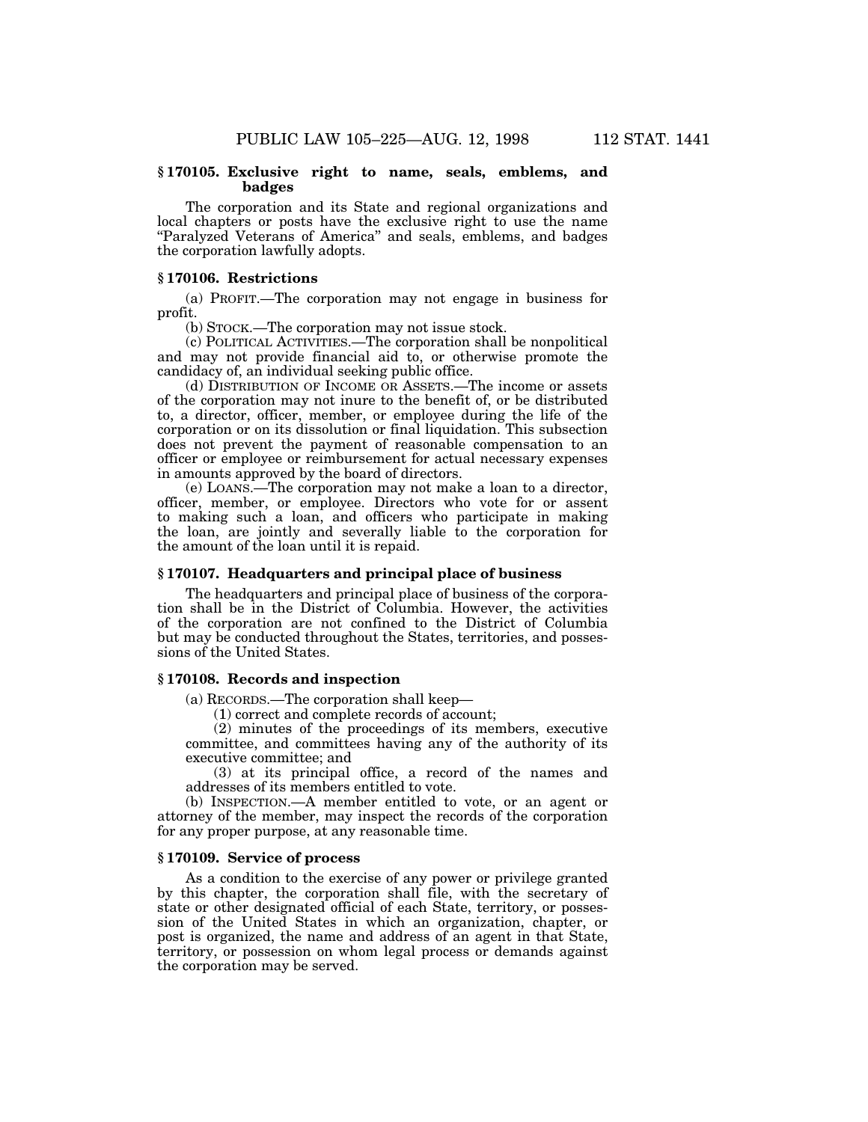## **§ 170105. Exclusive right to name, seals, emblems, and badges**

The corporation and its State and regional organizations and local chapters or posts have the exclusive right to use the name "Paralyzed Veterans of America" and seals, emblems, and badges the corporation lawfully adopts.

### **§ 170106. Restrictions**

(a) PROFIT.—The corporation may not engage in business for profit.

(b) STOCK.—The corporation may not issue stock.

(c) POLITICAL ACTIVITIES.—The corporation shall be nonpolitical and may not provide financial aid to, or otherwise promote the candidacy of, an individual seeking public office.

(d) DISTRIBUTION OF INCOME OR ASSETS.—The income or assets of the corporation may not inure to the benefit of, or be distributed to, a director, officer, member, or employee during the life of the corporation or on its dissolution or final liquidation. This subsection does not prevent the payment of reasonable compensation to an officer or employee or reimbursement for actual necessary expenses in amounts approved by the board of directors.

(e) LOANS.—The corporation may not make a loan to a director, officer, member, or employee. Directors who vote for or assent to making such a loan, and officers who participate in making the loan, are jointly and severally liable to the corporation for the amount of the loan until it is repaid.

# **§ 170107. Headquarters and principal place of business**

The headquarters and principal place of business of the corporation shall be in the District of Columbia. However, the activities of the corporation are not confined to the District of Columbia but may be conducted throughout the States, territories, and possessions of the United States.

#### **§ 170108. Records and inspection**

(a) RECORDS.—The corporation shall keep—

(1) correct and complete records of account;

(2) minutes of the proceedings of its members, executive committee, and committees having any of the authority of its executive committee; and

(3) at its principal office, a record of the names and addresses of its members entitled to vote.

(b) INSPECTION.—A member entitled to vote, or an agent or attorney of the member, may inspect the records of the corporation for any proper purpose, at any reasonable time.

## **§ 170109. Service of process**

As a condition to the exercise of any power or privilege granted by this chapter, the corporation shall file, with the secretary of state or other designated official of each State, territory, or possession of the United States in which an organization, chapter, or post is organized, the name and address of an agent in that State, territory, or possession on whom legal process or demands against the corporation may be served.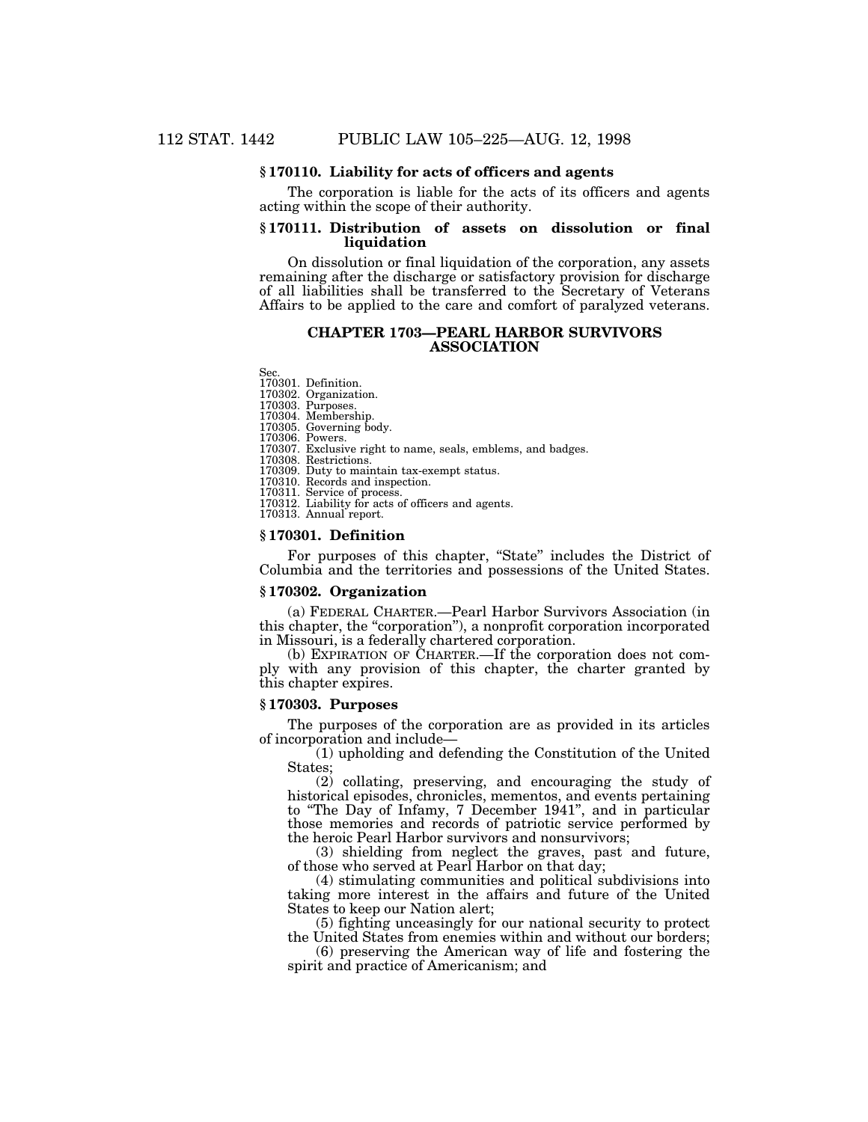# **§ 170110. Liability for acts of officers and agents**

The corporation is liable for the acts of its officers and agents acting within the scope of their authority.

# **§ 170111. Distribution of assets on dissolution or final liquidation**

On dissolution or final liquidation of the corporation, any assets remaining after the discharge or satisfactory provision for discharge of all liabilities shall be transferred to the Secretary of Veterans Affairs to be applied to the care and comfort of paralyzed veterans.

# **CHAPTER 1703—PEARL HARBOR SURVIVORS ASSOCIATION**

Sec. 170301. Definition. 170302. Organization. 170303. Purposes. 170304. Membership.

170305. Governing body. 170306. Powers. 170307. Exclusive right to name, seals, emblems, and badges. 170308. Restrictions.

170309. Duty to maintain tax-exempt status.

170310. Records and inspection.

170311. Service of process.

170312. Liability for acts of officers and agents. 170313. Annual report.

#### **§ 170301. Definition**

For purposes of this chapter, "State" includes the District of Columbia and the territories and possessions of the United States.

# **§ 170302. Organization**

(a) FEDERAL CHARTER.—Pearl Harbor Survivors Association (in this chapter, the "corporation"), a nonprofit corporation incorporated in Missouri, is a federally chartered corporation.

(b) EXPIRATION OF CHARTER.—If the corporation does not comply with any provision of this chapter, the charter granted by this chapter expires.

## **§ 170303. Purposes**

The purposes of the corporation are as provided in its articles of incorporation and include—

(1) upholding and defending the Constitution of the United States;

(2) collating, preserving, and encouraging the study of historical episodes, chronicles, mementos, and events pertaining to "The Day of Infamy, 7 December 1941", and in particular those memories and records of patriotic service performed by the heroic Pearl Harbor survivors and nonsurvivors;

(3) shielding from neglect the graves, past and future, of those who served at Pearl Harbor on that day;

(4) stimulating communities and political subdivisions into taking more interest in the affairs and future of the United States to keep our Nation alert;

(5) fighting unceasingly for our national security to protect the United States from enemies within and without our borders;

(6) preserving the American way of life and fostering the spirit and practice of Americanism; and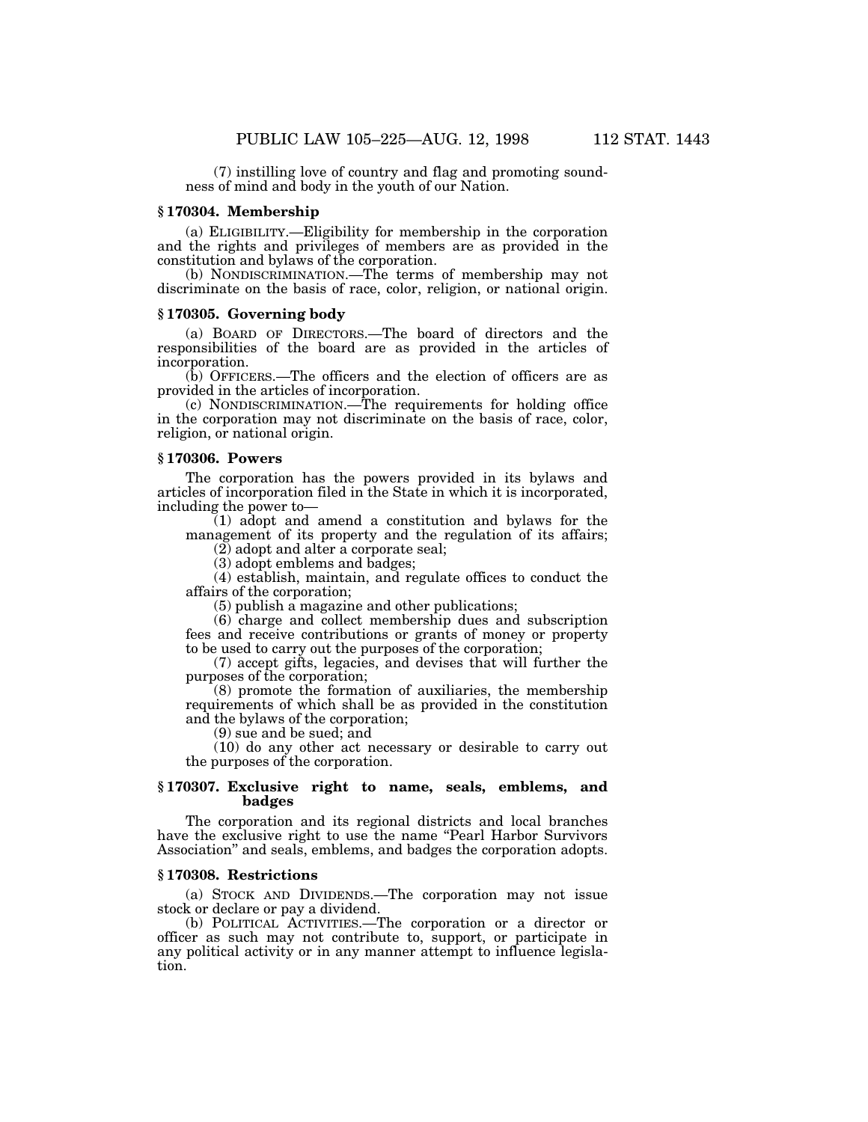(7) instilling love of country and flag and promoting soundness of mind and body in the youth of our Nation.

#### **§ 170304. Membership**

(a) ELIGIBILITY.—Eligibility for membership in the corporation and the rights and privileges of members are as provided in the constitution and bylaws of the corporation.

(b) NONDISCRIMINATION.—The terms of membership may not discriminate on the basis of race, color, religion, or national origin.

#### **§ 170305. Governing body**

(a) BOARD OF DIRECTORS.—The board of directors and the responsibilities of the board are as provided in the articles of incorporation.

(b) OFFICERS.—The officers and the election of officers are as provided in the articles of incorporation.

(c) NONDISCRIMINATION.—The requirements for holding office in the corporation may not discriminate on the basis of race, color, religion, or national origin.

#### **§ 170306. Powers**

The corporation has the powers provided in its bylaws and articles of incorporation filed in the State in which it is incorporated, including the power to—

 $(1)$  adopt and amend a constitution and bylaws for the management of its property and the regulation of its affairs; (2) adopt and alter a corporate seal;

(3) adopt emblems and badges;

(4) establish, maintain, and regulate offices to conduct the

affairs of the corporation;

(5) publish a magazine and other publications;

(6) charge and collect membership dues and subscription fees and receive contributions or grants of money or property to be used to carry out the purposes of the corporation;

(7) accept gifts, legacies, and devises that will further the purposes of the corporation;

(8) promote the formation of auxiliaries, the membership requirements of which shall be as provided in the constitution and the bylaws of the corporation;

(9) sue and be sued; and

(10) do any other act necessary or desirable to carry out the purposes of the corporation.

# **§ 170307. Exclusive right to name, seals, emblems, and badges**

The corporation and its regional districts and local branches have the exclusive right to use the name "Pearl Harbor Survivors" Association'' and seals, emblems, and badges the corporation adopts.

## **§ 170308. Restrictions**

(a) STOCK AND DIVIDENDS.—The corporation may not issue stock or declare or pay a dividend.

(b) POLITICAL ACTIVITIES.—The corporation or a director or officer as such may not contribute to, support, or participate in any political activity or in any manner attempt to influence legislation.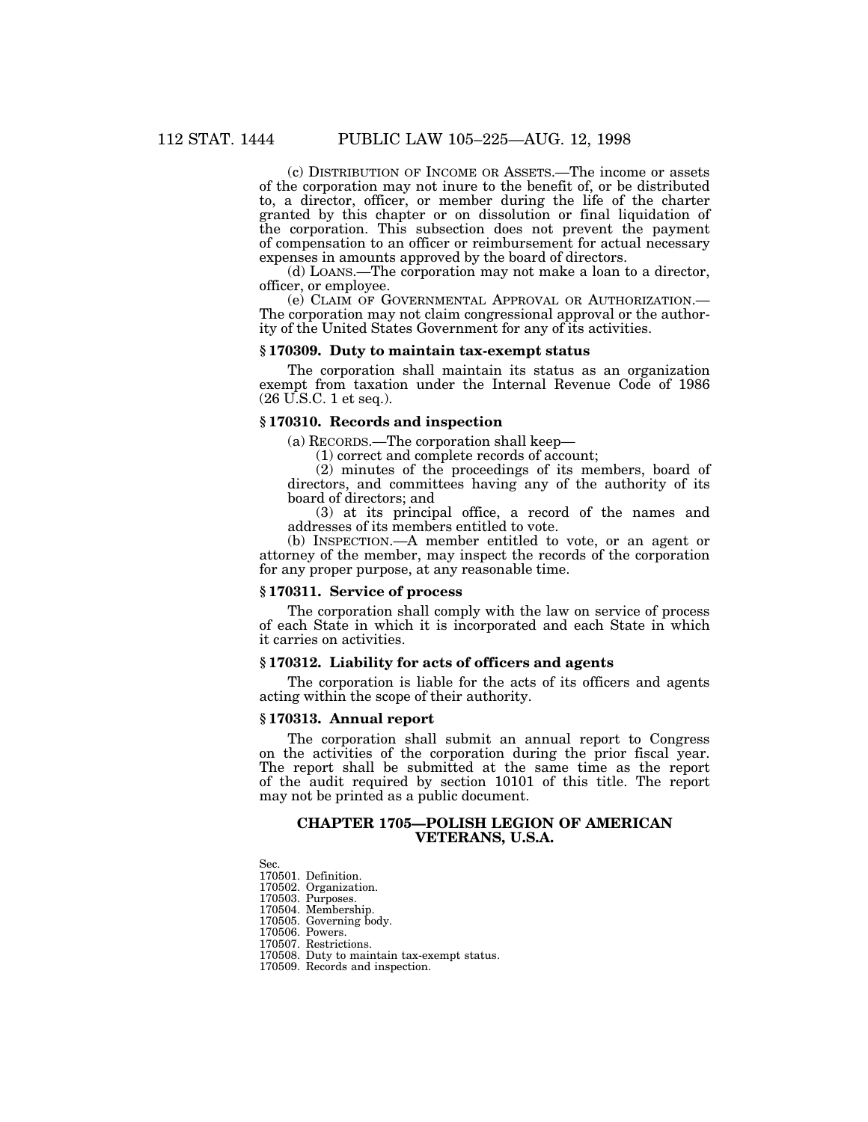(c) DISTRIBUTION OF INCOME OR ASSETS.—The income or assets of the corporation may not inure to the benefit of, or be distributed to, a director, officer, or member during the life of the charter granted by this chapter or on dissolution or final liquidation of the corporation. This subsection does not prevent the payment of compensation to an officer or reimbursement for actual necessary expenses in amounts approved by the board of directors.

(d) LOANS.—The corporation may not make a loan to a director, officer, or employee.

(e) CLAIM OF GOVERNMENTAL APPROVAL OR AUTHORIZATION.— The corporation may not claim congressional approval or the authority of the United States Government for any of its activities.

# **§ 170309. Duty to maintain tax-exempt status**

The corporation shall maintain its status as an organization exempt from taxation under the Internal Revenue Code of 1986 (26 U.S.C. 1 et seq.).

#### **§ 170310. Records and inspection**

(a) RECORDS.—The corporation shall keep—

(1) correct and complete records of account;

(2) minutes of the proceedings of its members, board of directors, and committees having any of the authority of its board of directors; and

(3) at its principal office, a record of the names and addresses of its members entitled to vote.

(b) INSPECTION.—A member entitled to vote, or an agent or attorney of the member, may inspect the records of the corporation for any proper purpose, at any reasonable time.

#### **§ 170311. Service of process**

The corporation shall comply with the law on service of process of each State in which it is incorporated and each State in which it carries on activities.

# **§ 170312. Liability for acts of officers and agents**

The corporation is liable for the acts of its officers and agents acting within the scope of their authority.

## **§ 170313. Annual report**

The corporation shall submit an annual report to Congress on the activities of the corporation during the prior fiscal year. The report shall be submitted at the same time as the report of the audit required by section 10101 of this title. The report may not be printed as a public document.

### **CHAPTER 1705—POLISH LEGION OF AMERICAN VETERANS, U.S.A.**

Sec. 170501. Definition. 170502. Organization. 170503. Purposes. 170504. Membership. 170505. Governing body. 170506. Powers. 170507. Restrictions. 170508. Duty to maintain tax-exempt status. 170509. Records and inspection.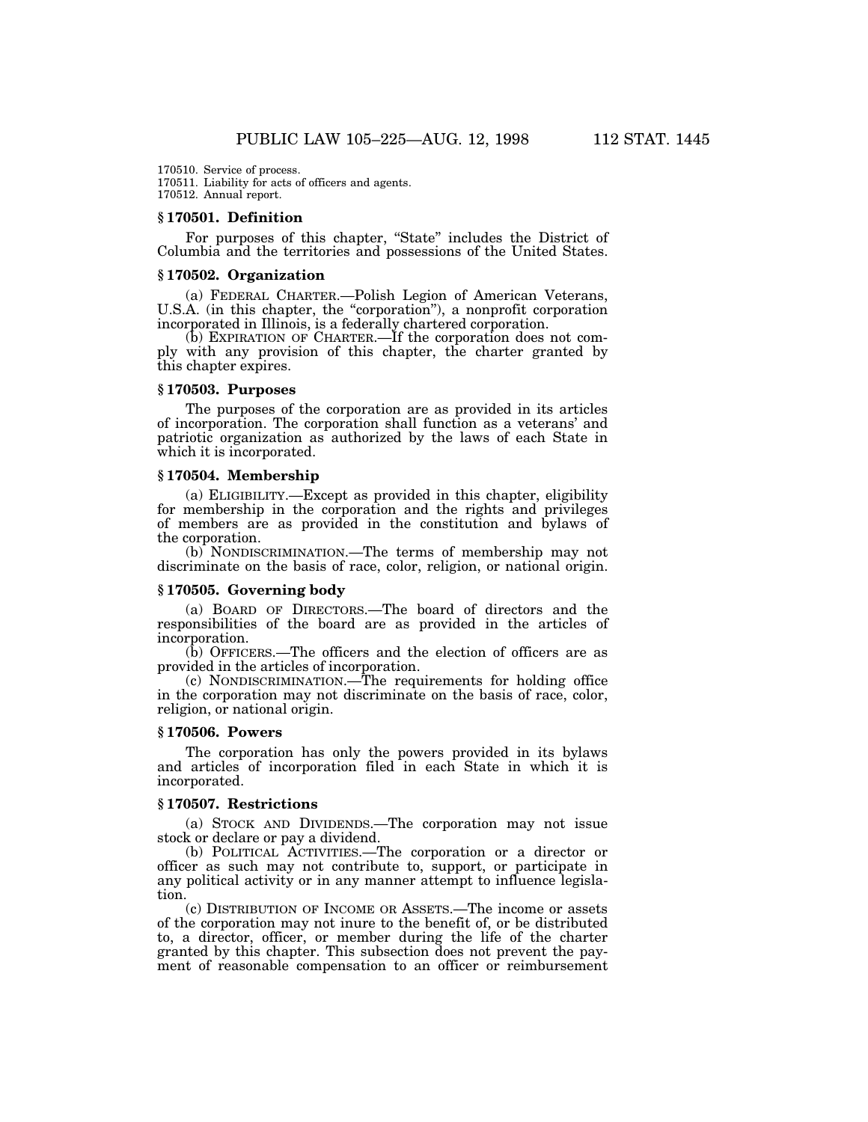170510. Service of process.

170511. Liability for acts of officers and agents. 170512. Annual report.

# **§ 170501. Definition**

For purposes of this chapter, "State" includes the District of Columbia and the territories and possessions of the United States.

#### **§ 170502. Organization**

(a) FEDERAL CHARTER.—Polish Legion of American Veterans, U.S.A. (in this chapter, the "corporation"), a nonprofit corporation incorporated in Illinois, is a federally chartered corporation.

(b) EXPIRATION OF CHARTER.—If the corporation does not comply with any provision of this chapter, the charter granted by this chapter expires.

## **§ 170503. Purposes**

The purposes of the corporation are as provided in its articles of incorporation. The corporation shall function as a veterans' and patriotic organization as authorized by the laws of each State in which it is incorporated.

## **§ 170504. Membership**

(a) ELIGIBILITY.—Except as provided in this chapter, eligibility for membership in the corporation and the rights and privileges of members are as provided in the constitution and bylaws of the corporation.

(b) NONDISCRIMINATION.—The terms of membership may not discriminate on the basis of race, color, religion, or national origin.

### **§ 170505. Governing body**

(a) BOARD OF DIRECTORS.—The board of directors and the responsibilities of the board are as provided in the articles of incorporation.

(b) OFFICERS.—The officers and the election of officers are as provided in the articles of incorporation.

(c) NONDISCRIMINATION.—The requirements for holding office in the corporation may not discriminate on the basis of race, color, religion, or national origin.

### **§ 170506. Powers**

The corporation has only the powers provided in its bylaws and articles of incorporation filed in each State in which it is incorporated.

### **§ 170507. Restrictions**

(a) STOCK AND DIVIDENDS.—The corporation may not issue stock or declare or pay a dividend.

(b) POLITICAL ACTIVITIES.—The corporation or a director or officer as such may not contribute to, support, or participate in any political activity or in any manner attempt to influence legislation.

(c) DISTRIBUTION OF INCOME OR ASSETS.—The income or assets of the corporation may not inure to the benefit of, or be distributed to, a director, officer, or member during the life of the charter granted by this chapter. This subsection does not prevent the payment of reasonable compensation to an officer or reimbursement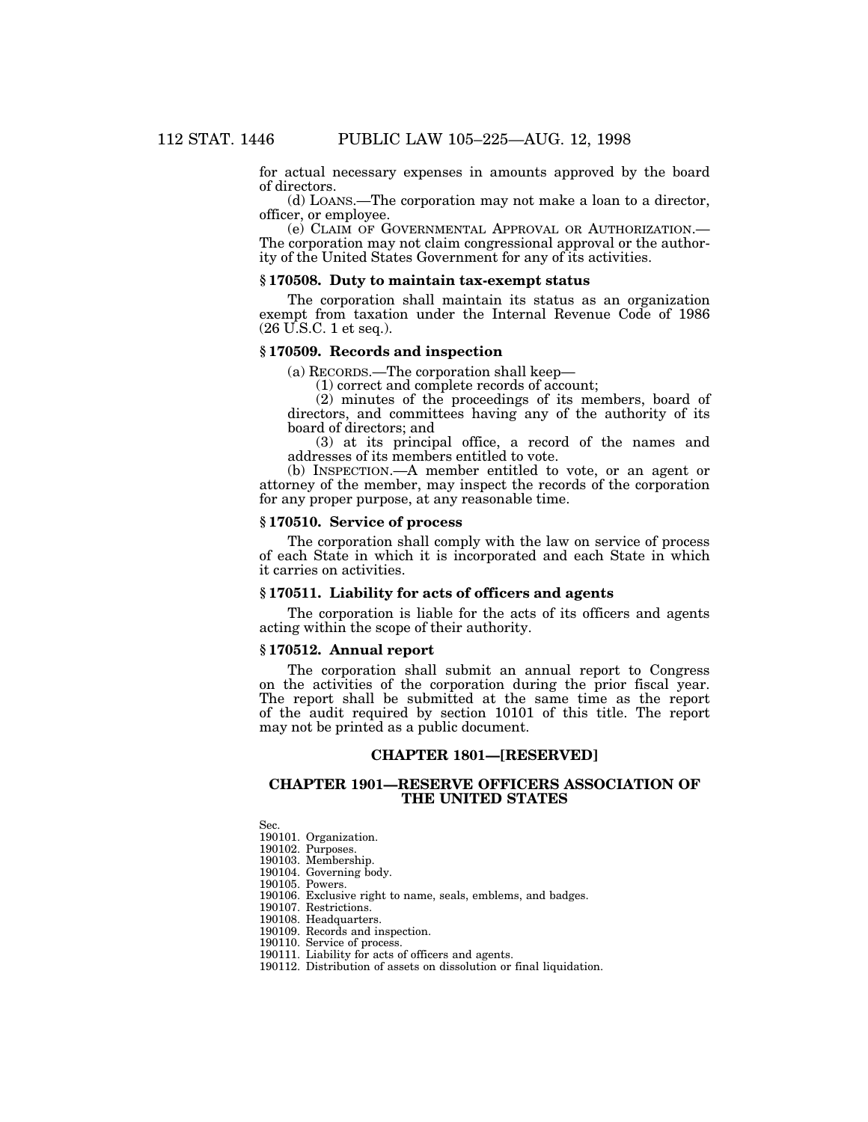for actual necessary expenses in amounts approved by the board of directors.

(d) LOANS.—The corporation may not make a loan to a director, officer, or employee.

(e) CLAIM OF GOVERNMENTAL APPROVAL OR AUTHORIZATION.— The corporation may not claim congressional approval or the authority of the United States Government for any of its activities.

## **§ 170508. Duty to maintain tax-exempt status**

The corporation shall maintain its status as an organization exempt from taxation under the Internal Revenue Code of 1986 (26 U.S.C. 1 et seq.).

## **§ 170509. Records and inspection**

(a) RECORDS.—The corporation shall keep—

(1) correct and complete records of account;

(2) minutes of the proceedings of its members, board of directors, and committees having any of the authority of its board of directors; and

(3) at its principal office, a record of the names and addresses of its members entitled to vote.

(b) INSPECTION.—A member entitled to vote, or an agent or attorney of the member, may inspect the records of the corporation for any proper purpose, at any reasonable time.

# **§ 170510. Service of process**

The corporation shall comply with the law on service of process of each State in which it is incorporated and each State in which it carries on activities.

# **§ 170511. Liability for acts of officers and agents**

The corporation is liable for the acts of its officers and agents acting within the scope of their authority.

# **§ 170512. Annual report**

The corporation shall submit an annual report to Congress on the activities of the corporation during the prior fiscal year. The report shall be submitted at the same time as the report of the audit required by section 10101 of this title. The report may not be printed as a public document.

# **CHAPTER 1801—[RESERVED]**

# **CHAPTER 1901—RESERVE OFFICERS ASSOCIATION OF THE UNITED STATES**

Sec.

190101. Organization.

190102. Purposes. 190103. Membership.

- 190104. Governing body.
- 190105. Powers.
- 190106. Exclusive right to name, seals, emblems, and badges.

190107. Restrictions.

190108. Headquarters.

190109. Records and inspection.

- 190110. Service of process.
- 190111. Liability for acts of officers and agents.
- 190112. Distribution of assets on dissolution or final liquidation.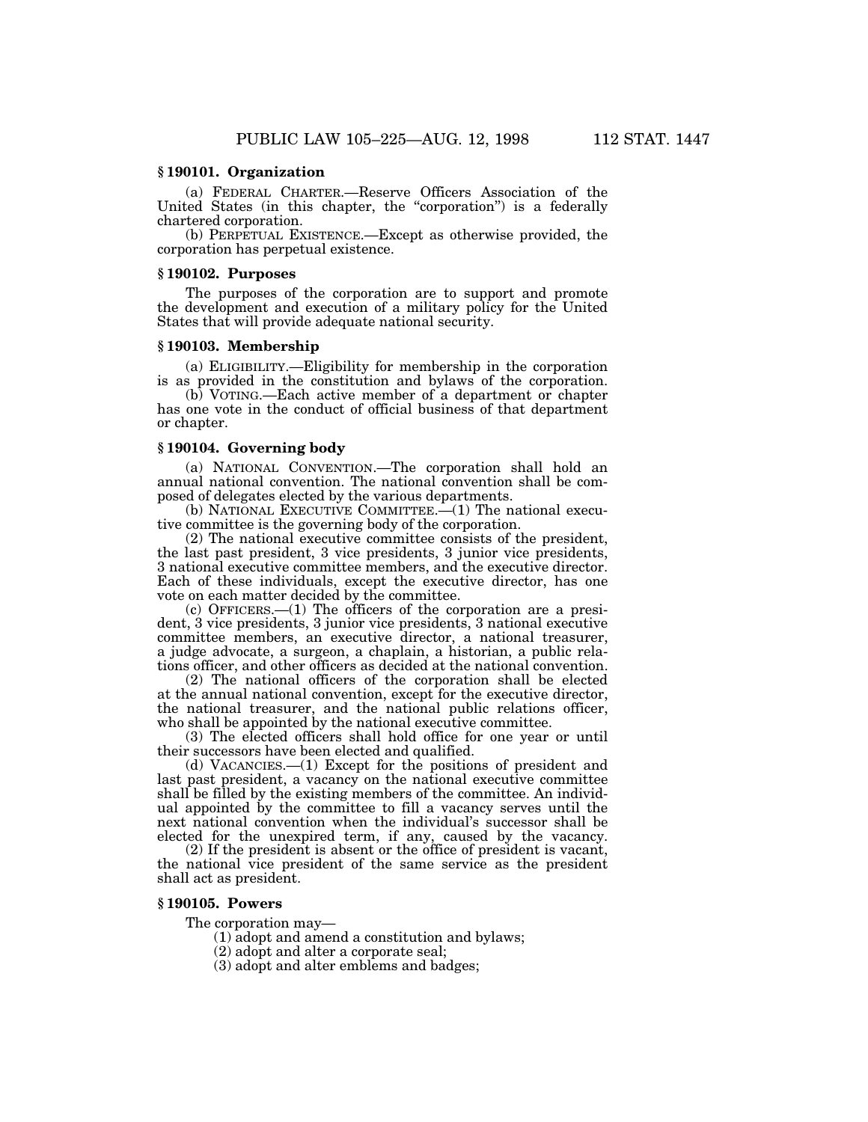# **§ 190101. Organization**

(a) FEDERAL CHARTER.—Reserve Officers Association of the United States (in this chapter, the ''corporation'') is a federally chartered corporation.

(b) PERPETUAL EXISTENCE.—Except as otherwise provided, the corporation has perpetual existence.

# **§ 190102. Purposes**

The purposes of the corporation are to support and promote the development and execution of a military policy for the United States that will provide adequate national security.

#### **§ 190103. Membership**

(a) ELIGIBILITY.—Eligibility for membership in the corporation is as provided in the constitution and bylaws of the corporation.

(b) VOTING.—Each active member of a department or chapter has one vote in the conduct of official business of that department or chapter.

#### **§ 190104. Governing body**

(a) NATIONAL CONVENTION.—The corporation shall hold an annual national convention. The national convention shall be composed of delegates elected by the various departments.

(b) NATIONAL EXECUTIVE COMMITTEE.—(1) The national executive committee is the governing body of the corporation.

(2) The national executive committee consists of the president, the last past president, 3 vice presidents, 3 junior vice presidents, 3 national executive committee members, and the executive director. Each of these individuals, except the executive director, has one vote on each matter decided by the committee.

(c) OFFICERS.—(1) The officers of the corporation are a president, 3 vice presidents, 3 junior vice presidents, 3 national executive committee members, an executive director, a national treasurer, a judge advocate, a surgeon, a chaplain, a historian, a public relations officer, and other officers as decided at the national convention.

(2) The national officers of the corporation shall be elected at the annual national convention, except for the executive director, the national treasurer, and the national public relations officer, who shall be appointed by the national executive committee.

(3) The elected officers shall hold office for one year or until their successors have been elected and qualified.

(d) VACANCIES.—(1) Except for the positions of president and last past president, a vacancy on the national executive committee shall be filled by the existing members of the committee. An individual appointed by the committee to fill a vacancy serves until the next national convention when the individual's successor shall be elected for the unexpired term, if any, caused by the vacancy.

(2) If the president is absent or the office of president is vacant, the national vice president of the same service as the president shall act as president.

#### **§ 190105. Powers**

The corporation may—

- (1) adopt and amend a constitution and bylaws;
- (2) adopt and alter a corporate seal;
- (3) adopt and alter emblems and badges;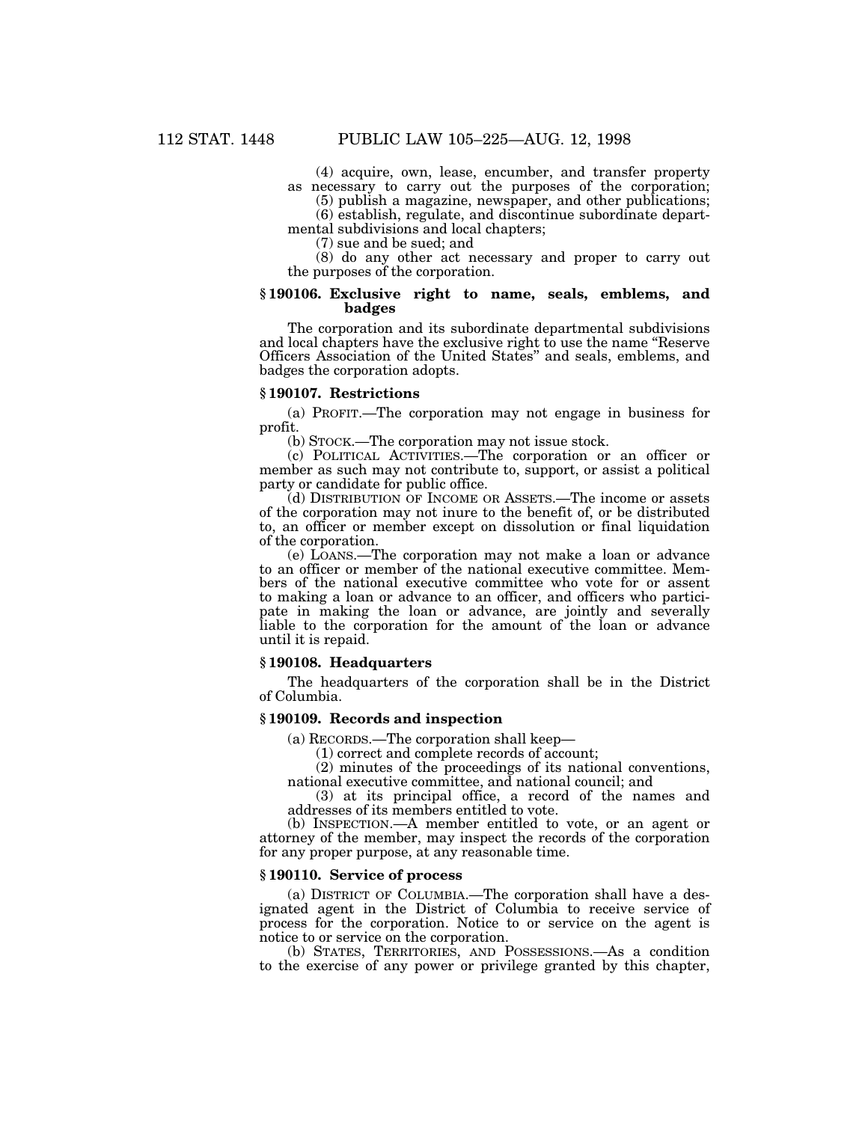(4) acquire, own, lease, encumber, and transfer property as necessary to carry out the purposes of the corporation;

(5) publish a magazine, newspaper, and other publications; (6) establish, regulate, and discontinue subordinate departmental subdivisions and local chapters;

(7) sue and be sued; and

(8) do any other act necessary and proper to carry out the purposes of the corporation.

# **§ 190106. Exclusive right to name, seals, emblems, and badges**

The corporation and its subordinate departmental subdivisions and local chapters have the exclusive right to use the name "Reserve Officers Association of the United States'' and seals, emblems, and badges the corporation adopts.

# **§ 190107. Restrictions**

(a) PROFIT.—The corporation may not engage in business for profit.

(b) STOCK.—The corporation may not issue stock.

(c) POLITICAL ACTIVITIES.—The corporation or an officer or member as such may not contribute to, support, or assist a political party or candidate for public office.

(d) DISTRIBUTION OF INCOME OR ASSETS.—The income or assets of the corporation may not inure to the benefit of, or be distributed to, an officer or member except on dissolution or final liquidation of the corporation.

(e) LOANS.—The corporation may not make a loan or advance to an officer or member of the national executive committee. Members of the national executive committee who vote for or assent to making a loan or advance to an officer, and officers who participate in making the loan or advance, are jointly and severally liable to the corporation for the amount of the loan or advance until it is repaid.

### **§ 190108. Headquarters**

The headquarters of the corporation shall be in the District of Columbia.

#### **§ 190109. Records and inspection**

(a) RECORDS.—The corporation shall keep—

(1) correct and complete records of account;

(2) minutes of the proceedings of its national conventions, national executive committee, and national council; and

(3) at its principal office, a record of the names and addresses of its members entitled to vote.

(b) INSPECTION.—A member entitled to vote, or an agent or attorney of the member, may inspect the records of the corporation for any proper purpose, at any reasonable time.

#### **§ 190110. Service of process**

(a) DISTRICT OF COLUMBIA.—The corporation shall have a designated agent in the District of Columbia to receive service of process for the corporation. Notice to or service on the agent is notice to or service on the corporation.

(b) STATES, TERRITORIES, AND POSSESSIONS.—As a condition to the exercise of any power or privilege granted by this chapter,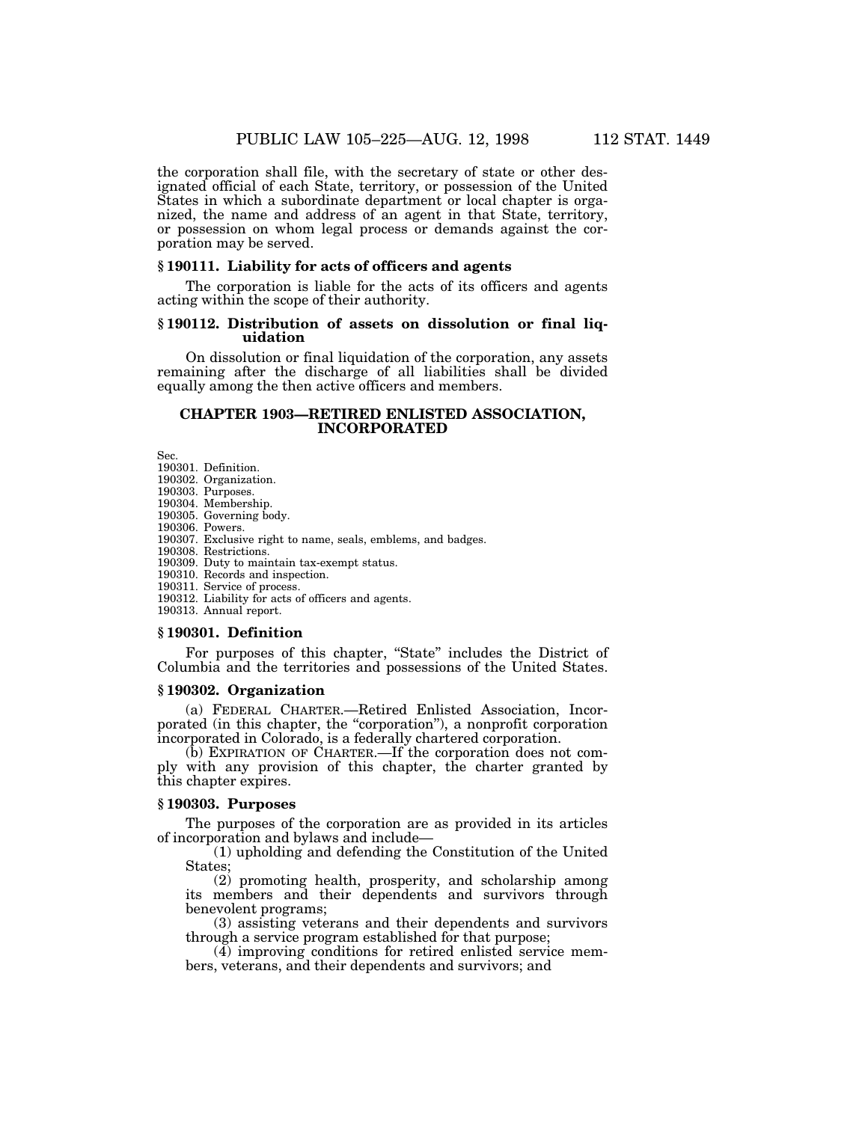the corporation shall file, with the secretary of state or other designated official of each State, territory, or possession of the United States in which a subordinate department or local chapter is organized, the name and address of an agent in that State, territory, or possession on whom legal process or demands against the corporation may be served.

# **§ 190111. Liability for acts of officers and agents**

The corporation is liable for the acts of its officers and agents acting within the scope of their authority.

# **§ 190112. Distribution of assets on dissolution or final liquidation**

On dissolution or final liquidation of the corporation, any assets remaining after the discharge of all liabilities shall be divided equally among the then active officers and members.

# **CHAPTER 1903—RETIRED ENLISTED ASSOCIATION, INCORPORATED**

Sec.

- 190301. Definition.
- 190302. Organization.

190303. Purposes.

190304. Membership.

190305. Governing body. 190306. Powers.

190307. Exclusive right to name, seals, emblems, and badges.

190308. Restrictions.

190309. Duty to maintain tax-exempt status. 190310. Records and inspection.

190311. Service of process.

190312. Liability for acts of officers and agents.

190313. Annual report.

# **§ 190301. Definition**

For purposes of this chapter, "State" includes the District of Columbia and the territories and possessions of the United States.

#### **§ 190302. Organization**

(a) FEDERAL CHARTER.—Retired Enlisted Association, Incorporated (in this chapter, the ''corporation''), a nonprofit corporation incorporated in Colorado, is a federally chartered corporation.

(b) EXPIRATION OF CHARTER.—If the corporation does not comply with any provision of this chapter, the charter granted by this chapter expires.

#### **§ 190303. Purposes**

The purposes of the corporation are as provided in its articles of incorporation and bylaws and include—

(1) upholding and defending the Constitution of the United States;

(2) promoting health, prosperity, and scholarship among its members and their dependents and survivors through benevolent programs;

(3) assisting veterans and their dependents and survivors through a service program established for that purpose;

 $(4)$  improving conditions for retired enlisted service members, veterans, and their dependents and survivors; and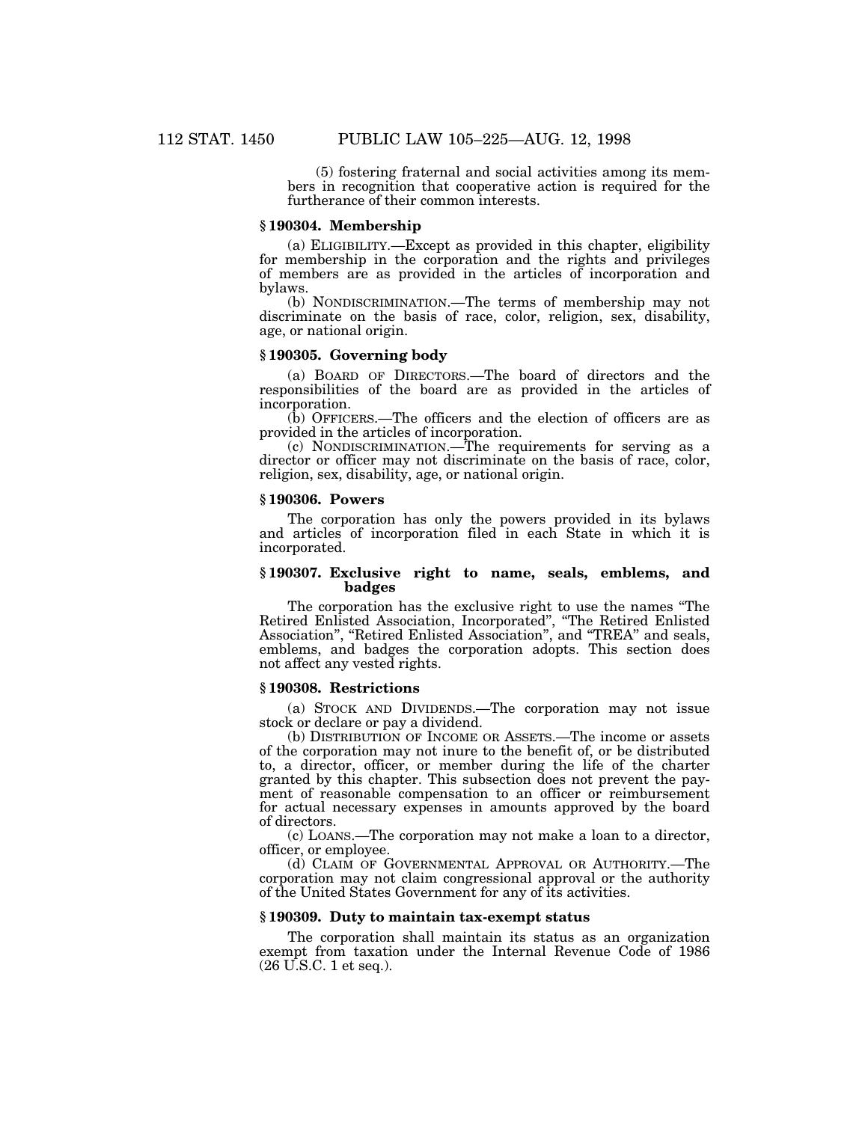(5) fostering fraternal and social activities among its members in recognition that cooperative action is required for the furtherance of their common interests.

#### **§ 190304. Membership**

(a) ELIGIBILITY.—Except as provided in this chapter, eligibility for membership in the corporation and the rights and privileges of members are as provided in the articles of incorporation and bylaws.

(b) NONDISCRIMINATION.—The terms of membership may not discriminate on the basis of race, color, religion, sex, disability, age, or national origin.

## **§ 190305. Governing body**

(a) BOARD OF DIRECTORS.—The board of directors and the responsibilities of the board are as provided in the articles of incorporation.

(b) OFFICERS.—The officers and the election of officers are as provided in the articles of incorporation.

(c) NONDISCRIMINATION.—The requirements for serving as a director or officer may not discriminate on the basis of race, color, religion, sex, disability, age, or national origin.

#### **§ 190306. Powers**

The corporation has only the powers provided in its bylaws and articles of incorporation filed in each State in which it is incorporated.

#### **§ 190307. Exclusive right to name, seals, emblems, and badges**

The corporation has the exclusive right to use the names ''The Retired Enlisted Association, Incorporated'', ''The Retired Enlisted Association", "Retired Enlisted Association", and "TREA" and seals, emblems, and badges the corporation adopts. This section does not affect any vested rights.

#### **§ 190308. Restrictions**

(a) STOCK AND DIVIDENDS.—The corporation may not issue stock or declare or pay a dividend.

(b) DISTRIBUTION OF INCOME OR ASSETS.—The income or assets of the corporation may not inure to the benefit of, or be distributed to, a director, officer, or member during the life of the charter granted by this chapter. This subsection does not prevent the payment of reasonable compensation to an officer or reimbursement for actual necessary expenses in amounts approved by the board of directors.

(c) LOANS.—The corporation may not make a loan to a director, officer, or employee.

(d) CLAIM OF GOVERNMENTAL APPROVAL OR AUTHORITY.—The corporation may not claim congressional approval or the authority of the United States Government for any of its activities.

#### **§ 190309. Duty to maintain tax-exempt status**

The corporation shall maintain its status as an organization exempt from taxation under the Internal Revenue Code of 1986 (26 U.S.C. 1 et seq.).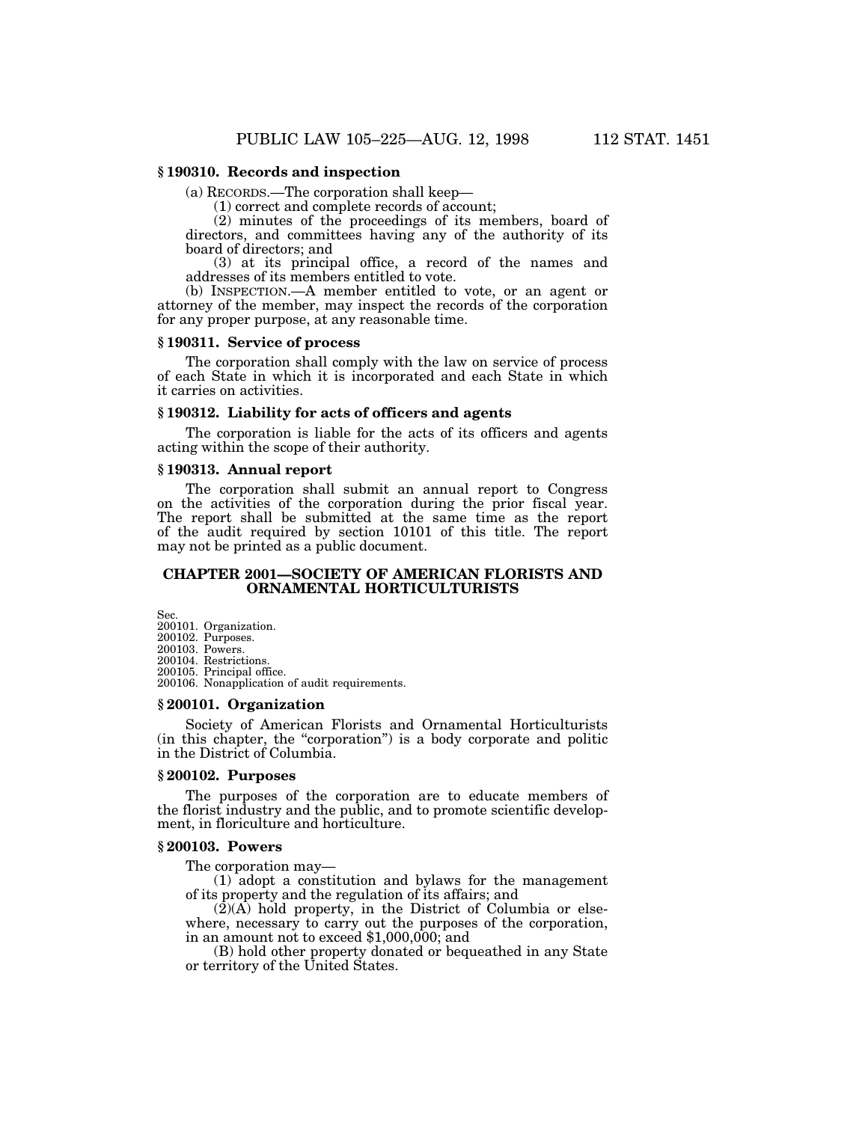#### **§ 190310. Records and inspection**

(a) RECORDS.—The corporation shall keep—

(1) correct and complete records of account;

(2) minutes of the proceedings of its members, board of directors, and committees having any of the authority of its board of directors; and

(3) at its principal office, a record of the names and addresses of its members entitled to vote.

(b) INSPECTION.—A member entitled to vote, or an agent or attorney of the member, may inspect the records of the corporation for any proper purpose, at any reasonable time.

#### **§ 190311. Service of process**

The corporation shall comply with the law on service of process of each State in which it is incorporated and each State in which it carries on activities.

# **§ 190312. Liability for acts of officers and agents**

The corporation is liable for the acts of its officers and agents acting within the scope of their authority.

### **§ 190313. Annual report**

The corporation shall submit an annual report to Congress on the activities of the corporation during the prior fiscal year. The report shall be submitted at the same time as the report of the audit required by section 10101 of this title. The report may not be printed as a public document.

# **CHAPTER 2001—SOCIETY OF AMERICAN FLORISTS AND ORNAMENTAL HORTICULTURISTS**

Sec.

- 200101. Organization.
- 200102. Purposes.

200103. Powers.

200104. Restrictions. 200105. Principal office.

200106. Nonapplication of audit requirements.

#### **§ 200101. Organization**

Society of American Florists and Ornamental Horticulturists (in this chapter, the ''corporation'') is a body corporate and politic in the District of Columbia.

#### **§ 200102. Purposes**

The purposes of the corporation are to educate members of the florist industry and the public, and to promote scientific development, in floriculture and horticulture.

# **§ 200103. Powers**

The corporation may—

(1) adopt a constitution and bylaws for the management of its property and the regulation of its affairs; and

 $(2)(\overline{A})$  hold property, in the District of Columbia or elsewhere, necessary to carry out the purposes of the corporation, in an amount not to exceed \$1,000,000; and

(B) hold other property donated or bequeathed in any State or territory of the United States.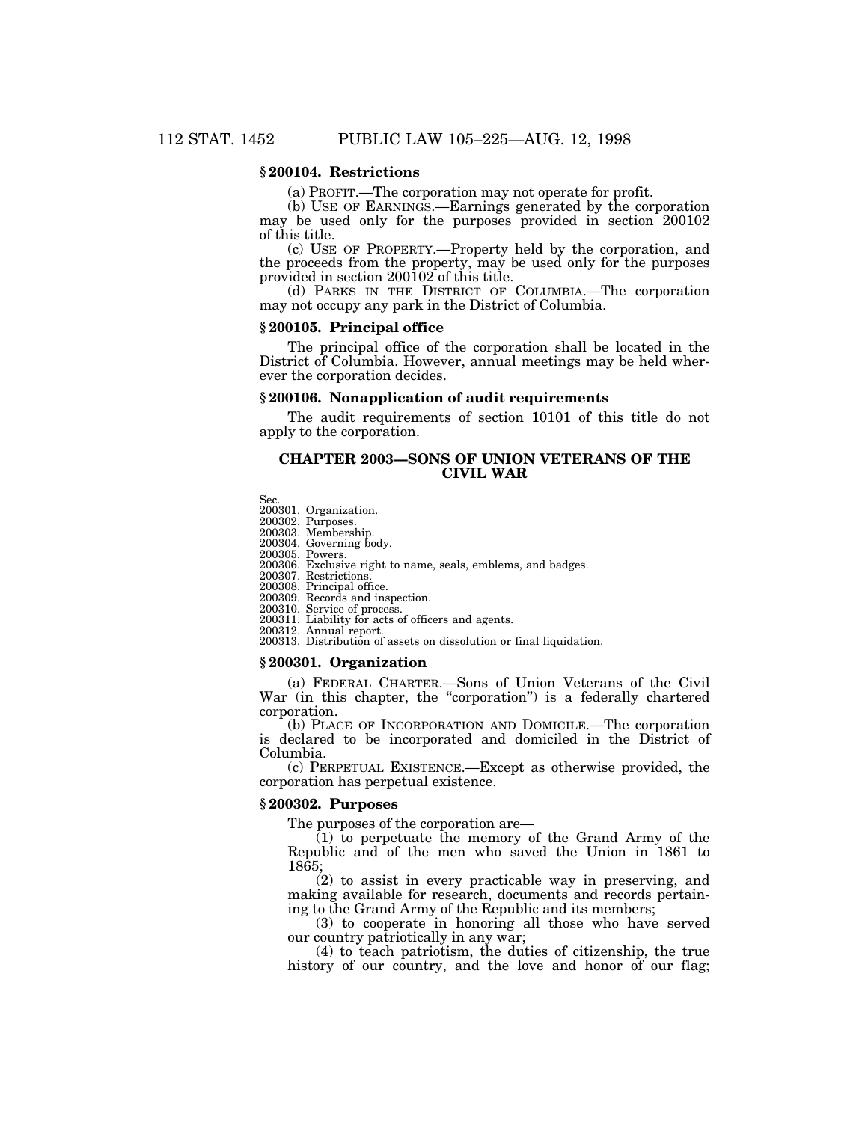# **§ 200104. Restrictions**

(a) PROFIT.—The corporation may not operate for profit.

(b) USE OF EARNINGS.—Earnings generated by the corporation may be used only for the purposes provided in section 200102 of this title.

(c) USE OF PROPERTY.—Property held by the corporation, and the proceeds from the property, may be used only for the purposes provided in section 200102 of this title.

(d) PARKS IN THE DISTRICT OF COLUMBIA.—The corporation may not occupy any park in the District of Columbia.

#### **§ 200105. Principal office**

The principal office of the corporation shall be located in the District of Columbia. However, annual meetings may be held wherever the corporation decides.

# **§ 200106. Nonapplication of audit requirements**

The audit requirements of section 10101 of this title do not apply to the corporation.

# **CHAPTER 2003—SONS OF UNION VETERANS OF THE CIVIL WAR**

Sec. 200301. Organization. 200302. Purposes. 200303. Membership. 200304. Governing body. 200305. Powers.

200306. Exclusive right to name, seals, emblems, and badges. 200307. Restrictions. 200308. Principal office. 200309. Records and inspection.

200310. Service of process. 200311. Liability for acts of officers and agents.

200312. Annual report. 200313. Distribution of assets on dissolution or final liquidation.

# **§ 200301. Organization**

(a) FEDERAL CHARTER.—Sons of Union Veterans of the Civil War (in this chapter, the "corporation") is a federally chartered corporation.

(b) PLACE OF INCORPORATION AND DOMICILE.—The corporation is declared to be incorporated and domiciled in the District of Columbia.

(c) PERPETUAL EXISTENCE.—Except as otherwise provided, the corporation has perpetual existence.

### **§ 200302. Purposes**

The purposes of the corporation are—

 $(1)$  to perpetuate the memory of the Grand Army of the Republic and of the men who saved the Union in 1861 to 1865;

(2) to assist in every practicable way in preserving, and making available for research, documents and records pertaining to the Grand Army of the Republic and its members;

(3) to cooperate in honoring all those who have served our country patriotically in any war;

(4) to teach patriotism, the duties of citizenship, the true history of our country, and the love and honor of our flag;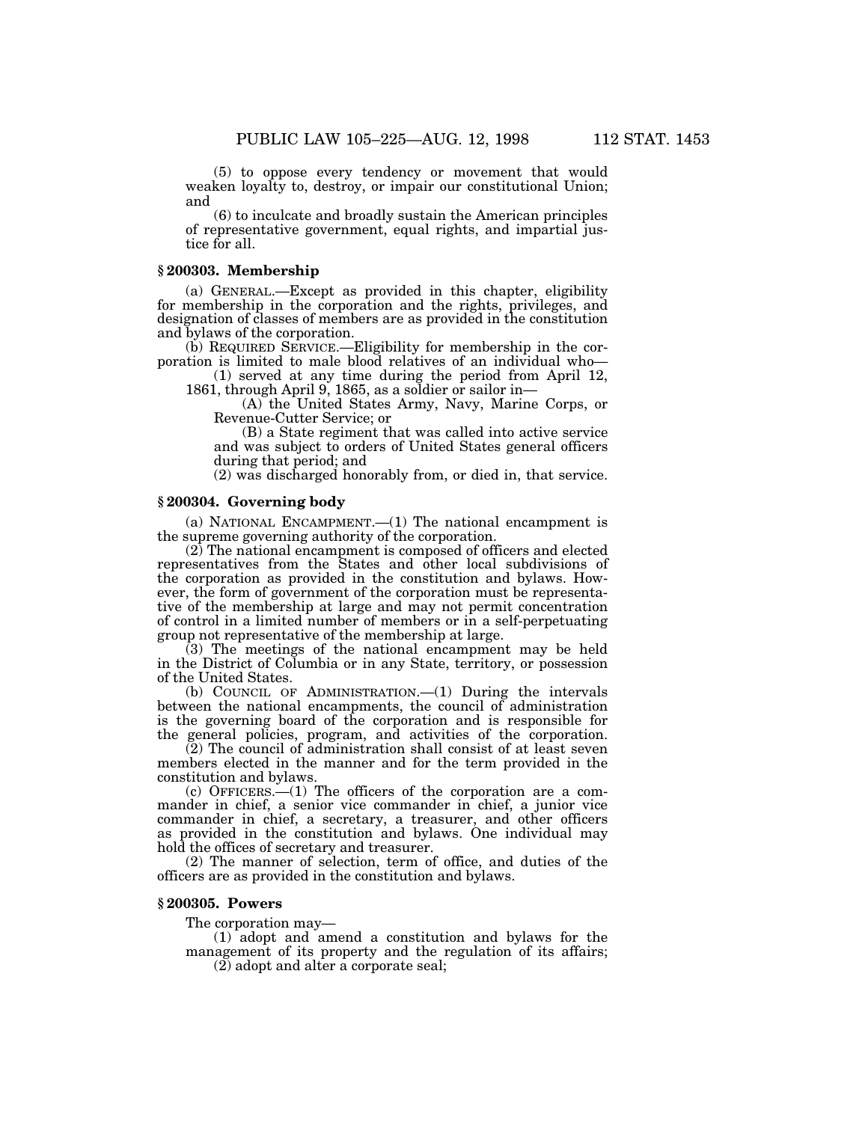(5) to oppose every tendency or movement that would weaken loyalty to, destroy, or impair our constitutional Union; and

(6) to inculcate and broadly sustain the American principles of representative government, equal rights, and impartial justice for all.

## **§ 200303. Membership**

(a) GENERAL.—Except as provided in this chapter, eligibility for membership in the corporation and the rights, privileges, and designation of classes of members are as provided in the constitution and bylaws of the corporation.

(b) REQUIRED SERVICE.—Eligibility for membership in the corporation is limited to male blood relatives of an individual who—

(1) served at any time during the period from April 12, 1861, through April 9, 1865, as a soldier or sailor in—

(A) the United States Army, Navy, Marine Corps, or Revenue-Cutter Service; or

(B) a State regiment that was called into active service and was subject to orders of United States general officers during that period; and

(2) was discharged honorably from, or died in, that service.

### **§ 200304. Governing body**

(a) NATIONAL ENCAMPMENT.—(1) The national encampment is the supreme governing authority of the corporation.

(2) The national encampment is composed of officers and elected representatives from the States and other local subdivisions of the corporation as provided in the constitution and bylaws. However, the form of government of the corporation must be representative of the membership at large and may not permit concentration of control in a limited number of members or in a self-perpetuating group not representative of the membership at large.

(3) The meetings of the national encampment may be held in the District of Columbia or in any State, territory, or possession of the United States.

(b) COUNCIL OF ADMINISTRATION.—(1) During the intervals between the national encampments, the council of administration is the governing board of the corporation and is responsible for the general policies, program, and activities of the corporation.

(2) The council of administration shall consist of at least seven members elected in the manner and for the term provided in the constitution and bylaws.

(c) OFFICERS.—(1) The officers of the corporation are a commander in chief, a senior vice commander in chief, a junior vice commander in chief, a secretary, a treasurer, and other officers as provided in the constitution and bylaws. One individual may hold the offices of secretary and treasurer.

(2) The manner of selection, term of office, and duties of the officers are as provided in the constitution and bylaws.

#### **§ 200305. Powers**

The corporation may—

(1) adopt and amend a constitution and bylaws for the management of its property and the regulation of its affairs;  $(2)$  adopt and alter a corporate seal;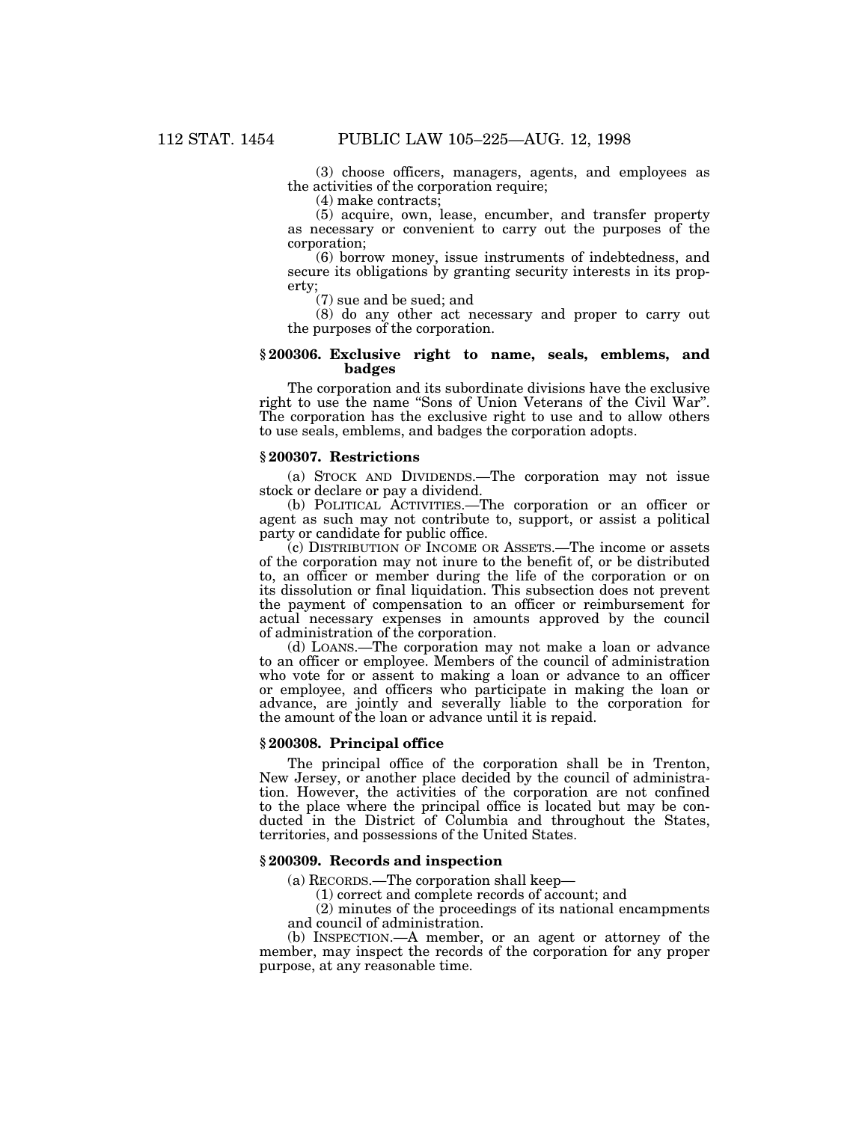(3) choose officers, managers, agents, and employees as the activities of the corporation require;

(4) make contracts;

(5) acquire, own, lease, encumber, and transfer property as necessary or convenient to carry out the purposes of the corporation;

(6) borrow money, issue instruments of indebtedness, and secure its obligations by granting security interests in its property;

(7) sue and be sued; and

(8) do any other act necessary and proper to carry out the purposes of the corporation.

### **§ 200306. Exclusive right to name, seals, emblems, and badges**

The corporation and its subordinate divisions have the exclusive right to use the name ''Sons of Union Veterans of the Civil War''. The corporation has the exclusive right to use and to allow others to use seals, emblems, and badges the corporation adopts.

#### **§ 200307. Restrictions**

(a) STOCK AND DIVIDENDS.—The corporation may not issue stock or declare or pay a dividend.

(b) POLITICAL ACTIVITIES.—The corporation or an officer or agent as such may not contribute to, support, or assist a political party or candidate for public office.

(c) DISTRIBUTION OF INCOME OR ASSETS.—The income or assets of the corporation may not inure to the benefit of, or be distributed to, an officer or member during the life of the corporation or on its dissolution or final liquidation. This subsection does not prevent the payment of compensation to an officer or reimbursement for actual necessary expenses in amounts approved by the council of administration of the corporation.

(d) LOANS.—The corporation may not make a loan or advance to an officer or employee. Members of the council of administration who vote for or assent to making a loan or advance to an officer or employee, and officers who participate in making the loan or advance, are jointly and severally liable to the corporation for the amount of the loan or advance until it is repaid.

#### **§ 200308. Principal office**

The principal office of the corporation shall be in Trenton, New Jersey, or another place decided by the council of administration. However, the activities of the corporation are not confined to the place where the principal office is located but may be conducted in the District of Columbia and throughout the States, territories, and possessions of the United States.

#### **§ 200309. Records and inspection**

(a) RECORDS.—The corporation shall keep—

(1) correct and complete records of account; and

(2) minutes of the proceedings of its national encampments and council of administration.

(b) INSPECTION.—A member, or an agent or attorney of the member, may inspect the records of the corporation for any proper purpose, at any reasonable time.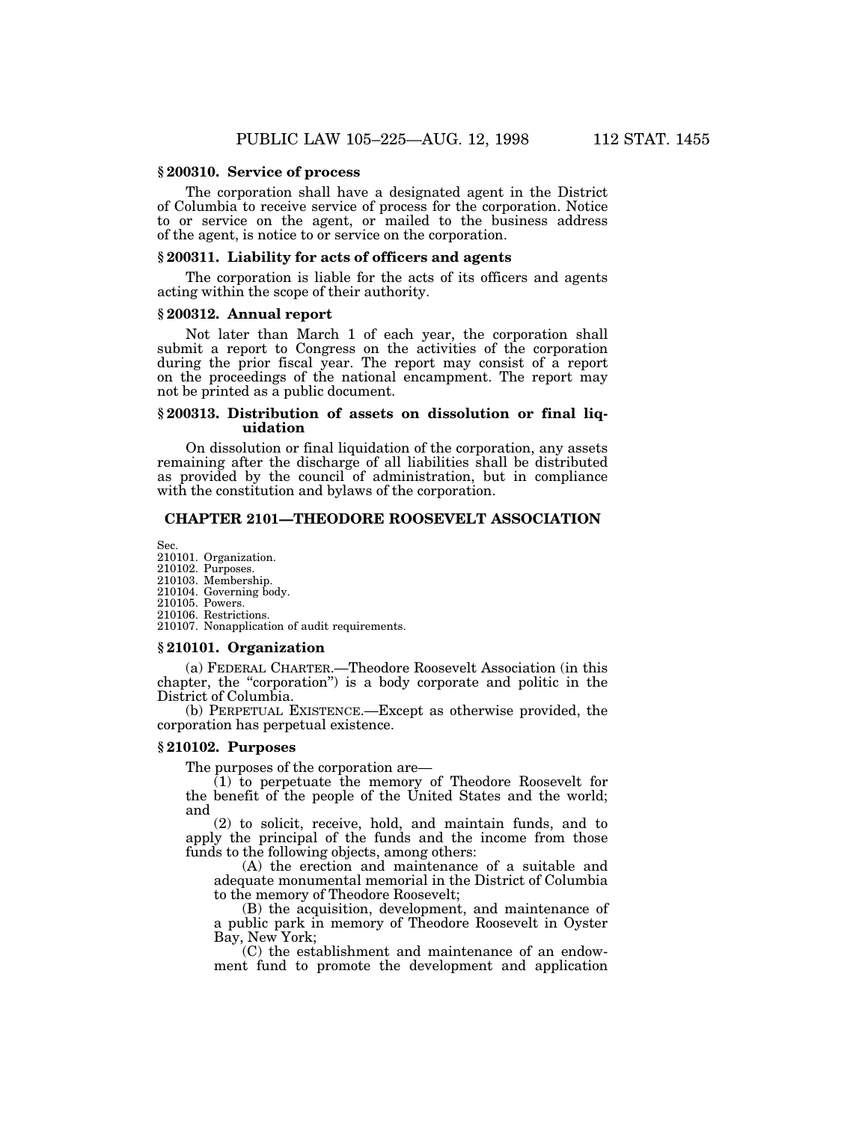# **§ 200310. Service of process**

The corporation shall have a designated agent in the District of Columbia to receive service of process for the corporation. Notice to or service on the agent, or mailed to the business address of the agent, is notice to or service on the corporation.

## **§ 200311. Liability for acts of officers and agents**

The corporation is liable for the acts of its officers and agents acting within the scope of their authority.

## **§ 200312. Annual report**

Not later than March 1 of each year, the corporation shall submit a report to Congress on the activities of the corporation during the prior fiscal year. The report may consist of a report on the proceedings of the national encampment. The report may not be printed as a public document.

#### **§ 200313. Distribution of assets on dissolution or final liquidation**

On dissolution or final liquidation of the corporation, any assets remaining after the discharge of all liabilities shall be distributed as provided by the council of administration, but in compliance with the constitution and bylaws of the corporation.

# **CHAPTER 2101—THEODORE ROOSEVELT ASSOCIATION**

Sec.

210101. Organization. 210102. Purposes. 210103. Membership. 210104. Governing body. 210105. Powers. 210106. Restrictions. 210107. Nonapplication of audit requirements.

## **§ 210101. Organization**

(a) FEDERAL CHARTER.—Theodore Roosevelt Association (in this chapter, the ''corporation'') is a body corporate and politic in the District of Columbia.

(b) PERPETUAL EXISTENCE.—Except as otherwise provided, the corporation has perpetual existence.

# **§ 210102. Purposes**

The purposes of the corporation are—

(1) to perpetuate the memory of Theodore Roosevelt for the benefit of the people of the United States and the world; and

(2) to solicit, receive, hold, and maintain funds, and to apply the principal of the funds and the income from those funds to the following objects, among others:

(A) the erection and maintenance of a suitable and adequate monumental memorial in the District of Columbia to the memory of Theodore Roosevelt;

(B) the acquisition, development, and maintenance of a public park in memory of Theodore Roosevelt in Oyster Bay, New York;

(C) the establishment and maintenance of an endowment fund to promote the development and application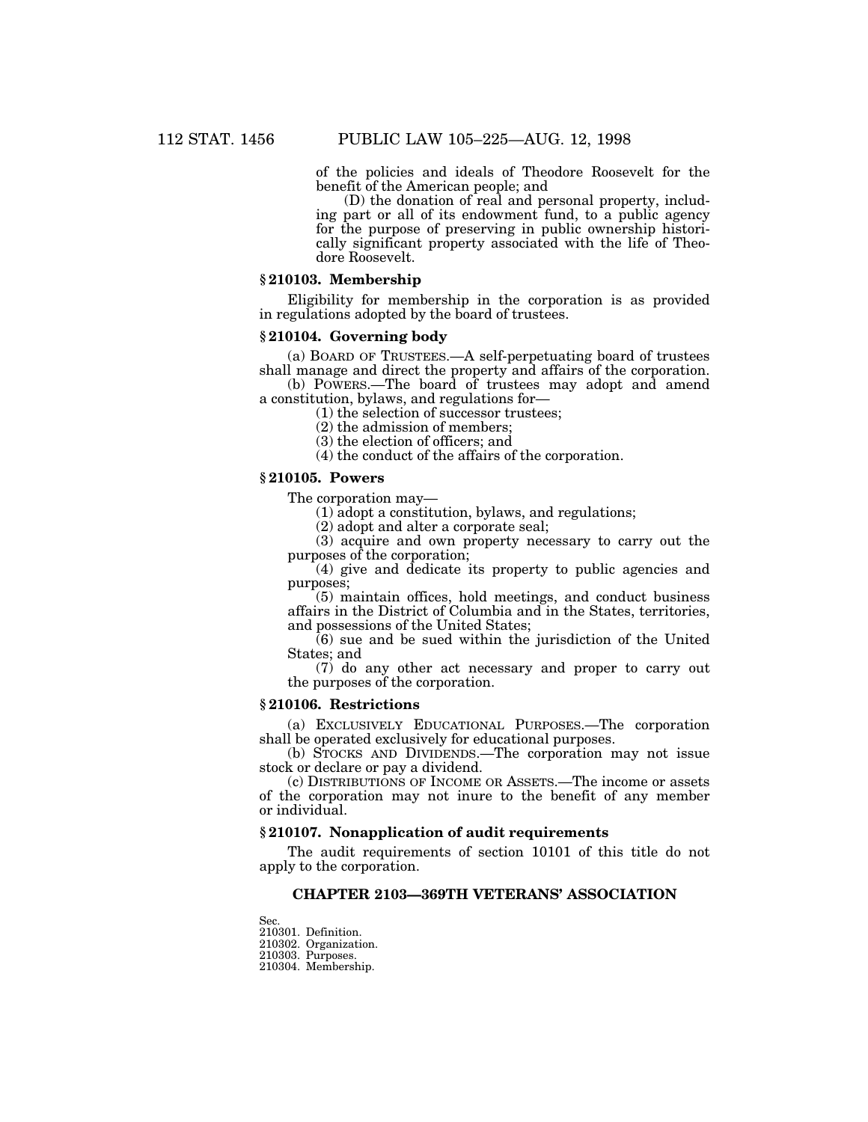of the policies and ideals of Theodore Roosevelt for the benefit of the American people; and

(D) the donation of real and personal property, including part or all of its endowment fund, to a public agency for the purpose of preserving in public ownership historically significant property associated with the life of Theodore Roosevelt.

# **§ 210103. Membership**

Eligibility for membership in the corporation is as provided in regulations adopted by the board of trustees.

#### **§ 210104. Governing body**

(a) BOARD OF TRUSTEES.—A self-perpetuating board of trustees shall manage and direct the property and affairs of the corporation.

(b) POWERS.—The board of trustees may adopt and amend a constitution, bylaws, and regulations for—

(1) the selection of successor trustees;

(2) the admission of members;

(3) the election of officers; and

(4) the conduct of the affairs of the corporation.

# **§ 210105. Powers**

The corporation may—

(1) adopt a constitution, bylaws, and regulations;

(2) adopt and alter a corporate seal;

(3) acquire and own property necessary to carry out the purposes of the corporation;

(4) give and dedicate its property to public agencies and purposes;

(5) maintain offices, hold meetings, and conduct business affairs in the District of Columbia and in the States, territories, and possessions of the United States;

(6) sue and be sued within the jurisdiction of the United States; and

(7) do any other act necessary and proper to carry out the purposes of the corporation.

# **§ 210106. Restrictions**

(a) EXCLUSIVELY EDUCATIONAL PURPOSES.—The corporation shall be operated exclusively for educational purposes.

(b) STOCKS AND DIVIDENDS.—The corporation may not issue stock or declare or pay a dividend.

(c) DISTRIBUTIONS OF INCOME OR ASSETS.—The income or assets of the corporation may not inure to the benefit of any member or individual.

# **§ 210107. Nonapplication of audit requirements**

The audit requirements of section 10101 of this title do not apply to the corporation.

# **CHAPTER 2103—369TH VETERANS' ASSOCIATION**

Sec. 210301. Definition. 210302. Organization. 210303. Purposes. 210304. Membership.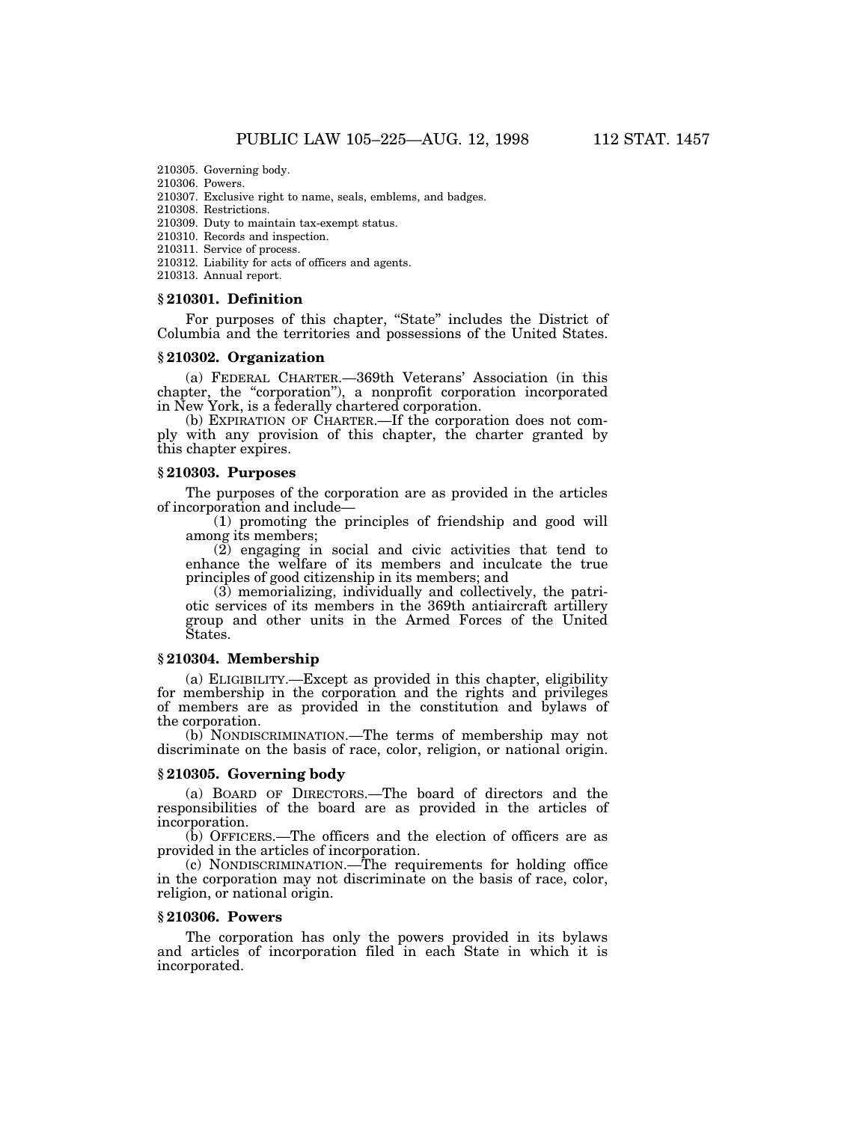210305. Governing body.

210306. Powers.

210307. Exclusive right to name, seals, emblems, and badges.

210308. Restrictions.

210309. Duty to maintain tax-exempt status.

210310. Records and inspection.

210311. Service of process.

210312. Liability for acts of officers and agents. 210313. Annual report.

#### **§ 210301. Definition**

For purposes of this chapter, "State" includes the District of Columbia and the territories and possessions of the United States.

#### **§ 210302. Organization**

(a) FEDERAL CHARTER.—369th Veterans' Association (in this chapter, the ''corporation''), a nonprofit corporation incorporated in New York, is a federally chartered corporation.

(b) EXPIRATION OF CHARTER.—If the corporation does not comply with any provision of this chapter, the charter granted by this chapter expires.

## **§ 210303. Purposes**

The purposes of the corporation are as provided in the articles of incorporation and include—

(1) promoting the principles of friendship and good will among its members;

(2) engaging in social and civic activities that tend to enhance the welfare of its members and inculcate the true principles of good citizenship in its members; and

(3) memorializing, individually and collectively, the patriotic services of its members in the 369th antiaircraft artillery group and other units in the Armed Forces of the United States.

#### **§ 210304. Membership**

(a) ELIGIBILITY.—Except as provided in this chapter, eligibility for membership in the corporation and the rights and privileges of members are as provided in the constitution and bylaws of the corporation.

(b) NONDISCRIMINATION.—The terms of membership may not discriminate on the basis of race, color, religion, or national origin.

#### **§ 210305. Governing body**

(a) BOARD OF DIRECTORS.—The board of directors and the responsibilities of the board are as provided in the articles of incorporation.

(b) OFFICERS.—The officers and the election of officers are as provided in the articles of incorporation.

(c) NONDISCRIMINATION.—The requirements for holding office in the corporation may not discriminate on the basis of race, color, religion, or national origin.

#### **§ 210306. Powers**

The corporation has only the powers provided in its bylaws and articles of incorporation filed in each State in which it is incorporated.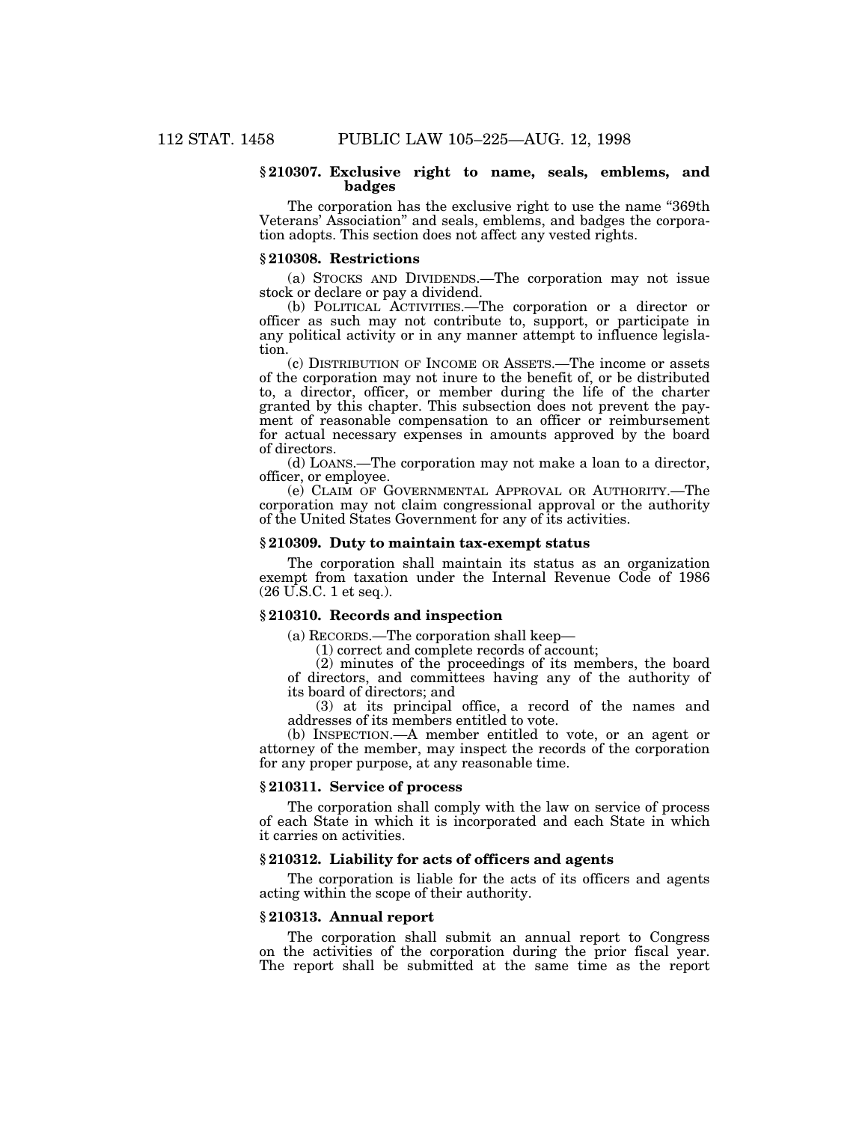### **§ 210307. Exclusive right to name, seals, emblems, and badges**

The corporation has the exclusive right to use the name ''369th Veterans' Association'' and seals, emblems, and badges the corporation adopts. This section does not affect any vested rights.

## **§ 210308. Restrictions**

(a) STOCKS AND DIVIDENDS.—The corporation may not issue stock or declare or pay a dividend.

(b) POLITICAL ACTIVITIES.—The corporation or a director or officer as such may not contribute to, support, or participate in any political activity or in any manner attempt to influence legislation.

(c) DISTRIBUTION OF INCOME OR ASSETS.—The income or assets of the corporation may not inure to the benefit of, or be distributed to, a director, officer, or member during the life of the charter granted by this chapter. This subsection does not prevent the payment of reasonable compensation to an officer or reimbursement for actual necessary expenses in amounts approved by the board of directors.

(d) LOANS.—The corporation may not make a loan to a director, officer, or employee.

(e) CLAIM OF GOVERNMENTAL APPROVAL OR AUTHORITY.—The corporation may not claim congressional approval or the authority of the United States Government for any of its activities.

# **§ 210309. Duty to maintain tax-exempt status**

The corporation shall maintain its status as an organization exempt from taxation under the Internal Revenue Code of 1986 (26 U.S.C. 1 et seq.).

## **§ 210310. Records and inspection**

(a) RECORDS.—The corporation shall keep—

(1) correct and complete records of account;

(2) minutes of the proceedings of its members, the board of directors, and committees having any of the authority of its board of directors; and

(3) at its principal office, a record of the names and addresses of its members entitled to vote.

(b) INSPECTION.—A member entitled to vote, or an agent or attorney of the member, may inspect the records of the corporation for any proper purpose, at any reasonable time.

## **§ 210311. Service of process**

The corporation shall comply with the law on service of process of each State in which it is incorporated and each State in which it carries on activities.

## **§ 210312. Liability for acts of officers and agents**

The corporation is liable for the acts of its officers and agents acting within the scope of their authority.

# **§ 210313. Annual report**

The corporation shall submit an annual report to Congress on the activities of the corporation during the prior fiscal year. The report shall be submitted at the same time as the report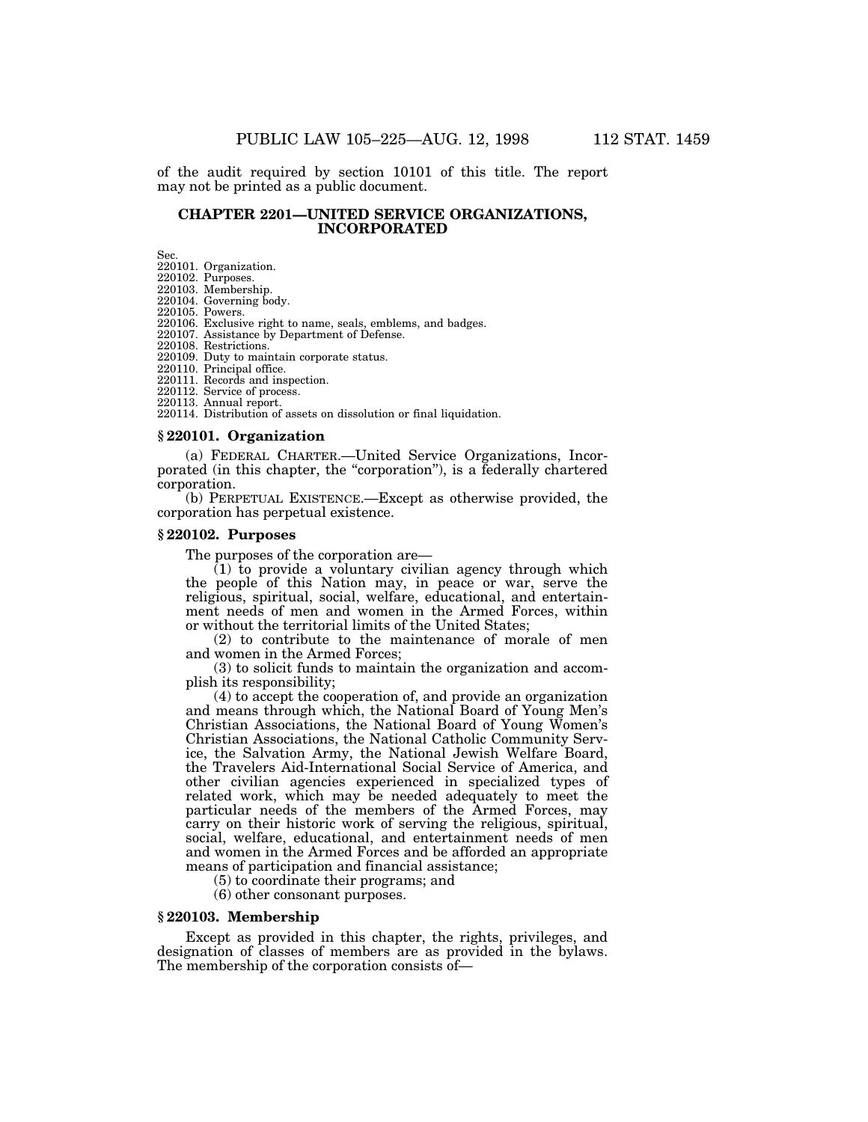of the audit required by section 10101 of this title. The report may not be printed as a public document.

# **CHAPTER 2201—UNITED SERVICE ORGANIZATIONS, INCORPORATED**

Sec.

220101. Organization.

220102. Purposes.

220103. Membership.

220104. Governing body. 220105. Powers.

220106. Exclusive right to name, seals, emblems, and badges.

220107. Assistance by Department of Defense.

220108. Restrictions.

220109. Duty to maintain corporate status.

220110. Principal office. 220111. Records and inspection.

220112. Service of process.

220113. Annual report.

220114. Distribution of assets on dissolution or final liquidation.

#### **§ 220101. Organization**

(a) FEDERAL CHARTER.—United Service Organizations, Incorporated (in this chapter, the ''corporation''), is a federally chartered corporation.

(b) PERPETUAL EXISTENCE.—Except as otherwise provided, the corporation has perpetual existence.

#### **§ 220102. Purposes**

The purposes of the corporation are—

 $(1)$  to provide a voluntary civilian agency through which the people of this Nation may, in peace or war, serve the religious, spiritual, social, welfare, educational, and entertainment needs of men and women in the Armed Forces, within or without the territorial limits of the United States;

(2) to contribute to the maintenance of morale of men and women in the Armed Forces;

(3) to solicit funds to maintain the organization and accomplish its responsibility;

(4) to accept the cooperation of, and provide an organization and means through which, the National Board of Young Men's Christian Associations, the National Board of Young Women's Christian Associations, the National Catholic Community Service, the Salvation Army, the National Jewish Welfare Board, the Travelers Aid-International Social Service of America, and other civilian agencies experienced in specialized types of related work, which may be needed adequately to meet the particular needs of the members of the Armed Forces, may carry on their historic work of serving the religious, spiritual, social, welfare, educational, and entertainment needs of men and women in the Armed Forces and be afforded an appropriate means of participation and financial assistance;

(5) to coordinate their programs; and

(6) other consonant purposes.

#### **§ 220103. Membership**

Except as provided in this chapter, the rights, privileges, and designation of classes of members are as provided in the bylaws. The membership of the corporation consists of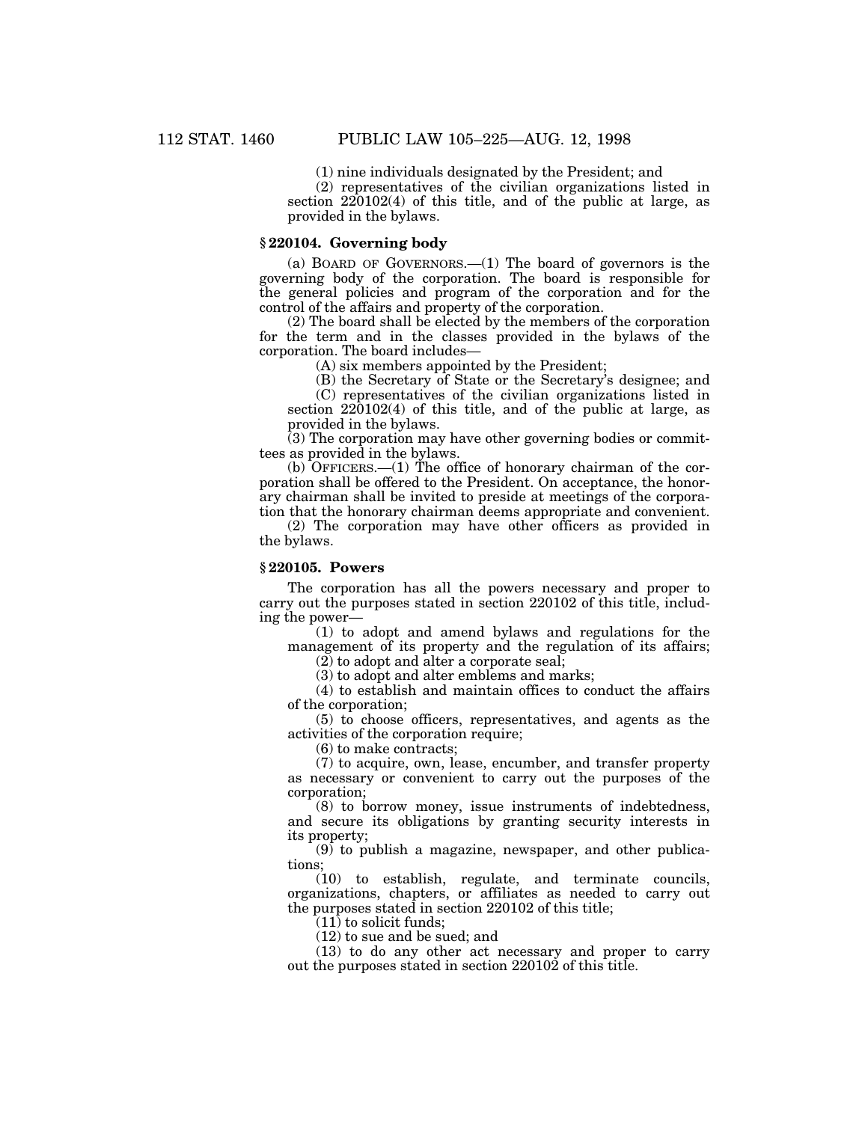(1) nine individuals designated by the President; and

(2) representatives of the civilian organizations listed in section 220102(4) of this title, and of the public at large, as provided in the bylaws.

## **§ 220104. Governing body**

(a) BOARD OF GOVERNORS.—(1) The board of governors is the governing body of the corporation. The board is responsible for the general policies and program of the corporation and for the control of the affairs and property of the corporation.

(2) The board shall be elected by the members of the corporation for the term and in the classes provided in the bylaws of the corporation. The board includes—

(A) six members appointed by the President;

(B) the Secretary of State or the Secretary's designee; and

(C) representatives of the civilian organizations listed in section 220102(4) of this title, and of the public at large, as provided in the bylaws.

(3) The corporation may have other governing bodies or committees as provided in the bylaws.

(b) OFFICERS.—(1) The office of honorary chairman of the corporation shall be offered to the President. On acceptance, the honorary chairman shall be invited to preside at meetings of the corporation that the honorary chairman deems appropriate and convenient.

(2) The corporation may have other officers as provided in the bylaws.

# **§ 220105. Powers**

The corporation has all the powers necessary and proper to carry out the purposes stated in section 220102 of this title, including the power—

(1) to adopt and amend bylaws and regulations for the management of its property and the regulation of its affairs;

(2) to adopt and alter a corporate seal;

(3) to adopt and alter emblems and marks;

(4) to establish and maintain offices to conduct the affairs of the corporation;

(5) to choose officers, representatives, and agents as the activities of the corporation require;

(6) to make contracts;

(7) to acquire, own, lease, encumber, and transfer property as necessary or convenient to carry out the purposes of the corporation;

(8) to borrow money, issue instruments of indebtedness, and secure its obligations by granting security interests in its property;

 $(9)$  to publish a magazine, newspaper, and other publications;

(10) to establish, regulate, and terminate councils, organizations, chapters, or affiliates as needed to carry out the purposes stated in section 220102 of this title;

(11) to solicit funds;

(12) to sue and be sued; and

(13) to do any other act necessary and proper to carry out the purposes stated in section 220102 of this title.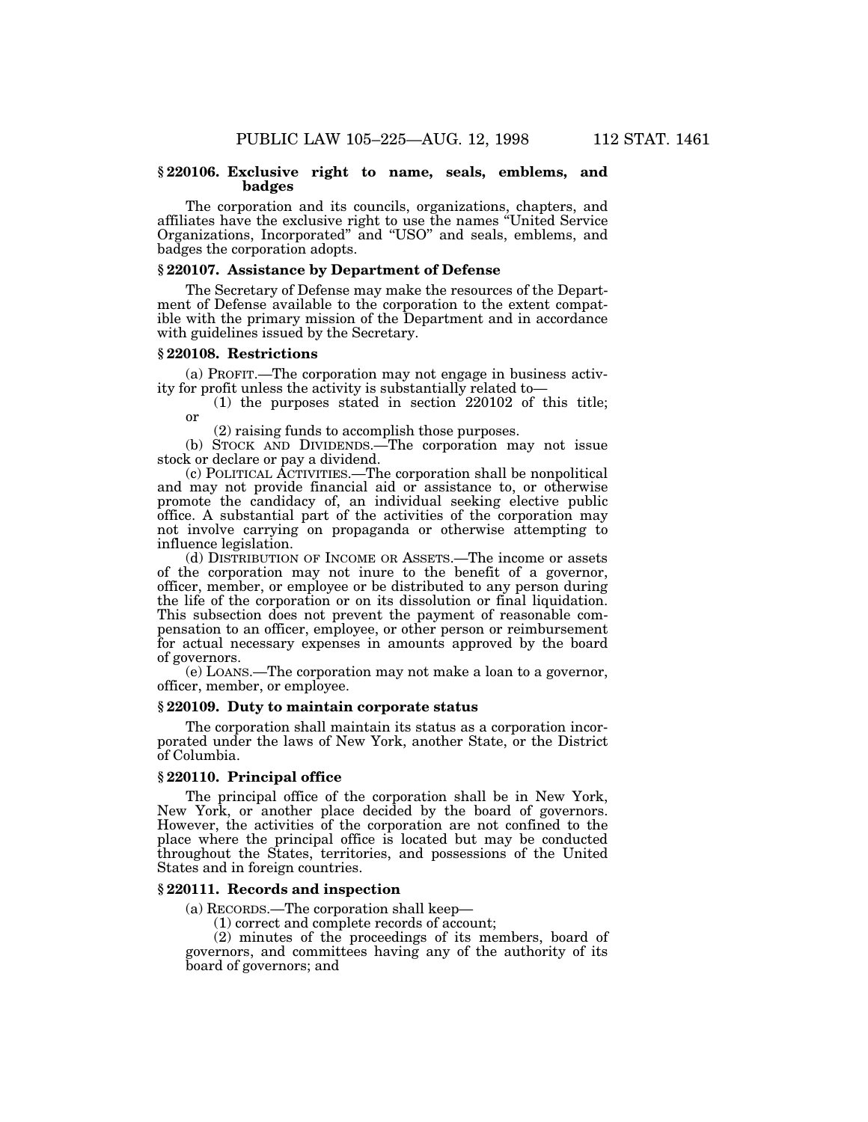### **§ 220106. Exclusive right to name, seals, emblems, and badges**

The corporation and its councils, organizations, chapters, and affiliates have the exclusive right to use the names ''United Service Organizations, Incorporated'' and ''USO'' and seals, emblems, and badges the corporation adopts.

## **§ 220107. Assistance by Department of Defense**

The Secretary of Defense may make the resources of the Department of Defense available to the corporation to the extent compatible with the primary mission of the Department and in accordance with guidelines issued by the Secretary.

#### **§ 220108. Restrictions**

(a) PROFIT.—The corporation may not engage in business activity for profit unless the activity is substantially related to—

(1) the purposes stated in section 220102 of this title; or

(2) raising funds to accomplish those purposes.

(b) STOCK AND DIVIDENDS.—The corporation may not issue stock or declare or pay a dividend.

(c) POLITICAL ACTIVITIES.—The corporation shall be nonpolitical and may not provide financial aid or assistance to, or otherwise promote the candidacy of, an individual seeking elective public office. A substantial part of the activities of the corporation may not involve carrying on propaganda or otherwise attempting to influence legislation.

(d) DISTRIBUTION OF INCOME OR ASSETS.—The income or assets of the corporation may not inure to the benefit of a governor, officer, member, or employee or be distributed to any person during the life of the corporation or on its dissolution or final liquidation. This subsection does not prevent the payment of reasonable compensation to an officer, employee, or other person or reimbursement for actual necessary expenses in amounts approved by the board of governors.

(e) LOANS.—The corporation may not make a loan to a governor, officer, member, or employee.

# **§ 220109. Duty to maintain corporate status**

The corporation shall maintain its status as a corporation incorporated under the laws of New York, another State, or the District of Columbia.

# **§ 220110. Principal office**

The principal office of the corporation shall be in New York, New York, or another place decided by the board of governors. However, the activities of the corporation are not confined to the place where the principal office is located but may be conducted throughout the States, territories, and possessions of the United States and in foreign countries.

#### **§ 220111. Records and inspection**

(a) RECORDS.—The corporation shall keep—

(1) correct and complete records of account;

(2) minutes of the proceedings of its members, board of governors, and committees having any of the authority of its board of governors; and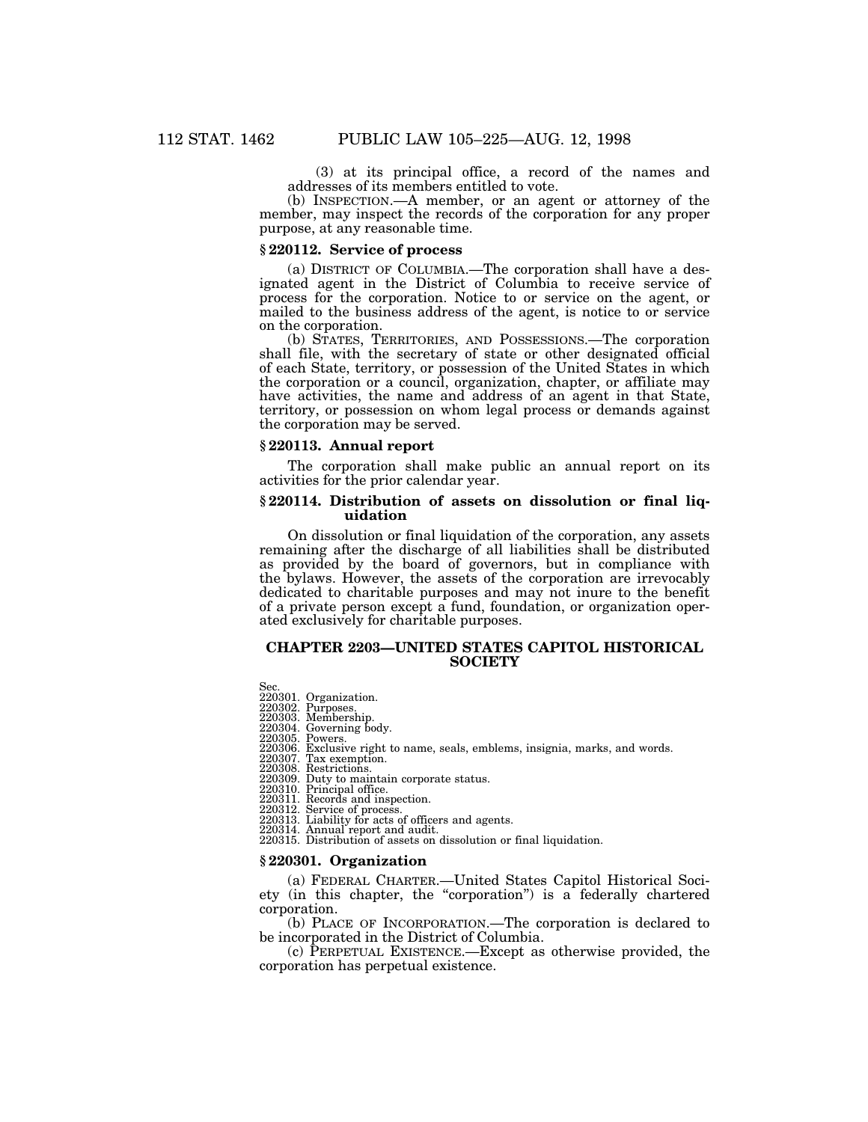(3) at its principal office, a record of the names and addresses of its members entitled to vote.

(b) INSPECTION.—A member, or an agent or attorney of the member, may inspect the records of the corporation for any proper purpose, at any reasonable time.

#### **§ 220112. Service of process**

(a) DISTRICT OF COLUMBIA.—The corporation shall have a designated agent in the District of Columbia to receive service of process for the corporation. Notice to or service on the agent, or mailed to the business address of the agent, is notice to or service on the corporation.

(b) STATES, TERRITORIES, AND POSSESSIONS.—The corporation shall file, with the secretary of state or other designated official of each State, territory, or possession of the United States in which the corporation or a council, organization, chapter, or affiliate may have activities, the name and address of an agent in that State, territory, or possession on whom legal process or demands against the corporation may be served.

#### **§ 220113. Annual report**

The corporation shall make public an annual report on its activities for the prior calendar year.

## **§ 220114. Distribution of assets on dissolution or final liquidation**

On dissolution or final liquidation of the corporation, any assets remaining after the discharge of all liabilities shall be distributed as provided by the board of governors, but in compliance with the bylaws. However, the assets of the corporation are irrevocably dedicated to charitable purposes and may not inure to the benefit of a private person except a fund, foundation, or organization operated exclusively for charitable purposes.

## **CHAPTER 2203—UNITED STATES CAPITOL HISTORICAL SOCIETY**

Sec. 220301. Organization. 220302. Purposes. 220303. Membership.

220304. Governing body. 220305. Powers. 220306. Exclusive right to name, seals, emblems, insignia, marks, and words. 220307. Tax exemption. 220308. Restrictions.

220309. Duty to maintain corporate status. 220310. Principal office.

220311. Records and inspection.

220312. Service of process. 220313. Liability for acts of officers and agents.

220314. Annual report and audit. 220315. Distribution of assets on dissolution or final liquidation.

#### **§ 220301. Organization**

(a) FEDERAL CHARTER.—United States Capitol Historical Society (in this chapter, the ''corporation'') is a federally chartered corporation.

(b) PLACE OF INCORPORATION.—The corporation is declared to be incorporated in the District of Columbia.

(c) PERPETUAL EXISTENCE.—Except as otherwise provided, the corporation has perpetual existence.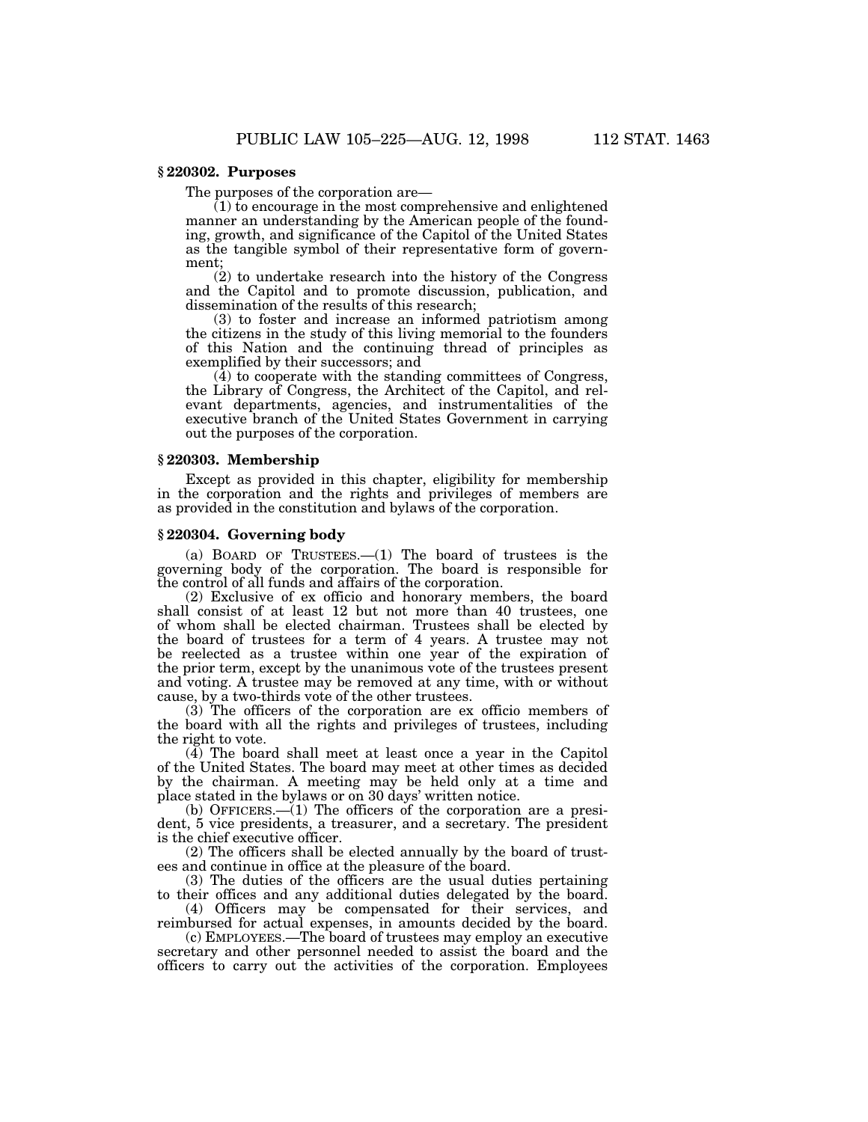# **§ 220302. Purposes**

The purposes of the corporation are—

(1) to encourage in the most comprehensive and enlightened manner an understanding by the American people of the founding, growth, and significance of the Capitol of the United States as the tangible symbol of their representative form of government;

(2) to undertake research into the history of the Congress and the Capitol and to promote discussion, publication, and dissemination of the results of this research;

(3) to foster and increase an informed patriotism among the citizens in the study of this living memorial to the founders of this Nation and the continuing thread of principles as exemplified by their successors; and

(4) to cooperate with the standing committees of Congress, the Library of Congress, the Architect of the Capitol, and relevant departments, agencies, and instrumentalities of the executive branch of the United States Government in carrying out the purposes of the corporation.

#### **§ 220303. Membership**

Except as provided in this chapter, eligibility for membership in the corporation and the rights and privileges of members are as provided in the constitution and bylaws of the corporation.

# **§ 220304. Governing body**

(a) BOARD OF TRUSTEES.—(1) The board of trustees is the governing body of the corporation. The board is responsible for the control of all funds and affairs of the corporation.

(2) Exclusive of ex officio and honorary members, the board shall consist of at least 12 but not more than 40 trustees, one of whom shall be elected chairman. Trustees shall be elected by the board of trustees for a term of 4 years. A trustee may not be reelected as a trustee within one year of the expiration of the prior term, except by the unanimous vote of the trustees present and voting. A trustee may be removed at any time, with or without cause, by a two-thirds vote of the other trustees.

(3) The officers of the corporation are ex officio members of the board with all the rights and privileges of trustees, including the right to vote.

(4) The board shall meet at least once a year in the Capitol of the United States. The board may meet at other times as decided by the chairman. A meeting may be held only at a time and place stated in the bylaws or on 30 days' written notice.

(b) OFFICERS.—(1) The officers of the corporation are a president, 5 vice presidents, a treasurer, and a secretary. The president is the chief executive officer.

(2) The officers shall be elected annually by the board of trustees and continue in office at the pleasure of the board.

(3) The duties of the officers are the usual duties pertaining to their offices and any additional duties delegated by the board.

(4) Officers may be compensated for their services, and reimbursed for actual expenses, in amounts decided by the board.

(c) EMPLOYEES.—The board of trustees may employ an executive secretary and other personnel needed to assist the board and the officers to carry out the activities of the corporation. Employees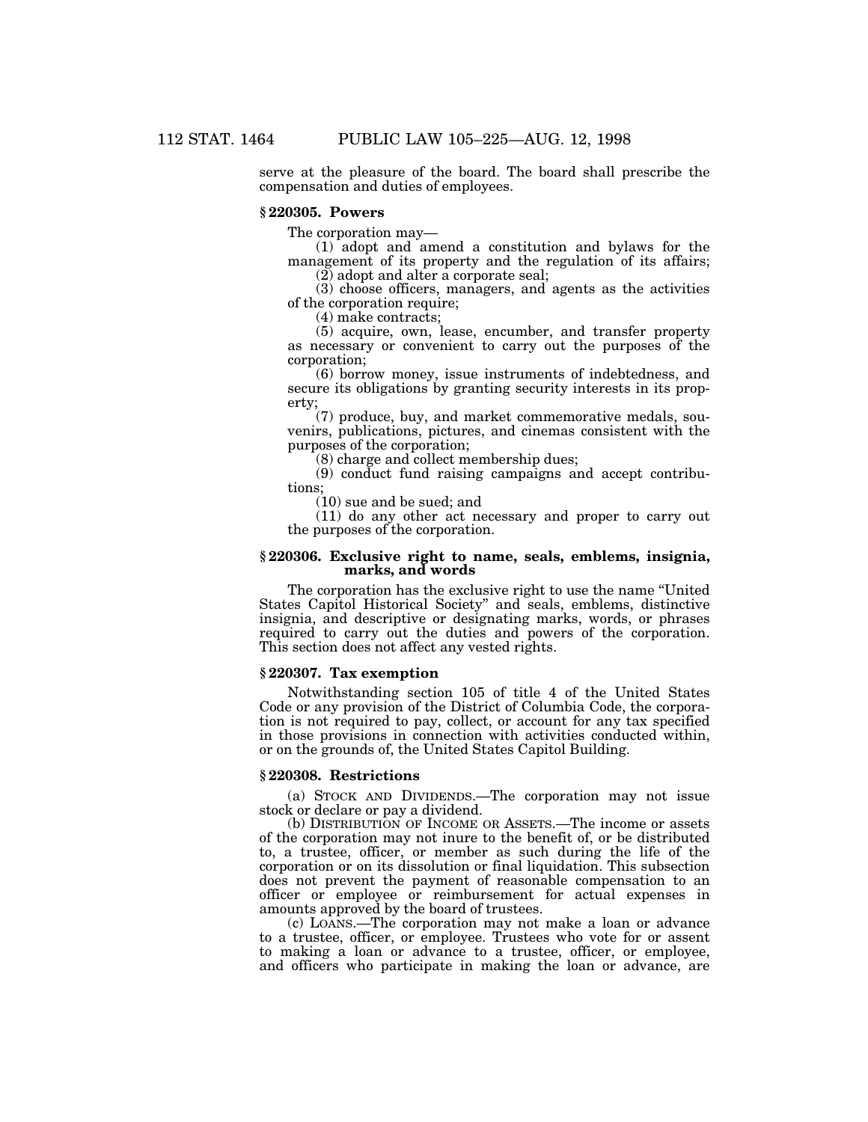serve at the pleasure of the board. The board shall prescribe the compensation and duties of employees.

# **§ 220305. Powers**

The corporation may—

(1) adopt and amend a constitution and bylaws for the management of its property and the regulation of its affairs; (2) adopt and alter a corporate seal;

(3) choose officers, managers, and agents as the activities of the corporation require;

(4) make contracts;

(5) acquire, own, lease, encumber, and transfer property as necessary or convenient to carry out the purposes of the corporation;

(6) borrow money, issue instruments of indebtedness, and secure its obligations by granting security interests in its property;

(7) produce, buy, and market commemorative medals, souvenirs, publications, pictures, and cinemas consistent with the purposes of the corporation;

(8) charge and collect membership dues;

(9) conduct fund raising campaigns and accept contributions;

(10) sue and be sued; and

(11) do any other act necessary and proper to carry out the purposes of the corporation.

#### **§ 220306. Exclusive right to name, seals, emblems, insignia, marks, and words**

The corporation has the exclusive right to use the name ''United States Capitol Historical Society'' and seals, emblems, distinctive insignia, and descriptive or designating marks, words, or phrases required to carry out the duties and powers of the corporation. This section does not affect any vested rights.

# **§ 220307. Tax exemption**

Notwithstanding section 105 of title 4 of the United States Code or any provision of the District of Columbia Code, the corporation is not required to pay, collect, or account for any tax specified in those provisions in connection with activities conducted within, or on the grounds of, the United States Capitol Building.

#### **§ 220308. Restrictions**

(a) STOCK AND DIVIDENDS.—The corporation may not issue stock or declare or pay a dividend.

(b) DISTRIBUTION OF INCOME OR ASSETS.—The income or assets of the corporation may not inure to the benefit of, or be distributed to, a trustee, officer, or member as such during the life of the corporation or on its dissolution or final liquidation. This subsection does not prevent the payment of reasonable compensation to an officer or employee or reimbursement for actual expenses in amounts approved by the board of trustees.

(c) LOANS.—The corporation may not make a loan or advance to a trustee, officer, or employee. Trustees who vote for or assent to making a loan or advance to a trustee, officer, or employee, and officers who participate in making the loan or advance, are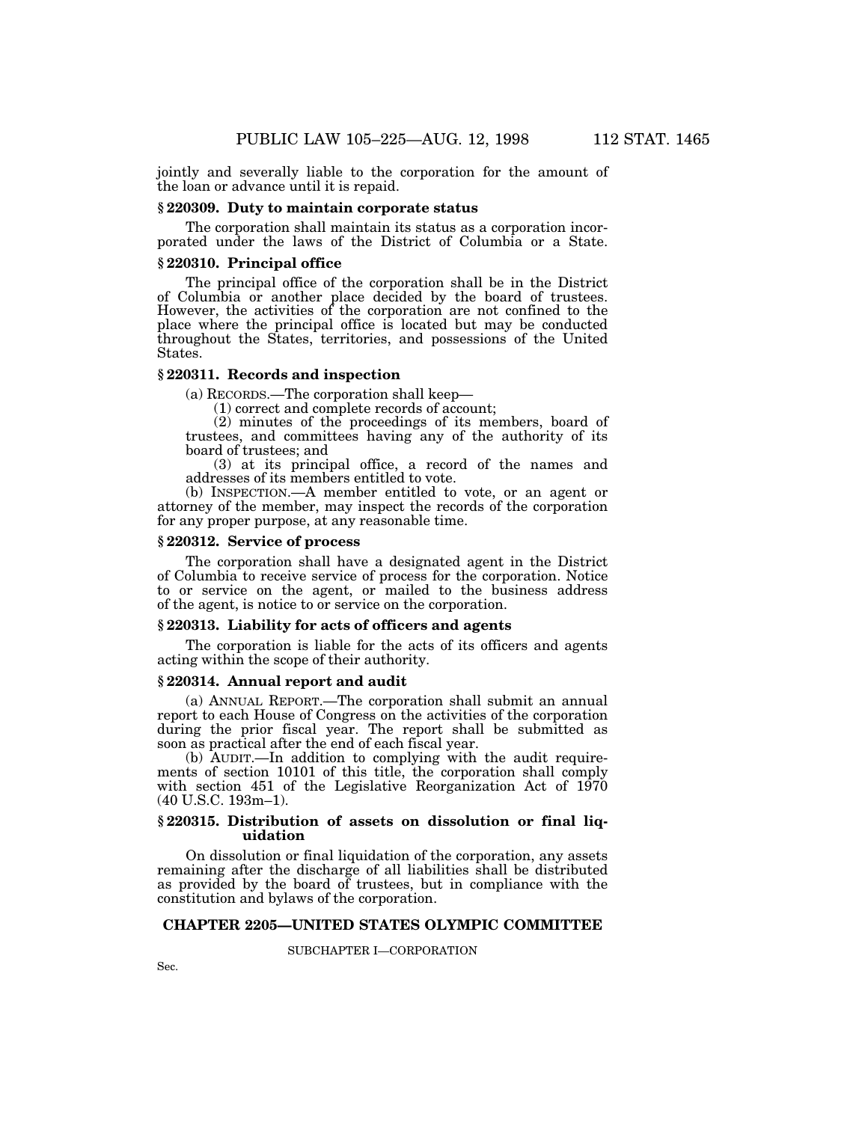jointly and severally liable to the corporation for the amount of the loan or advance until it is repaid.

# **§ 220309. Duty to maintain corporate status**

The corporation shall maintain its status as a corporation incorporated under the laws of the District of Columbia or a State.

### **§ 220310. Principal office**

The principal office of the corporation shall be in the District of Columbia or another place decided by the board of trustees. However, the activities of the corporation are not confined to the place where the principal office is located but may be conducted throughout the States, territories, and possessions of the United States.

### **§ 220311. Records and inspection**

(a) RECORDS.—The corporation shall keep—

(1) correct and complete records of account;

(2) minutes of the proceedings of its members, board of trustees, and committees having any of the authority of its board of trustees; and

(3) at its principal office, a record of the names and addresses of its members entitled to vote.

(b) INSPECTION.—A member entitled to vote, or an agent or attorney of the member, may inspect the records of the corporation for any proper purpose, at any reasonable time.

## **§ 220312. Service of process**

The corporation shall have a designated agent in the District of Columbia to receive service of process for the corporation. Notice to or service on the agent, or mailed to the business address of the agent, is notice to or service on the corporation.

# **§ 220313. Liability for acts of officers and agents**

The corporation is liable for the acts of its officers and agents acting within the scope of their authority.

#### **§ 220314. Annual report and audit**

(a) ANNUAL REPORT.—The corporation shall submit an annual report to each House of Congress on the activities of the corporation during the prior fiscal year. The report shall be submitted as soon as practical after the end of each fiscal year.

(b) AUDIT.—In addition to complying with the audit requirements of section 10101 of this title, the corporation shall comply with section 451 of the Legislative Reorganization Act of 1970 (40 U.S.C. 193m–1).

#### **§ 220315. Distribution of assets on dissolution or final liquidation**

On dissolution or final liquidation of the corporation, any assets remaining after the discharge of all liabilities shall be distributed as provided by the board of trustees, but in compliance with the constitution and bylaws of the corporation.

### **CHAPTER 2205—UNITED STATES OLYMPIC COMMITTEE**

SUBCHAPTER I—CORPORATION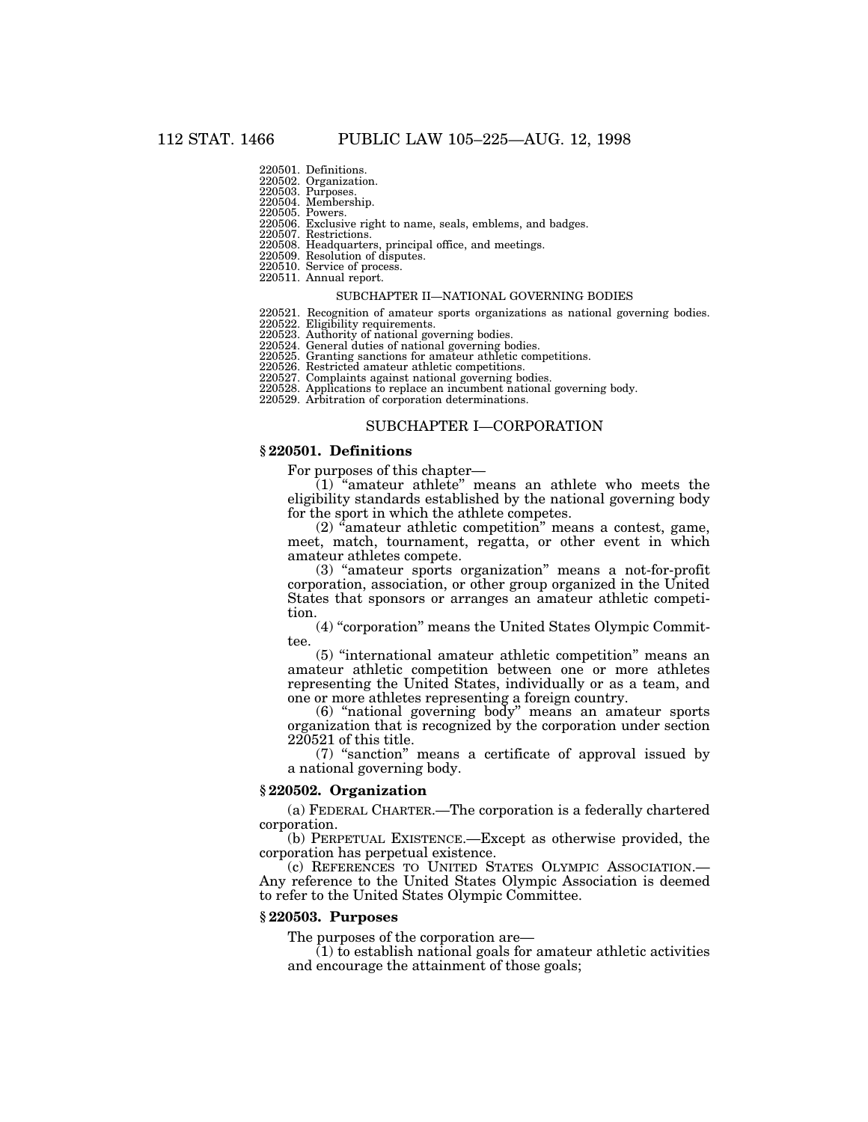220501. Definitions.

220502. Organization. 220503. Purposes. 220504. Membership. 220505. Powers.

220506. Exclusive right to name, seals, emblems, and badges.

220507. Restrictions. 220508. Headquarters, principal office, and meetings.

220509. Resolution of disputes. 220510. Service of process. 220511. Annual report.

#### SUBCHAPTER II—NATIONAL GOVERNING BODIES

220521. Recognition of amateur sports organizations as national governing bodies.

220522. Eligibility requirements.

220523. Authority of national governing bodies.

220524. General duties of national governing bodies. 220525. Granting sanctions for amateur athletic competitions. 220526. Restricted amateur athletic competitions. 220527. Complaints against national governing bodies.

220528. Applications to replace an incumbent national governing body. 220529. Arbitration of corporation determinations.

### SUBCHAPTER I—CORPORATION

## **§ 220501. Definitions**

For purposes of this chapter—

(1) ''amateur athlete'' means an athlete who meets the eligibility standards established by the national governing body for the sport in which the athlete competes.

 $(2)$   $\alpha$ <sup>a</sup>amateur athletic competition<sup>"</sup> means a contest, game, meet, match, tournament, regatta, or other event in which amateur athletes compete.

(3) ''amateur sports organization'' means a not-for-profit corporation, association, or other group organized in the United States that sponsors or arranges an amateur athletic competition.

(4) ''corporation'' means the United States Olympic Committee.

(5) ''international amateur athletic competition'' means an amateur athletic competition between one or more athletes representing the United States, individually or as a team, and one or more athletes representing a foreign country.

(6) ''national governing body'' means an amateur sports organization that is recognized by the corporation under section 220521 of this title.

(7) ''sanction'' means a certificate of approval issued by a national governing body.

## **§ 220502. Organization**

(a) FEDERAL CHARTER.—The corporation is a federally chartered corporation.

(b) PERPETUAL EXISTENCE.—Except as otherwise provided, the corporation has perpetual existence.

(c) REFERENCES TO UNITED STATES OLYMPIC ASSOCIATION.— Any reference to the United States Olympic Association is deemed to refer to the United States Olympic Committee.

# **§ 220503. Purposes**

The purposes of the corporation are—

 $(1)$  to establish national goals for amateur athletic activities and encourage the attainment of those goals;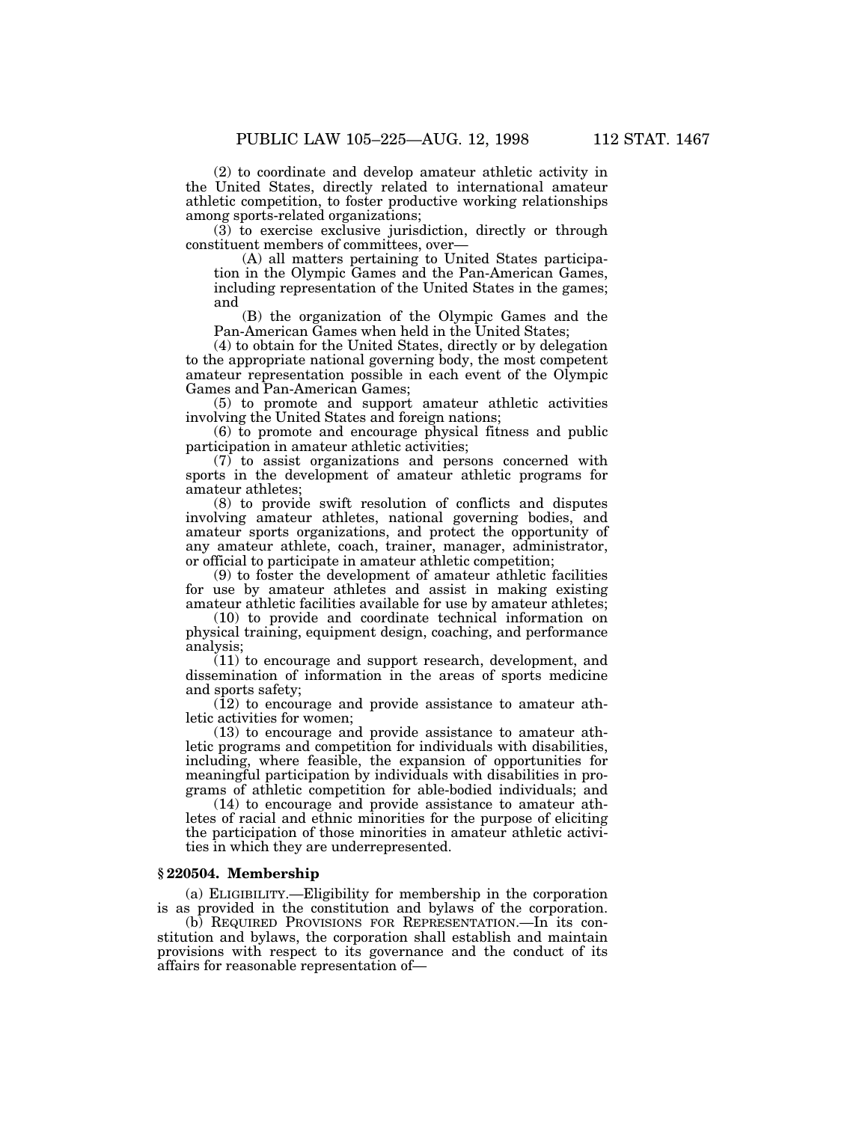(2) to coordinate and develop amateur athletic activity in the United States, directly related to international amateur athletic competition, to foster productive working relationships among sports-related organizations;

(3) to exercise exclusive jurisdiction, directly or through constituent members of committees, over—

(A) all matters pertaining to United States participation in the Olympic Games and the Pan-American Games, including representation of the United States in the games; and

(B) the organization of the Olympic Games and the Pan-American Games when held in the United States;

(4) to obtain for the United States, directly or by delegation to the appropriate national governing body, the most competent amateur representation possible in each event of the Olympic Games and Pan-American Games;

(5) to promote and support amateur athletic activities involving the United States and foreign nations;

(6) to promote and encourage physical fitness and public participation in amateur athletic activities;

 $(7)$  to assist organizations and persons concerned with sports in the development of amateur athletic programs for amateur athletes;

(8) to provide swift resolution of conflicts and disputes involving amateur athletes, national governing bodies, and amateur sports organizations, and protect the opportunity of any amateur athlete, coach, trainer, manager, administrator, or official to participate in amateur athletic competition;

(9) to foster the development of amateur athletic facilities for use by amateur athletes and assist in making existing amateur athletic facilities available for use by amateur athletes;

(10) to provide and coordinate technical information on physical training, equipment design, coaching, and performance analysis;

(11) to encourage and support research, development, and dissemination of information in the areas of sports medicine and sports safety;

 $(12)$  to encourage and provide assistance to amateur athletic activities for women;

(13) to encourage and provide assistance to amateur athletic programs and competition for individuals with disabilities, including, where feasible, the expansion of opportunities for meaningful participation by individuals with disabilities in programs of athletic competition for able-bodied individuals; and

(14) to encourage and provide assistance to amateur athletes of racial and ethnic minorities for the purpose of eliciting the participation of those minorities in amateur athletic activities in which they are underrepresented.

### **§ 220504. Membership**

(a) ELIGIBILITY.—Eligibility for membership in the corporation is as provided in the constitution and bylaws of the corporation.

(b) REQUIRED PROVISIONS FOR REPRESENTATION.—In its constitution and bylaws, the corporation shall establish and maintain provisions with respect to its governance and the conduct of its affairs for reasonable representation of—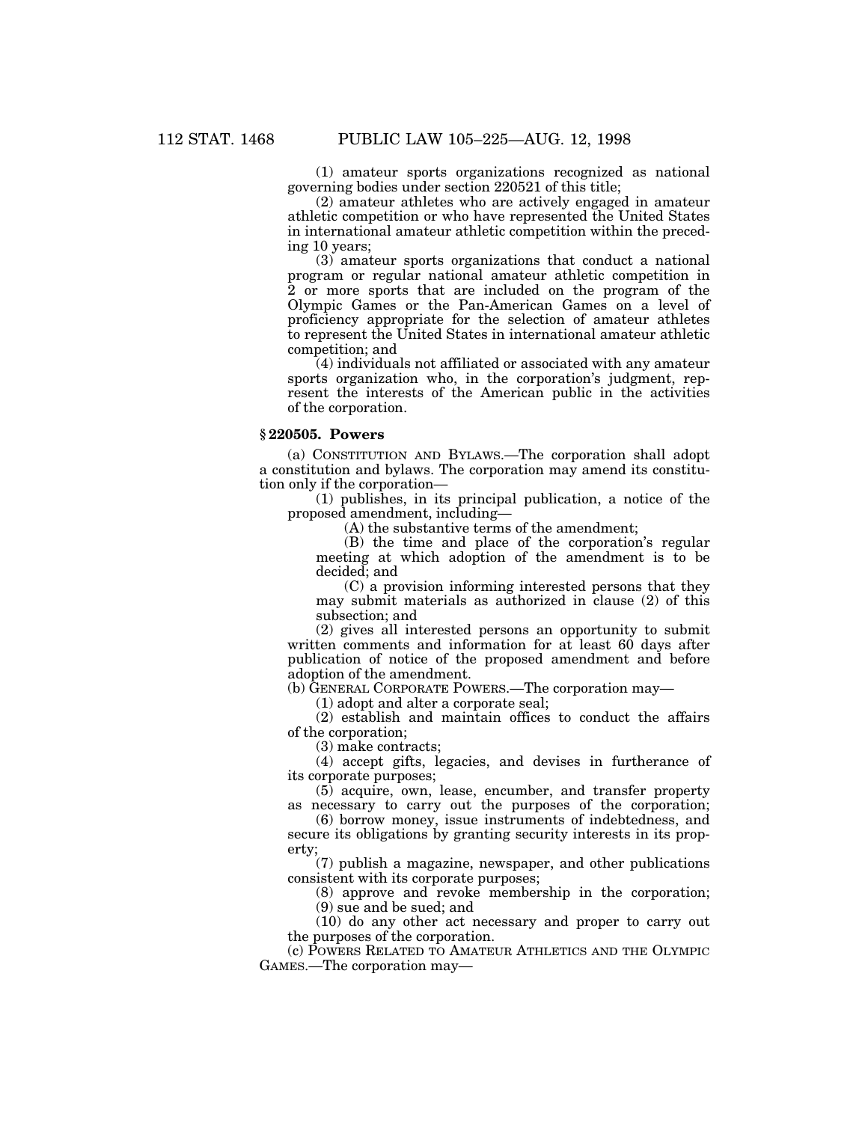(1) amateur sports organizations recognized as national governing bodies under section 220521 of this title;

(2) amateur athletes who are actively engaged in amateur athletic competition or who have represented the United States in international amateur athletic competition within the preceding 10 years;

(3) amateur sports organizations that conduct a national program or regular national amateur athletic competition in 2 or more sports that are included on the program of the Olympic Games or the Pan-American Games on a level of proficiency appropriate for the selection of amateur athletes to represent the United States in international amateur athletic competition; and

(4) individuals not affiliated or associated with any amateur sports organization who, in the corporation's judgment, represent the interests of the American public in the activities of the corporation.

# **§ 220505. Powers**

(a) CONSTITUTION AND BYLAWS.—The corporation shall adopt a constitution and bylaws. The corporation may amend its constitution only if the corporation—

(1) publishes, in its principal publication, a notice of the proposed amendment, including—

(A) the substantive terms of the amendment;

(B) the time and place of the corporation's regular meeting at which adoption of the amendment is to be decided; and

(C) a provision informing interested persons that they may submit materials as authorized in clause (2) of this subsection; and

(2) gives all interested persons an opportunity to submit written comments and information for at least 60 days after publication of notice of the proposed amendment and before adoption of the amendment.

(b) GENERAL CORPORATE POWERS.—The corporation may—

(1) adopt and alter a corporate seal;

(2) establish and maintain offices to conduct the affairs of the corporation;

(3) make contracts;

(4) accept gifts, legacies, and devises in furtherance of its corporate purposes;

(5) acquire, own, lease, encumber, and transfer property as necessary to carry out the purposes of the corporation;

(6) borrow money, issue instruments of indebtedness, and secure its obligations by granting security interests in its property;

(7) publish a magazine, newspaper, and other publications consistent with its corporate purposes;

(8) approve and revoke membership in the corporation; (9) sue and be sued; and

(10) do any other act necessary and proper to carry out the purposes of the corporation.

(c) POWERS RELATED TO AMATEUR ATHLETICS AND THE OLYMPIC GAMES.—The corporation may—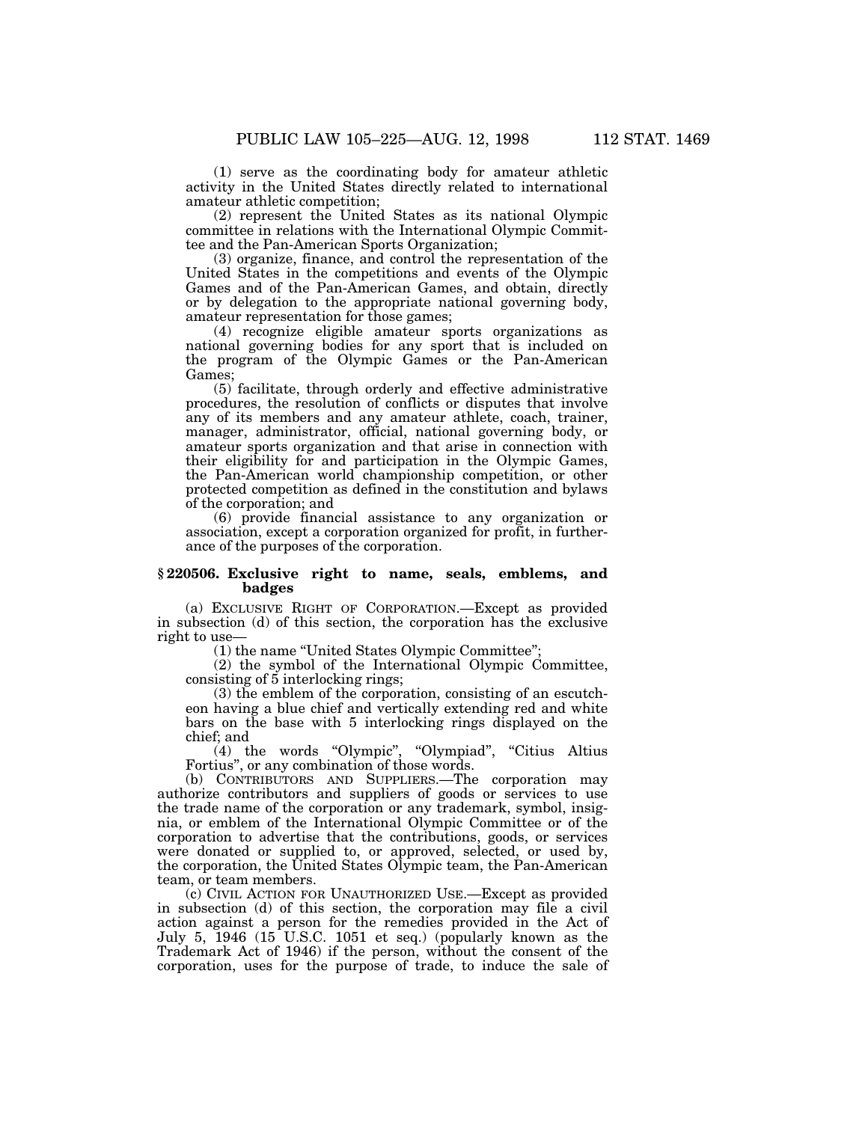(1) serve as the coordinating body for amateur athletic activity in the United States directly related to international amateur athletic competition;

(2) represent the United States as its national Olympic committee in relations with the International Olympic Committee and the Pan-American Sports Organization;

(3) organize, finance, and control the representation of the United States in the competitions and events of the Olympic Games and of the Pan-American Games, and obtain, directly or by delegation to the appropriate national governing body, amateur representation for those games;

(4) recognize eligible amateur sports organizations as national governing bodies for any sport that is included on the program of the Olympic Games or the Pan-American Games;

(5) facilitate, through orderly and effective administrative procedures, the resolution of conflicts or disputes that involve any of its members and any amateur athlete, coach, trainer, manager, administrator, official, national governing body, or amateur sports organization and that arise in connection with their eligibility for and participation in the Olympic Games, the Pan-American world championship competition, or other protected competition as defined in the constitution and bylaws of the corporation; and

(6) provide financial assistance to any organization or association, except a corporation organized for profit, in furtherance of the purposes of the corporation.

## **§ 220506. Exclusive right to name, seals, emblems, and badges**

(a) EXCLUSIVE RIGHT OF CORPORATION.—Except as provided in subsection (d) of this section, the corporation has the exclusive right to use—

(1) the name ''United States Olympic Committee'';

(2) the symbol of the International Olympic Committee, consisting of 5 interlocking rings;

(3) the emblem of the corporation, consisting of an escutcheon having a blue chief and vertically extending red and white bars on the base with 5 interlocking rings displayed on the chief; and

(4) the words ''Olympic'', ''Olympiad'', ''Citius Altius Fortius'', or any combination of those words.

(b) CONTRIBUTORS AND SUPPLIERS.—The corporation may authorize contributors and suppliers of goods or services to use the trade name of the corporation or any trademark, symbol, insignia, or emblem of the International Olympic Committee or of the corporation to advertise that the contributions, goods, or services were donated or supplied to, or approved, selected, or used by, the corporation, the United States Olympic team, the Pan-American team, or team members.

(c) CIVIL ACTION FOR UNAUTHORIZED USE.—Except as provided in subsection (d) of this section, the corporation may file a civil action against a person for the remedies provided in the Act of July 5, 1946 (15 U.S.C. 1051 et seq.) (popularly known as the Trademark Act of 1946) if the person, without the consent of the corporation, uses for the purpose of trade, to induce the sale of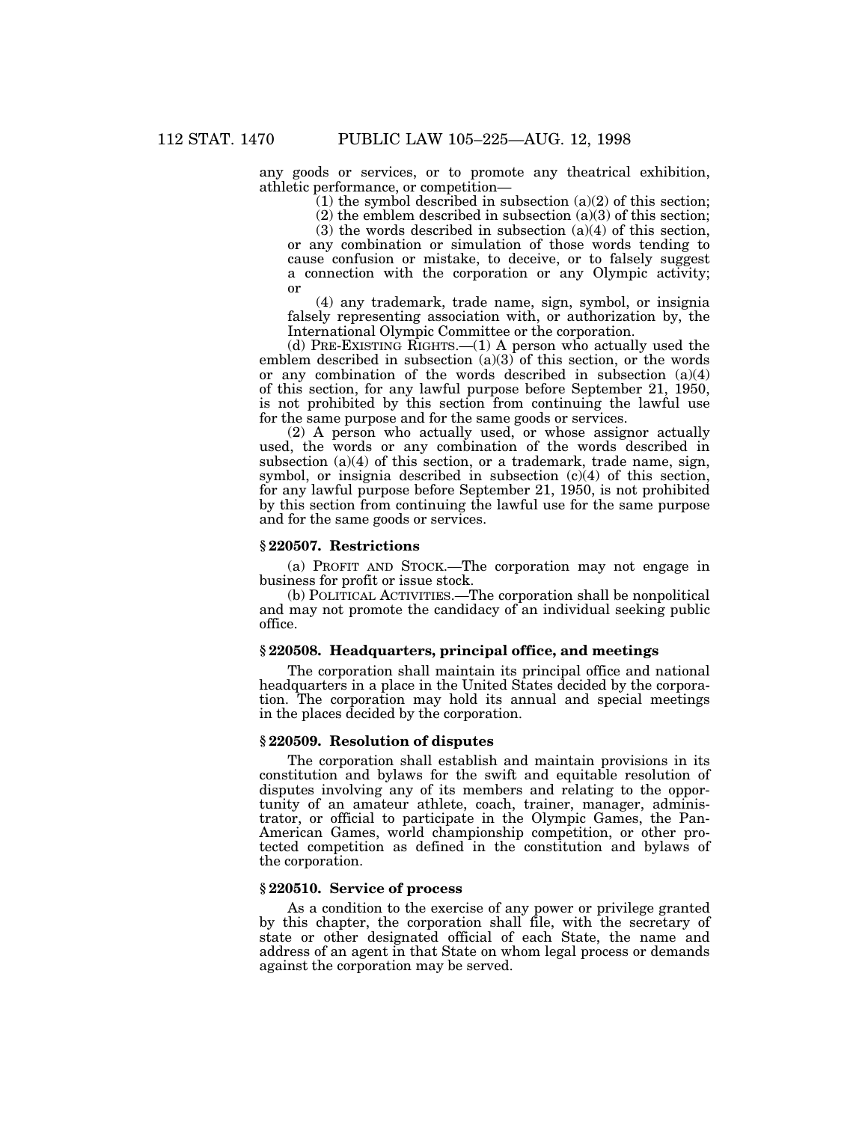any goods or services, or to promote any theatrical exhibition, athletic performance, or competition—

 $(1)$  the symbol described in subsection  $(a)(2)$  of this section;

 $(2)$  the emblem described in subsection  $(a)(3)$  of this section;

 $(3)$  the words described in subsection  $(a)(4)$  of this section, or any combination or simulation of those words tending to cause confusion or mistake, to deceive, or to falsely suggest a connection with the corporation or any Olympic activity; or

(4) any trademark, trade name, sign, symbol, or insignia falsely representing association with, or authorization by, the International Olympic Committee or the corporation.

(d) PRE-EXISTING RIGHTS.—(1) A person who actually used the emblem described in subsection  $(a)(3)$  of this section, or the words or any combination of the words described in subsection  $(a)(4)$ of this section, for any lawful purpose before September 21, 1950, is not prohibited by this section from continuing the lawful use for the same purpose and for the same goods or services.

(2) A person who actually used, or whose assignor actually used, the words or any combination of the words described in subsection (a)(4) of this section, or a trademark, trade name, sign, symbol, or insignia described in subsection (c)(4) of this section, for any lawful purpose before September 21, 1950, is not prohibited by this section from continuing the lawful use for the same purpose and for the same goods or services.

## **§ 220507. Restrictions**

(a) PROFIT AND STOCK.—The corporation may not engage in business for profit or issue stock.

(b) POLITICAL ACTIVITIES.—The corporation shall be nonpolitical and may not promote the candidacy of an individual seeking public office.

## **§ 220508. Headquarters, principal office, and meetings**

The corporation shall maintain its principal office and national headquarters in a place in the United States decided by the corporation. The corporation may hold its annual and special meetings in the places decided by the corporation.

## **§ 220509. Resolution of disputes**

The corporation shall establish and maintain provisions in its constitution and bylaws for the swift and equitable resolution of disputes involving any of its members and relating to the opportunity of an amateur athlete, coach, trainer, manager, administrator, or official to participate in the Olympic Games, the Pan-American Games, world championship competition, or other protected competition as defined in the constitution and bylaws of the corporation.

#### **§ 220510. Service of process**

As a condition to the exercise of any power or privilege granted by this chapter, the corporation shall file, with the secretary of state or other designated official of each State, the name and address of an agent in that State on whom legal process or demands against the corporation may be served.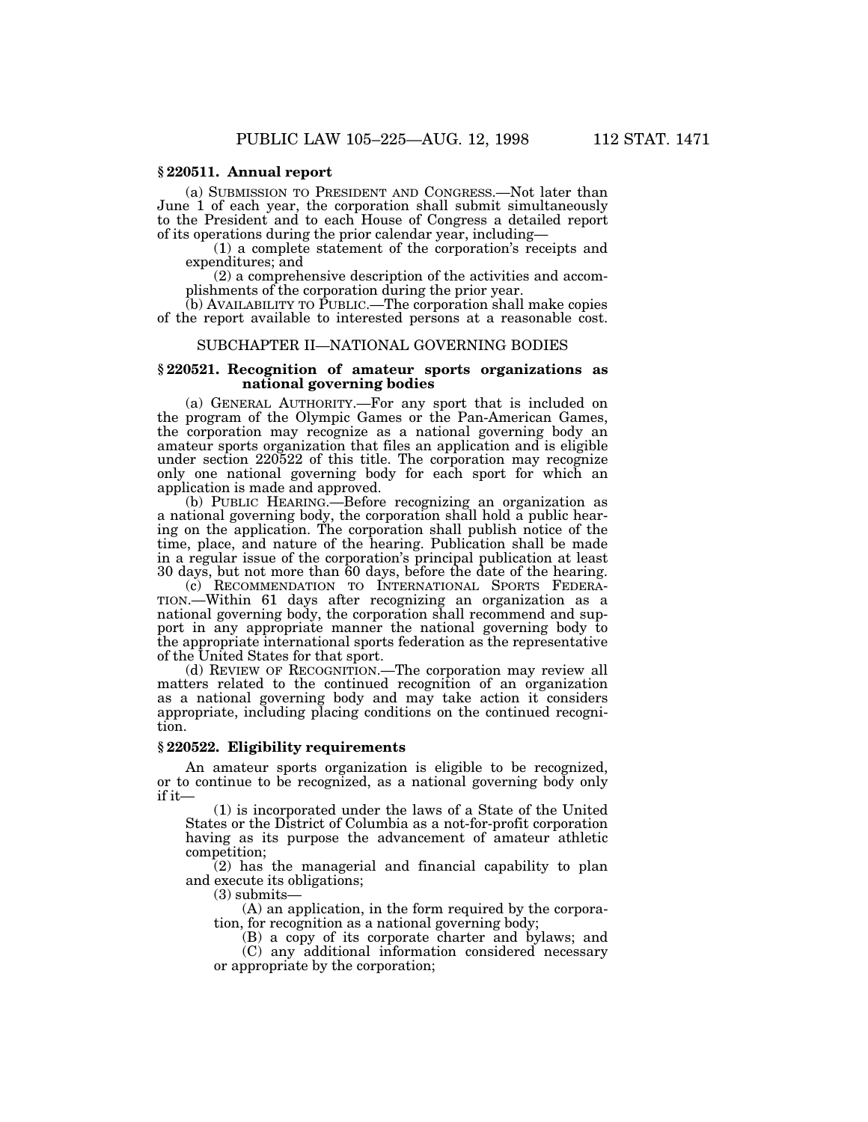## **§ 220511. Annual report**

(a) SUBMISSION TO PRESIDENT AND CONGRESS.—Not later than June 1 of each year, the corporation shall submit simultaneously to the President and to each House of Congress a detailed report of its operations during the prior calendar year, including—

(1) a complete statement of the corporation's receipts and expenditures; and

(2) a comprehensive description of the activities and accomplishments of the corporation during the prior year.

 $(b)$  AVAILABILITY TO PUBLIC.—The corporation shall make copies of the report available to interested persons at a reasonable cost.

#### SUBCHAPTER II—NATIONAL GOVERNING BODIES

#### **§ 220521. Recognition of amateur sports organizations as national governing bodies**

(a) GENERAL AUTHORITY.—For any sport that is included on the program of the Olympic Games or the Pan-American Games, the corporation may recognize as a national governing body an amateur sports organization that files an application and is eligible under section 220522 of this title. The corporation may recognize only one national governing body for each sport for which an application is made and approved.

(b) PUBLIC HEARING.—Before recognizing an organization as a national governing body, the corporation shall hold a public hearing on the application. The corporation shall publish notice of the time, place, and nature of the hearing. Publication shall be made in a regular issue of the corporation's principal publication at least 30 days, but not more than 60 days, before the date of the hearing.

(c) RECOMMENDATION TO INTERNATIONAL SPORTS FEDERA- TION.—Within 61 days after recognizing an organization as a national governing body, the corporation shall recommend and support in any appropriate manner the national governing body to the appropriate international sports federation as the representative of the United States for that sport.

(d) REVIEW OF RECOGNITION.—The corporation may review all matters related to the continued recognition of an organization as a national governing body and may take action it considers appropriate, including placing conditions on the continued recognition.

#### **§ 220522. Eligibility requirements**

An amateur sports organization is eligible to be recognized, or to continue to be recognized, as a national governing body only if it—

(1) is incorporated under the laws of a State of the United States or the District of Columbia as a not-for-profit corporation having as its purpose the advancement of amateur athletic competition;

(2) has the managerial and financial capability to plan and execute its obligations;

(3) submits—

(A) an application, in the form required by the corporation, for recognition as a national governing body;

(B) a copy of its corporate charter and bylaws; and

(C) any additional information considered necessary or appropriate by the corporation;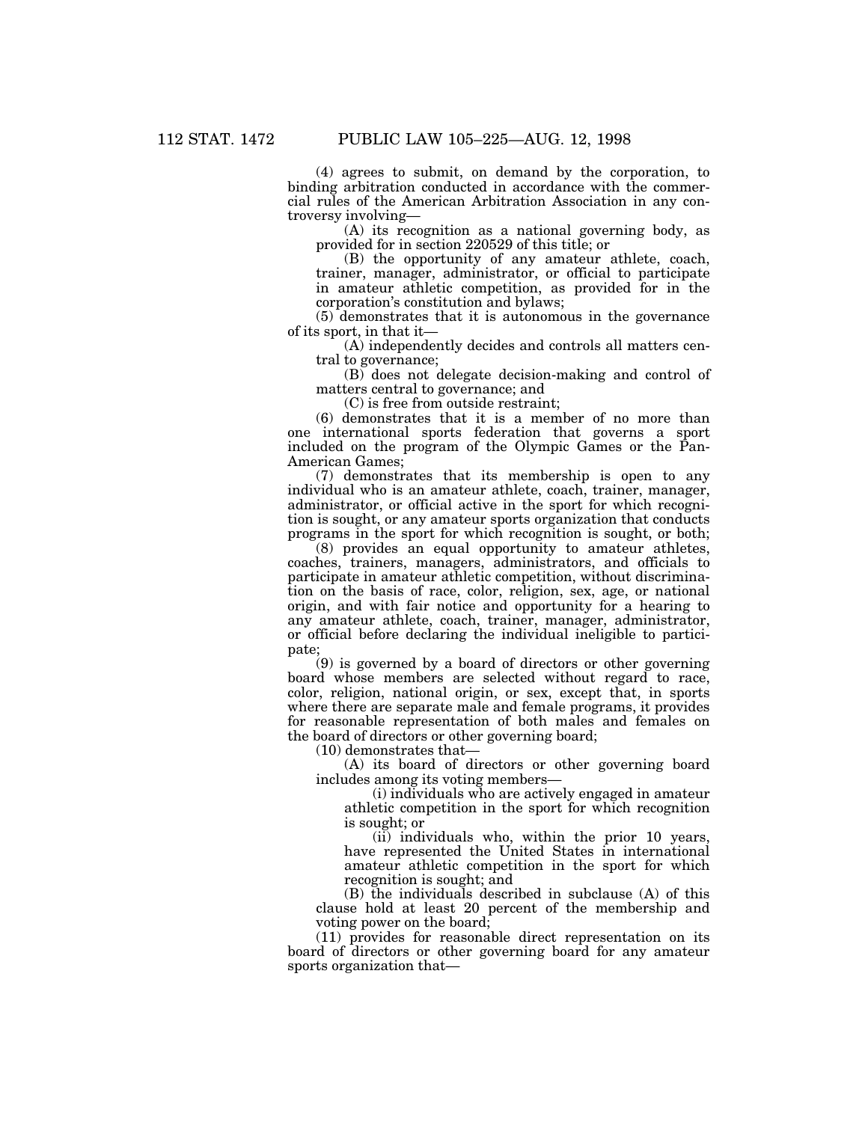(4) agrees to submit, on demand by the corporation, to binding arbitration conducted in accordance with the commercial rules of the American Arbitration Association in any controversy involving—

(A) its recognition as a national governing body, as provided for in section 220529 of this title; or

(B) the opportunity of any amateur athlete, coach, trainer, manager, administrator, or official to participate in amateur athletic competition, as provided for in the corporation's constitution and bylaws;

(5) demonstrates that it is autonomous in the governance of its sport, in that it—

(A) independently decides and controls all matters central to governance;

(B) does not delegate decision-making and control of matters central to governance; and

(C) is free from outside restraint;

(6) demonstrates that it is a member of no more than one international sports federation that governs a sport included on the program of the Olympic Games or the Pan-American Games;

(7) demonstrates that its membership is open to any individual who is an amateur athlete, coach, trainer, manager, administrator, or official active in the sport for which recognition is sought, or any amateur sports organization that conducts programs in the sport for which recognition is sought, or both;

(8) provides an equal opportunity to amateur athletes, coaches, trainers, managers, administrators, and officials to participate in amateur athletic competition, without discrimination on the basis of race, color, religion, sex, age, or national origin, and with fair notice and opportunity for a hearing to any amateur athlete, coach, trainer, manager, administrator, or official before declaring the individual ineligible to participate;

(9) is governed by a board of directors or other governing board whose members are selected without regard to race, color, religion, national origin, or sex, except that, in sports where there are separate male and female programs, it provides for reasonable representation of both males and females on the board of directors or other governing board;

(10) demonstrates that—

(A) its board of directors or other governing board includes among its voting members—

(i) individuals who are actively engaged in amateur athletic competition in the sport for which recognition is sought; or

(ii) individuals who, within the prior 10 years, have represented the United States in international amateur athletic competition in the sport for which recognition is sought; and

(B) the individuals described in subclause (A) of this clause hold at least 20 percent of the membership and voting power on the board;

(11) provides for reasonable direct representation on its board of directors or other governing board for any amateur sports organization that—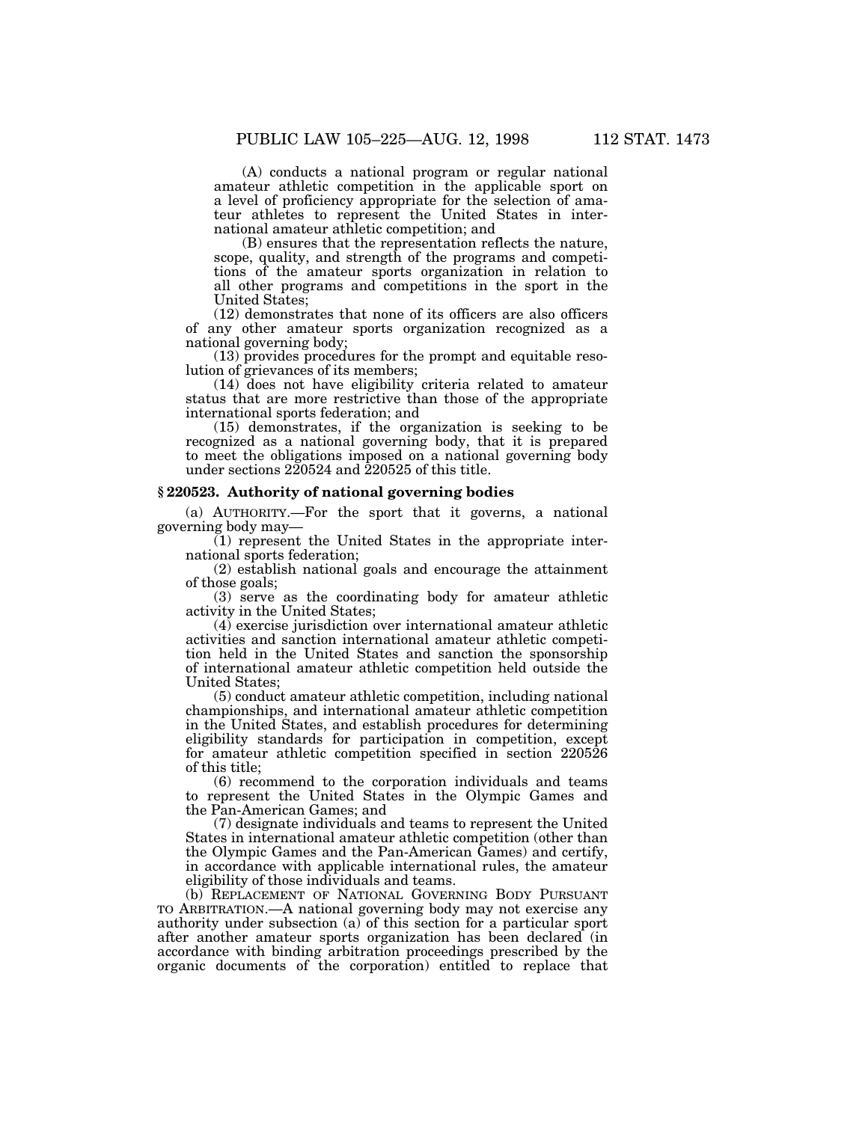(A) conducts a national program or regular national amateur athletic competition in the applicable sport on a level of proficiency appropriate for the selection of amateur athletes to represent the United States in international amateur athletic competition; and

(B) ensures that the representation reflects the nature, scope, quality, and strength of the programs and competitions of the amateur sports organization in relation to all other programs and competitions in the sport in the United States;

(12) demonstrates that none of its officers are also officers of any other amateur sports organization recognized as a national governing body;

(13) provides procedures for the prompt and equitable resolution of grievances of its members;

(14) does not have eligibility criteria related to amateur status that are more restrictive than those of the appropriate international sports federation; and

(15) demonstrates, if the organization is seeking to be recognized as a national governing body, that it is prepared to meet the obligations imposed on a national governing body under sections 220524 and 220525 of this title.

#### **§ 220523. Authority of national governing bodies**

(a) AUTHORITY.—For the sport that it governs, a national governing body may—

(1) represent the United States in the appropriate international sports federation;

(2) establish national goals and encourage the attainment of those goals;

(3) serve as the coordinating body for amateur athletic activity in the United States;

(4) exercise jurisdiction over international amateur athletic activities and sanction international amateur athletic competition held in the United States and sanction the sponsorship of international amateur athletic competition held outside the United States;

(5) conduct amateur athletic competition, including national championships, and international amateur athletic competition in the United States, and establish procedures for determining eligibility standards for participation in competition, except for amateur athletic competition specified in section 220526 of this title;

(6) recommend to the corporation individuals and teams to represent the United States in the Olympic Games and the Pan-American Games; and

(7) designate individuals and teams to represent the United States in international amateur athletic competition (other than the Olympic Games and the Pan-American Games) and certify, in accordance with applicable international rules, the amateur eligibility of those individuals and teams.

(b) REPLACEMENT OF NATIONAL GOVERNING BODY PURSUANT TO ARBITRATION.—A national governing body may not exercise any authority under subsection (a) of this section for a particular sport after another amateur sports organization has been declared (in accordance with binding arbitration proceedings prescribed by the organic documents of the corporation) entitled to replace that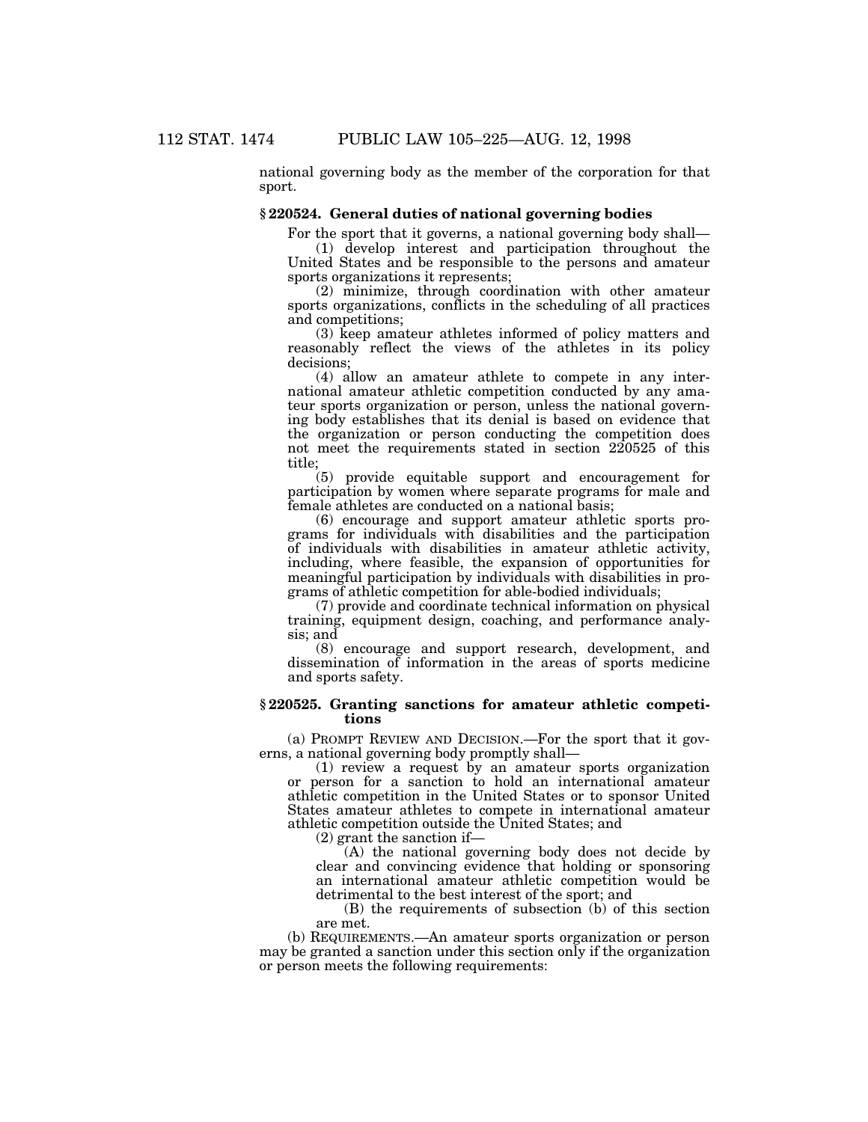national governing body as the member of the corporation for that sport.

## **§ 220524. General duties of national governing bodies**

For the sport that it governs, a national governing body shall—

(1) develop interest and participation throughout the United States and be responsible to the persons and amateur sports organizations it represents;

(2) minimize, through coordination with other amateur sports organizations, conflicts in the scheduling of all practices and competitions;

(3) keep amateur athletes informed of policy matters and reasonably reflect the views of the athletes in its policy decisions;

(4) allow an amateur athlete to compete in any international amateur athletic competition conducted by any amateur sports organization or person, unless the national governing body establishes that its denial is based on evidence that the organization or person conducting the competition does not meet the requirements stated in section 220525 of this title;

(5) provide equitable support and encouragement for participation by women where separate programs for male and female athletes are conducted on a national basis;

(6) encourage and support amateur athletic sports programs for individuals with disabilities and the participation of individuals with disabilities in amateur athletic activity, including, where feasible, the expansion of opportunities for meaningful participation by individuals with disabilities in programs of athletic competition for able-bodied individuals;

(7) provide and coordinate technical information on physical training, equipment design, coaching, and performance analysis; and

(8) encourage and support research, development, and dissemination of information in the areas of sports medicine and sports safety.

#### **§ 220525. Granting sanctions for amateur athletic competitions**

(a) PROMPT REVIEW AND DECISION.—For the sport that it governs, a national governing body promptly shall—

(1) review a request by an amateur sports organization or person for a sanction to hold an international amateur athletic competition in the United States or to sponsor United States amateur athletes to compete in international amateur athletic competition outside the United States; and

(2) grant the sanction if—

(A) the national governing body does not decide by clear and convincing evidence that holding or sponsoring an international amateur athletic competition would be detrimental to the best interest of the sport; and

(B) the requirements of subsection (b) of this section are met.

(b) REQUIREMENTS.—An amateur sports organization or person may be granted a sanction under this section only if the organization or person meets the following requirements: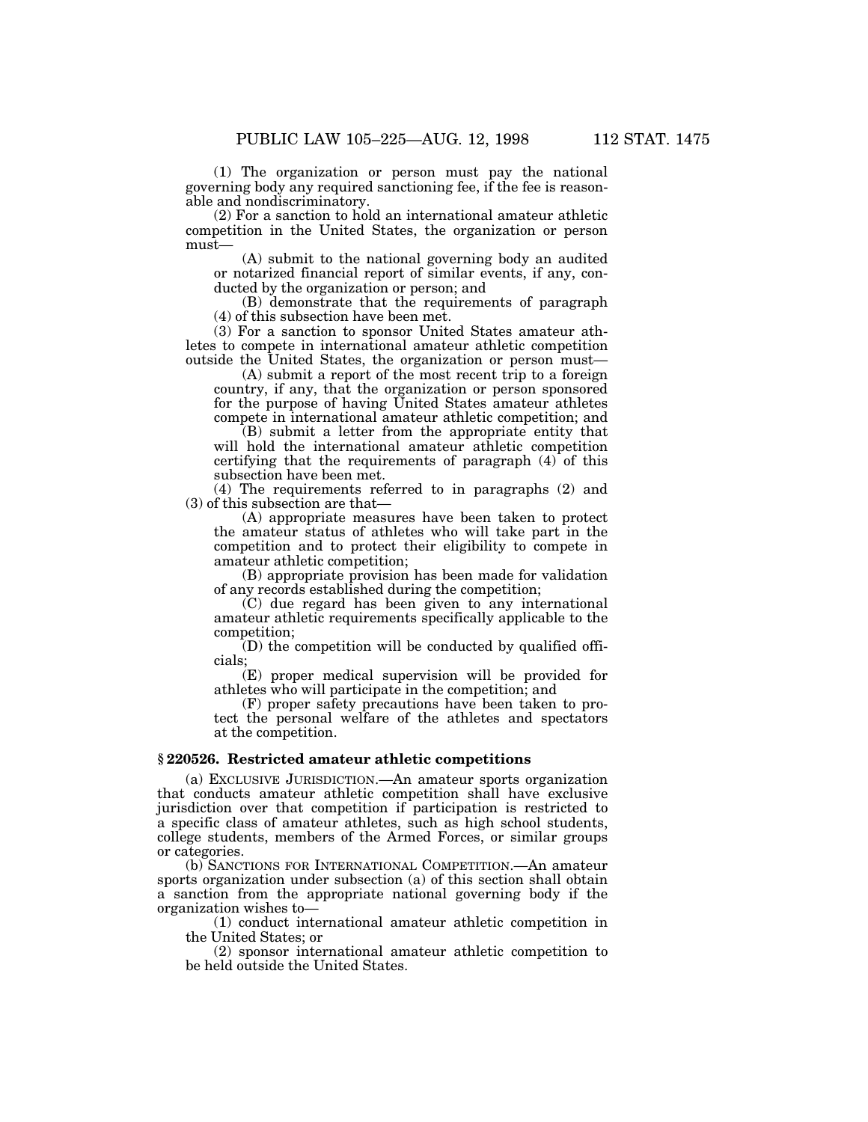(1) The organization or person must pay the national governing body any required sanctioning fee, if the fee is reasonable and nondiscriminatory.

(2) For a sanction to hold an international amateur athletic competition in the United States, the organization or person must—

(A) submit to the national governing body an audited or notarized financial report of similar events, if any, conducted by the organization or person; and

(B) demonstrate that the requirements of paragraph (4) of this subsection have been met.

(3) For a sanction to sponsor United States amateur athletes to compete in international amateur athletic competition outside the United States, the organization or person must—

(A) submit a report of the most recent trip to a foreign country, if any, that the organization or person sponsored for the purpose of having United States amateur athletes compete in international amateur athletic competition; and

(B) submit a letter from the appropriate entity that will hold the international amateur athletic competition certifying that the requirements of paragraph (4) of this subsection have been met.

(4) The requirements referred to in paragraphs (2) and (3) of this subsection are that—

(A) appropriate measures have been taken to protect the amateur status of athletes who will take part in the competition and to protect their eligibility to compete in amateur athletic competition;

(B) appropriate provision has been made for validation of any records established during the competition;

(C) due regard has been given to any international amateur athletic requirements specifically applicable to the competition;

(D) the competition will be conducted by qualified officials;

(E) proper medical supervision will be provided for athletes who will participate in the competition; and

(F) proper safety precautions have been taken to protect the personal welfare of the athletes and spectators at the competition.

## **§ 220526. Restricted amateur athletic competitions**

(a) EXCLUSIVE JURISDICTION.—An amateur sports organization that conducts amateur athletic competition shall have exclusive jurisdiction over that competition if participation is restricted to a specific class of amateur athletes, such as high school students, college students, members of the Armed Forces, or similar groups or categories.

(b) SANCTIONS FOR INTERNATIONAL COMPETITION.—An amateur sports organization under subsection (a) of this section shall obtain a sanction from the appropriate national governing body if the organization wishes to—

(1) conduct international amateur athletic competition in the United States; or

(2) sponsor international amateur athletic competition to be held outside the United States.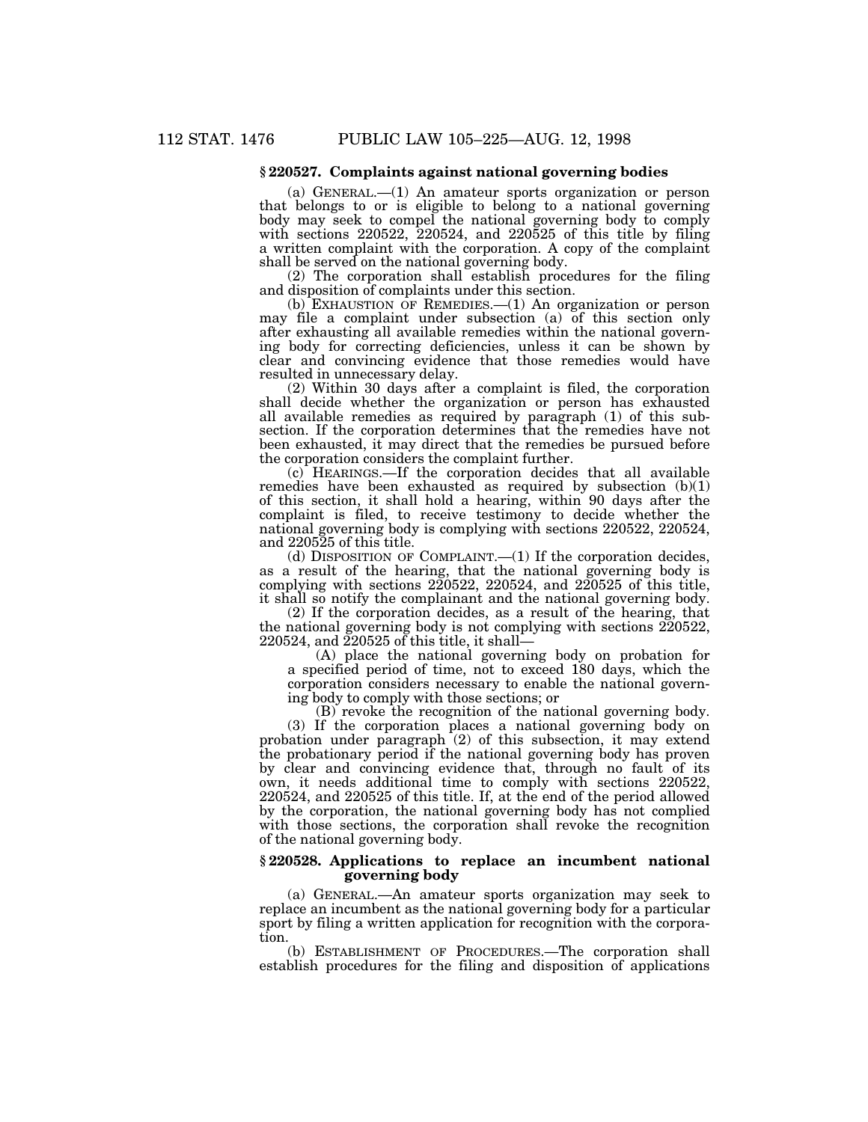## **§ 220527. Complaints against national governing bodies**

(a) GENERAL.—(1) An amateur sports organization or person that belongs to or is eligible to belong to a national governing body may seek to compel the national governing body to comply with sections 220522, 220524, and 220525 of this title by filing a written complaint with the corporation. A copy of the complaint shall be served on the national governing body.

(2) The corporation shall establish procedures for the filing and disposition of complaints under this section.

(b) EXHAUSTION OF REMEDIES.—(1) An organization or person may file a complaint under subsection (a) of this section only after exhausting all available remedies within the national governing body for correcting deficiencies, unless it can be shown by clear and convincing evidence that those remedies would have resulted in unnecessary delay.

(2) Within 30 days after a complaint is filed, the corporation shall decide whether the organization or person has exhausted all available remedies as required by paragraph (1) of this subsection. If the corporation determines that the remedies have not been exhausted, it may direct that the remedies be pursued before the corporation considers the complaint further.

(c) HEARINGS.—If the corporation decides that all available remedies have been exhausted as required by subsection  $(b)(1)$ of this section, it shall hold a hearing, within 90 days after the complaint is filed, to receive testimony to decide whether the national governing body is complying with sections 220522, 220524, and 220525 of this title.

(d) DISPOSITION OF COMPLAINT.—(1) If the corporation decides, as a result of the hearing, that the national governing body is complying with sections  $2\overline{2}0522$ ,  $220524$ , and  $2\overline{2}0525$  of this title, it shall so notify the complainant and the national governing body.

(2) If the corporation decides, as a result of the hearing, that the national governing body is not complying with sections 220522,  $220524$ , and  $220525$  of this title, it shall-

(A) place the national governing body on probation for a specified period of time, not to exceed 180 days, which the corporation considers necessary to enable the national governing body to comply with those sections; or

(B) revoke the recognition of the national governing body. (3) If the corporation places a national governing body on probation under paragraph (2) of this subsection, it may extend the probationary period if the national governing body has proven by clear and convincing evidence that, through no fault of its own, it needs additional time to comply with sections 220522, 220524, and 220525 of this title. If, at the end of the period allowed by the corporation, the national governing body has not complied with those sections, the corporation shall revoke the recognition of the national governing body.

#### **§ 220528. Applications to replace an incumbent national governing body**

(a) GENERAL.—An amateur sports organization may seek to replace an incumbent as the national governing body for a particular sport by filing a written application for recognition with the corporation.

(b) ESTABLISHMENT OF PROCEDURES.—The corporation shall establish procedures for the filing and disposition of applications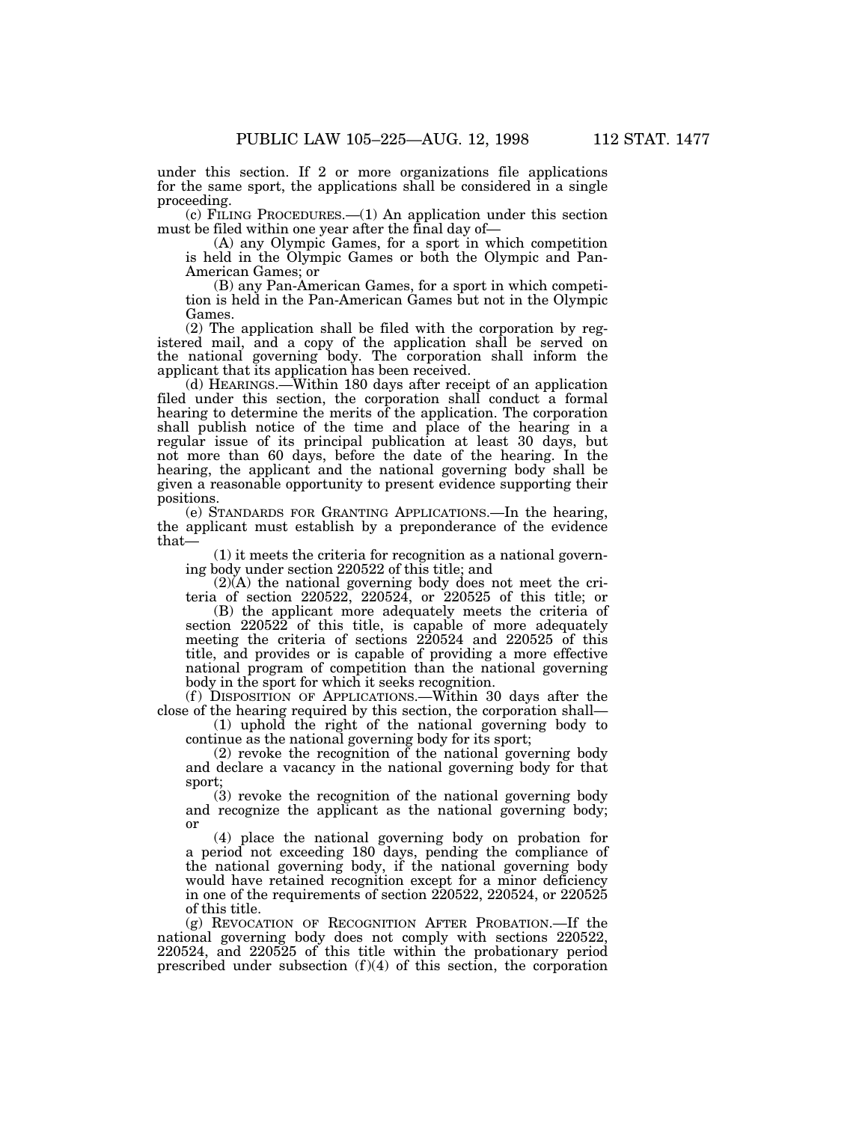under this section. If 2 or more organizations file applications for the same sport, the applications shall be considered in a single proceeding.

(c) FILING PROCEDURES.—(1) An application under this section must be filed within one year after the final day of—

(A) any Olympic Games, for a sport in which competition is held in the Olympic Games or both the Olympic and Pan-American Games; or

(B) any Pan-American Games, for a sport in which competition is held in the Pan-American Games but not in the Olympic Games.

(2) The application shall be filed with the corporation by registered mail, and a copy of the application shall be served on the national governing body. The corporation shall inform the applicant that its application has been received.

(d) HEARINGS.—Within 180 days after receipt of an application filed under this section, the corporation shall conduct a formal hearing to determine the merits of the application. The corporation shall publish notice of the time and place of the hearing in a regular issue of its principal publication at least 30 days, but not more than 60 days, before the date of the hearing. In the hearing, the applicant and the national governing body shall be given a reasonable opportunity to present evidence supporting their positions.

(e) STANDARDS FOR GRANTING APPLICATIONS.—In the hearing, the applicant must establish by a preponderance of the evidence that—

(1) it meets the criteria for recognition as a national governing body under section 220522 of this title; and

 $(2)(A)$  the national governing body does not meet the criteria of section 220522, 220524, or 220525 of this title; or

(B) the applicant more adequately meets the criteria of section  $220522$  of this title, is capable of more adequately meeting the criteria of sections 220524 and 220525 of this title, and provides or is capable of providing a more effective national program of competition than the national governing body in the sport for which it seeks recognition.

(f) DISPOSITION OF APPLICATIONS.—Within 30 days after the close of the hearing required by this section, the corporation shall—

(1) uphold the right of the national governing body to continue as the national governing body for its sport;

(2) revoke the recognition of the national governing body and declare a vacancy in the national governing body for that sport;

(3) revoke the recognition of the national governing body and recognize the applicant as the national governing body; or

(4) place the national governing body on probation for a period not exceeding 180 days, pending the compliance of the national governing body, if the national governing body would have retained recognition except for a minor deficiency in one of the requirements of section 220522, 220524, or 220525 of this title.

(g) REVOCATION OF RECOGNITION AFTER PROBATION.—If the national governing body does not comply with sections 220522, 220524, and 220525 of this title within the probationary period prescribed under subsection  $(f)(4)$  of this section, the corporation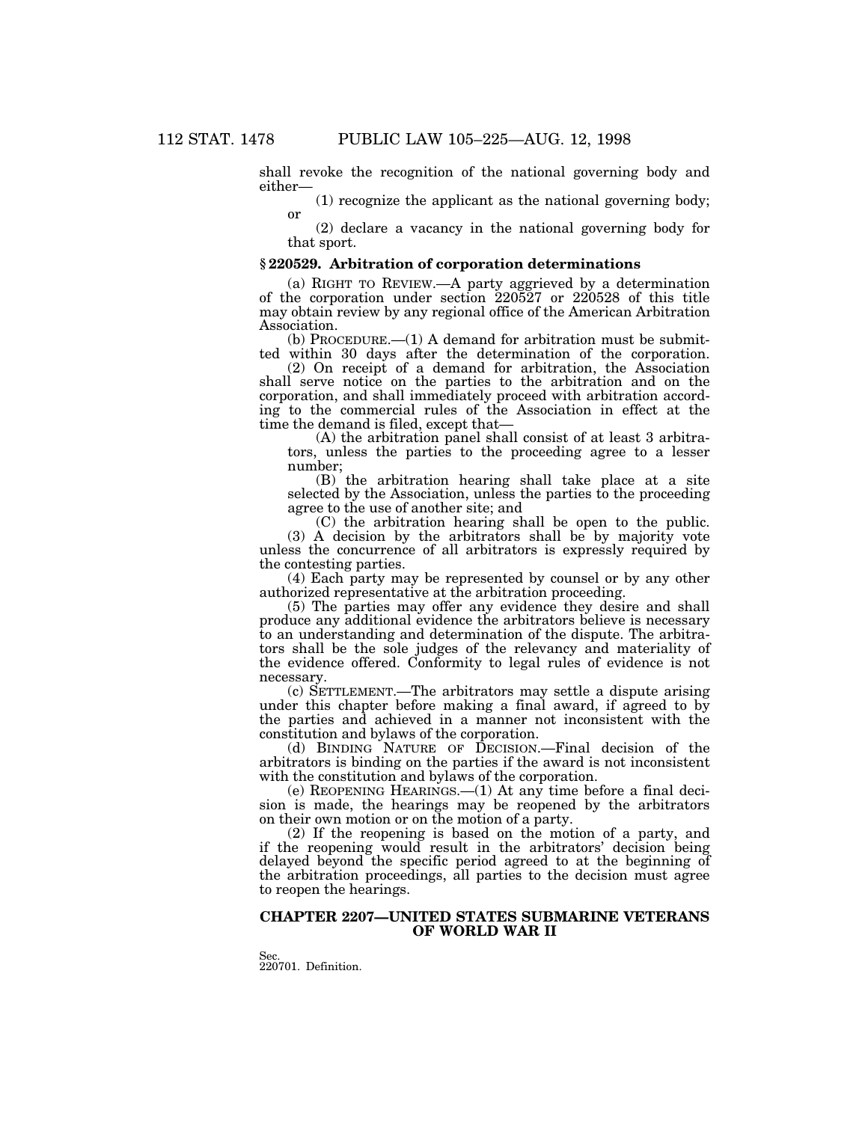shall revoke the recognition of the national governing body and either—

(1) recognize the applicant as the national governing body; or

(2) declare a vacancy in the national governing body for that sport.

## **§ 220529. Arbitration of corporation determinations**

(a) RIGHT TO REVIEW.—A party aggrieved by a determination of the corporation under section 220527 or 220528 of this title may obtain review by any regional office of the American Arbitration Association.

(b) PROCEDURE.— $(1)$  A demand for arbitration must be submitted within 30 days after the determination of the corporation.

(2) On receipt of a demand for arbitration, the Association shall serve notice on the parties to the arbitration and on the corporation, and shall immediately proceed with arbitration according to the commercial rules of the Association in effect at the time the demand is filed, except that—

(A) the arbitration panel shall consist of at least 3 arbitrators, unless the parties to the proceeding agree to a lesser number;

(B) the arbitration hearing shall take place at a site selected by the Association, unless the parties to the proceeding agree to the use of another site; and

(C) the arbitration hearing shall be open to the public. (3) A decision by the arbitrators shall be by majority vote unless the concurrence of all arbitrators is expressly required by the contesting parties.

(4) Each party may be represented by counsel or by any other authorized representative at the arbitration proceeding.

(5) The parties may offer any evidence they desire and shall produce any additional evidence the arbitrators believe is necessary to an understanding and determination of the dispute. The arbitrators shall be the sole judges of the relevancy and materiality of the evidence offered. Conformity to legal rules of evidence is not necessary.

(c) SETTLEMENT.—The arbitrators may settle a dispute arising under this chapter before making a final award, if agreed to by the parties and achieved in a manner not inconsistent with the constitution and bylaws of the corporation.

(d) BINDING NATURE OF DECISION.—Final decision of the arbitrators is binding on the parties if the award is not inconsistent with the constitution and bylaws of the corporation.

(e) REOPENING HEARINGS.—(1) At any time before a final decision is made, the hearings may be reopened by the arbitrators on their own motion or on the motion of a party.

(2) If the reopening is based on the motion of a party, and if the reopening would result in the arbitrators' decision being delayed beyond the specific period agreed to at the beginning of the arbitration proceedings, all parties to the decision must agree to reopen the hearings.

## **CHAPTER 2207—UNITED STATES SUBMARINE VETERANS OF WORLD WAR II**

Sec. 220701. Definition.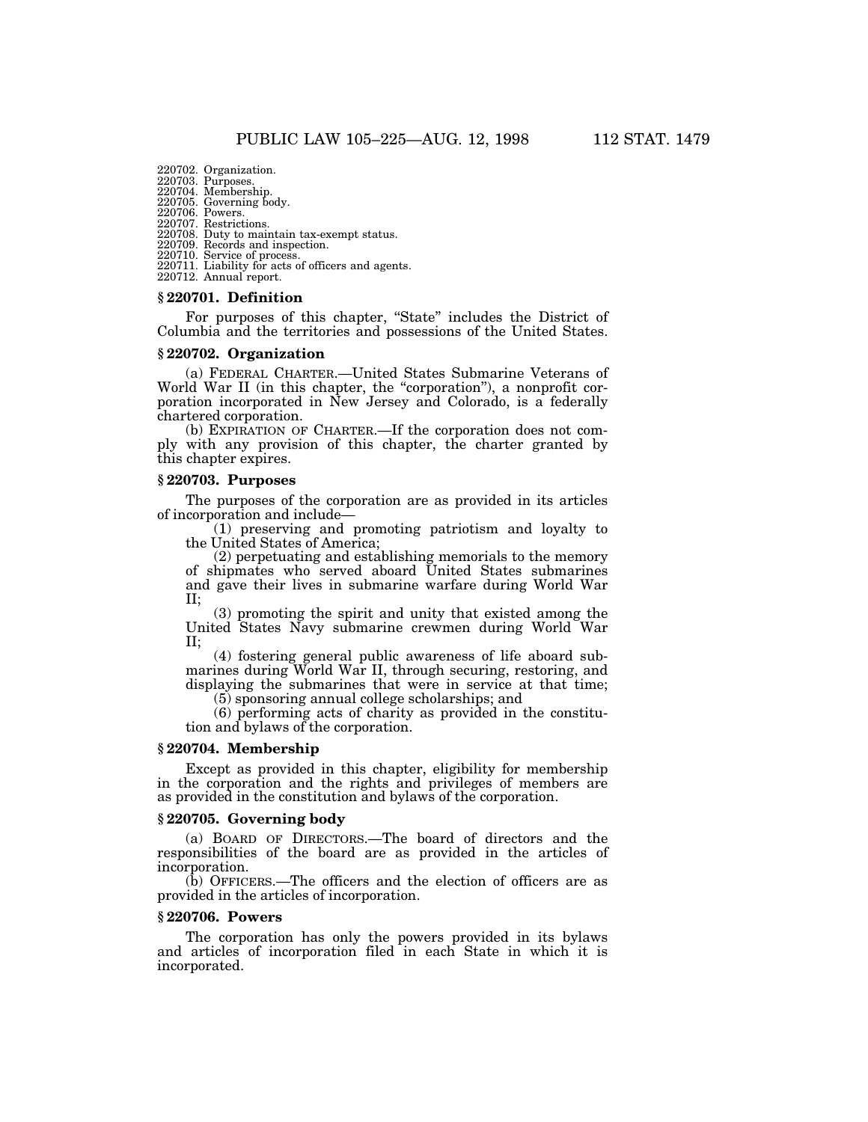220702. Organization. 220703. Purposes. 220704. Membership. 220705. Governing body. 220706. Powers.

220707. Restrictions.

220708. Duty to maintain tax-exempt status.

220709. Records and inspection.

220710. Service of process. 220711. Liability for acts of officers and agents. 220712. Annual report.

#### **§ 220701. Definition**

For purposes of this chapter, "State" includes the District of Columbia and the territories and possessions of the United States.

#### **§ 220702. Organization**

(a) FEDERAL CHARTER.—United States Submarine Veterans of World War II (in this chapter, the "corporation"), a nonprofit corporation incorporated in New Jersey and Colorado, is a federally chartered corporation.

(b) EXPIRATION OF CHARTER.—If the corporation does not comply with any provision of this chapter, the charter granted by this chapter expires.

## **§ 220703. Purposes**

The purposes of the corporation are as provided in its articles of incorporation and include—

(1) preserving and promoting patriotism and loyalty to the United States of America;

(2) perpetuating and establishing memorials to the memory of shipmates who served aboard United States submarines and gave their lives in submarine warfare during World War II;

(3) promoting the spirit and unity that existed among the United States Navy submarine crewmen during World War II;

(4) fostering general public awareness of life aboard submarines during World War II, through securing, restoring, and displaying the submarines that were in service at that time;

(5) sponsoring annual college scholarships; and

(6) performing acts of charity as provided in the constitution and bylaws of the corporation.

## **§ 220704. Membership**

Except as provided in this chapter, eligibility for membership in the corporation and the rights and privileges of members are as provided in the constitution and bylaws of the corporation.

#### **§ 220705. Governing body**

(a) BOARD OF DIRECTORS.—The board of directors and the responsibilities of the board are as provided in the articles of incorporation.

(b) OFFICERS.—The officers and the election of officers are as provided in the articles of incorporation.

#### **§ 220706. Powers**

The corporation has only the powers provided in its bylaws and articles of incorporation filed in each State in which it is incorporated.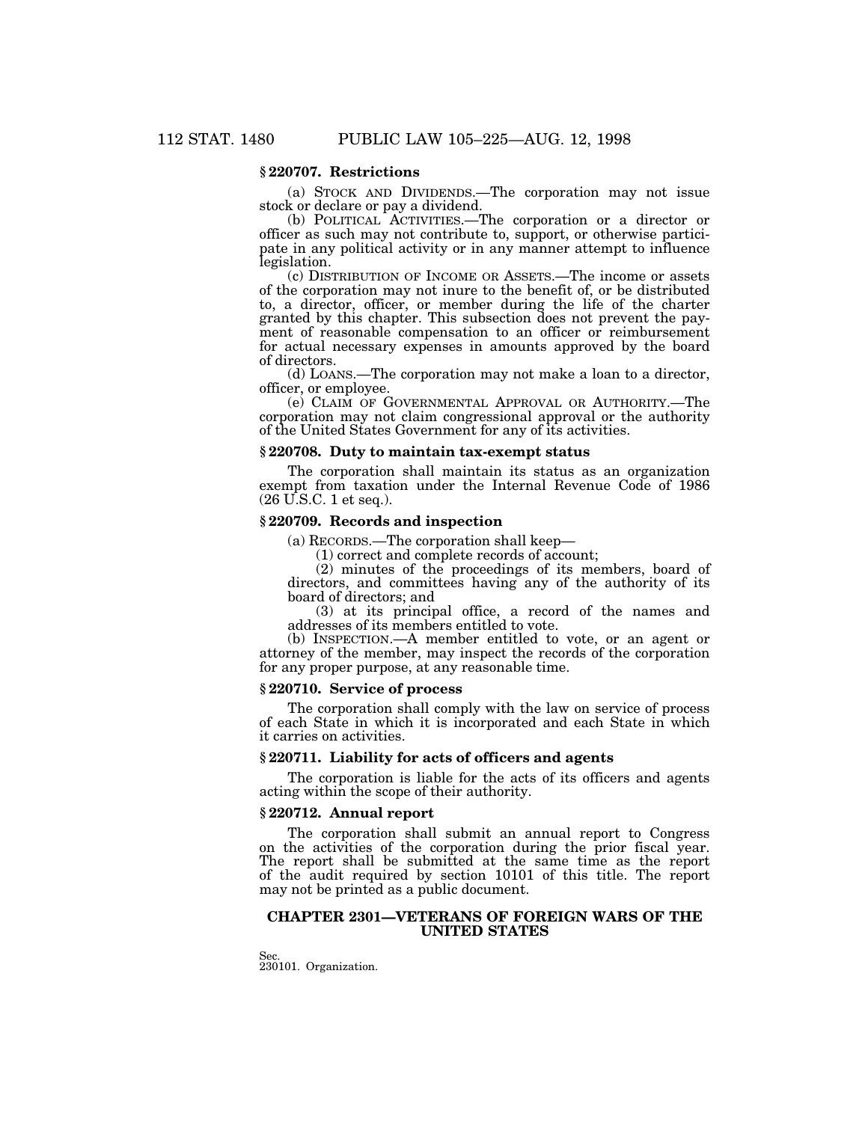## **§ 220707. Restrictions**

(a) STOCK AND DIVIDENDS.—The corporation may not issue stock or declare or pay a dividend.

(b) POLITICAL ACTIVITIES.—The corporation or a director or officer as such may not contribute to, support, or otherwise participate in any political activity or in any manner attempt to influence legislation.

(c) DISTRIBUTION OF INCOME OR ASSETS.—The income or assets of the corporation may not inure to the benefit of, or be distributed to, a director, officer, or member during the life of the charter granted by this chapter. This subsection does not prevent the payment of reasonable compensation to an officer or reimbursement for actual necessary expenses in amounts approved by the board of directors.

(d) LOANS.—The corporation may not make a loan to a director, officer, or employee.

(e) CLAIM OF GOVERNMENTAL APPROVAL OR AUTHORITY.—The corporation may not claim congressional approval or the authority of the United States Government for any of its activities.

#### **§ 220708. Duty to maintain tax-exempt status**

The corporation shall maintain its status as an organization exempt from taxation under the Internal Revenue Code of 1986 (26 U.S.C. 1 et seq.).

## **§ 220709. Records and inspection**

(a) RECORDS.—The corporation shall keep—

(1) correct and complete records of account;

(2) minutes of the proceedings of its members, board of directors, and committees having any of the authority of its board of directors; and

(3) at its principal office, a record of the names and addresses of its members entitled to vote.

(b) INSPECTION.—A member entitled to vote, or an agent or attorney of the member, may inspect the records of the corporation for any proper purpose, at any reasonable time.

## **§ 220710. Service of process**

The corporation shall comply with the law on service of process of each State in which it is incorporated and each State in which it carries on activities.

#### **§ 220711. Liability for acts of officers and agents**

The corporation is liable for the acts of its officers and agents acting within the scope of their authority.

## **§ 220712. Annual report**

The corporation shall submit an annual report to Congress on the activities of the corporation during the prior fiscal year. The report shall be submitted at the same time as the report of the audit required by section 10101 of this title. The report may not be printed as a public document.

## **CHAPTER 2301—VETERANS OF FOREIGN WARS OF THE UNITED STATES**

Sec. 230101. Organization.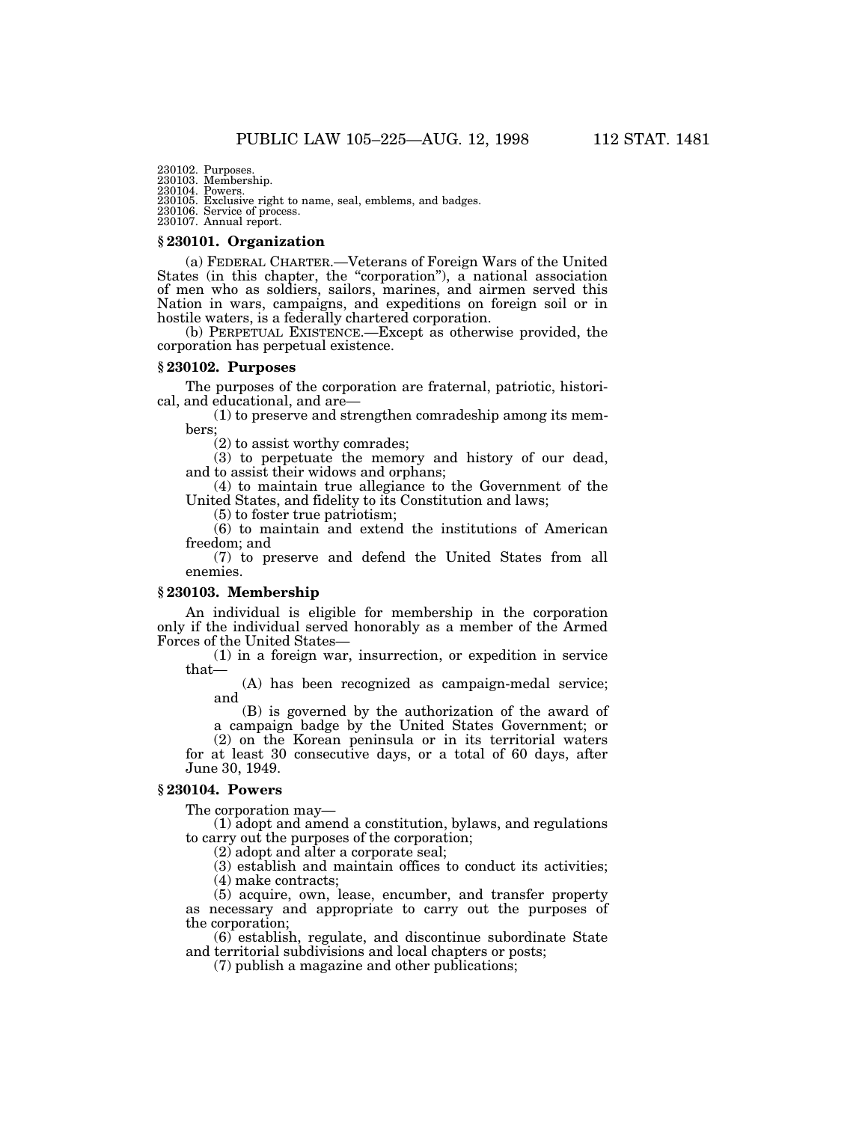230102. Purposes.

230103. Membership. 230104. Powers.

230105. Exclusive right to name, seal, emblems, and badges. 230106. Service of process. 230107. Annual report.

#### **§ 230101. Organization**

(a) FEDERAL CHARTER.—Veterans of Foreign Wars of the United States (in this chapter, the "corporation"), a national association of men who as soldiers, sailors, marines, and airmen served this Nation in wars, campaigns, and expeditions on foreign soil or in hostile waters, is a federally chartered corporation.

(b) PERPETUAL EXISTENCE.—Except as otherwise provided, the corporation has perpetual existence.

## **§ 230102. Purposes**

The purposes of the corporation are fraternal, patriotic, historical, and educational, and are-

(1) to preserve and strengthen comradeship among its members;

(2) to assist worthy comrades;

(3) to perpetuate the memory and history of our dead, and to assist their widows and orphans;

(4) to maintain true allegiance to the Government of the United States, and fidelity to its Constitution and laws;

(5) to foster true patriotism;

(6) to maintain and extend the institutions of American freedom; and

(7) to preserve and defend the United States from all enemies.

#### **§ 230103. Membership**

An individual is eligible for membership in the corporation only if the individual served honorably as a member of the Armed Forces of the United States—

(1) in a foreign war, insurrection, or expedition in service that—

(A) has been recognized as campaign-medal service; and

(B) is governed by the authorization of the award of a campaign badge by the United States Government; or (2) on the Korean peninsula or in its territorial waters for at least 30 consecutive days, or a total of 60 days, after June 30, 1949.

#### **§ 230104. Powers**

The corporation may—

(1) adopt and amend a constitution, bylaws, and regulations to carry out the purposes of the corporation;

(2) adopt and alter a corporate seal;

(3) establish and maintain offices to conduct its activities;

(4) make contracts;

(5) acquire, own, lease, encumber, and transfer property as necessary and appropriate to carry out the purposes of the corporation;

(6) establish, regulate, and discontinue subordinate State and territorial subdivisions and local chapters or posts;

(7) publish a magazine and other publications;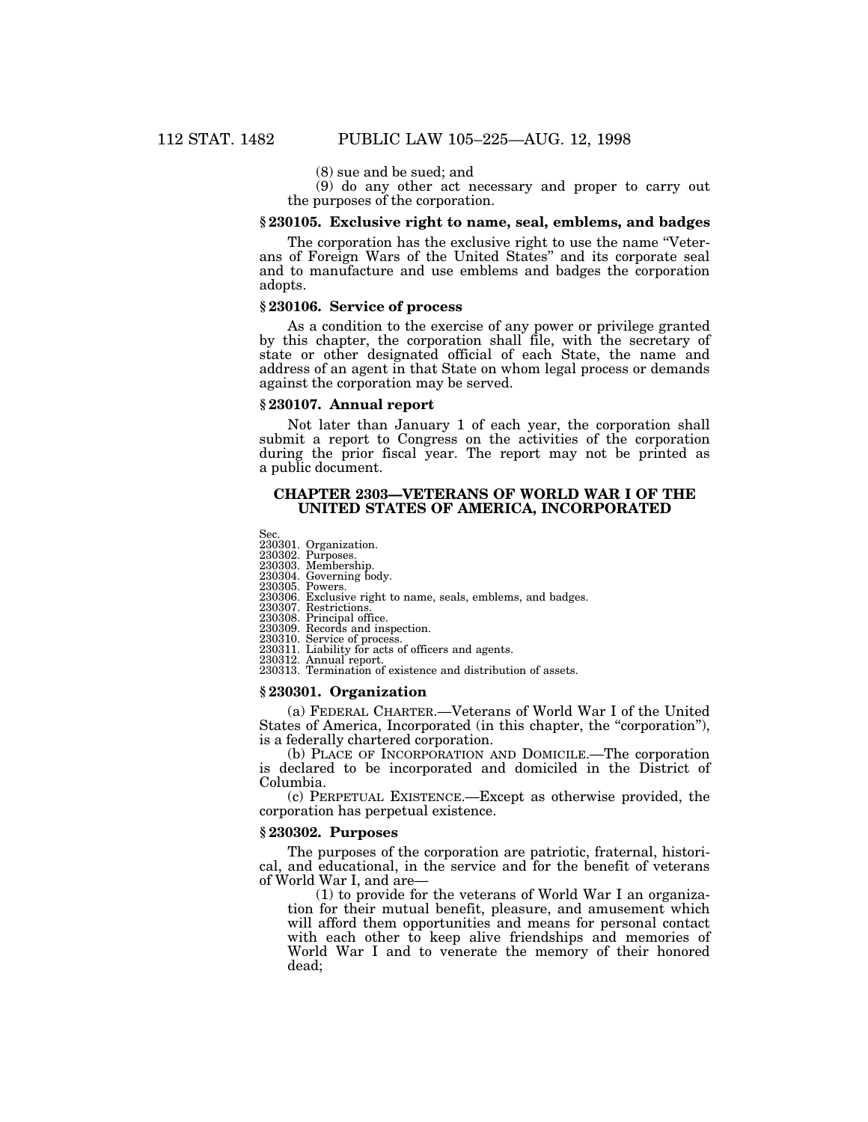#### (8) sue and be sued; and

(9) do any other act necessary and proper to carry out the purposes of the corporation.

## **§ 230105. Exclusive right to name, seal, emblems, and badges**

The corporation has the exclusive right to use the name "Veterans of Foreign Wars of the United States'' and its corporate seal and to manufacture and use emblems and badges the corporation adopts.

#### **§ 230106. Service of process**

As a condition to the exercise of any power or privilege granted by this chapter, the corporation shall file, with the secretary of state or other designated official of each State, the name and address of an agent in that State on whom legal process or demands against the corporation may be served.

#### **§ 230107. Annual report**

Not later than January 1 of each year, the corporation shall submit a report to Congress on the activities of the corporation during the prior fiscal year. The report may not be printed as a public document.

## **CHAPTER 2303—VETERANS OF WORLD WAR I OF THE UNITED STATES OF AMERICA, INCORPORATED**

Sec.<br>230301. Organization.<br>230302. Purposes.<br>230303. Membership.<br>230304. Governing body.<br>230306. Exclusive right to name, seals, emblems, and badges.<br>230306. Exclusive right to name, seals, emblems, and badges.<br>230309. Rec

230312. Annual report. 230313. Termination of existence and distribution of assets.

## **§ 230301. Organization**

(a) FEDERAL CHARTER.—Veterans of World War I of the United States of America, Incorporated (in this chapter, the "corporation"), is a federally chartered corporation.

(b) PLACE OF INCORPORATION AND DOMICILE.—The corporation is declared to be incorporated and domiciled in the District of Columbia.

(c) PERPETUAL EXISTENCE.—Except as otherwise provided, the corporation has perpetual existence.

#### **§ 230302. Purposes**

The purposes of the corporation are patriotic, fraternal, historical, and educational, in the service and for the benefit of veterans of World War I, and are—

(1) to provide for the veterans of World War I an organization for their mutual benefit, pleasure, and amusement which will afford them opportunities and means for personal contact with each other to keep alive friendships and memories of World War I and to venerate the memory of their honored dead;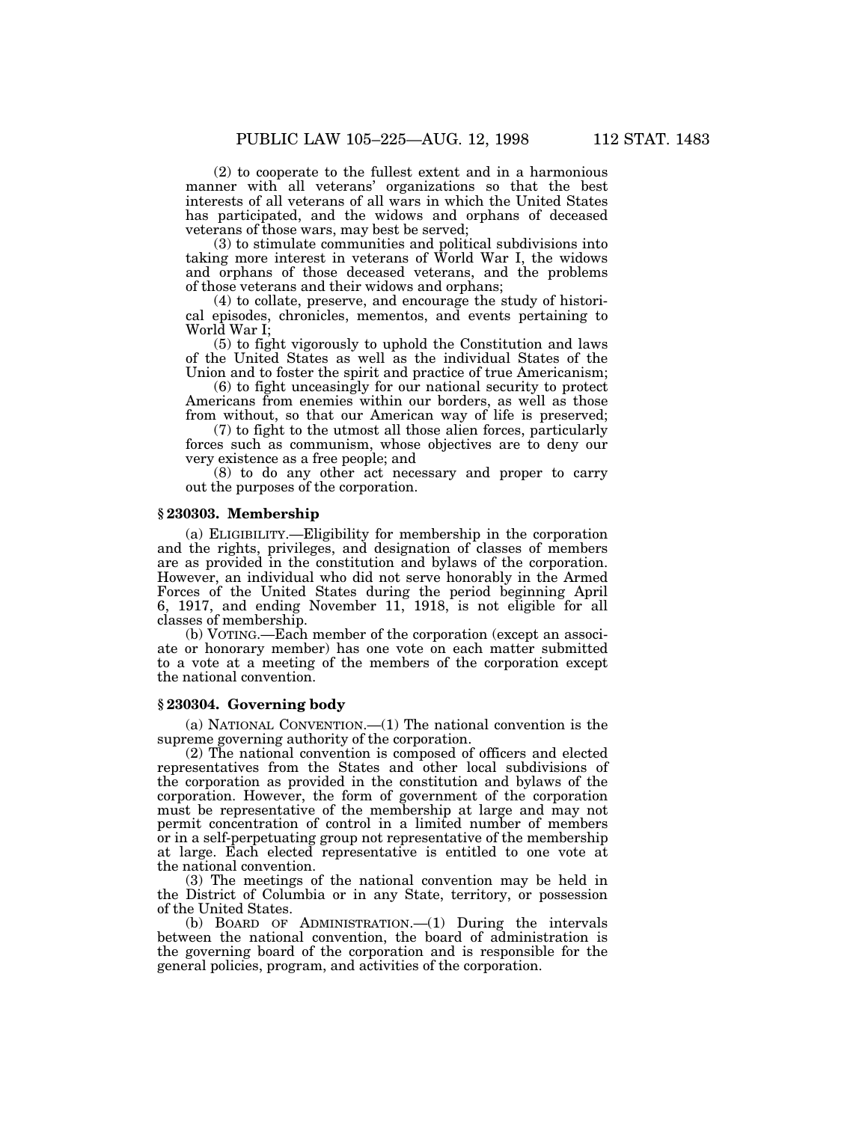(2) to cooperate to the fullest extent and in a harmonious manner with all veterans' organizations so that the best interests of all veterans of all wars in which the United States has participated, and the widows and orphans of deceased veterans of those wars, may best be served;

(3) to stimulate communities and political subdivisions into taking more interest in veterans of World War I, the widows and orphans of those deceased veterans, and the problems of those veterans and their widows and orphans;

(4) to collate, preserve, and encourage the study of historical episodes, chronicles, mementos, and events pertaining to World War I;

(5) to fight vigorously to uphold the Constitution and laws of the United States as well as the individual States of the Union and to foster the spirit and practice of true Americanism;

(6) to fight unceasingly for our national security to protect Americans from enemies within our borders, as well as those from without, so that our American way of life is preserved;

(7) to fight to the utmost all those alien forces, particularly forces such as communism, whose objectives are to deny our very existence as a free people; and

(8) to do any other act necessary and proper to carry out the purposes of the corporation.

## **§ 230303. Membership**

(a) ELIGIBILITY.—Eligibility for membership in the corporation and the rights, privileges, and designation of classes of members are as provided in the constitution and bylaws of the corporation. However, an individual who did not serve honorably in the Armed Forces of the United States during the period beginning April 6, 1917, and ending November 11, 1918, is not eligible for all classes of membership.

(b) VOTING.—Each member of the corporation (except an associate or honorary member) has one vote on each matter submitted to a vote at a meeting of the members of the corporation except the national convention.

#### **§ 230304. Governing body**

(a) NATIONAL CONVENTION.—(1) The national convention is the supreme governing authority of the corporation.

(2) The national convention is composed of officers and elected representatives from the States and other local subdivisions of the corporation as provided in the constitution and bylaws of the corporation. However, the form of government of the corporation must be representative of the membership at large and may not permit concentration of control in a limited number of members or in a self-perpetuating group not representative of the membership at large. Each elected representative is entitled to one vote at the national convention.

(3) The meetings of the national convention may be held in the District of Columbia or in any State, territory, or possession of the United States.

(b) BOARD OF ADMINISTRATION.—(1) During the intervals between the national convention, the board of administration is the governing board of the corporation and is responsible for the general policies, program, and activities of the corporation.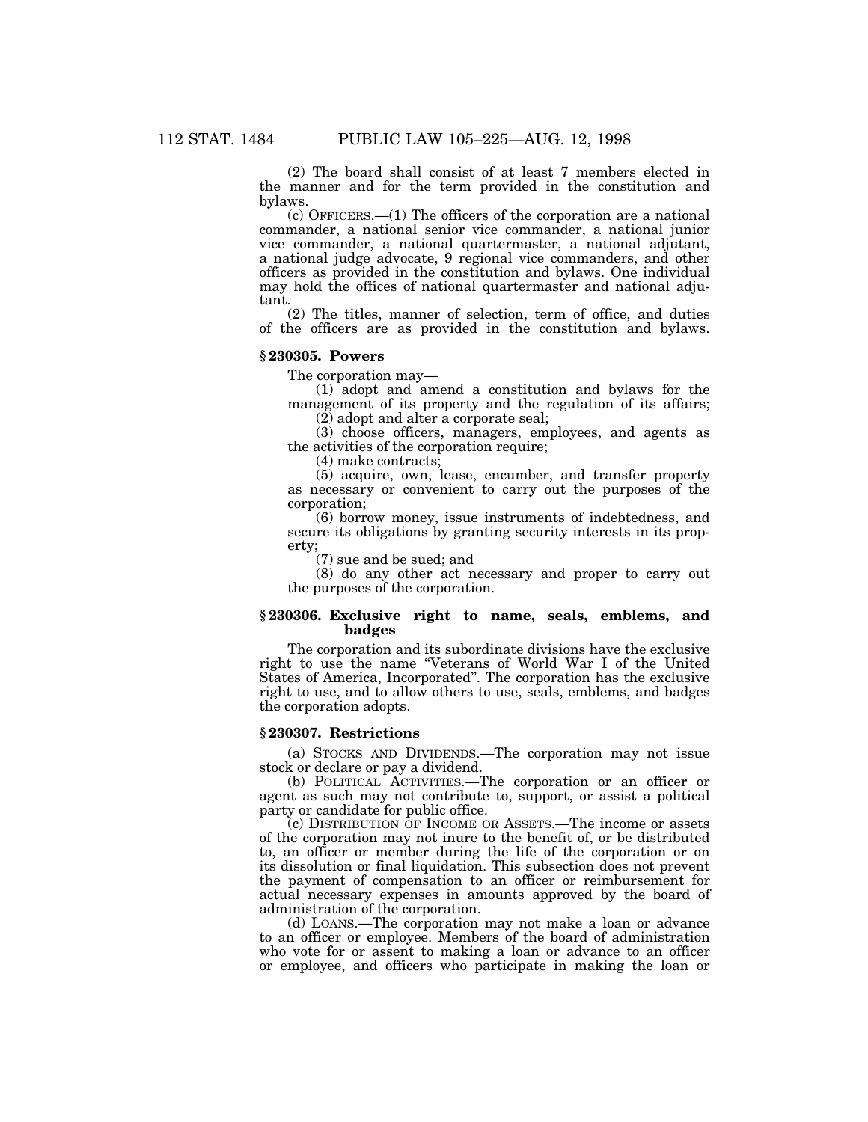(2) The board shall consist of at least 7 members elected in the manner and for the term provided in the constitution and bylaws.

(c) OFFICERS.—(1) The officers of the corporation are a national commander, a national senior vice commander, a national junior vice commander, a national quartermaster, a national adjutant, a national judge advocate, 9 regional vice commanders, and other officers as provided in the constitution and bylaws. One individual may hold the offices of national quartermaster and national adjutant.

(2) The titles, manner of selection, term of office, and duties of the officers are as provided in the constitution and bylaws.

## **§ 230305. Powers**

The corporation may—

(1) adopt and amend a constitution and bylaws for the management of its property and the regulation of its affairs; (2) adopt and alter a corporate seal;

(3) choose officers, managers, employees, and agents as the activities of the corporation require;

(4) make contracts;

(5) acquire, own, lease, encumber, and transfer property as necessary or convenient to carry out the purposes of the corporation;

(6) borrow money, issue instruments of indebtedness, and secure its obligations by granting security interests in its property;

 $(7)$  sue and be sued; and

(8) do any other act necessary and proper to carry out the purposes of the corporation.

## **§ 230306. Exclusive right to name, seals, emblems, and badges**

The corporation and its subordinate divisions have the exclusive right to use the name ''Veterans of World War I of the United States of America, Incorporated''. The corporation has the exclusive right to use, and to allow others to use, seals, emblems, and badges the corporation adopts.

## **§ 230307. Restrictions**

(a) STOCKS AND DIVIDENDS.—The corporation may not issue stock or declare or pay a dividend.

(b) POLITICAL ACTIVITIES.—The corporation or an officer or agent as such may not contribute to, support, or assist a political party or candidate for public office.

(c) DISTRIBUTION OF INCOME OR ASSETS.—The income or assets of the corporation may not inure to the benefit of, or be distributed to, an officer or member during the life of the corporation or on its dissolution or final liquidation. This subsection does not prevent the payment of compensation to an officer or reimbursement for actual necessary expenses in amounts approved by the board of administration of the corporation.

(d) LOANS.—The corporation may not make a loan or advance to an officer or employee. Members of the board of administration who vote for or assent to making a loan or advance to an officer or employee, and officers who participate in making the loan or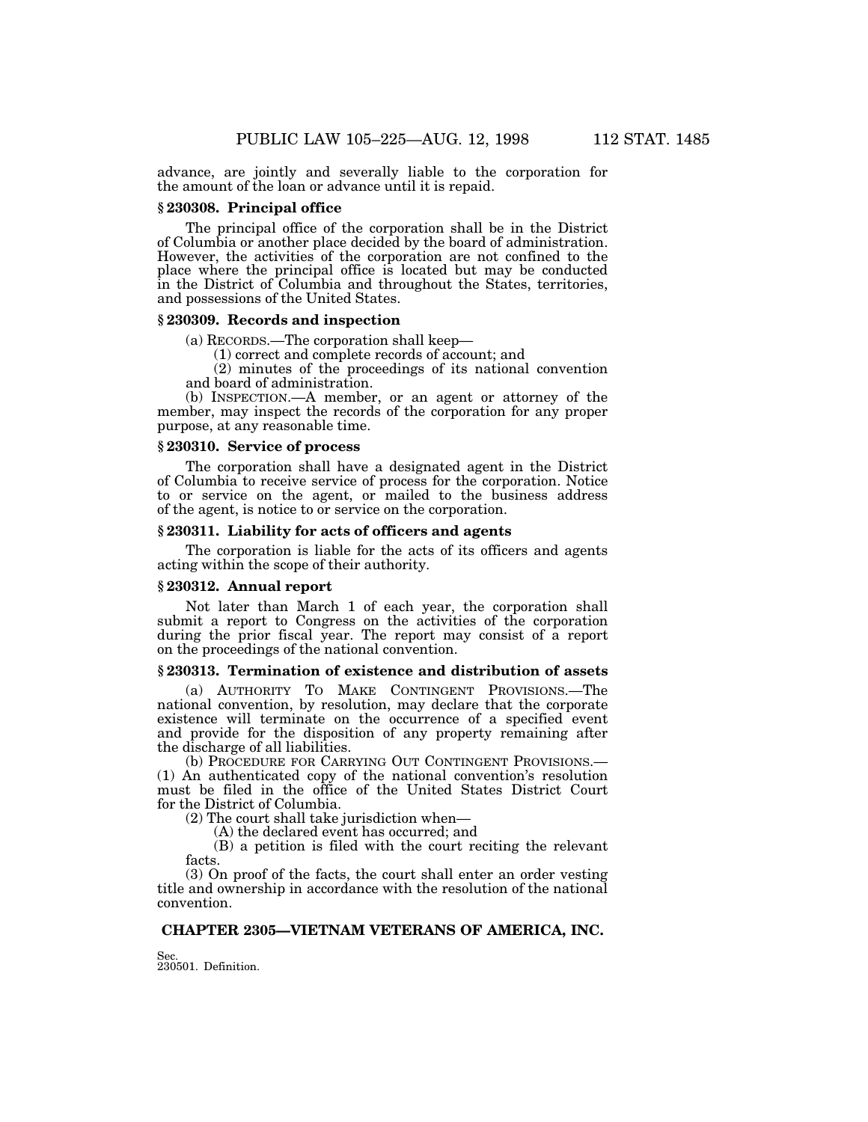advance, are jointly and severally liable to the corporation for the amount of the loan or advance until it is repaid.

## **§ 230308. Principal office**

The principal office of the corporation shall be in the District of Columbia or another place decided by the board of administration. However, the activities of the corporation are not confined to the place where the principal office is located but may be conducted in the District of Columbia and throughout the States, territories, and possessions of the United States.

#### **§ 230309. Records and inspection**

(a) RECORDS.—The corporation shall keep—

(1) correct and complete records of account; and

(2) minutes of the proceedings of its national convention and board of administration.

(b) INSPECTION.—A member, or an agent or attorney of the member, may inspect the records of the corporation for any proper purpose, at any reasonable time.

### **§ 230310. Service of process**

The corporation shall have a designated agent in the District of Columbia to receive service of process for the corporation. Notice to or service on the agent, or mailed to the business address of the agent, is notice to or service on the corporation.

## **§ 230311. Liability for acts of officers and agents**

The corporation is liable for the acts of its officers and agents acting within the scope of their authority.

#### **§ 230312. Annual report**

Not later than March 1 of each year, the corporation shall submit a report to Congress on the activities of the corporation during the prior fiscal year. The report may consist of a report on the proceedings of the national convention.

#### **§ 230313. Termination of existence and distribution of assets**

(a) AUTHORITY TO MAKE CONTINGENT PROVISIONS.—The national convention, by resolution, may declare that the corporate existence will terminate on the occurrence of a specified event and provide for the disposition of any property remaining after the discharge of all liabilities.

(b) PROCEDURE FOR CARRYING OUT CONTINGENT PROVISIONS.— (1) An authenticated copy of the national convention's resolution must be filed in the office of the United States District Court for the District of Columbia.

(2) The court shall take jurisdiction when—

(A) the declared event has occurred; and

(B) a petition is filed with the court reciting the relevant facts.

(3) On proof of the facts, the court shall enter an order vesting title and ownership in accordance with the resolution of the national convention.

### **CHAPTER 2305—VIETNAM VETERANS OF AMERICA, INC.**

Sec. 230501. Definition.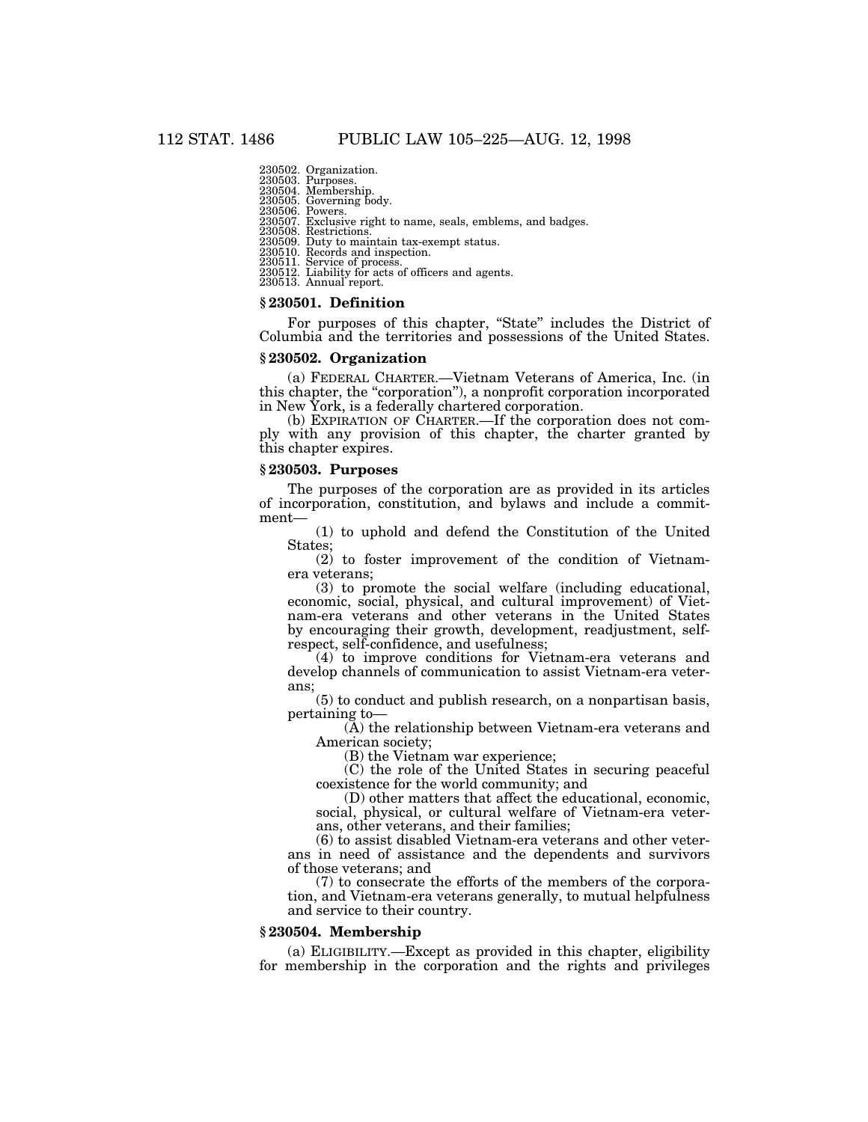230502. Organization.

230503. Purposes. 230504. Membership.

230505. Governing body. 230506. Powers. 230507. Exclusive right to name, seals, emblems, and badges.

230508. Restrictions. 230509. Duty to maintain tax-exempt status. 230510. Records and inspection. 230511. Service of process. 230512. Liability for acts of officers and agents.

230513. Annual report.

#### **§ 230501. Definition**

For purposes of this chapter, "State" includes the District of Columbia and the territories and possessions of the United States.

## **§ 230502. Organization**

(a) FEDERAL CHARTER.—Vietnam Veterans of America, Inc. (in this chapter, the ''corporation''), a nonprofit corporation incorporated in New York, is a federally chartered corporation.

(b) EXPIRATION OF CHARTER.—If the corporation does not comply with any provision of this chapter, the charter granted by this chapter expires.

#### **§ 230503. Purposes**

The purposes of the corporation are as provided in its articles of incorporation, constitution, and bylaws and include a commitment—

(1) to uphold and defend the Constitution of the United States;

 $(2)$  to foster improvement of the condition of Vietnamera veterans;

(3) to promote the social welfare (including educational, economic, social, physical, and cultural improvement) of Vietnam-era veterans and other veterans in the United States by encouraging their growth, development, readjustment, selfrespect, self-confidence, and usefulness;

(4) to improve conditions for Vietnam-era veterans and develop channels of communication to assist Vietnam-era veterans;

(5) to conduct and publish research, on a nonpartisan basis, pertaining to—

(A) the relationship between Vietnam-era veterans and American society;

(B) the Vietnam war experience;

(C) the role of the United States in securing peaceful coexistence for the world community; and

(D) other matters that affect the educational, economic, social, physical, or cultural welfare of Vietnam-era veterans, other veterans, and their families;

(6) to assist disabled Vietnam-era veterans and other veterans in need of assistance and the dependents and survivors of those veterans; and

(7) to consecrate the efforts of the members of the corporation, and Vietnam-era veterans generally, to mutual helpfulness and service to their country.

## **§ 230504. Membership**

(a) ELIGIBILITY.—Except as provided in this chapter, eligibility for membership in the corporation and the rights and privileges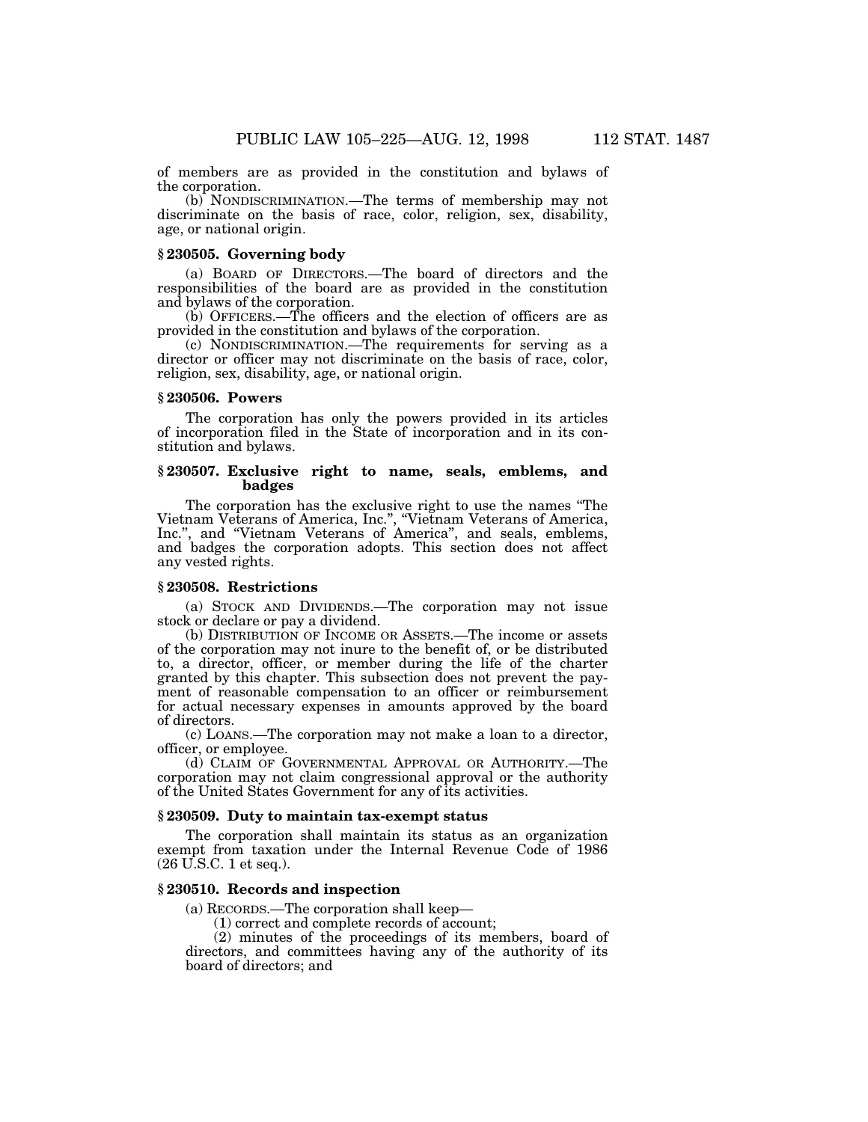of members are as provided in the constitution and bylaws of the corporation.

(b) NONDISCRIMINATION.—The terms of membership may not discriminate on the basis of race, color, religion, sex, disability, age, or national origin.

#### **§ 230505. Governing body**

(a) BOARD OF DIRECTORS.—The board of directors and the responsibilities of the board are as provided in the constitution and bylaws of the corporation.

(b) OFFICERS.—The officers and the election of officers are as provided in the constitution and bylaws of the corporation.

(c) NONDISCRIMINATION.—The requirements for serving as a director or officer may not discriminate on the basis of race, color, religion, sex, disability, age, or national origin.

## **§ 230506. Powers**

The corporation has only the powers provided in its articles of incorporation filed in the State of incorporation and in its constitution and bylaws.

## **§ 230507. Exclusive right to name, seals, emblems, and badges**

The corporation has the exclusive right to use the names ''The Vietnam Veterans of America, Inc.'', ''Vietnam Veterans of America, Inc.", and "Vietnam Veterans of America", and seals, emblems, and badges the corporation adopts. This section does not affect any vested rights.

## **§ 230508. Restrictions**

(a) STOCK AND DIVIDENDS.—The corporation may not issue stock or declare or pay a dividend.

(b) DISTRIBUTION OF INCOME OR ASSETS.—The income or assets of the corporation may not inure to the benefit of, or be distributed to, a director, officer, or member during the life of the charter granted by this chapter. This subsection does not prevent the payment of reasonable compensation to an officer or reimbursement for actual necessary expenses in amounts approved by the board of directors.

(c) LOANS.—The corporation may not make a loan to a director, officer, or employee.

(d) CLAIM OF GOVERNMENTAL APPROVAL OR AUTHORITY.—The corporation may not claim congressional approval or the authority of the United States Government for any of its activities.

## **§ 230509. Duty to maintain tax-exempt status**

The corporation shall maintain its status as an organization exempt from taxation under the Internal Revenue Code of 1986 (26 U.S.C. 1 et seq.).

## **§ 230510. Records and inspection**

(a) RECORDS.—The corporation shall keep—

(1) correct and complete records of account;

(2) minutes of the proceedings of its members, board of directors, and committees having any of the authority of its board of directors; and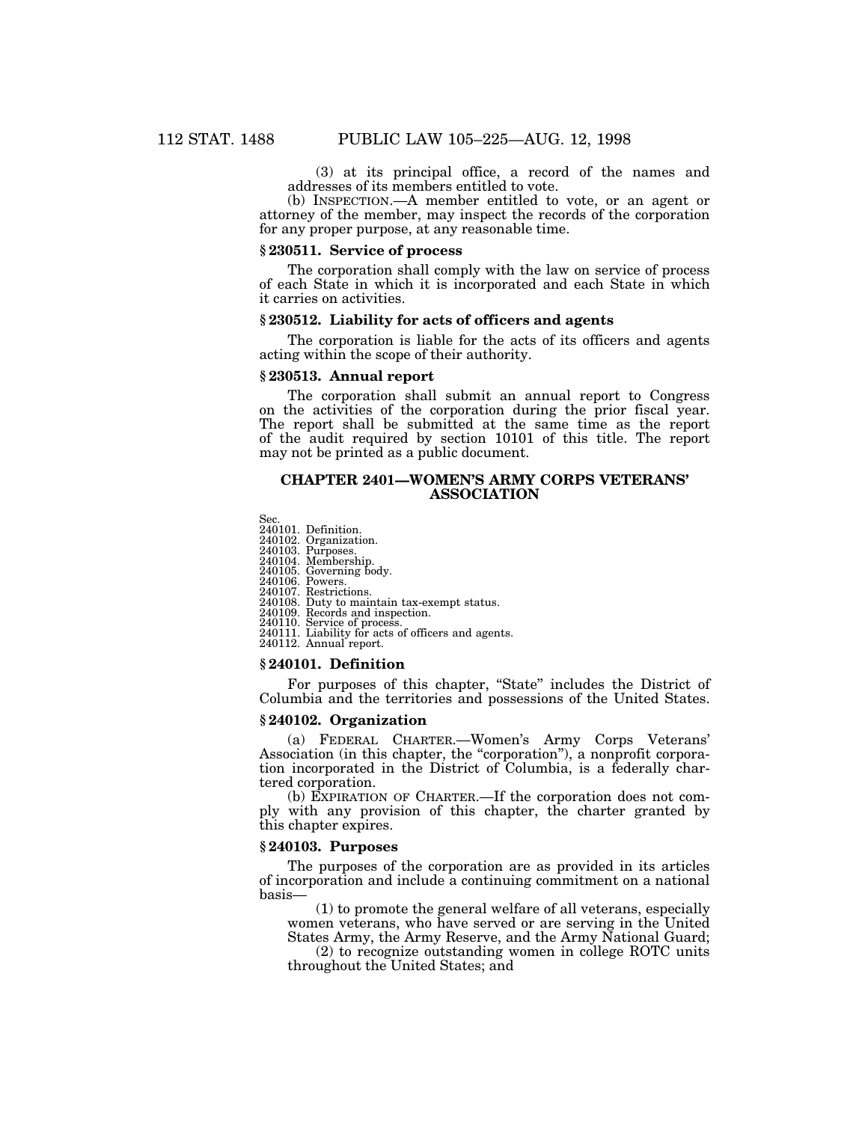(3) at its principal office, a record of the names and addresses of its members entitled to vote.

(b) INSPECTION.—A member entitled to vote, or an agent or attorney of the member, may inspect the records of the corporation for any proper purpose, at any reasonable time.

#### **§ 230511. Service of process**

The corporation shall comply with the law on service of process of each State in which it is incorporated and each State in which it carries on activities.

#### **§ 230512. Liability for acts of officers and agents**

The corporation is liable for the acts of its officers and agents acting within the scope of their authority.

#### **§ 230513. Annual report**

The corporation shall submit an annual report to Congress on the activities of the corporation during the prior fiscal year. The report shall be submitted at the same time as the report of the audit required by section 10101 of this title. The report may not be printed as a public document.

## **CHAPTER 2401—WOMEN'S ARMY CORPS VETERANS' ASSOCIATION**

Sec. 240101. Definition. 240102. Organization. 240103. Purposes. 240104. Membership. 240105. Governing body. 240106. Powers. 240107. Restrictions.

240108. Duty to maintain tax-exempt status. 240109. Records and inspection.

240110. Service of process. 240111. Liability for acts of officers and agents. 240112. Annual report.

#### **§ 240101. Definition**

For purposes of this chapter, "State" includes the District of Columbia and the territories and possessions of the United States.

#### **§ 240102. Organization**

(a) FEDERAL CHARTER.—Women's Army Corps Veterans' Association (in this chapter, the "corporation"), a nonprofit corporation incorporated in the District of Columbia, is a federally chartered corporation.

(b) EXPIRATION OF CHARTER.—If the corporation does not comply with any provision of this chapter, the charter granted by this chapter expires.

#### **§ 240103. Purposes**

The purposes of the corporation are as provided in its articles of incorporation and include a continuing commitment on a national basis—

(1) to promote the general welfare of all veterans, especially women veterans, who have served or are serving in the United States Army, the Army Reserve, and the Army National Guard;

(2) to recognize outstanding women in college ROTC units throughout the United States; and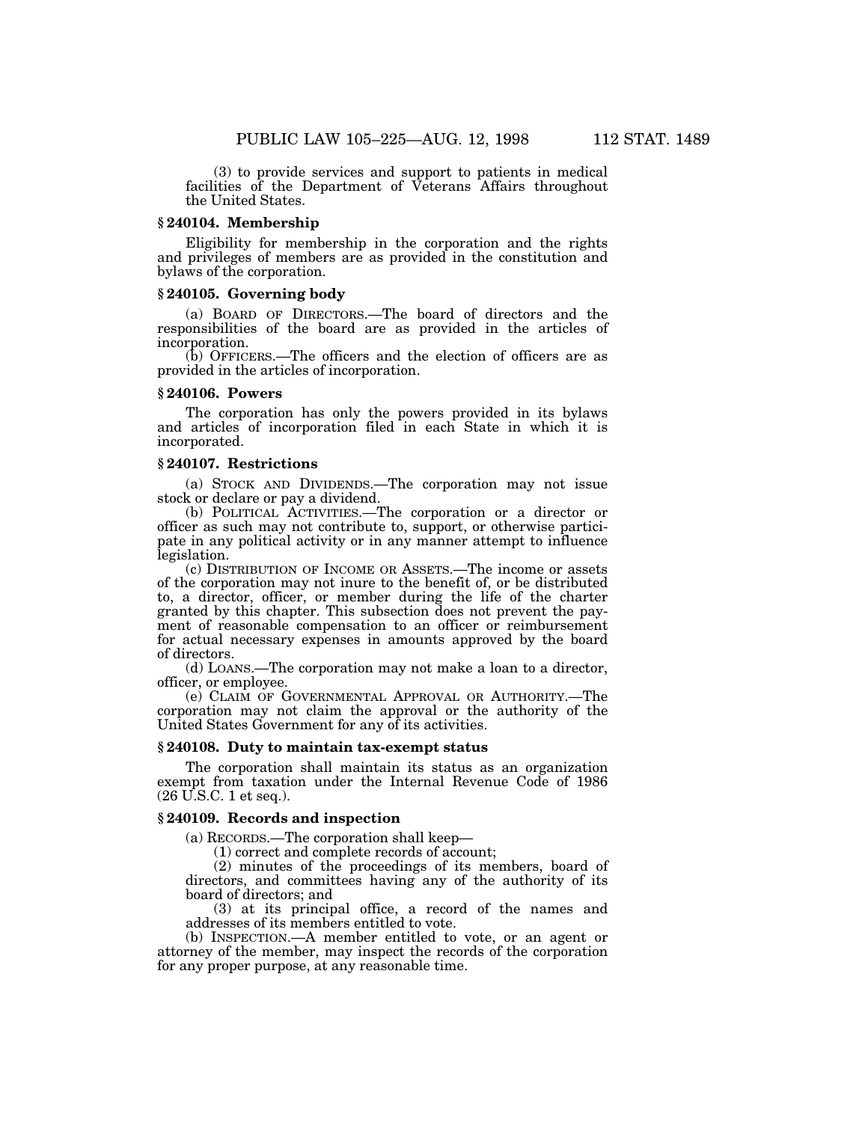(3) to provide services and support to patients in medical facilities of the Department of Veterans Affairs throughout the United States.

### **§ 240104. Membership**

Eligibility for membership in the corporation and the rights and privileges of members are as provided in the constitution and bylaws of the corporation.

## **§ 240105. Governing body**

(a) BOARD OF DIRECTORS.—The board of directors and the responsibilities of the board are as provided in the articles of incorporation.

(b) OFFICERS.—The officers and the election of officers are as provided in the articles of incorporation.

## **§ 240106. Powers**

The corporation has only the powers provided in its bylaws and articles of incorporation filed in each State in which it is incorporated.

## **§ 240107. Restrictions**

(a) STOCK AND DIVIDENDS.—The corporation may not issue stock or declare or pay a dividend.

(b) POLITICAL ACTIVITIES.—The corporation or a director or officer as such may not contribute to, support, or otherwise participate in any political activity or in any manner attempt to influence legislation.

(c) DISTRIBUTION OF INCOME OR ASSETS.—The income or assets of the corporation may not inure to the benefit of, or be distributed to, a director, officer, or member during the life of the charter granted by this chapter. This subsection does not prevent the payment of reasonable compensation to an officer or reimbursement for actual necessary expenses in amounts approved by the board of directors.

(d) LOANS.—The corporation may not make a loan to a director, officer, or employee.

(e) CLAIM OF GOVERNMENTAL APPROVAL OR AUTHORITY.—The corporation may not claim the approval or the authority of the United States Government for any of its activities.

## **§ 240108. Duty to maintain tax-exempt status**

The corporation shall maintain its status as an organization exempt from taxation under the Internal Revenue Code of 1986 (26 U.S.C. 1 et seq.).

#### **§ 240109. Records and inspection**

(a) RECORDS.—The corporation shall keep—

(1) correct and complete records of account;

(2) minutes of the proceedings of its members, board of directors, and committees having any of the authority of its board of directors; and

(3) at its principal office, a record of the names and addresses of its members entitled to vote.

(b) INSPECTION.—A member entitled to vote, or an agent or attorney of the member, may inspect the records of the corporation for any proper purpose, at any reasonable time.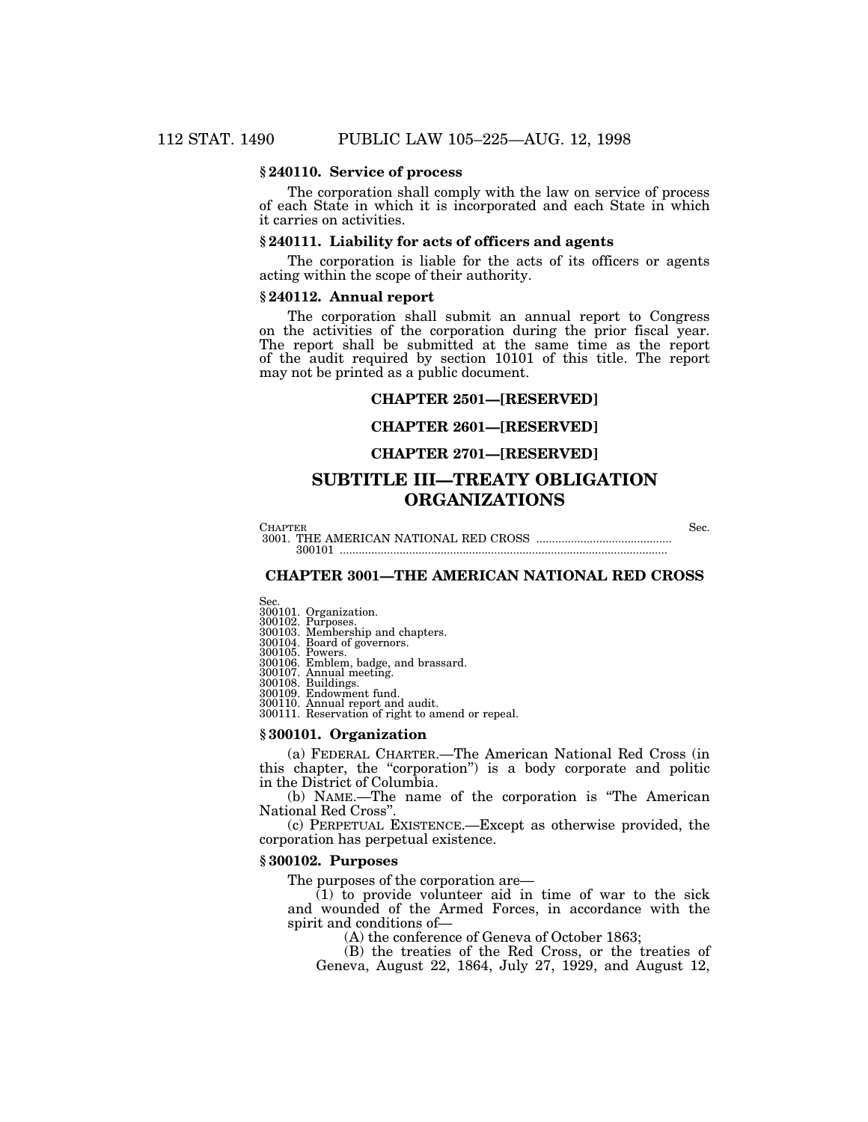## **§ 240110. Service of process**

The corporation shall comply with the law on service of process of each State in which it is incorporated and each State in which it carries on activities.

## **§ 240111. Liability for acts of officers and agents**

The corporation is liable for the acts of its officers or agents acting within the scope of their authority.

## **§ 240112. Annual report**

The corporation shall submit an annual report to Congress on the activities of the corporation during the prior fiscal year. The report shall be submitted at the same time as the report of the audit required by section 10101 of this title. The report may not be printed as a public document.

#### **CHAPTER 2501—[RESERVED]**

## **CHAPTER 2601—[RESERVED]**

## **CHAPTER 2701—[RESERVED]**

## **SUBTITLE III—TREATY OBLIGATION ORGANIZATIONS**

CHAPTER Sec. 3001. THE AMERICAN NATIONAL RED CROSS ........................................... 300101 ........................................................................................................

## **CHAPTER 3001—THE AMERICAN NATIONAL RED CROSS**

Sec. 300101. Organization. 300102. Purposes. 300103. Membership and chapters. 300104. Board of governors. 300105. Powers.

300106. Emblem, badge, and brassard. 300107. Annual meeting.

300108. Buildings. 300109. Endowment fund.

300110. Annual report and audit. 300111. Reservation of right to amend or repeal.

## **§ 300101. Organization**

(a) FEDERAL CHARTER.—The American National Red Cross (in this chapter, the ''corporation'') is a body corporate and politic in the District of Columbia.

(b) NAME.—The name of the corporation is ''The American National Red Cross''.

(c) PERPETUAL EXISTENCE.—Except as otherwise provided, the corporation has perpetual existence.

## **§ 300102. Purposes**

The purposes of the corporation are—

(1) to provide volunteer aid in time of war to the sick and wounded of the Armed Forces, in accordance with the spirit and conditions of—

(A) the conference of Geneva of October 1863;

(B) the treaties of the Red Cross, or the treaties of Geneva, August 22, 1864, July 27, 1929, and August 12,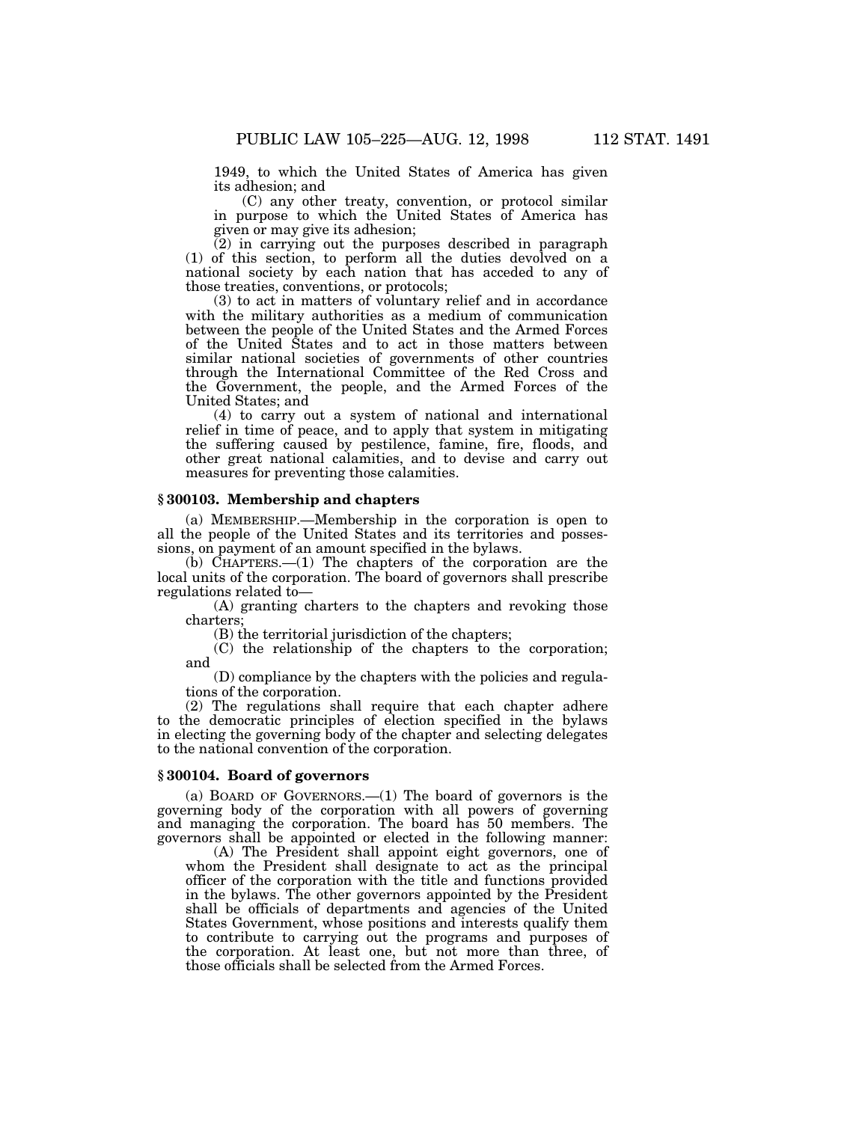1949, to which the United States of America has given its adhesion; and

(C) any other treaty, convention, or protocol similar in purpose to which the United States of America has given or may give its adhesion;

(2) in carrying out the purposes described in paragraph (1) of this section, to perform all the duties devolved on a national society by each nation that has acceded to any of those treaties, conventions, or protocols;

(3) to act in matters of voluntary relief and in accordance with the military authorities as a medium of communication between the people of the United States and the Armed Forces of the United States and to act in those matters between similar national societies of governments of other countries through the International Committee of the Red Cross and the Government, the people, and the Armed Forces of the United States; and

(4) to carry out a system of national and international relief in time of peace, and to apply that system in mitigating the suffering caused by pestilence, famine, fire, floods, and other great national calamities, and to devise and carry out measures for preventing those calamities.

#### **§ 300103. Membership and chapters**

(a) MEMBERSHIP.—Membership in the corporation is open to all the people of the United States and its territories and possessions, on payment of an amount specified in the bylaws.

(b) CHAPTERS.—(1) The chapters of the corporation are the local units of the corporation. The board of governors shall prescribe regulations related to—

(A) granting charters to the chapters and revoking those charters;

(B) the territorial jurisdiction of the chapters;

(C) the relationship of the chapters to the corporation; and

(D) compliance by the chapters with the policies and regulations of the corporation.

(2) The regulations shall require that each chapter adhere to the democratic principles of election specified in the bylaws in electing the governing body of the chapter and selecting delegates to the national convention of the corporation.

#### **§ 300104. Board of governors**

(a) BOARD OF GOVERNORS.—(1) The board of governors is the governing body of the corporation with all powers of governing and managing the corporation. The board has 50 members. The governors shall be appointed or elected in the following manner:

(A) The President shall appoint eight governors, one of whom the President shall designate to act as the principal officer of the corporation with the title and functions provided in the bylaws. The other governors appointed by the President shall be officials of departments and agencies of the United States Government, whose positions and interests qualify them to contribute to carrying out the programs and purposes of the corporation. At least one, but not more than three, of those officials shall be selected from the Armed Forces.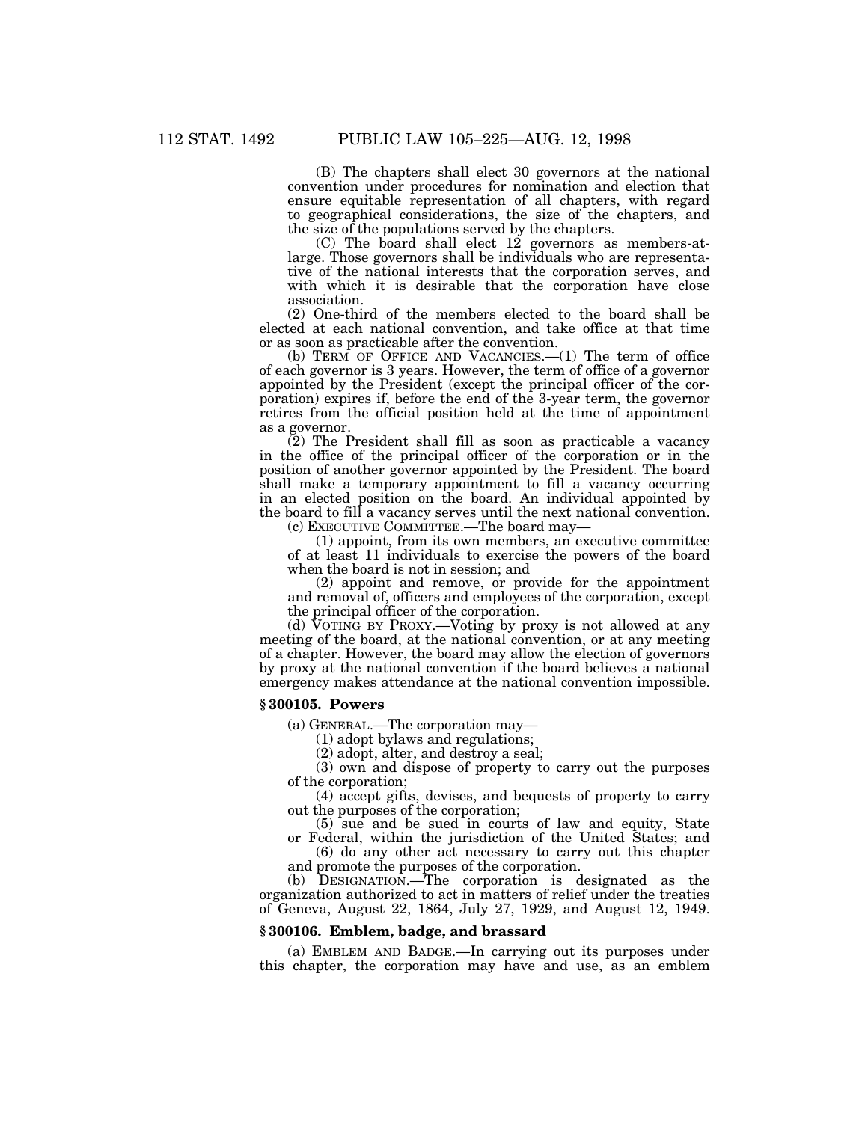(B) The chapters shall elect 30 governors at the national convention under procedures for nomination and election that ensure equitable representation of all chapters, with regard to geographical considerations, the size of the chapters, and the size of the populations served by the chapters.

(C) The board shall elect 12 governors as members-atlarge. Those governors shall be individuals who are representative of the national interests that the corporation serves, and with which it is desirable that the corporation have close association.

(2) One-third of the members elected to the board shall be elected at each national convention, and take office at that time or as soon as practicable after the convention.

(b) TERM OF OFFICE AND VACANCIES.—(1) The term of office of each governor is 3 years. However, the term of office of a governor appointed by the President (except the principal officer of the corporation) expires if, before the end of the 3-year term, the governor retires from the official position held at the time of appointment as a governor.

(2) The President shall fill as soon as practicable a vacancy in the office of the principal officer of the corporation or in the position of another governor appointed by the President. The board shall make a temporary appointment to fill a vacancy occurring in an elected position on the board. An individual appointed by the board to fill a vacancy serves until the next national convention.

(c) EXECUTIVE COMMITTEE.—The board may—

(1) appoint, from its own members, an executive committee of at least 11 individuals to exercise the powers of the board when the board is not in session; and

(2) appoint and remove, or provide for the appointment and removal of, officers and employees of the corporation, except the principal officer of the corporation.

(d) VOTING BY PROXY.—Voting by proxy is not allowed at any meeting of the board, at the national convention, or at any meeting of a chapter. However, the board may allow the election of governors by proxy at the national convention if the board believes a national emergency makes attendance at the national convention impossible.

## **§ 300105. Powers**

(a) GENERAL.—The corporation may—

(1) adopt bylaws and regulations;

(2) adopt, alter, and destroy a seal;

(3) own and dispose of property to carry out the purposes of the corporation;

(4) accept gifts, devises, and bequests of property to carry out the purposes of the corporation;

(5) sue and be sued in courts of law and equity, State or Federal, within the jurisdiction of the United States; and

(6) do any other act necessary to carry out this chapter and promote the purposes of the corporation.

(b) DESIGNATION.—The corporation is designated as the organization authorized to act in matters of relief under the treaties of Geneva, August 22, 1864, July 27, 1929, and August 12, 1949.

## **§ 300106. Emblem, badge, and brassard**

(a) EMBLEM AND BADGE.—In carrying out its purposes under this chapter, the corporation may have and use, as an emblem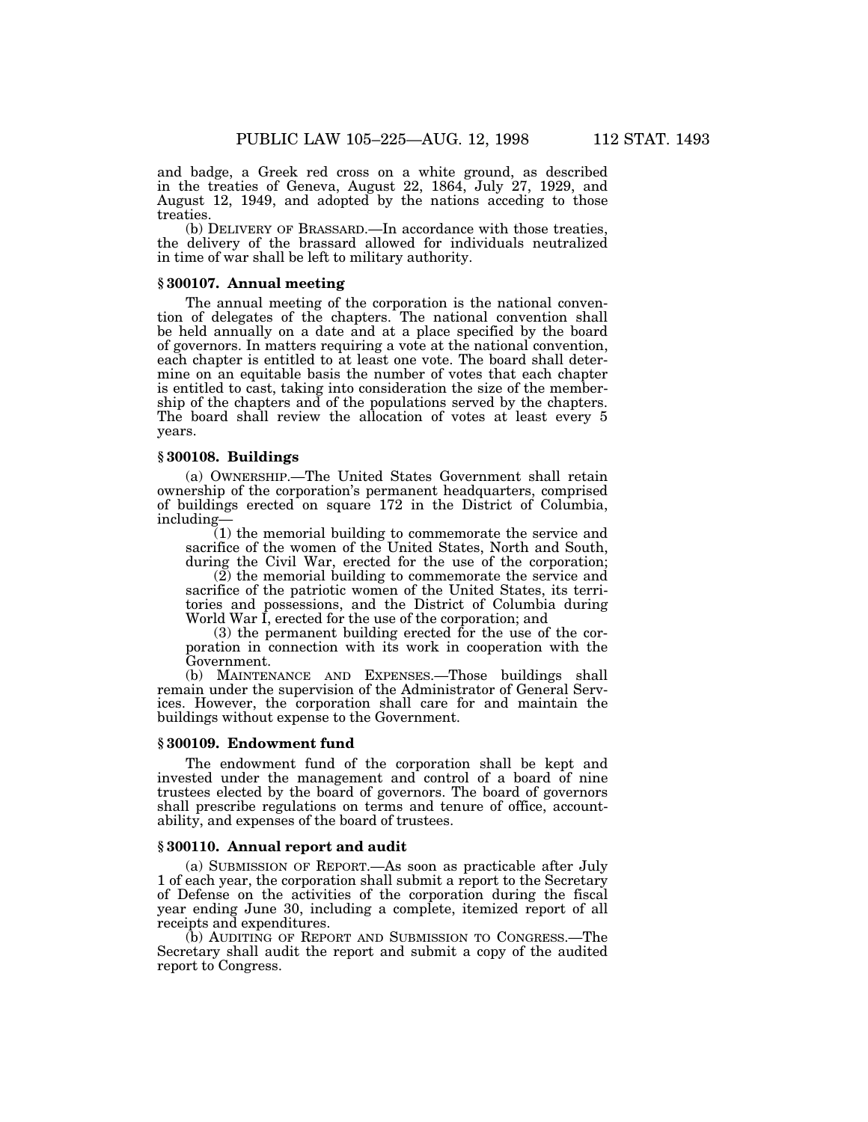and badge, a Greek red cross on a white ground, as described in the treaties of Geneva, August 22, 1864, July 27, 1929, and August 12, 1949, and adopted by the nations acceding to those treaties.

(b) DELIVERY OF BRASSARD.—In accordance with those treaties, the delivery of the brassard allowed for individuals neutralized in time of war shall be left to military authority.

#### **§ 300107. Annual meeting**

The annual meeting of the corporation is the national convention of delegates of the chapters. The national convention shall be held annually on a date and at a place specified by the board of governors. In matters requiring a vote at the national convention, each chapter is entitled to at least one vote. The board shall determine on an equitable basis the number of votes that each chapter is entitled to cast, taking into consideration the size of the membership of the chapters and of the populations served by the chapters. The board shall review the allocation of votes at least every 5 years.

#### **§ 300108. Buildings**

(a) OWNERSHIP.—The United States Government shall retain ownership of the corporation's permanent headquarters, comprised of buildings erected on square 172 in the District of Columbia, including—

(1) the memorial building to commemorate the service and sacrifice of the women of the United States, North and South, during the Civil War, erected for the use of the corporation;

(2) the memorial building to commemorate the service and sacrifice of the patriotic women of the United States, its territories and possessions, and the District of Columbia during

World War I, erected for the use of the corporation; and

(3) the permanent building erected for the use of the corporation in connection with its work in cooperation with the Government.

(b) MAINTENANCE AND EXPENSES.—Those buildings shall remain under the supervision of the Administrator of General Services. However, the corporation shall care for and maintain the buildings without expense to the Government.

#### **§ 300109. Endowment fund**

The endowment fund of the corporation shall be kept and invested under the management and control of a board of nine trustees elected by the board of governors. The board of governors shall prescribe regulations on terms and tenure of office, accountability, and expenses of the board of trustees.

#### **§ 300110. Annual report and audit**

(a) SUBMISSION OF REPORT.—As soon as practicable after July 1 of each year, the corporation shall submit a report to the Secretary of Defense on the activities of the corporation during the fiscal year ending June 30, including a complete, itemized report of all receipts and expenditures.

(b) AUDITING OF REPORT AND SUBMISSION TO CONGRESS.—The Secretary shall audit the report and submit a copy of the audited report to Congress.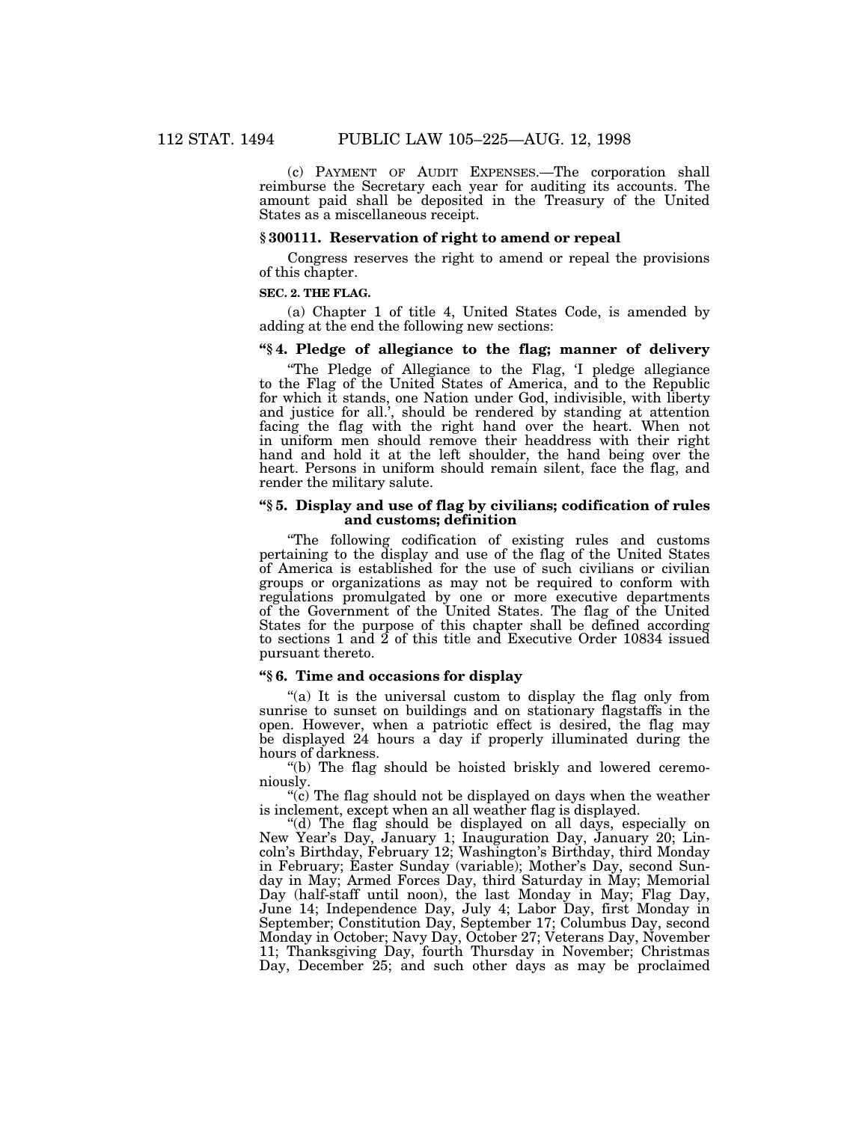(c) PAYMENT OF AUDIT EXPENSES.—The corporation shall reimburse the Secretary each year for auditing its accounts. The amount paid shall be deposited in the Treasury of the United States as a miscellaneous receipt.

#### **§ 300111. Reservation of right to amend or repeal**

Congress reserves the right to amend or repeal the provisions of this chapter.

#### **SEC. 2. THE FLAG.**

(a) Chapter 1 of title 4, United States Code, is amended by adding at the end the following new sections:

## **''§ 4. Pledge of allegiance to the flag; manner of delivery**

''The Pledge of Allegiance to the Flag, 'I pledge allegiance to the Flag of the United States of America, and to the Republic for which it stands, one Nation under God, indivisible, with liberty and justice for all.', should be rendered by standing at attention facing the flag with the right hand over the heart. When not in uniform men should remove their headdress with their right hand and hold it at the left shoulder, the hand being over the heart. Persons in uniform should remain silent, face the flag, and render the military salute.

## **''§ 5. Display and use of flag by civilians; codification of rules and customs; definition**

''The following codification of existing rules and customs pertaining to the display and use of the flag of the United States of America is established for the use of such civilians or civilian groups or organizations as may not be required to conform with regulations promulgated by one or more executive departments of the Government of the United States. The flag of the United States for the purpose of this chapter shall be defined according to sections 1 and 2 of this title and Executive Order 10834 issued pursuant thereto.

#### **''§ 6. Time and occasions for display**

''(a) It is the universal custom to display the flag only from sunrise to sunset on buildings and on stationary flagstaffs in the open. However, when a patriotic effect is desired, the flag may be displayed 24 hours a day if properly illuminated during the hours of darkness.

''(b) The flag should be hoisted briskly and lowered ceremoniously.

"(c) The flag should not be displayed on days when the weather is inclement, except when an all weather flag is displayed.

''(d) The flag should be displayed on all days, especially on New Year's Day, January 1; Inauguration Day, January 20; Lincoln's Birthday, February 12; Washington's Birthday, third Monday in February; Easter Sunday (variable); Mother's Day, second Sunday in May; Armed Forces Day, third Saturday in May; Memorial Day (half-staff until noon), the last Monday in May; Flag Day, June 14; Independence Day, July 4; Labor Day, first Monday in September; Constitution Day, September 17; Columbus Day, second Monday in October; Navy Day, October 27; Veterans Day, November 11; Thanksgiving Day, fourth Thursday in November; Christmas Day, December 25; and such other days as may be proclaimed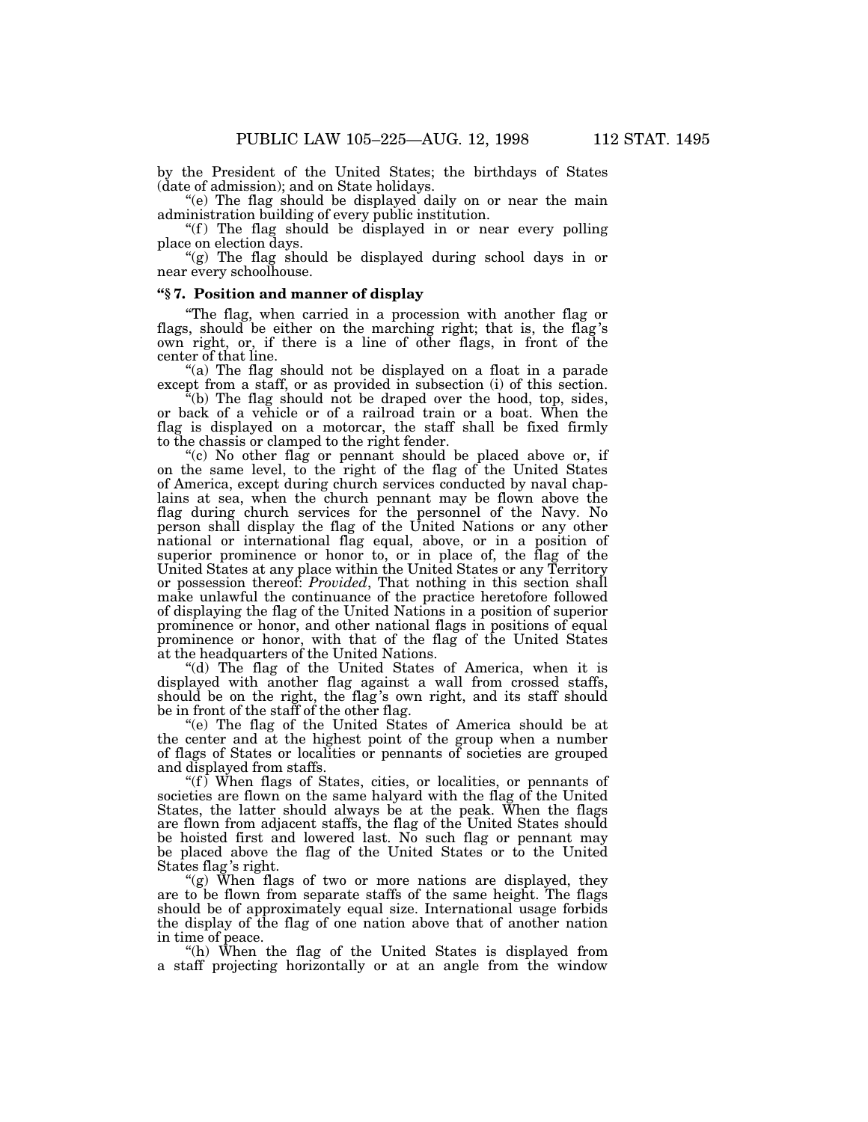by the President of the United States; the birthdays of States (date of admission); and on State holidays.

''(e) The flag should be displayed daily on or near the main administration building of every public institution.

"(f) The flag should be displayed in or near every polling place on election days.

''(g) The flag should be displayed during school days in or near every schoolhouse.

## **''§ 7. Position and manner of display**

''The flag, when carried in a procession with another flag or flags, should be either on the marching right; that is, the flag's own right, or, if there is a line of other flags, in front of the center of that line.

''(a) The flag should not be displayed on a float in a parade except from a staff, or as provided in subsection (i) of this section.

 $\hat{f}(b)$  The flag should not be draped over the hood, top, sides, or back of a vehicle or of a railroad train or a boat. When the flag is displayed on a motorcar, the staff shall be fixed firmly to the chassis or clamped to the right fender.

"(c) No other flag or pennant should be placed above or, if on the same level, to the right of the flag of the United States of America, except during church services conducted by naval chaplains at sea, when the church pennant may be flown above the flag during church services for the personnel of the Navy. No person shall display the flag of the United Nations or any other national or international flag equal, above, or in a position of superior prominence or honor to, or in place of, the flag of the United States at any place within the United States or any Territory or possession thereof: *Provided*, That nothing in this section shall make unlawful the continuance of the practice heretofore followed of displaying the flag of the United Nations in a position of superior prominence or honor, and other national flags in positions of equal prominence or honor, with that of the flag of the United States at the headquarters of the United Nations.

''(d) The flag of the United States of America, when it is displayed with another flag against a wall from crossed staffs, should be on the right, the flag 's own right, and its staff should be in front of the staff of the other flag.

''(e) The flag of the United States of America should be at the center and at the highest point of the group when a number of flags of States or localities or pennants of societies are grouped and displayed from staffs.

" $(f)$  When flags of States, cities, or localities, or pennants of societies are flown on the same halyard with the flag of the United States, the latter should always be at the peak. When the flags are flown from adjacent staffs, the flag of the United States should be hoisted first and lowered last. No such flag or pennant may be placed above the flag of the United States or to the United States flag 's right.

"(g) When flags of two or more nations are displayed, they are to be flown from separate staffs of the same height. The flags should be of approximately equal size. International usage forbids the display of the flag of one nation above that of another nation in time of peace.

''(h) When the flag of the United States is displayed from a staff projecting horizontally or at an angle from the window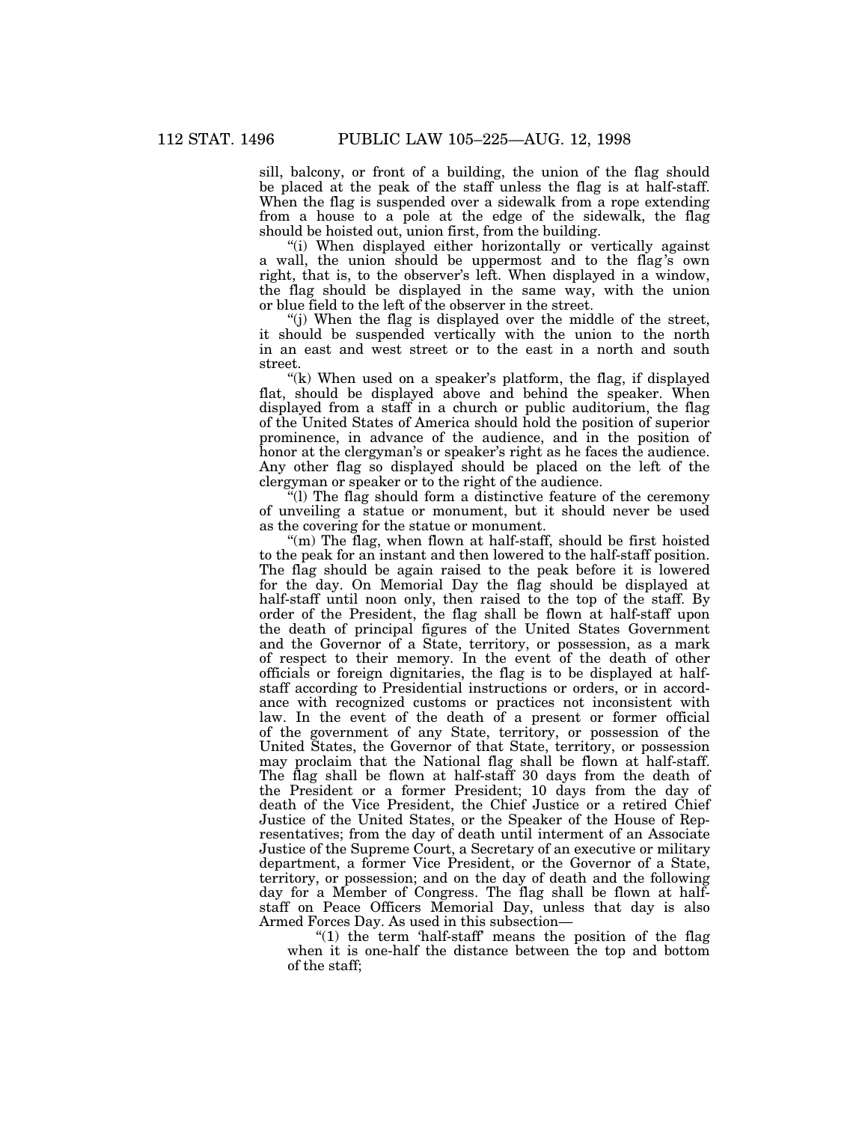sill, balcony, or front of a building, the union of the flag should be placed at the peak of the staff unless the flag is at half-staff. When the flag is suspended over a sidewalk from a rope extending from a house to a pole at the edge of the sidewalk, the flag should be hoisted out, union first, from the building.

"(i) When displayed either horizontally or vertically against a wall, the union should be uppermost and to the flag 's own right, that is, to the observer's left. When displayed in a window, the flag should be displayed in the same way, with the union or blue field to the left of the observer in the street.

''(j) When the flag is displayed over the middle of the street, it should be suspended vertically with the union to the north in an east and west street or to the east in a north and south street.

" $(k)$  When used on a speaker's platform, the flag, if displayed flat, should be displayed above and behind the speaker. When displayed from a staff in a church or public auditorium, the flag of the United States of America should hold the position of superior prominence, in advance of the audience, and in the position of honor at the clergyman's or speaker's right as he faces the audience. Any other flag so displayed should be placed on the left of the clergyman or speaker or to the right of the audience.

''(l) The flag should form a distinctive feature of the ceremony of unveiling a statue or monument, but it should never be used as the covering for the statue or monument.

"(m) The flag, when flown at half-staff, should be first hoisted to the peak for an instant and then lowered to the half-staff position. The flag should be again raised to the peak before it is lowered for the day. On Memorial Day the flag should be displayed at half-staff until noon only, then raised to the top of the staff. By order of the President, the flag shall be flown at half-staff upon the death of principal figures of the United States Government and the Governor of a State, territory, or possession, as a mark of respect to their memory. In the event of the death of other officials or foreign dignitaries, the flag is to be displayed at halfstaff according to Presidential instructions or orders, or in accordance with recognized customs or practices not inconsistent with law. In the event of the death of a present or former official of the government of any State, territory, or possession of the United States, the Governor of that State, territory, or possession may proclaim that the National flag shall be flown at half-staff. The flag shall be flown at half-staff 30 days from the death of the President or a former President; 10 days from the day of death of the Vice President, the Chief Justice or a retired Chief Justice of the United States, or the Speaker of the House of Representatives; from the day of death until interment of an Associate Justice of the Supreme Court, a Secretary of an executive or military department, a former Vice President, or the Governor of a State, territory, or possession; and on the day of death and the following day for a Member of Congress. The flag shall be flown at halfstaff on Peace Officers Memorial Day, unless that day is also Armed Forces Day. As used in this subsection—

" $(1)$  the term 'half-staff' means the position of the flag when it is one-half the distance between the top and bottom of the staff;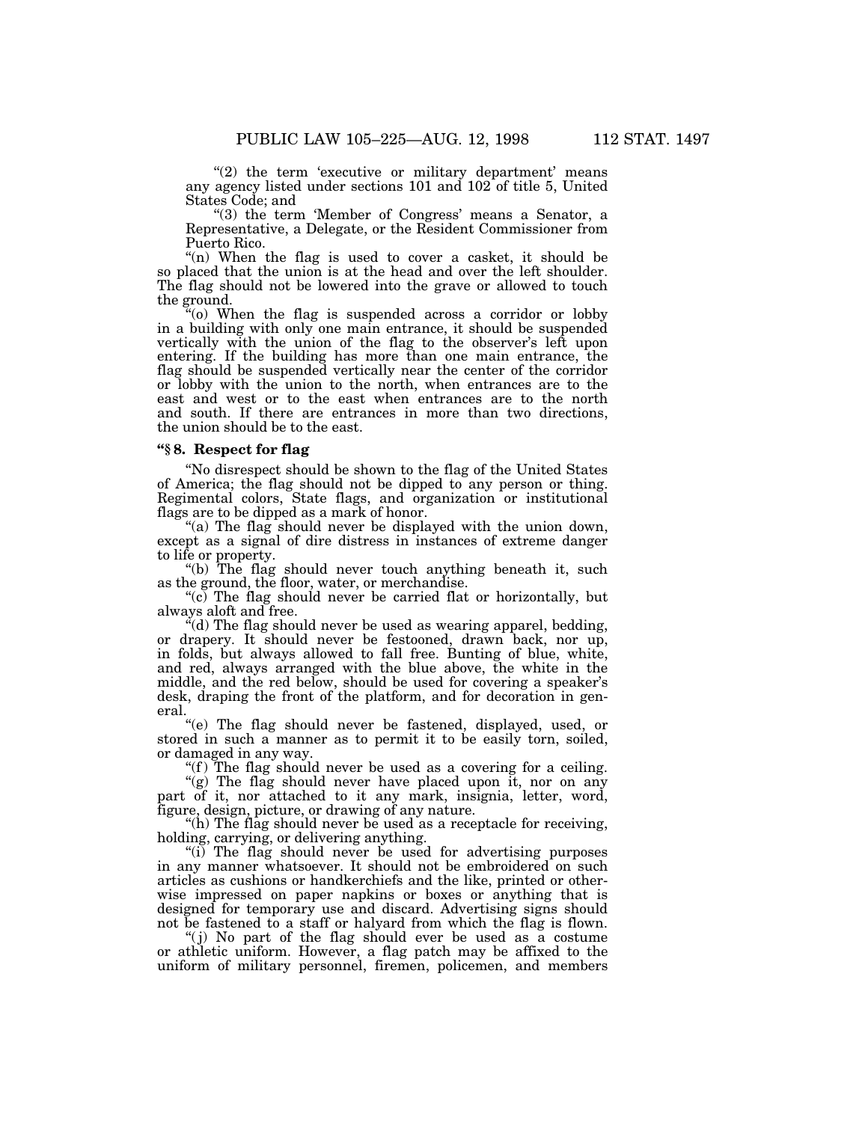"(2) the term 'executive or military department' means any agency listed under sections 101 and 102 of title 5, United States Code; and

"(3) the term 'Member of Congress' means a Senator, a Representative, a Delegate, or the Resident Commissioner from Puerto Rico.

"(n) When the flag is used to cover a casket, it should be so placed that the union is at the head and over the left shoulder. The flag should not be lowered into the grave or allowed to touch the ground.

(0) When the flag is suspended across a corridor or lobby in a building with only one main entrance, it should be suspended vertically with the union of the flag to the observer's left upon entering. If the building has more than one main entrance, the flag should be suspended vertically near the center of the corridor or lobby with the union to the north, when entrances are to the east and west or to the east when entrances are to the north and south. If there are entrances in more than two directions, the union should be to the east.

#### **''§ 8. Respect for flag**

''No disrespect should be shown to the flag of the United States of America; the flag should not be dipped to any person or thing. Regimental colors, State flags, and organization or institutional flags are to be dipped as a mark of honor.

''(a) The flag should never be displayed with the union down, except as a signal of dire distress in instances of extreme danger to life or property.

''(b) The flag should never touch anything beneath it, such as the ground, the floor, water, or merchandise.

"(c) The flag should never be carried flat or horizontally, but always aloft and free.

 $\ddot{d}$ ) The flag should never be used as wearing apparel, bedding, or drapery. It should never be festooned, drawn back, nor up, in folds, but always allowed to fall free. Bunting of blue, white, and red, always arranged with the blue above, the white in the middle, and the red below, should be used for covering a speaker's desk, draping the front of the platform, and for decoration in general.

(e) The flag should never be fastened, displayed, used, or stored in such a manner as to permit it to be easily torn, soiled, or damaged in any way.

"(f) The flag should never be used as a covering for a ceiling.

 $\mathcal{L}(g)$  The flag should never have placed upon it, nor on any part of it, nor attached to it any mark, insignia, letter, word, figure, design, picture, or drawing of any nature.

''(h) The flag should never be used as a receptacle for receiving, holding, carrying, or delivering anything.

"(i) The flag should never be used for advertising purposes in any manner whatsoever. It should not be embroidered on such articles as cushions or handkerchiefs and the like, printed or otherwise impressed on paper napkins or boxes or anything that is designed for temporary use and discard. Advertising signs should not be fastened to a staff or halyard from which the flag is flown.

''( j) No part of the flag should ever be used as a costume or athletic uniform. However, a flag patch may be affixed to the uniform of military personnel, firemen, policemen, and members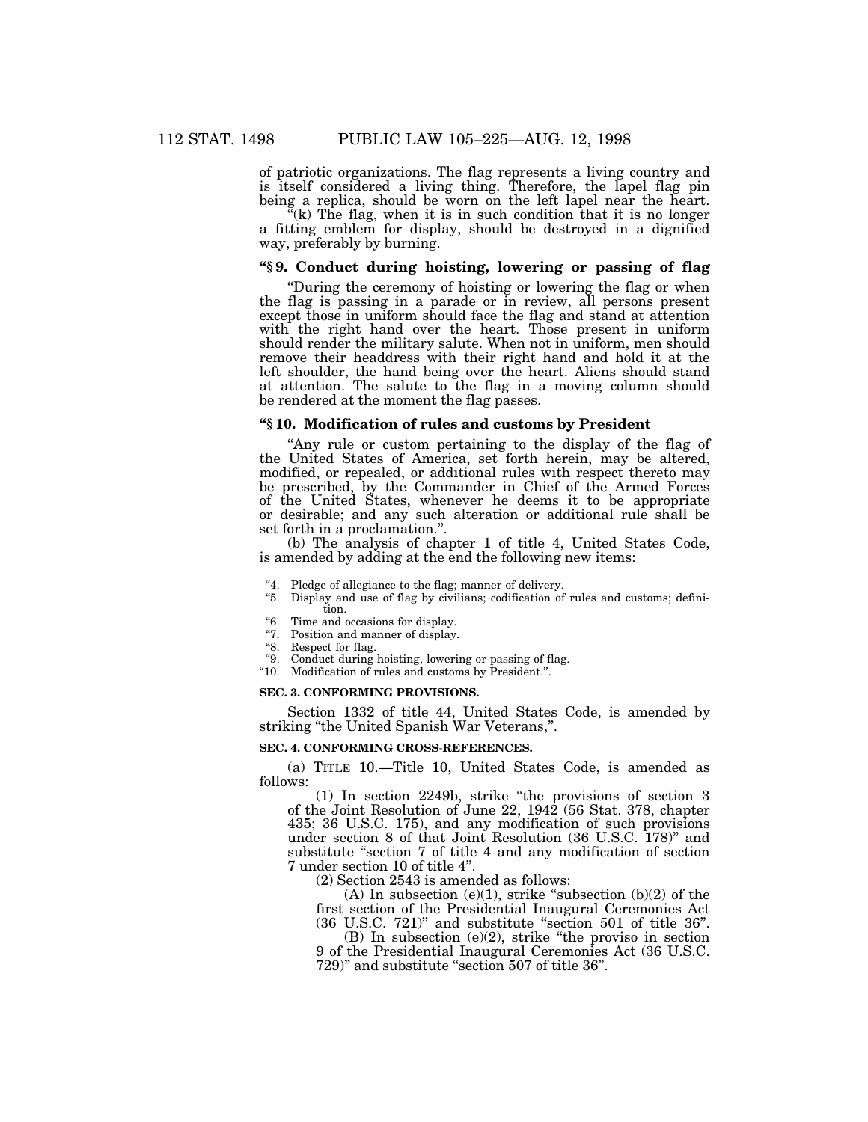of patriotic organizations. The flag represents a living country and is itself considered a living thing. Therefore, the lapel flag pin being a replica, should be worn on the left lapel near the heart.

 $E(k)$  The flag, when it is in such condition that it is no longer a fitting emblem for display, should be destroyed in a dignified way, preferably by burning.

## **''§ 9. Conduct during hoisting, lowering or passing of flag**

''During the ceremony of hoisting or lowering the flag or when the flag is passing in a parade or in review, all persons present except those in uniform should face the flag and stand at attention with the right hand over the heart. Those present in uniform should render the military salute. When not in uniform, men should remove their headdress with their right hand and hold it at the left shoulder, the hand being over the heart. Aliens should stand at attention. The salute to the flag in a moving column should be rendered at the moment the flag passes.

## **''§ 10. Modification of rules and customs by President**

''Any rule or custom pertaining to the display of the flag of the United States of America, set forth herein, may be altered, modified, or repealed, or additional rules with respect thereto may be prescribed, by the Commander in Chief of the Armed Forces of the United States, whenever he deems it to be appropriate or desirable; and any such alteration or additional rule shall be set forth in a proclamation."

(b) The analysis of chapter 1 of title 4, United States Code, is amended by adding at the end the following new items:

- "4. Pledge of allegiance to the flag; manner of delivery.
- ''5. Display and use of flag by civilians; codification of rules and customs; definition.
- "6. Time and occasions for display.<br>"7. Position and manner of display.
- Position and manner of display.
- "8. Respect for flag.<br>"9. Conduct during
- Conduct during hoisting, lowering or passing of flag.
- ''10. Modification of rules and customs by President.''.

#### **SEC. 3. CONFORMING PROVISIONS.**

Section 1332 of title 44, United States Code, is amended by striking "the United Spanish War Veterans,".

#### **SEC. 4. CONFORMING CROSS-REFERENCES.**

(a) TITLE 10.—Title 10, United States Code, is amended as follows:

(1) In section 2249b, strike ''the provisions of section 3 of the Joint Resolution of June 22, 1942 (56 Stat. 378, chapter 435; 36 U.S.C. 175), and any modification of such provisions under section 8 of that Joint Resolution (36 U.S.C. 178)'' and substitute "section 7 of title 4 and any modification of section 7 under section 10 of title 4''.

(2) Section 2543 is amended as follows:

(A) In subsection (e)(1), strike "subsection (b)(2) of the first section of the Presidential Inaugural Ceremonies Act (36 U.S.C. 721)'' and substitute ''section 501 of title 36''.

(B) In subsection (e)(2), strike "the proviso in section 9 of the Presidential Inaugural Ceremonies Act (36 U.S.C. 729)'' and substitute ''section 507 of title 36''.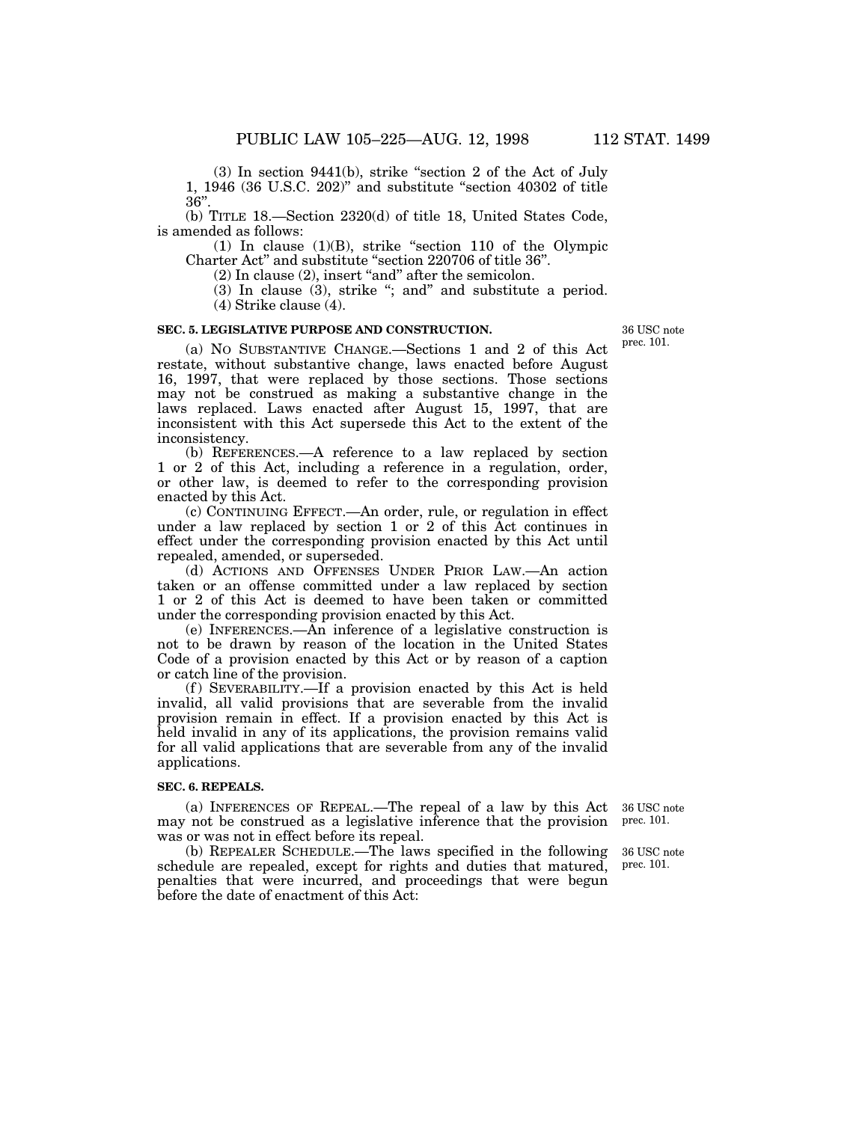(3) In section 9441(b), strike ''section 2 of the Act of July 1, 1946 (36 U.S.C. 202)'' and substitute ''section 40302 of title 36''.

(b) TITLE 18.—Section 2320(d) of title 18, United States Code, is amended as follows:

 $(1)$  In clause  $(1)(B)$ , strike "section 110 of the Olympic Charter Act'' and substitute ''section 220706 of title 36''.

(2) In clause (2), insert ''and'' after the semicolon.

 $(3)$  In clause  $(3)$ , strike "; and" and substitute a period. (4) Strike clause (4).

#### **SEC. 5. LEGISLATIVE PURPOSE AND CONSTRUCTION.**

(a) NO SUBSTANTIVE CHANGE.—Sections 1 and 2 of this Act restate, without substantive change, laws enacted before August 16, 1997, that were replaced by those sections. Those sections may not be construed as making a substantive change in the laws replaced. Laws enacted after August 15, 1997, that are inconsistent with this Act supersede this Act to the extent of the inconsistency.

(b) REFERENCES.—A reference to a law replaced by section 1 or 2 of this Act, including a reference in a regulation, order, or other law, is deemed to refer to the corresponding provision enacted by this Act.

(c) CONTINUING EFFECT.—An order, rule, or regulation in effect under a law replaced by section 1 or 2 of this Act continues in effect under the corresponding provision enacted by this Act until repealed, amended, or superseded.

(d) ACTIONS AND OFFENSES UNDER PRIOR LAW.—An action taken or an offense committed under a law replaced by section 1 or 2 of this Act is deemed to have been taken or committed under the corresponding provision enacted by this Act.

(e) INFERENCES.—An inference of a legislative construction is not to be drawn by reason of the location in the United States Code of a provision enacted by this Act or by reason of a caption or catch line of the provision.

(f ) SEVERABILITY.—If a provision enacted by this Act is held invalid, all valid provisions that are severable from the invalid provision remain in effect. If a provision enacted by this Act is held invalid in any of its applications, the provision remains valid for all valid applications that are severable from any of the invalid applications.

#### **SEC. 6. REPEALS.**

(a) INFERENCES OF REPEAL.—The repeal of a law by this Act may not be construed as a legislative inference that the provision was or was not in effect before its repeal.

(b) REPEALER SCHEDULE.—The laws specified in the following schedule are repealed, except for rights and duties that matured, penalties that were incurred, and proceedings that were begun before the date of enactment of this Act:

36 USC note prec. 101.

36 USC note prec. 101.

36 USC note prec. 101.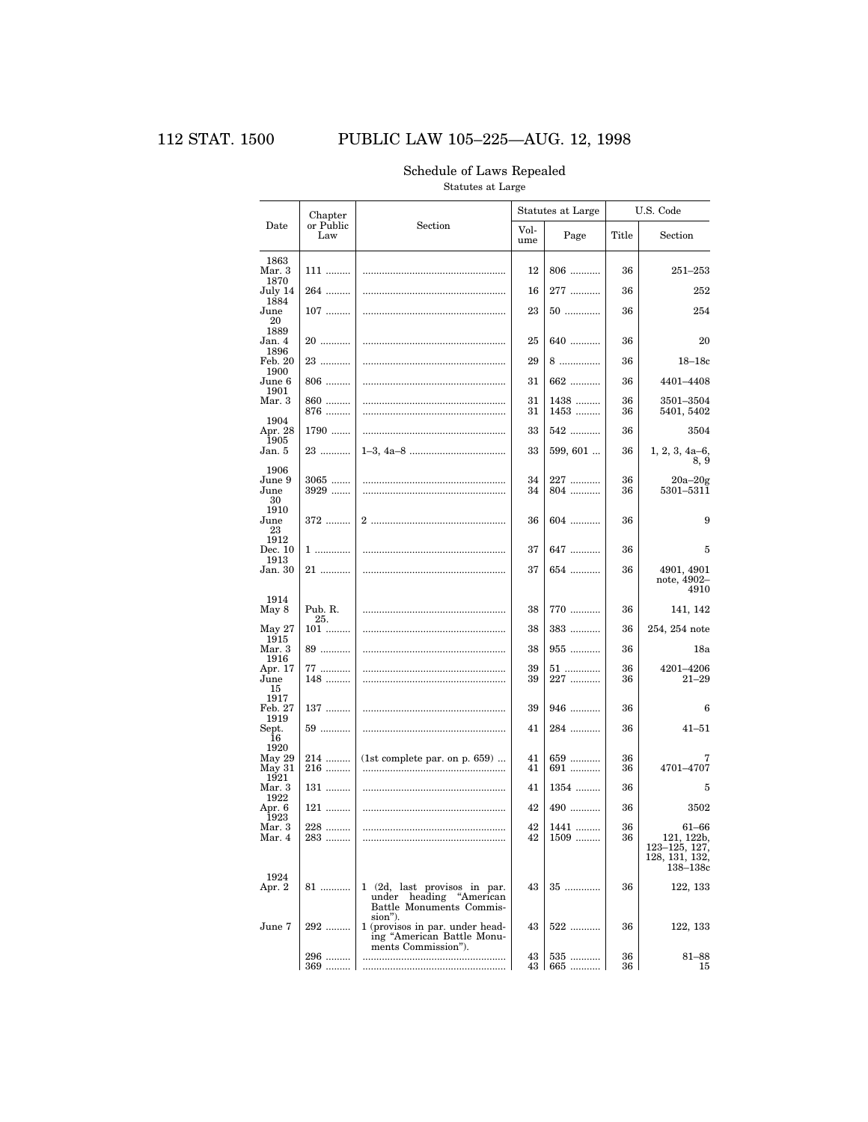## 112 STAT. 1500 PUBLIC LAW 105–225—AUG. 12, 1998

## Schedule of Laws Repealed

|                                       | Chapter<br>or Public<br>Law | Section                                                                             | Statutes at Large |              | U.S. Code |                                                                            |
|---------------------------------------|-----------------------------|-------------------------------------------------------------------------------------|-------------------|--------------|-----------|----------------------------------------------------------------------------|
| Date                                  |                             |                                                                                     | Vol-<br>ume       | Page         | Title     | Section                                                                    |
| 1863<br>Mar. 3                        | 111                         |                                                                                     | 12                | 806          | 36        | $251 - 253$                                                                |
| 1870<br>July 14                       | 264                         |                                                                                     | 16                | 277          | 36        | 252                                                                        |
| 1884<br>$_{\rm June}$<br>20           | $107$                       |                                                                                     | 23                | 50           | 36        | 254                                                                        |
| 1889<br>Jan. 4<br>1896                | $20$                        |                                                                                     | 25                | 640          | 36        | 20                                                                         |
| Feb. 20<br>1900                       | 23                          |                                                                                     | 29                | 8            | 36        | $18 - 18c$                                                                 |
| June 6<br>1901                        | $806$                       |                                                                                     | 31                | 662          | 36        | 4401–4408                                                                  |
| Mar. 3                                | 860<br>876                  |                                                                                     | 31<br>31          | 1438<br>1453 | 36<br>36  | 3501–3504<br>5401, 5402                                                    |
| 1904<br>Apr. 28                       | 1790                        |                                                                                     | 33                | 542          | 36        | 3504                                                                       |
| <b>1905</b><br>Jan. 5                 | 23                          |                                                                                     | 33                | 599, 601     | 36        | $1, 2, 3, 4a-6,$<br>8.9                                                    |
| 1906<br>June 9<br>$_{\rm June}$<br>30 | $3065$<br>$3929$            |                                                                                     | 34<br>34          | 227<br>804   | 36<br>36  | $20a - 20g$<br>5301-5311                                                   |
| 1910<br>June<br>23                    | 372                         |                                                                                     | 36                | 604          | 36        | 9                                                                          |
| 1912<br>Dec. 10<br>1913               | 1                           |                                                                                     | 37                | 647          | 36        | 5                                                                          |
| Jan. 30                               | 21                          |                                                                                     | 37                | 654          | 36        | 4901, 4901<br>note, 4902-<br>4910                                          |
| 1914<br>May 8                         | Pub. R.                     |                                                                                     | 38                | 770          | 36        | 141, 142                                                                   |
| May 27                                | 25.<br>101                  |                                                                                     | 38                | 383          | 36        | 254, 254 note                                                              |
| 1915<br>Mar. 3<br>1916                | 89                          |                                                                                     | 38                | 955          | 36        | 18a                                                                        |
| Apr. 17<br>June<br>15                 | 77<br>148                   |                                                                                     | 39<br>39          | 51<br>227    | 36<br>36  | 4201-4206<br>$21 - 29$                                                     |
| 1917<br>Feb. 27<br>1919               | 137                         |                                                                                     | 39                | 946          | 36        | 6                                                                          |
| Sept.<br>16                           | 59                          |                                                                                     | 41                | 284          | 36        | $41 - 51$                                                                  |
| 1920<br>May 29<br>$May$ $31$          | 214<br>216                  | $(1st$ complete par. on p. 659)                                                     | 41<br>41          | 659<br>691   | 36<br>36  | 4701-4707                                                                  |
| 1921<br>Mar. 3                        | 131                         |                                                                                     | 41                | 1354         | 36        | 5                                                                          |
| 1922<br>Apr. 6<br>1923                | 121                         |                                                                                     | 42                | 490          | 36        | 3502                                                                       |
| Mar. 3<br>Mar. 4                      | 228<br>283                  |                                                                                     | 42<br>42          | 1441<br>1509 | 36<br>36  | $61 - 66$<br>121, 122b,<br>123–125, 127,<br>128, 131, 132,<br>$138 - 138c$ |
| 1924<br>Apr. 2                        | 81                          | 1 (2d, last provisos in par.<br>under heading "American<br>Battle Monuments Commis- | 43                | 35           | 36        | 122, 133                                                                   |
| June 7                                | 292                         | sion").<br>1 (provisos in par. under head-<br>ing "American Battle Monu-            | 43                | 522          | 36        | 122, 133                                                                   |
|                                       | 296<br>369                  | ments Commission").                                                                 | 43<br>43          | 535<br>665   | 36<br>36  | 81-88<br>15                                                                |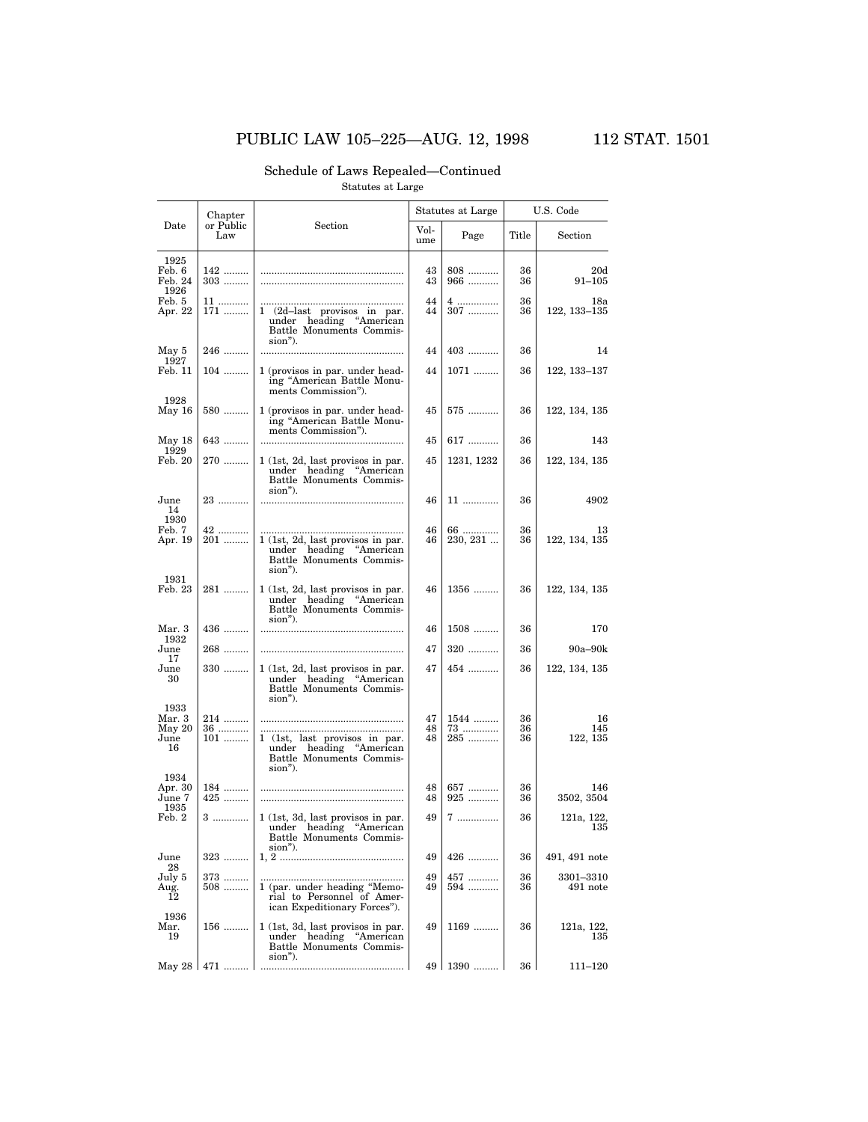## Schedule of Laws Repealed—Continued

|                                                 | Chapter<br>or Public<br>Law | Section                                                                                                   | Statutes at Large |                   | U.S. Code      |                            |
|-------------------------------------------------|-----------------------------|-----------------------------------------------------------------------------------------------------------|-------------------|-------------------|----------------|----------------------------|
| Date                                            |                             |                                                                                                           | Vol-<br>ume       | Page              | Title          | Section                    |
| 1925<br>Feb. 6<br>Feb. 24<br>1926               | 142<br>303                  |                                                                                                           | 43<br>43          | 808<br>966        | 36<br>36       | $_{\rm 20d}$<br>$91 - 105$ |
| Feb. 5<br>Apr. 22                               | 11<br>171                   | 1 (2d-last provisos in par.<br>under heading "American<br>Battle Monuments Commis-                        | 44<br>44          | $4$<br>307        | 36<br>36       | 18a<br>122, 133–135        |
| May 5                                           | 246                         | sion").                                                                                                   | 44                | 403               | 36             | 14                         |
| 1927<br>Feb. 11                                 | $104$                       | 1 (provisos in par. under head-<br>ing "American Battle Monu-<br>ments Commission").                      | 44                | 1071              | 36             | 122, 133–137               |
| 1928<br>May 16                                  | 580                         | 1 (provisos in par. under head-<br>ing "American Battle Monu-<br>ments Commission").                      | 45                | 575               | 36             | 122, 134, 135              |
| May 18<br>1929                                  | 643                         |                                                                                                           | 45                | 617               | 36             | 143                        |
| Feb. 20                                         | 270                         | 1 (1st, 2d, last provisos in par.<br>heading "American<br>under<br>Battle Monuments Commis-<br>sion").    | 45                | 1231, 1232        | 36             | 122, 134, 135              |
| June<br>14<br>1930                              | 23                          |                                                                                                           | 46                | 11                | 36             | 4902                       |
| Feb. 7<br>Apr. 19                               | 42<br>201                   | 1 (1st, 2d, last provisos in par.<br>under heading "American<br>Battle Monuments Commis-<br>sion").       | 46<br>46          | 66<br>230, 231    | 36<br>36       | 13<br>122, 134, 135        |
| 1931<br>Feb. 23                                 | 281                         | 1 (1st, 2d, last provisos in par.<br>under heading "American<br>Battle Monuments Commis-                  | 46                | $1356$            | 36             | 122, 134, 135              |
| Mar. 3                                          | 436                         | sion").                                                                                                   | 46                | 1508              | 36             | 170                        |
| 1932<br>June                                    | 268                         |                                                                                                           | 47                | 320               | 36             | 90a–90k                    |
| 17<br>June<br>30                                | 330                         | 1 (1st, 2d, last provisos in par.<br>heading "American<br>under<br>Battle Monuments Commis-<br>$sion$ "). | 47                | 454               | 36             | 122, 134, 135              |
| 1933<br>Mar. 3<br>May 20<br>$_{\rm June}$<br>16 | 214<br>36<br>101            | 1 (1st, last provisos in par.<br>under heading "American<br>Battle Monuments Commis-<br>sion").           | 47<br>48<br>48    | 1544<br>73<br>285 | 36<br>36<br>36 | 16<br>145<br>122, 135      |
| 1934<br>Apr. 30<br>June 7<br>1935               | 184<br>425                  |                                                                                                           | 48<br>48          | 657<br>925        | 36<br>36       | 146<br>3502, 3504          |
| Feb. 2                                          | 3                           | 1 (1st, 3d, last provisos in par.<br>under heading "American<br>Battle Monuments Commis-                  | 49                | $7 \dots 7$       | 36             | 121a, 122,<br>135          |
| June                                            | 323                         | sion").                                                                                                   | 49                | 426               | 36             | 491, 491 note              |
| 28<br>July 5<br>Aug.<br>12                      | 373<br>$508$                | 1 (par. under heading "Memo-<br>rial to Personnel of Amer-<br>ican Expeditionary Forces").                | 49<br>49          | 457<br>594        | 36<br>36       | 3301-3310<br>$491$ note    |
| 1936<br>Mar.<br>19                              | 156                         | 1 (1st, 3d, last provisos in par.<br>under heading "American<br>Battle Monuments Commis-                  | 49                | 1169              | 36             | 121a, 122,<br>135          |
| May 28                                          | 471                         | sion").                                                                                                   | 49                | 1390              | 36             | 111–120                    |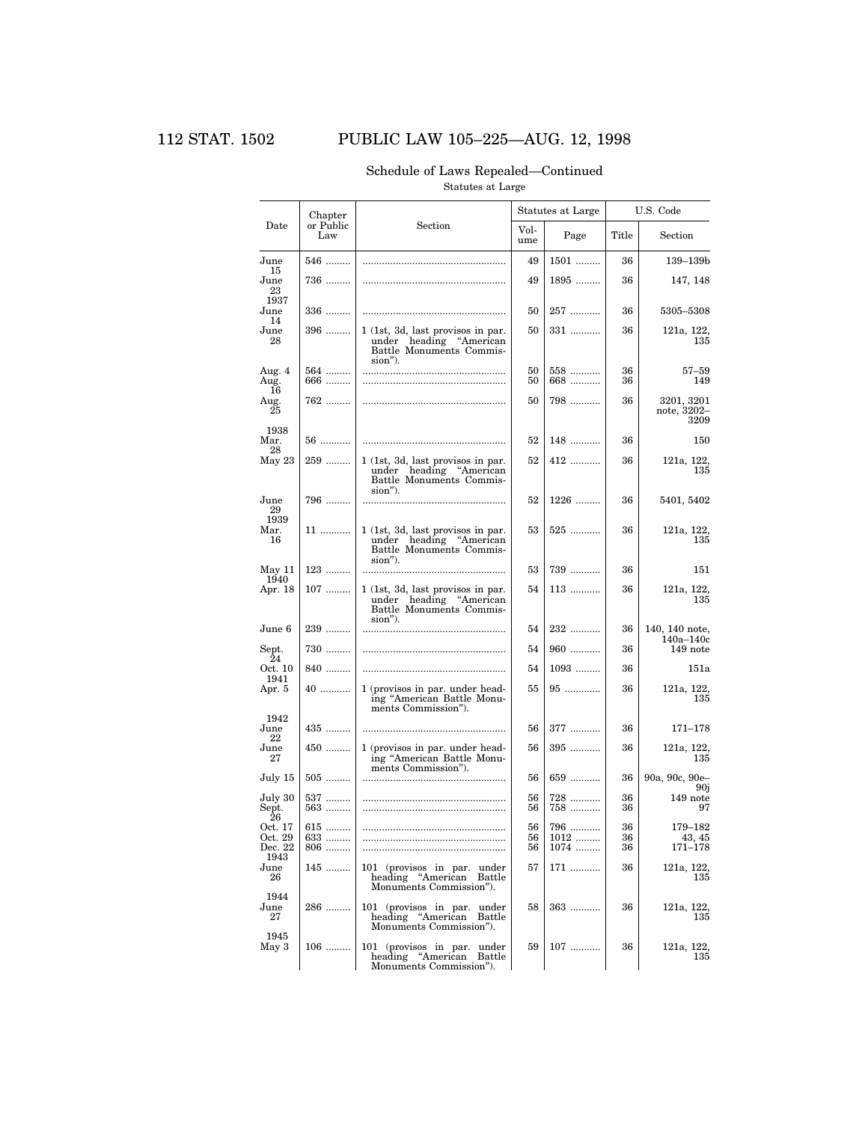## 112 STAT. 1502 PUBLIC LAW 105–225—AUG. 12, 1998

# Schedule of Laws Repealed—Continued

|                                       | Chapter<br>or Public<br>Law | Section                                                                                                | Statutes at Large |                     | U.S. Code      |                                   |
|---------------------------------------|-----------------------------|--------------------------------------------------------------------------------------------------------|-------------------|---------------------|----------------|-----------------------------------|
| Date                                  |                             |                                                                                                        | Vol-<br>ume       | Page                | Title          | Section                           |
| June                                  | 546                         |                                                                                                        | 49                | 1501                | 36             | 139–139b                          |
| 15<br>$_{\rm June}$<br>23             | 736                         |                                                                                                        | 49                | 1895                | 36             | 147, 148                          |
| 1937<br>$_{\rm June}$<br>14           | 336                         |                                                                                                        | 50                | 257                 | 36             | 5305–5308                         |
| June<br>28                            | 396                         | 1 (1st, 3d, last provisos in par.<br>under heading "American<br>Battle Monuments Commis-<br>sion").    | 50                | 331                 | 36             | 121a, 122,<br>135                 |
| Aug. 4<br>Aug.<br>16                  | 564<br>$666$                |                                                                                                        | 50<br>50          | 558<br>668          | 36<br>36       | 57–59<br>149                      |
| Aug.<br>25                            | 762                         |                                                                                                        | 50                | 798                 | 36             | 3201, 3201<br>note, 3202-<br>3209 |
| 1938<br>Mar.                          | 56                          |                                                                                                        | 52                | 148                 | 36             | 150                               |
| 28<br>May 23                          | 259                         | 1 (1st, 3d, last provisos in par.<br>under heading "American<br>Battle Monuments Commis-               | 52                | 412                 | 36             | 121a, 122,<br>135                 |
| June<br>29                            | 796                         | sion").                                                                                                | 52                | 1226                | 36             | 5401, 5402                        |
| 1939<br>Mar.<br>16                    | 11                          | 1 (1st, 3d, last provisos in par.<br>under heading "American<br>Battle Monuments Commis-<br>$sion$ "). | 53                | 525                 | 36             | 121a, 122,<br>135                 |
| May 11                                | 123                         |                                                                                                        | 53                | 739                 | 36             | 151                               |
| 1940<br>Apr. 18                       | 107                         | 1 (1st, 3d, last provisos in par.<br>under heading "American<br>Battle Monuments Commis-<br>sion").    | 54                | 113                 | 36             | 121a, 122,<br>135                 |
| June 6                                | 239                         |                                                                                                        | 54                | 232                 | 36             | 140, 140 note,<br>140a–140c       |
| Sept.<br>$\bar{2}4$                   | 730                         |                                                                                                        | 54                | 960                 | 36             | $149$ note                        |
| Oct. 10<br>1941                       | 840                         |                                                                                                        | 54                | 1093                | 36             | 151a                              |
| Apr. 5                                | 40                          | 1 (provisos in par. under head-<br>ing "American Battle Monu-<br>ments Commission").                   | 55                | 95                  | 36             | 121a, 122,<br>135                 |
| 1942<br>June<br>22                    | 435                         |                                                                                                        | 56                | 377                 | 36             | 171–178                           |
| June<br>27                            | 450                         | 1 (provisos in par. under head-<br>ing "American Battle Monu-<br>ments Commission".                    | 56                | 395                 | 36             | 121a, 122,<br>135                 |
| July 15                               | $505$                       |                                                                                                        | 56                | 659                 | 36             | 90a, 90c, 90e–<br>90j             |
| July 30<br>Sept.<br>26                | 537<br>563                  |                                                                                                        | 56<br>56          | 728<br>758          | 36<br>36       | 149 note<br>97                    |
| Oct. 17<br>Oct. 29<br>Dec. 22<br>1943 | $615$<br>633<br>$806$       |                                                                                                        | 56<br>56<br>56    | 796<br>1012<br>1074 | 36<br>36<br>36 | 179–182<br>43, 45<br>171–178      |
| June<br>26                            | 145                         | 101 (provisos in par. under<br>heading "American Battle<br>Monuments Commission").                     | 57                | 171                 | 36             | 121a, 122,<br>135                 |
| 1944<br>June<br>27                    | 286                         | 101 (provisos in par. under<br>heading "American Battle<br>Monuments Commission").                     | 58                | 363                 | 36             | 121a, 122, 135                    |
| 1945<br>May 3                         | $106$                       | 101 (provisos in par. under<br>heading "American Battle<br>Monuments Commission").                     | 59                | 107                 | 36             | 121a, 122,<br>135                 |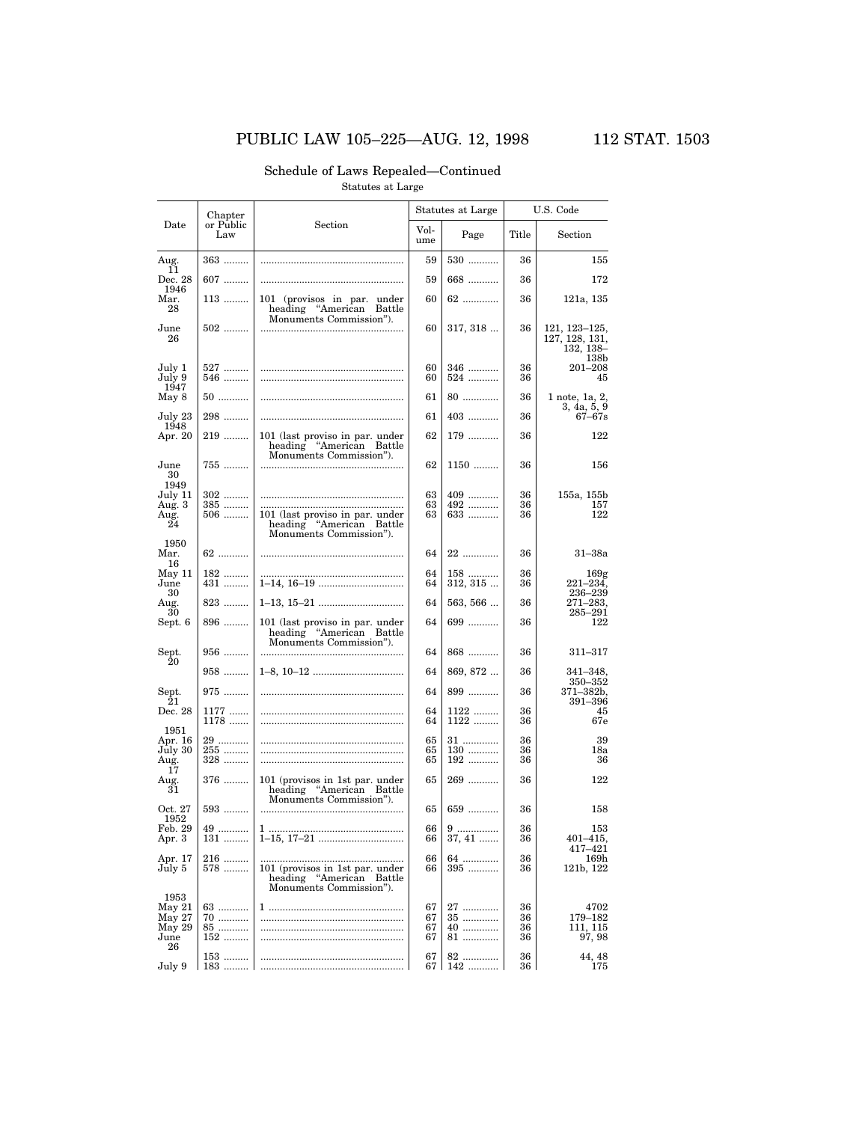#### Date Chapter or Public Law Section Statutes at Large U.S. Code Vol- $\begin{array}{c|c} \nVol \\ \n \text{ume} \n \end{array}$  Page Title Section Aug.  $\frac{11}{\text{Dec. } 28}$ 363 ......... .................................................... 59 530 ........... 36 155 Dec. 28 607 ......... .................................................... 59 668 ........... 36 172 1946 Mar. 28 113 ......... 101 (provisos in par. under heading ''American Battle Monuments Commission''). 60 | 62 ................ | 36 | 121a, 135 June 26 502 ......... .................................................... 60 317, 318 ... 36 121, 123–125, 127, 128, 131, 132, 138–  $\begin{array}{c} 138b \\ 201 - 208 \end{array}$ July 1 527 ......... .................................................... 60 346 ........... 36 201–208 524 .............  $\frac{1947}{\text{May }8}$ May 8 50 ........... .................................................... 61 80 ............. 36 1 note, 1a, 2, 3, 4a, 5, 9 July 23 298 ......... .................................................... 61 403 ........... 36 67–67s  $1948$ <br>Apr. 20  $219$  ......... 101 (last proviso in par. under heading ''American Battle Monuments Commission'').  $62 \mid 179 \dots \mid 36 \mid 122$ June 30 755 ......... .................................................... 62 1150 ......... 36 156  $\begin{array}{c} 1949 \\ \text{July 11} \\ \text{Aug. 3} \end{array}$ July 11 302 ......... .................................................... 63 409 ........... 36 155a, 155b Aug. 3 385 ......... .................................................... 63 492 ........... 36 157 506 ......... 101 (last proviso in par. under heading ''American Battle Monuments Commission''). Aug. 24 63 633 ........... 36 122 1950 Mar.  $\frac{16}{\text{May }11}$ 62 ........... .................................................... 64 22 ............. 36 31–38a May 11 182 ......... .................................................... 64 158 ........... 36 169g June 30  $\begin{array}{|l|c|c|c|c|c|c|c|c|} \hline 182 & \ldots & & & 169 \text{g} & & & 169 \text{g} \\ \hline 431 & \ldots & & 1-14, 16-19 & \ldots & & & 64 & 312, 315 & \ldots & & 36 & & 221-234, \end{array}$  $221 - 234,$ <br>  $236 - 239$ <br>  $271 - 283,$ Aug. 30 823 ......... 1–13, 15–21 ............................... 64 563, 566 ... 36 271–283,  $285 - 291$ <br>122 Sept.  $6 \mid 896 \dots \mid 101$  (last proviso in par. under heading ''American Battle Monuments Commission'').  $64 \mid 699 \dots \mid 36$ Sept. 20 956 ......... .................................................... 64 868 ........... 36 311–317 958 ......... 1–8, 10–12 ................................. 64 869, 872 ... 36 341–348, 350–352 Sept. 21 975 ......... .................................................... 64 899 ........... 36 371–382b,  $391 - 396$ <br> $45$ Dec. 28 1177 ....... .................................................... 64 1122 ......... 36 45 1122 .........  $\begin{array}{c} 1951 \\ \text{Apr. } 16 \\ \text{July } 30 \end{array}$  $\begin{array}{|l|c|c|c|c|c|c|c|c|} \hline \text{29} & \dots & \dots & \dots & \dots & \dots & \dots & \dots & \text{36} \ \hline \text{255} & \dots & \dots & \dots & \dots & \dots & \dots & \text{36} \ \hline \text{256} & \dots & \dots & \dots & \dots & \dots & \text{36} \ \hline \end{array}$ July 30 255 ......... .................................................... 65 130 ........... 36 18a Aug. 17 328 ......... .................................................... 65 192 ........... 36 36 Aug. 31 Aug. 376 ......... 101 (provisos in 1st par. under 65 269 ........... 36 122<br>
0ct. 27 593 ......... Monuments Commission"). 65 659 ........... 36 158  $65 \mid 269 \dots \dots \mid 36 \mid 122$  $1952$ <br>Feb. 29 Feb. 29 49 ........... 1 ................................................. 66 9 ............... 36 153 1–15, 17–21 .......  $401 - 415,$ <br> $417 - 421$ <br> $169h$ Apr. 17 216 ......... .................................................... 66 64 ............. 36 169h 101 (provisos in 1st par. under heading ''American Battle Monuments Commission''). 395 ............  $\frac{1953}{\text{May 21}}$ May 21 63 ........... 1 ................................................. 67 27 ............. 36 4702 May 27 70 ........... .................................................... 67 35 ............. 36 179–182  $\begin{array}{|c|c|c|c|c|c|c|c|} \hline 85 & \dots & 36 & \dots & 36 & \dots & 36 & \dots & 36 & \dots & 36 & \dots & 36 & \dots & 36 & \dots & 36 & \dots & 36 & \dots & 36 & \dots & 36 & \dots & 36 & \dots & 36 & \dots & 36 & \dots & 36 & \dots & 36 & \dots & 36 & \dots & 36 & \dots & 36 & \dots & 36 & \dots & 36 & \dots & 36 & \dots & 36 & \dots & 36 & \dots & 36 & \dots & 36 & \dots & 36 & \$ June 26 152 ......... .................................................... 67 81 ............. 36 97, 98 153 ......... .................................................... 67 82 ............. 36 44, 48 July 9 | 183 ......... | ………………………………………………………… | 67 | 142 ………… | 36 | 175

## Schedule of Laws Repealed—Continued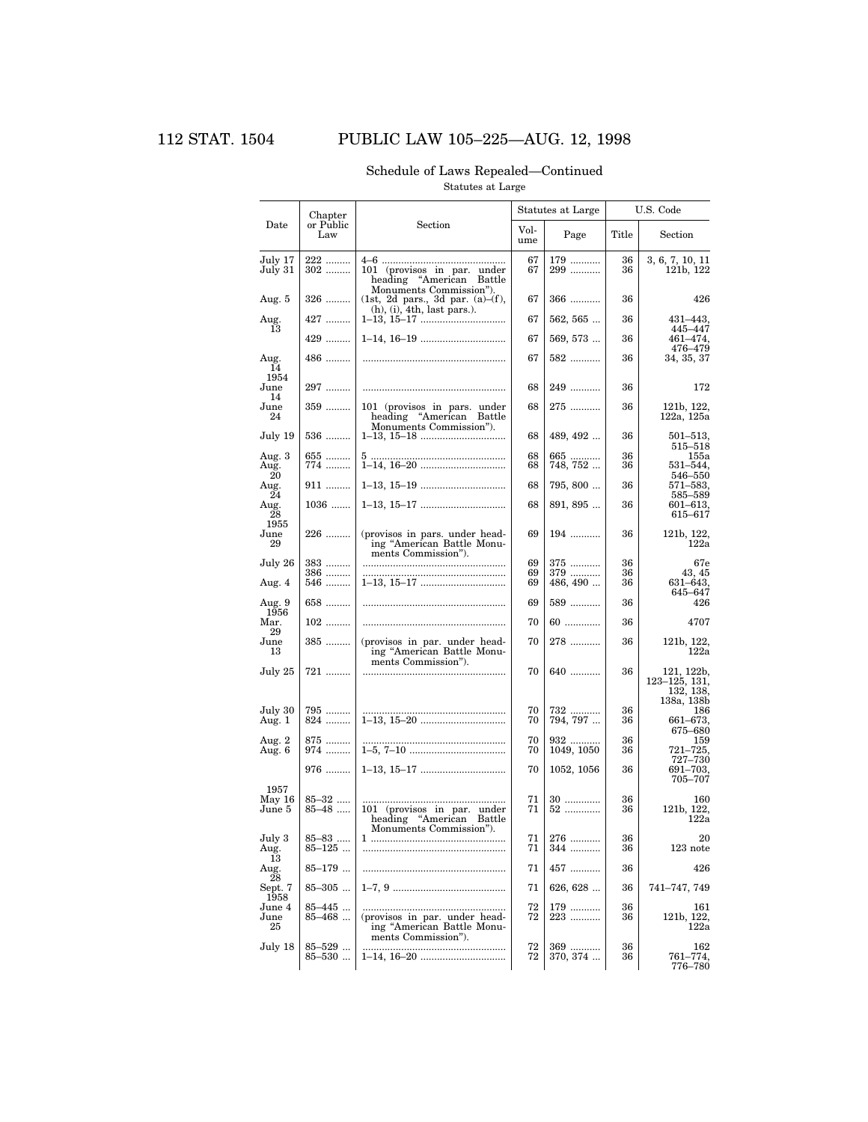## 112 STAT. 1504 PUBLIC LAW 105–225—AUG. 12, 1998

## Schedule of Laws Repealed—Continued

|                              | Chapter                       |                                                                                                    | Statutes at Large |                                                         | U.S. Code      |                                          |
|------------------------------|-------------------------------|----------------------------------------------------------------------------------------------------|-------------------|---------------------------------------------------------|----------------|------------------------------------------|
| Date                         | or Public<br>Law              | Section                                                                                            | Vol-<br>ume       | Page                                                    | Title          | Section                                  |
| July 17<br>July 31           | 222<br>302                    | 101 (provisos in par. under<br>heading "American Battle                                            | 67<br>67          | 179<br>299                                              | 36<br>36       | 3, 6, 7, 10, 11<br>121b, 122             |
| Aug. 5                       | 326                           | Monuments Commission").<br>$1st, 2d$ pars., 3d par. $(a)$ – $(f)$ ,<br>(h), (i), 4th, last pars.). | 67                | 366                                                     | 36             | 426                                      |
| Aug.<br>13                   | 427                           |                                                                                                    | 67                | 562, 565                                                | 36             | 431–443,<br>445-447                      |
|                              | 429                           |                                                                                                    | 67                | 569, 573                                                | 36             | 461–474,<br>476-479                      |
| Aug.<br>14                   | 486                           |                                                                                                    | 67                | 582                                                     | 36             | 34, 35, 37                               |
| 1954<br>June                 | 297                           |                                                                                                    | 68                | 249                                                     | 36             | 172                                      |
| 14<br>June<br>24             | 359                           | 101 (provisos in pars. under<br>heading "American Battle                                           | 68                | 275                                                     | 36             | 121b, 122,<br>122a, 125a                 |
| July 19                      | 536                           | Monuments Commission").                                                                            | 68                | 489, 492                                                | 36             | $501 - 513,$<br>515–518                  |
| Aug. 3<br>Aug.<br>20         | 655<br>774                    |                                                                                                    | 68<br>68          | 665<br>748, 752                                         | 36<br>36       | 155a<br>$531 - 544,$<br>546-550          |
| Aug.<br>24                   | 911                           |                                                                                                    | 68                | 795, 800                                                | 36             | 571–583,<br>585-589                      |
| Aug.<br>28                   | $1036$                        |                                                                                                    | 68                | 891, 895                                                | 36             | $601 - 613$<br>615–617                   |
| 1955<br>June<br>29           | 226                           | (provisos in pars. under head-<br>ing "American Battle Monu-<br>ments Commission").                | 69                | 194                                                     | 36             | 121b, 122,<br>122a                       |
| July 26<br>Aug. 4            | 383<br>386<br>546             |                                                                                                    | 69<br>69<br>69    | 375<br>379<br>486, 490                                  | 36<br>36<br>36 | 67e<br>43, 45<br>631–643,                |
| Aug. 9                       | 658                           |                                                                                                    | 69                | 589                                                     | 36             | 645–647<br>426                           |
| 1956<br>Mar.                 | $102$                         |                                                                                                    | 70                | $60$                                                    | 36             | 4707                                     |
| 29<br>June<br>13             | 385                           | (provisos in par. under head-<br>ing "American Battle Monu-                                        | 70                | 278                                                     | 36             | 121b, 122,<br>122a                       |
| July 25                      | 721                           | ments Commission").                                                                                | 70                | 640                                                     | 36             | 121, 122b,<br>123-125, 131,<br>132, 138, |
| July 30<br>Aug. 1            | 795<br>824                    |                                                                                                    | 70<br>70          | 732<br>794, 797                                         | 36<br>36       | 138a, 138b<br>186<br>661–673,<br>675–680 |
| Aug. 2<br>Aug. 6             | 875<br>974                    |                                                                                                    | 70<br>70          | 932<br>1049, 1050                                       | 36<br>36       | 159<br>721–725,                          |
|                              | 976                           |                                                                                                    | 70                | 1052, 1056                                              | 36             | 727-730<br>691-703,<br>705-707           |
| 1957<br>May 16<br>June 5     | $85 - 32$<br>$85 - 48$        | 101 (provisos in par. under<br>heading "American Battle                                            | 71<br>71          | 30<br>52                                                | 36<br>36       | 160<br>121b, 122,<br>122a                |
| $\rm{July}$ $\rm{3}$<br>Aug. | $85\text{--}83$<br>$85 - 125$ | Monuments Commission").<br>1.                                                                      | 71<br>71          | $276\,$<br>344                                          | 36<br>36       | 20<br>123 note                           |
| 13<br>Aug.<br>28             | $85 - 179$                    |                                                                                                    | 71                | 457                                                     | 36             | 426                                      |
| Sept. 7<br>1958              | $85 - 305$                    |                                                                                                    | 71                | 626, 628                                                | 36             | 741–747, 749                             |
| June 4<br>June<br>25         | $85 - 445$<br>$85 - 468$      | (provisos in par. under head-<br>ing "American Battle Monu-                                        | 72<br>72          | 179<br>223                                              | 36<br>36       | 161<br>121b, 122,<br>122a                |
| July 18                      | $85 - 529$<br>$85 - 530$      | ments Commission").                                                                                | 72<br>72          | $\begin{array}{c} 369 \dots 370, 374 \dots \end{array}$ | 36<br>36       | 162<br>761–774,<br>776-780               |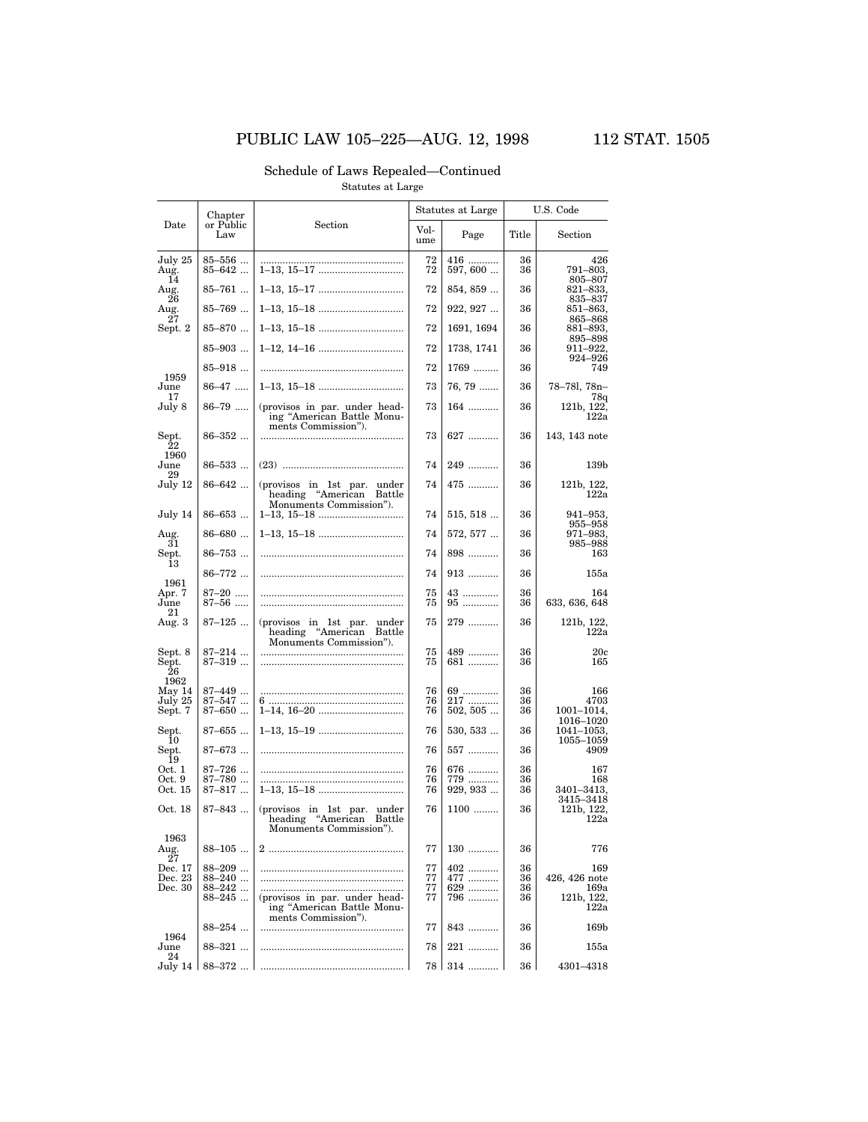#### Date Chapter or Public Law Section Statutes at Large U.S. Code Vol-Page Title Section July 25 85–556 ... .................................................... 72 416 ........... 36 426 Aug. 14 85–642 ... 1–13, 15–17 ............................... 72 597, 600 ... 36 791–803,  $805 - 807$ <br> $821 - 833$ Aug. 26 85–761 ... 1–13, 15–17 ............................... 72 854, 859 ... 36 821–833, 835–837 Aug. 27 85–769 ... 1–13, 15–18 ............................... 72 922, 927 ... 36 851–863,  $\begin{array}{c} 851{-}863, \\ 865{-}868 \\ 881{-}893, \end{array}$ Sept. 2 85–870 ... 1–13, 15–18 ............................... 72 1691, 1694 36 881–893, 895–898<br>911–922, 85–903 ... 1–12, 14–16 ............................... 72 1738, 1741 36 911–922,  $924 - 926$ <br> $749$ 85–918 ... .................................................... 72 1769 ......... 36 749 1959 June  $\frac{17}{\text{July }8}$ 86–47 ..... 1–13, 15–18 ............................... 73 76, 79 ....... 36 78–78l, 78n– 78q 73 164 ........... 36 121b, 122, July 8 | 86–79 ..... (provisos in par. under head-<br>ing "American Battle Monuments Commission''). 122a Sept. 22 86–352 ... .................................................... 73 627 ........... 36 143, 143 note 1960 June 29 86–533 ... (23) ............................................ 74 249 ........... 36 139b July 12 86–642 ... (provisos in 1st par. under heading ''American Battle Monuments Commission''). 74 | 475 ............ | 36 | 121b, 122, 122a July 14 86–653 ... 1–13, 15–18 ............................... 74 515, 518 ... 36 941–953, 955–958<br>971–983, Aug. 31 86–680 ... 1–13, 15–18 ............................... 74 572, 577 ... 36 971–983, 985–988 Sept. 13 86–753 ... .................................................... 74 898 ........... 36 163 86–772 ... .................................................... 74 913 ........... 36 155a  $1961$ <br>Apr. 7 Apr. 7 87–20 ..... .................................................... 75 43 ............. 36 164 June  $\begin{smallmatrix} 21\\ \text{Aug.} \ 3 \end{smallmatrix}$ 633, 636, 648 Aug. 3 87–125 ... (provisos in 1st par. under<br>heading "American Battle Monuments Commission''). 75 | 279 ........... | 36 | 121b, 122, 122a Sept. 8 87–214 ... .................................................... 75 489 ........... 36 20c Sept. 26 87–319 ... .................................................... 75 681 ........... 36 165 1962<br>May 14 May 14 87–449 ... .................................................... 76 69 ............. 36 166 July 25 87–547 ... 6 ................................................. 76 217 ........... 36 4703 Sept. 7 87–650 ... 1–14, 16–20 ............................... 76 502, 505 ... 36 1001–1014,  $1016 - 1020$ <br> $1041 - 1053$ . Sept. 10 87–655 ... 1–13, 15–19 ............................... 76 530, 533 ... 36 1041–1053,  $\frac{1055}{4909}$ Sept.  $\begin{array}{c} 19 \\ \text{Oct. 1} \\ \text{Oct. 9} \\ \text{Oct. 15} \end{array}$ 87–673 ... .................................................... 76 557 ........... 36 4909 Oct. 1 87–726 ... .................................................... 76 676 ........... 36 167 Oct. 9 87–780 ... .................................................... 76 779 ........... 36 168 Oct. 15 87–817 ... 1–13, 15–18 ............................... 76 929, 933 ... 36 3401–3413, 3415–3418 Oct. 18 87–843 ... (provisos in 1st par. under<br>heading "American Battle" Monuments Commission''). 76 1100 ......... 36 121b, 122, 122a 1963 Aug. 27 88–105 ... 2 ................................................. 77 130 ........... 36 776 Dec. 17 88–209 ... .................................................... 77 402 ........... 36 169 Dec. 23 88–240 ... .................................................... 77 477 ........... 36 426, 426 note Dec. 30 88–242 ... .................................................... 77 629 ........... 36 169a 88–245 ... (provisos in par. under head-ing ''American Battle Monuments Commission'').  $77 \mid 796 \; \dots \dots \mid 36 \mid 121b, 122,$ 122a 88–254 ... .................................................... 77 843 ........... 36 169b 1964 June  $\begin{array}{c} 24 \\ \text{July 14} \end{array}$ 88–321 ... .................................................... 78 221 ........... 36 155a July 14 88–372 ... .................................................... 78 314 ........... 36 4301–4318

### Schedule of Laws Repealed—Continued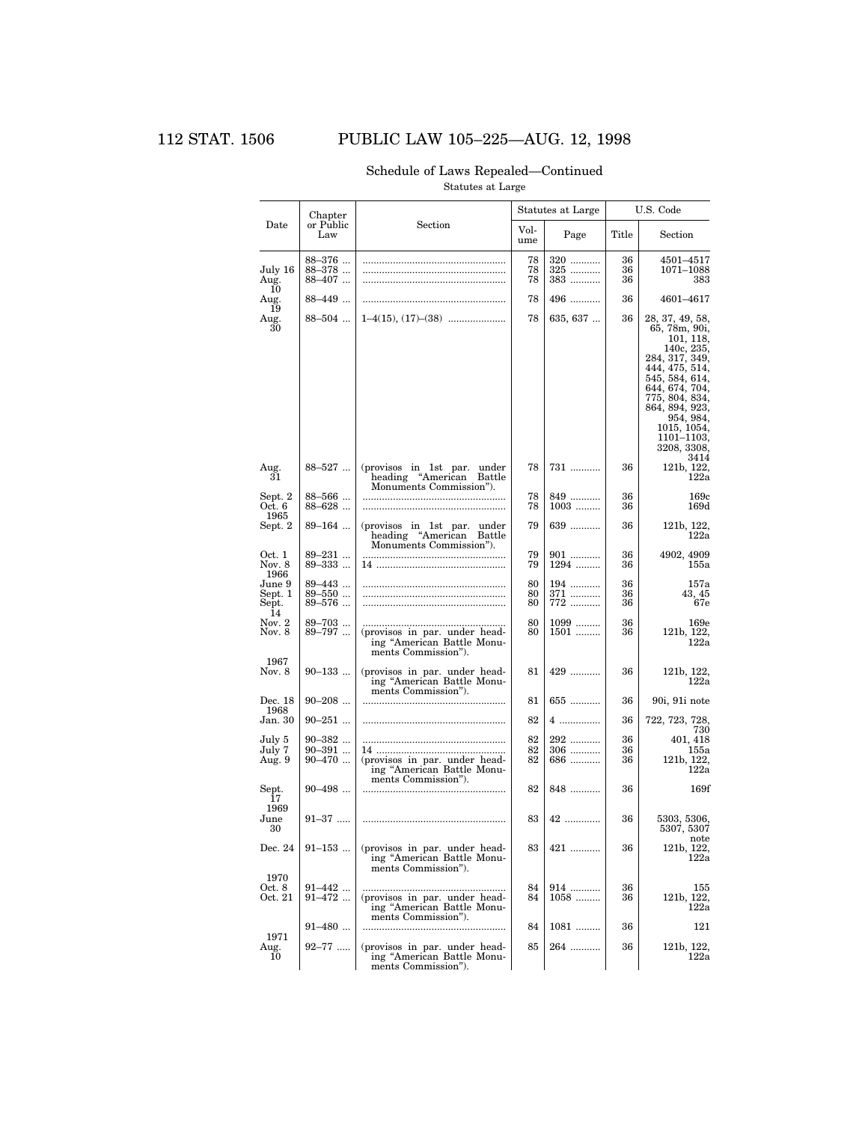### 112 STAT. 1506 PUBLIC LAW 105–225—AUG. 12, 1998

#### Date Chapter or Public Law Section Statutes at Large U.S. Code Vol-Page Title Section 88–376 ... .................................................... 78 320 ........... 36 4501–4517 July 16 88–378 ... .................................................... 78 325 ........... 36 1071–1088 Aug. 10 88–407 ... .................................................... 78 383 ........... 36 383 Aug. 19 88–449 ... .................................................... 78 496 ........... 36 4601–4617 Aug. 30 88–504 ... 1–4(15), (17)–(38) ..................... 78 635, 637 ... 36 28, 37, 49, 58, 65, 78m, 90i, 101, 118, 140c, 235, 284, 317, 349, 444, 475, 514, 545, 584, 614, 644, 674, 704, 775, 804, 834, 864, 894, 923, 954, 984, 1015, 1054, 1101–1103, 3208, 3308,  $3414$ <br>121b, 122, Aug. 31 88–527 ... (provisos in 1st par. under heading ''American Battle Monuments Commission''). 78 731 ........... 36 121b, 122, 122a Sept. 2 88–566 ... .................................................... 78 849 ........... 36 169c 1003 .........  $\frac{1965}{\text{Sept. 2}}$ Sept. 2 | 89–164 ... | (provisos in 1st par. under<br>heading "American Battle Monuments Commission''). 79 639 ........... 36 121b, 122, 122a Oct. 1 89–231 ... .................................................... 79 901 ........... 36 4902, 4909 Nov. 8 89–333 ... 14 ............................................... 79 1294 ......... 36 155a 1966<br>June 9 June 9 89–443 ... .................................................... 80 194 ........... 36 157a Sept. 1 89–550 ... .................................................... 80 371 ........... 36 43, 45 Sept. 14 89–576 ... .................................................... 80 772 ........... 36 67e Nov. 2 89–703 ... .................................................... 80 1099 ......... 36 169e Nov. 8 89–797 ... (provisos in par. under heading ''American Battle Monuments Commission'').  $\begin{array}{|c|c|c|c|c|c|c|c|} \hline 80 & 1501 & \dots & 36 & 121b, 122, \ \hline \end{array}$ 122a  $\frac{1967}{\text{Nov. }8}$ Nov. 8 90–133 ... (provisos in par. under head-ing ''American Battle Monu-ments Commission'').  $81 \mid 429 \dots \mid 36 \mid 121b, 122,$ 122a Dec. 18 90–208 ... .................................................... 81 655 ........... 36 90i, 91i note  $1968$ <br>Jan. 30 Jan. 30 90–251 ... .................................................... 82 4 ............... 36 722, 723, 728,  $730$ <br>401, 418 July 5 90–382 ... .................................................... 82 292 ........... 36 401, 418 July 7 90–391 ... 14 ............................................... 82 306 ........... 36 155a Aug. 9 90–470 ... (provisos in par. under heading ''American Battle Monuments Commission'').  $82 \mid 686 \dots \dots \dots \mid 36 \mid 121b, 122,$ 122a Sept. 17 90–498 ... .................................................... 82 848 ........... 36 169f 1969 June 30 91–37 ..... .................................................... 83 42 ............. 36 5303, 5306, 5307, 5307 note Dec. 24 91–153 ... (provisos in par. under head-ing ''American Battle Monu-ments Commission'').  $83 \mid 421 \dots \mid 36 \mid 121b, 122,$ 122a  $\underset{\text{Oct. 21}}{\text{1970}}$ Oct. 8  $\begin{array}{|l|l|}$  91–442 ... (provisos in par. under head-  $\begin{array}{|l|l|}$  84  $\begin{array}{|l|}$  914 ........... 36 155<br>Oct. 21  $\begin{array}{|l|}$  91–472 ... (provisos in par. under head-  $\begin{array}{|l|}$  84  $\end{array}$  1058 ......... 36 121b, 84 | 914 ........... | 36 | 121b, 122, 122a

ments Commission'').

ing ''American Battle Monuments Commission'').

92–77 ..... (provisos in par. under head-

1971 Aug. 10

91–480 ... .................................................... 84 1081 ......... 36 121

85 264 ........... 36 121b, 122,

122a

# Schedule of Laws Repealed—Continued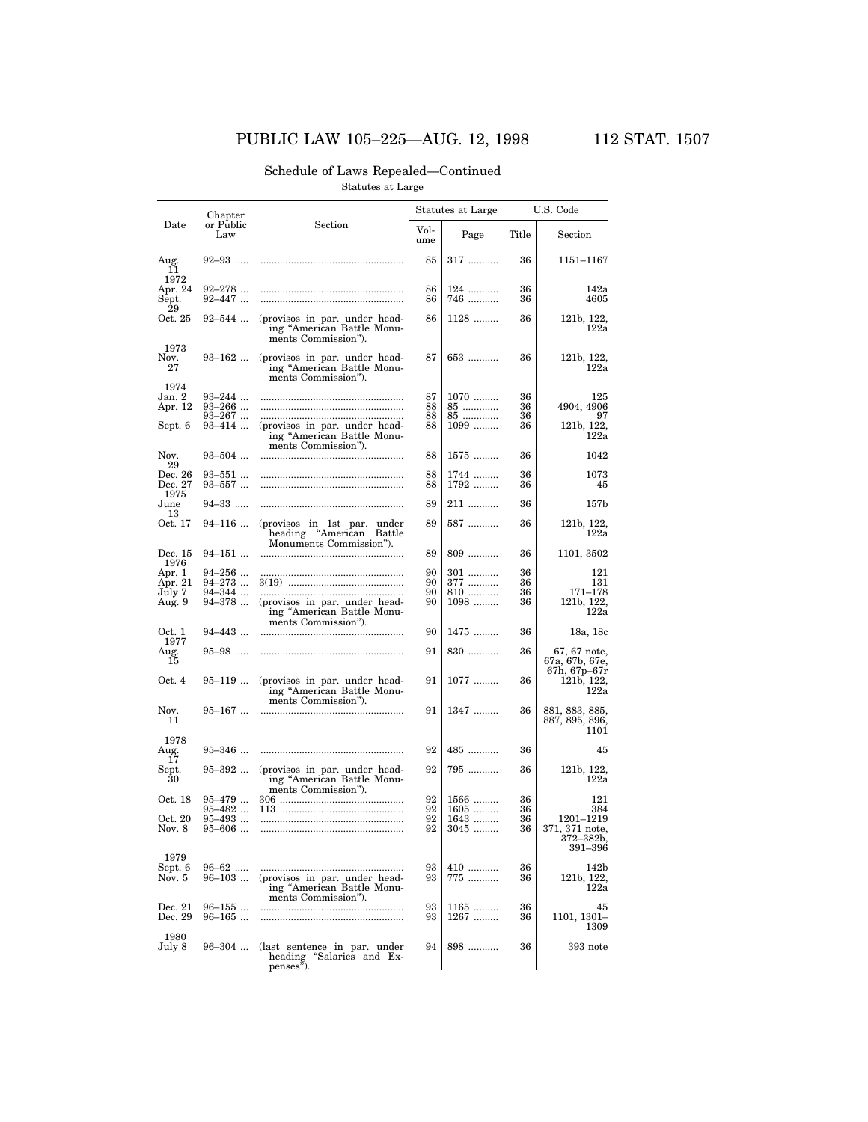## Schedule of Laws Repealed—Continued

|                                       | Chapter                                              |                                                                                    | Statutes at Large    |                                  | U.S. Code            |                                                                   |
|---------------------------------------|------------------------------------------------------|------------------------------------------------------------------------------------|----------------------|----------------------------------|----------------------|-------------------------------------------------------------------|
| Date                                  | or Public<br>Law                                     | Section                                                                            | Vol-<br>ume          | Page                             | Title                | Section                                                           |
| Aug.<br>11<br>1972                    | $92 - 93$                                            |                                                                                    | 85                   | 317                              | 36                   | 1151–1167                                                         |
| Apr. 24<br>$S$ ept.<br>29             | $92 - 278$<br>$92 - 447$                             |                                                                                    | 86<br>86             | 124<br>746                       | 36<br>36             | 142a<br>4605                                                      |
| Oct. 25                               | $92 - 544$                                           | (provisos in par. under head-<br>ing "American Battle Monu-<br>ments Commission"). | 86                   | 1128                             | 36                   | 121b, 122,<br>122a                                                |
| 1973<br>Nov.<br>27                    | $93 - 162$                                           | (provisos in par. under head-<br>ing "American Battle Monu-<br>ments Commission"). | 87                   | 653                              | 36                   | 121b, 122,<br>122a                                                |
| 1974<br>Jan. 2<br>Apr. 12<br>Sept. 6  | $93 - 244$<br>$93 - 266$<br>$93 - 267$<br>93–414 …   | (provisos in par. under head-<br>ing "American Battle Monu-                        | 87<br>88<br>88<br>88 | 1070<br>85<br>85<br>$1099$       | 36<br>36<br>36<br>36 | 125<br>4904, 4906<br>97<br>121b, 122,<br>122a                     |
| Nov.<br>29                            | $93 - 504$                                           | ments Commission").                                                                | 88                   | 1575                             | 36                   | 1042                                                              |
| Dec. 26<br>Dec. 27<br>1975            | 93–551 …<br>$93 - 557$                               |                                                                                    | 88<br>88             | 1744<br>1792                     | 36<br>36             | 1073<br>45                                                        |
| $_{\rm June}$                         | $94 - 33$                                            |                                                                                    | 89                   | 211                              | 36                   | 157 <sub>b</sub>                                                  |
| 13<br>Oct. 17                         | $94 - 116$                                           | (provisos in 1st par. under<br>heading "American Battle<br>Monuments Commission"). | 89                   | 587                              | 36                   | 121b, 122,<br>122a                                                |
| Dec. 15<br>1976                       | 94–151 …                                             |                                                                                    | 89                   | 809                              | 36                   | 1101, 3502                                                        |
| Apr. 1<br>Apr. 21<br>July 7<br>Aug. 9 | $94 - 256$<br>$94 - 273$<br>94–344 …<br>$94 - 378$   | (provisos in par. under head-<br>ing "American Battle Monu-<br>ments Commission"). | 90<br>90<br>90<br>90 | 301<br>377<br>$810$<br>1098      | 36<br>36<br>36<br>36 | 121<br>131<br>171–178<br>121b, 122,<br>122a                       |
| Oct. 1                                | $94 - 443$                                           |                                                                                    | 90                   | 1475                             | 36                   | 18a, 18c                                                          |
| 1977<br>Aug.<br>15                    | $95 - 98$                                            |                                                                                    | 91                   | 830                              | 36                   | 67, 67 note,<br>67a, 67b, 67e,                                    |
| Oct. 4                                | 95–119 …                                             | (provisos in par. under head-<br>ing "American Battle Monu-                        | 91                   | 1077                             | 36                   | 67h, 67p–67r<br>121b, 122,<br>122a                                |
| Nov.<br>11                            | $95 - 167$                                           | ments Commission").                                                                | 91                   | 1347                             | 36                   | 881, 883, 885,<br>887, 895, 896,<br>1101                          |
| 1978<br>Aug.                          | $95 - 346$                                           |                                                                                    | 92                   | 485                              | 36                   | 45                                                                |
| 17<br>Sept.<br>30                     | $95 - 392$                                           | (provisos in par. under head-<br>ing "American Battle Monu-                        | 92                   | 795                              | 36                   | 121b, 122,<br>122a                                                |
| Oct. 18<br>Oct. 20<br>Nov. 8          | $95 - 479$<br>$95 - 482$<br>$95 - 493$<br>$95 - 606$ | ments Commission").                                                                | 92<br>92<br>92<br>92 | 1566<br>$1605$<br>$1643$<br>3045 | 36<br>36<br>36<br>36 | 121<br>384<br>1201-1219<br>371, 371 note,<br>372–382b,<br>391-396 |
| 1979<br>Sept. 6<br>Nov. 5             | $96 - 62$<br>$96 - 103$                              | (provisos in par. under head-<br>ing "American Battle Monu-                        | 93<br>93             | 410<br>775                       | 36<br>36             | 142b<br>121b, 122,<br>122a                                        |
| Dec. 21<br>Dec. 29                    | $96 - 155$<br>$96 - 165$                             | ments Commission").                                                                | 93<br>93             | $1165$<br>1267                   | 36<br>36             | 45<br>1101, 1301–                                                 |
| 1980<br>July 8                        | $96 - 304$                                           | (last sentence in par. under<br>heading "Salaries and Ex-<br>penses").             | 94                   | 898                              | 36                   | 1309<br>393 note                                                  |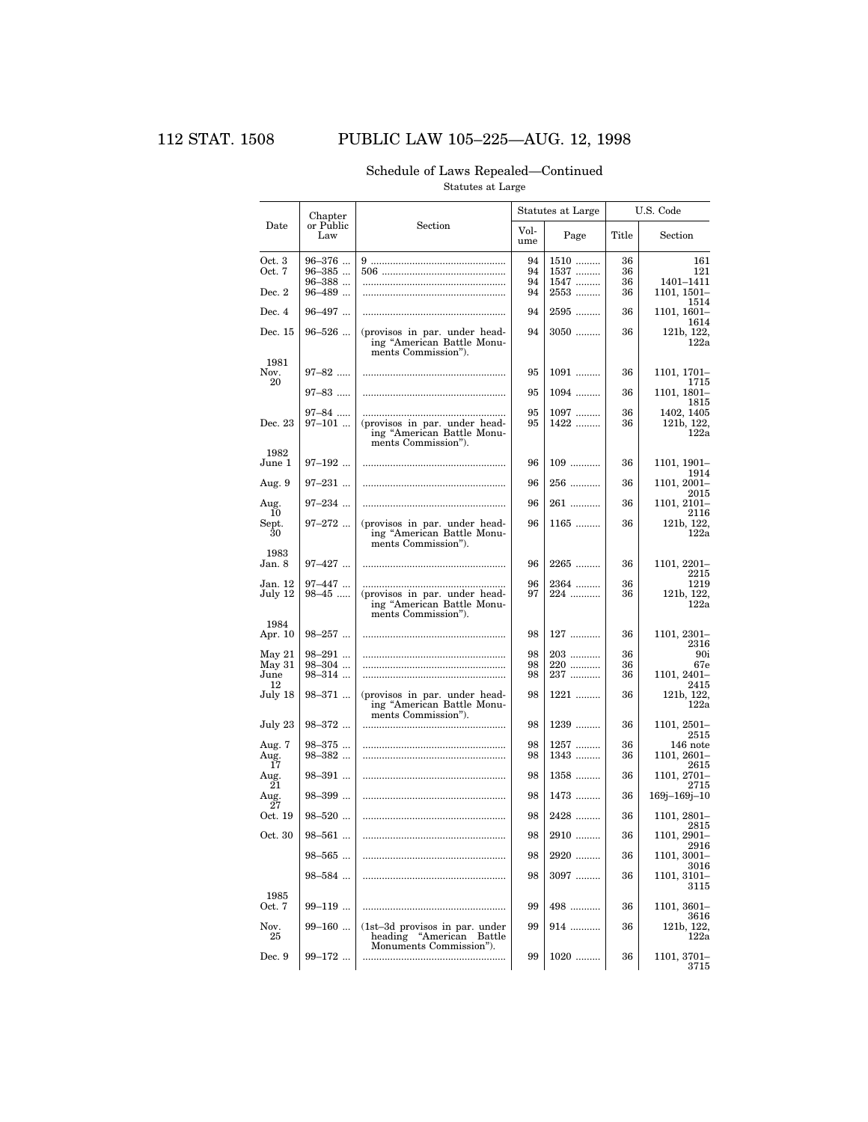# 112 STAT. 1508 PUBLIC LAW 105–225—AUG. 12, 1998

# Schedule of Laws Repealed—Continued

|                    | Chapter                   |                                                                                       | Statutes at Large |              | U.S. Code |                                    |
|--------------------|---------------------------|---------------------------------------------------------------------------------------|-------------------|--------------|-----------|------------------------------------|
| Date               | or Public<br>Law          | Section                                                                               | Vol-<br>ume       | Page         | Title     | Section                            |
| Oct. 3             | $96 - 376$                |                                                                                       | 94                | 1510         | 36        | 161                                |
| Oct. 7             | $96 - 385$                |                                                                                       | 94                | 1537         | 36        | 121                                |
|                    | $96 - 388$                |                                                                                       | 94                | 1547         | 36        | 1401–1411                          |
| Dec. 2             | $96 - 489$                |                                                                                       | 94                | 2553         | 36        | 1101, 1501–                        |
| Dec. 4             | $96 - 497$                |                                                                                       | 94                | 2595         | 36        | 1514<br>1101, 1601–<br>1614        |
| Dec. 15            | $96 - 526$                | (provisos in par. under head-<br>ing "American Battle Monu-<br>ments Commission").    | 94                | 3050         | 36        | 121b, 122,<br>122a                 |
| 1981<br>Nov.<br>20 | $97 - 82$                 |                                                                                       | 95                | 1091         | 36        | 1101, 1701-<br>1715                |
|                    | $97 - 83$                 |                                                                                       | 95                | 1094         | 36        | 1101, 1801–<br>1815                |
| Dec. 23            | $97 - 84$<br>$97 - 101$   | (provisos in par. under head-<br>ing "American Battle Monu-<br>ments Commission").    | 95<br>95          | 1097<br>1422 | 36<br>36  | 1402, 1405<br>121b, 122,<br>122a   |
| 1982<br>June 1     | $97 - 192$                |                                                                                       | 96                | 109          | 36        | 1101, 1901–                        |
| Aug. 9             | $97 - 231$                |                                                                                       | 96                | 256          | 36        | 1914<br>1101, 2001-                |
| Aug.               | $97 - 234$                |                                                                                       | 96                | 261          | 36        | 2015<br>1101, 2101–<br>2116        |
| 10<br>Sept.<br>30  | $97 - 272$                | (provisos in par. under head-<br>ing "American Battle Monu-<br>ments Commission").    | 96                | 1165         | 36        | 121b, 122,<br>122a                 |
| 1983<br>Jan. 8     | $97 - 427$                |                                                                                       | 96                | 2265         | 36        | 1101, 2201-<br>2215                |
| Jan. 12<br>July 12 | $97 - 447$<br>$98 - 45$   | (provisos in par. under head-<br>ing "American Battle Monu-<br>ments Commission").    | 96<br>97          | 2364<br>224  | 36<br>36  | 1219<br>121b, 122,<br>122a         |
| 1984<br>Apr. 10    | $98 - 257$                |                                                                                       | 98                | 127          | 36        | 1101, 2301–<br>2316                |
| May 21             | $98 - 291$                |                                                                                       | 98                | 203          | 36        | 90i                                |
| May 31             | $98 - 304$                |                                                                                       | 98                | 220          | 36        | 67e                                |
| June               | $98 - 314$                |                                                                                       | 98                | 237          | 36        | 1101, 2401–                        |
| 12<br>July 18      | $98 - 371$                | (provisos in par. under head-<br>ing "American Battle Monu-                           | 98                | 1221         | 36        | 2415<br>121b, 122,<br>122a         |
| July 23            | $98 - 372$                | ments Commission").                                                                   | 98                | 1239         | 36        | 1101, 2501–                        |
| Aug. 7             | $98 - 375$                |                                                                                       | 98                | 1257         | 36        | 2515<br>$146$ note                 |
| Aug.<br>17         | $98 - 382$                |                                                                                       | 98                | 1343         | 36        | 1101, 2601–<br>2615                |
| Aug.<br>21         | $98 - 391$                |                                                                                       | 98                | $1358\,\,$   | 36        | 1101, 2701-<br>2715                |
| Aug.<br>27         | $98 - 399$                |                                                                                       | 98                | 1473         | 36        | 169j–169j–10                       |
| Oct. 19            | $98 - 520$                |                                                                                       | 98                | 2428         | 36        | 1101, 2801–<br>2815                |
| Oct. 30            | $98\text{--}561$ $\ldots$ |                                                                                       | 98<br>98          | 2910<br>2920 | 36<br>36  | 1101, 2901-<br>2916<br>1101, 3001- |
|                    | $98 - 565$<br>$98 - 584$  |                                                                                       | 98                | 3097         | 36        | 3016<br>1101, 3101-                |
| 1985               |                           |                                                                                       |                   |              |           | 3115                               |
| Oct. 7             | $99 - 119$                |                                                                                       | 99                | 498          | 36        | 1101, 3601–<br>3616                |
| Nov.<br>25         | $99 - 160$                | (1st-3d provisos in par. under<br>heading "American Battle<br>Monuments Commission"). | 99                | 914          | 36        | 121b, 122,<br>122a                 |
| Dec. 9             | $99 - 172$                |                                                                                       | 99                | 1020         | 36        | 1101, 3701–<br>3715                |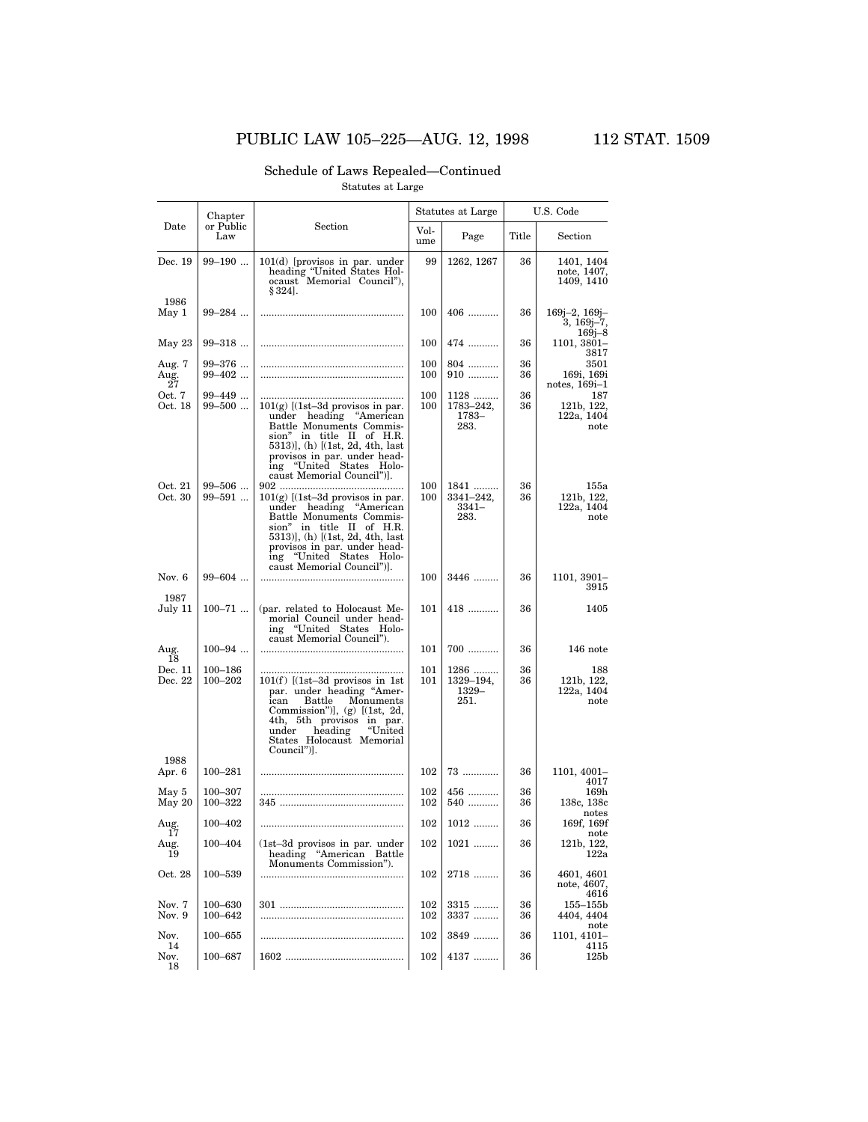# Schedule of Laws Repealed—Continued

|                      | Chapter                  |                                                                                                                                                                                                                                                                  | Statutes at Large |                                    | U.S. Code |                                          |
|----------------------|--------------------------|------------------------------------------------------------------------------------------------------------------------------------------------------------------------------------------------------------------------------------------------------------------|-------------------|------------------------------------|-----------|------------------------------------------|
| Date                 | or Public<br>Law         | Section                                                                                                                                                                                                                                                          | Vol-<br>ume       | Page                               | Title     | Section                                  |
| Dec. 19              | $99 - 190$               | $101(d)$ [provisos in par. under<br>heading "United States Hol-<br>ocaust Memorial Council"),<br>§ 324∣.                                                                                                                                                         | 99                | 1262, 1267                         | 36        | 1401, 1404<br>note, 1407,<br>1409, 1410  |
| 1986<br>May 1        | $99 - 284$               |                                                                                                                                                                                                                                                                  | 100               | 406                                | 36        | 169j–2, 169j–<br>3, 169j–7,              |
| May 23               | $99 - 318$               |                                                                                                                                                                                                                                                                  | 100               | 474                                | 36        | $169j - 8$<br>$1101, 3801 -$<br>3817     |
| Aug. 7<br>Aug.<br>27 | $99 - 376$<br>$99 - 402$ |                                                                                                                                                                                                                                                                  | 100<br>100        | 804<br>910                         | 36<br>36  | 3501<br>169i, 169i<br>notes, 169i-1      |
| Oct. 7<br>Oct. 18    | $99 - 449$<br>$99 - 500$ | $101(g)$ [(1st-3d provisos in par.<br>"American<br>under<br>heading<br>Battle Monuments Commis-<br>sion" in title II of H.R.<br>5313)], (h) [(1st, 2d, 4th, last<br>provisos in par. under head-<br>"United States Holo-<br>ing<br>caust Memorial Council")].    | 100<br>100        | 1128<br>1783–242,<br>1783–<br>283. | 36<br>36  | 187<br>121b, 122,<br>122a, 1404<br>note  |
| Oct. 21<br>Oct. 30   | $99 - 506$<br>$99 - 591$ | $101(g)$ [(1st-3d provisos in par.<br>heading "American<br>$_{\rm under}$<br>Battle Monuments Commis-<br>sion" in title II of H.R.<br>5313)], (h) [(1st, 2d, 4th, last<br>provisos in par. under head-<br>ing "United States Holo-<br>caust Memorial Council")]. | 100<br>100        | 1841<br>3341-242,<br>3341–<br>283. | 36<br>36  | 155a<br>121b, 122,<br>122a, 1404<br>note |
| Nov. 6               | $99 - 604$               |                                                                                                                                                                                                                                                                  | 100               | 3446                               | 36        | $1101, 3901 -$<br>3915                   |
| 1987<br>July 11      | $100 - 71$               | (par. related to Holocaust Me-<br>morial Council under head-<br>"United States Holo-<br>ing<br>caust Memorial Council").                                                                                                                                         | 101               | 418                                | 36        | 1405                                     |
| Aug.<br>18           | $100 - 94$               |                                                                                                                                                                                                                                                                  | 101               | 700                                | 36        | $146$ note                               |
| Dec. 11<br>Dec. 22   | $100 - 186$<br>100-202   | $101(f)$ [(1st-3d provisos in 1st)<br>par. under heading "Amer-<br>Battle<br>Monuments<br>ican<br>Commission")], $(g)$ [ $(1st, 2d,$<br>4th, 5th provisos in par.<br>"United<br>heading<br>under<br>States Holocaust Memorial<br>Council").                      | 101<br>101        | 1286<br>1329–194,<br>1329-<br>251. | 36<br>36  | 188<br>121b, 122,<br>122a, 1404<br>note  |
| 1988<br>Apr. 6       | $100 - 281$              |                                                                                                                                                                                                                                                                  | 102               | 73                                 | 36        | 1101, 4001-<br>4017                      |
| May 5<br>May 20      | 100-307<br>100-322       |                                                                                                                                                                                                                                                                  | 102<br>102        | 456<br>540                         | 36<br>36  | 169h<br>138c, 138c<br>notes              |
| Aug.<br>17           | 100-402                  |                                                                                                                                                                                                                                                                  | 102               | $1012$                             | 36        | 169f, 169f<br>note                       |
| Aug.<br>19           | 100-404                  | $1st-3d$ provisos in par. under<br>heading "American Battle<br>Monuments Commission").                                                                                                                                                                           | 102               | $1021$                             | 36        | 121b, 122,<br>122a                       |
| Oct. 28              | 100-539                  |                                                                                                                                                                                                                                                                  | 102               | 2718                               | 36        | 4601, 4601<br>note, 4607,                |
| Nov. 7<br>Nov. 9     | 100-630<br>100-642       |                                                                                                                                                                                                                                                                  | 102<br>102        | 3315<br>3337                       | 36<br>36  | 4616<br>155–155b<br>4404, 4404<br>note   |
| Nov.<br>14           | 100-655                  |                                                                                                                                                                                                                                                                  | 102               | 3849                               | 36        | 1101, 4101-<br>4115                      |
| Nov.<br>18           | 100-687                  |                                                                                                                                                                                                                                                                  | 102               | 4137                               | 36        | 125b                                     |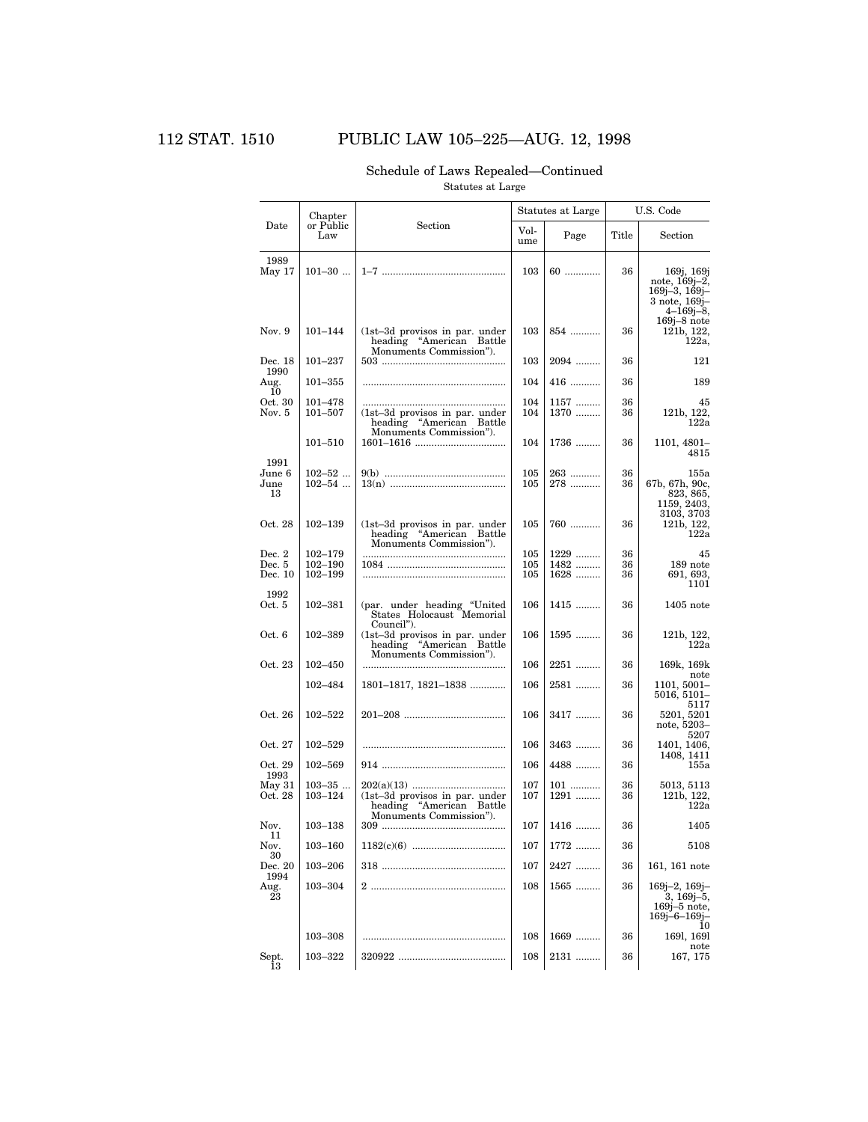### 112 STAT. 1510 PUBLIC LAW 105–225—AUG. 12, 1998

#### Date Chapter or Public Law Section Statutes at Large | U.S. Code Vol-Page Title Section  $\frac{1989}{\text{May}~17}$ May 17 101–30 ... 1–7 ............................................. 103 60 ............. 36 169j, 169j note, 169j–2, 169j–3, 169j– 3 note, 169j– 4–169j–8, 169j–8 note Nov. 9 101–144 (1st–3d provisos in par. under<br>heading "American Battle Monuments Commission''). 103 854 ........... 36 121b, 122,  $121b, 122,$ <br> $122a,$ Dec. 18 101–237 503 ............................................. 103 2094 ......... 36 121 1990 Aug. 10 101–355 .................................................... 104 416 ........... 36 189 Oct. 30 101–478 .................................................... 104 1157 ......... 36 45 Nov. 5 101–507 (1st–3d provisos in par. under heading ''American Battle Monuments Commission'').  $\begin{array}{|c|c|c|c|c|} \hline 104 & 1157 & \dots & \dots & 36 & 45 \\ \hline 104 & 1370 & \dots & \dots & 36 & 121b, \, 122, \hline \end{array}$ 122a 101–510 1601–1616 ................................. 104 1736 ......... 36 1101, 4801– 4815  $\begin{array}{c} 1991 \\ \text{June 6} \end{array}$  $\begin{array}{|c|c|c|c|c|c|c|c|} \hline 102-52 & .. & 9(b) & ....... & ....... & ....... & 105 & 263 & ......... & 36 & 155a \\ \hline 102-54 & .. & 13(n) & ....... & ....... & 105 & 278 & ......... & 36 & 67b, 67h, 90c, \hline \end{array}$ June 13 102–54 ... 13(n) .......................................... 105 278 ........... 36 67b, 67h, 90c, 823, 865, 1159, 2403, 3103, 3703 105 760 ........... 36 121b, 122, Oct. 28  $\vert$  102–139  $\vert$  (1st–3d provisos in par. under heading ''American Battle Monuments Commission''). 122a Dec. 2 102–179 .................................................... 105 1229 ......... 36 45 Dec. 5 102–190 1084 ........................................... 105 1482 ......... 36 189 note 1628 ......... 691, 693, 1101  $1992$ <br>Oct.  $5$ Oct. 5 102–381 (par. under heading ''United States Holocaust Memorial Council''). 106 1415 ......... 36 1405 note Oct. 6 102–389 (1st–3d provisos in par. under heading ''American Battle Monuments Commission''). 106 | 1595 ......... | 36 | 121b, 122, 122a Oct. 23 102–450 .................................................... 106 2251 ......... 36 169k, 169k note<br>-1101, 5001  $102-484$  | 1801–1817, 1821–1838 ............... | 106 | 2581 .......... | 36 5016, 5101–  $\begin{array}{r} 5117 \\ 5201, 5201 \end{array}$ Oct. 26 102–522 201–208 ..................................... 106 3417 ......... 36 5201, 5201 note, 5203– 5207<br>1401, 1406, Oct. 27 102–529 .................................................... 106 3463 ......... 36 1401, 1406, 1408, 1411 Oct. 29 102–569 914 ............................................. 106 4488 ......... 36 155a  $\begin{array}{c} \text{1993} \\ \text{May 31} \\ \text{Oct. 28} \end{array}$ May 31 103–35 ... 202(a)(13) .................................. 107 101 ........... 36 5013, 5113 Oct. 28 103–124 (1st–3d provisos in par. under heading ''American Battle Monuments Commission''). 107 | 1291 ......... | 36 | 121b, 122, 122a Nov. 11 103–138 309 ............................................. 107 1416 ......... 36 1405 Nov.  $30$ <br>Dec.  $20$ 103–160 1182(c)(6) .................................. 107 1772 ......... 36 5108 Dec. 20 103–206 318 ............................................. 107 2427 ......... 36 161, 161 note 1994 Aug. 23 103–304 2 ................................................. 108 1565 ......... 36 169j–2, 169j– 3, 169j–5, 169j–5 note, 169j–6–169j– 10 103–308 .................................................... 108 1669 ......... 36 169l, 169l  $\begin{array}{c}\n \text{note} \\
167, 175\n \end{array}$ Sept. 13 103–322 320922 ....................................... 108 2131 ......... 36 167, 175

### Schedule of Laws Repealed—Continued Statutes at Large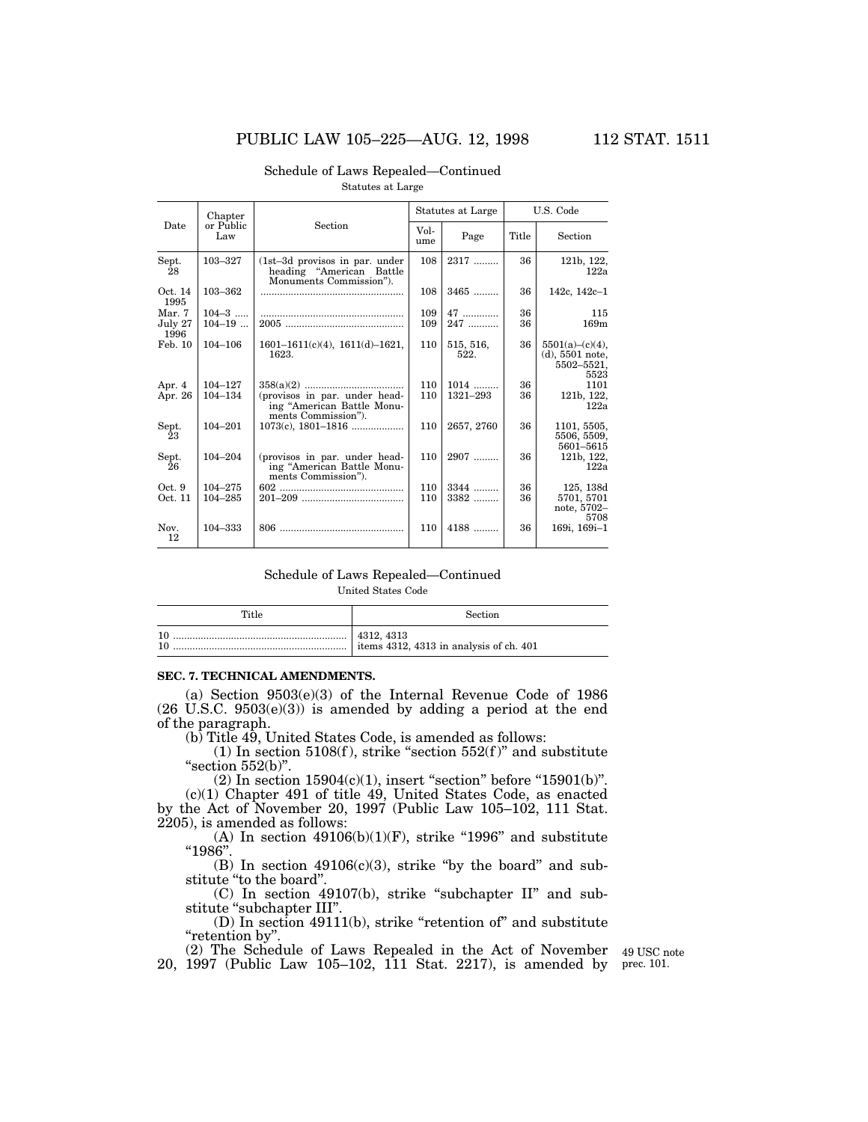|                                     | Chapter                    |                                                                                        | Statutes at Large |                   | U.S. Code |                                                                |
|-------------------------------------|----------------------------|----------------------------------------------------------------------------------------|-------------------|-------------------|-----------|----------------------------------------------------------------|
| Date<br>or Public<br>Section<br>Law | Vol-<br>ume                | Page                                                                                   | Title             | Section           |           |                                                                |
| Sept.<br>28                         | 103-327                    | $1st-3d$ provisos in par. under<br>heading "American Battle<br>Monuments Commission"). | 108               | 2317              | 36        | 121b, 122,<br>122a                                             |
| Oct. 14<br>1995                     | 103-362                    |                                                                                        | 108               | $3465$            | 36        | 142c, 142c-1                                                   |
| Mar. 7<br>July 27<br>1996           | $104 - 3$<br>$104 - 19$    |                                                                                        | 109<br>109        | $47$<br>$247$     | 36<br>36  | 115<br>169m                                                    |
| Feb. 10                             | $104 - 106$                | $1601-1611(c)(4), 1611(d)-1621,$<br>1623.                                              | 110               | 515, 516,<br>522. | 36        | $5501(a)-(c)(4)$ ,<br>$(d)$ , 5501 note,<br>5502-5521,<br>5523 |
| Apr. 4                              | $104 - 127$                |                                                                                        | 110               | $1014$            | 36        | 1101                                                           |
| Apr. 26                             | 104-134                    | (provisos in par. under head-<br>ing "American Battle Monu-<br>ments Commission").     | 110               | 1321-293          | 36        | 121b, 122,<br>122a                                             |
| Sept.<br>23                         | 104-201                    |                                                                                        | 110               | 2657, 2760        | 36        | 1101, 5505.<br>5506, 5509,<br>5601-5615                        |
| Sept.<br>26                         | 104-204                    | (provisos in par. under head-<br>ing "American Battle Monu-<br>ments Commission").     | 110               | 2907              | 36        | 121b, 122,<br>122a                                             |
| Oct. 9<br>Oct. 11                   | $104 - 275$<br>$104 - 285$ |                                                                                        | 110<br>110        | 3344<br>$3382$    | 36<br>36  | 125, 138d<br>5701, 5701<br>note, 5702-<br>5708                 |
| Nov.<br>12                          | 104-333                    |                                                                                        | 110               | 4188              | 36        | 169i, 169i-1                                                   |

## Schedule of Laws Repealed—Continued

Statutes at Large

### Schedule of Laws Repealed—Continued

United States Code

| Title | Section |
|-------|---------|
| 10    |         |

#### **SEC. 7. TECHNICAL AMENDMENTS.**

(a) Section 9503(e)(3) of the Internal Revenue Code of 1986  $(26 \text{ U.S.C. } 9503(e)(3))$  is amended by adding a period at the end of the paragraph.

(b) Title 49, United States Code, is amended as follows:

(1) In section  $5108(f)$ , strike "section  $552(f)$ " and substitute "section  $552(b)$ ".

 $(2)$  In section 15904 $(c)(1)$ , insert "section" before "15901 $(b)$ ". (c)(1) Chapter 491 of title 49, United States Code, as enacted

by the Act of November 20, 1997 (Public Law 105–102, 111 Stat. 2205), is amended as follows:

(A) In section  $49106(b)(1)(F)$ , strike "1996" and substitute ''1986''.

(B) In section  $49106(c)(3)$ , strike "by the board" and substitute "to the board".

(C) In section 49107(b), strike ''subchapter II'' and substitute "subchapter III".

(D) In section 49111(b), strike ''retention of'' and substitute ''retention by''.

(2) The Schedule of Laws Repealed in the Act of November 20, 1997 (Public Law 105–102, 111 Stat. 2217), is amended by

49 USC note prec. 101.